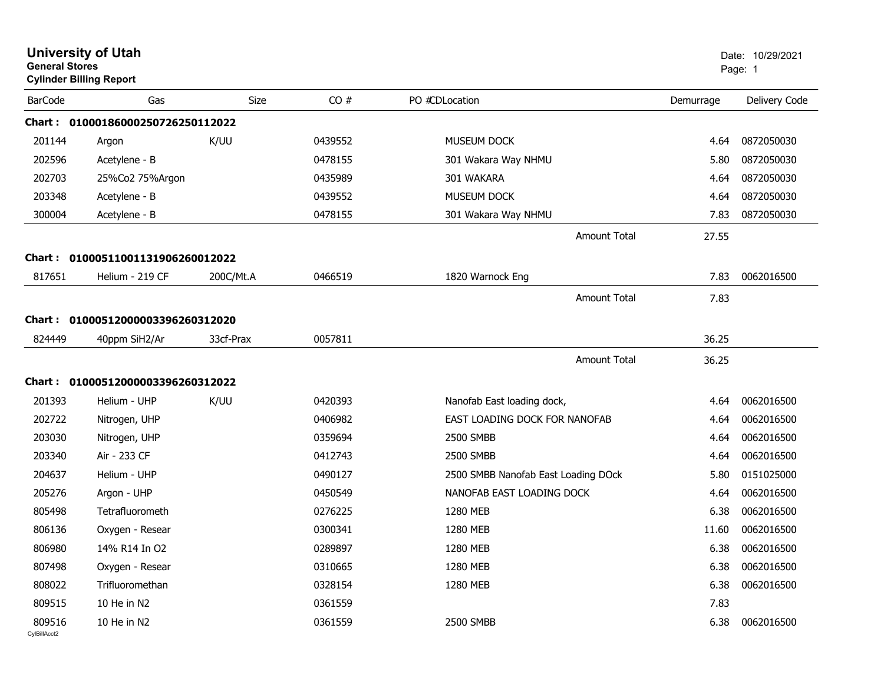| <b>General Stores</b>  | <b>University of Utah</b><br><b>Cylinder Billing Report</b> |             |         |                                     |           | Date: 10/29/2021<br>Page: 1 |
|------------------------|-------------------------------------------------------------|-------------|---------|-------------------------------------|-----------|-----------------------------|
| <b>BarCode</b>         | Gas                                                         | <b>Size</b> | CO#     | PO #CDLocation                      | Demurrage | Delivery Code               |
|                        | Chart: 01000186000250726250112022                           |             |         |                                     |           |                             |
| 201144                 | Argon                                                       | K/UU        | 0439552 | <b>MUSEUM DOCK</b>                  | 4.64      | 0872050030                  |
| 202596                 | Acetylene - B                                               |             | 0478155 | 301 Wakara Way NHMU                 | 5.80      | 0872050030                  |
| 202703                 | 25%Co2 75%Argon                                             |             | 0435989 | 301 WAKARA                          | 4.64      | 0872050030                  |
| 203348                 | Acetylene - B                                               |             | 0439552 | MUSEUM DOCK                         | 4.64      | 0872050030                  |
| 300004                 | Acetylene - B                                               |             | 0478155 | 301 Wakara Way NHMU                 | 7.83      | 0872050030                  |
|                        |                                                             |             |         | Amount Total                        | 27.55     |                             |
| <b>Chart:</b>          | 01000511001131906260012022                                  |             |         |                                     |           |                             |
| 817651                 | Helium - 219 CF                                             | 200C/Mt.A   | 0466519 | 1820 Warnock Eng                    | 7.83      | 0062016500                  |
|                        |                                                             |             |         | Amount Total                        | 7.83      |                             |
|                        | Chart: 01000512000003396260312020                           |             |         |                                     |           |                             |
| 824449                 | 40ppm SiH2/Ar                                               | 33cf-Prax   | 0057811 |                                     | 36.25     |                             |
|                        |                                                             |             |         |                                     |           |                             |
|                        |                                                             |             |         | <b>Amount Total</b>                 | 36.25     |                             |
|                        | Chart: 01000512000003396260312022                           |             |         |                                     |           |                             |
| 201393                 | Helium - UHP                                                | K/UU        | 0420393 | Nanofab East loading dock,          | 4.64      | 0062016500                  |
| 202722                 | Nitrogen, UHP                                               |             | 0406982 | EAST LOADING DOCK FOR NANOFAB       | 4.64      | 0062016500                  |
| 203030                 | Nitrogen, UHP                                               |             | 0359694 | 2500 SMBB                           | 4.64      | 0062016500                  |
| 203340                 | Air - 233 CF                                                |             | 0412743 | 2500 SMBB                           | 4.64      | 0062016500                  |
| 204637                 | Helium - UHP                                                |             | 0490127 | 2500 SMBB Nanofab East Loading DOck | 5.80      | 0151025000                  |
| 205276                 | Argon - UHP                                                 |             | 0450549 | NANOFAB EAST LOADING DOCK           | 4.64      | 0062016500                  |
| 805498                 | Tetrafluorometh                                             |             | 0276225 | 1280 MEB                            | 6.38      | 0062016500                  |
| 806136                 | Oxygen - Resear                                             |             | 0300341 | 1280 MEB                            | 11.60     | 0062016500                  |
| 806980                 | 14% R14 In O2                                               |             | 0289897 | 1280 MEB                            | 6.38      | 0062016500                  |
| 807498                 | Oxygen - Resear                                             |             | 0310665 | 1280 MEB                            | 6.38      | 0062016500                  |
| 808022                 | Trifluoromethan                                             |             | 0328154 | 1280 MEB                            | 6.38      | 0062016500                  |
| 809515                 | 10 He in N2                                                 |             | 0361559 |                                     | 7.83      |                             |
| 809516<br>CylBillAcct2 | 10 He in N2                                                 |             | 0361559 | 2500 SMBB                           | 6.38      | 0062016500                  |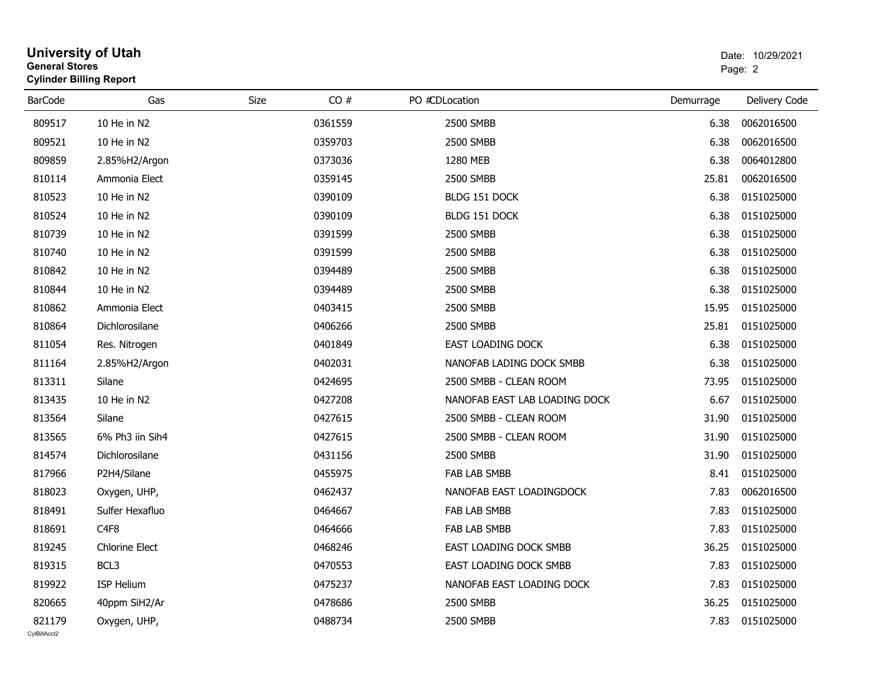| <b>General Stores</b>  | <b>University of Utah</b><br><b>Cylinder Billing Report</b> |      |         |                               | Date: 10/29/2021<br>Page: 2 |                  |  |
|------------------------|-------------------------------------------------------------|------|---------|-------------------------------|-----------------------------|------------------|--|
| <b>BarCode</b>         | Gas                                                         | Size | CO#     | PO #CDLocation                | Demurrage                   | Delivery Code    |  |
| 809517                 | 10 He in N2                                                 |      | 0361559 | 2500 SMBB                     | 6.38                        | 0062016500       |  |
| 809521                 | 10 He in N2                                                 |      | 0359703 | 2500 SMBB                     | 6.38                        | 0062016500       |  |
| 809859                 | 2.85%H2/Argon                                               |      | 0373036 | 1280 MEB                      | 6.38                        | 0064012800       |  |
| 810114                 | Ammonia Elect                                               |      | 0359145 | 2500 SMBB                     | 25.81                       | 0062016500       |  |
| 810523                 | 10 He in N2                                                 |      | 0390109 | BLDG 151 DOCK                 | 6.38                        | 0151025000       |  |
| 810524                 | 10 He in N2                                                 |      | 0390109 | BLDG 151 DOCK                 | 6.38                        | 0151025000       |  |
| 810739                 | 10 He in N2                                                 |      | 0391599 | 2500 SMBB                     | 6.38                        | 0151025000       |  |
| 810740                 | 10 He in N2                                                 |      | 0391599 | 2500 SMBB                     | 6.38                        | 0151025000       |  |
| 810842                 | 10 He in N2                                                 |      | 0394489 | 2500 SMBB                     | 6.38                        | 0151025000       |  |
| 810844                 | 10 He in N2                                                 |      | 0394489 | 2500 SMBB                     | 6.38                        | 0151025000       |  |
| 810862                 | Ammonia Elect                                               |      | 0403415 | 2500 SMBB                     | 15.95                       | 0151025000       |  |
| 810864                 | Dichlorosilane                                              |      | 0406266 | 2500 SMBB                     | 25.81                       | 0151025000       |  |
| 811054                 | Res. Nitrogen                                               |      | 0401849 | <b>EAST LOADING DOCK</b>      | 6.38                        | 0151025000       |  |
| 811164                 | 2.85%H2/Argon                                               |      | 0402031 | NANOFAB LADING DOCK SMBB      | 6.38                        | 0151025000       |  |
| 813311                 | Silane                                                      |      | 0424695 | 2500 SMBB - CLEAN ROOM        | 73.95                       | 0151025000       |  |
| 813435                 | 10 He in N2                                                 |      | 0427208 | NANOFAB EAST LAB LOADING DOCK | 6.67                        | 0151025000       |  |
| 813564                 | Silane                                                      |      | 0427615 | 2500 SMBB - CLEAN ROOM        | 31.90                       | 0151025000       |  |
| 813565                 | 6% Ph3 iin Sih4                                             |      | 0427615 | 2500 SMBB - CLEAN ROOM        | 31.90                       | 0151025000       |  |
| 814574                 | Dichlorosilane                                              |      | 0431156 | 2500 SMBB                     | 31.90                       | 0151025000       |  |
| 817966                 | P2H4/Silane                                                 |      | 0455975 | <b>FAB LAB SMBB</b>           | 8.41                        | 0151025000       |  |
| 818023                 | Oxygen, UHP,                                                |      | 0462437 | NANOFAB EAST LOADINGDOCK      | 7.83                        | 0062016500       |  |
| 818491                 | Sulfer Hexafluo                                             |      | 0464667 | <b>FAB LAB SMBB</b>           | 7.83                        | 0151025000       |  |
| 818691                 | C <sub>4F8</sub>                                            |      | 0464666 | <b>FAB LAB SMBB</b>           | 7.83                        | 0151025000       |  |
| 819245                 | Chlorine Elect                                              |      | 0468246 | EAST LOADING DOCK SMBB        |                             | 36.25 0151025000 |  |
| 819315                 | BCL3                                                        |      | 0470553 | EAST LOADING DOCK SMBB        | 7.83                        | 0151025000       |  |
| 819922                 | ISP Helium                                                  |      | 0475237 | NANOFAB EAST LOADING DOCK     | 7.83                        | 0151025000       |  |
| 820665                 | 40ppm SiH2/Ar                                               |      | 0478686 | 2500 SMBB                     | 36.25                       | 0151025000       |  |
| 821179<br>CvIBillAcct2 | Oxygen, UHP,                                                |      | 0488734 | 2500 SMBB                     | 7.83                        | 0151025000       |  |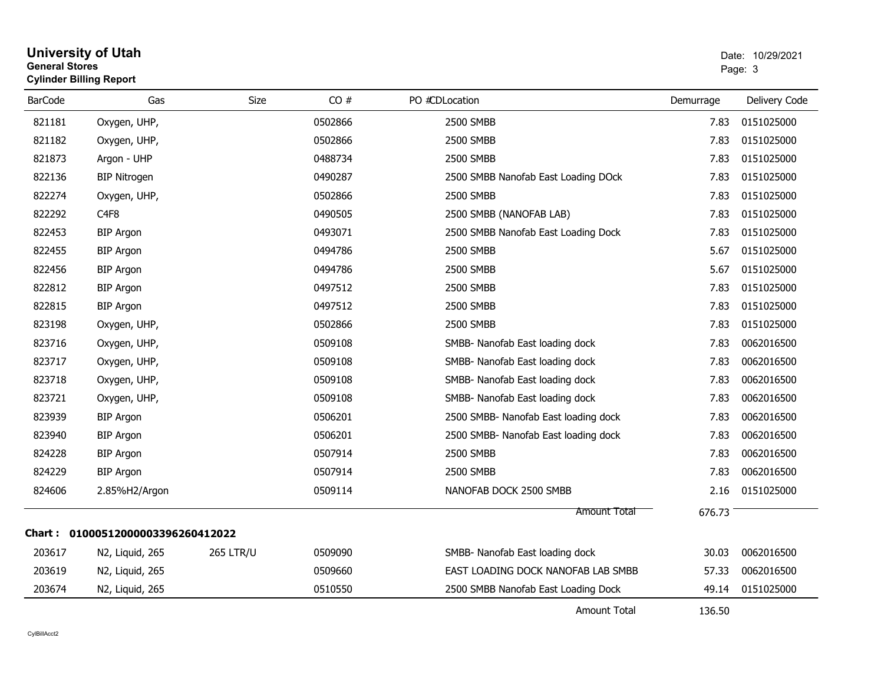| <b>General Stores</b> | <b>Cylinder Billing Report</b>    |                  |         |                                      |           | Page: 3       |
|-----------------------|-----------------------------------|------------------|---------|--------------------------------------|-----------|---------------|
| <b>BarCode</b>        | Gas                               | Size             | CO#     | PO #CDLocation                       | Demurrage | Delivery Code |
| 821181                | Oxygen, UHP,                      |                  | 0502866 | 2500 SMBB                            | 7.83      | 0151025000    |
| 821182                | Oxygen, UHP,                      |                  | 0502866 | 2500 SMBB                            | 7.83      | 0151025000    |
| 821873                | Argon - UHP                       |                  | 0488734 | 2500 SMBB                            | 7.83      | 0151025000    |
| 822136                | <b>BIP Nitrogen</b>               |                  | 0490287 | 2500 SMBB Nanofab East Loading DOck  | 7.83      | 0151025000    |
| 822274                | Oxygen, UHP,                      |                  | 0502866 | 2500 SMBB                            | 7.83      | 0151025000    |
| 822292                | C <sub>4F8</sub>                  |                  | 0490505 | 2500 SMBB (NANOFAB LAB)              | 7.83      | 0151025000    |
| 822453                | <b>BIP Argon</b>                  |                  | 0493071 | 2500 SMBB Nanofab East Loading Dock  | 7.83      | 0151025000    |
| 822455                | <b>BIP Argon</b>                  |                  | 0494786 | 2500 SMBB                            | 5.67      | 0151025000    |
| 822456                | <b>BIP Argon</b>                  |                  | 0494786 | 2500 SMBB                            | 5.67      | 0151025000    |
| 822812                | <b>BIP Argon</b>                  |                  | 0497512 | 2500 SMBB                            | 7.83      | 0151025000    |
| 822815                | <b>BIP Argon</b>                  |                  | 0497512 | 2500 SMBB                            | 7.83      | 0151025000    |
| 823198                | Oxygen, UHP,                      |                  | 0502866 | 2500 SMBB                            | 7.83      | 0151025000    |
| 823716                | Oxygen, UHP,                      |                  | 0509108 | SMBB- Nanofab East loading dock      | 7.83      | 0062016500    |
| 823717                | Oxygen, UHP,                      |                  | 0509108 | SMBB- Nanofab East loading dock      | 7.83      | 0062016500    |
| 823718                | Oxygen, UHP,                      |                  | 0509108 | SMBB- Nanofab East loading dock      | 7.83      | 0062016500    |
| 823721                | Oxygen, UHP,                      |                  | 0509108 | SMBB- Nanofab East loading dock      | 7.83      | 0062016500    |
| 823939                | <b>BIP Argon</b>                  |                  | 0506201 | 2500 SMBB- Nanofab East loading dock | 7.83      | 0062016500    |
| 823940                | <b>BIP Argon</b>                  |                  | 0506201 | 2500 SMBB- Nanofab East loading dock | 7.83      | 0062016500    |
| 824228                | <b>BIP Argon</b>                  |                  | 0507914 | 2500 SMBB                            | 7.83      | 0062016500    |
| 824229                | <b>BIP Argon</b>                  |                  | 0507914 | 2500 SMBB                            | 7.83      | 0062016500    |
| 824606                | 2.85%H2/Argon                     |                  | 0509114 | NANOFAB DOCK 2500 SMBB               | 2.16      | 0151025000    |
|                       |                                   |                  |         | Amount Total                         | 676.73    |               |
|                       | Chart: 01000512000003396260412022 |                  |         |                                      |           |               |
| 203617                | N2, Liquid, 265                   | <b>265 LTR/U</b> | 0509090 | SMBB- Nanofab East loading dock      | 30.03     | 0062016500    |
| 203619                | N2, Liquid, 265                   |                  | 0509660 | EAST LOADING DOCK NANOFAB LAB SMBB   | 57.33     | 0062016500    |
| 203674                | N2, Liquid, 265                   |                  | 0510550 | 2500 SMBB Nanofab East Loading Dock  | 49.14     | 0151025000    |
|                       |                                   |                  |         | Amount Total                         | 136.50    |               |

# **University of Utah**  Date: 10/29/2021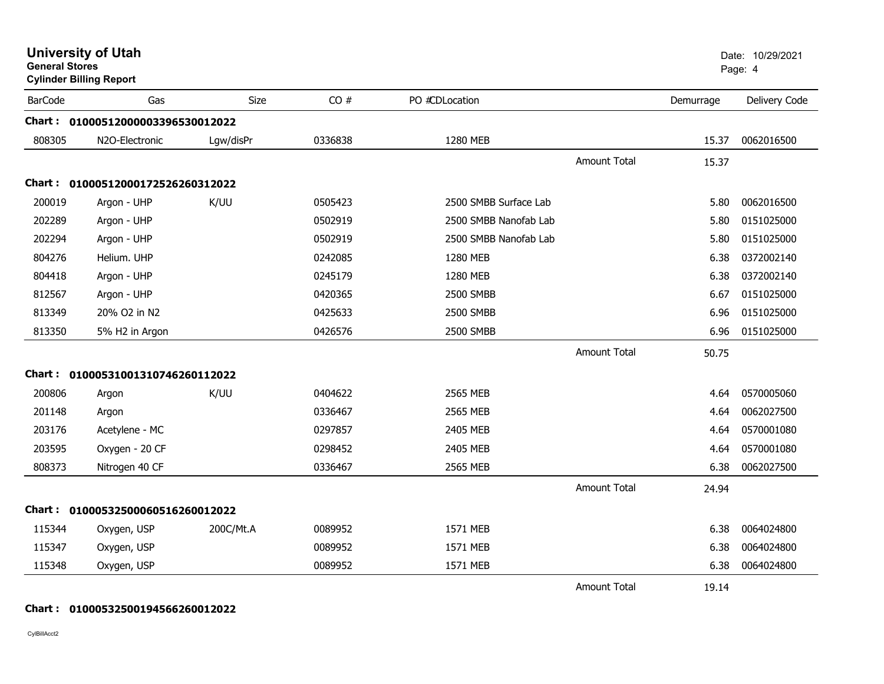| <b>General Stores</b> | <b>University of Utah</b><br><b>Cylinder Billing Report</b> |           |         |                       |                     |           | Date: 10/29/2021<br>Page: 4 |
|-----------------------|-------------------------------------------------------------|-----------|---------|-----------------------|---------------------|-----------|-----------------------------|
| <b>BarCode</b>        | Gas                                                         | Size      | CO#     | PO #CDLocation        |                     | Demurrage | Delivery Code               |
|                       | Chart: 01000512000003396530012022                           |           |         |                       |                     |           |                             |
| 808305                | N2O-Electronic                                              | Lgw/disPr | 0336838 | 1280 MEB              |                     | 15.37     | 0062016500                  |
|                       |                                                             |           |         |                       | <b>Amount Total</b> | 15.37     |                             |
|                       | Chart: 01000512000172526260312022                           |           |         |                       |                     |           |                             |
| 200019                | Argon - UHP                                                 | K/UU      | 0505423 | 2500 SMBB Surface Lab |                     | 5.80      | 0062016500                  |
| 202289                | Argon - UHP                                                 |           | 0502919 | 2500 SMBB Nanofab Lab |                     | 5.80      | 0151025000                  |
| 202294                | Argon - UHP                                                 |           | 0502919 | 2500 SMBB Nanofab Lab |                     | 5.80      | 0151025000                  |
| 804276                | Helium. UHP                                                 |           | 0242085 | 1280 MEB              |                     | 6.38      | 0372002140                  |
| 804418                | Argon - UHP                                                 |           | 0245179 | 1280 MEB              |                     | 6.38      | 0372002140                  |
| 812567                | Argon - UHP                                                 |           | 0420365 | 2500 SMBB             |                     | 6.67      | 0151025000                  |
| 813349                | 20% O2 in N2                                                |           | 0425633 | 2500 SMBB             |                     | 6.96      | 0151025000                  |
| 813350                | 5% H2 in Argon                                              |           | 0426576 | 2500 SMBB             |                     | 6.96      | 0151025000                  |
|                       |                                                             |           |         |                       | <b>Amount Total</b> | 50.75     |                             |
|                       | Chart: 01000531001310746260112022                           |           |         |                       |                     |           |                             |
| 200806                | Argon                                                       | K/UU      | 0404622 | 2565 MEB              |                     | 4.64      | 0570005060                  |
| 201148                | Argon                                                       |           | 0336467 | 2565 MEB              |                     | 4.64      | 0062027500                  |
| 203176                | Acetylene - MC                                              |           | 0297857 | 2405 MEB              |                     | 4.64      | 0570001080                  |
| 203595                | Oxygen - 20 CF                                              |           | 0298452 | 2405 MEB              |                     | 4.64      | 0570001080                  |
| 808373                | Nitrogen 40 CF                                              |           | 0336467 | 2565 MEB              |                     | 6.38      | 0062027500                  |
|                       |                                                             |           |         |                       | Amount Total        | 24.94     |                             |
|                       | Chart: 01000532500060516260012022                           |           |         |                       |                     |           |                             |
| 115344                | Oxygen, USP                                                 | 200C/Mt.A | 0089952 | 1571 MEB              |                     | 6.38      | 0064024800                  |
| 115347                | Oxygen, USP                                                 |           | 0089952 | 1571 MEB              |                     | 6.38      | 0064024800                  |
| 115348                | Oxygen, USP                                                 |           | 0089952 | 1571 MEB              |                     | 6.38      | 0064024800                  |
|                       |                                                             |           |         |                       | <b>Amount Total</b> | 19.14     |                             |

#### **Chart : 01000532500194566260012022**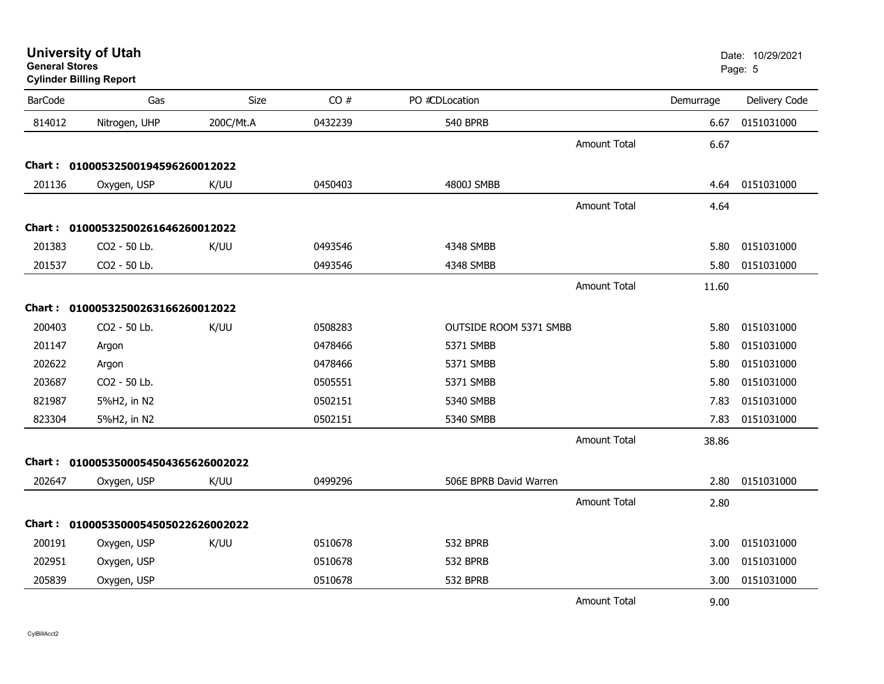| General Stores | <b>Cylinder Billing Report</b>      |           |         |                        |                     |           | Page: 5       |
|----------------|-------------------------------------|-----------|---------|------------------------|---------------------|-----------|---------------|
| <b>BarCode</b> | Gas                                 | Size      | CO#     | PO #CDLocation         |                     | Demurrage | Delivery Code |
| 814012         | Nitrogen, UHP                       | 200C/Mt.A | 0432239 | <b>540 BPRB</b>        |                     | 6.67      | 0151031000    |
|                |                                     |           |         |                        | <b>Amount Total</b> | 6.67      |               |
|                | Chart: 01000532500194596260012022   |           |         |                        |                     |           |               |
| 201136         | Oxygen, USP                         | K/UU      | 0450403 | 4800J SMBB             |                     | 4.64      | 0151031000    |
|                |                                     |           |         |                        | <b>Amount Total</b> | 4.64      |               |
|                | Chart: 01000532500261646260012022   |           |         |                        |                     |           |               |
| 201383         | CO2 - 50 Lb.                        | K/UU      | 0493546 | 4348 SMBB              |                     | 5.80      | 0151031000    |
| 201537         | CO2 - 50 Lb.                        |           | 0493546 | 4348 SMBB              |                     | 5.80      | 0151031000    |
|                |                                     |           |         |                        | <b>Amount Total</b> | 11.60     |               |
|                | Chart: 01000532500263166260012022   |           |         |                        |                     |           |               |
| 200403         | CO2 - 50 Lb.                        | K/UU      | 0508283 | OUTSIDE ROOM 5371 SMBB |                     | 5.80      | 0151031000    |
| 201147         | Argon                               |           | 0478466 | 5371 SMBB              |                     | 5.80      | 0151031000    |
| 202622         | Argon                               |           | 0478466 | 5371 SMBB              |                     | 5.80      | 0151031000    |
| 203687         | CO2 - 50 Lb.                        |           | 0505551 | 5371 SMBB              |                     | 5.80      | 0151031000    |
| 821987         | 5%H2, in N2                         |           | 0502151 | 5340 SMBB              |                     | 7.83      | 0151031000    |
| 823304         | 5%H2, in N2                         |           | 0502151 | 5340 SMBB              |                     | 7.83      | 0151031000    |
|                |                                     |           |         |                        | <b>Amount Total</b> | 38.86     |               |
|                | Chart: 0100053500054504365626002022 |           |         |                        |                     |           |               |
| 202647         | Oxygen, USP                         | K/UU      | 0499296 | 506E BPRB David Warren |                     | 2.80      | 0151031000    |
|                |                                     |           |         |                        | <b>Amount Total</b> | 2.80      |               |
|                | Chart: 0100053500054505022626002022 |           |         |                        |                     |           |               |
| 200191         | Oxygen, USP                         | K/UU      | 0510678 | 532 BPRB               |                     | 3.00      | 0151031000    |
| 202951         | Oxygen, USP                         |           | 0510678 | 532 BPRB               |                     | 3.00      | 0151031000    |
| 205839         | Oxygen, USP                         |           | 0510678 | 532 BPRB               |                     | 3.00      | 0151031000    |
|                |                                     |           |         |                        | <b>Amount Total</b> | 9.00      |               |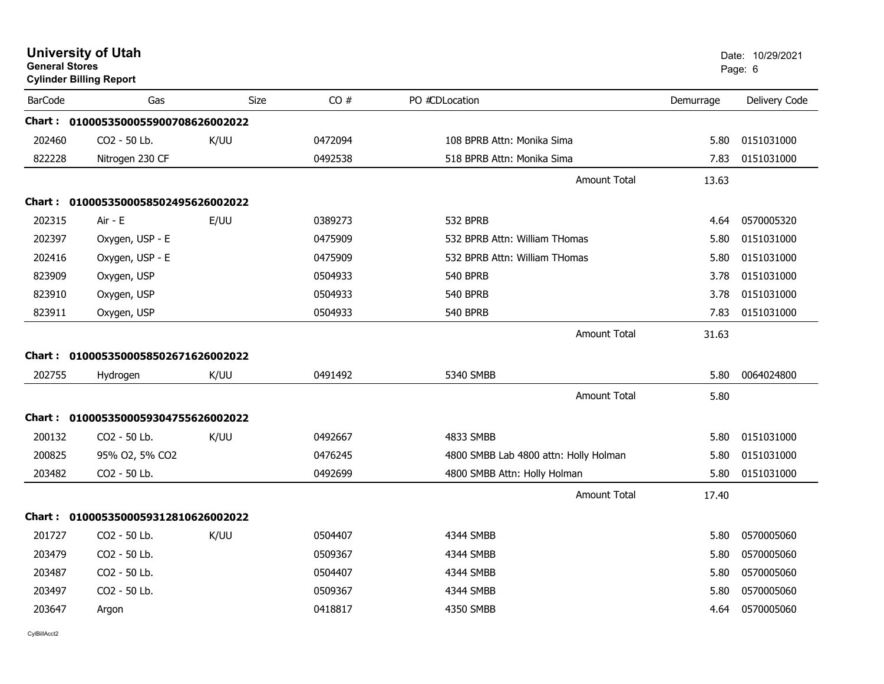| <b>General Stores</b> | <b>University of Utah</b><br><b>Cylinder Billing Report</b> |             |         |                                       |           | Date: 10/29/2021<br>Page: 6 |
|-----------------------|-------------------------------------------------------------|-------------|---------|---------------------------------------|-----------|-----------------------------|
| <b>BarCode</b>        | Gas                                                         | <b>Size</b> | CO#     | PO #CDLocation                        | Demurrage | Delivery Code               |
|                       | Chart: 0100053500055900708626002022                         |             |         |                                       |           |                             |
| 202460                | CO2 - 50 Lb.                                                | K/UU        | 0472094 | 108 BPRB Attn: Monika Sima            | 5.80      | 0151031000                  |
| 822228                | Nitrogen 230 CF                                             |             | 0492538 | 518 BPRB Attn: Monika Sima            | 7.83      | 0151031000                  |
|                       |                                                             |             |         | Amount Total                          | 13.63     |                             |
|                       | Chart: 0100053500058502495626002022                         |             |         |                                       |           |                             |
| 202315                | Air - E                                                     | E/UU        | 0389273 | 532 BPRB                              | 4.64      | 0570005320                  |
| 202397                | Oxygen, USP - E                                             |             | 0475909 | 532 BPRB Attn: William THomas         | 5.80      | 0151031000                  |
| 202416                | Oxygen, USP - E                                             |             | 0475909 | 532 BPRB Attn: William THomas         | 5.80      | 0151031000                  |
| 823909                | Oxygen, USP                                                 |             | 0504933 | <b>540 BPRB</b>                       | 3.78      | 0151031000                  |
| 823910                | Oxygen, USP                                                 |             | 0504933 | <b>540 BPRB</b>                       | 3.78      | 0151031000                  |
| 823911                | Oxygen, USP                                                 |             | 0504933 | 540 BPRB                              | 7.83      | 0151031000                  |
|                       |                                                             |             |         | Amount Total                          | 31.63     |                             |
|                       | Chart: 0100053500058502671626002022                         |             |         |                                       |           |                             |
| 202755                | Hydrogen                                                    | K/UU        | 0491492 | 5340 SMBB                             | 5.80      | 0064024800                  |
|                       |                                                             |             |         | Amount Total                          | 5.80      |                             |
|                       | Chart: 0100053500059304755626002022                         |             |         |                                       |           |                             |
| 200132                | CO2 - 50 Lb.                                                | K/UU        | 0492667 | 4833 SMBB                             | 5.80      | 0151031000                  |
| 200825                | 95% O2, 5% CO2                                              |             | 0476245 | 4800 SMBB Lab 4800 attn: Holly Holman | 5.80      | 0151031000                  |
| 203482                | CO2 - 50 Lb.                                                |             | 0492699 | 4800 SMBB Attn: Holly Holman          | 5.80      | 0151031000                  |
|                       |                                                             |             |         | <b>Amount Total</b>                   | 17.40     |                             |
|                       | Chart: 0100053500059312810626002022                         |             |         |                                       |           |                             |
| 201727                | CO <sub>2</sub> - 50 Lb.                                    | K/UU        | 0504407 | 4344 SMBB                             | 5.80      | 0570005060                  |
| 203479                | CO2 - 50 Lb.                                                |             | 0509367 | 4344 SMBB                             | 5.80      | 0570005060                  |
| 203487                | CO2 - 50 Lb.                                                |             | 0504407 | 4344 SMBB                             | 5.80      | 0570005060                  |
| 203497                | CO2 - 50 Lb.                                                |             | 0509367 | 4344 SMBB                             | 5.80      | 0570005060                  |
| 203647                | Argon                                                       |             | 0418817 | 4350 SMBB                             | 4.64      | 0570005060                  |
|                       |                                                             |             |         |                                       |           |                             |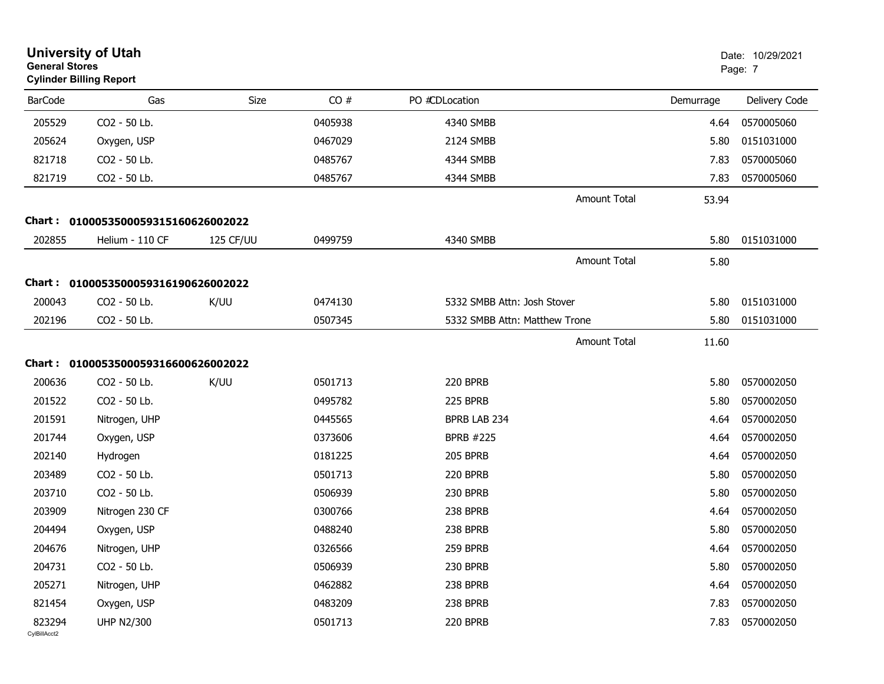|                        | <b>University of Utah</b><br><b>General Stores</b><br><b>Cylinder Billing Report</b> |           |         |                               |           | Date: 10/29/2021<br>Page: 7 |  |
|------------------------|--------------------------------------------------------------------------------------|-----------|---------|-------------------------------|-----------|-----------------------------|--|
| <b>BarCode</b>         | Gas                                                                                  | Size      | CO#     | PO #CDLocation                | Demurrage | Delivery Code               |  |
| 205529                 | CO2 - 50 Lb.                                                                         |           | 0405938 | 4340 SMBB                     | 4.64      | 0570005060                  |  |
| 205624                 | Oxygen, USP                                                                          |           | 0467029 | 2124 SMBB                     | 5.80      | 0151031000                  |  |
| 821718                 | CO2 - 50 Lb.                                                                         |           | 0485767 | 4344 SMBB                     | 7.83      | 0570005060                  |  |
| 821719                 | CO2 - 50 Lb.                                                                         |           | 0485767 | 4344 SMBB                     | 7.83      | 0570005060                  |  |
|                        |                                                                                      |           |         | <b>Amount Total</b>           | 53.94     |                             |  |
| <b>Chart:</b>          | 0100053500059315160626002022                                                         |           |         |                               |           |                             |  |
| 202855                 | Helium - 110 CF                                                                      | 125 CF/UU | 0499759 | 4340 SMBB                     | 5.80      | 0151031000                  |  |
|                        |                                                                                      |           |         | <b>Amount Total</b>           | 5.80      |                             |  |
|                        | Chart: 0100053500059316190626002022                                                  |           |         |                               |           |                             |  |
| 200043                 | CO2 - 50 Lb.                                                                         | K/UU      | 0474130 | 5332 SMBB Attn: Josh Stover   | 5.80      | 0151031000                  |  |
| 202196                 | CO2 - 50 Lb.                                                                         |           | 0507345 | 5332 SMBB Attn: Matthew Trone | 5.80      | 0151031000                  |  |
|                        |                                                                                      |           |         | <b>Amount Total</b>           | 11.60     |                             |  |
|                        |                                                                                      |           |         |                               |           |                             |  |
| Chart :<br>200636      | 0100053500059316600626002022<br>CO2 - 50 Lb.                                         |           | 0501713 | 220 BPRB                      | 5.80      | 0570002050                  |  |
|                        |                                                                                      | K/UU      |         |                               |           |                             |  |
| 201522                 | CO2 - 50 Lb.                                                                         |           | 0495782 | 225 BPRB                      | 5.80      | 0570002050                  |  |
| 201591                 | Nitrogen, UHP                                                                        |           | 0445565 | BPRB LAB 234                  | 4.64      | 0570002050                  |  |
| 201744                 | Oxygen, USP                                                                          |           | 0373606 | <b>BPRB #225</b>              | 4.64      | 0570002050                  |  |
| 202140                 | Hydrogen                                                                             |           | 0181225 | <b>205 BPRB</b>               | 4.64      | 0570002050                  |  |
| 203489                 | CO2 - 50 Lb.                                                                         |           | 0501713 | 220 BPRB                      | 5.80      | 0570002050                  |  |
| 203710                 | CO2 - 50 Lb.                                                                         |           | 0506939 | 230 BPRB                      | 5.80      | 0570002050                  |  |
| 203909                 | Nitrogen 230 CF                                                                      |           | 0300766 | 238 BPRB                      | 4.64      | 0570002050                  |  |
| 204494                 | Oxygen, USP                                                                          |           | 0488240 | 238 BPRB                      | 5.80      | 0570002050                  |  |
| 204676                 | Nitrogen, UHP                                                                        |           | 0326566 | 259 BPRB                      | 4.64      | 0570002050                  |  |
| 204731                 | CO2 - 50 Lb.                                                                         |           | 0506939 | 230 BPRB                      | 5.80      | 0570002050                  |  |
| 205271                 | Nitrogen, UHP                                                                        |           | 0462882 | 238 BPRB                      | 4.64      | 0570002050                  |  |
| 821454                 | Oxygen, USP                                                                          |           | 0483209 | 238 BPRB                      | 7.83      | 0570002050                  |  |
| 823294<br>CvIBillAcct2 | <b>UHP N2/300</b>                                                                    |           | 0501713 | 220 BPRB                      | 7.83      | 0570002050                  |  |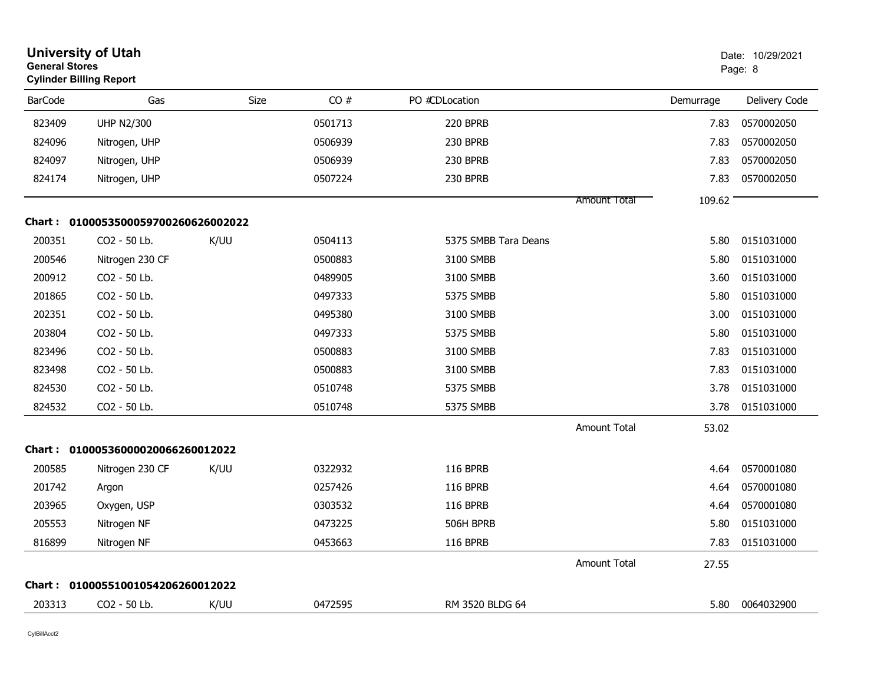| <b>University of Utah</b><br><b>General Stores</b><br><b>Cylinder Billing Report</b> |                                     |      |         |                      | Date: 10/29/2021<br>Page: 8 |           |               |
|--------------------------------------------------------------------------------------|-------------------------------------|------|---------|----------------------|-----------------------------|-----------|---------------|
| <b>BarCode</b>                                                                       | Gas                                 | Size | CO#     | PO #CDLocation       |                             | Demurrage | Delivery Code |
| 823409                                                                               | <b>UHP N2/300</b>                   |      | 0501713 | 220 BPRB             |                             | 7.83      | 0570002050    |
| 824096                                                                               | Nitrogen, UHP                       |      | 0506939 | 230 BPRB             |                             | 7.83      | 0570002050    |
| 824097                                                                               | Nitrogen, UHP                       |      | 0506939 | 230 BPRB             |                             | 7.83      | 0570002050    |
| 824174                                                                               | Nitrogen, UHP                       |      | 0507224 | 230 BPRB             |                             | 7.83      | 0570002050    |
|                                                                                      |                                     |      |         |                      | <b>Amount Total</b>         | 109.62    |               |
|                                                                                      | Chart: 0100053500059700260626002022 |      |         |                      |                             |           |               |
| 200351                                                                               | CO <sub>2</sub> - 50 Lb.            | K/UU | 0504113 | 5375 SMBB Tara Deans |                             | 5.80      | 0151031000    |
| 200546                                                                               | Nitrogen 230 CF                     |      | 0500883 | 3100 SMBB            |                             | 5.80      | 0151031000    |
| 200912                                                                               | CO2 - 50 Lb.                        |      | 0489905 | 3100 SMBB            |                             | 3.60      | 0151031000    |
| 201865                                                                               | CO <sub>2</sub> - 50 Lb.            |      | 0497333 | 5375 SMBB            |                             | 5.80      | 0151031000    |
| 202351                                                                               | CO2 - 50 Lb.                        |      | 0495380 | 3100 SMBB            |                             | 3.00      | 0151031000    |
| 203804                                                                               | CO2 - 50 Lb.                        |      | 0497333 | 5375 SMBB            |                             | 5.80      | 0151031000    |
| 823496                                                                               | CO2 - 50 Lb.                        |      | 0500883 | 3100 SMBB            |                             | 7.83      | 0151031000    |
| 823498                                                                               | CO2 - 50 Lb.                        |      | 0500883 | 3100 SMBB            |                             | 7.83      | 0151031000    |
| 824530                                                                               | CO2 - 50 Lb.                        |      | 0510748 | 5375 SMBB            |                             | 3.78      | 0151031000    |
| 824532                                                                               | CO2 - 50 Lb.                        |      | 0510748 | 5375 SMBB            |                             | 3.78      | 0151031000    |
|                                                                                      |                                     |      |         |                      | Amount Total                | 53.02     |               |
|                                                                                      | Chart: 01000536000020066260012022   |      |         |                      |                             |           |               |
| 200585                                                                               | Nitrogen 230 CF                     | K/UU | 0322932 | <b>116 BPRB</b>      |                             | 4.64      | 0570001080    |
| 201742                                                                               | Argon                               |      | 0257426 | <b>116 BPRB</b>      |                             | 4.64      | 0570001080    |
| 203965                                                                               | Oxygen, USP                         |      | 0303532 | <b>116 BPRB</b>      |                             | 4.64      | 0570001080    |
| 205553                                                                               | Nitrogen NF                         |      | 0473225 | 506H BPRB            |                             | 5.80      | 0151031000    |
| 816899                                                                               | Nitrogen NF                         |      | 0453663 | 116 BPRB             |                             | 7.83      | 0151031000    |
|                                                                                      |                                     |      |         |                      | Amount Total                | 27.55     |               |
|                                                                                      | Chart: 01000551001054206260012022   |      |         |                      |                             |           |               |
| 203313                                                                               | CO <sub>2</sub> - 50 Lb.            | K/UU | 0472595 | RM 3520 BLDG 64      |                             | 5.80      | 0064032900    |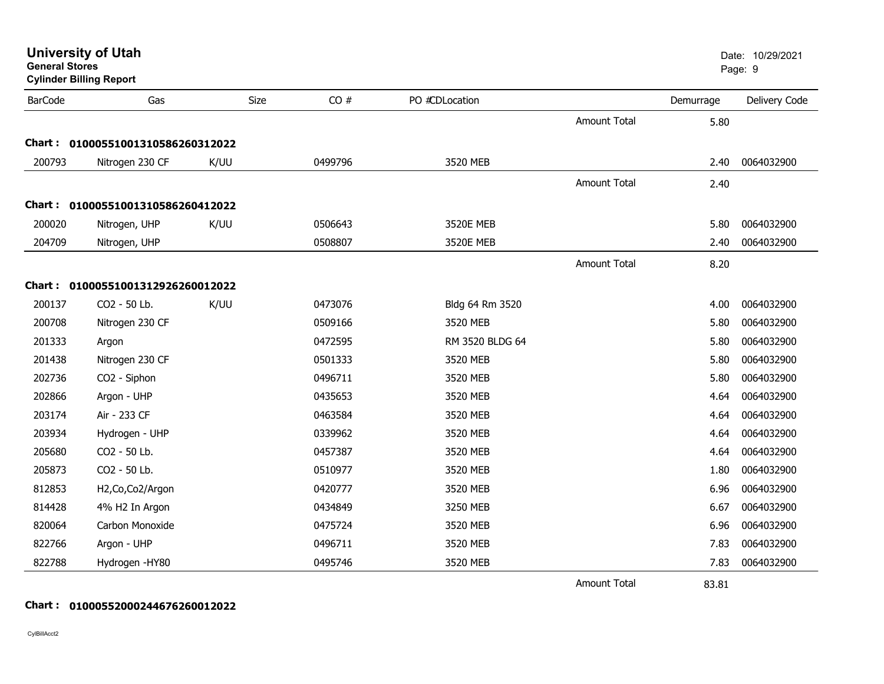| <b>General Stores</b> | <b>Cylinder Billing Report</b>    |      |      |         |                 |                     |           | Page: 9       |  |
|-----------------------|-----------------------------------|------|------|---------|-----------------|---------------------|-----------|---------------|--|
| <b>BarCode</b>        | Gas                               |      | Size | CO#     | PO #CDLocation  |                     | Demurrage | Delivery Code |  |
|                       |                                   |      |      |         |                 | <b>Amount Total</b> | 5.80      |               |  |
| Chart:                | 01000551001310586260312022        |      |      |         |                 |                     |           |               |  |
| 200793                | Nitrogen 230 CF                   | K/UU |      | 0499796 | 3520 MEB        |                     | 2.40      | 0064032900    |  |
|                       |                                   |      |      |         |                 | <b>Amount Total</b> | 2.40      |               |  |
| Chart :               | 01000551001310586260412022        |      |      |         |                 |                     |           |               |  |
| 200020                | Nitrogen, UHP                     | K/UU |      | 0506643 | 3520E MEB       |                     | 5.80      | 0064032900    |  |
| 204709                | Nitrogen, UHP                     |      |      | 0508807 | 3520E MEB       |                     | 2.40      | 0064032900    |  |
|                       |                                   |      |      |         |                 | <b>Amount Total</b> | 8.20      |               |  |
|                       | Chart: 01000551001312926260012022 |      |      |         |                 |                     |           |               |  |
| 200137                | CO2 - 50 Lb.                      | K/UU |      | 0473076 | Bldg 64 Rm 3520 |                     | 4.00      | 0064032900    |  |
| 200708                | Nitrogen 230 CF                   |      |      | 0509166 | 3520 MEB        |                     | 5.80      | 0064032900    |  |
| 201333                | Argon                             |      |      | 0472595 | RM 3520 BLDG 64 |                     | 5.80      | 0064032900    |  |
| 201438                | Nitrogen 230 CF                   |      |      | 0501333 | 3520 MEB        |                     | 5.80      | 0064032900    |  |
| 202736                | CO2 - Siphon                      |      |      | 0496711 | 3520 MEB        |                     | 5.80      | 0064032900    |  |
| 202866                | Argon - UHP                       |      |      | 0435653 | 3520 MEB        |                     | 4.64      | 0064032900    |  |
| 203174                | Air - 233 CF                      |      |      | 0463584 | 3520 MEB        |                     | 4.64      | 0064032900    |  |
| 203934                | Hydrogen - UHP                    |      |      | 0339962 | 3520 MEB        |                     | 4.64      | 0064032900    |  |
| 205680                | CO2 - 50 Lb.                      |      |      | 0457387 | 3520 MEB        |                     | 4.64      | 0064032900    |  |
| 205873                | CO2 - 50 Lb.                      |      |      | 0510977 | 3520 MEB        |                     | 1.80      | 0064032900    |  |
| 812853                | H2, Co, Co2/Argon                 |      |      | 0420777 | 3520 MEB        |                     | 6.96      | 0064032900    |  |
| 814428                | 4% H2 In Argon                    |      |      | 0434849 | 3250 MEB        |                     | 6.67      | 0064032900    |  |
| 820064                | Carbon Monoxide                   |      |      | 0475724 | 3520 MEB        |                     | 6.96      | 0064032900    |  |
| 822766                | Argon - UHP                       |      |      | 0496711 | 3520 MEB        |                     | 7.83      | 0064032900    |  |
| 822788                | Hydrogen - HY80                   |      |      | 0495746 | 3520 MEB        |                     | 7.83      | 0064032900    |  |
|                       |                                   |      |      |         |                 | <b>Amount Total</b> | 83.81     |               |  |

**Chart : 01000552000244676260012022**

CylBillAcct2

## **University of Utah** Date: 10/29/2021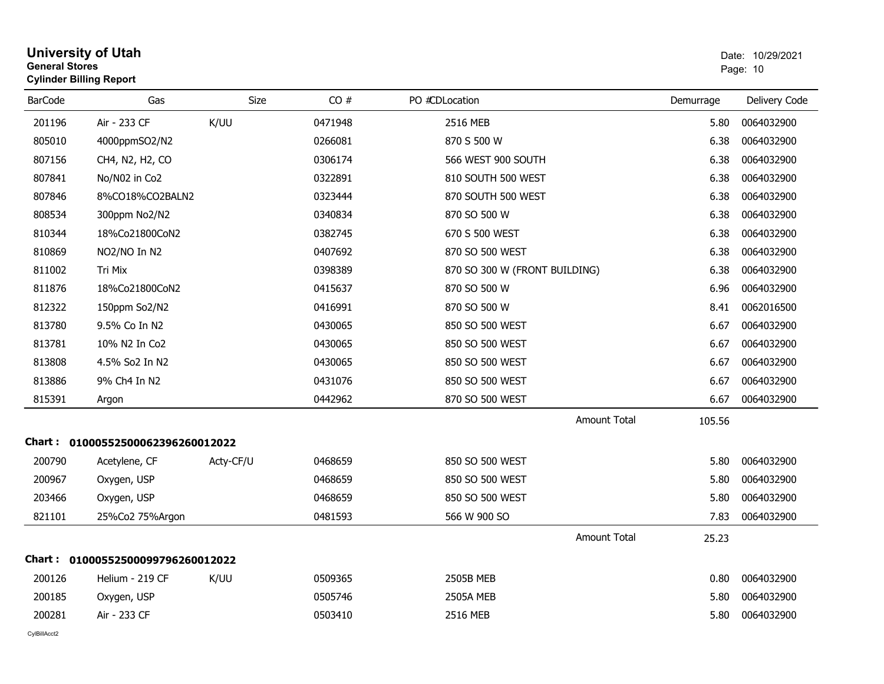|                | <b>General Stores</b><br><b>Cylinder Billing Report</b> |             |         |                               |           | Page: 10      |  |
|----------------|---------------------------------------------------------|-------------|---------|-------------------------------|-----------|---------------|--|
| <b>BarCode</b> | Gas                                                     | <b>Size</b> | CO#     | PO #CDLocation                | Demurrage | Delivery Code |  |
| 201196         | Air - 233 CF                                            | K/UU        | 0471948 | 2516 MEB                      | 5.80      | 0064032900    |  |
| 805010         | 4000ppmSO2/N2                                           |             | 0266081 | 870 S 500 W                   | 6.38      | 0064032900    |  |
| 807156         | CH4, N2, H2, CO                                         |             | 0306174 | 566 WEST 900 SOUTH            | 6.38      | 0064032900    |  |
| 807841         | No/N02 in Co2                                           |             | 0322891 | 810 SOUTH 500 WEST            | 6.38      | 0064032900    |  |
| 807846         | 8%CO18%CO2BALN2                                         |             | 0323444 | 870 SOUTH 500 WEST            | 6.38      | 0064032900    |  |
| 808534         | 300ppm No2/N2                                           |             | 0340834 | 870 SO 500 W                  | 6.38      | 0064032900    |  |
| 810344         | 18%Co21800CoN2                                          |             | 0382745 | 670 S 500 WEST                | 6.38      | 0064032900    |  |
| 810869         | NO2/NO In N2                                            |             | 0407692 | 870 SO 500 WEST               | 6.38      | 0064032900    |  |
| 811002         | Tri Mix                                                 |             | 0398389 | 870 SO 300 W (FRONT BUILDING) | 6.38      | 0064032900    |  |
| 811876         | 18%Co21800CoN2                                          |             | 0415637 | 870 SO 500 W                  | 6.96      | 0064032900    |  |
| 812322         | 150ppm So2/N2                                           |             | 0416991 | 870 SO 500 W                  | 8.41      | 0062016500    |  |
| 813780         | 9.5% Co In N2                                           |             | 0430065 | 850 SO 500 WEST               | 6.67      | 0064032900    |  |
| 813781         | 10% N2 In Co2                                           |             | 0430065 | 850 SO 500 WEST               | 6.67      | 0064032900    |  |
| 813808         | 4.5% So2 In N2                                          |             | 0430065 | 850 SO 500 WEST               | 6.67      | 0064032900    |  |
| 813886         | 9% Ch4 In N2                                            |             | 0431076 | 850 SO 500 WEST               | 6.67      | 0064032900    |  |
| 815391         | Argon                                                   |             | 0442962 | 870 SO 500 WEST               | 6.67      | 0064032900    |  |
|                |                                                         |             |         | <b>Amount Total</b>           | 105.56    |               |  |
|                | Chart: 01000552500062396260012022                       |             |         |                               |           |               |  |
| 200790         | Acetylene, CF                                           | Acty-CF/U   | 0468659 | 850 SO 500 WEST               | 5.80      | 0064032900    |  |
| 200967         | Oxygen, USP                                             |             | 0468659 | 850 SO 500 WEST               | 5.80      | 0064032900    |  |
| 203466         | Oxygen, USP                                             |             | 0468659 | 850 SO 500 WEST               | 5.80      | 0064032900    |  |
| 821101         | 25%Co2 75%Argon                                         |             | 0481593 | 566 W 900 SO                  | 7.83      | 0064032900    |  |
|                |                                                         |             |         | <b>Amount Total</b>           | 25.23     |               |  |
|                | Chart: 01000552500099796260012022                       |             |         |                               |           |               |  |
| 200126         | Helium - 219 CF                                         | K/UU        | 0509365 | <b>2505B MEB</b>              | 0.80      | 0064032900    |  |
| 200185         | Oxygen, USP                                             |             | 0505746 | <b>2505A MEB</b>              | 5.80      | 0064032900    |  |
| 200281         | Air - 233 CF                                            |             | 0503410 | 2516 MEB                      | 5.80      | 0064032900    |  |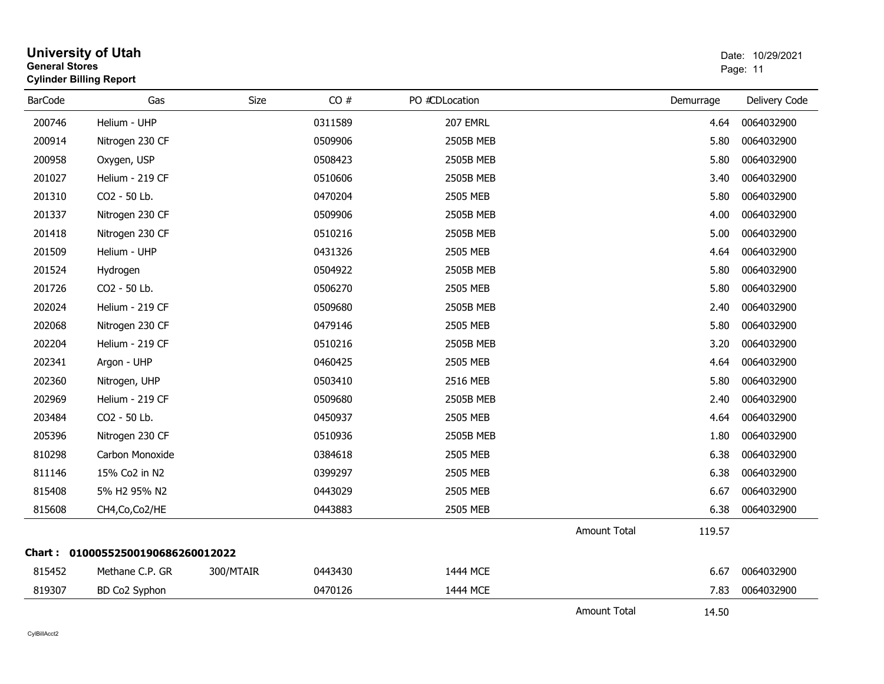| <b>General Stores</b> | <b>University of Utah</b><br><b>Cylinder Billing Report</b> |             |         |                  |                     | Date: 10/29/2021<br>Page: 11 |               |  |
|-----------------------|-------------------------------------------------------------|-------------|---------|------------------|---------------------|------------------------------|---------------|--|
| <b>BarCode</b>        | Gas                                                         | <b>Size</b> | CO#     | PO #CDLocation   |                     | Demurrage                    | Delivery Code |  |
| 200746                | Helium - UHP                                                |             | 0311589 | 207 EMRL         |                     | 4.64                         | 0064032900    |  |
| 200914                | Nitrogen 230 CF                                             |             | 0509906 | 2505B MEB        |                     | 5.80                         | 0064032900    |  |
| 200958                | Oxygen, USP                                                 |             | 0508423 | 2505B MEB        |                     | 5.80                         | 0064032900    |  |
| 201027                | Helium - 219 CF                                             |             | 0510606 | 2505B MEB        |                     | 3.40                         | 0064032900    |  |
| 201310                | CO2 - 50 Lb.                                                |             | 0470204 | 2505 MEB         |                     | 5.80                         | 0064032900    |  |
| 201337                | Nitrogen 230 CF                                             |             | 0509906 | <b>2505B MEB</b> |                     | 4.00                         | 0064032900    |  |
| 201418                | Nitrogen 230 CF                                             |             | 0510216 | 2505B MEB        |                     | 5.00                         | 0064032900    |  |
| 201509                | Helium - UHP                                                |             | 0431326 | 2505 MEB         |                     | 4.64                         | 0064032900    |  |
| 201524                | Hydrogen                                                    |             | 0504922 | 2505B MEB        |                     | 5.80                         | 0064032900    |  |
| 201726                | CO <sub>2</sub> - 50 Lb.                                    |             | 0506270 | 2505 MEB         |                     | 5.80                         | 0064032900    |  |
| 202024                | Helium - 219 CF                                             |             | 0509680 | <b>2505B MEB</b> |                     | 2.40                         | 0064032900    |  |
| 202068                | Nitrogen 230 CF                                             |             | 0479146 | 2505 MEB         |                     | 5.80                         | 0064032900    |  |
| 202204                | Helium - 219 CF                                             |             | 0510216 | 2505B MEB        |                     | 3.20                         | 0064032900    |  |
| 202341                | Argon - UHP                                                 |             | 0460425 | 2505 MEB         |                     | 4.64                         | 0064032900    |  |
| 202360                | Nitrogen, UHP                                               |             | 0503410 | 2516 MEB         |                     | 5.80                         | 0064032900    |  |
| 202969                | Helium - 219 CF                                             |             | 0509680 | 2505B MEB        |                     | 2.40                         | 0064032900    |  |
| 203484                | CO2 - 50 Lb.                                                |             | 0450937 | 2505 MEB         |                     | 4.64                         | 0064032900    |  |
| 205396                | Nitrogen 230 CF                                             |             | 0510936 | <b>2505B MEB</b> |                     | 1.80                         | 0064032900    |  |
| 810298                | Carbon Monoxide                                             |             | 0384618 | 2505 MEB         |                     | 6.38                         | 0064032900    |  |
| 811146                | 15% Co2 in N2                                               |             | 0399297 | 2505 MEB         |                     | 6.38                         | 0064032900    |  |
| 815408                | 5% H2 95% N2                                                |             | 0443029 | 2505 MEB         |                     | 6.67                         | 0064032900    |  |
| 815608                | CH4, Co, Co2/HE                                             |             | 0443883 | 2505 MEB         |                     | 6.38                         | 0064032900    |  |
|                       |                                                             |             |         |                  | <b>Amount Total</b> | 119.57                       |               |  |
|                       | Chart: 01000552500190686260012022                           |             |         |                  |                     |                              |               |  |
| 815452                | Methane C.P. GR                                             | 300/MTAIR   | 0443430 | 1444 MCE         |                     | 6.67                         | 0064032900    |  |
| 819307                | BD Co2 Syphon                                               |             | 0470126 | 1444 MCE         |                     | 7.83                         | 0064032900    |  |
|                       |                                                             |             |         |                  | <b>Amount Total</b> | 14.50                        |               |  |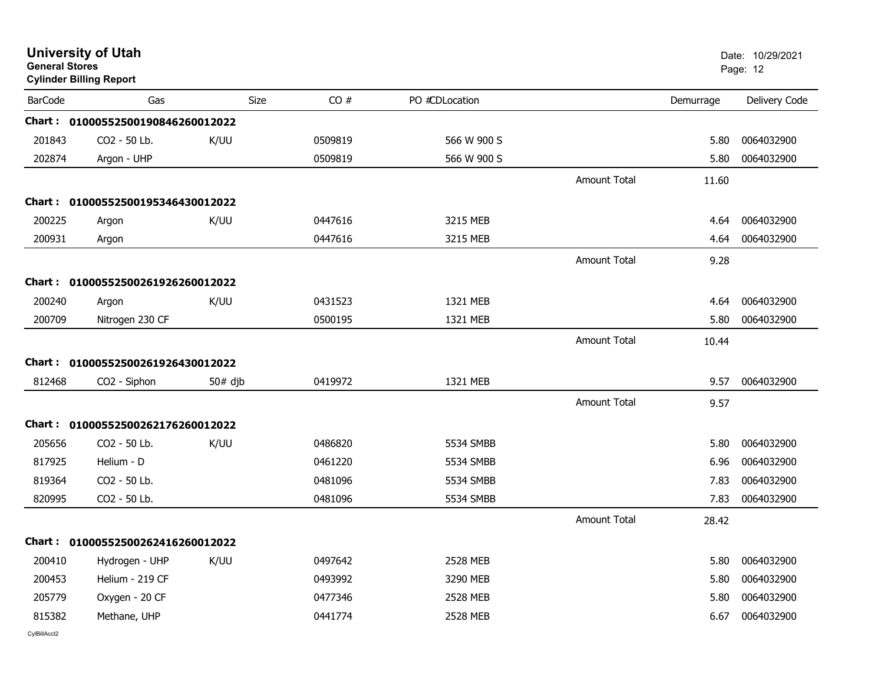| <b>General Stores</b> | <b>University of Utah</b><br><b>Cylinder Billing Report</b> |             |         |                |                     |           | Date: 10/29/2021<br>Page: 12 |
|-----------------------|-------------------------------------------------------------|-------------|---------|----------------|---------------------|-----------|------------------------------|
| <b>BarCode</b>        | Gas                                                         | <b>Size</b> | CO#     | PO #CDLocation |                     | Demurrage | Delivery Code                |
|                       | Chart: 01000552500190846260012022                           |             |         |                |                     |           |                              |
| 201843                | CO2 - 50 Lb.                                                | K/UU        | 0509819 | 566 W 900 S    |                     | 5.80      | 0064032900                   |
| 202874                | Argon - UHP                                                 |             | 0509819 | 566 W 900 S    |                     | 5.80      | 0064032900                   |
|                       |                                                             |             |         |                | <b>Amount Total</b> | 11.60     |                              |
|                       | Chart: 01000552500195346430012022                           |             |         |                |                     |           |                              |
| 200225                | Argon                                                       | K/UU        | 0447616 | 3215 MEB       |                     | 4.64      | 0064032900                   |
| 200931                | Argon                                                       |             | 0447616 | 3215 MEB       |                     | 4.64      | 0064032900                   |
|                       |                                                             |             |         |                | <b>Amount Total</b> | 9.28      |                              |
|                       | Chart: 01000552500261926260012022                           |             |         |                |                     |           |                              |
| 200240                | Argon                                                       | K/UU        | 0431523 | 1321 MEB       |                     | 4.64      | 0064032900                   |
| 200709                | Nitrogen 230 CF                                             |             | 0500195 | 1321 MEB       |                     | 5.80      | 0064032900                   |
|                       |                                                             |             |         |                | <b>Amount Total</b> | 10.44     |                              |
|                       | Chart: 01000552500261926430012022                           |             |         |                |                     |           |                              |
| 812468                | CO <sub>2</sub> - Siphon                                    | $50#$ djb   | 0419972 | 1321 MEB       |                     | 9.57      | 0064032900                   |
|                       |                                                             |             |         |                | <b>Amount Total</b> | 9.57      |                              |
|                       | Chart: 01000552500262176260012022                           |             |         |                |                     |           |                              |
| 205656                | CO2 - 50 Lb.                                                | K/UU        | 0486820 | 5534 SMBB      |                     | 5.80      | 0064032900                   |
| 817925                | Helium - D                                                  |             | 0461220 | 5534 SMBB      |                     | 6.96      | 0064032900                   |
| 819364                | CO2 - 50 Lb.                                                |             | 0481096 | 5534 SMBB      |                     | 7.83      | 0064032900                   |
| 820995                | CO2 - 50 Lb.                                                |             | 0481096 | 5534 SMBB      |                     | 7.83      | 0064032900                   |
|                       |                                                             |             |         |                | <b>Amount Total</b> | 28.42     |                              |
|                       | Chart: 01000552500262416260012022                           |             |         |                |                     |           |                              |
| 200410                | Hydrogen - UHP                                              | K/UU        | 0497642 | 2528 MEB       |                     | 5.80      | 0064032900                   |
| 200453                | Helium - 219 CF                                             |             | 0493992 | 3290 MEB       |                     | 5.80      | 0064032900                   |
| 205779                | Oxygen - 20 CF                                              |             | 0477346 | 2528 MEB       |                     | 5.80      | 0064032900                   |
| 815382                | Methane, UHP                                                |             | 0441774 | 2528 MEB       |                     | 6.67      | 0064032900                   |
| CvIBillAcct2          |                                                             |             |         |                |                     |           |                              |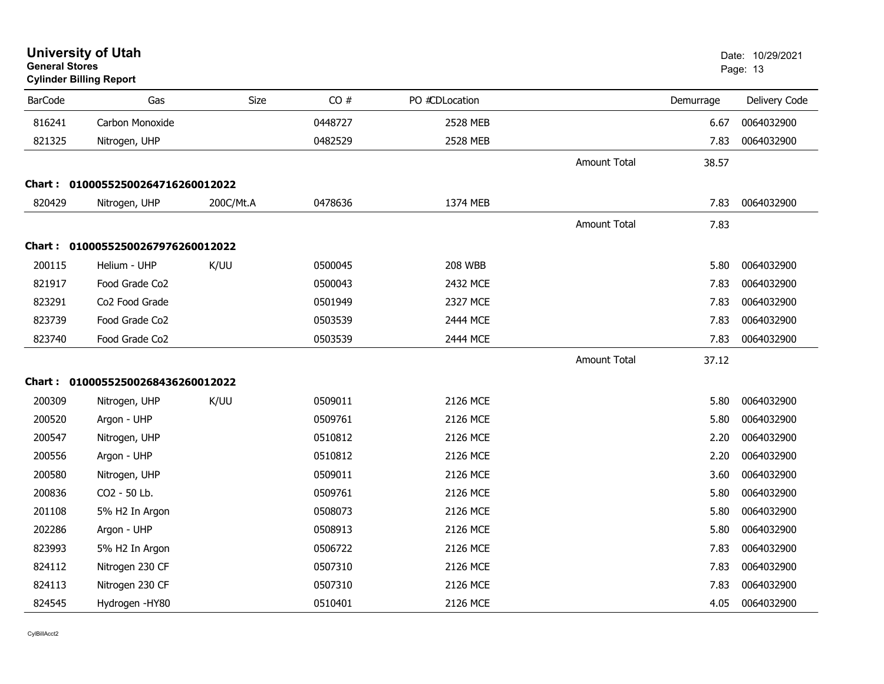| <b>General Stores</b> | <b>University of Utah</b><br><b>Cylinder Billing Report</b> |           |         |                |                     |           | Date: 10/29/2021<br>Page: 13 |
|-----------------------|-------------------------------------------------------------|-----------|---------|----------------|---------------------|-----------|------------------------------|
| <b>BarCode</b>        | Gas                                                         | Size      | CO#     | PO #CDLocation |                     | Demurrage | Delivery Code                |
| 816241                | Carbon Monoxide                                             |           | 0448727 | 2528 MEB       |                     | 6.67      | 0064032900                   |
| 821325                | Nitrogen, UHP                                               |           | 0482529 | 2528 MEB       |                     | 7.83      | 0064032900                   |
|                       |                                                             |           |         |                | <b>Amount Total</b> | 38.57     |                              |
|                       | Chart: 01000552500264716260012022                           |           |         |                |                     |           |                              |
| 820429                | Nitrogen, UHP                                               | 200C/Mt.A | 0478636 | 1374 MEB       |                     | 7.83      | 0064032900                   |
|                       |                                                             |           |         |                | <b>Amount Total</b> | 7.83      |                              |
|                       | Chart: 01000552500267976260012022                           |           |         |                |                     |           |                              |
| 200115                | Helium - UHP                                                | K/UU      | 0500045 | <b>208 WBB</b> |                     | 5.80      | 0064032900                   |
| 821917                | Food Grade Co2                                              |           | 0500043 | 2432 MCE       |                     | 7.83      | 0064032900                   |
| 823291                | Co2 Food Grade                                              |           | 0501949 | 2327 MCE       |                     | 7.83      | 0064032900                   |
| 823739                | Food Grade Co <sub>2</sub>                                  |           | 0503539 | 2444 MCE       |                     | 7.83      | 0064032900                   |
| 823740                | Food Grade Co2                                              |           | 0503539 | 2444 MCE       |                     | 7.83      | 0064032900                   |
|                       |                                                             |           |         |                | <b>Amount Total</b> | 37.12     |                              |
|                       | Chart: 01000552500268436260012022                           |           |         |                |                     |           |                              |
| 200309                | Nitrogen, UHP                                               | K/UU      | 0509011 | 2126 MCE       |                     | 5.80      | 0064032900                   |
| 200520                | Argon - UHP                                                 |           | 0509761 | 2126 MCE       |                     | 5.80      | 0064032900                   |
| 200547                | Nitrogen, UHP                                               |           | 0510812 | 2126 MCE       |                     | 2.20      | 0064032900                   |
| 200556                | Argon - UHP                                                 |           | 0510812 | 2126 MCE       |                     | 2.20      | 0064032900                   |
| 200580                | Nitrogen, UHP                                               |           | 0509011 | 2126 MCE       |                     | 3.60      | 0064032900                   |
| 200836                | CO2 - 50 Lb.                                                |           | 0509761 | 2126 MCE       |                     | 5.80      | 0064032900                   |
| 201108                | 5% H2 In Argon                                              |           | 0508073 | 2126 MCE       |                     | 5.80      | 0064032900                   |
| 202286                | Argon - UHP                                                 |           | 0508913 | 2126 MCE       |                     | 5.80      | 0064032900                   |
| 823993                | 5% H2 In Argon                                              |           | 0506722 | 2126 MCE       |                     | 7.83      | 0064032900                   |
| 824112                | Nitrogen 230 CF                                             |           | 0507310 | 2126 MCE       |                     | 7.83      | 0064032900                   |
| 824113                | Nitrogen 230 CF                                             |           | 0507310 | 2126 MCE       |                     | 7.83      | 0064032900                   |
| 824545                | Hydrogen - HY80                                             |           | 0510401 | 2126 MCE       |                     | 4.05      | 0064032900                   |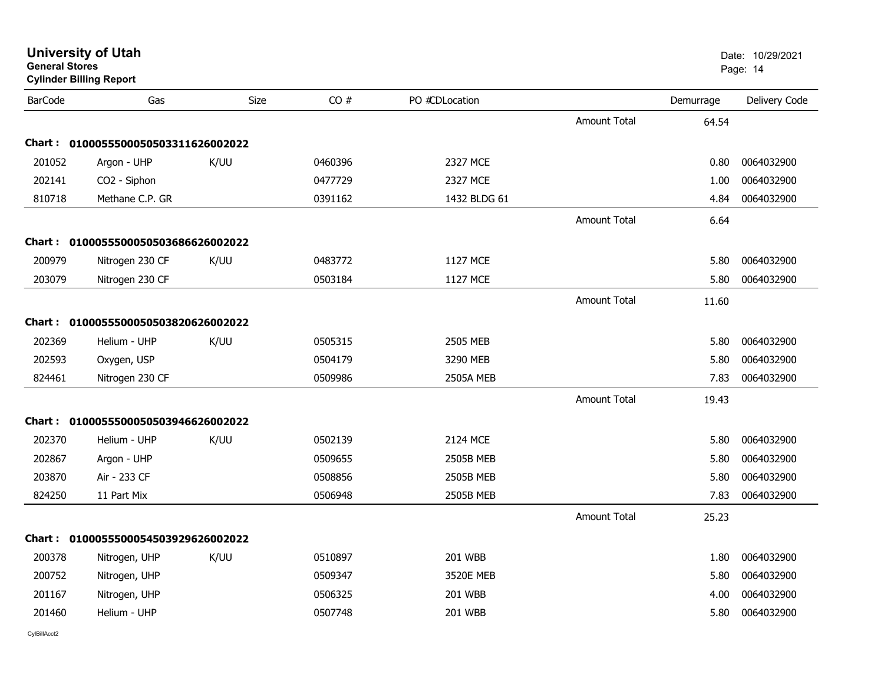| General Stores | <b>Cylinder Billing Report</b>      |             |         |                  |                     |           | Page: 14      |
|----------------|-------------------------------------|-------------|---------|------------------|---------------------|-----------|---------------|
| <b>BarCode</b> | Gas                                 | <b>Size</b> | CO#     | PO #CDLocation   |                     | Demurrage | Delivery Code |
|                |                                     |             |         |                  | Amount Total        | 64.54     |               |
|                | Chart: 0100055500050503311626002022 |             |         |                  |                     |           |               |
| 201052         | Argon - UHP                         | K/UU        | 0460396 | 2327 MCE         |                     | 0.80      | 0064032900    |
| 202141         | CO2 - Siphon                        |             | 0477729 | 2327 MCE         |                     | 1.00      | 0064032900    |
| 810718         | Methane C.P. GR                     |             | 0391162 | 1432 BLDG 61     |                     | 4.84      | 0064032900    |
|                |                                     |             |         |                  | <b>Amount Total</b> | 6.64      |               |
|                | Chart: 0100055500050503686626002022 |             |         |                  |                     |           |               |
| 200979         | Nitrogen 230 CF                     | K/UU        | 0483772 | 1127 MCE         |                     | 5.80      | 0064032900    |
| 203079         | Nitrogen 230 CF                     |             | 0503184 | 1127 MCE         |                     | 5.80      | 0064032900    |
|                |                                     |             |         |                  | <b>Amount Total</b> | 11.60     |               |
|                | Chart: 0100055500050503820626002022 |             |         |                  |                     |           |               |
| 202369         | Helium - UHP                        | K/UU        | 0505315 | 2505 MEB         |                     | 5.80      | 0064032900    |
| 202593         | Oxygen, USP                         |             | 0504179 | 3290 MEB         |                     | 5.80      | 0064032900    |
| 824461         | Nitrogen 230 CF                     |             | 0509986 | <b>2505A MEB</b> |                     | 7.83      | 0064032900    |
|                |                                     |             |         |                  | <b>Amount Total</b> | 19.43     |               |
|                | Chart: 0100055500050503946626002022 |             |         |                  |                     |           |               |
| 202370         | Helium - UHP                        | K/UU        | 0502139 | 2124 MCE         |                     | 5.80      | 0064032900    |
| 202867         | Argon - UHP                         |             | 0509655 | <b>2505B MEB</b> |                     | 5.80      | 0064032900    |
| 203870         | Air - 233 CF                        |             | 0508856 | 2505B MEB        |                     | 5.80      | 0064032900    |
| 824250         | 11 Part Mix                         |             | 0506948 | 2505B MEB        |                     | 7.83      | 0064032900    |
|                |                                     |             |         |                  | Amount Total        | 25.23     |               |
|                | Chart: 0100055500054503929626002022 |             |         |                  |                     |           |               |
| 200378         | Nitrogen, UHP                       | K/UU        | 0510897 | <b>201 WBB</b>   |                     | 1.80      | 0064032900    |
| 200752         | Nitrogen, UHP                       |             | 0509347 | 3520E MEB        |                     | 5.80      | 0064032900    |
| 201167         | Nitrogen, UHP                       |             | 0506325 | <b>201 WBB</b>   |                     | 4.00      | 0064032900    |
| 201460         | Helium - UHP                        |             | 0507748 | <b>201 WBB</b>   |                     | 5.80      | 0064032900    |
|                |                                     |             |         |                  |                     |           |               |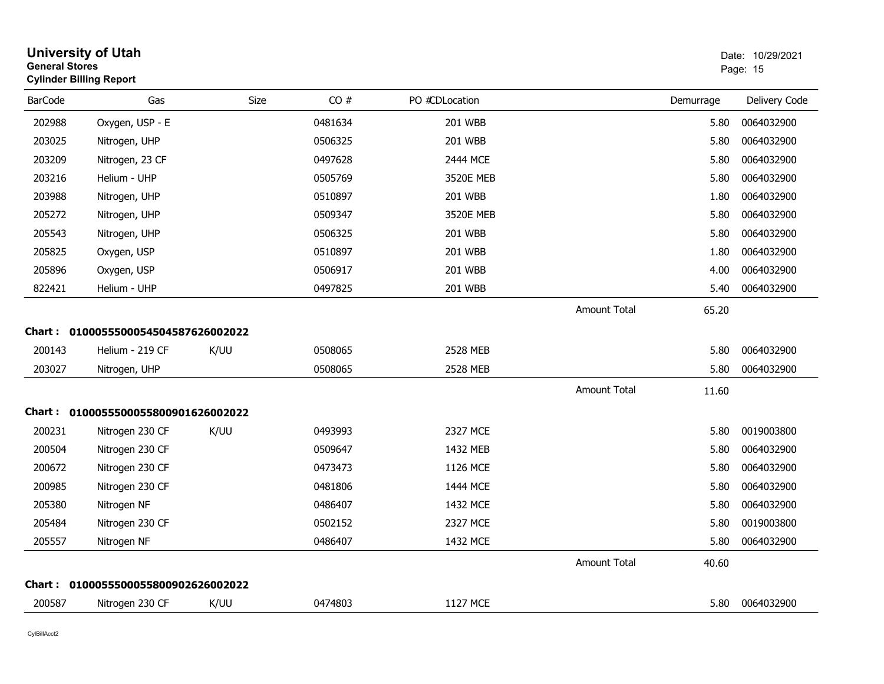| <b>General Stores</b> | <b>University of Utah</b><br><b>Cylinder Billing Report</b> |             |         |                |                     |           | Date: 10/29/2021<br>Page: 15 |
|-----------------------|-------------------------------------------------------------|-------------|---------|----------------|---------------------|-----------|------------------------------|
| <b>BarCode</b>        | Gas                                                         | <b>Size</b> | CO#     | PO #CDLocation |                     | Demurrage | Delivery Code                |
| 202988                | Oxygen, USP - E                                             |             | 0481634 | 201 WBB        |                     | 5.80      | 0064032900                   |
| 203025                | Nitrogen, UHP                                               |             | 0506325 | 201 WBB        |                     | 5.80      | 0064032900                   |
| 203209                | Nitrogen, 23 CF                                             |             | 0497628 | 2444 MCE       |                     | 5.80      | 0064032900                   |
| 203216                | Helium - UHP                                                |             | 0505769 | 3520E MEB      |                     | 5.80      | 0064032900                   |
| 203988                | Nitrogen, UHP                                               |             | 0510897 | <b>201 WBB</b> |                     | 1.80      | 0064032900                   |
| 205272                | Nitrogen, UHP                                               |             | 0509347 | 3520E MEB      |                     | 5.80      | 0064032900                   |
| 205543                | Nitrogen, UHP                                               |             | 0506325 | 201 WBB        |                     | 5.80      | 0064032900                   |
| 205825                | Oxygen, USP                                                 |             | 0510897 | <b>201 WBB</b> |                     | 1.80      | 0064032900                   |
| 205896                | Oxygen, USP                                                 |             | 0506917 | 201 WBB        |                     | 4.00      | 0064032900                   |
| 822421                | Helium - UHP                                                |             | 0497825 | 201 WBB        |                     | 5.40      | 0064032900                   |
|                       |                                                             |             |         |                | <b>Amount Total</b> | 65.20     |                              |
|                       | Chart: 0100055500054504587626002022                         |             |         |                |                     |           |                              |
| 200143                | Helium - 219 CF                                             | K/UU        | 0508065 | 2528 MEB       |                     | 5.80      | 0064032900                   |
| 203027                | Nitrogen, UHP                                               |             | 0508065 | 2528 MEB       |                     | 5.80      | 0064032900                   |
|                       |                                                             |             |         |                | <b>Amount Total</b> | 11.60     |                              |
|                       | Chart: 0100055500055800901626002022                         |             |         |                |                     |           |                              |
| 200231                | Nitrogen 230 CF                                             | K/UU        | 0493993 | 2327 MCE       |                     | 5.80      | 0019003800                   |
| 200504                | Nitrogen 230 CF                                             |             | 0509647 | 1432 MEB       |                     | 5.80      | 0064032900                   |
| 200672                | Nitrogen 230 CF                                             |             | 0473473 | 1126 MCE       |                     | 5.80      | 0064032900                   |
| 200985                | Nitrogen 230 CF                                             |             | 0481806 | 1444 MCE       |                     | 5.80      | 0064032900                   |
| 205380                | Nitrogen NF                                                 |             | 0486407 | 1432 MCE       |                     | 5.80      | 0064032900                   |
| 205484                | Nitrogen 230 CF                                             |             | 0502152 | 2327 MCE       |                     | 5.80      | 0019003800                   |
| 205557                | Nitrogen NF                                                 |             | 0486407 | 1432 MCE       |                     | 5.80      | 0064032900                   |
|                       |                                                             |             |         |                | <b>Amount Total</b> | 40.60     |                              |
|                       | Chart: 0100055500055800902626002022                         |             |         |                |                     |           |                              |
| 200587                | Nitrogen 230 CF                                             | K/UU        | 0474803 | 1127 MCE       |                     | 5.80      | 0064032900                   |
|                       |                                                             |             |         |                |                     |           |                              |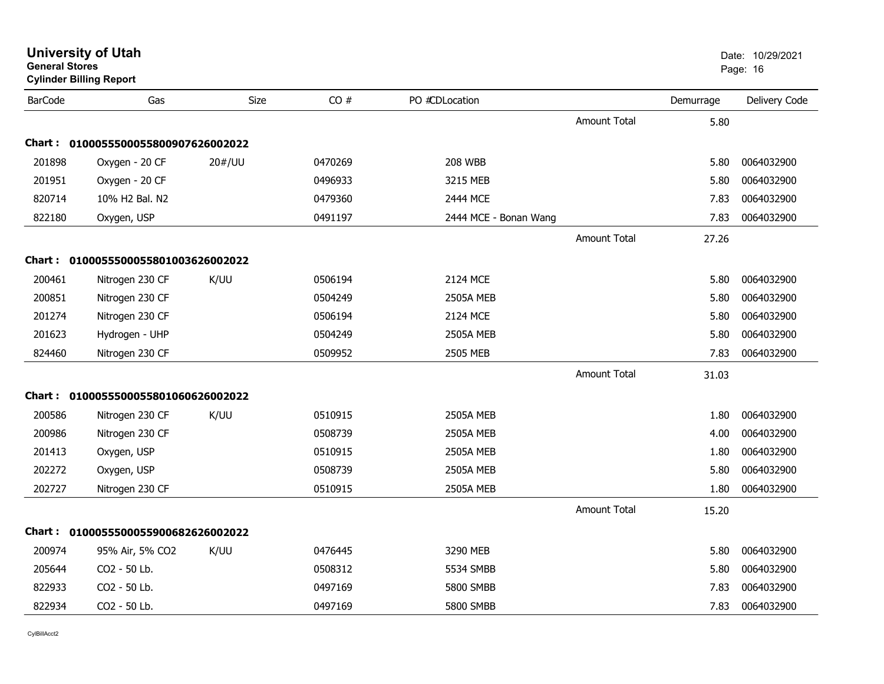| General Stores | <b>Cylinder Billing Report</b>      |        |         |                       |                     |           | Page: 16      |
|----------------|-------------------------------------|--------|---------|-----------------------|---------------------|-----------|---------------|
| <b>BarCode</b> | Gas                                 | Size   | CO#     | PO #CDLocation        |                     | Demurrage | Delivery Code |
|                |                                     |        |         |                       | <b>Amount Total</b> | 5.80      |               |
|                | Chart: 0100055500055800907626002022 |        |         |                       |                     |           |               |
| 201898         | Oxygen - 20 CF                      | 20#/UU | 0470269 | <b>208 WBB</b>        |                     | 5.80      | 0064032900    |
| 201951         | Oxygen - 20 CF                      |        | 0496933 | 3215 MEB              |                     | 5.80      | 0064032900    |
| 820714         | 10% H2 Bal. N2                      |        | 0479360 | 2444 MCE              |                     | 7.83      | 0064032900    |
| 822180         | Oxygen, USP                         |        | 0491197 | 2444 MCE - Bonan Wang |                     | 7.83      | 0064032900    |
|                |                                     |        |         |                       | <b>Amount Total</b> | 27.26     |               |
|                | Chart: 0100055500055801003626002022 |        |         |                       |                     |           |               |
| 200461         | Nitrogen 230 CF                     | K/UU   | 0506194 | 2124 MCE              |                     | 5.80      | 0064032900    |
| 200851         | Nitrogen 230 CF                     |        | 0504249 | <b>2505A MEB</b>      |                     | 5.80      | 0064032900    |
| 201274         | Nitrogen 230 CF                     |        | 0506194 | 2124 MCE              |                     | 5.80      | 0064032900    |
| 201623         | Hydrogen - UHP                      |        | 0504249 | <b>2505A MEB</b>      |                     | 5.80      | 0064032900    |
| 824460         | Nitrogen 230 CF                     |        | 0509952 | 2505 MEB              |                     | 7.83      | 0064032900    |
|                |                                     |        |         |                       | <b>Amount Total</b> | 31.03     |               |
|                | Chart: 0100055500055801060626002022 |        |         |                       |                     |           |               |
| 200586         | Nitrogen 230 CF                     | K/UU   | 0510915 | <b>2505A MEB</b>      |                     | 1.80      | 0064032900    |
| 200986         | Nitrogen 230 CF                     |        | 0508739 | <b>2505A MEB</b>      |                     | 4.00      | 0064032900    |
| 201413         | Oxygen, USP                         |        | 0510915 | <b>2505A MEB</b>      |                     | 1.80      | 0064032900    |
| 202272         | Oxygen, USP                         |        | 0508739 | <b>2505A MEB</b>      |                     | 5.80      | 0064032900    |
| 202727         | Nitrogen 230 CF                     |        | 0510915 | <b>2505A MEB</b>      |                     | 1.80      | 0064032900    |
|                |                                     |        |         |                       | <b>Amount Total</b> | 15.20     |               |
|                | Chart: 0100055500055900682626002022 |        |         |                       |                     |           |               |
| 200974         | 95% Air, 5% CO2                     | K/UU   | 0476445 | 3290 MEB              |                     | 5.80      | 0064032900    |
| 205644         | CO2 - 50 Lb.                        |        | 0508312 | 5534 SMBB             |                     | 5.80      | 0064032900    |
| 822933         | CO2 - 50 Lb.                        |        | 0497169 | 5800 SMBB             |                     | 7.83      | 0064032900    |
| 822934         | CO2 - 50 Lb.                        |        | 0497169 | 5800 SMBB             |                     | 7.83      | 0064032900    |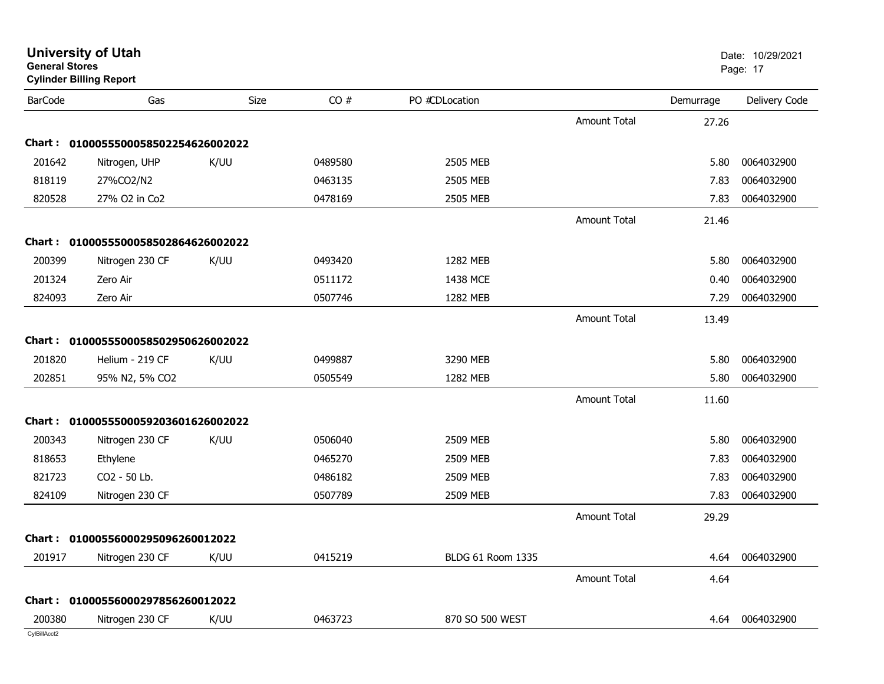| General Stores | <b>Cylinder Billing Report</b>      |      |         |                   |                     |           | Page: 17      |
|----------------|-------------------------------------|------|---------|-------------------|---------------------|-----------|---------------|
| <b>BarCode</b> | Gas                                 | Size | CO#     | PO #CDLocation    |                     | Demurrage | Delivery Code |
|                |                                     |      |         |                   | <b>Amount Total</b> | 27.26     |               |
|                | Chart: 0100055500058502254626002022 |      |         |                   |                     |           |               |
| 201642         | Nitrogen, UHP                       | K/UU | 0489580 | 2505 MEB          |                     | 5.80      | 0064032900    |
| 818119         | 27%CO2/N2                           |      | 0463135 | 2505 MEB          |                     | 7.83      | 0064032900    |
| 820528         | 27% O2 in Co2                       |      | 0478169 | 2505 MEB          |                     | 7.83      | 0064032900    |
|                |                                     |      |         |                   | <b>Amount Total</b> | 21.46     |               |
|                | Chart: 0100055500058502864626002022 |      |         |                   |                     |           |               |
| 200399         | Nitrogen 230 CF                     | K/UU | 0493420 | 1282 MEB          |                     | 5.80      | 0064032900    |
| 201324         | Zero Air                            |      | 0511172 | 1438 MCE          |                     | 0.40      | 0064032900    |
| 824093         | Zero Air                            |      | 0507746 | 1282 MEB          |                     | 7.29      | 0064032900    |
|                |                                     |      |         |                   | <b>Amount Total</b> | 13.49     |               |
|                | Chart: 0100055500058502950626002022 |      |         |                   |                     |           |               |
| 201820         | Helium - 219 CF                     | K/UU | 0499887 | 3290 MEB          |                     | 5.80      | 0064032900    |
| 202851         | 95% N2, 5% CO2                      |      | 0505549 | 1282 MEB          |                     | 5.80      | 0064032900    |
|                |                                     |      |         |                   | <b>Amount Total</b> | 11.60     |               |
|                | Chart: 0100055500059203601626002022 |      |         |                   |                     |           |               |
| 200343         | Nitrogen 230 CF                     | K/UU | 0506040 | 2509 MEB          |                     | 5.80      | 0064032900    |
| 818653         | Ethylene                            |      | 0465270 | 2509 MEB          |                     | 7.83      | 0064032900    |
| 821723         | CO2 - 50 Lb.                        |      | 0486182 | 2509 MEB          |                     | 7.83      | 0064032900    |
| 824109         | Nitrogen 230 CF                     |      | 0507789 | 2509 MEB          |                     | 7.83      | 0064032900    |
|                |                                     |      |         |                   | <b>Amount Total</b> | 29.29     |               |
|                | Chart: 01000556000295096260012022   |      |         |                   |                     |           |               |
| 201917         | Nitrogen 230 CF                     | K/UU | 0415219 | BLDG 61 Room 1335 |                     | 4.64      | 0064032900    |
|                |                                     |      |         |                   | <b>Amount Total</b> | 4.64      |               |
| <b>Chart :</b> | 01000556000297856260012022          |      |         |                   |                     |           |               |
| 200380         | Nitrogen 230 CF                     | K/UU | 0463723 | 870 SO 500 WEST   |                     | 4.64      | 0064032900    |
| CylBillAcct2   |                                     |      |         |                   |                     |           |               |

**University of Utah** Date: 10/29/2021

**General Stores**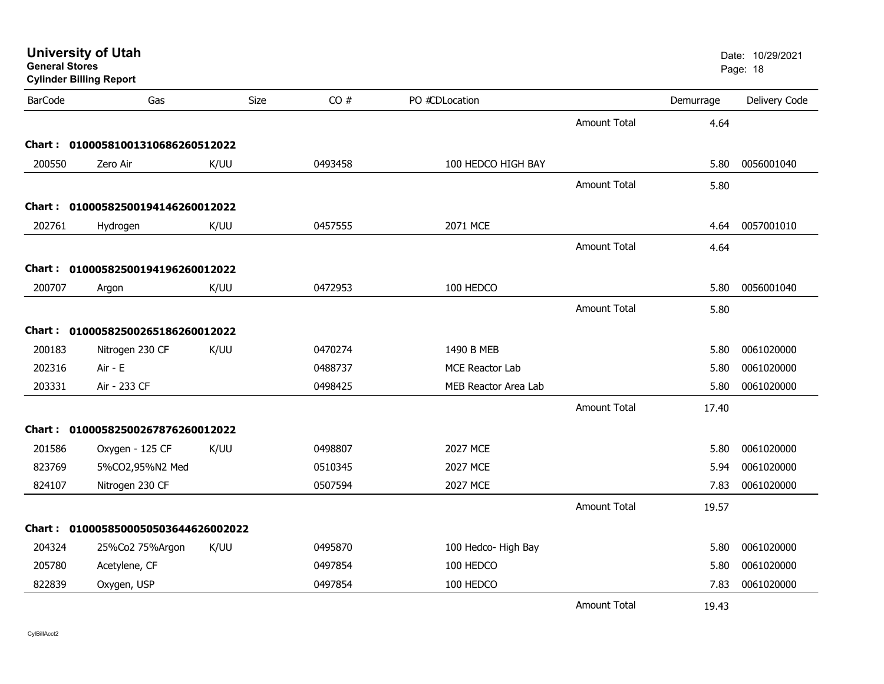| <b>General Stores</b> | <b>University of Utah</b><br><b>Cylinder Billing Report</b> |             |         |                      |                     |           | Date: 10/29/2021<br>Page: 18 |
|-----------------------|-------------------------------------------------------------|-------------|---------|----------------------|---------------------|-----------|------------------------------|
| <b>BarCode</b>        | Gas                                                         | <b>Size</b> | CO#     | PO #CDLocation       |                     | Demurrage | Delivery Code                |
|                       |                                                             |             |         |                      | Amount Total        | 4.64      |                              |
|                       | Chart: 01000581001310686260512022                           |             |         |                      |                     |           |                              |
| 200550                | Zero Air                                                    | K/UU        | 0493458 | 100 HEDCO HIGH BAY   |                     | 5.80      | 0056001040                   |
|                       |                                                             |             |         |                      | <b>Amount Total</b> | 5.80      |                              |
|                       | Chart: 01000582500194146260012022                           |             |         |                      |                     |           |                              |
| 202761                | Hydrogen                                                    | K/UU        | 0457555 | 2071 MCE             |                     | 4.64      | 0057001010                   |
|                       |                                                             |             |         |                      | <b>Amount Total</b> | 4.64      |                              |
|                       | Chart: 01000582500194196260012022                           |             |         |                      |                     |           |                              |
| 200707                | Argon                                                       | K/UU        | 0472953 | 100 HEDCO            |                     | 5.80      | 0056001040                   |
|                       |                                                             |             |         |                      | <b>Amount Total</b> | 5.80      |                              |
|                       | Chart: 01000582500265186260012022                           |             |         |                      |                     |           |                              |
| 200183                | Nitrogen 230 CF                                             | K/UU        | 0470274 | 1490 B MEB           |                     | 5.80      | 0061020000                   |
| 202316                | Air - E                                                     |             | 0488737 | MCE Reactor Lab      |                     | 5.80      | 0061020000                   |
| 203331                | Air - 233 CF                                                |             | 0498425 | MEB Reactor Area Lab |                     | 5.80      | 0061020000                   |
|                       |                                                             |             |         |                      | <b>Amount Total</b> | 17.40     |                              |
|                       | Chart: 01000582500267876260012022                           |             |         |                      |                     |           |                              |
| 201586                | Oxygen - 125 CF                                             | K/UU        | 0498807 | 2027 MCE             |                     | 5.80      | 0061020000                   |
| 823769                | 5%CO2,95%N2 Med                                             |             | 0510345 | 2027 MCE             |                     | 5.94      | 0061020000                   |
| 824107                | Nitrogen 230 CF                                             |             | 0507594 | <b>2027 MCE</b>      |                     | 7.83      | 0061020000                   |
|                       |                                                             |             |         |                      | <b>Amount Total</b> | 19.57     |                              |
|                       | Chart: 0100058500050503644626002022                         |             |         |                      |                     |           |                              |
| 204324                | 25%Co2 75%Argon                                             | K/UU        | 0495870 | 100 Hedco- High Bay  |                     | 5.80      | 0061020000                   |
| 205780                | Acetylene, CF                                               |             | 0497854 | 100 HEDCO            |                     | 5.80      | 0061020000                   |
| 822839                | Oxygen, USP                                                 |             | 0497854 | 100 HEDCO            |                     | 7.83      | 0061020000                   |
|                       |                                                             |             |         |                      | Amount Total        | 19.43     |                              |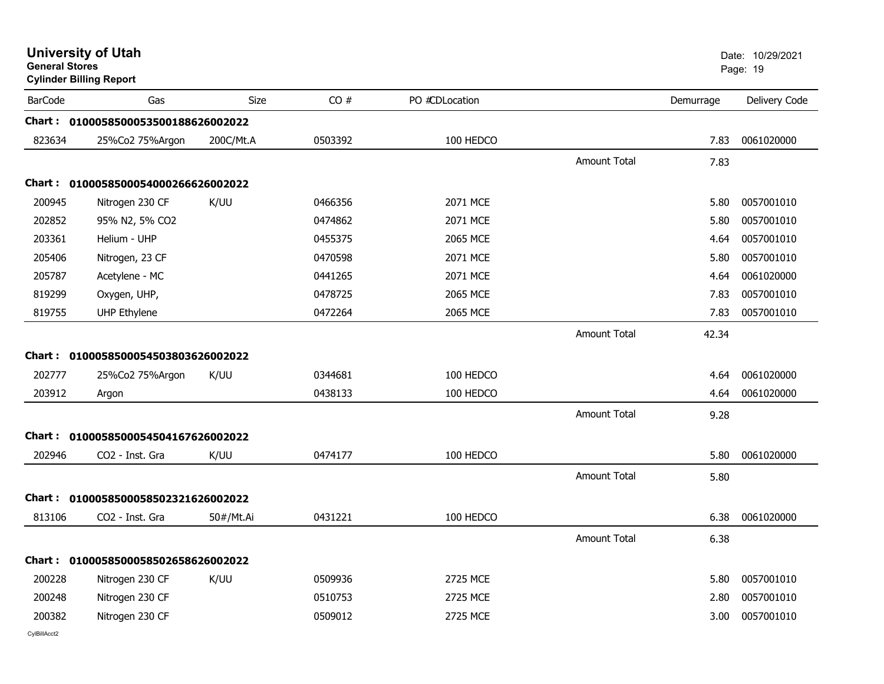| <b>General Stores</b> | <b>University of Utah</b><br><b>Cylinder Billing Report</b> |             |         |                |                     |           | Date: 10/29/2021<br>Page: 19 |
|-----------------------|-------------------------------------------------------------|-------------|---------|----------------|---------------------|-----------|------------------------------|
| <b>BarCode</b>        | Gas                                                         | <b>Size</b> | CO#     | PO #CDLocation |                     | Demurrage | Delivery Code                |
|                       | Chart: 0100058500053500188626002022                         |             |         |                |                     |           |                              |
| 823634                | 25%Co2 75%Argon                                             | 200C/Mt.A   | 0503392 | 100 HEDCO      |                     | 7.83      | 0061020000                   |
|                       |                                                             |             |         |                | <b>Amount Total</b> | 7.83      |                              |
|                       | Chart: 0100058500054000266626002022                         |             |         |                |                     |           |                              |
| 200945                | Nitrogen 230 CF                                             | K/UU        | 0466356 | 2071 MCE       |                     | 5.80      | 0057001010                   |
| 202852                | 95% N2, 5% CO2                                              |             | 0474862 | 2071 MCE       |                     | 5.80      | 0057001010                   |
| 203361                | Helium - UHP                                                |             | 0455375 | 2065 MCE       |                     | 4.64      | 0057001010                   |
| 205406                | Nitrogen, 23 CF                                             |             | 0470598 | 2071 MCE       |                     | 5.80      | 0057001010                   |
| 205787                | Acetylene - MC                                              |             | 0441265 | 2071 MCE       |                     | 4.64      | 0061020000                   |
| 819299                | Oxygen, UHP,                                                |             | 0478725 | 2065 MCE       |                     | 7.83      | 0057001010                   |
| 819755                | <b>UHP Ethylene</b>                                         |             | 0472264 | 2065 MCE       |                     | 7.83      | 0057001010                   |
|                       |                                                             |             |         |                | Amount Total        | 42.34     |                              |
|                       | Chart: 0100058500054503803626002022                         |             |         |                |                     |           |                              |
| 202777                | 25%Co2 75%Argon                                             | K/UU        | 0344681 | 100 HEDCO      |                     | 4.64      | 0061020000                   |
| 203912                | Argon                                                       |             | 0438133 | 100 HEDCO      |                     | 4.64      | 0061020000                   |
|                       |                                                             |             |         |                | <b>Amount Total</b> | 9.28      |                              |
|                       | Chart: 0100058500054504167626002022                         |             |         |                |                     |           |                              |
| 202946                | CO2 - Inst. Gra                                             | K/UU        | 0474177 | 100 HEDCO      |                     | 5.80      | 0061020000                   |
|                       |                                                             |             |         |                | <b>Amount Total</b> | 5.80      |                              |
|                       | Chart: 0100058500058502321626002022                         |             |         |                |                     |           |                              |
| 813106                | CO2 - Inst. Gra                                             | 50#/Mt.Ai   | 0431221 | 100 HEDCO      |                     | 6.38      | 0061020000                   |
|                       |                                                             |             |         |                | <b>Amount Total</b> | 6.38      |                              |
|                       | Chart: 0100058500058502658626002022                         |             |         |                |                     |           |                              |
| 200228                | Nitrogen 230 CF                                             | K/UU        | 0509936 | 2725 MCE       |                     | 5.80      | 0057001010                   |
| 200248                | Nitrogen 230 CF                                             |             | 0510753 | 2725 MCE       |                     | 2.80      | 0057001010                   |
| 200382                | Nitrogen 230 CF                                             |             | 0509012 | 2725 MCE       |                     | 3.00      | 0057001010                   |
|                       |                                                             |             |         |                |                     |           |                              |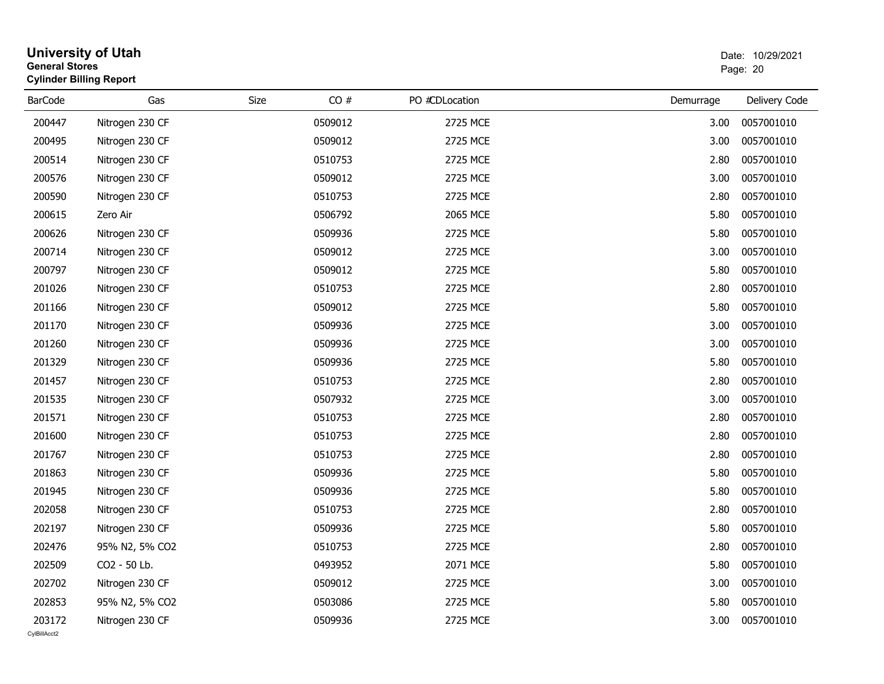| <b>General Stores</b>  | <b>University of Utah</b><br><b>Cylinder Billing Report</b> |             |         |                |           | Date: 10/29/2021<br>Page: 20 |
|------------------------|-------------------------------------------------------------|-------------|---------|----------------|-----------|------------------------------|
| <b>BarCode</b>         | Gas                                                         | <b>Size</b> | CO#     | PO #CDLocation | Demurrage | Delivery Code                |
| 200447                 | Nitrogen 230 CF                                             |             | 0509012 | 2725 MCE       | 3.00      | 0057001010                   |
| 200495                 | Nitrogen 230 CF                                             |             | 0509012 | 2725 MCE       | 3.00      | 0057001010                   |
| 200514                 | Nitrogen 230 CF                                             |             | 0510753 | 2725 MCE       | 2.80      | 0057001010                   |
| 200576                 | Nitrogen 230 CF                                             |             | 0509012 | 2725 MCE       | 3.00      | 0057001010                   |
| 200590                 | Nitrogen 230 CF                                             |             | 0510753 | 2725 MCE       | 2.80      | 0057001010                   |
| 200615                 | Zero Air                                                    |             | 0506792 | 2065 MCE       | 5.80      | 0057001010                   |
| 200626                 | Nitrogen 230 CF                                             |             | 0509936 | 2725 MCE       | 5.80      | 0057001010                   |
| 200714                 | Nitrogen 230 CF                                             |             | 0509012 | 2725 MCE       | 3.00      | 0057001010                   |
| 200797                 | Nitrogen 230 CF                                             |             | 0509012 | 2725 MCE       | 5.80      | 0057001010                   |
| 201026                 | Nitrogen 230 CF                                             |             | 0510753 | 2725 MCE       | 2.80      | 0057001010                   |
| 201166                 | Nitrogen 230 CF                                             |             | 0509012 | 2725 MCE       | 5.80      | 0057001010                   |
| 201170                 | Nitrogen 230 CF                                             |             | 0509936 | 2725 MCE       | 3.00      | 0057001010                   |
| 201260                 | Nitrogen 230 CF                                             |             | 0509936 | 2725 MCE       | 3.00      | 0057001010                   |
| 201329                 | Nitrogen 230 CF                                             |             | 0509936 | 2725 MCE       | 5.80      | 0057001010                   |
| 201457                 | Nitrogen 230 CF                                             |             | 0510753 | 2725 MCE       | 2.80      | 0057001010                   |
| 201535                 | Nitrogen 230 CF                                             |             | 0507932 | 2725 MCE       | 3.00      | 0057001010                   |
| 201571                 | Nitrogen 230 CF                                             |             | 0510753 | 2725 MCE       | 2.80      | 0057001010                   |
| 201600                 | Nitrogen 230 CF                                             |             | 0510753 | 2725 MCE       | 2.80      | 0057001010                   |
| 201767                 | Nitrogen 230 CF                                             |             | 0510753 | 2725 MCE       | 2.80      | 0057001010                   |
| 201863                 | Nitrogen 230 CF                                             |             | 0509936 | 2725 MCE       | 5.80      | 0057001010                   |
| 201945                 | Nitrogen 230 CF                                             |             | 0509936 | 2725 MCE       | 5.80      | 0057001010                   |
| 202058                 | Nitrogen 230 CF                                             |             | 0510753 | 2725 MCE       | 2.80      | 0057001010                   |
| 202197                 | Nitrogen 230 CF                                             |             | 0509936 | 2725 MCE       | 5.80      | 0057001010                   |
| 202476                 | 95% N2, 5% CO2                                              |             | 0510753 | 2725 MCE       | 2.80      | 0057001010                   |
| 202509                 | CO2 - 50 Lb.                                                |             | 0493952 | 2071 MCE       | 5.80      | 0057001010                   |
| 202702                 | Nitrogen 230 CF                                             |             | 0509012 | 2725 MCE       | 3.00      | 0057001010                   |
| 202853                 | 95% N2, 5% CO2                                              |             | 0503086 | 2725 MCE       | 5.80      | 0057001010                   |
| 203172<br>CvIBillAcct2 | Nitrogen 230 CF                                             |             | 0509936 | 2725 MCE       | 3.00      | 0057001010                   |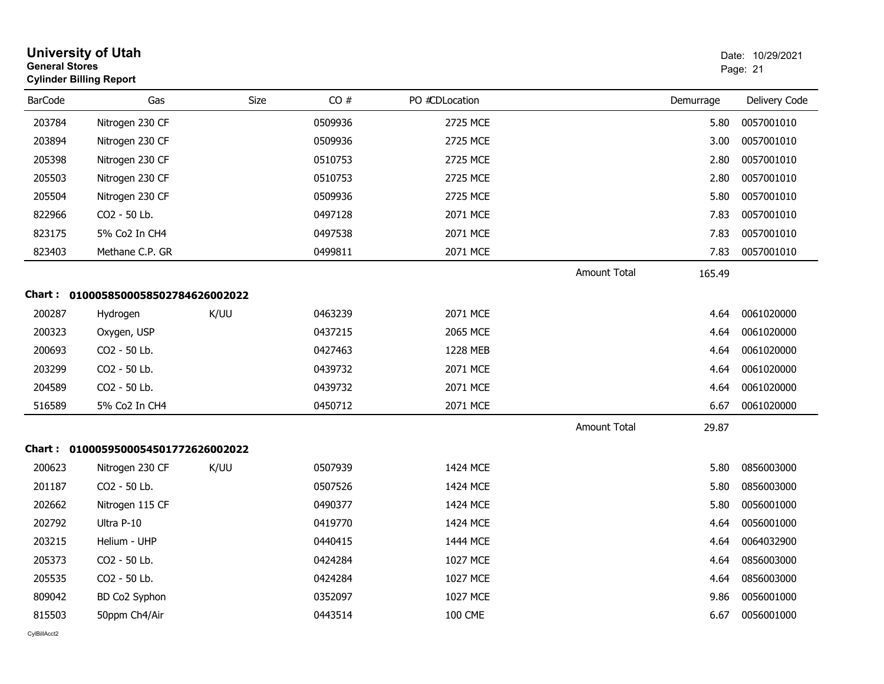|                | <b>University of Utah</b><br><b>General Stores</b><br><b>Cylinder Billing Report</b> |      |         |                |                     |           | Date: 10/29/2021<br>Page: 21 |
|----------------|--------------------------------------------------------------------------------------|------|---------|----------------|---------------------|-----------|------------------------------|
| <b>BarCode</b> | Gas                                                                                  | Size | CO#     | PO #CDLocation |                     | Demurrage | Delivery Code                |
| 203784         | Nitrogen 230 CF                                                                      |      | 0509936 | 2725 MCE       |                     | 5.80      | 0057001010                   |
| 203894         | Nitrogen 230 CF                                                                      |      | 0509936 | 2725 MCE       |                     | 3.00      | 0057001010                   |
| 205398         | Nitrogen 230 CF                                                                      |      | 0510753 | 2725 MCE       |                     | 2.80      | 0057001010                   |
| 205503         | Nitrogen 230 CF                                                                      |      | 0510753 | 2725 MCE       |                     | 2.80      | 0057001010                   |
| 205504         | Nitrogen 230 CF                                                                      |      | 0509936 | 2725 MCE       |                     | 5.80      | 0057001010                   |
| 822966         | CO2 - 50 Lb.                                                                         |      | 0497128 | 2071 MCE       |                     | 7.83      | 0057001010                   |
| 823175         | 5% Co2 In CH4                                                                        |      | 0497538 | 2071 MCE       |                     | 7.83      | 0057001010                   |
| 823403         | Methane C.P. GR                                                                      |      | 0499811 | 2071 MCE       |                     | 7.83      | 0057001010                   |
|                |                                                                                      |      |         |                | <b>Amount Total</b> | 165.49    |                              |
| Chart :        | 0100058500058502784626002022                                                         |      |         |                |                     |           |                              |
| 200287         | Hydrogen                                                                             | K/UU | 0463239 | 2071 MCE       |                     | 4.64      | 0061020000                   |
| 200323         | Oxygen, USP                                                                          |      | 0437215 | 2065 MCE       |                     | 4.64      | 0061020000                   |
| 200693         | CO2 - 50 Lb.                                                                         |      | 0427463 | 1228 MEB       |                     | 4.64      | 0061020000                   |
| 203299         | CO2 - 50 Lb.                                                                         |      | 0439732 | 2071 MCE       |                     | 4.64      | 0061020000                   |
| 204589         | CO2 - 50 Lb.                                                                         |      | 0439732 | 2071 MCE       |                     | 4.64      | 0061020000                   |
| 516589         | 5% Co2 In CH4                                                                        |      | 0450712 | 2071 MCE       |                     | 6.67      | 0061020000                   |
|                |                                                                                      |      |         |                | <b>Amount Total</b> | 29.87     |                              |
|                | Chart: 0100059500054501772626002022                                                  |      |         |                |                     |           |                              |
| 200623         | Nitrogen 230 CF                                                                      | K/UU | 0507939 | 1424 MCE       |                     | 5.80      | 0856003000                   |
| 201187         | CO2 - 50 Lb.                                                                         |      | 0507526 | 1424 MCE       |                     | 5.80      | 0856003000                   |
| 202662         | Nitrogen 115 CF                                                                      |      | 0490377 | 1424 MCE       |                     | 5.80      | 0056001000                   |
| 202792         | Ultra P-10                                                                           |      | 0419770 | 1424 MCE       |                     | 4.64      | 0056001000                   |
| 203215         | Helium - UHP                                                                         |      | 0440415 | 1444 MCE       |                     |           | 4.64 0064032900              |
| 205373         | CO2 - 50 Lb.                                                                         |      | 0424284 | 1027 MCE       |                     | 4.64      | 0856003000                   |
| 205535         | CO2 - 50 Lb.                                                                         |      | 0424284 | 1027 MCE       |                     | 4.64      | 0856003000                   |
| 809042         | BD Co2 Syphon                                                                        |      | 0352097 | 1027 MCE       |                     | 9.86      | 0056001000                   |
| 815503         | 50ppm Ch4/Air                                                                        |      | 0443514 | <b>100 CME</b> |                     | 6.67      | 0056001000                   |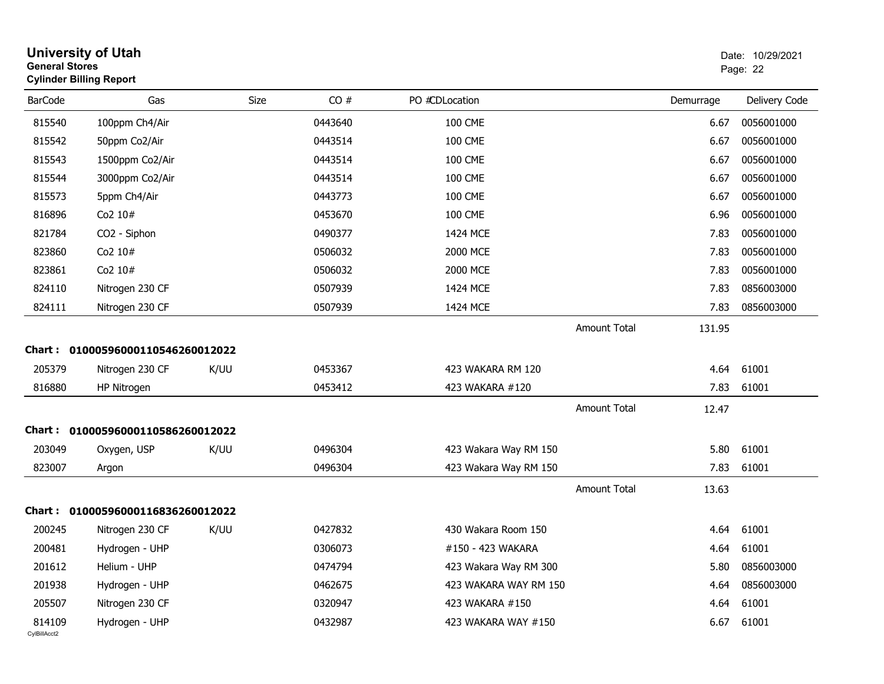| <b>General Stores</b>  | University of Utah<br><b>Cylinder Billing Report</b> |      |         |                       |                     |           | Date: 10/29/2021<br>Page: 22 |
|------------------------|------------------------------------------------------|------|---------|-----------------------|---------------------|-----------|------------------------------|
| <b>BarCode</b>         | Gas                                                  | Size | CO#     | PO #CDLocation        |                     | Demurrage | Delivery Code                |
| 815540                 | 100ppm Ch4/Air                                       |      | 0443640 | <b>100 CME</b>        |                     | 6.67      | 0056001000                   |
| 815542                 | 50ppm Co2/Air                                        |      | 0443514 | <b>100 CME</b>        |                     | 6.67      | 0056001000                   |
| 815543                 | 1500ppm Co2/Air                                      |      | 0443514 | <b>100 CME</b>        |                     | 6.67      | 0056001000                   |
| 815544                 | 3000ppm Co2/Air                                      |      | 0443514 | <b>100 CME</b>        |                     | 6.67      | 0056001000                   |
| 815573                 | 5ppm Ch4/Air                                         |      | 0443773 | <b>100 CME</b>        |                     | 6.67      | 0056001000                   |
| 816896                 | Co2 10#                                              |      | 0453670 | <b>100 CME</b>        |                     | 6.96      | 0056001000                   |
| 821784                 | CO2 - Siphon                                         |      | 0490377 | 1424 MCE              |                     | 7.83      | 0056001000                   |
| 823860                 | Co2 10#                                              |      | 0506032 | 2000 MCE              |                     | 7.83      | 0056001000                   |
| 823861                 | Co2 10#                                              |      | 0506032 | 2000 MCE              |                     | 7.83      | 0056001000                   |
| 824110                 | Nitrogen 230 CF                                      |      | 0507939 | 1424 MCE              |                     | 7.83      | 0856003000                   |
| 824111                 | Nitrogen 230 CF                                      |      | 0507939 | 1424 MCE              |                     | 7.83      | 0856003000                   |
| <b>Chart :</b>         | 01000596000110546260012022                           |      |         |                       | <b>Amount Total</b> | 131.95    |                              |
| 205379                 | Nitrogen 230 CF                                      | K/UU | 0453367 | 423 WAKARA RM 120     |                     | 4.64      | 61001                        |
| 816880                 | HP Nitrogen                                          |      | 0453412 | 423 WAKARA #120       |                     | 7.83      | 61001                        |
|                        |                                                      |      |         |                       | <b>Amount Total</b> | 12.47     |                              |
| Chart :                | 01000596000110586260012022                           |      |         |                       |                     |           |                              |
| 203049                 | Oxygen, USP                                          | K/UU | 0496304 | 423 Wakara Way RM 150 |                     | 5.80      | 61001                        |
| 823007                 | Argon                                                |      | 0496304 | 423 Wakara Way RM 150 |                     | 7.83      | 61001                        |
|                        |                                                      |      |         |                       | <b>Amount Total</b> | 13.63     |                              |
| Chart :                | 01000596000116836260012022                           |      |         |                       |                     |           |                              |
| 200245                 | Nitrogen 230 CF                                      | K/UU | 0427832 | 430 Wakara Room 150   |                     | 4.64      | 61001                        |
| 200481                 | Hydrogen - UHP                                       |      | 0306073 | #150 - 423 WAKARA     |                     | 4.64      | 61001                        |
| 201612                 | Helium - UHP                                         |      | 0474794 | 423 Wakara Way RM 300 |                     | 5.80      | 0856003000                   |
| 201938                 | Hydrogen - UHP                                       |      | 0462675 | 423 WAKARA WAY RM 150 |                     | 4.64      | 0856003000                   |
| 205507                 | Nitrogen 230 CF                                      |      | 0320947 | 423 WAKARA #150       |                     | 4.64      | 61001                        |
| 814109<br>CylBillAcct2 | Hydrogen - UHP                                       |      | 0432987 | 423 WAKARA WAY #150   |                     | 6.67      | 61001                        |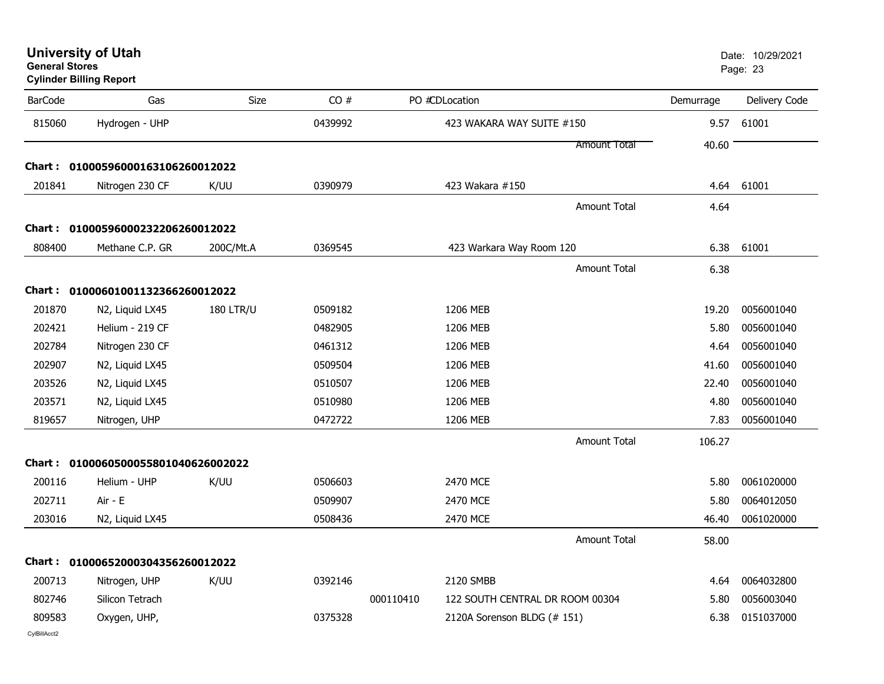| General Stores<br><b>Cylinder Billing Report</b> |                                     |                  |         |           |                                 |                     |           | Page: 23      |
|--------------------------------------------------|-------------------------------------|------------------|---------|-----------|---------------------------------|---------------------|-----------|---------------|
| <b>BarCode</b>                                   | Gas                                 | <b>Size</b>      | CO#     |           | PO #CDLocation                  |                     | Demurrage | Delivery Code |
| 815060                                           | Hydrogen - UHP                      |                  | 0439992 |           | 423 WAKARA WAY SUITE #150       |                     | 9.57      | 61001         |
|                                                  |                                     |                  |         |           |                                 | <b>Amount Total</b> | 40.60     |               |
|                                                  | Chart: 01000596000163106260012022   |                  |         |           |                                 |                     |           |               |
| 201841                                           | Nitrogen 230 CF                     | K/UU             | 0390979 |           | 423 Wakara #150                 |                     |           | 4.64 61001    |
|                                                  |                                     |                  |         |           |                                 | <b>Amount Total</b> | 4.64      |               |
|                                                  | Chart: 01000596000232206260012022   |                  |         |           |                                 |                     |           |               |
| 808400                                           | Methane C.P. GR                     | 200C/Mt.A        | 0369545 |           | 423 Warkara Way Room 120        |                     | 6.38      | 61001         |
|                                                  |                                     |                  |         |           |                                 | <b>Amount Total</b> | 6.38      |               |
|                                                  | Chart: 01000601001132366260012022   |                  |         |           |                                 |                     |           |               |
| 201870                                           | N2, Liquid LX45                     | <b>180 LTR/U</b> | 0509182 |           | 1206 MEB                        |                     | 19.20     | 0056001040    |
| 202421                                           | Helium - 219 CF                     |                  | 0482905 |           | 1206 MEB                        |                     | 5.80      | 0056001040    |
| 202784                                           | Nitrogen 230 CF                     |                  | 0461312 |           | 1206 MEB                        |                     | 4.64      | 0056001040    |
| 202907                                           | N2, Liquid LX45                     |                  | 0509504 |           | 1206 MEB                        |                     | 41.60     | 0056001040    |
| 203526                                           | N2, Liquid LX45                     |                  | 0510507 |           | 1206 MEB                        |                     | 22.40     | 0056001040    |
| 203571                                           | N2, Liquid LX45                     |                  | 0510980 |           | 1206 MEB                        |                     | 4.80      | 0056001040    |
| 819657                                           | Nitrogen, UHP                       |                  | 0472722 |           | 1206 MEB                        |                     | 7.83      | 0056001040    |
|                                                  |                                     |                  |         |           |                                 | <b>Amount Total</b> | 106.27    |               |
|                                                  | Chart: 0100060500055801040626002022 |                  |         |           |                                 |                     |           |               |
| 200116                                           | Helium - UHP                        | K/UU             | 0506603 |           | 2470 MCE                        |                     | 5.80      | 0061020000    |
| 202711                                           | Air - E                             |                  | 0509907 |           | 2470 MCE                        |                     | 5.80      | 0064012050    |
| 203016                                           | N2, Liquid LX45                     |                  | 0508436 |           | 2470 MCE                        |                     | 46.40     | 0061020000    |
|                                                  |                                     |                  |         |           |                                 | <b>Amount Total</b> | 58.00     |               |
|                                                  | Chart: 01000652000304356260012022   |                  |         |           |                                 |                     |           |               |
| 200713                                           | Nitrogen, UHP                       | K/UU             | 0392146 |           | 2120 SMBB                       |                     | 4.64      | 0064032800    |
| 802746                                           | Silicon Tetrach                     |                  |         | 000110410 | 122 SOUTH CENTRAL DR ROOM 00304 |                     | 5.80      | 0056003040    |
| 809583                                           | Oxygen, UHP,                        |                  | 0375328 |           | 2120A Sorenson BLDG (# 151)     |                     | 6.38      | 0151037000    |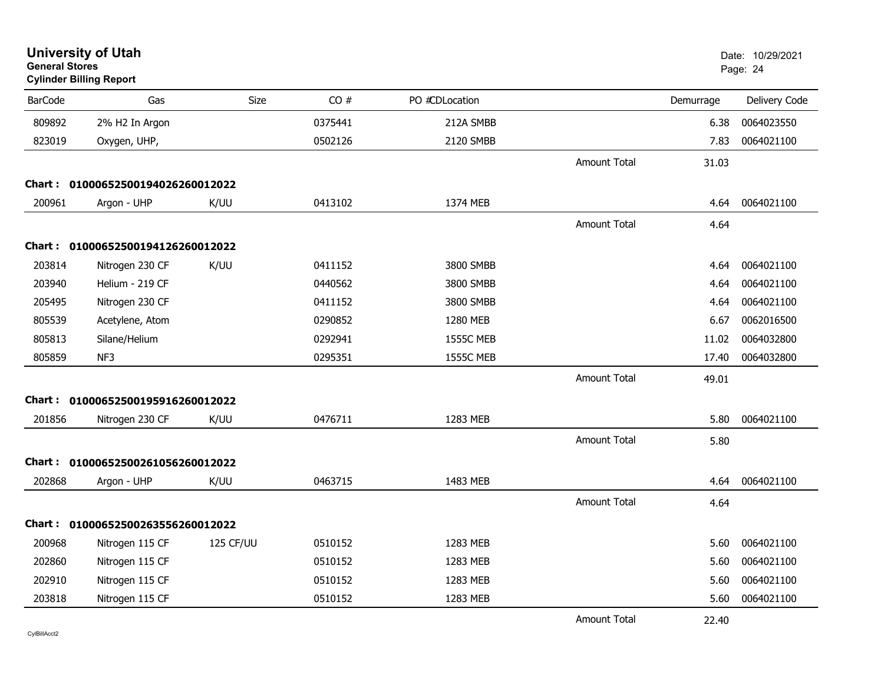| <b>General Stores</b> | <b>University of Utah</b><br><b>Cylinder Billing Report</b> |           |         |                  |                     |           | Date: 10/29/2021<br>Page: 24 |
|-----------------------|-------------------------------------------------------------|-----------|---------|------------------|---------------------|-----------|------------------------------|
| <b>BarCode</b>        | Gas                                                         | Size      | CO#     | PO #CDLocation   |                     | Demurrage | Delivery Code                |
| 809892                | 2% H2 In Argon                                              |           | 0375441 | 212A SMBB        |                     | 6.38      | 0064023550                   |
| 823019                | Oxygen, UHP,                                                |           | 0502126 | 2120 SMBB        |                     | 7.83      | 0064021100                   |
|                       |                                                             |           |         |                  | <b>Amount Total</b> | 31.03     |                              |
| Chart :               | 01000652500194026260012022                                  |           |         |                  |                     |           |                              |
| 200961                | Argon - UHP                                                 | K/UU      | 0413102 | 1374 MEB         |                     | 4.64      | 0064021100                   |
|                       |                                                             |           |         |                  | <b>Amount Total</b> | 4.64      |                              |
|                       | Chart: 01000652500194126260012022                           |           |         |                  |                     |           |                              |
| 203814                | Nitrogen 230 CF                                             | K/UU      | 0411152 | 3800 SMBB        |                     | 4.64      | 0064021100                   |
| 203940                | Helium - 219 CF                                             |           | 0440562 | 3800 SMBB        |                     | 4.64      | 0064021100                   |
| 205495                | Nitrogen 230 CF                                             |           | 0411152 | 3800 SMBB        |                     | 4.64      | 0064021100                   |
| 805539                | Acetylene, Atom                                             |           | 0290852 | 1280 MEB         |                     | 6.67      | 0062016500                   |
| 805813                | Silane/Helium                                               |           | 0292941 | <b>1555C MEB</b> |                     | 11.02     | 0064032800                   |
| 805859                | NF3                                                         |           | 0295351 | <b>1555C MEB</b> |                     | 17.40     | 0064032800                   |
|                       |                                                             |           |         |                  | <b>Amount Total</b> | 49.01     |                              |
|                       | Chart: 01000652500195916260012022                           |           |         |                  |                     |           |                              |
| 201856                | Nitrogen 230 CF                                             | K/UU      | 0476711 | 1283 MEB         |                     | 5.80      | 0064021100                   |
|                       |                                                             |           |         |                  | <b>Amount Total</b> | 5.80      |                              |
| Chart:                | 01000652500261056260012022                                  |           |         |                  |                     |           |                              |
| 202868                | Argon - UHP                                                 | K/UU      | 0463715 | 1483 MEB         |                     | 4.64      | 0064021100                   |
|                       |                                                             |           |         |                  | <b>Amount Total</b> | 4.64      |                              |
|                       | Chart: 01000652500263556260012022                           |           |         |                  |                     |           |                              |
| 200968                | Nitrogen 115 CF                                             | 125 CF/UU | 0510152 | 1283 MEB         |                     | 5.60      | 0064021100                   |
| 202860                | Nitrogen 115 CF                                             |           | 0510152 | 1283 MEB         |                     | 5.60      | 0064021100                   |
| 202910                | Nitrogen 115 CF                                             |           | 0510152 | 1283 MEB         |                     | 5.60      | 0064021100                   |
| 203818                | Nitrogen 115 CF                                             |           | 0510152 | 1283 MEB         |                     | 5.60      | 0064021100                   |
|                       |                                                             |           |         |                  | <b>Amount Total</b> | 22.40     |                              |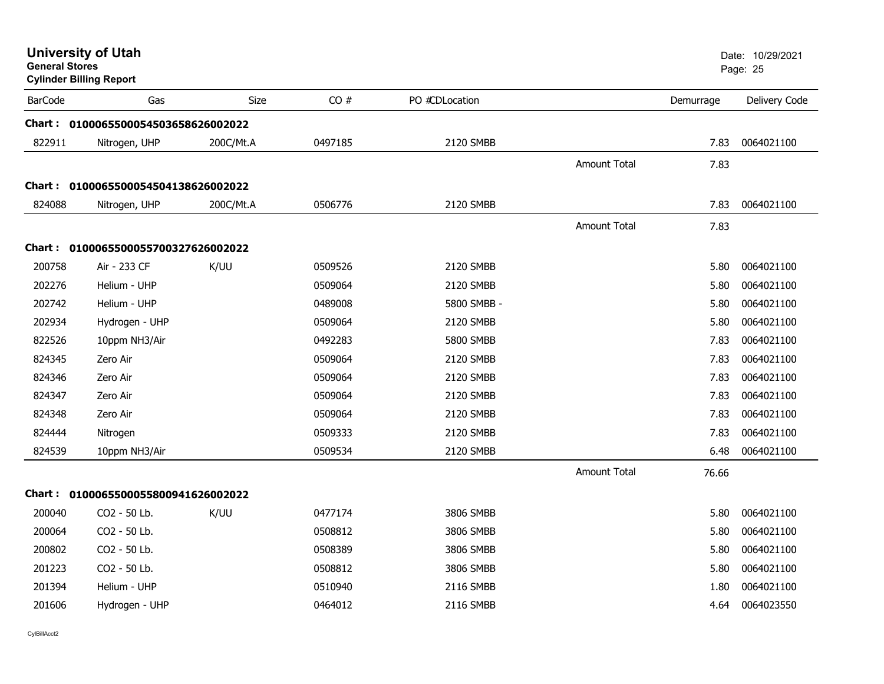|                | <b>University of Utah</b><br><b>General Stores</b><br><b>Cylinder Billing Report</b> |           |         |                |                     |           | Date: 10/29/2021<br>Page: 25 |  |
|----------------|--------------------------------------------------------------------------------------|-----------|---------|----------------|---------------------|-----------|------------------------------|--|
| <b>BarCode</b> | Gas                                                                                  | Size      | CO#     | PO #CDLocation |                     | Demurrage | Delivery Code                |  |
|                | Chart: 0100065500054503658626002022                                                  |           |         |                |                     |           |                              |  |
| 822911         | Nitrogen, UHP                                                                        | 200C/Mt.A | 0497185 | 2120 SMBB      |                     | 7.83      | 0064021100                   |  |
|                |                                                                                      |           |         |                | <b>Amount Total</b> | 7.83      |                              |  |
|                | Chart: 0100065500054504138626002022                                                  |           |         |                |                     |           |                              |  |
| 824088         | Nitrogen, UHP                                                                        | 200C/Mt.A | 0506776 | 2120 SMBB      |                     | 7.83      | 0064021100                   |  |
|                |                                                                                      |           |         |                | Amount Total        | 7.83      |                              |  |
|                | Chart: 0100065500055700327626002022                                                  |           |         |                |                     |           |                              |  |
| 200758         | Air - 233 CF                                                                         | K/UU      | 0509526 | 2120 SMBB      |                     | 5.80      | 0064021100                   |  |
| 202276         | Helium - UHP                                                                         |           | 0509064 | 2120 SMBB      |                     | 5.80      | 0064021100                   |  |
| 202742         | Helium - UHP                                                                         |           | 0489008 | 5800 SMBB -    |                     | 5.80      | 0064021100                   |  |
| 202934         | Hydrogen - UHP                                                                       |           | 0509064 | 2120 SMBB      |                     | 5.80      | 0064021100                   |  |
| 822526         | 10ppm NH3/Air                                                                        |           | 0492283 | 5800 SMBB      |                     | 7.83      | 0064021100                   |  |
| 824345         | Zero Air                                                                             |           | 0509064 | 2120 SMBB      |                     | 7.83      | 0064021100                   |  |
| 824346         | Zero Air                                                                             |           | 0509064 | 2120 SMBB      |                     | 7.83      | 0064021100                   |  |
| 824347         | Zero Air                                                                             |           | 0509064 | 2120 SMBB      |                     | 7.83      | 0064021100                   |  |
| 824348         | Zero Air                                                                             |           | 0509064 | 2120 SMBB      |                     | 7.83      | 0064021100                   |  |
| 824444         | Nitrogen                                                                             |           | 0509333 | 2120 SMBB      |                     | 7.83      | 0064021100                   |  |
| 824539         | 10ppm NH3/Air                                                                        |           | 0509534 | 2120 SMBB      |                     | 6.48      | 0064021100                   |  |
|                |                                                                                      |           |         |                | <b>Amount Total</b> | 76.66     |                              |  |
|                | Chart: 0100065500055800941626002022                                                  |           |         |                |                     |           |                              |  |
| 200040         | CO2 - 50 Lb.                                                                         | K/UU      | 0477174 | 3806 SMBB      |                     | 5.80      | 0064021100                   |  |
| 200064         | CO2 - 50 Lb.                                                                         |           | 0508812 | 3806 SMBB      |                     | 5.80      | 0064021100                   |  |
| 200802         | CO2 - 50 Lb.                                                                         |           | 0508389 | 3806 SMBB      |                     | 5.80      | 0064021100                   |  |
| 201223         | CO2 - 50 Lb.                                                                         |           | 0508812 | 3806 SMBB      |                     | 5.80      | 0064021100                   |  |
| 201394         | Helium - UHP                                                                         |           | 0510940 | 2116 SMBB      |                     | 1.80      | 0064021100                   |  |
| 201606         | Hydrogen - UHP                                                                       |           | 0464012 | 2116 SMBB      |                     | 4.64      | 0064023550                   |  |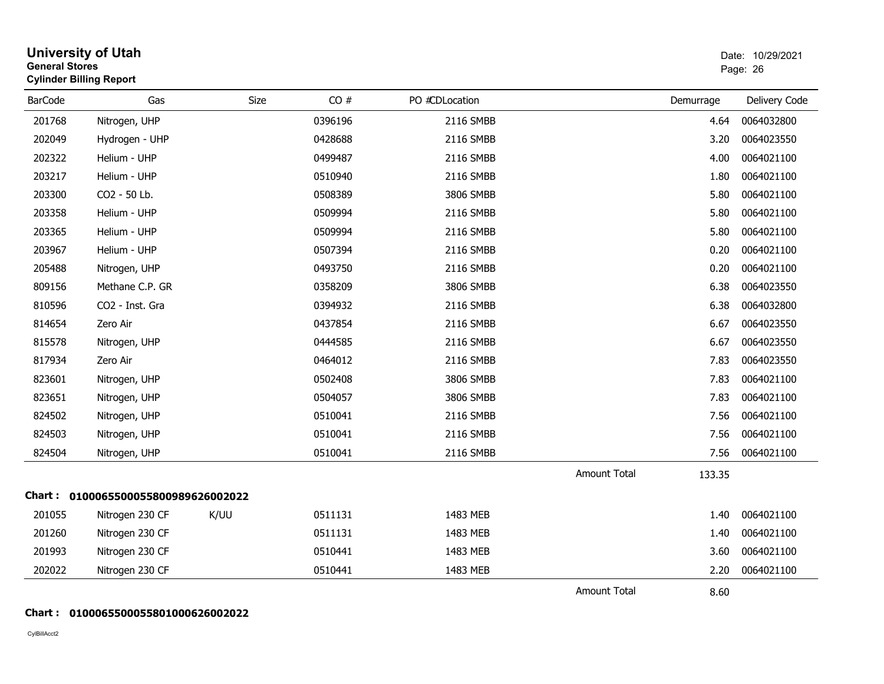|                | <b>University of Utah</b><br><b>General Stores</b><br><b>Cylinder Billing Report</b> |             |         |                |              |           | Date: 10/29/2021<br>Page: 26 |
|----------------|--------------------------------------------------------------------------------------|-------------|---------|----------------|--------------|-----------|------------------------------|
| <b>BarCode</b> | Gas                                                                                  | <b>Size</b> | CO#     | PO #CDLocation |              | Demurrage | Delivery Code                |
| 201768         | Nitrogen, UHP                                                                        |             | 0396196 | 2116 SMBB      |              | 4.64      | 0064032800                   |
| 202049         | Hydrogen - UHP                                                                       |             | 0428688 | 2116 SMBB      |              | 3.20      | 0064023550                   |
| 202322         | Helium - UHP                                                                         |             | 0499487 | 2116 SMBB      |              | 4.00      | 0064021100                   |
| 203217         | Helium - UHP                                                                         |             | 0510940 | 2116 SMBB      |              | 1.80      | 0064021100                   |
| 203300         | CO2 - 50 Lb.                                                                         |             | 0508389 | 3806 SMBB      |              | 5.80      | 0064021100                   |
| 203358         | Helium - UHP                                                                         |             | 0509994 | 2116 SMBB      |              | 5.80      | 0064021100                   |
| 203365         | Helium - UHP                                                                         |             | 0509994 | 2116 SMBB      |              | 5.80      | 0064021100                   |
| 203967         | Helium - UHP                                                                         |             | 0507394 | 2116 SMBB      |              | 0.20      | 0064021100                   |
| 205488         | Nitrogen, UHP                                                                        |             | 0493750 | 2116 SMBB      |              | 0.20      | 0064021100                   |
| 809156         | Methane C.P. GR                                                                      |             | 0358209 | 3806 SMBB      |              | 6.38      | 0064023550                   |
| 810596         | CO2 - Inst. Gra                                                                      |             | 0394932 | 2116 SMBB      |              | 6.38      | 0064032800                   |
| 814654         | Zero Air                                                                             |             | 0437854 | 2116 SMBB      |              | 6.67      | 0064023550                   |
| 815578         | Nitrogen, UHP                                                                        |             | 0444585 | 2116 SMBB      |              | 6.67      | 0064023550                   |
| 817934         | Zero Air                                                                             |             | 0464012 | 2116 SMBB      |              | 7.83      | 0064023550                   |
| 823601         | Nitrogen, UHP                                                                        |             | 0502408 | 3806 SMBB      |              | 7.83      | 0064021100                   |
| 823651         | Nitrogen, UHP                                                                        |             | 0504057 | 3806 SMBB      |              | 7.83      | 0064021100                   |
| 824502         | Nitrogen, UHP                                                                        |             | 0510041 | 2116 SMBB      |              | 7.56      | 0064021100                   |
| 824503         | Nitrogen, UHP                                                                        |             | 0510041 | 2116 SMBB      |              | 7.56      | 0064021100                   |
| 824504         | Nitrogen, UHP                                                                        |             | 0510041 | 2116 SMBB      |              | 7.56      | 0064021100                   |
|                |                                                                                      |             |         |                | Amount Total | 133.35    |                              |
|                | Chart: 0100065500055800989626002022                                                  |             |         |                |              |           |                              |
| 201055         | Nitrogen 230 CF                                                                      | K/UU        | 0511131 | 1483 MEB       |              | 1.40      | 0064021100                   |
| 201260         | Nitrogen 230 CF                                                                      |             | 0511131 | 1483 MEB       |              | 1.40      | 0064021100                   |
| 201993         | Nitrogen 230 CF                                                                      |             | 0510441 | 1483 MEB       |              | 3.60      | 0064021100                   |
| 202022         | Nitrogen 230 CF                                                                      |             | 0510441 | 1483 MEB       |              | 2.20      | 0064021100                   |
|                |                                                                                      |             |         |                | Amount Total | 8.60      |                              |

#### **Chart : 0100065500055801000626002022**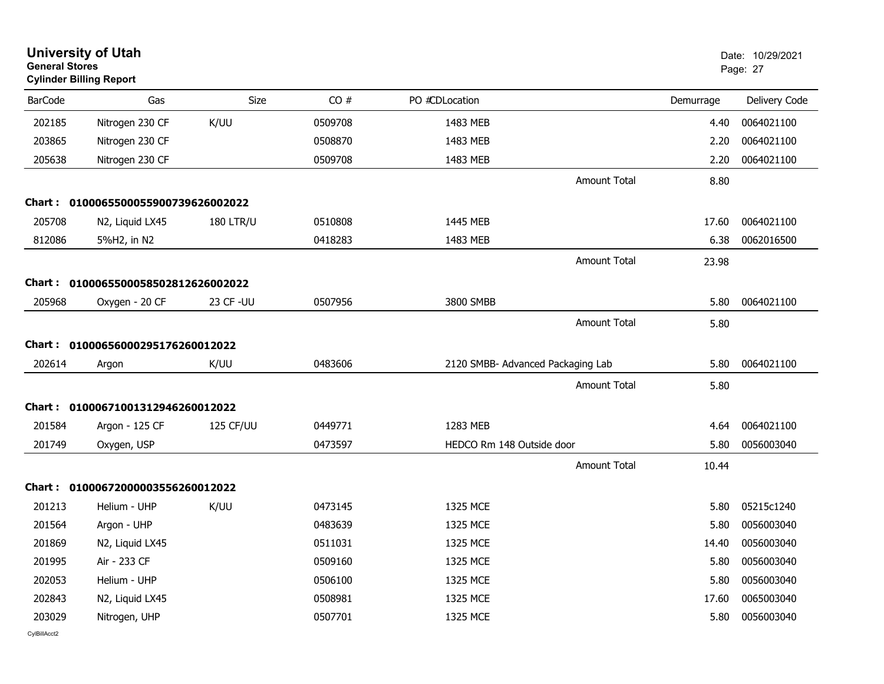| <b>General Stores</b> | <b>University of Utah</b><br><b>Cylinder Billing Report</b> |                  |         |                                   |                     |           | Date: 10/29/2021<br>Page: 27 |
|-----------------------|-------------------------------------------------------------|------------------|---------|-----------------------------------|---------------------|-----------|------------------------------|
| <b>BarCode</b>        | Gas                                                         | Size             | CO#     | PO #CDLocation                    |                     | Demurrage | Delivery Code                |
| 202185                | Nitrogen 230 CF                                             | K/UU             | 0509708 | 1483 MEB                          |                     | 4.40      | 0064021100                   |
| 203865                | Nitrogen 230 CF                                             |                  | 0508870 | 1483 MEB                          |                     | 2.20      | 0064021100                   |
| 205638                | Nitrogen 230 CF                                             |                  | 0509708 | 1483 MEB                          |                     | 2.20      | 0064021100                   |
|                       |                                                             |                  |         |                                   | <b>Amount Total</b> | 8.80      |                              |
|                       | Chart: 0100065500055900739626002022                         |                  |         |                                   |                     |           |                              |
| 205708                | N2, Liquid LX45                                             | <b>180 LTR/U</b> | 0510808 | 1445 MEB                          |                     | 17.60     | 0064021100                   |
| 812086                | 5%H2, in N2                                                 |                  | 0418283 | 1483 MEB                          |                     | 6.38      | 0062016500                   |
|                       |                                                             |                  |         |                                   | <b>Amount Total</b> | 23.98     |                              |
|                       | Chart: 0100065500058502812626002022                         |                  |         |                                   |                     |           |                              |
| 205968                | Oxygen - 20 CF                                              | 23 CF - UU       | 0507956 | 3800 SMBB                         |                     | 5.80      | 0064021100                   |
|                       |                                                             |                  |         |                                   | <b>Amount Total</b> | 5.80      |                              |
|                       | Chart: 01000656000295176260012022                           |                  |         |                                   |                     |           |                              |
| 202614                | Argon                                                       | K/UU             | 0483606 | 2120 SMBB- Advanced Packaging Lab |                     | 5.80      | 0064021100                   |
|                       |                                                             |                  |         |                                   | <b>Amount Total</b> | 5.80      |                              |
|                       | Chart: 01000671001312946260012022                           |                  |         |                                   |                     |           |                              |
| 201584                | Argon - 125 CF                                              | 125 CF/UU        | 0449771 | 1283 MEB                          |                     | 4.64      | 0064021100                   |
| 201749                | Oxygen, USP                                                 |                  | 0473597 | HEDCO Rm 148 Outside door         |                     | 5.80      | 0056003040                   |
|                       |                                                             |                  |         |                                   | <b>Amount Total</b> | 10.44     |                              |
|                       | Chart: 01000672000003556260012022                           |                  |         |                                   |                     |           |                              |
| 201213                | Helium - UHP                                                | K/UU             | 0473145 | 1325 MCE                          |                     | 5.80      | 05215c1240                   |
| 201564                | Argon - UHP                                                 |                  | 0483639 | 1325 MCE                          |                     | 5.80      | 0056003040                   |
| 201869                | N2, Liquid LX45                                             |                  | 0511031 | 1325 MCE                          |                     | 14.40     | 0056003040                   |
| 201995                | Air - 233 CF                                                |                  | 0509160 | 1325 MCE                          |                     | 5.80      | 0056003040                   |
| 202053                | Helium - UHP                                                |                  | 0506100 | 1325 MCE                          |                     | 5.80      | 0056003040                   |
| 202843                | N2, Liquid LX45                                             |                  | 0508981 | 1325 MCE                          |                     | 17.60     | 0065003040                   |
| 203029                | Nitrogen, UHP                                               |                  | 0507701 | 1325 MCE                          |                     | 5.80      | 0056003040                   |
|                       |                                                             |                  |         |                                   |                     |           |                              |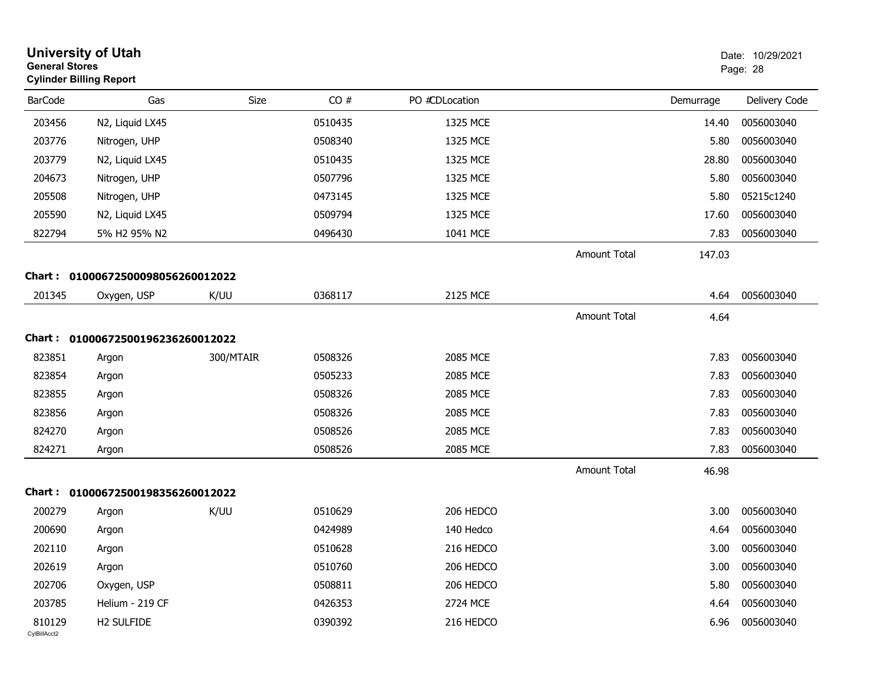| <b>University of Utah</b><br><b>General Stores</b><br>Page: 28<br><b>Cylinder Billing Report</b> |                                   |           |         |                |                     |           | Date: 10/29/2021 |
|--------------------------------------------------------------------------------------------------|-----------------------------------|-----------|---------|----------------|---------------------|-----------|------------------|
| <b>BarCode</b>                                                                                   | Gas                               | Size      | CO#     | PO #CDLocation |                     | Demurrage | Delivery Code    |
| 203456                                                                                           | N2, Liquid LX45                   |           | 0510435 | 1325 MCE       |                     | 14.40     | 0056003040       |
| 203776                                                                                           | Nitrogen, UHP                     |           | 0508340 | 1325 MCE       |                     | 5.80      | 0056003040       |
| 203779                                                                                           | N2, Liquid LX45                   |           | 0510435 | 1325 MCE       |                     | 28.80     | 0056003040       |
| 204673                                                                                           | Nitrogen, UHP                     |           | 0507796 | 1325 MCE       |                     | 5.80      | 0056003040       |
| 205508                                                                                           | Nitrogen, UHP                     |           | 0473145 | 1325 MCE       |                     | 5.80      | 05215c1240       |
| 205590                                                                                           | N2, Liquid LX45                   |           | 0509794 | 1325 MCE       |                     | 17.60     | 0056003040       |
| 822794                                                                                           | 5% H2 95% N2                      |           | 0496430 | 1041 MCE       |                     | 7.83      | 0056003040       |
|                                                                                                  |                                   |           |         |                | <b>Amount Total</b> | 147.03    |                  |
|                                                                                                  | Chart: 01000672500098056260012022 |           |         |                |                     |           |                  |
| 201345                                                                                           | Oxygen, USP                       | K/UU      | 0368117 | 2125 MCE       |                     | 4.64      | 0056003040       |
|                                                                                                  |                                   |           |         |                | <b>Amount Total</b> | 4.64      |                  |
|                                                                                                  | Chart: 01000672500196236260012022 |           |         |                |                     |           |                  |
| 823851                                                                                           | Argon                             | 300/MTAIR | 0508326 | 2085 MCE       |                     | 7.83      | 0056003040       |
| 823854                                                                                           | Argon                             |           | 0505233 | 2085 MCE       |                     | 7.83      | 0056003040       |
| 823855                                                                                           | Argon                             |           | 0508326 | 2085 MCE       |                     | 7.83      | 0056003040       |
| 823856                                                                                           | Argon                             |           | 0508326 | 2085 MCE       |                     | 7.83      | 0056003040       |
| 824270                                                                                           | Argon                             |           | 0508526 | 2085 MCE       |                     | 7.83      | 0056003040       |
| 824271                                                                                           | Argon                             |           | 0508526 | 2085 MCE       |                     | 7.83      | 0056003040       |
|                                                                                                  |                                   |           |         |                | <b>Amount Total</b> | 46.98     |                  |
|                                                                                                  | Chart: 01000672500198356260012022 |           |         |                |                     |           |                  |
| 200279                                                                                           | Argon                             | K/UU      | 0510629 | 206 HEDCO      |                     | 3.00      | 0056003040       |
| 200690                                                                                           | Argon                             |           | 0424989 | 140 Hedco      |                     | 4.64      | 0056003040       |
| 202110                                                                                           | Argon                             |           | 0510628 | 216 HEDCO      |                     | 3.00      | 0056003040       |
| 202619                                                                                           | Argon                             |           | 0510760 | 206 HEDCO      |                     | 3.00      | 0056003040       |
| 202706                                                                                           | Oxygen, USP                       |           | 0508811 | 206 HEDCO      |                     | 5.80      | 0056003040       |
| 203785                                                                                           | Helium - 219 CF                   |           | 0426353 | 2724 MCE       |                     | 4.64      | 0056003040       |
| 810129<br>CylBillAcct2                                                                           | H2 SULFIDE                        |           | 0390392 | 216 HEDCO      |                     | 6.96      | 0056003040       |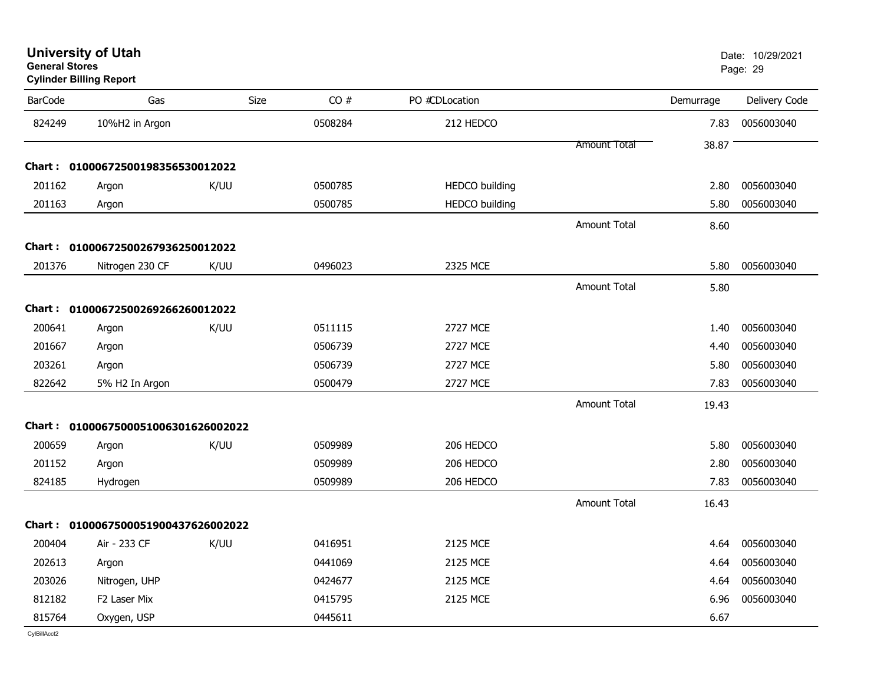| <b>University of Utah</b> |  |
|---------------------------|--|
| <b>General Stores</b>     |  |

| <b>BarCode</b> | Gas                                 | <b>Size</b> | CO#     | PO #CDLocation        |                     | Demurrage | Delivery Code |
|----------------|-------------------------------------|-------------|---------|-----------------------|---------------------|-----------|---------------|
| 824249         | 10%H2 in Argon                      |             | 0508284 | 212 HEDCO             |                     | 7.83      | 0056003040    |
|                |                                     |             |         |                       | <b>Amount Total</b> | 38.87     |               |
|                | Chart: 01000672500198356530012022   |             |         |                       |                     |           |               |
| 201162         | Argon                               | K/UU        | 0500785 | <b>HEDCO</b> building |                     | 2.80      | 0056003040    |
| 201163         | Argon                               |             | 0500785 | <b>HEDCO</b> building |                     | 5.80      | 0056003040    |
|                |                                     |             |         |                       | <b>Amount Total</b> | 8.60      |               |
|                | Chart: 01000672500267936250012022   |             |         |                       |                     |           |               |
| 201376         | Nitrogen 230 CF                     | K/UU        | 0496023 | 2325 MCE              |                     | 5.80      | 0056003040    |
|                |                                     |             |         |                       | <b>Amount Total</b> | 5.80      |               |
|                | Chart: 01000672500269266260012022   |             |         |                       |                     |           |               |
| 200641         | Argon                               | K/UU        | 0511115 | <b>2727 MCE</b>       |                     | 1.40      | 0056003040    |
| 201667         | Argon                               |             | 0506739 | 2727 MCE              |                     | 4.40      | 0056003040    |
| 203261         | Argon                               |             | 0506739 | <b>2727 MCE</b>       |                     | 5.80      | 0056003040    |
| 822642         | 5% H2 In Argon                      |             | 0500479 | 2727 MCE              |                     | 7.83      | 0056003040    |
|                |                                     |             |         |                       | <b>Amount Total</b> | 19.43     |               |
|                | Chart: 0100067500051006301626002022 |             |         |                       |                     |           |               |
| 200659         | Argon                               | K/UU        | 0509989 | 206 HEDCO             |                     | 5.80      | 0056003040    |
| 201152         | Argon                               |             | 0509989 | 206 HEDCO             |                     | 2.80      | 0056003040    |
| 824185         | Hydrogen                            |             | 0509989 | 206 HEDCO             |                     | 7.83      | 0056003040    |
|                |                                     |             |         |                       | <b>Amount Total</b> | 16.43     |               |
|                | Chart: 0100067500051900437626002022 |             |         |                       |                     |           |               |
| 200404         | Air - 233 CF                        | K/UU        | 0416951 | 2125 MCE              |                     | 4.64      | 0056003040    |
| 202613         | Argon                               |             | 0441069 | 2125 MCE              |                     | 4.64      | 0056003040    |
| 203026         | Nitrogen, UHP                       |             | 0424677 | 2125 MCE              |                     | 4.64      | 0056003040    |
| 812182         | F2 Laser Mix                        |             | 0415795 | 2125 MCE              |                     | 6.96      | 0056003040    |
| 815764         | Oxygen, USP                         |             | 0445611 |                       |                     | 6.67      |               |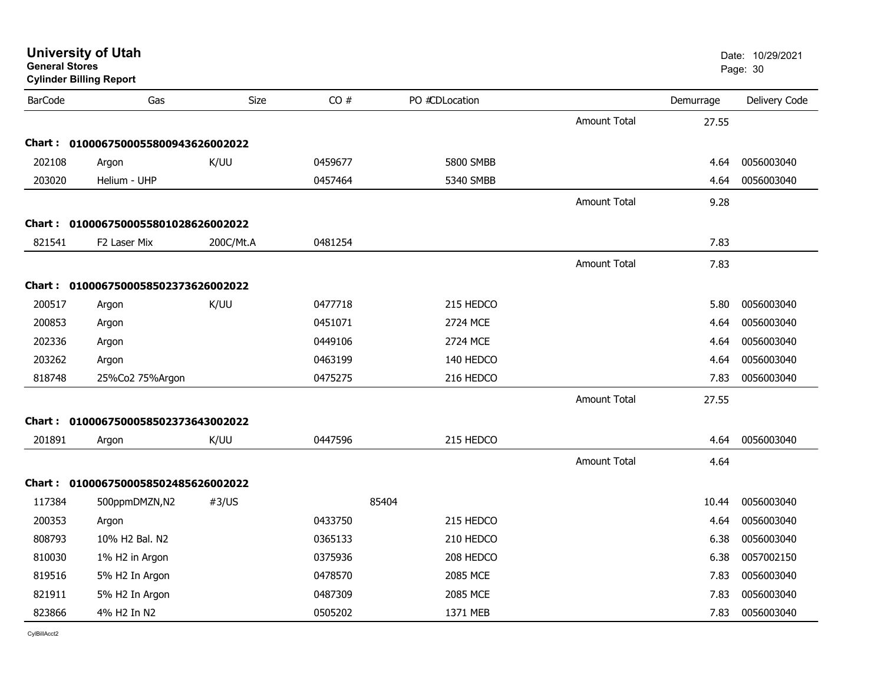|                | <b>University of Utah</b><br>Date: 10/29/2021<br><b>General Stores</b><br>Page: 30<br><b>Cylinder Billing Report</b> |           |         |                  |                     |           |               |  |
|----------------|----------------------------------------------------------------------------------------------------------------------|-----------|---------|------------------|---------------------|-----------|---------------|--|
| <b>BarCode</b> | Gas                                                                                                                  | Size      | CO#     | PO #CDLocation   |                     | Demurrage | Delivery Code |  |
|                |                                                                                                                      |           |         |                  | <b>Amount Total</b> | 27.55     |               |  |
| <b>Chart :</b> | 0100067500055800943626002022                                                                                         |           |         |                  |                     |           |               |  |
| 202108         | Argon                                                                                                                | K/UU      | 0459677 | <b>5800 SMBB</b> |                     | 4.64      | 0056003040    |  |
| 203020         | Helium - UHP                                                                                                         |           | 0457464 | 5340 SMBB        |                     | 4.64      | 0056003040    |  |
|                |                                                                                                                      |           |         |                  | Amount Total        | 9.28      |               |  |
|                | Chart: 0100067500055801028626002022                                                                                  |           |         |                  |                     |           |               |  |
| 821541         | F <sub>2</sub> Laser Mix                                                                                             | 200C/Mt.A | 0481254 |                  |                     | 7.83      |               |  |
|                |                                                                                                                      |           |         |                  | Amount Total        | 7.83      |               |  |
|                | Chart: 0100067500058502373626002022                                                                                  |           |         |                  |                     |           |               |  |
| 200517         | Argon                                                                                                                | K/UU      | 0477718 | 215 HEDCO        |                     | 5.80      | 0056003040    |  |
| 200853         | Argon                                                                                                                |           | 0451071 | 2724 MCE         |                     | 4.64      | 0056003040    |  |
| 202336         | Argon                                                                                                                |           | 0449106 | 2724 MCE         |                     | 4.64      | 0056003040    |  |
| 203262         | Argon                                                                                                                |           | 0463199 | 140 HEDCO        |                     | 4.64      | 0056003040    |  |
| 818748         | 25%Co2 75%Argon                                                                                                      |           | 0475275 | 216 HEDCO        |                     | 7.83      | 0056003040    |  |
|                |                                                                                                                      |           |         |                  | <b>Amount Total</b> | 27.55     |               |  |
|                | Chart: 0100067500058502373643002022                                                                                  |           |         |                  |                     |           |               |  |
| 201891         | Argon                                                                                                                | K/UU      | 0447596 | 215 HEDCO        |                     | 4.64      | 0056003040    |  |
|                |                                                                                                                      |           |         |                  | <b>Amount Total</b> | 4.64      |               |  |
|                | Chart: 0100067500058502485626002022                                                                                  |           |         |                  |                     |           |               |  |
| 117384         | 500ppmDMZN,N2                                                                                                        | #3/US     |         | 85404            |                     | 10.44     | 0056003040    |  |
| 200353         | Argon                                                                                                                |           | 0433750 | 215 HEDCO        |                     | 4.64      | 0056003040    |  |
| 808793         | 10% H2 Bal. N2                                                                                                       |           | 0365133 | 210 HEDCO        |                     | 6.38      | 0056003040    |  |
| 810030         | 1% H2 in Argon                                                                                                       |           | 0375936 | 208 HEDCO        |                     | 6.38      | 0057002150    |  |
| 819516         | 5% H2 In Argon                                                                                                       |           | 0478570 | 2085 MCE         |                     | 7.83      | 0056003040    |  |
| 821911         | 5% H2 In Argon                                                                                                       |           | 0487309 | 2085 MCE         |                     | 7.83      | 0056003040    |  |
| 823866         | 4% H2 In N2                                                                                                          |           | 0505202 | 1371 MEB         |                     | 7.83      | 0056003040    |  |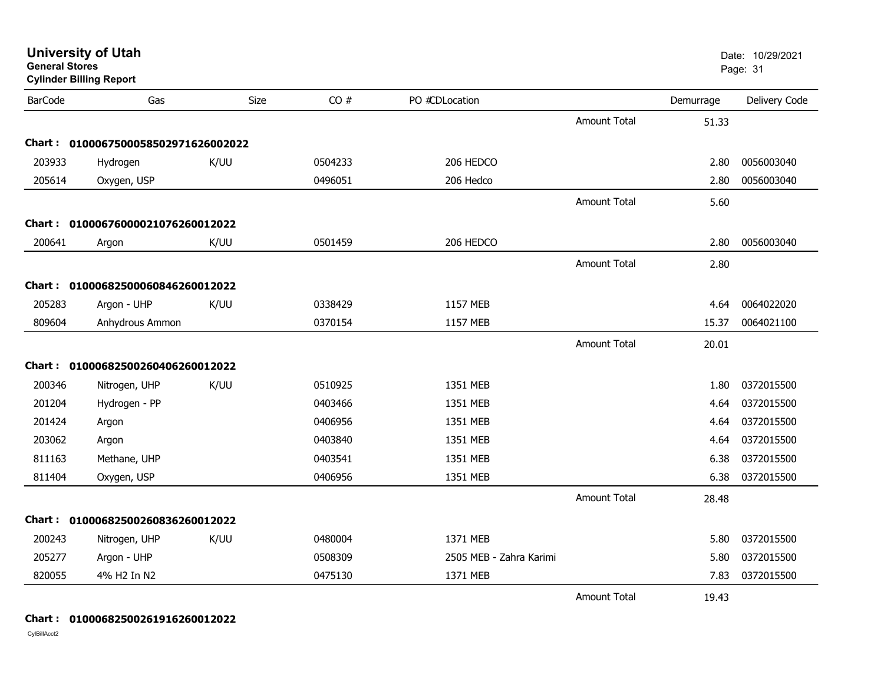| General Stores | <b>Cylinder Billing Report</b>      |      |         |                         |                     |           | Page: 31      |
|----------------|-------------------------------------|------|---------|-------------------------|---------------------|-----------|---------------|
| <b>BarCode</b> | Gas                                 | Size | CO#     | PO #CDLocation          |                     | Demurrage | Delivery Code |
|                |                                     |      |         |                         | <b>Amount Total</b> | 51.33     |               |
|                | Chart: 0100067500058502971626002022 |      |         |                         |                     |           |               |
| 203933         | Hydrogen                            | K/UU | 0504233 | 206 HEDCO               |                     | 2.80      | 0056003040    |
| 205614         | Oxygen, USP                         |      | 0496051 | 206 Hedco               |                     | 2.80      | 0056003040    |
|                |                                     |      |         |                         | <b>Amount Total</b> | 5.60      |               |
|                | Chart: 01000676000021076260012022   |      |         |                         |                     |           |               |
| 200641         | Argon                               | K/UU | 0501459 | 206 HEDCO               |                     | 2.80      | 0056003040    |
|                |                                     |      |         |                         | <b>Amount Total</b> | 2.80      |               |
|                | Chart: 01000682500060846260012022   |      |         |                         |                     |           |               |
| 205283         | Argon - UHP                         | K/UU | 0338429 | 1157 MEB                |                     | 4.64      | 0064022020    |
| 809604         | Anhydrous Ammon                     |      | 0370154 | 1157 MEB                |                     | 15.37     | 0064021100    |
|                |                                     |      |         |                         | <b>Amount Total</b> | 20.01     |               |
|                | Chart: 01000682500260406260012022   |      |         |                         |                     |           |               |
| 200346         | Nitrogen, UHP                       | K/UU | 0510925 | 1351 MEB                |                     | 1.80      | 0372015500    |
| 201204         | Hydrogen - PP                       |      | 0403466 | 1351 MEB                |                     | 4.64      | 0372015500    |
| 201424         | Argon                               |      | 0406956 | 1351 MEB                |                     | 4.64      | 0372015500    |
| 203062         | Argon                               |      | 0403840 | 1351 MEB                |                     | 4.64      | 0372015500    |
| 811163         | Methane, UHP                        |      | 0403541 | 1351 MEB                |                     | 6.38      | 0372015500    |
| 811404         | Oxygen, USP                         |      | 0406956 | 1351 MEB                |                     | 6.38      | 0372015500    |
|                |                                     |      |         |                         | <b>Amount Total</b> | 28.48     |               |
|                | Chart: 01000682500260836260012022   |      |         |                         |                     |           |               |
| 200243         | Nitrogen, UHP                       | K/UU | 0480004 | 1371 MEB                |                     | 5.80      | 0372015500    |
| 205277         | Argon - UHP                         |      | 0508309 | 2505 MEB - Zahra Karimi |                     | 5.80      | 0372015500    |
| 820055         | 4% H2 In N2                         |      | 0475130 | 1371 MEB                |                     | 7.83      | 0372015500    |
|                |                                     |      |         |                         | <b>Amount Total</b> | 19.43     |               |

**University of Utah** Date: 10/29/2021

**Chart : 01000682500261916260012022**

CylBillAcct2

**General Stores**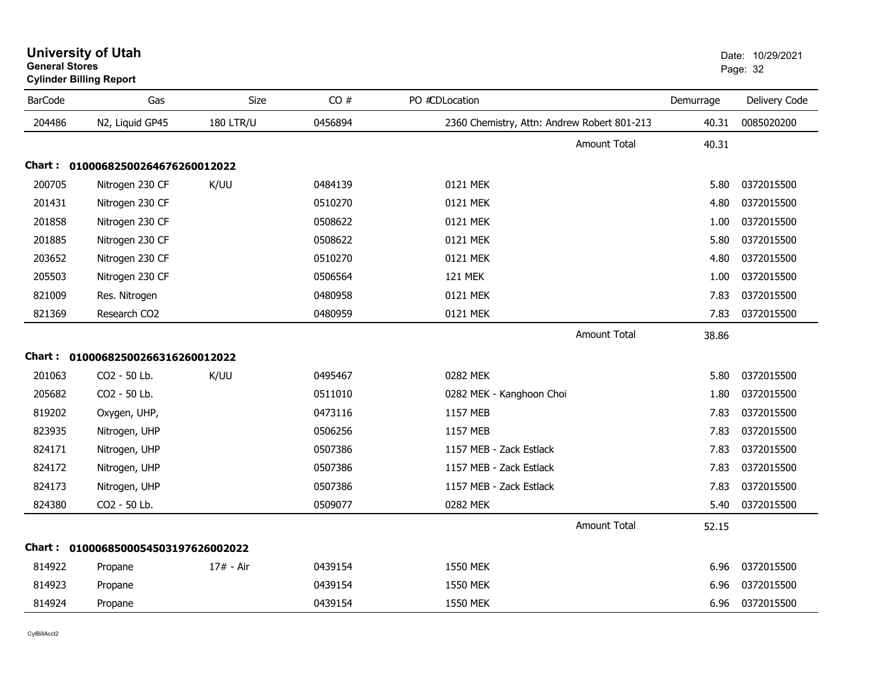| <b>BarCode</b> | Gas                                 | Size             | CO#     | PO #CDLocation                              | Demurrage | Delivery Code |
|----------------|-------------------------------------|------------------|---------|---------------------------------------------|-----------|---------------|
| 204486         | N2, Liquid GP45                     | <b>180 LTR/U</b> | 0456894 | 2360 Chemistry, Attn: Andrew Robert 801-213 | 40.31     | 0085020200    |
|                |                                     |                  |         | <b>Amount Total</b>                         | 40.31     |               |
|                | Chart: 01000682500264676260012022   |                  |         |                                             |           |               |
| 200705         | Nitrogen 230 CF                     | K/UU             | 0484139 | 0121 MEK                                    | 5.80      | 0372015500    |
| 201431         | Nitrogen 230 CF                     |                  | 0510270 | 0121 MEK                                    | 4.80      | 0372015500    |
| 201858         | Nitrogen 230 CF                     |                  | 0508622 | 0121 MEK                                    | 1.00      | 0372015500    |
| 201885         | Nitrogen 230 CF                     |                  | 0508622 | 0121 MEK                                    | 5.80      | 0372015500    |
| 203652         | Nitrogen 230 CF                     |                  | 0510270 | 0121 MEK                                    | 4.80      | 0372015500    |
| 205503         | Nitrogen 230 CF                     |                  | 0506564 | <b>121 MEK</b>                              | 1.00      | 0372015500    |
| 821009         | Res. Nitrogen                       |                  | 0480958 | 0121 MEK                                    | 7.83      | 0372015500    |
| 821369         | Research CO2                        |                  | 0480959 | 0121 MEK                                    | 7.83      | 0372015500    |
|                |                                     |                  |         | <b>Amount Total</b>                         | 38.86     |               |
|                | Chart: 01000682500266316260012022   |                  |         |                                             |           |               |
| 201063         | CO2 - 50 Lb.                        | K/UU             | 0495467 | 0282 MEK                                    | 5.80      | 0372015500    |
| 205682         | CO2 - 50 Lb.                        |                  | 0511010 | 0282 MEK - Kanghoon Choi                    | 1.80      | 0372015500    |
| 819202         | Oxygen, UHP,                        |                  | 0473116 | 1157 MEB                                    | 7.83      | 0372015500    |
| 823935         | Nitrogen, UHP                       |                  | 0506256 | 1157 MEB                                    | 7.83      | 0372015500    |
| 824171         | Nitrogen, UHP                       |                  | 0507386 | 1157 MEB - Zack Estlack                     | 7.83      | 0372015500    |
| 824172         | Nitrogen, UHP                       |                  | 0507386 | 1157 MEB - Zack Estlack                     | 7.83      | 0372015500    |
| 824173         | Nitrogen, UHP                       |                  | 0507386 | 1157 MEB - Zack Estlack                     | 7.83      | 0372015500    |
| 824380         | CO2 - 50 Lb.                        |                  | 0509077 | 0282 MEK                                    | 5.40      | 0372015500    |
|                |                                     |                  |         | Amount Total                                | 52.15     |               |
|                | Chart: 0100068500054503197626002022 |                  |         |                                             |           |               |
| 814922         | Propane                             | 17# - Air        | 0439154 | <b>1550 MEK</b>                             | 6.96      | 0372015500    |
| 814923         | Propane                             |                  | 0439154 | 1550 MEK                                    | 6.96      | 0372015500    |
| 814924         | Propane                             |                  | 0439154 | 1550 MEK                                    | 6.96      | 0372015500    |

**Cylinder Billing Report**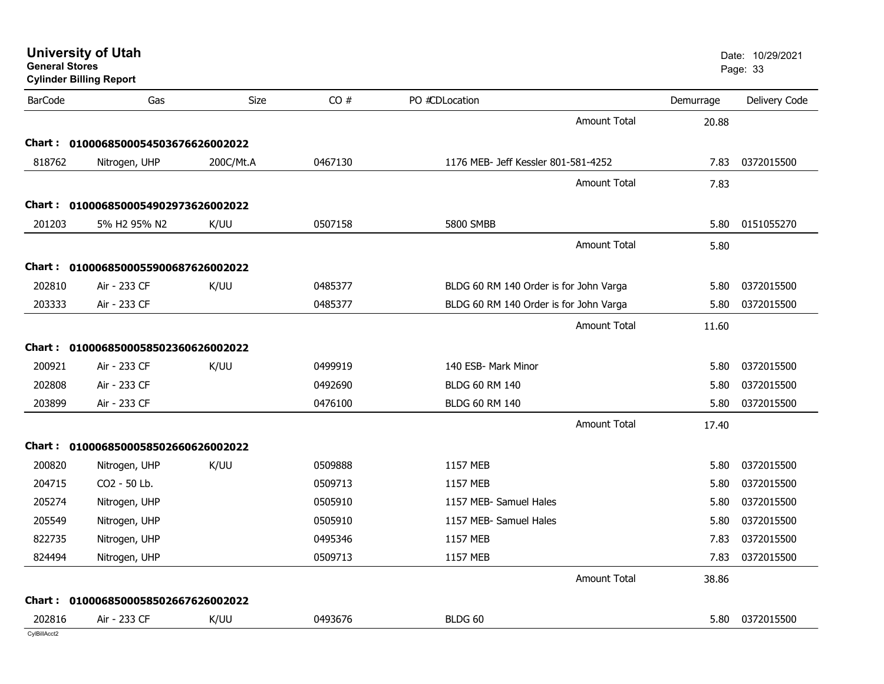| <b>University of Utah</b><br><b>General Stores</b><br><b>Cylinder Billing Report</b> |                                     |           |         |                                        | Date: 10/29/2021<br>Page: 33 |           |               |
|--------------------------------------------------------------------------------------|-------------------------------------|-----------|---------|----------------------------------------|------------------------------|-----------|---------------|
| <b>BarCode</b>                                                                       | Gas                                 | Size      | CO#     | PO #CDLocation                         |                              | Demurrage | Delivery Code |
|                                                                                      |                                     |           |         |                                        | <b>Amount Total</b>          | 20.88     |               |
|                                                                                      | Chart: 0100068500054503676626002022 |           |         |                                        |                              |           |               |
| 818762                                                                               | Nitrogen, UHP                       | 200C/Mt.A | 0467130 | 1176 MEB- Jeff Kessler 801-581-4252    |                              | 7.83      | 0372015500    |
|                                                                                      |                                     |           |         |                                        | <b>Amount Total</b>          | 7.83      |               |
|                                                                                      | Chart: 0100068500054902973626002022 |           |         |                                        |                              |           |               |
| 201203                                                                               | 5% H2 95% N2                        | K/UU      | 0507158 | 5800 SMBB                              |                              | 5.80      | 0151055270    |
|                                                                                      |                                     |           |         |                                        | <b>Amount Total</b>          | 5.80      |               |
| Chart :                                                                              | 0100068500055900687626002022        |           |         |                                        |                              |           |               |
| 202810                                                                               | Air - 233 CF                        | K/UU      | 0485377 | BLDG 60 RM 140 Order is for John Varga |                              | 5.80      | 0372015500    |
| 203333                                                                               | Air - 233 CF                        |           | 0485377 | BLDG 60 RM 140 Order is for John Varga |                              | 5.80      | 0372015500    |
|                                                                                      |                                     |           |         |                                        | <b>Amount Total</b>          | 11.60     |               |
| Chart :                                                                              | 0100068500058502360626002022        |           |         |                                        |                              |           |               |
| 200921                                                                               | Air - 233 CF                        | K/UU      | 0499919 | 140 ESB- Mark Minor                    |                              | 5.80      | 0372015500    |
| 202808                                                                               | Air - 233 CF                        |           | 0492690 | <b>BLDG 60 RM 140</b>                  |                              | 5.80      | 0372015500    |
| 203899                                                                               | Air - 233 CF                        |           | 0476100 | <b>BLDG 60 RM 140</b>                  |                              | 5.80      | 0372015500    |
|                                                                                      |                                     |           |         |                                        | <b>Amount Total</b>          | 17.40     |               |
|                                                                                      | Chart: 0100068500058502660626002022 |           |         |                                        |                              |           |               |
| 200820                                                                               | Nitrogen, UHP                       | K/UU      | 0509888 | 1157 MEB                               |                              | 5.80      | 0372015500    |
| 204715                                                                               | CO2 - 50 Lb.                        |           | 0509713 | 1157 MEB                               |                              | 5.80      | 0372015500    |
| 205274                                                                               | Nitrogen, UHP                       |           | 0505910 | 1157 MEB- Samuel Hales                 |                              | 5.80      | 0372015500    |
| 205549                                                                               | Nitrogen, UHP                       |           | 0505910 | 1157 MEB- Samuel Hales                 |                              | 5.80      | 0372015500    |
| 822735                                                                               | Nitrogen, UHP                       |           | 0495346 | 1157 MEB                               |                              | 7.83      | 0372015500    |
| 824494                                                                               | Nitrogen, UHP                       |           | 0509713 | 1157 MEB                               |                              | 7.83      | 0372015500    |
|                                                                                      |                                     |           |         |                                        | <b>Amount Total</b>          | 38.86     |               |
|                                                                                      | Chart: 0100068500058502667626002022 |           |         |                                        |                              |           |               |
| 202816                                                                               | Air - 233 CF                        | K/UU      | 0493676 | BLDG 60                                |                              | 5.80      | 0372015500    |
| CylBillAcct2                                                                         |                                     |           |         |                                        |                              |           |               |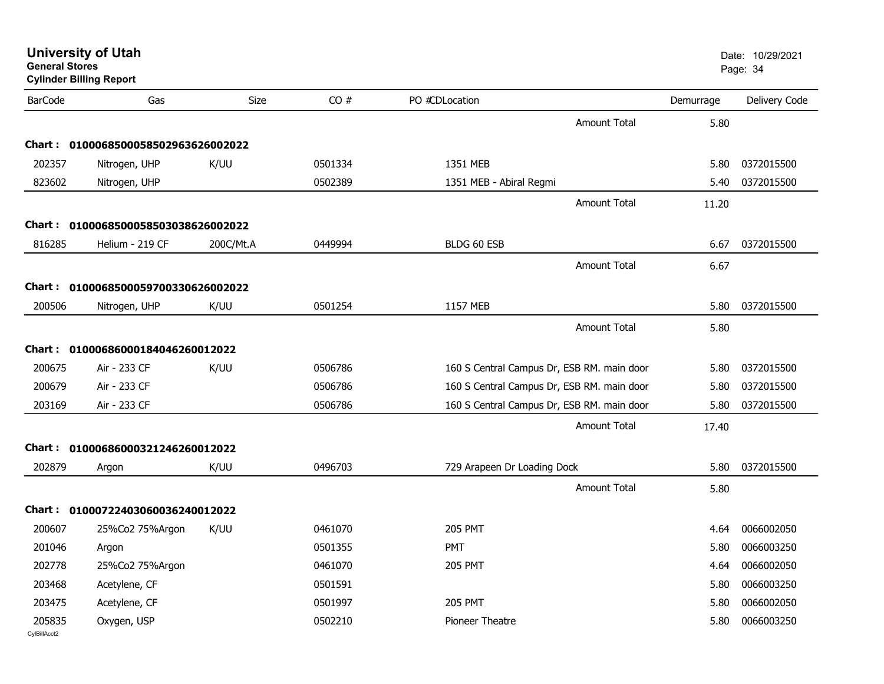| <b>General Stores</b><br><b>Cylinder Billing Report</b> |                                     |           |         |                                            |           | Page: 34      |
|---------------------------------------------------------|-------------------------------------|-----------|---------|--------------------------------------------|-----------|---------------|
| <b>BarCode</b>                                          | Gas                                 | Size      | CO#     | PO #CDLocation                             | Demurrage | Delivery Code |
|                                                         |                                     |           |         | <b>Amount Total</b>                        | 5.80      |               |
|                                                         | Chart: 0100068500058502963626002022 |           |         |                                            |           |               |
| 202357                                                  | Nitrogen, UHP                       | K/UU      | 0501334 | 1351 MEB                                   | 5.80      | 0372015500    |
| 823602                                                  | Nitrogen, UHP                       |           | 0502389 | 1351 MEB - Abiral Regmi                    | 5.40      | 0372015500    |
|                                                         |                                     |           |         | Amount Total                               | 11.20     |               |
|                                                         | Chart: 0100068500058503038626002022 |           |         |                                            |           |               |
| 816285                                                  | Helium - 219 CF                     | 200C/Mt.A | 0449994 | BLDG 60 ESB                                | 6.67      | 0372015500    |
|                                                         |                                     |           |         | <b>Amount Total</b>                        | 6.67      |               |
|                                                         | Chart: 0100068500059700330626002022 |           |         |                                            |           |               |
| 200506                                                  | Nitrogen, UHP                       | K/UU      | 0501254 | 1157 MEB                                   | 5.80      | 0372015500    |
|                                                         |                                     |           |         | <b>Amount Total</b>                        | 5.80      |               |
|                                                         | Chart: 01000686000184046260012022   |           |         |                                            |           |               |
| 200675                                                  | Air - 233 CF                        | K/UU      | 0506786 | 160 S Central Campus Dr, ESB RM. main door | 5.80      | 0372015500    |
| 200679                                                  | Air - 233 CF                        |           | 0506786 | 160 S Central Campus Dr, ESB RM. main door | 5.80      | 0372015500    |
| 203169                                                  | Air - 233 CF                        |           | 0506786 | 160 S Central Campus Dr, ESB RM. main door | 5.80      | 0372015500    |
|                                                         |                                     |           |         | Amount Total                               | 17.40     |               |
|                                                         | Chart: 01000686000321246260012022   |           |         |                                            |           |               |
| 202879                                                  | Argon                               | K/UU      | 0496703 | 729 Arapeen Dr Loading Dock                | 5.80      | 0372015500    |
|                                                         |                                     |           |         | <b>Amount Total</b>                        | 5.80      |               |
|                                                         | Chart: 01000722403060036240012022   |           |         |                                            |           |               |
| 200607                                                  | 25%Co2 75%Argon                     | K/UU      | 0461070 | <b>205 PMT</b>                             | 4.64      | 0066002050    |
| 201046                                                  | Argon                               |           | 0501355 | <b>PMT</b>                                 | 5.80      | 0066003250    |
| 202778                                                  | 25%Co2 75%Argon                     |           | 0461070 | <b>205 PMT</b>                             | 4.64      | 0066002050    |
| 203468                                                  | Acetylene, CF                       |           | 0501591 |                                            | 5.80      | 0066003250    |
| 203475                                                  | Acetylene, CF                       |           | 0501997 | <b>205 PMT</b>                             | 5.80      | 0066002050    |
| 205835<br>CvIBillAcct2                                  | Oxygen, USP                         |           | 0502210 | Pioneer Theatre                            | 5.80      | 0066003250    |

**University of Utah** Date: 10/29/2021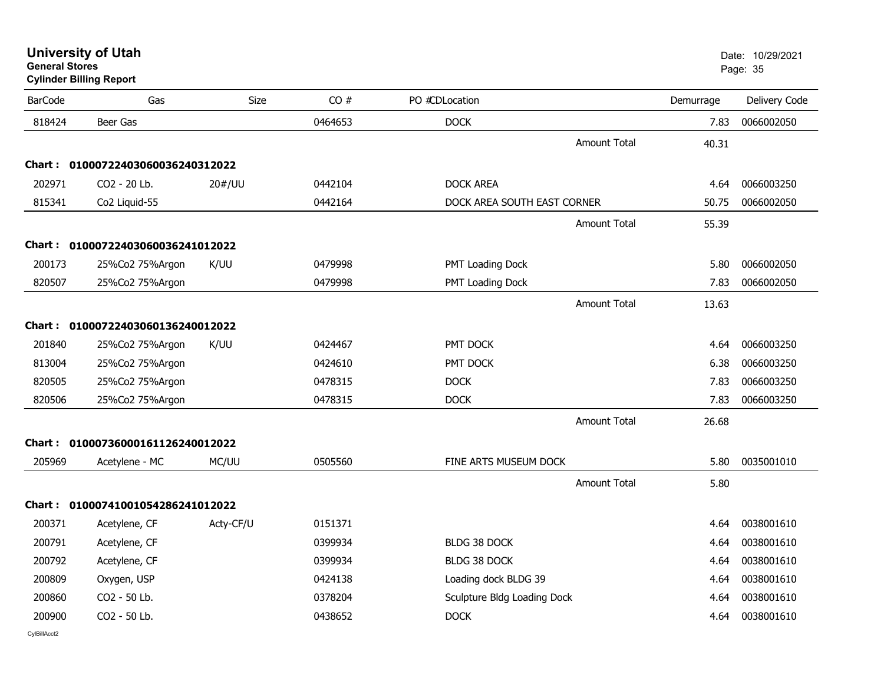| <b>University of Utah</b> |  |
|---------------------------|--|
| <b>General Stores</b>     |  |

**Cylinder Billing Report**

| <b>BarCode</b> | Gas                               | Size      | CO#     | PO #CDLocation              | Demurrage | Delivery Code |
|----------------|-----------------------------------|-----------|---------|-----------------------------|-----------|---------------|
| 818424         | Beer Gas                          |           | 0464653 | <b>DOCK</b>                 | 7.83      | 0066002050    |
|                |                                   |           |         | <b>Amount Total</b>         | 40.31     |               |
|                | Chart: 01000722403060036240312022 |           |         |                             |           |               |
| 202971         | CO2 - 20 Lb.                      | 20#/UU    | 0442104 | <b>DOCK AREA</b>            | 4.64      | 0066003250    |
| 815341         | Co2 Liquid-55                     |           | 0442164 | DOCK AREA SOUTH EAST CORNER | 50.75     | 0066002050    |
|                |                                   |           |         | Amount Total                | 55.39     |               |
|                | Chart: 01000722403060036241012022 |           |         |                             |           |               |
| 200173         | 25%Co2 75%Argon                   | K/UU      | 0479998 | PMT Loading Dock            | 5.80      | 0066002050    |
| 820507         | 25%Co2 75%Argon                   |           | 0479998 | PMT Loading Dock            | 7.83      | 0066002050    |
|                |                                   |           |         | <b>Amount Total</b>         | 13.63     |               |
|                | Chart: 01000722403060136240012022 |           |         |                             |           |               |
| 201840         | 25%Co2 75%Argon                   | K/UU      | 0424467 | PMT DOCK                    | 4.64      | 0066003250    |
| 813004         | 25%Co2 75%Argon                   |           | 0424610 | PMT DOCK                    | 6.38      | 0066003250    |
| 820505         | 25%Co2 75%Argon                   |           | 0478315 | <b>DOCK</b>                 | 7.83      | 0066003250    |
| 820506         | 25%Co2 75%Argon                   |           | 0478315 | <b>DOCK</b>                 | 7.83      | 0066003250    |
|                |                                   |           |         | <b>Amount Total</b>         | 26.68     |               |
|                | Chart: 01000736000161126240012022 |           |         |                             |           |               |
| 205969         | Acetylene - MC                    | MC/UU     | 0505560 | FINE ARTS MUSEUM DOCK       | 5.80      | 0035001010    |
|                |                                   |           |         | <b>Amount Total</b>         | 5.80      |               |
|                | Chart: 01000741001054286241012022 |           |         |                             |           |               |
| 200371         | Acetylene, CF                     | Acty-CF/U | 0151371 |                             | 4.64      | 0038001610    |
| 200791         | Acetylene, CF                     |           | 0399934 | <b>BLDG 38 DOCK</b>         | 4.64      | 0038001610    |
| 200792         | Acetylene, CF                     |           | 0399934 | <b>BLDG 38 DOCK</b>         | 4.64      | 0038001610    |
| 200809         | Oxygen, USP                       |           | 0424138 | Loading dock BLDG 39        | 4.64      | 0038001610    |
| 200860         | CO2 - 50 Lb.                      |           | 0378204 | Sculpture Bldg Loading Dock | 4.64      | 0038001610    |
| 200900         | CO2 - 50 Lb.                      |           | 0438652 | <b>DOCK</b>                 | 4.64      | 0038001610    |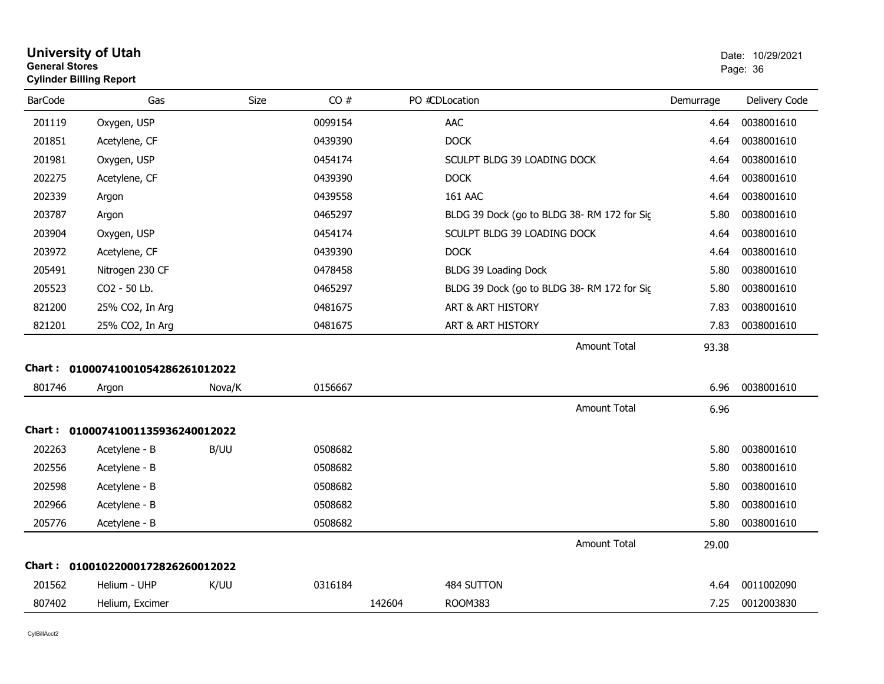| General Stores<br><b>Cylinder Billing Report</b> |                                   |        |         |        |                                            |           | Page: 36      |  |
|--------------------------------------------------|-----------------------------------|--------|---------|--------|--------------------------------------------|-----------|---------------|--|
| <b>BarCode</b>                                   | Gas                               | Size   | CO#     |        | PO #CDLocation                             | Demurrage | Delivery Code |  |
| 201119                                           | Oxygen, USP                       |        | 0099154 |        | <b>AAC</b>                                 | 4.64      | 0038001610    |  |
| 201851                                           | Acetylene, CF                     |        | 0439390 |        | <b>DOCK</b>                                | 4.64      | 0038001610    |  |
| 201981                                           | Oxygen, USP                       |        | 0454174 |        | SCULPT BLDG 39 LOADING DOCK                | 4.64      | 0038001610    |  |
| 202275                                           | Acetylene, CF                     |        | 0439390 |        | <b>DOCK</b>                                | 4.64      | 0038001610    |  |
| 202339                                           | Argon                             |        | 0439558 |        | <b>161 AAC</b>                             | 4.64      | 0038001610    |  |
| 203787                                           | Argon                             |        | 0465297 |        | BLDG 39 Dock (go to BLDG 38-RM 172 for Sig | 5.80      | 0038001610    |  |
| 203904                                           | Oxygen, USP                       |        | 0454174 |        | SCULPT BLDG 39 LOADING DOCK                | 4.64      | 0038001610    |  |
| 203972                                           | Acetylene, CF                     |        | 0439390 |        | <b>DOCK</b>                                | 4.64      | 0038001610    |  |
| 205491                                           | Nitrogen 230 CF                   |        | 0478458 |        | BLDG 39 Loading Dock                       | 5.80      | 0038001610    |  |
| 205523                                           | CO2 - 50 Lb.                      |        | 0465297 |        | BLDG 39 Dock (go to BLDG 38-RM 172 for Sic | 5.80      | 0038001610    |  |
| 821200                                           | 25% CO2, In Arg                   |        | 0481675 |        | ART & ART HISTORY                          | 7.83      | 0038001610    |  |
| 821201                                           | 25% CO2, In Arg                   |        | 0481675 |        | ART & ART HISTORY                          | 7.83      | 0038001610    |  |
|                                                  |                                   |        |         |        | <b>Amount Total</b>                        | 93.38     |               |  |
|                                                  | Chart: 01000741001054286261012022 |        |         |        |                                            |           |               |  |
| 801746                                           | Argon                             | Nova/K | 0156667 |        |                                            | 6.96      | 0038001610    |  |
|                                                  |                                   |        |         |        | Amount Total                               | 6.96      |               |  |
|                                                  | Chart: 01000741001135936240012022 |        |         |        |                                            |           |               |  |
| 202263                                           | Acetylene - B                     | B/UU   | 0508682 |        |                                            | 5.80      | 0038001610    |  |
| 202556                                           | Acetylene - B                     |        | 0508682 |        |                                            | 5.80      | 0038001610    |  |
| 202598                                           | Acetylene - B                     |        | 0508682 |        |                                            | 5.80      | 0038001610    |  |
| 202966                                           | Acetylene - B                     |        | 0508682 |        |                                            | 5.80      | 0038001610    |  |
| 205776                                           | Acetylene - B                     |        | 0508682 |        |                                            | 5.80      | 0038001610    |  |
|                                                  |                                   |        |         |        | <b>Amount Total</b>                        | 29.00     |               |  |
|                                                  | Chart: 01001022000172826260012022 |        |         |        |                                            |           |               |  |
| 201562                                           | Helium - UHP                      | K/UU   | 0316184 |        | 484 SUTTON                                 | 4.64      | 0011002090    |  |
| 807402                                           | Helium, Excimer                   |        |         | 142604 | <b>ROOM383</b>                             | 7.25      | 0012003830    |  |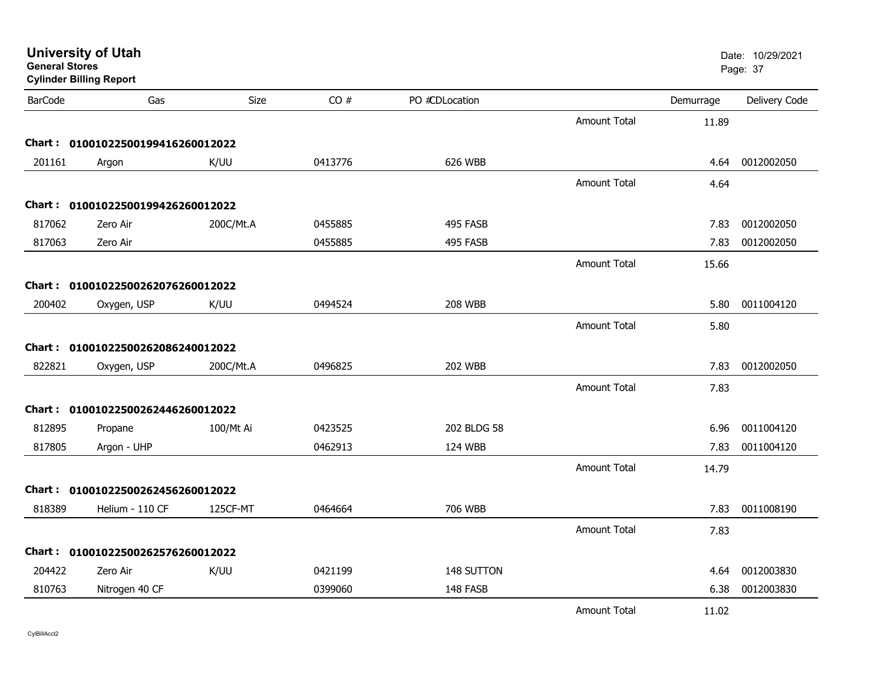| <b>General Stores</b><br><b>Cylinder Billing Report</b> |                                   |           |         |                |                     |           | Page: 37      |
|---------------------------------------------------------|-----------------------------------|-----------|---------|----------------|---------------------|-----------|---------------|
| <b>BarCode</b>                                          | Gas                               | Size      | CO#     | PO #CDLocation |                     | Demurrage | Delivery Code |
|                                                         |                                   |           |         |                | <b>Amount Total</b> | 11.89     |               |
|                                                         | Chart: 01001022500199416260012022 |           |         |                |                     |           |               |
| 201161                                                  | Argon                             | K/UU      | 0413776 | 626 WBB        |                     | 4.64      | 0012002050    |
|                                                         |                                   |           |         |                | <b>Amount Total</b> | 4.64      |               |
|                                                         | Chart: 01001022500199426260012022 |           |         |                |                     |           |               |
| 817062                                                  | Zero Air                          | 200C/Mt.A | 0455885 | 495 FASB       |                     | 7.83      | 0012002050    |
| 817063                                                  | Zero Air                          |           | 0455885 | 495 FASB       |                     | 7.83      | 0012002050    |
|                                                         |                                   |           |         |                | <b>Amount Total</b> | 15.66     |               |
|                                                         | Chart: 01001022500262076260012022 |           |         |                |                     |           |               |
| 200402                                                  | Oxygen, USP                       | K/UU      | 0494524 | <b>208 WBB</b> |                     | 5.80      | 0011004120    |
|                                                         |                                   |           |         |                | Amount Total        | 5.80      |               |
|                                                         | Chart: 01001022500262086240012022 |           |         |                |                     |           |               |
| 822821                                                  | Oxygen, USP                       | 200C/Mt.A | 0496825 | <b>202 WBB</b> |                     | 7.83      | 0012002050    |
|                                                         |                                   |           |         |                | <b>Amount Total</b> | 7.83      |               |
|                                                         | Chart: 01001022500262446260012022 |           |         |                |                     |           |               |
| 812895                                                  | Propane                           | 100/Mt Ai | 0423525 | 202 BLDG 58    |                     | 6.96      | 0011004120    |
| 817805                                                  | Argon - UHP                       |           | 0462913 | 124 WBB        |                     | 7.83      | 0011004120    |
|                                                         |                                   |           |         |                | <b>Amount Total</b> | 14.79     |               |
|                                                         | Chart: 01001022500262456260012022 |           |         |                |                     |           |               |
| 818389                                                  | Helium - 110 CF                   | 125CF-MT  | 0464664 | 706 WBB        |                     | 7.83      | 0011008190    |
|                                                         |                                   |           |         |                | Amount Total        | 7.83      |               |
|                                                         | Chart: 01001022500262576260012022 |           |         |                |                     |           |               |
| 204422                                                  | Zero Air                          | K/UU      | 0421199 | 148 SUTTON     |                     | 4.64      | 0012003830    |
| 810763                                                  | Nitrogen 40 CF                    |           | 0399060 | 148 FASB       |                     | 6.38      | 0012003830    |
|                                                         |                                   |           |         |                | <b>Amount Total</b> | 11.02     |               |

**University of Utah** Date: 10/29/2021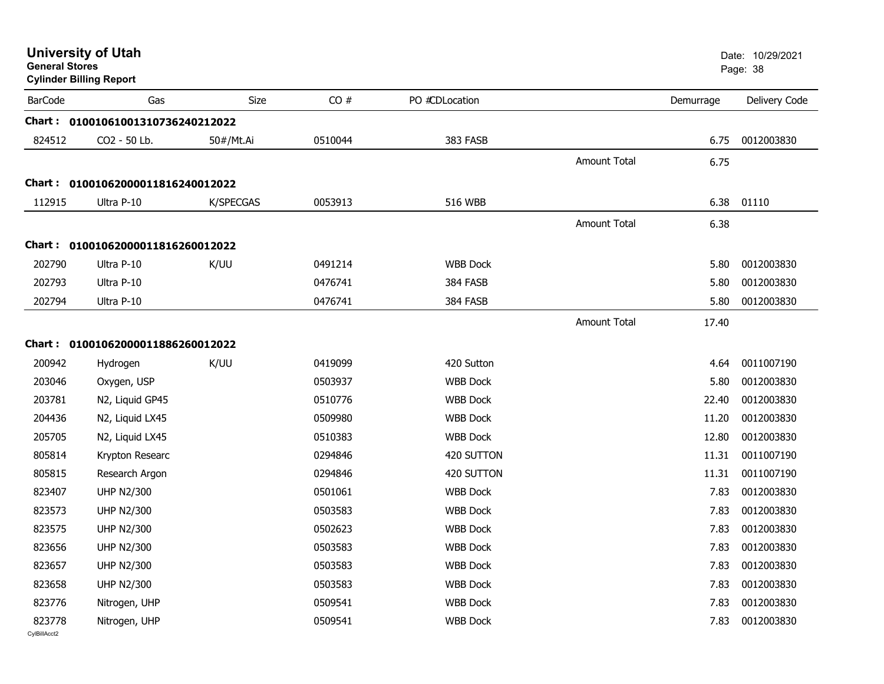| <b>General Stores</b>  | <b>University of Utah</b><br><b>Cylinder Billing Report</b> |                  |         |                 |                     |           | Date: 10/29/2021<br>Page: 38 |
|------------------------|-------------------------------------------------------------|------------------|---------|-----------------|---------------------|-----------|------------------------------|
| <b>BarCode</b>         | Gas                                                         | Size             | CO#     | PO #CDLocation  |                     | Demurrage | Delivery Code                |
|                        | Chart: 01001061001310736240212022                           |                  |         |                 |                     |           |                              |
| 824512                 | CO2 - 50 Lb.                                                | 50#/Mt.Ai        | 0510044 | 383 FASB        |                     | 6.75      | 0012003830                   |
|                        |                                                             |                  |         |                 | <b>Amount Total</b> | 6.75      |                              |
|                        | Chart: 01001062000011816240012022                           |                  |         |                 |                     |           |                              |
| 112915                 | Ultra P-10                                                  | <b>K/SPECGAS</b> | 0053913 | <b>516 WBB</b>  |                     | 6.38      | 01110                        |
|                        |                                                             |                  |         |                 | <b>Amount Total</b> | 6.38      |                              |
|                        | Chart: 01001062000011816260012022                           |                  |         |                 |                     |           |                              |
| 202790                 | Ultra P-10                                                  | K/UU             | 0491214 | <b>WBB Dock</b> |                     | 5.80      | 0012003830                   |
| 202793                 | Ultra P-10                                                  |                  | 0476741 | 384 FASB        |                     | 5.80      | 0012003830                   |
| 202794                 | Ultra P-10                                                  |                  | 0476741 | 384 FASB        |                     | 5.80      | 0012003830                   |
|                        |                                                             |                  |         |                 | <b>Amount Total</b> | 17.40     |                              |
|                        | Chart: 01001062000011886260012022                           |                  |         |                 |                     |           |                              |
| 200942                 | Hydrogen                                                    | K/UU             | 0419099 | 420 Sutton      |                     | 4.64      | 0011007190                   |
| 203046                 | Oxygen, USP                                                 |                  | 0503937 | <b>WBB Dock</b> |                     | 5.80      | 0012003830                   |
| 203781                 | N2, Liquid GP45                                             |                  | 0510776 | <b>WBB Dock</b> |                     | 22.40     | 0012003830                   |
| 204436                 | N2, Liquid LX45                                             |                  | 0509980 | <b>WBB Dock</b> |                     | 11.20     | 0012003830                   |
| 205705                 | N2, Liquid LX45                                             |                  | 0510383 | <b>WBB Dock</b> |                     | 12.80     | 0012003830                   |
| 805814                 | Krypton Researc                                             |                  | 0294846 | 420 SUTTON      |                     | 11.31     | 0011007190                   |
| 805815                 | Research Argon                                              |                  | 0294846 | 420 SUTTON      |                     | 11.31     | 0011007190                   |
| 823407                 | <b>UHP N2/300</b>                                           |                  | 0501061 | <b>WBB Dock</b> |                     | 7.83      | 0012003830                   |
| 823573                 | <b>UHP N2/300</b>                                           |                  | 0503583 | <b>WBB Dock</b> |                     | 7.83      | 0012003830                   |
| 823575                 | <b>UHP N2/300</b>                                           |                  | 0502623 | <b>WBB Dock</b> |                     | 7.83      | 0012003830                   |
| 823656                 | <b>UHP N2/300</b>                                           |                  | 0503583 | <b>WBB Dock</b> |                     | 7.83      | 0012003830                   |
| 823657                 | <b>UHP N2/300</b>                                           |                  | 0503583 | <b>WBB Dock</b> |                     | 7.83      | 0012003830                   |
| 823658                 | <b>UHP N2/300</b>                                           |                  | 0503583 | <b>WBB Dock</b> |                     | 7.83      | 0012003830                   |
| 823776                 | Nitrogen, UHP                                               |                  | 0509541 | <b>WBB Dock</b> |                     | 7.83      | 0012003830                   |
| 823778<br>CvIBillAcct2 | Nitrogen, UHP                                               |                  | 0509541 | <b>WBB Dock</b> |                     | 7.83      | 0012003830                   |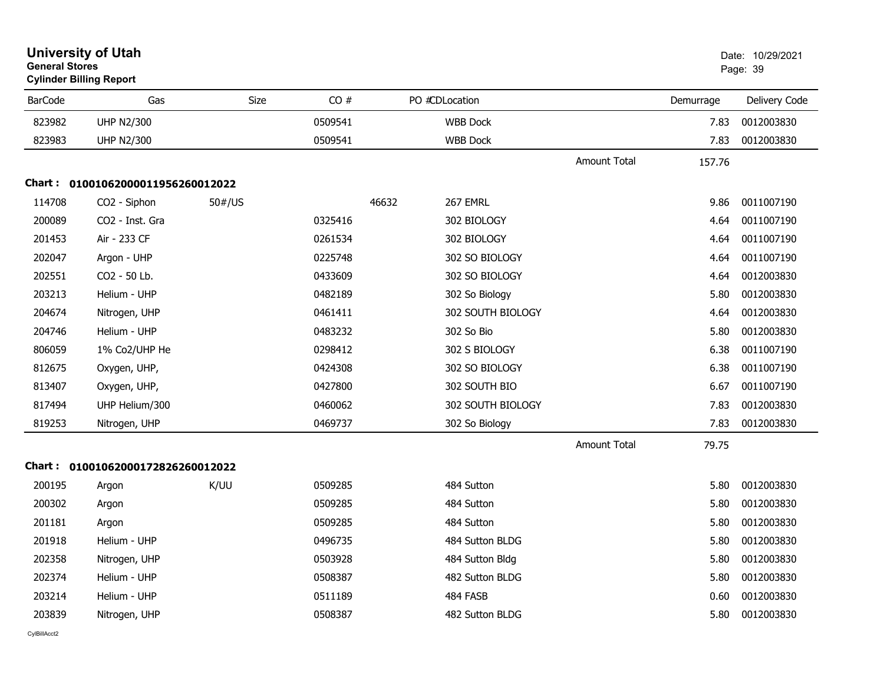| <b>General Stores</b> | <b>University of Utah</b><br><b>Cylinder Billing Report</b> |             |         |                   |                     |           | Date: 10/29/2021<br>Page: 39 |
|-----------------------|-------------------------------------------------------------|-------------|---------|-------------------|---------------------|-----------|------------------------------|
| <b>BarCode</b>        | Gas                                                         | <b>Size</b> | CO#     | PO #CDLocation    |                     | Demurrage | Delivery Code                |
| 823982                | <b>UHP N2/300</b>                                           |             | 0509541 | <b>WBB Dock</b>   |                     | 7.83      | 0012003830                   |
| 823983                | <b>UHP N2/300</b>                                           |             | 0509541 | <b>WBB Dock</b>   |                     | 7.83      | 0012003830                   |
|                       |                                                             |             |         |                   | <b>Amount Total</b> | 157.76    |                              |
|                       | Chart: 01001062000011956260012022                           |             |         |                   |                     |           |                              |
| 114708                | CO2 - Siphon                                                | 50#/US      |         | 46632<br>267 EMRL |                     | 9.86      | 0011007190                   |
| 200089                | CO <sub>2</sub> - Inst. Gra                                 |             | 0325416 | 302 BIOLOGY       |                     | 4.64      | 0011007190                   |
| 201453                | Air - 233 CF                                                |             | 0261534 | 302 BIOLOGY       |                     | 4.64      | 0011007190                   |
| 202047                | Argon - UHP                                                 |             | 0225748 | 302 SO BIOLOGY    |                     | 4.64      | 0011007190                   |
| 202551                | CO2 - 50 Lb.                                                |             | 0433609 | 302 SO BIOLOGY    |                     | 4.64      | 0012003830                   |
| 203213                | Helium - UHP                                                |             | 0482189 | 302 So Biology    |                     | 5.80      | 0012003830                   |
| 204674                | Nitrogen, UHP                                               |             | 0461411 | 302 SOUTH BIOLOGY |                     | 4.64      | 0012003830                   |
| 204746                | Helium - UHP                                                |             | 0483232 | 302 So Bio        |                     | 5.80      | 0012003830                   |
| 806059                | 1% Co2/UHP He                                               |             | 0298412 | 302 S BIOLOGY     |                     | 6.38      | 0011007190                   |
| 812675                | Oxygen, UHP,                                                |             | 0424308 | 302 SO BIOLOGY    |                     | 6.38      | 0011007190                   |
| 813407                | Oxygen, UHP,                                                |             | 0427800 | 302 SOUTH BIO     |                     | 6.67      | 0011007190                   |
| 817494                | UHP Helium/300                                              |             | 0460062 | 302 SOUTH BIOLOGY |                     | 7.83      | 0012003830                   |
| 819253                | Nitrogen, UHP                                               |             | 0469737 | 302 So Biology    |                     | 7.83      | 0012003830                   |
|                       |                                                             |             |         |                   | <b>Amount Total</b> | 79.75     |                              |
|                       | Chart: 01001062000172826260012022                           |             |         |                   |                     |           |                              |
| 200195                | Argon                                                       | K/UU        | 0509285 | 484 Sutton        |                     | 5.80      | 0012003830                   |
| 200302                | Argon                                                       |             | 0509285 | 484 Sutton        |                     | 5.80      | 0012003830                   |
| 201181                | Argon                                                       |             | 0509285 | 484 Sutton        |                     | 5.80      | 0012003830                   |
| 201918                | Helium - UHP                                                |             | 0496735 | 484 Sutton BLDG   |                     | 5.80      | 0012003830                   |
| 202358                | Nitrogen, UHP                                               |             | 0503928 | 484 Sutton Bldg   |                     | 5.80      | 0012003830                   |
| 202374                | Helium - UHP                                                |             | 0508387 | 482 Sutton BLDG   |                     | 5.80      | 0012003830                   |
| 203214                | Helium - UHP                                                |             | 0511189 | 484 FASB          |                     | 0.60      | 0012003830                   |
| 203839                | Nitrogen, UHP                                               |             | 0508387 | 482 Sutton BLDG   |                     | 5.80      | 0012003830                   |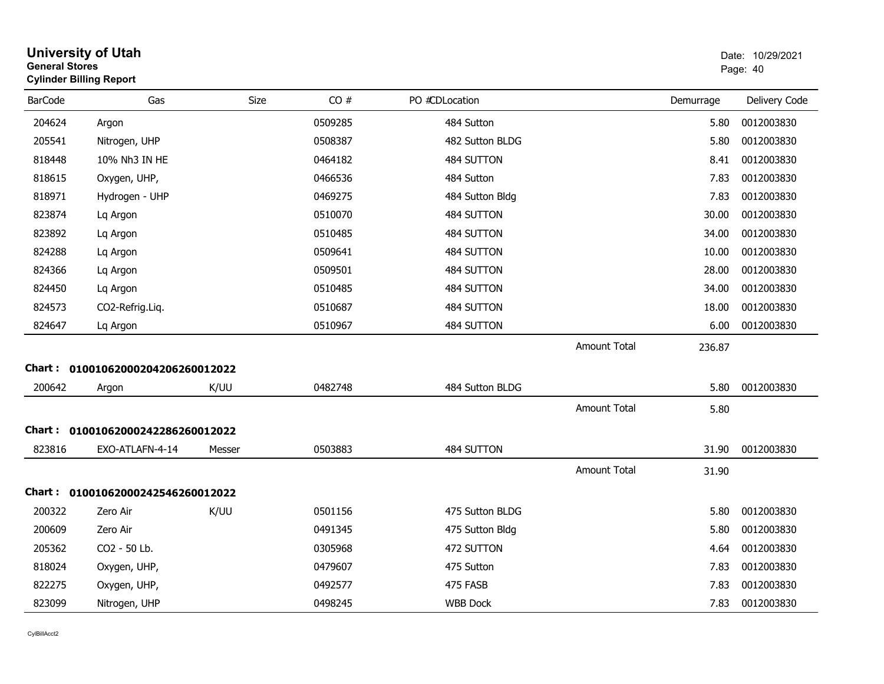| <b>General Stores</b> | <b>University of Utah</b><br><b>Cylinder Billing Report</b> |        |         |                 |                     |           | Date: 10/29/2021<br>Page: 40 |
|-----------------------|-------------------------------------------------------------|--------|---------|-----------------|---------------------|-----------|------------------------------|
| <b>BarCode</b>        | Gas                                                         | Size   | CO#     | PO #CDLocation  |                     | Demurrage | Delivery Code                |
| 204624                | Argon                                                       |        | 0509285 | 484 Sutton      |                     | 5.80      | 0012003830                   |
| 205541                | Nitrogen, UHP                                               |        | 0508387 | 482 Sutton BLDG |                     | 5.80      | 0012003830                   |
| 818448                | 10% Nh3 IN HE                                               |        | 0464182 | 484 SUTTON      |                     | 8.41      | 0012003830                   |
| 818615                | Oxygen, UHP,                                                |        | 0466536 | 484 Sutton      |                     | 7.83      | 0012003830                   |
| 818971                | Hydrogen - UHP                                              |        | 0469275 | 484 Sutton Bldg |                     | 7.83      | 0012003830                   |
| 823874                | Lq Argon                                                    |        | 0510070 | 484 SUTTON      |                     | 30.00     | 0012003830                   |
| 823892                | Lq Argon                                                    |        | 0510485 | 484 SUTTON      |                     | 34.00     | 0012003830                   |
| 824288                | Lq Argon                                                    |        | 0509641 | 484 SUTTON      |                     | 10.00     | 0012003830                   |
| 824366                | Lq Argon                                                    |        | 0509501 | 484 SUTTON      |                     | 28.00     | 0012003830                   |
| 824450                | Lq Argon                                                    |        | 0510485 | 484 SUTTON      |                     | 34.00     | 0012003830                   |
| 824573                | CO2-Refrig.Liq.                                             |        | 0510687 | 484 SUTTON      |                     | 18.00     | 0012003830                   |
| 824647                | Lg Argon                                                    |        | 0510967 | 484 SUTTON      |                     | 6.00      | 0012003830                   |
|                       |                                                             |        |         |                 | Amount Total        | 236.87    |                              |
|                       | Chart: 01001062000204206260012022                           |        |         |                 |                     |           |                              |
| 200642                | Argon                                                       | K/UU   | 0482748 | 484 Sutton BLDG |                     | 5.80      | 0012003830                   |
|                       |                                                             |        |         |                 | <b>Amount Total</b> | 5.80      |                              |
|                       | Chart: 01001062000242286260012022                           |        |         |                 |                     |           |                              |
| 823816                | EXO-ATLAFN-4-14                                             | Messer | 0503883 | 484 SUTTON      |                     | 31.90     | 0012003830                   |
|                       |                                                             |        |         |                 | <b>Amount Total</b> | 31.90     |                              |
|                       | Chart: 01001062000242546260012022                           |        |         |                 |                     |           |                              |
| 200322                | Zero Air                                                    | K/UU   | 0501156 | 475 Sutton BLDG |                     | 5.80      | 0012003830                   |
| 200609                | Zero Air                                                    |        | 0491345 | 475 Sutton Bldg |                     | 5.80      | 0012003830                   |
| 205362                | CO2 - 50 Lb.                                                |        | 0305968 | 472 SUTTON      |                     | 4.64      | 0012003830                   |
| 818024                | Oxygen, UHP,                                                |        | 0479607 | 475 Sutton      |                     | 7.83      | 0012003830                   |
| 822275                | Oxygen, UHP,                                                |        | 0492577 | 475 FASB        |                     | 7.83      | 0012003830                   |
| 823099                | Nitrogen, UHP                                               |        | 0498245 | <b>WBB Dock</b> |                     | 7.83      | 0012003830                   |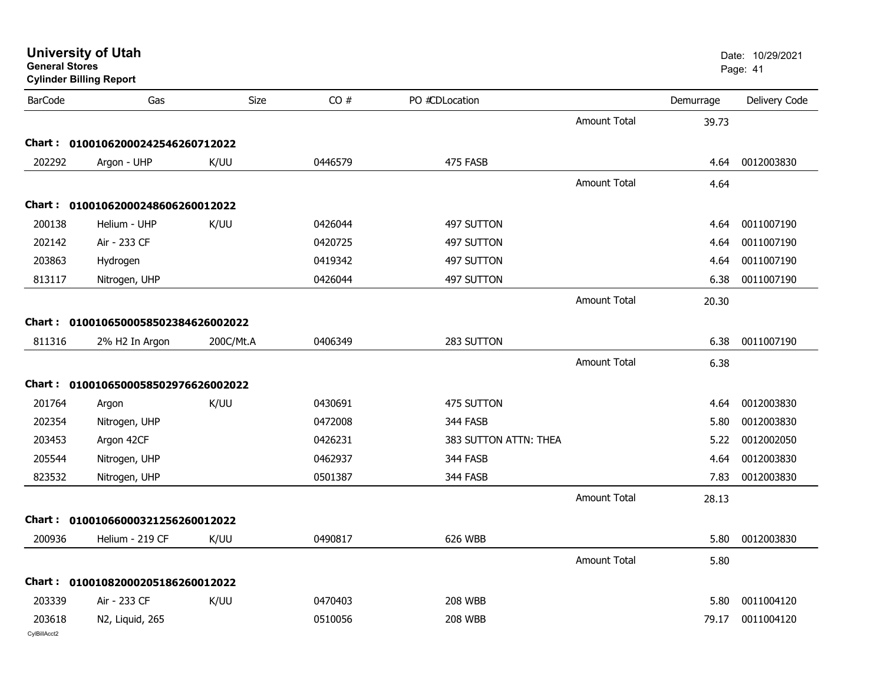|                | <b>Cylinder Billing Report</b>      |           |         |                       |                     |           | Page: 41      |
|----------------|-------------------------------------|-----------|---------|-----------------------|---------------------|-----------|---------------|
| <b>BarCode</b> | Gas                                 | Size      | CO#     | PO #CDLocation        |                     | Demurrage | Delivery Code |
|                |                                     |           |         |                       | Amount Total        | 39.73     |               |
|                | Chart: 01001062000242546260712022   |           |         |                       |                     |           |               |
| 202292         | Argon - UHP                         | K/UU      | 0446579 | 475 FASB              |                     | 4.64      | 0012003830    |
|                |                                     |           |         |                       | Amount Total        | 4.64      |               |
|                | Chart: 01001062000248606260012022   |           |         |                       |                     |           |               |
| 200138         | Helium - UHP                        | K/UU      | 0426044 | 497 SUTTON            |                     | 4.64      | 0011007190    |
| 202142         | Air - 233 CF                        |           | 0420725 | 497 SUTTON            |                     | 4.64      | 0011007190    |
| 203863         | Hydrogen                            |           | 0419342 | 497 SUTTON            |                     | 4.64      | 0011007190    |
| 813117         | Nitrogen, UHP                       |           | 0426044 | 497 SUTTON            |                     | 6.38      | 0011007190    |
|                |                                     |           |         |                       | <b>Amount Total</b> | 20.30     |               |
|                | Chart: 0100106500058502384626002022 |           |         |                       |                     |           |               |
| 811316         | 2% H2 In Argon                      | 200C/Mt.A | 0406349 | 283 SUTTON            |                     | 6.38      | 0011007190    |
|                |                                     |           |         |                       | <b>Amount Total</b> | 6.38      |               |
|                |                                     |           |         |                       |                     |           |               |
|                | Chart: 0100106500058502976626002022 |           |         |                       |                     |           |               |
| 201764         | Argon                               | K/UU      | 0430691 | 475 SUTTON            |                     | 4.64      | 0012003830    |
| 202354         | Nitrogen, UHP                       |           | 0472008 | 344 FASB              |                     | 5.80      | 0012003830    |
| 203453         | Argon 42CF                          |           | 0426231 | 383 SUTTON ATTN: THEA |                     | 5.22      | 0012002050    |
| 205544         | Nitrogen, UHP                       |           | 0462937 | 344 FASB              |                     | 4.64      | 0012003830    |
| 823532         | Nitrogen, UHP                       |           | 0501387 | 344 FASB              |                     | 7.83      | 0012003830    |
|                |                                     |           |         |                       | <b>Amount Total</b> | 28.13     |               |
|                | Chart: 01001066000321256260012022   |           |         |                       |                     |           |               |
| 200936         | Helium - 219 CF                     | K/UU      | 0490817 | 626 WBB               |                     | 5.80      | 0012003830    |
|                |                                     |           |         |                       | <b>Amount Total</b> | 5.80      |               |
|                | Chart: 01001082000205186260012022   |           |         |                       |                     |           |               |
| 203339         | Air - 233 CF                        | K/UU      | 0470403 | <b>208 WBB</b>        |                     | 5.80      | 0011004120    |
| 203618         | N2, Liquid, 265                     |           | 0510056 | <b>208 WBB</b>        |                     | 79.17     | 0011004120    |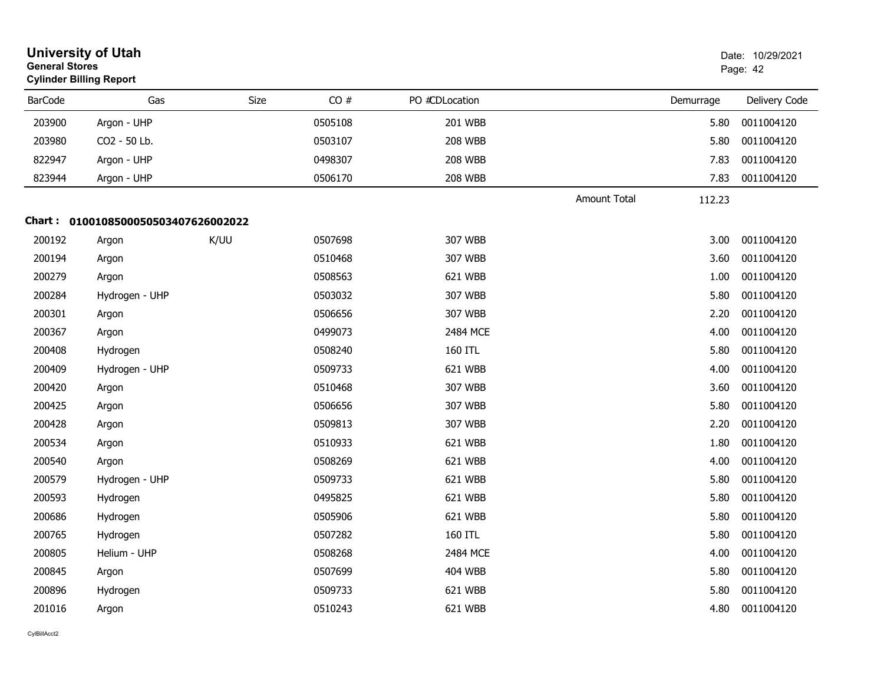|                | <b>University of Utah</b><br><b>General Stores</b><br><b>Cylinder Billing Report</b> |      |         |                |                     | Date: 10/29/2021<br>Page: 42 |               |
|----------------|--------------------------------------------------------------------------------------|------|---------|----------------|---------------------|------------------------------|---------------|
| <b>BarCode</b> | Gas                                                                                  | Size | CO#     | PO #CDLocation |                     | Demurrage                    | Delivery Code |
| 203900         | Argon - UHP                                                                          |      | 0505108 | 201 WBB        |                     | 5.80                         | 0011004120    |
| 203980         | CO2 - 50 Lb.                                                                         |      | 0503107 | <b>208 WBB</b> |                     | 5.80                         | 0011004120    |
| 822947         | Argon - UHP                                                                          |      | 0498307 | <b>208 WBB</b> |                     | 7.83                         | 0011004120    |
| 823944         | Argon - UHP                                                                          |      | 0506170 | <b>208 WBB</b> |                     | 7.83                         | 0011004120    |
|                |                                                                                      |      |         |                | <b>Amount Total</b> | 112.23                       |               |
|                | Chart: 0100108500050503407626002022                                                  |      |         |                |                     |                              |               |
| 200192         | Argon                                                                                | K/UU | 0507698 | 307 WBB        |                     | 3.00                         | 0011004120    |
| 200194         | Argon                                                                                |      | 0510468 | 307 WBB        |                     | 3.60                         | 0011004120    |
| 200279         | Argon                                                                                |      | 0508563 | 621 WBB        |                     | 1.00                         | 0011004120    |
| 200284         | Hydrogen - UHP                                                                       |      | 0503032 | 307 WBB        |                     | 5.80                         | 0011004120    |
| 200301         | Argon                                                                                |      | 0506656 | 307 WBB        |                     | 2.20                         | 0011004120    |
| 200367         | Argon                                                                                |      | 0499073 | 2484 MCE       |                     | 4.00                         | 0011004120    |
| 200408         | Hydrogen                                                                             |      | 0508240 | <b>160 ITL</b> |                     | 5.80                         | 0011004120    |
| 200409         | Hydrogen - UHP                                                                       |      | 0509733 | 621 WBB        |                     | 4.00                         | 0011004120    |
| 200420         | Argon                                                                                |      | 0510468 | 307 WBB        |                     | 3.60                         | 0011004120    |
| 200425         | Argon                                                                                |      | 0506656 | 307 WBB        |                     | 5.80                         | 0011004120    |
| 200428         | Argon                                                                                |      | 0509813 | 307 WBB        |                     | 2.20                         | 0011004120    |
| 200534         | Argon                                                                                |      | 0510933 | 621 WBB        |                     | 1.80                         | 0011004120    |
| 200540         | Argon                                                                                |      | 0508269 | 621 WBB        |                     | 4.00                         | 0011004120    |
| 200579         | Hydrogen - UHP                                                                       |      | 0509733 | 621 WBB        |                     | 5.80                         | 0011004120    |
| 200593         | Hydrogen                                                                             |      | 0495825 | 621 WBB        |                     | 5.80                         | 0011004120    |
| 200686         | Hydrogen                                                                             |      | 0505906 | 621 WBB        |                     | 5.80                         | 0011004120    |
| 200765         | Hydrogen                                                                             |      | 0507282 | 160 ITL        |                     | 5.80                         | 0011004120    |
| 200805         | Helium - UHP                                                                         |      | 0508268 | 2484 MCE       |                     | 4.00                         | 0011004120    |
| 200845         | Argon                                                                                |      | 0507699 | <b>404 WBB</b> |                     | 5.80                         | 0011004120    |
| 200896         | Hydrogen                                                                             |      | 0509733 | 621 WBB        |                     | 5.80                         | 0011004120    |
| 201016         | Argon                                                                                |      | 0510243 | 621 WBB        |                     | 4.80                         | 0011004120    |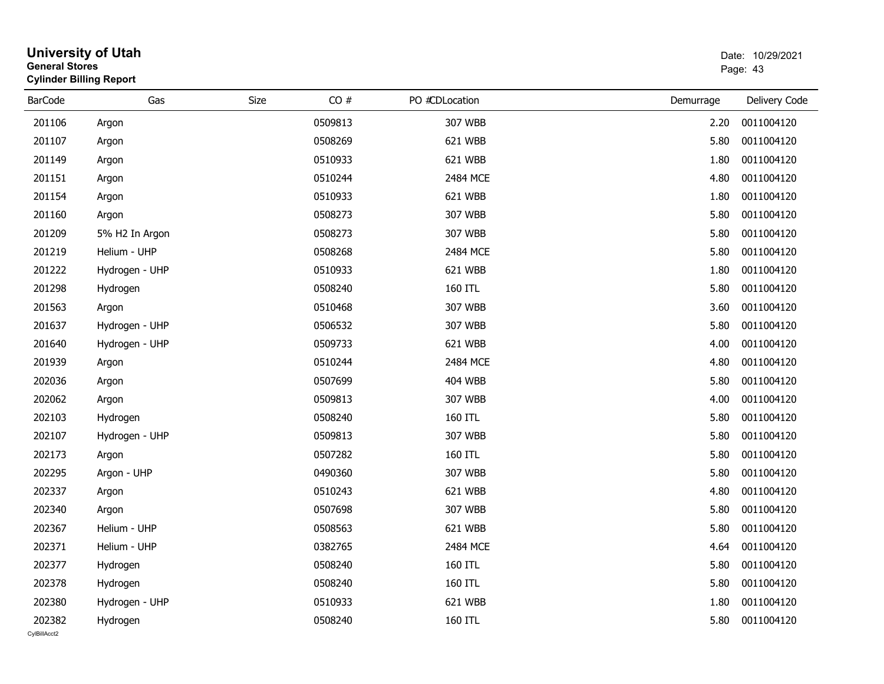| <b>General Stores</b>  | <b>University of Utah</b><br><b>Cylinder Billing Report</b> |      |         |                | Date: 10/29/2021<br>Page: 43 |                 |
|------------------------|-------------------------------------------------------------|------|---------|----------------|------------------------------|-----------------|
| <b>BarCode</b>         | Gas                                                         | Size | CO#     | PO #CDLocation | Demurrage                    | Delivery Code   |
| 201106                 | Argon                                                       |      | 0509813 | 307 WBB        | 2.20                         | 0011004120      |
| 201107                 | Argon                                                       |      | 0508269 | 621 WBB        | 5.80                         | 0011004120      |
| 201149                 | Argon                                                       |      | 0510933 | 621 WBB        | 1.80                         | 0011004120      |
| 201151                 | Argon                                                       |      | 0510244 | 2484 MCE       | 4.80                         | 0011004120      |
| 201154                 | Argon                                                       |      | 0510933 | 621 WBB        | 1.80                         | 0011004120      |
| 201160                 | Argon                                                       |      | 0508273 | 307 WBB        | 5.80                         | 0011004120      |
| 201209                 | 5% H2 In Argon                                              |      | 0508273 | 307 WBB        | 5.80                         | 0011004120      |
| 201219                 | Helium - UHP                                                |      | 0508268 | 2484 MCE       | 5.80                         | 0011004120      |
| 201222                 | Hydrogen - UHP                                              |      | 0510933 | 621 WBB        | 1.80                         | 0011004120      |
| 201298                 | Hydrogen                                                    |      | 0508240 | 160 ITL        | 5.80                         | 0011004120      |
| 201563                 | Argon                                                       |      | 0510468 | 307 WBB        | 3.60                         | 0011004120      |
| 201637                 | Hydrogen - UHP                                              |      | 0506532 | 307 WBB        | 5.80                         | 0011004120      |
| 201640                 | Hydrogen - UHP                                              |      | 0509733 | 621 WBB        | 4.00                         | 0011004120      |
| 201939                 | Argon                                                       |      | 0510244 | 2484 MCE       | 4.80                         | 0011004120      |
| 202036                 | Argon                                                       |      | 0507699 | <b>404 WBB</b> | 5.80                         | 0011004120      |
| 202062                 | Argon                                                       |      | 0509813 | 307 WBB        | 4.00                         | 0011004120      |
| 202103                 | Hydrogen                                                    |      | 0508240 | 160 ITL        | 5.80                         | 0011004120      |
| 202107                 | Hydrogen - UHP                                              |      | 0509813 | 307 WBB        | 5.80                         | 0011004120      |
| 202173                 | Argon                                                       |      | 0507282 | 160 ITL        | 5.80                         | 0011004120      |
| 202295                 | Argon - UHP                                                 |      | 0490360 | 307 WBB        | 5.80                         | 0011004120      |
| 202337                 | Argon                                                       |      | 0510243 | 621 WBB        | 4.80                         | 0011004120      |
| 202340                 | Argon                                                       |      | 0507698 | 307 WBB        | 5.80                         | 0011004120      |
| 202367                 | Helium - UHP                                                |      | 0508563 | 621 WBB        | 5.80                         | 0011004120      |
| 202371                 | Helium - UHP                                                |      | 0382765 | 2484 MCE       |                              | 4.64 0011004120 |
| 202377                 | Hydrogen                                                    |      | 0508240 | 160 ITL        | 5.80                         | 0011004120      |
| 202378                 | Hydrogen                                                    |      | 0508240 | 160 ITL        | 5.80                         | 0011004120      |
| 202380                 | Hydrogen - UHP                                              |      | 0510933 | 621 WBB        | 1.80                         | 0011004120      |
| 202382<br>CvIBillAcct2 | Hydrogen                                                    |      | 0508240 | 160 ITL        | 5.80                         | 0011004120      |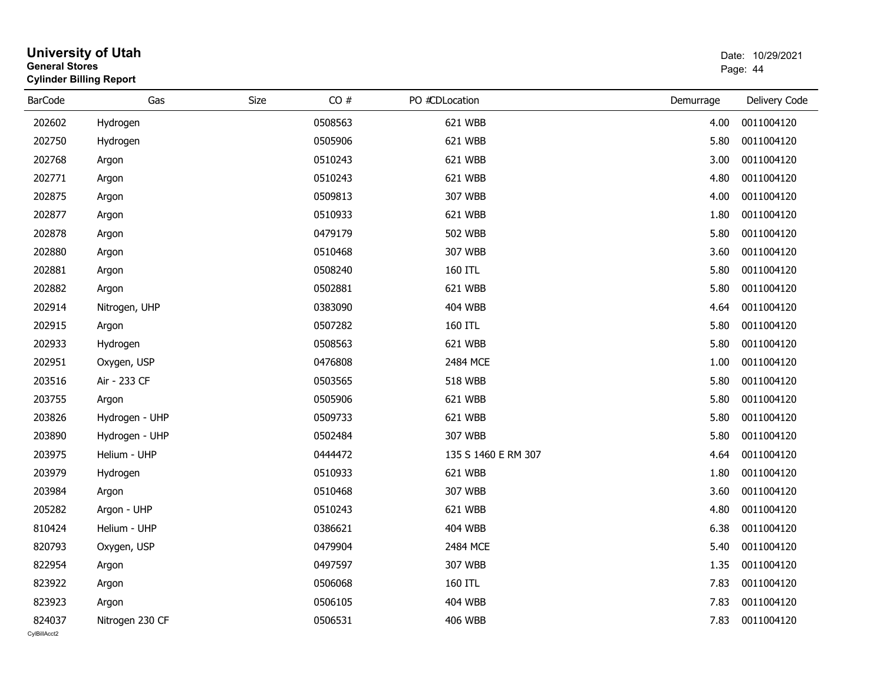| <b>General Stores</b> | <b>Cylinder Billing Report</b><br>PO #CDLocation |      |         |  |                     | Page: 44  |               |  |  |
|-----------------------|--------------------------------------------------|------|---------|--|---------------------|-----------|---------------|--|--|
| <b>BarCode</b>        | Gas                                              | Size | CO#     |  |                     | Demurrage | Delivery Code |  |  |
| 202602                | Hydrogen                                         |      | 0508563 |  | 621 WBB             | 4.00      | 0011004120    |  |  |
| 202750                | Hydrogen                                         |      | 0505906 |  | 621 WBB             | 5.80      | 0011004120    |  |  |
| 202768                | Argon                                            |      | 0510243 |  | 621 WBB             | 3.00      | 0011004120    |  |  |
| 202771                | Argon                                            |      | 0510243 |  | 621 WBB             | 4.80      | 0011004120    |  |  |
| 202875                | Argon                                            |      | 0509813 |  | 307 WBB             | 4.00      | 0011004120    |  |  |
| 202877                | Argon                                            |      | 0510933 |  | 621 WBB             | 1.80      | 0011004120    |  |  |
| 202878                | Argon                                            |      | 0479179 |  | <b>502 WBB</b>      | 5.80      | 0011004120    |  |  |
| 202880                | Argon                                            |      | 0510468 |  | 307 WBB             | 3.60      | 0011004120    |  |  |
| 202881                | Argon                                            |      | 0508240 |  | 160 ITL             | 5.80      | 0011004120    |  |  |
| 202882                | Argon                                            |      | 0502881 |  | 621 WBB             | 5.80      | 0011004120    |  |  |
| 202914                | Nitrogen, UHP                                    |      | 0383090 |  | <b>404 WBB</b>      | 4.64      | 0011004120    |  |  |
| 202915                | Argon                                            |      | 0507282 |  | 160 ITL             | 5.80      | 0011004120    |  |  |
| 202933                | Hydrogen                                         |      | 0508563 |  | 621 WBB             | 5.80      | 0011004120    |  |  |
| 202951                | Oxygen, USP                                      |      | 0476808 |  | 2484 MCE            | 1.00      | 0011004120    |  |  |
| 203516                | Air - 233 CF                                     |      | 0503565 |  | <b>518 WBB</b>      | 5.80      | 0011004120    |  |  |
| 203755                | Argon                                            |      | 0505906 |  | 621 WBB             | 5.80      | 0011004120    |  |  |
| 203826                | Hydrogen - UHP                                   |      | 0509733 |  | 621 WBB             | 5.80      | 0011004120    |  |  |
| 203890                | Hydrogen - UHP                                   |      | 0502484 |  | 307 WBB             | 5.80      | 0011004120    |  |  |
| 203975                | Helium - UHP                                     |      | 0444472 |  | 135 S 1460 E RM 307 | 4.64      | 0011004120    |  |  |
| 203979                | Hydrogen                                         |      | 0510933 |  | 621 WBB             | 1.80      | 0011004120    |  |  |
| 203984                | Argon                                            |      | 0510468 |  | 307 WBB             | 3.60      | 0011004120    |  |  |
| 205282                | Argon - UHP                                      |      | 0510243 |  | 621 WBB             | 4.80      | 0011004120    |  |  |
| 810424                | Helium - UHP                                     |      | 0386621 |  | <b>404 WBB</b>      | 6.38      | 0011004120    |  |  |
| 820793                | Oxygen, USP                                      |      | 0479904 |  | 2484 MCE            | 5.40      | 0011004120    |  |  |
| 822954                | Argon                                            |      | 0497597 |  | 307 WBB             | 1.35      | 0011004120    |  |  |
| 823922                | Argon                                            |      | 0506068 |  | 160 ITL             | 7.83      | 0011004120    |  |  |
| 823923                | Argon                                            |      | 0506105 |  | <b>404 WBB</b>      | 7.83      | 0011004120    |  |  |
| 824037                | Nitrogen 230 CF                                  |      | 0506531 |  | 406 WBB             | 7.83      | 0011004120    |  |  |

# **University of Utah**  Date: 10/29/2021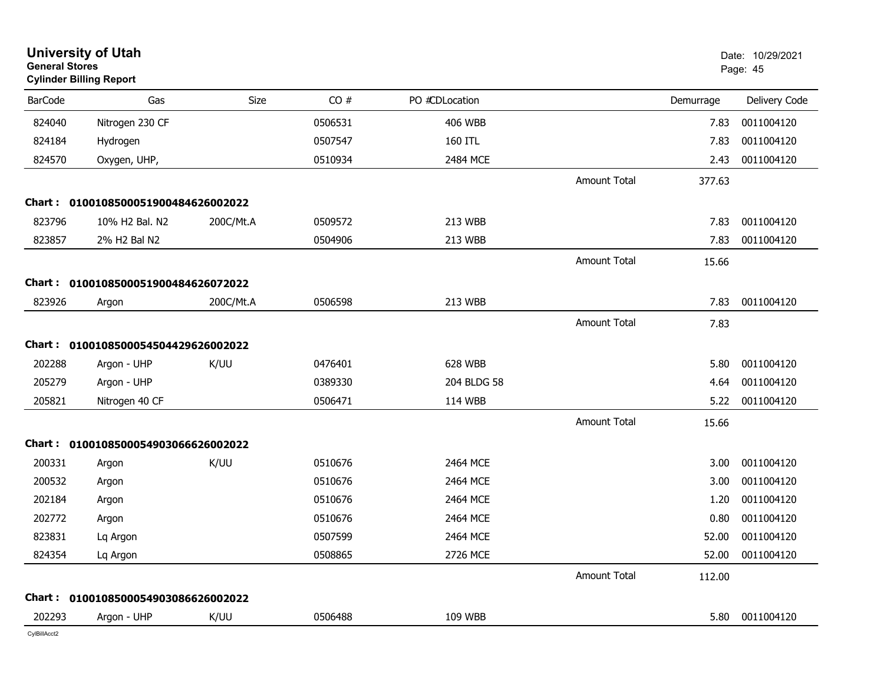| <b>General Stores</b> | <b>University of Utah</b><br><b>Cylinder Billing Report</b> |           |         |                |                     |           | Date: 10/29/2021<br>Page: 45 |
|-----------------------|-------------------------------------------------------------|-----------|---------|----------------|---------------------|-----------|------------------------------|
| <b>BarCode</b>        | Gas                                                         | Size      | CO#     | PO #CDLocation |                     | Demurrage | Delivery Code                |
| 824040                | Nitrogen 230 CF                                             |           | 0506531 | <b>406 WBB</b> |                     | 7.83      | 0011004120                   |
| 824184                | Hydrogen                                                    |           | 0507547 | 160 ITL        |                     | 7.83      | 0011004120                   |
| 824570                | Oxygen, UHP,                                                |           | 0510934 | 2484 MCE       |                     | 2.43      | 0011004120                   |
|                       |                                                             |           |         |                | <b>Amount Total</b> | 377.63    |                              |
|                       | Chart: 0100108500051900484626002022                         |           |         |                |                     |           |                              |
| 823796                | 10% H2 Bal. N2                                              | 200C/Mt.A | 0509572 | 213 WBB        |                     | 7.83      | 0011004120                   |
| 823857                | 2% H2 Bal N2                                                |           | 0504906 | 213 WBB        |                     | 7.83      | 0011004120                   |
|                       |                                                             |           |         |                | <b>Amount Total</b> | 15.66     |                              |
|                       | Chart: 0100108500051900484626072022                         |           |         |                |                     |           |                              |
| 823926                | Argon                                                       | 200C/Mt.A | 0506598 | 213 WBB        |                     | 7.83      | 0011004120                   |
|                       |                                                             |           |         |                | <b>Amount Total</b> | 7.83      |                              |
|                       | Chart: 0100108500054504429626002022                         |           |         |                |                     |           |                              |
| 202288                | Argon - UHP                                                 | K/UU      | 0476401 | 628 WBB        |                     | 5.80      | 0011004120                   |
| 205279                | Argon - UHP                                                 |           | 0389330 | 204 BLDG 58    |                     | 4.64      | 0011004120                   |
| 205821                | Nitrogen 40 CF                                              |           | 0506471 | 114 WBB        |                     | 5.22      | 0011004120                   |
|                       |                                                             |           |         |                | <b>Amount Total</b> | 15.66     |                              |
|                       | Chart: 0100108500054903066626002022                         |           |         |                |                     |           |                              |
| 200331                | Argon                                                       | K/UU      | 0510676 | 2464 MCE       |                     | 3.00      | 0011004120                   |
| 200532                | Argon                                                       |           | 0510676 | 2464 MCE       |                     | 3.00      | 0011004120                   |
| 202184                | Argon                                                       |           | 0510676 | 2464 MCE       |                     | 1.20      | 0011004120                   |
| 202772                | Argon                                                       |           | 0510676 | 2464 MCE       |                     | 0.80      | 0011004120                   |
| 823831                | Lq Argon                                                    |           | 0507599 | 2464 MCE       |                     | 52.00     | 0011004120                   |
| 824354                | Lq Argon                                                    |           | 0508865 | 2726 MCE       |                     | 52.00     | 0011004120                   |
|                       |                                                             |           |         |                | <b>Amount Total</b> | 112.00    |                              |
|                       | Chart: 0100108500054903086626002022                         |           |         |                |                     |           |                              |
| 202293                | Argon - UHP                                                 | K/UU      | 0506488 | 109 WBB        |                     | 5.80      | 0011004120                   |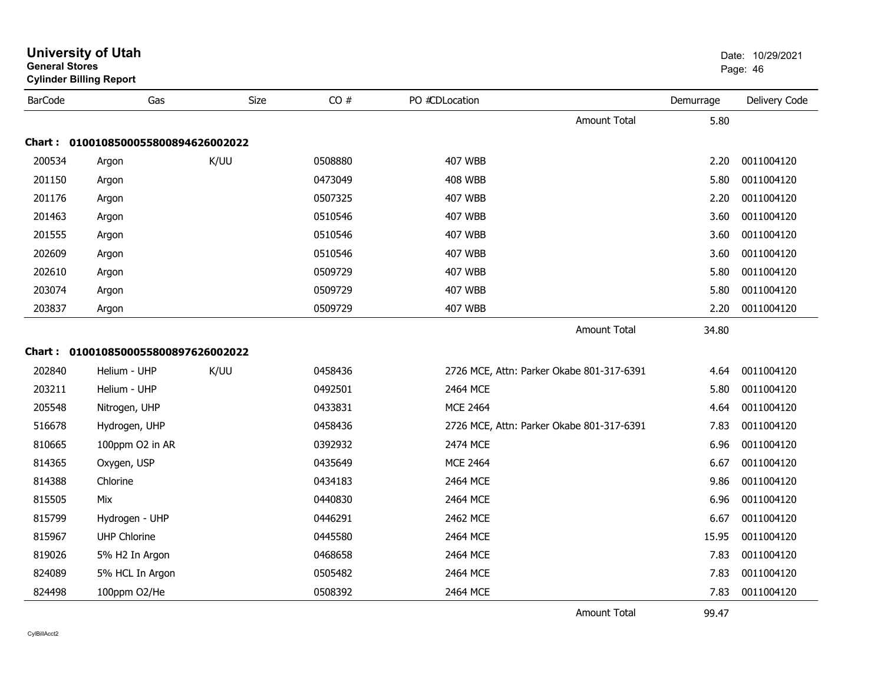| General Stores | <b>Cylinder Billing Report</b>      |      |         |                                           |           | Page: 46      |
|----------------|-------------------------------------|------|---------|-------------------------------------------|-----------|---------------|
| <b>BarCode</b> | Gas                                 | Size | CO#     | PO #CDLocation                            | Demurrage | Delivery Code |
|                |                                     |      |         | Amount Total                              | 5.80      |               |
|                | Chart: 0100108500055800894626002022 |      |         |                                           |           |               |
| 200534         | Argon                               | K/UU | 0508880 | <b>407 WBB</b>                            | 2.20      | 0011004120    |
| 201150         | Argon                               |      | 0473049 | <b>408 WBB</b>                            | 5.80      | 0011004120    |
| 201176         | Argon                               |      | 0507325 | <b>407 WBB</b>                            | 2.20      | 0011004120    |
| 201463         | Argon                               |      | 0510546 | <b>407 WBB</b>                            | 3.60      | 0011004120    |
| 201555         | Argon                               |      | 0510546 | <b>407 WBB</b>                            | 3.60      | 0011004120    |
| 202609         | Argon                               |      | 0510546 | <b>407 WBB</b>                            | 3.60      | 0011004120    |
| 202610         | Argon                               |      | 0509729 | <b>407 WBB</b>                            | 5.80      | 0011004120    |
| 203074         | Argon                               |      | 0509729 | <b>407 WBB</b>                            | 5.80      | 0011004120    |
| 203837         | Argon                               |      | 0509729 | <b>407 WBB</b>                            | 2.20      | 0011004120    |
|                |                                     |      |         | Amount Total                              | 34.80     |               |
| Chart:         | 0100108500055800897626002022        |      |         |                                           |           |               |
| 202840         | Helium - UHP                        | K/UU | 0458436 | 2726 MCE, Attn: Parker Okabe 801-317-6391 | 4.64      | 0011004120    |
| 203211         | Helium - UHP                        |      | 0492501 | 2464 MCE                                  | 5.80      | 0011004120    |
| 205548         | Nitrogen, UHP                       |      | 0433831 | <b>MCE 2464</b>                           | 4.64      | 0011004120    |
| 516678         | Hydrogen, UHP                       |      | 0458436 | 2726 MCE, Attn: Parker Okabe 801-317-6391 | 7.83      | 0011004120    |
| 810665         | 100ppm O2 in AR                     |      | 0392932 | 2474 MCE                                  | 6.96      | 0011004120    |
| 814365         | Oxygen, USP                         |      | 0435649 | <b>MCE 2464</b>                           | 6.67      | 0011004120    |
| 814388         | Chlorine                            |      | 0434183 | 2464 MCE                                  | 9.86      | 0011004120    |
| 815505         | Mix                                 |      | 0440830 | 2464 MCE                                  | 6.96      | 0011004120    |
| 815799         | Hydrogen - UHP                      |      | 0446291 | 2462 MCE                                  | 6.67      | 0011004120    |
| 815967         | <b>UHP Chlorine</b>                 |      | 0445580 | 2464 MCE                                  | 15.95     | 0011004120    |
| 819026         | 5% H2 In Argon                      |      | 0468658 | 2464 MCE                                  | 7.83      | 0011004120    |
| 824089         | 5% HCL In Argon                     |      | 0505482 | 2464 MCE                                  | 7.83      | 0011004120    |
| 824498         | 100ppm O2/He                        |      | 0508392 | 2464 MCE                                  | 7.83      | 0011004120    |
|                |                                     |      |         | <b>Amount Total</b>                       | 99.47     |               |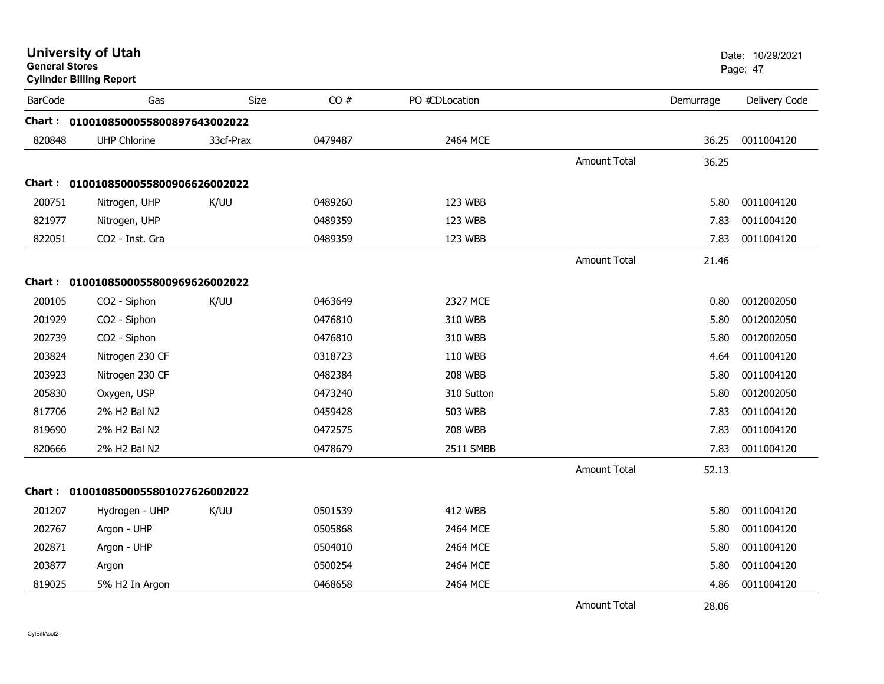| <b>General Stores</b> | <b>University of Utah</b><br><b>Cylinder Billing Report</b> |             |         |                |                     |           | Date: 10/29/2021<br>Page: 47 |
|-----------------------|-------------------------------------------------------------|-------------|---------|----------------|---------------------|-----------|------------------------------|
| <b>BarCode</b>        | Gas                                                         | <b>Size</b> | CO#     | PO #CDLocation |                     | Demurrage | Delivery Code                |
|                       | Chart: 0100108500055800897643002022                         |             |         |                |                     |           |                              |
| 820848                | <b>UHP Chlorine</b>                                         | 33cf-Prax   | 0479487 | 2464 MCE       |                     | 36.25     | 0011004120                   |
|                       |                                                             |             |         |                | <b>Amount Total</b> | 36.25     |                              |
|                       | Chart: 0100108500055800906626002022                         |             |         |                |                     |           |                              |
| 200751                | Nitrogen, UHP                                               | K/UU        | 0489260 | 123 WBB        |                     | 5.80      | 0011004120                   |
| 821977                | Nitrogen, UHP                                               |             | 0489359 | 123 WBB        |                     | 7.83      | 0011004120                   |
| 822051                | CO2 - Inst. Gra                                             |             | 0489359 | 123 WBB        |                     | 7.83      | 0011004120                   |
|                       |                                                             |             |         |                | <b>Amount Total</b> | 21.46     |                              |
|                       | Chart: 0100108500055800969626002022                         |             |         |                |                     |           |                              |
| 200105                | CO2 - Siphon                                                | K/UU        | 0463649 | 2327 MCE       |                     | 0.80      | 0012002050                   |
| 201929                | CO2 - Siphon                                                |             | 0476810 | 310 WBB        |                     | 5.80      | 0012002050                   |
| 202739                | CO2 - Siphon                                                |             | 0476810 | 310 WBB        |                     | 5.80      | 0012002050                   |
| 203824                | Nitrogen 230 CF                                             |             | 0318723 | 110 WBB        |                     | 4.64      | 0011004120                   |
| 203923                | Nitrogen 230 CF                                             |             | 0482384 | <b>208 WBB</b> |                     | 5.80      | 0011004120                   |
| 205830                | Oxygen, USP                                                 |             | 0473240 | 310 Sutton     |                     | 5.80      | 0012002050                   |
| 817706                | 2% H2 Bal N2                                                |             | 0459428 | 503 WBB        |                     | 7.83      | 0011004120                   |
| 819690                | 2% H2 Bal N2                                                |             | 0472575 | <b>208 WBB</b> |                     | 7.83      | 0011004120                   |
| 820666                | 2% H2 Bal N2                                                |             | 0478679 | 2511 SMBB      |                     | 7.83      | 0011004120                   |
|                       |                                                             |             |         |                | <b>Amount Total</b> | 52.13     |                              |
|                       | Chart: 0100108500055801027626002022                         |             |         |                |                     |           |                              |
| 201207                | Hydrogen - UHP                                              | K/UU        | 0501539 | <b>412 WBB</b> |                     | 5.80      | 0011004120                   |
| 202767                | Argon - UHP                                                 |             | 0505868 | 2464 MCE       |                     | 5.80      | 0011004120                   |
| 202871                | Argon - UHP                                                 |             | 0504010 | 2464 MCE       |                     | 5.80      | 0011004120                   |
| 203877                | Argon                                                       |             | 0500254 | 2464 MCE       |                     | 5.80      | 0011004120                   |
| 819025                | 5% H2 In Argon                                              |             | 0468658 | 2464 MCE       |                     | 4.86      | 0011004120                   |
|                       |                                                             |             |         |                | <b>Amount Total</b> | 28.06     |                              |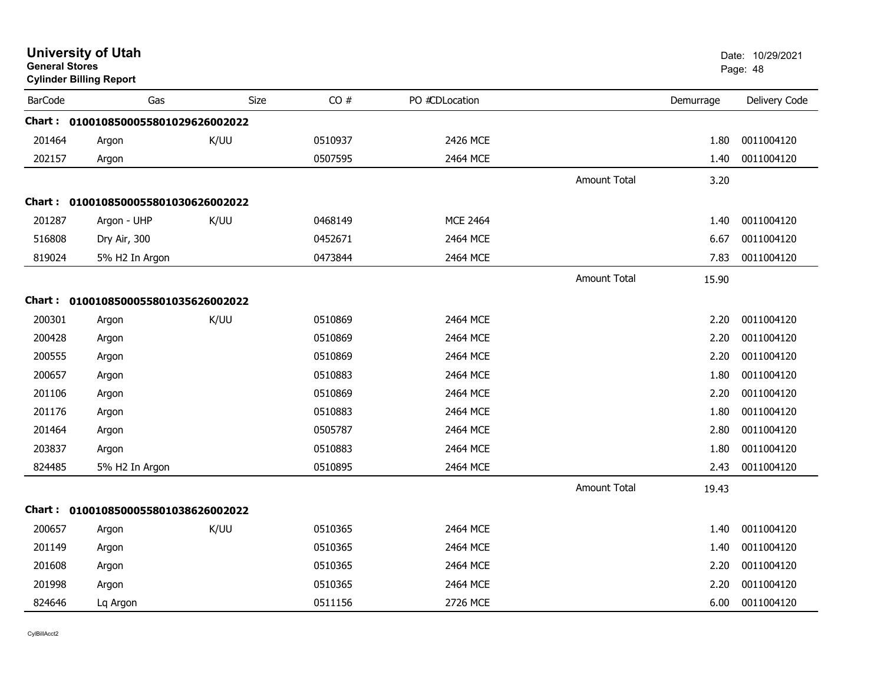| <b>General Stores</b> | <b>University of Utah</b><br><b>Cylinder Billing Report</b> |      |         |                 |                     |           | Date: 10/29/2021<br>Page: 48 |
|-----------------------|-------------------------------------------------------------|------|---------|-----------------|---------------------|-----------|------------------------------|
| <b>BarCode</b>        | Gas                                                         | Size | CO#     | PO #CDLocation  |                     | Demurrage | Delivery Code                |
|                       | Chart: 0100108500055801029626002022                         |      |         |                 |                     |           |                              |
| 201464                | Argon                                                       | K/UU | 0510937 | 2426 MCE        |                     | 1.80      | 0011004120                   |
| 202157                | Argon                                                       |      | 0507595 | 2464 MCE        |                     | 1.40      | 0011004120                   |
|                       |                                                             |      |         |                 | Amount Total        | 3.20      |                              |
| Chart :               | 0100108500055801030626002022                                |      |         |                 |                     |           |                              |
| 201287                | Argon - UHP                                                 | K/UU | 0468149 | <b>MCE 2464</b> |                     | 1.40      | 0011004120                   |
| 516808                | Dry Air, 300                                                |      | 0452671 | 2464 MCE        |                     | 6.67      | 0011004120                   |
| 819024                | 5% H2 In Argon                                              |      | 0473844 | 2464 MCE        |                     | 7.83      | 0011004120                   |
|                       |                                                             |      |         |                 | <b>Amount Total</b> | 15.90     |                              |
|                       | Chart: 0100108500055801035626002022                         |      |         |                 |                     |           |                              |
| 200301                | Argon                                                       | K/UU | 0510869 | 2464 MCE        |                     | 2.20      | 0011004120                   |
| 200428                | Argon                                                       |      | 0510869 | 2464 MCE        |                     | 2.20      | 0011004120                   |
| 200555                | Argon                                                       |      | 0510869 | 2464 MCE        |                     | 2.20      | 0011004120                   |
| 200657                | Argon                                                       |      | 0510883 | 2464 MCE        |                     | 1.80      | 0011004120                   |
| 201106                | Argon                                                       |      | 0510869 | 2464 MCE        |                     | 2.20      | 0011004120                   |
| 201176                | Argon                                                       |      | 0510883 | 2464 MCE        |                     | 1.80      | 0011004120                   |
| 201464                | Argon                                                       |      | 0505787 | 2464 MCE        |                     | 2.80      | 0011004120                   |
| 203837                | Argon                                                       |      | 0510883 | 2464 MCE        |                     | 1.80      | 0011004120                   |
| 824485                | 5% H2 In Argon                                              |      | 0510895 | 2464 MCE        |                     | 2.43      | 0011004120                   |
|                       |                                                             |      |         |                 | <b>Amount Total</b> | 19.43     |                              |
|                       | Chart: 0100108500055801038626002022                         |      |         |                 |                     |           |                              |
| 200657                | Argon                                                       | K/UU | 0510365 | 2464 MCE        |                     | 1.40      | 0011004120                   |
| 201149                | Argon                                                       |      | 0510365 | 2464 MCE        |                     | 1.40      | 0011004120                   |
| 201608                | Argon                                                       |      | 0510365 | 2464 MCE        |                     | 2.20      | 0011004120                   |
| 201998                | Argon                                                       |      | 0510365 | 2464 MCE        |                     | 2.20      | 0011004120                   |
| 824646                | Lq Argon                                                    |      | 0511156 | 2726 MCE        |                     | 6.00      | 0011004120                   |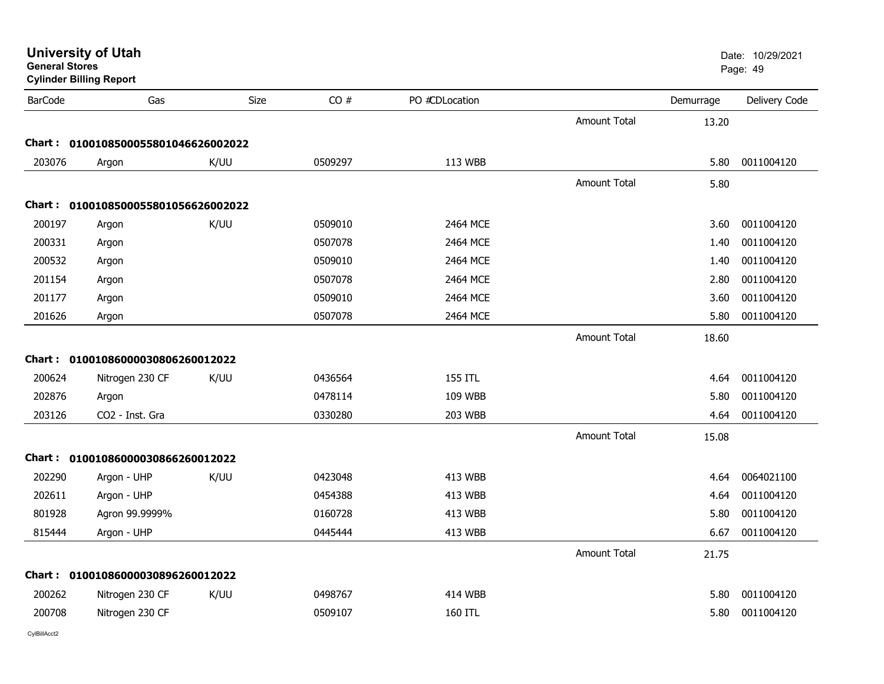| General Stores | <b>Cylinder Billing Report</b>      |             |         |                |                     |           | Page: 49      |
|----------------|-------------------------------------|-------------|---------|----------------|---------------------|-----------|---------------|
| <b>BarCode</b> | Gas                                 | <b>Size</b> | CO#     | PO #CDLocation |                     | Demurrage | Delivery Code |
|                |                                     |             |         |                | <b>Amount Total</b> | 13.20     |               |
|                | Chart: 0100108500055801046626002022 |             |         |                |                     |           |               |
| 203076         | Argon                               | K/UU        | 0509297 | 113 WBB        |                     | 5.80      | 0011004120    |
|                |                                     |             |         |                | <b>Amount Total</b> | 5.80      |               |
|                | Chart: 0100108500055801056626002022 |             |         |                |                     |           |               |
| 200197         | Argon                               | K/UU        | 0509010 | 2464 MCE       |                     | 3.60      | 0011004120    |
| 200331         | Argon                               |             | 0507078 | 2464 MCE       |                     | 1.40      | 0011004120    |
| 200532         | Argon                               |             | 0509010 | 2464 MCE       |                     | 1.40      | 0011004120    |
| 201154         | Argon                               |             | 0507078 | 2464 MCE       |                     | 2.80      | 0011004120    |
| 201177         | Argon                               |             | 0509010 | 2464 MCE       |                     | 3.60      | 0011004120    |
| 201626         | Argon                               |             | 0507078 | 2464 MCE       |                     | 5.80      | 0011004120    |
|                |                                     |             |         |                | <b>Amount Total</b> | 18.60     |               |
|                | Chart: 01001086000030806260012022   |             |         |                |                     |           |               |
| 200624         | Nitrogen 230 CF                     | K/UU        | 0436564 | 155 ITL        |                     | 4.64      | 0011004120    |
| 202876         | Argon                               |             | 0478114 | 109 WBB        |                     | 5.80      | 0011004120    |
| 203126         | CO2 - Inst. Gra                     |             | 0330280 | 203 WBB        |                     | 4.64      | 0011004120    |
|                |                                     |             |         |                | <b>Amount Total</b> | 15.08     |               |
|                | Chart: 01001086000030866260012022   |             |         |                |                     |           |               |
| 202290         | Argon - UHP                         | K/UU        | 0423048 | 413 WBB        |                     | 4.64      | 0064021100    |
| 202611         | Argon - UHP                         |             | 0454388 | 413 WBB        |                     | 4.64      | 0011004120    |
| 801928         | Agron 99.9999%                      |             | 0160728 | 413 WBB        |                     | 5.80      | 0011004120    |
| 815444         | Argon - UHP                         |             | 0445444 | 413 WBB        |                     | 6.67      | 0011004120    |
|                |                                     |             |         |                | <b>Amount Total</b> | 21.75     |               |
|                | Chart: 01001086000030896260012022   |             |         |                |                     |           |               |
| 200262         | Nitrogen 230 CF                     | K/UU        | 0498767 | <b>414 WBB</b> |                     | 5.80      | 0011004120    |
| 200708         | Nitrogen 230 CF                     |             | 0509107 | 160 ITL        |                     | 5.80      | 0011004120    |
|                |                                     |             |         |                |                     |           |               |

**University of Utah** Date: 10/29/2021

**General Stores**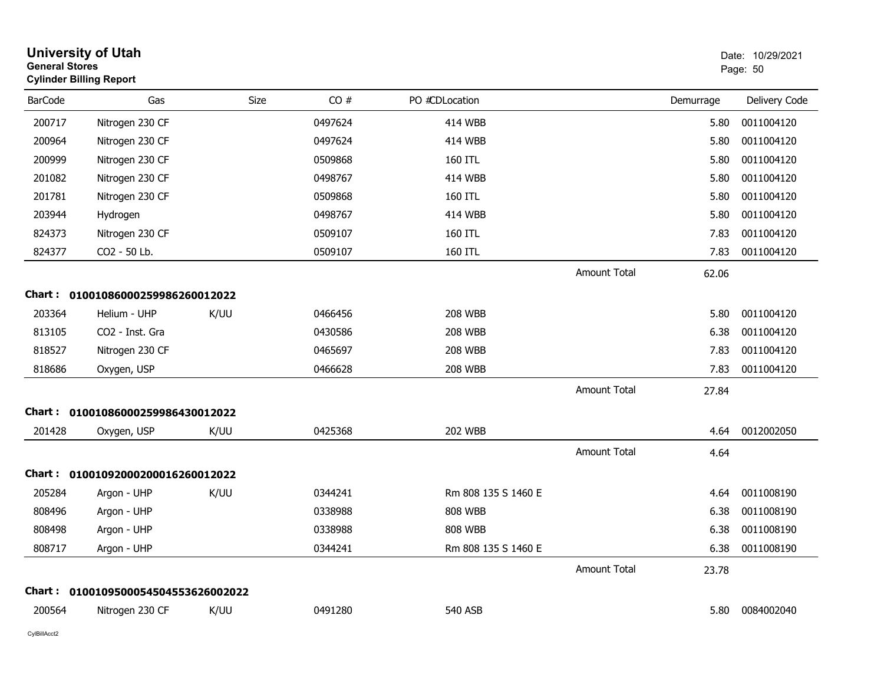| <b>General Stores</b> | <b>University of Utah</b><br><b>Cylinder Billing Report</b> |      |         |                     |                     |           | Date: 10/29/2021<br>Page: 50 |
|-----------------------|-------------------------------------------------------------|------|---------|---------------------|---------------------|-----------|------------------------------|
| <b>BarCode</b>        | Gas                                                         | Size | CO#     | PO #CDLocation      |                     | Demurrage | Delivery Code                |
| 200717                | Nitrogen 230 CF                                             |      | 0497624 | <b>414 WBB</b>      |                     | 5.80      | 0011004120                   |
| 200964                | Nitrogen 230 CF                                             |      | 0497624 | <b>414 WBB</b>      |                     | 5.80      | 0011004120                   |
| 200999                | Nitrogen 230 CF                                             |      | 0509868 | 160 ITL             |                     | 5.80      | 0011004120                   |
| 201082                | Nitrogen 230 CF                                             |      | 0498767 | <b>414 WBB</b>      |                     | 5.80      | 0011004120                   |
| 201781                | Nitrogen 230 CF                                             |      | 0509868 | 160 ITL             |                     | 5.80      | 0011004120                   |
| 203944                | Hydrogen                                                    |      | 0498767 | <b>414 WBB</b>      |                     | 5.80      | 0011004120                   |
| 824373                | Nitrogen 230 CF                                             |      | 0509107 | 160 ITL             |                     | 7.83      | 0011004120                   |
| 824377                | CO2 - 50 Lb.                                                |      | 0509107 | 160 ITL             |                     | 7.83      | 0011004120                   |
|                       |                                                             |      |         |                     | <b>Amount Total</b> | 62.06     |                              |
|                       | Chart: 01001086000259986260012022                           |      |         |                     |                     |           |                              |
| 203364                | Helium - UHP                                                | K/UU | 0466456 | <b>208 WBB</b>      |                     | 5.80      | 0011004120                   |
| 813105                | CO2 - Inst. Gra                                             |      | 0430586 | <b>208 WBB</b>      |                     | 6.38      | 0011004120                   |
| 818527                | Nitrogen 230 CF                                             |      | 0465697 | <b>208 WBB</b>      |                     | 7.83      | 0011004120                   |
| 818686                | Oxygen, USP                                                 |      | 0466628 | <b>208 WBB</b>      |                     | 7.83      | 0011004120                   |
|                       |                                                             |      |         |                     | <b>Amount Total</b> | 27.84     |                              |
| Chart:                | 01001086000259986430012022                                  |      |         |                     |                     |           |                              |
| 201428                | Oxygen, USP                                                 | K/UU | 0425368 | <b>202 WBB</b>      |                     | 4.64      | 0012002050                   |
|                       |                                                             |      |         |                     | <b>Amount Total</b> | 4.64      |                              |
| Chart :               | 01001092000200016260012022                                  |      |         |                     |                     |           |                              |
| 205284                | Argon - UHP                                                 | K/UU | 0344241 | Rm 808 135 S 1460 E |                     | 4.64      | 0011008190                   |
| 808496                | Argon - UHP                                                 |      | 0338988 | <b>808 WBB</b>      |                     | 6.38      | 0011008190                   |
| 808498                | Argon - UHP                                                 |      | 0338988 | <b>808 WBB</b>      |                     | 6.38      | 0011008190                   |
| 808717                | Argon - UHP                                                 |      | 0344241 | Rm 808 135 S 1460 E |                     | 6.38      | 0011008190                   |
|                       |                                                             |      |         |                     | <b>Amount Total</b> | 23.78     |                              |
|                       | Chart: 0100109500054504553626002022                         |      |         |                     |                     |           |                              |
| 200564                | Nitrogen 230 CF                                             | K/UU | 0491280 | 540 ASB             |                     | 5.80      | 0084002040                   |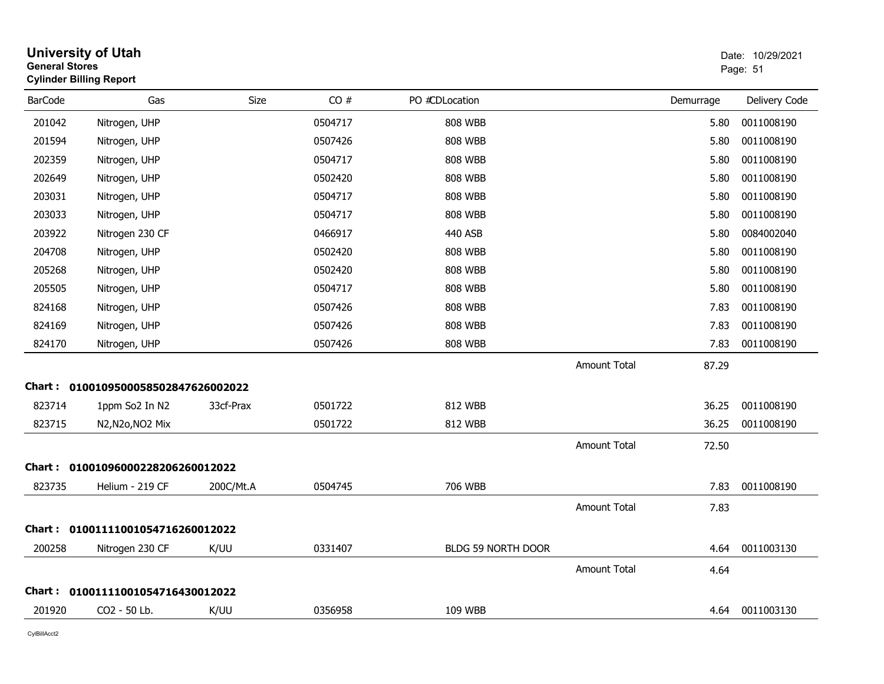| <b>General Stores</b> | <b>University of Utah</b><br><b>Cylinder Billing Report</b> |           |         |                    |                     |           | Date: 10/29/2021<br>Page: 51 |
|-----------------------|-------------------------------------------------------------|-----------|---------|--------------------|---------------------|-----------|------------------------------|
| <b>BarCode</b>        | Gas                                                         | Size      | CO#     | PO #CDLocation     |                     | Demurrage | Delivery Code                |
| 201042                | Nitrogen, UHP                                               |           | 0504717 | 808 WBB            |                     | 5.80      | 0011008190                   |
| 201594                | Nitrogen, UHP                                               |           | 0507426 | <b>808 WBB</b>     |                     | 5.80      | 0011008190                   |
| 202359                | Nitrogen, UHP                                               |           | 0504717 | 808 WBB            |                     | 5.80      | 0011008190                   |
| 202649                | Nitrogen, UHP                                               |           | 0502420 | <b>808 WBB</b>     |                     | 5.80      | 0011008190                   |
| 203031                | Nitrogen, UHP                                               |           | 0504717 | <b>808 WBB</b>     |                     | 5.80      | 0011008190                   |
| 203033                | Nitrogen, UHP                                               |           | 0504717 | <b>808 WBB</b>     |                     | 5.80      | 0011008190                   |
| 203922                | Nitrogen 230 CF                                             |           | 0466917 | 440 ASB            |                     | 5.80      | 0084002040                   |
| 204708                | Nitrogen, UHP                                               |           | 0502420 | <b>808 WBB</b>     |                     | 5.80      | 0011008190                   |
| 205268                | Nitrogen, UHP                                               |           | 0502420 | 808 WBB            |                     | 5.80      | 0011008190                   |
| 205505                | Nitrogen, UHP                                               |           | 0504717 | <b>808 WBB</b>     |                     | 5.80      | 0011008190                   |
| 824168                | Nitrogen, UHP                                               |           | 0507426 | 808 WBB            |                     | 7.83      | 0011008190                   |
| 824169                | Nitrogen, UHP                                               |           | 0507426 | <b>808 WBB</b>     |                     | 7.83      | 0011008190                   |
| 824170                | Nitrogen, UHP                                               |           | 0507426 | <b>808 WBB</b>     |                     | 7.83      | 0011008190                   |
|                       |                                                             |           |         |                    | <b>Amount Total</b> | 87.29     |                              |
|                       | Chart: 0100109500058502847626002022                         |           |         |                    |                     |           |                              |
| 823714                | 1ppm So2 In N2                                              | 33cf-Prax | 0501722 | 812 WBB            |                     | 36.25     | 0011008190                   |
| 823715                | N2, N2o, NO2 Mix                                            |           | 0501722 | 812 WBB            |                     | 36.25     | 0011008190                   |
|                       |                                                             |           |         |                    | <b>Amount Total</b> | 72.50     |                              |
|                       | Chart: 01001096000228206260012022                           |           |         |                    |                     |           |                              |
| 823735                | Helium - 219 CF                                             | 200C/Mt.A | 0504745 | 706 WBB            |                     | 7.83      | 0011008190                   |
|                       |                                                             |           |         |                    | Amount Total        | 7.83      |                              |
|                       | Chart: 01001111001054716260012022                           |           |         |                    |                     |           |                              |
| 200258                | Nitrogen 230 CF                                             | K/UU      | 0331407 | BLDG 59 NORTH DOOR |                     | 4.64      | 0011003130                   |
|                       |                                                             |           |         |                    | <b>Amount Total</b> | 4.64      |                              |
|                       | Chart: 01001111001054716430012022                           |           |         |                    |                     |           |                              |
| 201920                | CO2 - 50 Lb.                                                | K/UU      | 0356958 | 109 WBB            |                     | 4.64      | 0011003130                   |
|                       |                                                             |           |         |                    |                     |           |                              |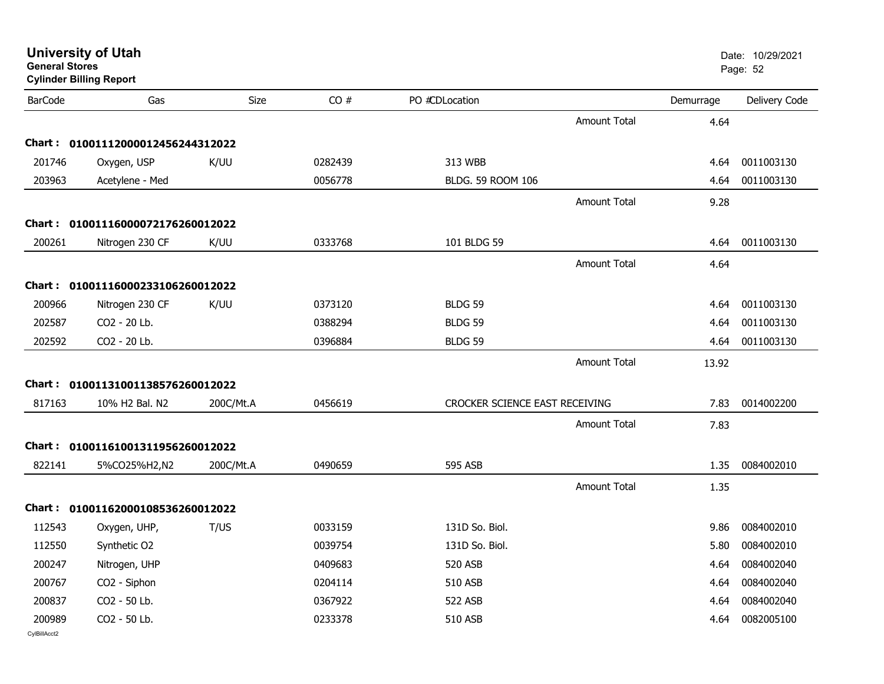| <b>General Stores</b>  | <b>Cylinder Billing Report</b>         |             |         |                                |                     |           | Page: 52      |
|------------------------|----------------------------------------|-------------|---------|--------------------------------|---------------------|-----------|---------------|
| <b>BarCode</b>         | Gas                                    | <b>Size</b> | CO#     | PO #CDLocation                 |                     | Demurrage | Delivery Code |
|                        |                                        |             |         |                                | <b>Amount Total</b> | 4.64      |               |
|                        | Chart: 01001112000012456244312022      |             |         |                                |                     |           |               |
| 201746                 | Oxygen, USP                            | K/UU        | 0282439 | 313 WBB                        |                     | 4.64      | 0011003130    |
| 203963                 | Acetylene - Med                        |             | 0056778 | BLDG. 59 ROOM 106              |                     | 4.64      | 0011003130    |
|                        |                                        |             |         |                                | <b>Amount Total</b> | 9.28      |               |
|                        | Chart: 01001116000072176260012022      |             |         |                                |                     |           |               |
| 200261                 | Nitrogen 230 CF                        | K/UU        | 0333768 | 101 BLDG 59                    |                     | 4.64      | 0011003130    |
|                        |                                        |             |         |                                | <b>Amount Total</b> | 4.64      |               |
|                        | Chart: 01001116000233106260012022      |             |         |                                |                     |           |               |
| 200966                 | Nitrogen 230 CF                        | K/UU        | 0373120 | BLDG 59                        |                     | 4.64      | 0011003130    |
| 202587                 | CO2 - 20 Lb.                           |             | 0388294 | BLDG <sub>59</sub>             |                     | 4.64      | 0011003130    |
| 202592                 | CO2 - 20 Lb.                           |             | 0396884 | BLDG 59                        |                     | 4.64      | 0011003130    |
|                        |                                        |             |         |                                | <b>Amount Total</b> | 13.92     |               |
|                        | Chart: 01001131001138576260012022      |             |         |                                |                     |           |               |
| 817163                 | 10% H <sub>2</sub> Bal, N <sub>2</sub> | 200C/Mt.A   | 0456619 | CROCKER SCIENCE EAST RECEIVING |                     | 7.83      | 0014002200    |
|                        |                                        |             |         |                                | <b>Amount Total</b> | 7.83      |               |
|                        | Chart: 01001161001311956260012022      |             |         |                                |                     |           |               |
| 822141                 | 5%CO25%H2,N2                           | 200C/Mt.A   | 0490659 | 595 ASB                        |                     | 1.35      | 0084002010    |
|                        |                                        |             |         |                                | <b>Amount Total</b> | 1.35      |               |
|                        | Chart: 01001162000108536260012022      |             |         |                                |                     |           |               |
| 112543                 | Oxygen, UHP,                           | T/US        | 0033159 | 131D So. Biol.                 |                     | 9.86      | 0084002010    |
| 112550                 | Synthetic O2                           |             | 0039754 | 131D So. Biol.                 |                     | 5.80      | 0084002010    |
| 200247                 | Nitrogen, UHP                          |             | 0409683 | <b>520 ASB</b>                 |                     | 4.64      | 0084002040    |
| 200767                 | CO2 - Siphon                           |             | 0204114 | 510 ASB                        |                     | 4.64      | 0084002040    |
| 200837                 | CO2 - 50 Lb.                           |             | 0367922 | 522 ASB                        |                     | 4.64      | 0084002040    |
| 200989<br>CylBillAcct2 | CO2 - 50 Lb.                           |             | 0233378 | 510 ASB                        |                     | 4.64      | 0082005100    |

**University of Utah** Date: 10/29/2021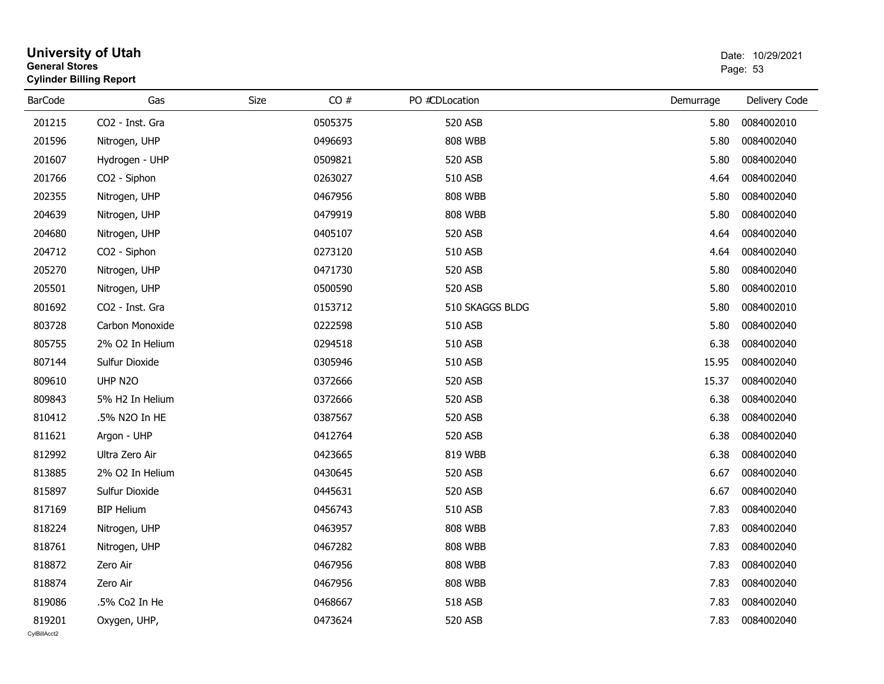| <b>General Stores</b>  | <b>University of Utah</b><br><b>Cylinder Billing Report</b> |      |         |                 |           | Date: 10/29/2021<br>Page: 53 |
|------------------------|-------------------------------------------------------------|------|---------|-----------------|-----------|------------------------------|
| <b>BarCode</b>         | Gas                                                         | Size | CO#     | PO #CDLocation  | Demurrage | Delivery Code                |
| 201215                 | CO2 - Inst. Gra                                             |      | 0505375 | 520 ASB         | 5.80      | 0084002010                   |
| 201596                 | Nitrogen, UHP                                               |      | 0496693 | <b>808 WBB</b>  | 5.80      | 0084002040                   |
| 201607                 | Hydrogen - UHP                                              |      | 0509821 | 520 ASB         | 5.80      | 0084002040                   |
| 201766                 | CO <sub>2</sub> - Siphon                                    |      | 0263027 | 510 ASB         | 4.64      | 0084002040                   |
| 202355                 | Nitrogen, UHP                                               |      | 0467956 | <b>808 WBB</b>  | 5.80      | 0084002040                   |
| 204639                 | Nitrogen, UHP                                               |      | 0479919 | <b>808 WBB</b>  | 5.80      | 0084002040                   |
| 204680                 | Nitrogen, UHP                                               |      | 0405107 | 520 ASB         | 4.64      | 0084002040                   |
| 204712                 | CO2 - Siphon                                                |      | 0273120 | 510 ASB         | 4.64      | 0084002040                   |
| 205270                 | Nitrogen, UHP                                               |      | 0471730 | 520 ASB         | 5.80      | 0084002040                   |
| 205501                 | Nitrogen, UHP                                               |      | 0500590 | 520 ASB         | 5.80      | 0084002010                   |
| 801692                 | CO2 - Inst. Gra                                             |      | 0153712 | 510 SKAGGS BLDG | 5.80      | 0084002010                   |
| 803728                 | Carbon Monoxide                                             |      | 0222598 | 510 ASB         | 5.80      | 0084002040                   |
| 805755                 | 2% O2 In Helium                                             |      | 0294518 | 510 ASB         | 6.38      | 0084002040                   |
| 807144                 | Sulfur Dioxide                                              |      | 0305946 | 510 ASB         | 15.95     | 0084002040                   |
| 809610                 | UHP N2O                                                     |      | 0372666 | 520 ASB         | 15.37     | 0084002040                   |
| 809843                 | 5% H2 In Helium                                             |      | 0372666 | 520 ASB         | 6.38      | 0084002040                   |
| 810412                 | .5% N2O In HE                                               |      | 0387567 | 520 ASB         | 6.38      | 0084002040                   |
| 811621                 | Argon - UHP                                                 |      | 0412764 | 520 ASB         | 6.38      | 0084002040                   |
| 812992                 | Ultra Zero Air                                              |      | 0423665 | 819 WBB         | 6.38      | 0084002040                   |
| 813885                 | 2% O2 In Helium                                             |      | 0430645 | 520 ASB         | 6.67      | 0084002040                   |
| 815897                 | Sulfur Dioxide                                              |      | 0445631 | 520 ASB         | 6.67      | 0084002040                   |
| 817169                 | <b>BIP Helium</b>                                           |      | 0456743 | 510 ASB         | 7.83      | 0084002040                   |
| 818224                 | Nitrogen, UHP                                               |      | 0463957 | <b>808 WBB</b>  | 7.83      | 0084002040                   |
| 818761                 | Nitrogen, UHP                                               |      | 0467282 | <b>808 WBB</b>  | 7.83      | 0084002040                   |
| 818872                 | Zero Air                                                    |      | 0467956 | <b>808 WBB</b>  | 7.83      | 0084002040                   |
| 818874                 | Zero Air                                                    |      | 0467956 | <b>808 WBB</b>  | 7.83      | 0084002040                   |
| 819086                 | .5% Co2 In He                                               |      | 0468667 | 518 ASB         | 7.83      | 0084002040                   |
| 819201<br>CvIBillAcct2 | Oxygen, UHP,                                                |      | 0473624 | 520 ASB         | 7.83      | 0084002040                   |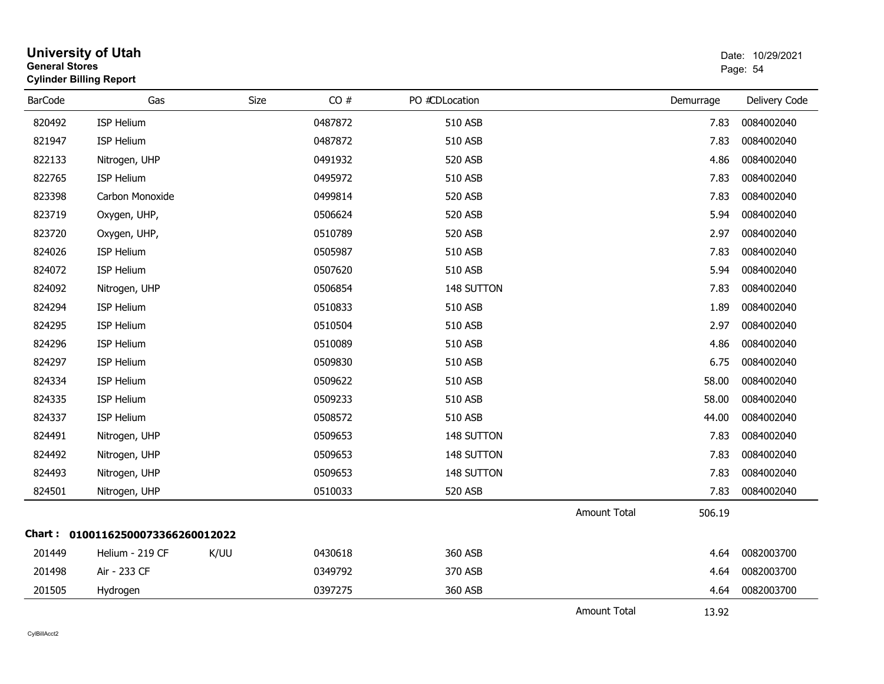| <b>General Stores</b> | <b>University of Utah</b><br><b>Cylinder Billing Report</b> |             |         |                |                     | Date: 10/29/2021<br>Page: 54 |               |
|-----------------------|-------------------------------------------------------------|-------------|---------|----------------|---------------------|------------------------------|---------------|
| <b>BarCode</b>        | Gas                                                         | <b>Size</b> | CO#     | PO #CDLocation |                     | Demurrage                    | Delivery Code |
| 820492                | ISP Helium                                                  |             | 0487872 | 510 ASB        |                     | 7.83                         | 0084002040    |
| 821947                | ISP Helium                                                  |             | 0487872 | <b>510 ASB</b> |                     | 7.83                         | 0084002040    |
| 822133                | Nitrogen, UHP                                               |             | 0491932 | <b>520 ASB</b> |                     | 4.86                         | 0084002040    |
| 822765                | <b>ISP Helium</b>                                           |             | 0495972 | 510 ASB        |                     | 7.83                         | 0084002040    |
| 823398                | Carbon Monoxide                                             |             | 0499814 | 520 ASB        |                     | 7.83                         | 0084002040    |
| 823719                | Oxygen, UHP,                                                |             | 0506624 | 520 ASB        |                     | 5.94                         | 0084002040    |
| 823720                | Oxygen, UHP,                                                |             | 0510789 | 520 ASB        |                     | 2.97                         | 0084002040    |
| 824026                | <b>ISP Helium</b>                                           |             | 0505987 | 510 ASB        |                     | 7.83                         | 0084002040    |
| 824072                | ISP Helium                                                  |             | 0507620 | 510 ASB        |                     | 5.94                         | 0084002040    |
| 824092                | Nitrogen, UHP                                               |             | 0506854 | 148 SUTTON     |                     | 7.83                         | 0084002040    |
| 824294                | <b>ISP Helium</b>                                           |             | 0510833 | 510 ASB        |                     | 1.89                         | 0084002040    |
| 824295                | ISP Helium                                                  |             | 0510504 | 510 ASB        |                     | 2.97                         | 0084002040    |
| 824296                | ISP Helium                                                  |             | 0510089 | <b>510 ASB</b> |                     | 4.86                         | 0084002040    |
| 824297                | ISP Helium                                                  |             | 0509830 | 510 ASB        |                     | 6.75                         | 0084002040    |
| 824334                | ISP Helium                                                  |             | 0509622 | 510 ASB        |                     | 58.00                        | 0084002040    |
| 824335                | ISP Helium                                                  |             | 0509233 | 510 ASB        |                     | 58.00                        | 0084002040    |
| 824337                | ISP Helium                                                  |             | 0508572 | 510 ASB        |                     | 44.00                        | 0084002040    |
| 824491                | Nitrogen, UHP                                               |             | 0509653 | 148 SUTTON     |                     | 7.83                         | 0084002040    |
| 824492                | Nitrogen, UHP                                               |             | 0509653 | 148 SUTTON     |                     | 7.83                         | 0084002040    |
| 824493                | Nitrogen, UHP                                               |             | 0509653 | 148 SUTTON     |                     | 7.83                         | 0084002040    |
| 824501                | Nitrogen, UHP                                               |             | 0510033 | 520 ASB        |                     | 7.83                         | 0084002040    |
|                       |                                                             |             |         |                | Amount Total        | 506.19                       |               |
| Chart :               | 01001162500073366260012022                                  |             |         |                |                     |                              |               |
| 201449                | Helium - 219 CF                                             | K/UU        | 0430618 | 360 ASB        |                     | 4.64                         | 0082003700    |
| 201498                | Air - 233 CF                                                |             | 0349792 | 370 ASB        |                     | 4.64                         | 0082003700    |
| 201505                | Hydrogen                                                    |             | 0397275 | 360 ASB        |                     | 4.64                         | 0082003700    |
|                       |                                                             |             |         |                | <b>Amount Total</b> | 13.92                        |               |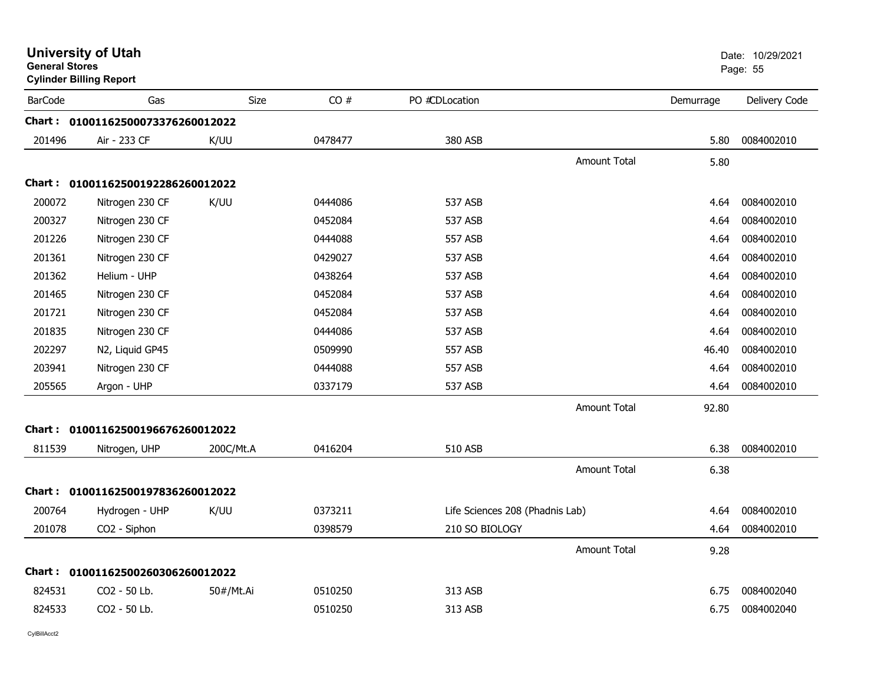| <b>General Stores</b> | <b>University of Utah</b><br><b>Cylinder Billing Report</b> |           |         |                                 |                     |           | Date: 10/29/2021<br>Page: 55 |
|-----------------------|-------------------------------------------------------------|-----------|---------|---------------------------------|---------------------|-----------|------------------------------|
| <b>BarCode</b>        | Gas                                                         | Size      | CO#     | PO #CDLocation                  |                     | Demurrage | Delivery Code                |
|                       | Chart: 01001162500073376260012022                           |           |         |                                 |                     |           |                              |
| 201496                | Air - 233 CF                                                | K/UU      | 0478477 | 380 ASB                         |                     | 5.80      | 0084002010                   |
|                       |                                                             |           |         |                                 | <b>Amount Total</b> | 5.80      |                              |
|                       | Chart: 01001162500192286260012022                           |           |         |                                 |                     |           |                              |
| 200072                | Nitrogen 230 CF                                             | K/UU      | 0444086 | 537 ASB                         |                     | 4.64      | 0084002010                   |
| 200327                | Nitrogen 230 CF                                             |           | 0452084 | 537 ASB                         |                     | 4.64      | 0084002010                   |
| 201226                | Nitrogen 230 CF                                             |           | 0444088 | 557 ASB                         |                     | 4.64      | 0084002010                   |
| 201361                | Nitrogen 230 CF                                             |           | 0429027 | 537 ASB                         |                     | 4.64      | 0084002010                   |
| 201362                | Helium - UHP                                                |           | 0438264 | 537 ASB                         |                     | 4.64      | 0084002010                   |
| 201465                | Nitrogen 230 CF                                             |           | 0452084 | 537 ASB                         |                     | 4.64      | 0084002010                   |
| 201721                | Nitrogen 230 CF                                             |           | 0452084 | 537 ASB                         |                     | 4.64      | 0084002010                   |
| 201835                | Nitrogen 230 CF                                             |           | 0444086 | 537 ASB                         |                     | 4.64      | 0084002010                   |
| 202297                | N2, Liquid GP45                                             |           | 0509990 | 557 ASB                         |                     | 46.40     | 0084002010                   |
| 203941                | Nitrogen 230 CF                                             |           | 0444088 | <b>557 ASB</b>                  |                     | 4.64      | 0084002010                   |
| 205565                | Argon - UHP                                                 |           | 0337179 | 537 ASB                         |                     | 4.64      | 0084002010                   |
|                       |                                                             |           |         |                                 | Amount Total        | 92.80     |                              |
|                       | Chart: 01001162500196676260012022                           |           |         |                                 |                     |           |                              |
| 811539                | Nitrogen, UHP                                               | 200C/Mt.A | 0416204 | 510 ASB                         |                     | 6.38      | 0084002010                   |
|                       |                                                             |           |         |                                 | Amount Total        | 6.38      |                              |
|                       | Chart: 01001162500197836260012022                           |           |         |                                 |                     |           |                              |
| 200764                | Hydrogen - UHP                                              | K/UU      | 0373211 | Life Sciences 208 (Phadnis Lab) |                     | 4.64      | 0084002010                   |
| 201078                | CO2 - Siphon                                                |           | 0398579 | 210 SO BIOLOGY                  |                     | 4.64      | 0084002010                   |
|                       |                                                             |           |         |                                 | <b>Amount Total</b> | 9.28      |                              |
|                       | Chart: 01001162500260306260012022                           |           |         |                                 |                     |           |                              |
| 824531                | CO2 - 50 Lb.                                                | 50#/Mt.Ai | 0510250 | 313 ASB                         |                     | 6.75      | 0084002040                   |
| 824533                | CO <sub>2</sub> - 50 Lb.                                    |           | 0510250 | 313 ASB                         |                     | 6.75      | 0084002040                   |
|                       |                                                             |           |         |                                 |                     |           |                              |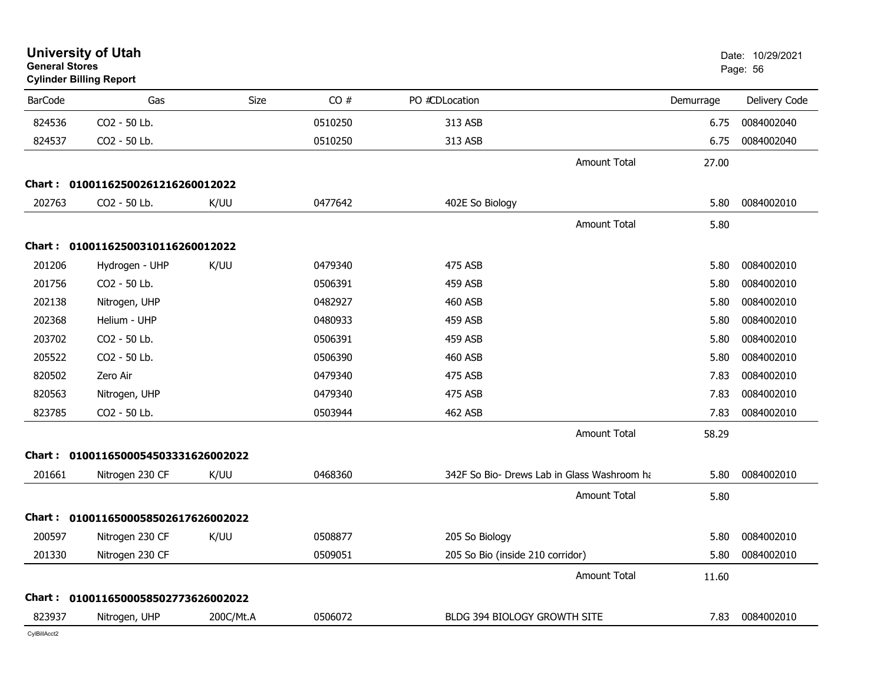| <b>General Stores</b> | <b>University of Utah</b><br><b>Cylinder Billing Report</b> |           |         |                                  |                                             |           | Date: 10/29/2021<br>Page: 56 |
|-----------------------|-------------------------------------------------------------|-----------|---------|----------------------------------|---------------------------------------------|-----------|------------------------------|
| <b>BarCode</b>        | Gas                                                         | Size      | CO#     | PO #CDLocation                   |                                             | Demurrage | Delivery Code                |
| 824536                | CO2 - 50 Lb.                                                |           | 0510250 | 313 ASB                          |                                             | 6.75      | 0084002040                   |
| 824537                | CO2 - 50 Lb.                                                |           | 0510250 | 313 ASB                          |                                             | 6.75      | 0084002040                   |
|                       |                                                             |           |         |                                  | <b>Amount Total</b>                         | 27.00     |                              |
|                       | Chart: 01001162500261216260012022                           |           |         |                                  |                                             |           |                              |
| 202763                | CO2 - 50 Lb.                                                | K/UU      | 0477642 | 402E So Biology                  |                                             | 5.80      | 0084002010                   |
|                       |                                                             |           |         |                                  | <b>Amount Total</b>                         | 5.80      |                              |
|                       | Chart: 01001162500310116260012022                           |           |         |                                  |                                             |           |                              |
| 201206                | Hydrogen - UHP                                              | K/UU      | 0479340 | 475 ASB                          |                                             | 5.80      | 0084002010                   |
| 201756                | CO2 - 50 Lb.                                                |           | 0506391 | 459 ASB                          |                                             | 5.80      | 0084002010                   |
| 202138                | Nitrogen, UHP                                               |           | 0482927 | <b>460 ASB</b>                   |                                             | 5.80      | 0084002010                   |
| 202368                | Helium - UHP                                                |           | 0480933 | <b>459 ASB</b>                   |                                             | 5.80      | 0084002010                   |
| 203702                | CO2 - 50 Lb.                                                |           | 0506391 | 459 ASB                          |                                             | 5.80      | 0084002010                   |
| 205522                | CO2 - 50 Lb.                                                |           | 0506390 | <b>460 ASB</b>                   |                                             | 5.80      | 0084002010                   |
| 820502                | Zero Air                                                    |           | 0479340 | 475 ASB                          |                                             | 7.83      | 0084002010                   |
| 820563                | Nitrogen, UHP                                               |           | 0479340 | 475 ASB                          |                                             | 7.83      | 0084002010                   |
| 823785                | CO2 - 50 Lb.                                                |           | 0503944 | <b>462 ASB</b>                   |                                             | 7.83      | 0084002010                   |
|                       |                                                             |           |         |                                  | <b>Amount Total</b>                         | 58.29     |                              |
|                       | Chart: 0100116500054503331626002022                         |           |         |                                  |                                             |           |                              |
| 201661                | Nitrogen 230 CF                                             | K/UU      | 0468360 |                                  | 342F So Bio- Drews Lab in Glass Washroom ha | 5.80      | 0084002010                   |
|                       |                                                             |           |         |                                  | <b>Amount Total</b>                         | 5.80      |                              |
|                       | Chart: 0100116500058502617626002022                         |           |         |                                  |                                             |           |                              |
| 200597                | Nitrogen 230 CF                                             | K/UU      | 0508877 | 205 So Biology                   |                                             | 5.80      | 0084002010                   |
| 201330                | Nitrogen 230 CF                                             |           | 0509051 | 205 So Bio (inside 210 corridor) |                                             | 5.80      | 0084002010                   |
|                       |                                                             |           |         |                                  | <b>Amount Total</b>                         | 11.60     |                              |
|                       | Chart: 0100116500058502773626002022                         |           |         |                                  |                                             |           |                              |
| 823937                | Nitrogen, UHP                                               | 200C/Mt.A | 0506072 | BLDG 394 BIOLOGY GROWTH SITE     |                                             | 7.83      | 0084002010                   |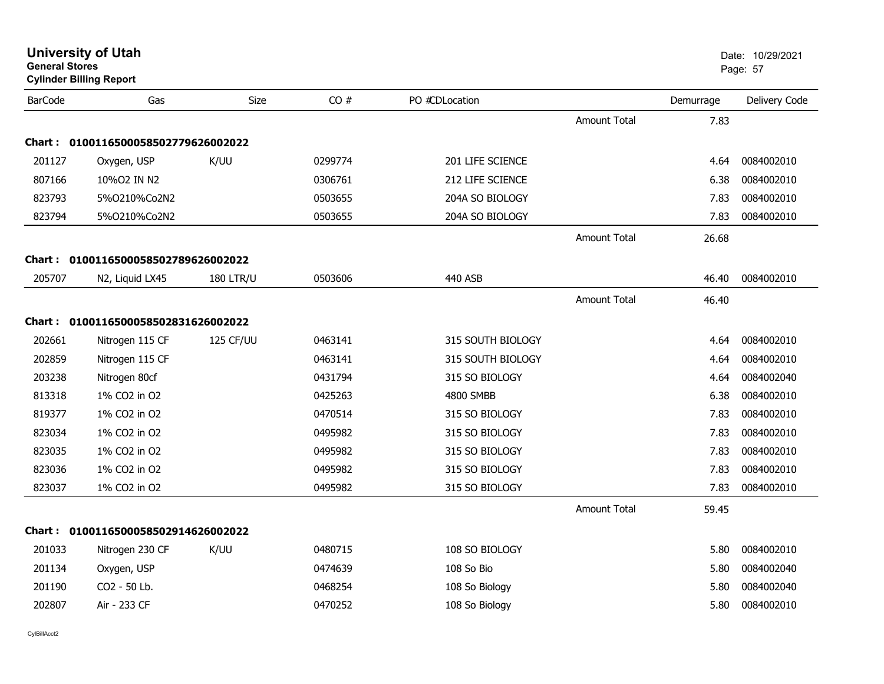| <b>General Stores</b> | <b>University of Utah</b><br><b>Cylinder Billing Report</b> |                  |         |                   |                     |           | Date: 10/29/2021<br>Page: 57 |
|-----------------------|-------------------------------------------------------------|------------------|---------|-------------------|---------------------|-----------|------------------------------|
| <b>BarCode</b>        | Gas                                                         | <b>Size</b>      | CO#     | PO #CDLocation    |                     | Demurrage | Delivery Code                |
|                       |                                                             |                  |         |                   | <b>Amount Total</b> | 7.83      |                              |
|                       | Chart: 0100116500058502779626002022                         |                  |         |                   |                     |           |                              |
| 201127                | Oxygen, USP                                                 | K/UU             | 0299774 | 201 LIFE SCIENCE  |                     | 4.64      | 0084002010                   |
| 807166                | 10%O2 IN N2                                                 |                  | 0306761 | 212 LIFE SCIENCE  |                     | 6.38      | 0084002010                   |
| 823793                | 5%0210%Co2N2                                                |                  | 0503655 | 204A SO BIOLOGY   |                     | 7.83      | 0084002010                   |
| 823794                | 5%O210%Co2N2                                                |                  | 0503655 | 204A SO BIOLOGY   |                     | 7.83      | 0084002010                   |
|                       |                                                             |                  |         |                   | <b>Amount Total</b> | 26.68     |                              |
|                       | Chart: 0100116500058502789626002022                         |                  |         |                   |                     |           |                              |
| 205707                | N2, Liquid LX45                                             | <b>180 LTR/U</b> | 0503606 | 440 ASB           |                     | 46.40     | 0084002010                   |
|                       |                                                             |                  |         |                   | <b>Amount Total</b> | 46.40     |                              |
|                       | Chart: 0100116500058502831626002022                         |                  |         |                   |                     |           |                              |
| 202661                | Nitrogen 115 CF                                             | 125 CF/UU        | 0463141 | 315 SOUTH BIOLOGY |                     | 4.64      | 0084002010                   |
| 202859                | Nitrogen 115 CF                                             |                  | 0463141 | 315 SOUTH BIOLOGY |                     | 4.64      | 0084002010                   |
| 203238                | Nitrogen 80cf                                               |                  | 0431794 | 315 SO BIOLOGY    |                     | 4.64      | 0084002040                   |
| 813318                | 1% CO2 in O2                                                |                  | 0425263 | 4800 SMBB         |                     | 6.38      | 0084002010                   |
| 819377                | 1% CO2 in O2                                                |                  | 0470514 | 315 SO BIOLOGY    |                     | 7.83      | 0084002010                   |
| 823034                | 1% CO2 in O2                                                |                  | 0495982 | 315 SO BIOLOGY    |                     | 7.83      | 0084002010                   |
| 823035                | 1% CO2 in O2                                                |                  | 0495982 | 315 SO BIOLOGY    |                     | 7.83      | 0084002010                   |
| 823036                | 1% CO2 in O2                                                |                  | 0495982 | 315 SO BIOLOGY    |                     | 7.83      | 0084002010                   |
| 823037                | 1% CO2 in O2                                                |                  | 0495982 | 315 SO BIOLOGY    |                     | 7.83      | 0084002010                   |
|                       |                                                             |                  |         |                   | Amount Total        | 59.45     |                              |
|                       | Chart: 0100116500058502914626002022                         |                  |         |                   |                     |           |                              |
| 201033                | Nitrogen 230 CF                                             | K/UU             | 0480715 | 108 SO BIOLOGY    |                     | 5.80      | 0084002010                   |
| 201134                | Oxygen, USP                                                 |                  | 0474639 | 108 So Bio        |                     | 5.80      | 0084002040                   |
| 201190                | CO2 - 50 Lb.                                                |                  | 0468254 | 108 So Biology    |                     | 5.80      | 0084002040                   |
| 202807                | Air - 233 CF                                                |                  | 0470252 | 108 So Biology    |                     | 5.80      | 0084002010                   |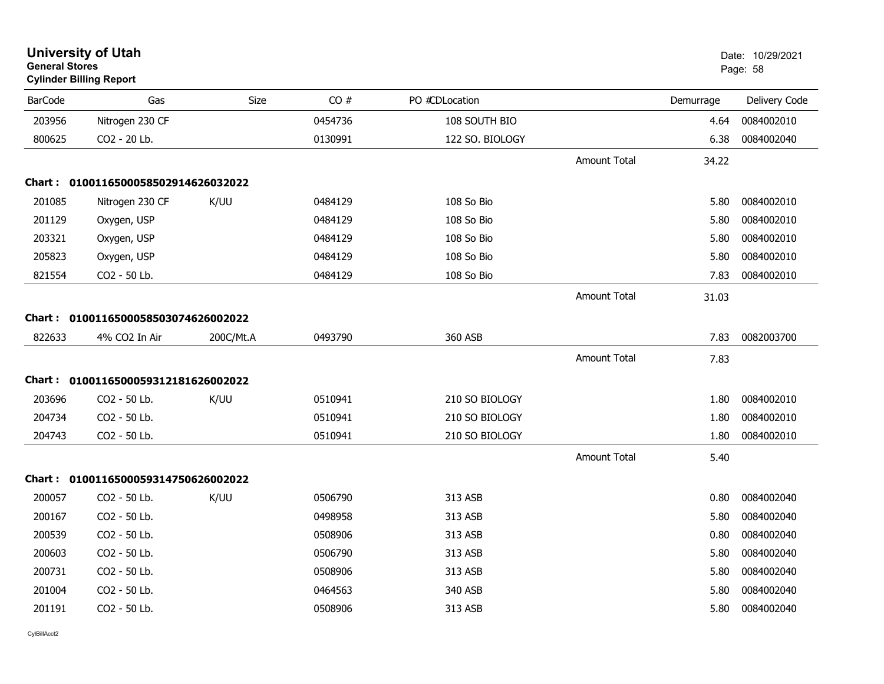| General Stores | <b>Cylinder Billing Report</b>      |           |         |                 |                     |           | Page: 58      |
|----------------|-------------------------------------|-----------|---------|-----------------|---------------------|-----------|---------------|
| <b>BarCode</b> | Gas                                 | Size      | CO#     | PO #CDLocation  |                     | Demurrage | Delivery Code |
| 203956         | Nitrogen 230 CF                     |           | 0454736 | 108 SOUTH BIO   |                     | 4.64      | 0084002010    |
| 800625         | CO2 - 20 Lb.                        |           | 0130991 | 122 SO. BIOLOGY |                     | 6.38      | 0084002040    |
|                |                                     |           |         |                 | <b>Amount Total</b> | 34.22     |               |
|                | Chart: 0100116500058502914626032022 |           |         |                 |                     |           |               |
| 201085         | Nitrogen 230 CF                     | K/UU      | 0484129 | 108 So Bio      |                     | 5.80      | 0084002010    |
| 201129         | Oxygen, USP                         |           | 0484129 | 108 So Bio      |                     | 5.80      | 0084002010    |
| 203321         | Oxygen, USP                         |           | 0484129 | 108 So Bio      |                     | 5.80      | 0084002010    |
| 205823         | Oxygen, USP                         |           | 0484129 | 108 So Bio      |                     | 5.80      | 0084002010    |
| 821554         | CO2 - 50 Lb.                        |           | 0484129 | 108 So Bio      |                     | 7.83      | 0084002010    |
|                |                                     |           |         |                 | <b>Amount Total</b> | 31.03     |               |
|                | Chart: 0100116500058503074626002022 |           |         |                 |                     |           |               |
| 822633         | 4% CO2 In Air                       | 200C/Mt.A | 0493790 | 360 ASB         |                     | 7.83      | 0082003700    |
|                |                                     |           |         |                 | <b>Amount Total</b> | 7.83      |               |
|                | Chart: 0100116500059312181626002022 |           |         |                 |                     |           |               |
| 203696         | CO2 - 50 Lb.                        | K/UU      | 0510941 | 210 SO BIOLOGY  |                     | 1.80      | 0084002010    |
| 204734         | CO2 - 50 Lb.                        |           | 0510941 | 210 SO BIOLOGY  |                     | 1.80      | 0084002010    |
| 204743         | CO2 - 50 Lb.                        |           | 0510941 | 210 SO BIOLOGY  |                     | 1.80      | 0084002010    |
|                |                                     |           |         |                 | <b>Amount Total</b> | 5.40      |               |
|                | Chart: 0100116500059314750626002022 |           |         |                 |                     |           |               |
| 200057         | CO2 - 50 Lb.                        | K/UU      | 0506790 | 313 ASB         |                     | 0.80      | 0084002040    |
| 200167         | CO2 - 50 Lb.                        |           | 0498958 | 313 ASB         |                     | 5.80      | 0084002040    |
| 200539         | CO2 - 50 Lb.                        |           | 0508906 | 313 ASB         |                     | 0.80      | 0084002040    |
| 200603         | CO2 - 50 Lb.                        |           | 0506790 | 313 ASB         |                     | 5.80      | 0084002040    |
| 200731         | CO2 - 50 Lb.                        |           | 0508906 | 313 ASB         |                     | 5.80      | 0084002040    |
| 201004         | CO2 - 50 Lb.                        |           | 0464563 | 340 ASB         |                     | 5.80      | 0084002040    |
| 201191         | CO2 - 50 Lb.                        |           | 0508906 | 313 ASB         |                     | 5.80      | 0084002040    |
|                |                                     |           |         |                 |                     |           |               |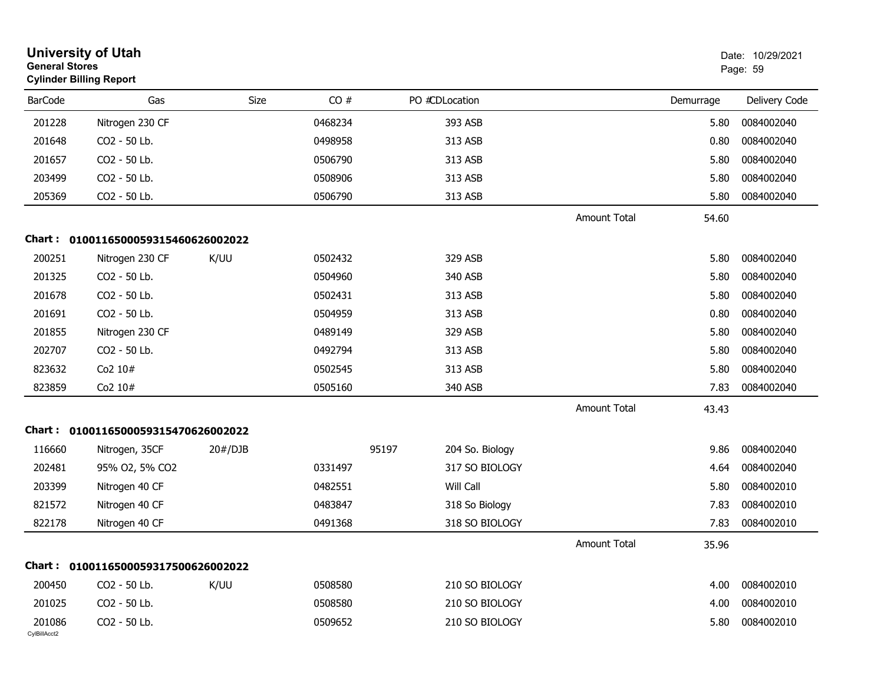| <b>General Stores</b>  | <b>University of Utah</b><br><b>Cylinder Billing Report</b> |             |         |                          |                     |           | Date: 10/29/2021<br>Page: 59 |
|------------------------|-------------------------------------------------------------|-------------|---------|--------------------------|---------------------|-----------|------------------------------|
| <b>BarCode</b>         | Gas                                                         | <b>Size</b> | CO#     | PO #CDLocation           |                     | Demurrage | Delivery Code                |
| 201228                 | Nitrogen 230 CF                                             |             | 0468234 | 393 ASB                  |                     | 5.80      | 0084002040                   |
| 201648                 | CO2 - 50 Lb.                                                |             | 0498958 | 313 ASB                  |                     | 0.80      | 0084002040                   |
| 201657                 | CO2 - 50 Lb.                                                |             | 0506790 | 313 ASB                  |                     | 5.80      | 0084002040                   |
| 203499                 | CO2 - 50 Lb.                                                |             | 0508906 | 313 ASB                  |                     | 5.80      | 0084002040                   |
| 205369                 | CO2 - 50 Lb.                                                |             | 0506790 | 313 ASB                  |                     | 5.80      | 0084002040                   |
|                        |                                                             |             |         |                          | Amount Total        | 54.60     |                              |
|                        | Chart: 0100116500059315460626002022                         |             |         |                          |                     |           |                              |
| 200251                 | Nitrogen 230 CF                                             | K/UU        | 0502432 | 329 ASB                  |                     | 5.80      | 0084002040                   |
| 201325                 | CO2 - 50 Lb.                                                |             | 0504960 | 340 ASB                  |                     | 5.80      | 0084002040                   |
| 201678                 | CO2 - 50 Lb.                                                |             | 0502431 | 313 ASB                  |                     | 5.80      | 0084002040                   |
| 201691                 | CO2 - 50 Lb.                                                |             | 0504959 | 313 ASB                  |                     | 0.80      | 0084002040                   |
| 201855                 | Nitrogen 230 CF                                             |             | 0489149 | 329 ASB                  |                     | 5.80      | 0084002040                   |
| 202707                 | CO2 - 50 Lb.                                                |             | 0492794 | 313 ASB                  |                     | 5.80      | 0084002040                   |
| 823632                 | Co2 10#                                                     |             | 0502545 | 313 ASB                  |                     | 5.80      | 0084002040                   |
| 823859                 | Co2 10#                                                     |             | 0505160 | 340 ASB                  |                     | 7.83      | 0084002040                   |
|                        |                                                             |             |         |                          | <b>Amount Total</b> | 43.43     |                              |
|                        | Chart: 0100116500059315470626002022                         |             |         |                          |                     |           |                              |
| 116660                 | Nitrogen, 35CF                                              | 20#/DJB     |         | 95197<br>204 So. Biology |                     | 9.86      | 0084002040                   |
| 202481                 | 95% O2, 5% CO2                                              |             | 0331497 | 317 SO BIOLOGY           |                     | 4.64      | 0084002040                   |
| 203399                 | Nitrogen 40 CF                                              |             | 0482551 | Will Call                |                     | 5.80      | 0084002010                   |
| 821572                 | Nitrogen 40 CF                                              |             | 0483847 | 318 So Biology           |                     | 7.83      | 0084002010                   |
| 822178                 | Nitrogen 40 CF                                              |             | 0491368 | 318 SO BIOLOGY           |                     | 7.83      | 0084002010                   |
|                        |                                                             |             |         |                          | Amount Total        | 35.96     |                              |
|                        | Chart: 0100116500059317500626002022                         |             |         |                          |                     |           |                              |
| 200450                 | CO2 - 50 Lb.                                                | K/UU        | 0508580 | 210 SO BIOLOGY           |                     | 4.00      | 0084002010                   |
| 201025                 | CO2 - 50 Lb.                                                |             | 0508580 | 210 SO BIOLOGY           |                     | 4.00      | 0084002010                   |
| 201086<br>CylBillAcct2 | CO2 - 50 Lb.                                                |             | 0509652 | 210 SO BIOLOGY           |                     | 5.80      | 0084002010                   |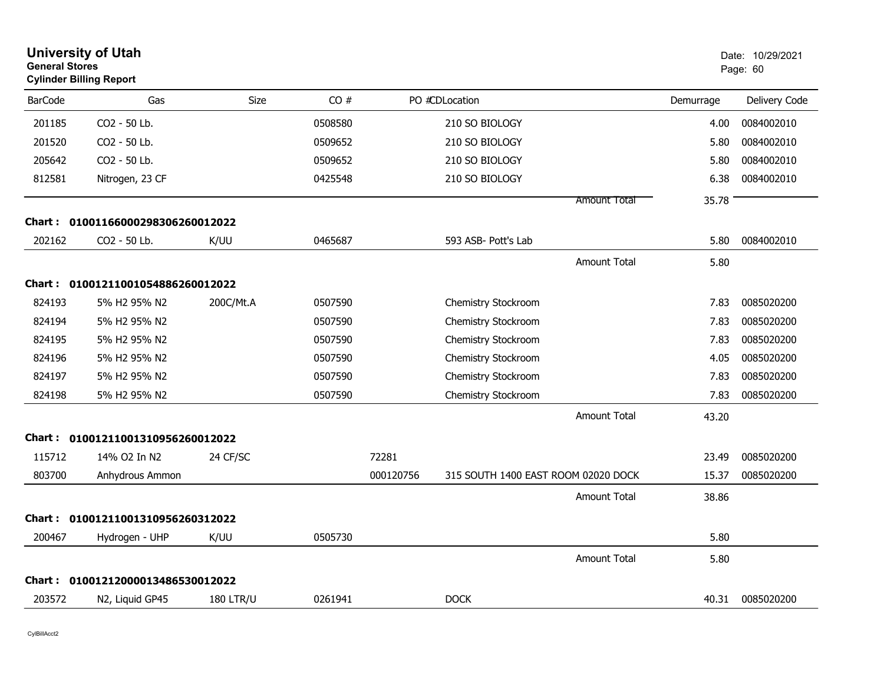| <b>General Stores</b> | <b>University of Utah</b><br><b>Cylinder Billing Report</b> |                  |         |           |                                     |           | Date: 10/29/2021<br>Page: 60 |  |
|-----------------------|-------------------------------------------------------------|------------------|---------|-----------|-------------------------------------|-----------|------------------------------|--|
| <b>BarCode</b>        | Gas                                                         | Size             | CO#     |           | PO #CDLocation                      | Demurrage | Delivery Code                |  |
| 201185                | CO2 - 50 Lb.                                                |                  | 0508580 |           | 210 SO BIOLOGY                      | 4.00      | 0084002010                   |  |
| 201520                | CO2 - 50 Lb.                                                |                  | 0509652 |           | 210 SO BIOLOGY                      | 5.80      | 0084002010                   |  |
| 205642                | CO2 - 50 Lb.                                                |                  | 0509652 |           | 210 SO BIOLOGY                      | 5.80      | 0084002010                   |  |
| 812581                | Nitrogen, 23 CF                                             |                  | 0425548 |           | 210 SO BIOLOGY                      | 6.38      | 0084002010                   |  |
|                       |                                                             |                  |         |           | Amount Total                        | 35.78     |                              |  |
|                       | Chart: 01001166000298306260012022                           |                  |         |           |                                     |           |                              |  |
| 202162                | CO2 - 50 Lb.                                                | K/UU             | 0465687 |           | 593 ASB- Pott's Lab                 | 5.80      | 0084002010                   |  |
|                       |                                                             |                  |         |           | <b>Amount Total</b>                 | 5.80      |                              |  |
|                       | Chart: 01001211001054886260012022                           |                  |         |           |                                     |           |                              |  |
| 824193                | 5% H2 95% N2                                                | 200C/Mt.A        | 0507590 |           | Chemistry Stockroom                 | 7.83      | 0085020200                   |  |
| 824194                | 5% H2 95% N2                                                |                  | 0507590 |           | Chemistry Stockroom                 | 7.83      | 0085020200                   |  |
| 824195                | 5% H2 95% N2                                                |                  | 0507590 |           | Chemistry Stockroom                 | 7.83      | 0085020200                   |  |
| 824196                | 5% H2 95% N2                                                |                  | 0507590 |           | Chemistry Stockroom                 | 4.05      | 0085020200                   |  |
| 824197                | 5% H2 95% N2                                                |                  | 0507590 |           | Chemistry Stockroom                 | 7.83      | 0085020200                   |  |
| 824198                | 5% H2 95% N2                                                |                  | 0507590 |           | Chemistry Stockroom                 | 7.83      | 0085020200                   |  |
|                       |                                                             |                  |         |           | Amount Total                        | 43.20     |                              |  |
| Chart :               | 01001211001310956260012022                                  |                  |         |           |                                     |           |                              |  |
| 115712                | 14% O2 In N2                                                | 24 CF/SC         |         | 72281     |                                     | 23.49     | 0085020200                   |  |
| 803700                | Anhydrous Ammon                                             |                  |         | 000120756 | 315 SOUTH 1400 EAST ROOM 02020 DOCK | 15.37     | 0085020200                   |  |
|                       |                                                             |                  |         |           | Amount Total                        | 38.86     |                              |  |
| <b>Chart :</b>        | 01001211001310956260312022                                  |                  |         |           |                                     |           |                              |  |
| 200467                | Hydrogen - UHP                                              | K/UU             | 0505730 |           |                                     | 5.80      |                              |  |
|                       |                                                             |                  |         |           | <b>Amount Total</b>                 | 5.80      |                              |  |
| Chart :               | 01001212000013486530012022                                  |                  |         |           |                                     |           |                              |  |
| 203572                | N2, Liquid GP45                                             | <b>180 LTR/U</b> | 0261941 |           | <b>DOCK</b>                         | 40.31     | 0085020200                   |  |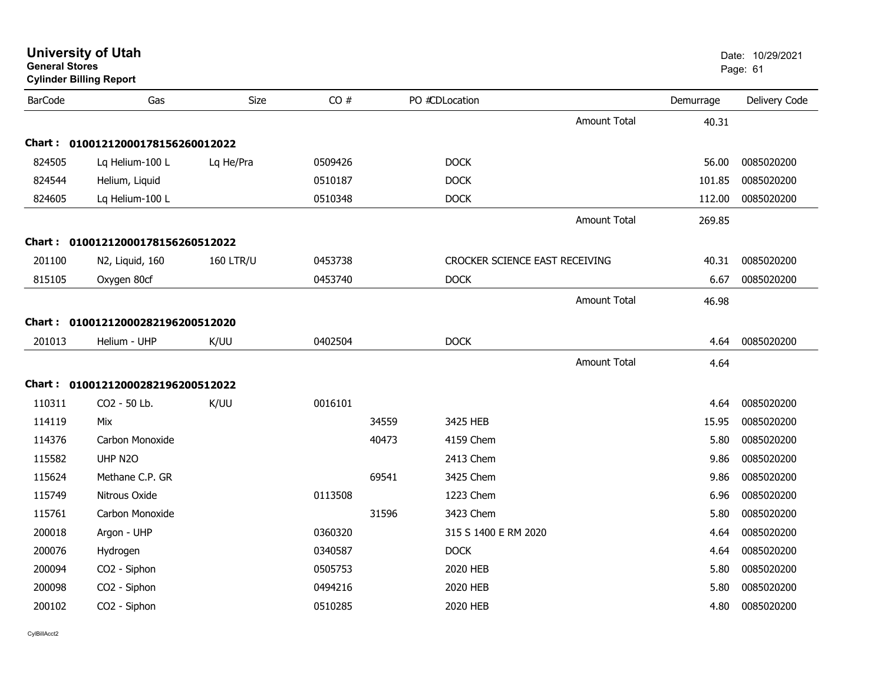| General Stores<br><b>Cylinder Billing Report</b> |                                   |                  |         |       |                                |                     |           | Page: 61      |
|--------------------------------------------------|-----------------------------------|------------------|---------|-------|--------------------------------|---------------------|-----------|---------------|
| <b>BarCode</b>                                   | Gas                               | Size             | CO#     |       | PO #CDLocation                 |                     | Demurrage | Delivery Code |
|                                                  |                                   |                  |         |       |                                | <b>Amount Total</b> | 40.31     |               |
|                                                  | Chart: 01001212000178156260012022 |                  |         |       |                                |                     |           |               |
| 824505                                           | Lq Helium-100 L                   | Lq He/Pra        | 0509426 |       | <b>DOCK</b>                    |                     | 56.00     | 0085020200    |
| 824544                                           | Helium, Liquid                    |                  | 0510187 |       | <b>DOCK</b>                    |                     | 101.85    | 0085020200    |
| 824605                                           | Lq Helium-100 L                   |                  | 0510348 |       | <b>DOCK</b>                    |                     | 112.00    | 0085020200    |
|                                                  |                                   |                  |         |       |                                | <b>Amount Total</b> | 269.85    |               |
|                                                  | Chart: 01001212000178156260512022 |                  |         |       |                                |                     |           |               |
| 201100                                           | N2, Liquid, 160                   | <b>160 LTR/U</b> | 0453738 |       | CROCKER SCIENCE EAST RECEIVING |                     | 40.31     | 0085020200    |
| 815105                                           | Oxygen 80cf                       |                  | 0453740 |       | <b>DOCK</b>                    |                     | 6.67      | 0085020200    |
|                                                  |                                   |                  |         |       |                                | <b>Amount Total</b> | 46.98     |               |
|                                                  | Chart: 01001212000282196200512020 |                  |         |       |                                |                     |           |               |
| 201013                                           | Helium - UHP                      | K/UU             | 0402504 |       | <b>DOCK</b>                    |                     | 4.64      | 0085020200    |
|                                                  |                                   |                  |         |       |                                | <b>Amount Total</b> | 4.64      |               |
|                                                  | Chart: 01001212000282196200512022 |                  |         |       |                                |                     |           |               |
| 110311                                           | CO2 - 50 Lb.                      | K/UU             | 0016101 |       |                                |                     | 4.64      | 0085020200    |
| 114119                                           | Mix                               |                  |         | 34559 | 3425 HEB                       |                     | 15.95     | 0085020200    |
| 114376                                           | Carbon Monoxide                   |                  |         | 40473 | 4159 Chem                      |                     | 5.80      | 0085020200    |
| 115582                                           | UHP N2O                           |                  |         |       | 2413 Chem                      |                     | 9.86      | 0085020200    |
| 115624                                           | Methane C.P. GR                   |                  |         | 69541 | 3425 Chem                      |                     | 9.86      | 0085020200    |
| 115749                                           | Nitrous Oxide                     |                  | 0113508 |       | 1223 Chem                      |                     | 6.96      | 0085020200    |
| 115761                                           | Carbon Monoxide                   |                  |         | 31596 | 3423 Chem                      |                     | 5.80      | 0085020200    |
| 200018                                           | Argon - UHP                       |                  | 0360320 |       | 315 S 1400 E RM 2020           |                     | 4.64      | 0085020200    |
| 200076                                           | Hydrogen                          |                  | 0340587 |       | <b>DOCK</b>                    |                     | 4.64      | 0085020200    |
| 200094                                           | CO2 - Siphon                      |                  | 0505753 |       | 2020 HEB                       |                     | 5.80      | 0085020200    |
| 200098                                           | CO2 - Siphon                      |                  | 0494216 |       | 2020 HEB                       |                     | 5.80      | 0085020200    |
| 200102                                           | CO2 - Siphon                      |                  | 0510285 |       | 2020 HEB                       |                     | 4.80      | 0085020200    |
|                                                  |                                   |                  |         |       |                                |                     |           |               |

**General Stores**

**University of Utah** Date: 10/29/2021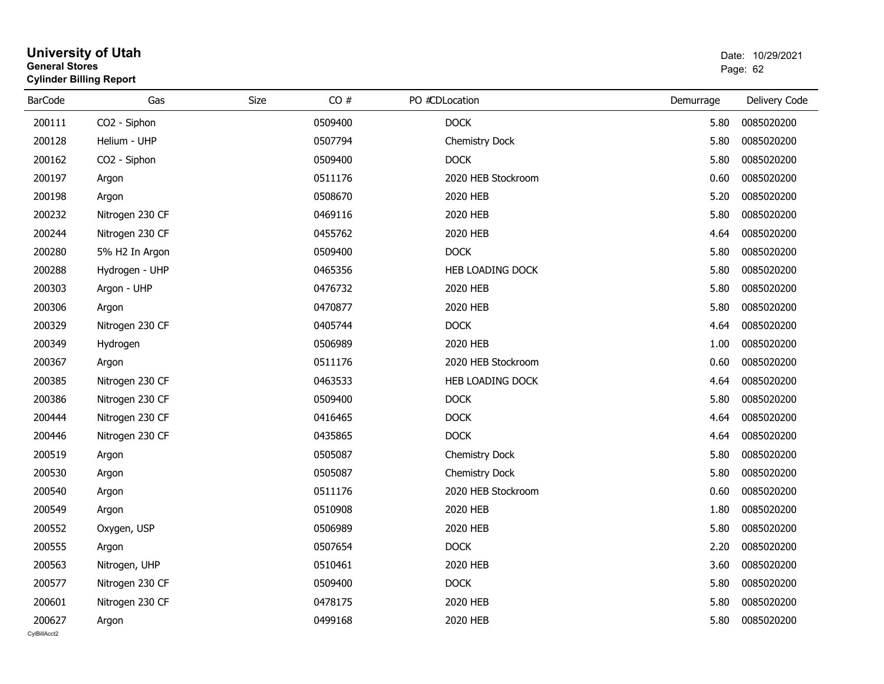| General Stores | <b>Cylinder Billing Report</b> |             |         |                       |           | Page: 62      |
|----------------|--------------------------------|-------------|---------|-----------------------|-----------|---------------|
| <b>BarCode</b> | Gas                            | <b>Size</b> | CO#     | PO #CDLocation        | Demurrage | Delivery Code |
| 200111         | CO2 - Siphon                   |             | 0509400 | <b>DOCK</b>           | 5.80      | 0085020200    |
| 200128         | Helium - UHP                   |             | 0507794 | <b>Chemistry Dock</b> | 5.80      | 0085020200    |
| 200162         | CO2 - Siphon                   |             | 0509400 | <b>DOCK</b>           | 5.80      | 0085020200    |
| 200197         | Argon                          |             | 0511176 | 2020 HEB Stockroom    | 0.60      | 0085020200    |
| 200198         | Argon                          |             | 0508670 | 2020 HEB              | 5.20      | 0085020200    |
| 200232         | Nitrogen 230 CF                |             | 0469116 | 2020 HEB              | 5.80      | 0085020200    |
| 200244         | Nitrogen 230 CF                |             | 0455762 | 2020 HEB              | 4.64      | 0085020200    |
| 200280         | 5% H2 In Argon                 |             | 0509400 | <b>DOCK</b>           | 5.80      | 0085020200    |
| 200288         | Hydrogen - UHP                 |             | 0465356 | HEB LOADING DOCK      | 5.80      | 0085020200    |
| 200303         | Argon - UHP                    |             | 0476732 | 2020 HEB              | 5.80      | 0085020200    |
| 200306         | Argon                          |             | 0470877 | 2020 HEB              | 5.80      | 0085020200    |
| 200329         | Nitrogen 230 CF                |             | 0405744 | <b>DOCK</b>           | 4.64      | 0085020200    |
| 200349         | Hydrogen                       |             | 0506989 | 2020 HEB              | 1.00      | 0085020200    |
| 200367         | Argon                          |             | 0511176 | 2020 HEB Stockroom    | 0.60      | 0085020200    |
| 200385         | Nitrogen 230 CF                |             | 0463533 | HEB LOADING DOCK      | 4.64      | 0085020200    |
| 200386         | Nitrogen 230 CF                |             | 0509400 | <b>DOCK</b>           | 5.80      | 0085020200    |
| 200444         | Nitrogen 230 CF                |             | 0416465 | <b>DOCK</b>           | 4.64      | 0085020200    |
| 200446         | Nitrogen 230 CF                |             | 0435865 | <b>DOCK</b>           | 4.64      | 0085020200    |
| 200519         | Argon                          |             | 0505087 | <b>Chemistry Dock</b> | 5.80      | 0085020200    |
| 200530         | Argon                          |             | 0505087 | <b>Chemistry Dock</b> | 5.80      | 0085020200    |
| 200540         | Argon                          |             | 0511176 | 2020 HEB Stockroom    | 0.60      | 0085020200    |
| 200549         | Argon                          |             | 0510908 | 2020 HEB              | 1.80      | 0085020200    |
| 200552         | Oxygen, USP                    |             | 0506989 | 2020 HEB              | 5.80      | 0085020200    |
| 200555         | Argon                          |             | 0507654 | <b>DOCK</b>           | 2.20      | 0085020200    |
| 200563         | Nitrogen, UHP                  |             | 0510461 | 2020 HEB              | 3.60      | 0085020200    |
| 200577         | Nitrogen 230 CF                |             | 0509400 | <b>DOCK</b>           | 5.80      | 0085020200    |
| 200601         | Nitrogen 230 CF                |             | 0478175 | 2020 HEB              | 5.80      | 0085020200    |
| 200627         | Argon                          |             | 0499168 | 2020 HEB              | 5.80      | 0085020200    |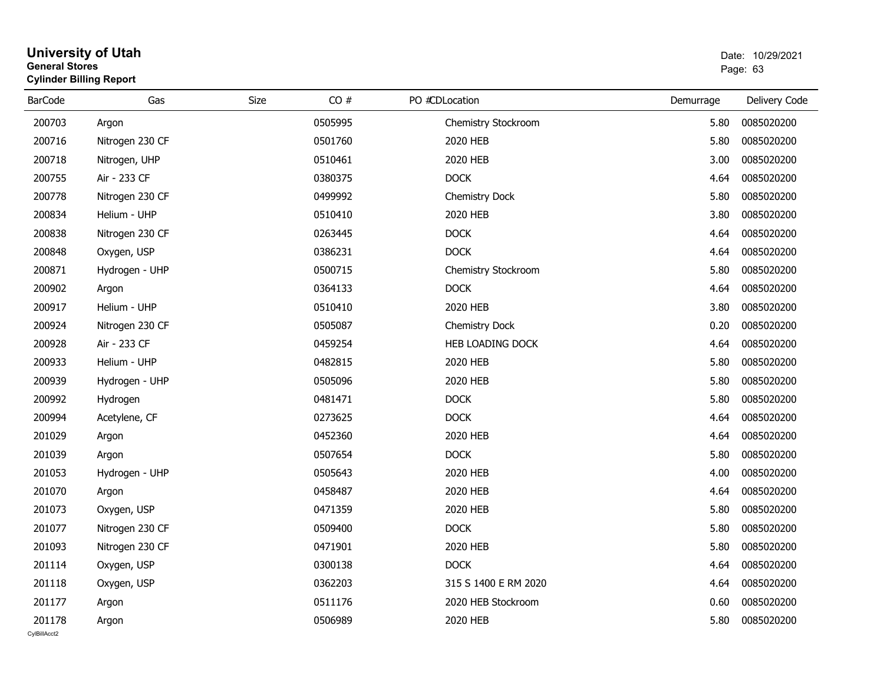| General Stores | <b>Cylinder Billing Report</b> |      | Page: 63 |                      |           |               |
|----------------|--------------------------------|------|----------|----------------------|-----------|---------------|
| <b>BarCode</b> | Gas                            | Size | CO#      | PO #CDLocation       | Demurrage | Delivery Code |
| 200703         | Argon                          |      | 0505995  | Chemistry Stockroom  | 5.80      | 0085020200    |
| 200716         | Nitrogen 230 CF                |      | 0501760  | 2020 HEB             | 5.80      | 0085020200    |
| 200718         | Nitrogen, UHP                  |      | 0510461  | 2020 HEB             | 3.00      | 0085020200    |
| 200755         | Air - 233 CF                   |      | 0380375  | <b>DOCK</b>          | 4.64      | 0085020200    |
| 200778         | Nitrogen 230 CF                |      | 0499992  | Chemistry Dock       | 5.80      | 0085020200    |
| 200834         | Helium - UHP                   |      | 0510410  | 2020 HEB             | 3.80      | 0085020200    |
| 200838         | Nitrogen 230 CF                |      | 0263445  | <b>DOCK</b>          | 4.64      | 0085020200    |
| 200848         | Oxygen, USP                    |      | 0386231  | <b>DOCK</b>          | 4.64      | 0085020200    |
| 200871         | Hydrogen - UHP                 |      | 0500715  | Chemistry Stockroom  | 5.80      | 0085020200    |
| 200902         | Argon                          |      | 0364133  | <b>DOCK</b>          | 4.64      | 0085020200    |
| 200917         | Helium - UHP                   |      | 0510410  | 2020 HEB             | 3.80      | 0085020200    |
| 200924         | Nitrogen 230 CF                |      | 0505087  | Chemistry Dock       | 0.20      | 0085020200    |
| 200928         | Air - 233 CF                   |      | 0459254  | HEB LOADING DOCK     | 4.64      | 0085020200    |
| 200933         | Helium - UHP                   |      | 0482815  | 2020 HEB             | 5.80      | 0085020200    |
| 200939         | Hydrogen - UHP                 |      | 0505096  | 2020 HEB             | 5.80      | 0085020200    |
| 200992         | Hydrogen                       |      | 0481471  | <b>DOCK</b>          | 5.80      | 0085020200    |
| 200994         | Acetylene, CF                  |      | 0273625  | <b>DOCK</b>          | 4.64      | 0085020200    |
| 201029         | Argon                          |      | 0452360  | 2020 HEB             | 4.64      | 0085020200    |
| 201039         | Argon                          |      | 0507654  | <b>DOCK</b>          | 5.80      | 0085020200    |
| 201053         | Hydrogen - UHP                 |      | 0505643  | 2020 HEB             | 4.00      | 0085020200    |
| 201070         | Argon                          |      | 0458487  | 2020 HEB             | 4.64      | 0085020200    |
| 201073         | Oxygen, USP                    |      | 0471359  | 2020 HEB             | 5.80      | 0085020200    |
| 201077         | Nitrogen 230 CF                |      | 0509400  | <b>DOCK</b>          | 5.80      | 0085020200    |
| 201093         | Nitrogen 230 CF                |      | 0471901  | 2020 HEB             | 5.80      | 0085020200    |
| 201114         | Oxygen, USP                    |      | 0300138  | <b>DOCK</b>          | 4.64      | 0085020200    |
| 201118         | Oxygen, USP                    |      | 0362203  | 315 S 1400 E RM 2020 | 4.64      | 0085020200    |

Argon 2020 HEB Stockroom 2020 Argon 2006 2020 HEB Stockroom 2020 HEB Stockroom 2020 HEB Stockroom 2020 10085020200

Argon 2020 HEB 3.80 0085020200 1 2020 HEB 3.80 0085020200 5.80 0085020200

### **University of Utah** Date: 10/29/2021 **General Stores**

201177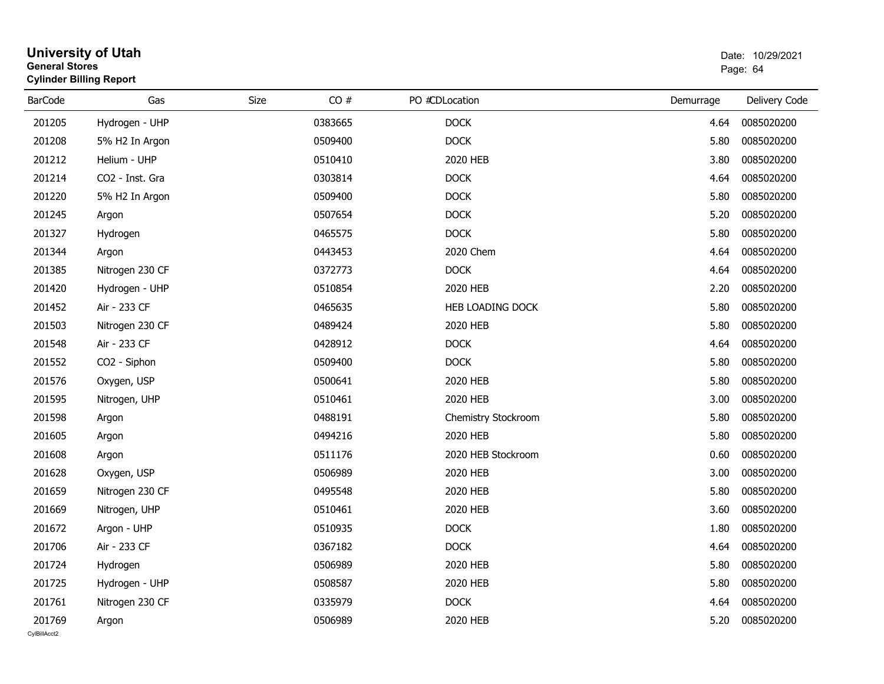| <b>General Stores</b>  | <b>University of Utah</b><br><b>Cylinder Billing Report</b> |      |         |                     |           | Date: 10/29/2021<br>Page: 64 |
|------------------------|-------------------------------------------------------------|------|---------|---------------------|-----------|------------------------------|
| <b>BarCode</b>         | Gas                                                         | Size | CO#     | PO #CDLocation      | Demurrage | Delivery Code                |
| 201205                 | Hydrogen - UHP                                              |      | 0383665 | <b>DOCK</b>         | 4.64      | 0085020200                   |
| 201208                 | 5% H2 In Argon                                              |      | 0509400 | <b>DOCK</b>         | 5.80      | 0085020200                   |
| 201212                 | Helium - UHP                                                |      | 0510410 | 2020 HEB            | 3.80      | 0085020200                   |
| 201214                 | CO2 - Inst. Gra                                             |      | 0303814 | <b>DOCK</b>         | 4.64      | 0085020200                   |
| 201220                 | 5% H2 In Argon                                              |      | 0509400 | <b>DOCK</b>         | 5.80      | 0085020200                   |
| 201245                 | Argon                                                       |      | 0507654 | <b>DOCK</b>         | 5.20      | 0085020200                   |
| 201327                 | Hydrogen                                                    |      | 0465575 | <b>DOCK</b>         | 5.80      | 0085020200                   |
| 201344                 | Argon                                                       |      | 0443453 | 2020 Chem           | 4.64      | 0085020200                   |
| 201385                 | Nitrogen 230 CF                                             |      | 0372773 | <b>DOCK</b>         | 4.64      | 0085020200                   |
| 201420                 | Hydrogen - UHP                                              |      | 0510854 | 2020 HEB            | 2.20      | 0085020200                   |
| 201452                 | Air - 233 CF                                                |      | 0465635 | HEB LOADING DOCK    | 5.80      | 0085020200                   |
| 201503                 | Nitrogen 230 CF                                             |      | 0489424 | 2020 HEB            | 5.80      | 0085020200                   |
| 201548                 | Air - 233 CF                                                |      | 0428912 | <b>DOCK</b>         | 4.64      | 0085020200                   |
| 201552                 | CO2 - Siphon                                                |      | 0509400 | <b>DOCK</b>         | 5.80      | 0085020200                   |
| 201576                 | Oxygen, USP                                                 |      | 0500641 | 2020 HEB            | 5.80      | 0085020200                   |
| 201595                 | Nitrogen, UHP                                               |      | 0510461 | 2020 HEB            | 3.00      | 0085020200                   |
| 201598                 | Argon                                                       |      | 0488191 | Chemistry Stockroom | 5.80      | 0085020200                   |
| 201605                 | Argon                                                       |      | 0494216 | 2020 HEB            | 5.80      | 0085020200                   |
| 201608                 | Argon                                                       |      | 0511176 | 2020 HEB Stockroom  | 0.60      | 0085020200                   |
| 201628                 | Oxygen, USP                                                 |      | 0506989 | 2020 HEB            | 3.00      | 0085020200                   |
| 201659                 | Nitrogen 230 CF                                             |      | 0495548 | 2020 HEB            | 5.80      | 0085020200                   |
| 201669                 | Nitrogen, UHP                                               |      | 0510461 | 2020 HEB            | 3.60      | 0085020200                   |
| 201672                 | Argon - UHP                                                 |      | 0510935 | <b>DOCK</b>         | 1.80      | 0085020200                   |
| 201706                 | Air - 233 CF                                                |      | 0367182 | <b>DOCK</b>         | 4.64      | 0085020200                   |
| 201724                 | Hydrogen                                                    |      | 0506989 | 2020 HEB            | 5.80      | 0085020200                   |
| 201725                 | Hydrogen - UHP                                              |      | 0508587 | 2020 HEB            | 5.80      | 0085020200                   |
| 201761                 | Nitrogen 230 CF                                             |      | 0335979 | <b>DOCK</b>         | 4.64      | 0085020200                   |
| 201769<br>CvIBillAcct2 | Argon                                                       |      | 0506989 | 2020 HEB            | 5.20      | 0085020200                   |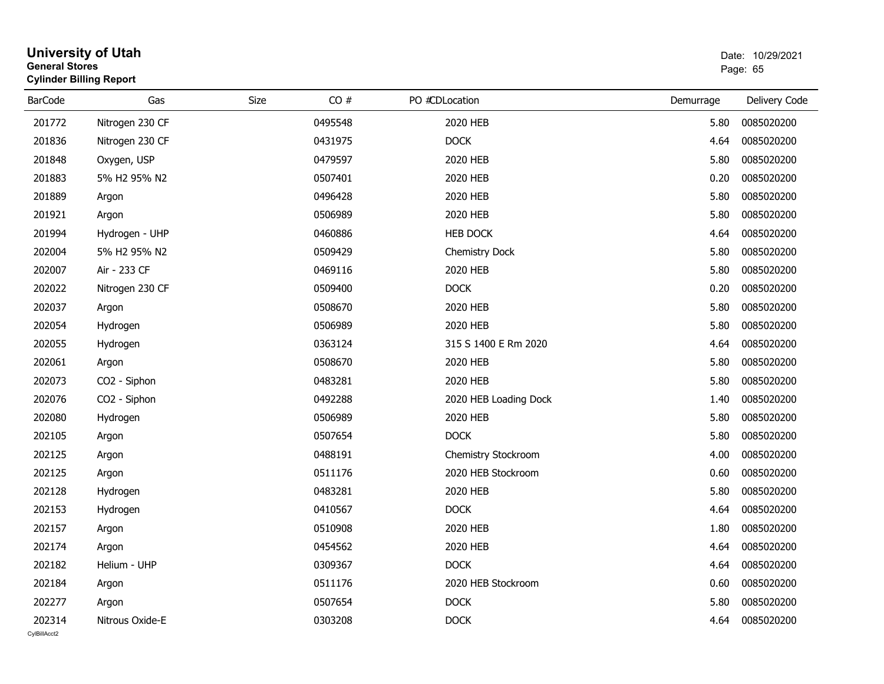| General Stores | <b>Cylinder Billing Report</b> |             |         |                |                       |           | Page: 65      |
|----------------|--------------------------------|-------------|---------|----------------|-----------------------|-----------|---------------|
| <b>BarCode</b> | Gas                            | <b>Size</b> | CO#     | PO #CDLocation |                       | Demurrage | Delivery Code |
| 201772         | Nitrogen 230 CF                |             | 0495548 | 2020 HEB       |                       | 5.80      | 0085020200    |
| 201836         | Nitrogen 230 CF                |             | 0431975 | <b>DOCK</b>    |                       | 4.64      | 0085020200    |
| 201848         | Oxygen, USP                    |             | 0479597 | 2020 HEB       |                       | 5.80      | 0085020200    |
| 201883         | 5% H2 95% N2                   |             | 0507401 | 2020 HEB       |                       | 0.20      | 0085020200    |
| 201889         | Argon                          |             | 0496428 | 2020 HEB       |                       | 5.80      | 0085020200    |
| 201921         | Argon                          |             | 0506989 | 2020 HEB       |                       | 5.80      | 0085020200    |
| 201994         | Hydrogen - UHP                 |             | 0460886 | HEB DOCK       |                       | 4.64      | 0085020200    |
| 202004         | 5% H2 95% N2                   |             | 0509429 |                | <b>Chemistry Dock</b> | 5.80      | 0085020200    |
| 202007         | Air - 233 CF                   |             | 0469116 | 2020 HEB       |                       | 5.80      | 0085020200    |
| 202022         | Nitrogen 230 CF                |             | 0509400 | <b>DOCK</b>    |                       | 0.20      | 0085020200    |
| 202037         | Argon                          |             | 0508670 | 2020 HEB       |                       | 5.80      | 0085020200    |
| 202054         | Hydrogen                       |             | 0506989 | 2020 HEB       |                       | 5.80      | 0085020200    |
| 202055         | Hydrogen                       |             | 0363124 |                | 315 S 1400 E Rm 2020  | 4.64      | 0085020200    |
| 202061         | Argon                          |             | 0508670 | 2020 HEB       |                       | 5.80      | 0085020200    |
| 202073         | CO2 - Siphon                   |             | 0483281 | 2020 HEB       |                       | 5.80      | 0085020200    |
| 202076         | CO2 - Siphon                   |             | 0492288 |                | 2020 HEB Loading Dock | 1.40      | 0085020200    |
| 202080         | Hydrogen                       |             | 0506989 | 2020 HEB       |                       | 5.80      | 0085020200    |
| 202105         | Argon                          |             | 0507654 | <b>DOCK</b>    |                       | 5.80      | 0085020200    |
| 202125         | Argon                          |             | 0488191 |                | Chemistry Stockroom   | 4.00      | 0085020200    |
| 202125         | Argon                          |             | 0511176 |                | 2020 HEB Stockroom    | 0.60      | 0085020200    |
| 202128         | Hydrogen                       |             | 0483281 | 2020 HEB       |                       | 5.80      | 0085020200    |
| 202153         | Hydrogen                       |             | 0410567 | <b>DOCK</b>    |                       | 4.64      | 0085020200    |
| 202157         | Argon                          |             | 0510908 | 2020 HEB       |                       | 1.80      | 0085020200    |
| 202174         | Argon                          |             | 0454562 | 2020 HEB       |                       | 4.64      | 0085020200    |
| 202182         | Helium - UHP                   |             | 0309367 | <b>DOCK</b>    |                       | 4.64      | 0085020200    |
| 202184         | Argon                          |             | 0511176 |                | 2020 HEB Stockroom    | 0.60      | 0085020200    |
| 202277         | Argon                          |             | 0507654 | <b>DOCK</b>    |                       | 5.80      | 0085020200    |
| 202314         | Nitrous Oxide-E                |             | 0303208 | <b>DOCK</b>    |                       | 4.64      | 0085020200    |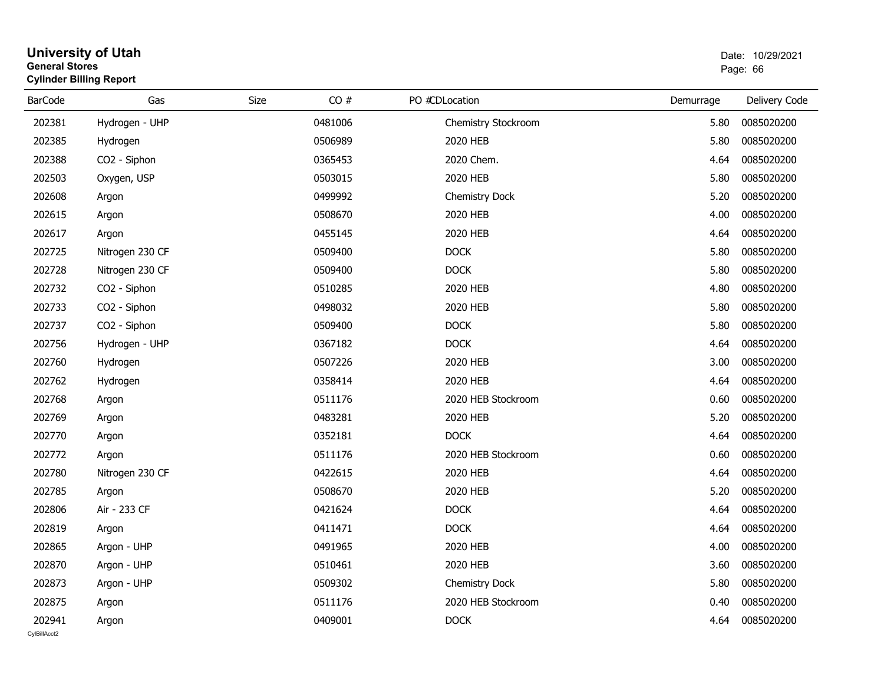| <b>University of Utah</b>      | Date: 10/29/2021 |
|--------------------------------|------------------|
| <b>General Stores</b>          | Page: 66         |
| <b>Cylinder Billing Report</b> |                  |

| <b>BarCode</b>         | Gas             | CO#<br>Size | PO #CDLocation      | Demurrage | Delivery Code |
|------------------------|-----------------|-------------|---------------------|-----------|---------------|
| 202381                 | Hydrogen - UHP  | 0481006     | Chemistry Stockroom | 5.80      | 0085020200    |
| 202385                 | Hydrogen        | 0506989     | 2020 HEB            | 5.80      | 0085020200    |
| 202388                 | CO2 - Siphon    | 0365453     | 2020 Chem.          | 4.64      | 0085020200    |
| 202503                 | Oxygen, USP     | 0503015     | 2020 HEB            | 5.80      | 0085020200    |
| 202608                 | Argon           | 0499992     | Chemistry Dock      | 5.20      | 0085020200    |
| 202615                 | Argon           | 0508670     | 2020 HEB            | 4.00      | 0085020200    |
| 202617                 | Argon           | 0455145     | 2020 HEB            | 4.64      | 0085020200    |
| 202725                 | Nitrogen 230 CF | 0509400     | <b>DOCK</b>         | 5.80      | 0085020200    |
| 202728                 | Nitrogen 230 CF | 0509400     | <b>DOCK</b>         | 5.80      | 0085020200    |
| 202732                 | CO2 - Siphon    | 0510285     | 2020 HEB            | 4.80      | 0085020200    |
| 202733                 | CO2 - Siphon    | 0498032     | 2020 HEB            | 5.80      | 0085020200    |
| 202737                 | CO2 - Siphon    | 0509400     | <b>DOCK</b>         | 5.80      | 0085020200    |
| 202756                 | Hydrogen - UHP  | 0367182     | <b>DOCK</b>         | 4.64      | 0085020200    |
| 202760                 | Hydrogen        | 0507226     | 2020 HEB            | 3.00      | 0085020200    |
| 202762                 | Hydrogen        | 0358414     | 2020 HEB            | 4.64      | 0085020200    |
| 202768                 | Argon           | 0511176     | 2020 HEB Stockroom  | 0.60      | 0085020200    |
| 202769                 | Argon           | 0483281     | 2020 HEB            | 5.20      | 0085020200    |
| 202770                 | Argon           | 0352181     | <b>DOCK</b>         | 4.64      | 0085020200    |
| 202772                 | Argon           | 0511176     | 2020 HEB Stockroom  | 0.60      | 0085020200    |
| 202780                 | Nitrogen 230 CF | 0422615     | 2020 HEB            | 4.64      | 0085020200    |
| 202785                 | Argon           | 0508670     | 2020 HEB            | 5.20      | 0085020200    |
| 202806                 | Air - 233 CF    | 0421624     | <b>DOCK</b>         | 4.64      | 0085020200    |
| 202819                 | Argon           | 0411471     | <b>DOCK</b>         | 4.64      | 0085020200    |
| 202865                 | Argon - UHP     | 0491965     | 2020 HEB            | 4.00      | 0085020200    |
| 202870                 | Argon - UHP     | 0510461     | 2020 HEB            | 3.60      | 0085020200    |
| 202873                 | Argon - UHP     | 0509302     | Chemistry Dock      | 5.80      | 0085020200    |
| 202875                 | Argon           | 0511176     | 2020 HEB Stockroom  | 0.40      | 0085020200    |
| 202941<br>CvIBillAcct2 | Argon           | 0409001     | <b>DOCK</b>         | 4.64      | 0085020200    |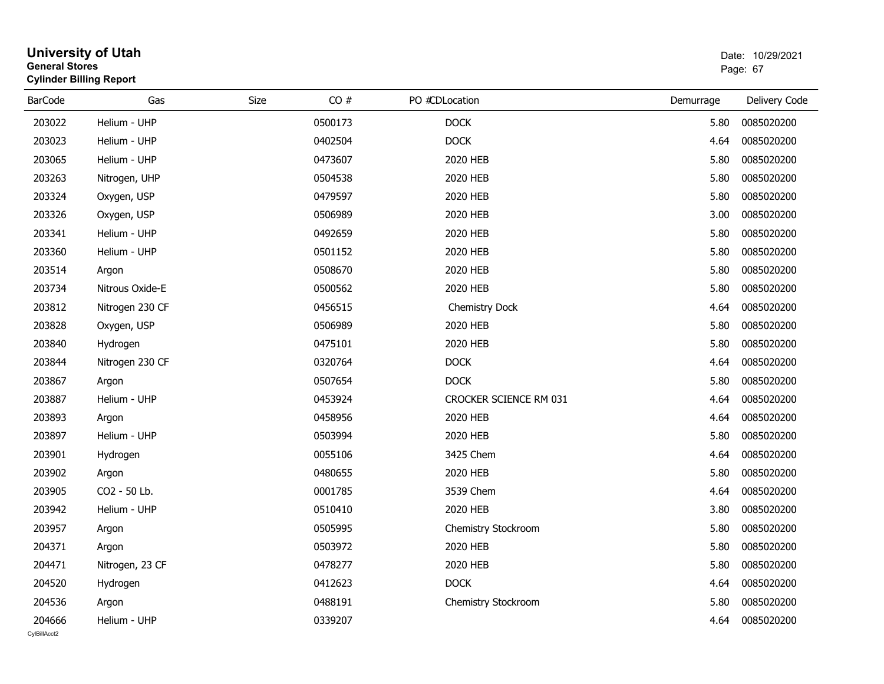| <b>General Stores</b>  | <b>University of Utah</b><br><b>Cylinder Billing Report</b> |      |         |                        |           | Date: 10/29/2021<br>Page: 67 |  |
|------------------------|-------------------------------------------------------------|------|---------|------------------------|-----------|------------------------------|--|
| <b>BarCode</b>         | Gas                                                         | Size | CO#     | PO #CDLocation         | Demurrage | Delivery Code                |  |
| 203022                 | Helium - UHP                                                |      | 0500173 | <b>DOCK</b>            | 5.80      | 0085020200                   |  |
| 203023                 | Helium - UHP                                                |      | 0402504 | <b>DOCK</b>            | 4.64      | 0085020200                   |  |
| 203065                 | Helium - UHP                                                |      | 0473607 | 2020 HEB               | 5.80      | 0085020200                   |  |
| 203263                 | Nitrogen, UHP                                               |      | 0504538 | 2020 HEB               | 5.80      | 0085020200                   |  |
| 203324                 | Oxygen, USP                                                 |      | 0479597 | 2020 HEB               | 5.80      | 0085020200                   |  |
| 203326                 | Oxygen, USP                                                 |      | 0506989 | 2020 HEB               | 3.00      | 0085020200                   |  |
| 203341                 | Helium - UHP                                                |      | 0492659 | 2020 HEB               | 5.80      | 0085020200                   |  |
| 203360                 | Helium - UHP                                                |      | 0501152 | 2020 HEB               | 5.80      | 0085020200                   |  |
| 203514                 | Argon                                                       |      | 0508670 | 2020 HEB               | 5.80      | 0085020200                   |  |
| 203734                 | Nitrous Oxide-E                                             |      | 0500562 | 2020 HEB               | 5.80      | 0085020200                   |  |
| 203812                 | Nitrogen 230 CF                                             |      | 0456515 | Chemistry Dock         | 4.64      | 0085020200                   |  |
| 203828                 | Oxygen, USP                                                 |      | 0506989 | 2020 HEB               | 5.80      | 0085020200                   |  |
| 203840                 | Hydrogen                                                    |      | 0475101 | 2020 HEB               | 5.80      | 0085020200                   |  |
| 203844                 | Nitrogen 230 CF                                             |      | 0320764 | <b>DOCK</b>            | 4.64      | 0085020200                   |  |
| 203867                 | Argon                                                       |      | 0507654 | <b>DOCK</b>            | 5.80      | 0085020200                   |  |
| 203887                 | Helium - UHP                                                |      | 0453924 | CROCKER SCIENCE RM 031 | 4.64      | 0085020200                   |  |
| 203893                 | Argon                                                       |      | 0458956 | 2020 HEB               | 4.64      | 0085020200                   |  |
| 203897                 | Helium - UHP                                                |      | 0503994 | 2020 HEB               | 5.80      | 0085020200                   |  |
| 203901                 | Hydrogen                                                    |      | 0055106 | 3425 Chem              | 4.64      | 0085020200                   |  |
| 203902                 | Argon                                                       |      | 0480655 | 2020 HEB               | 5.80      | 0085020200                   |  |
| 203905                 | CO2 - 50 Lb.                                                |      | 0001785 | 3539 Chem              | 4.64      | 0085020200                   |  |
| 203942                 | Helium - UHP                                                |      | 0510410 | 2020 HEB               | 3.80      | 0085020200                   |  |
| 203957                 | Argon                                                       |      | 0505995 | Chemistry Stockroom    | 5.80      | 0085020200                   |  |
| 204371                 | Argon                                                       |      | 0503972 | 2020 HEB               | 5.80      | 0085020200                   |  |
| 204471                 | Nitrogen, 23 CF                                             |      | 0478277 | 2020 HEB               | 5.80      | 0085020200                   |  |
| 204520                 | Hydrogen                                                    |      | 0412623 | <b>DOCK</b>            | 4.64      | 0085020200                   |  |
| 204536                 | Argon                                                       |      | 0488191 | Chemistry Stockroom    | 5.80      | 0085020200                   |  |
| 204666<br>CvIBillAcct2 | Helium - UHP                                                |      | 0339207 |                        | 4.64      | 0085020200                   |  |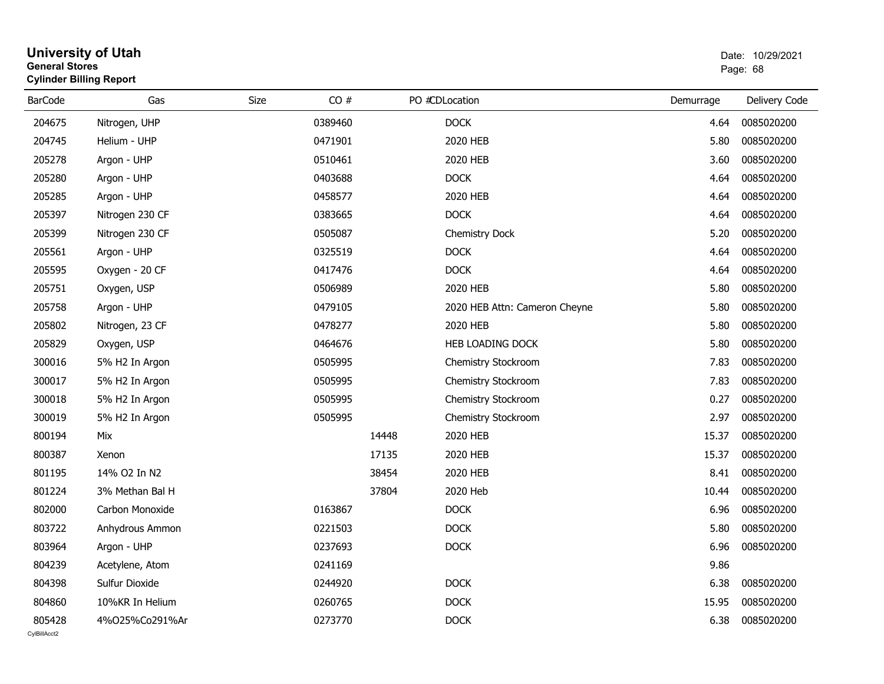| General Stores | <b>Cylinder Billing Report</b> |      |         |       |                               | Page: 68  |               |  |
|----------------|--------------------------------|------|---------|-------|-------------------------------|-----------|---------------|--|
| <b>BarCode</b> | Gas                            | Size | CO#     |       | PO #CDLocation                | Demurrage | Delivery Code |  |
| 204675         | Nitrogen, UHP                  |      | 0389460 |       | <b>DOCK</b>                   | 4.64      | 0085020200    |  |
| 204745         | Helium - UHP                   |      | 0471901 |       | 2020 HEB                      | 5.80      | 0085020200    |  |
| 205278         | Argon - UHP                    |      | 0510461 |       | 2020 HEB                      | 3.60      | 0085020200    |  |
| 205280         | Argon - UHP                    |      | 0403688 |       | <b>DOCK</b>                   | 4.64      | 0085020200    |  |
| 205285         | Argon - UHP                    |      | 0458577 |       | 2020 HEB                      | 4.64      | 0085020200    |  |
| 205397         | Nitrogen 230 CF                |      | 0383665 |       | <b>DOCK</b>                   | 4.64      | 0085020200    |  |
| 205399         | Nitrogen 230 CF                |      | 0505087 |       | Chemistry Dock                | 5.20      | 0085020200    |  |
| 205561         | Argon - UHP                    |      | 0325519 |       | <b>DOCK</b>                   | 4.64      | 0085020200    |  |
| 205595         | Oxygen - 20 CF                 |      | 0417476 |       | <b>DOCK</b>                   | 4.64      | 0085020200    |  |
| 205751         | Oxygen, USP                    |      | 0506989 |       | 2020 HEB                      | 5.80      | 0085020200    |  |
| 205758         | Argon - UHP                    |      | 0479105 |       | 2020 HEB Attn: Cameron Cheyne | 5.80      | 0085020200    |  |
| 205802         | Nitrogen, 23 CF                |      | 0478277 |       | 2020 HEB                      | 5.80      | 0085020200    |  |
| 205829         | Oxygen, USP                    |      | 0464676 |       | HEB LOADING DOCK              | 5.80      | 0085020200    |  |
| 300016         | 5% H2 In Argon                 |      | 0505995 |       | Chemistry Stockroom           | 7.83      | 0085020200    |  |
| 300017         | 5% H2 In Argon                 |      | 0505995 |       | Chemistry Stockroom           | 7.83      | 0085020200    |  |
| 300018         | 5% H2 In Argon                 |      | 0505995 |       | Chemistry Stockroom           | 0.27      | 0085020200    |  |
| 300019         | 5% H2 In Argon                 |      | 0505995 |       | Chemistry Stockroom           | 2.97      | 0085020200    |  |
| 800194         | Mix                            |      |         | 14448 | 2020 HEB                      | 15.37     | 0085020200    |  |
| 800387         | Xenon                          |      |         | 17135 | 2020 HEB                      | 15.37     | 0085020200    |  |
| 801195         | 14% O2 In N2                   |      |         | 38454 | 2020 HEB                      | 8.41      | 0085020200    |  |
| 801224         | 3% Methan Bal H                |      |         | 37804 | 2020 Heb                      | 10.44     | 0085020200    |  |
| 802000         | Carbon Monoxide                |      | 0163867 |       | <b>DOCK</b>                   | 6.96      | 0085020200    |  |
| 803722         | Anhydrous Ammon                |      | 0221503 |       | <b>DOCK</b>                   | 5.80      | 0085020200    |  |
| 803964         | Argon - UHP                    |      | 0237693 |       | <b>DOCK</b>                   | 6.96      | 0085020200    |  |
| 804239         | Acetylene, Atom                |      | 0241169 |       |                               | 9.86      |               |  |
| 804398         | Sulfur Dioxide                 |      | 0244920 |       | <b>DOCK</b>                   | 6.38      | 0085020200    |  |
| 804860         | 10%KR In Helium                |      | 0260765 |       | <b>DOCK</b>                   | 15.95     | 0085020200    |  |
| 805428         | 4%025%Co291%Ar                 |      | 0273770 |       | <b>DOCK</b>                   | 6.38      | 0085020200    |  |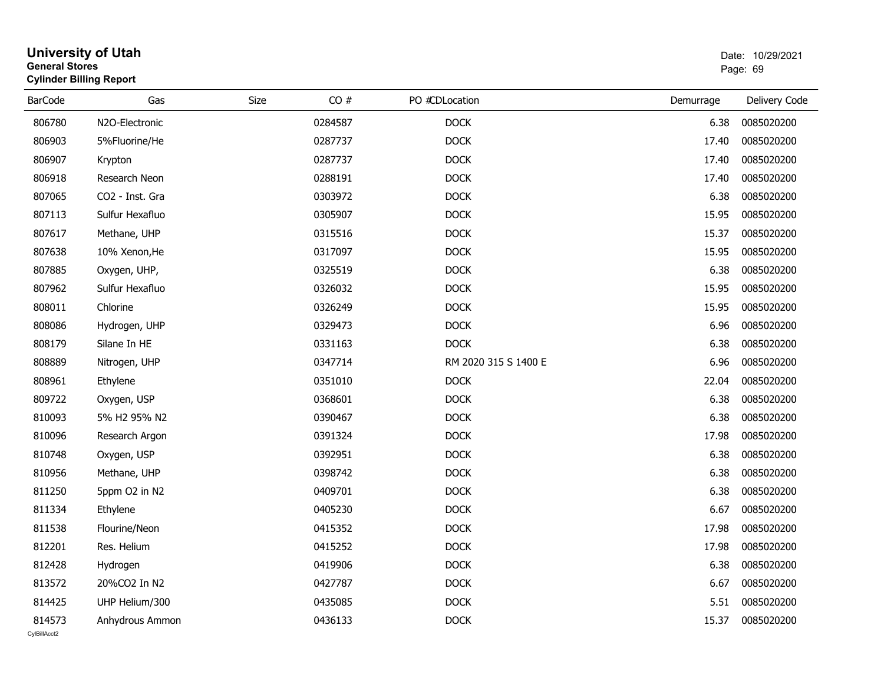|                        | <b>University of Utah</b><br><b>General Stores</b><br><b>Cylinder Billing Report</b> |      |         |                      |           | Date: 10/29/2021<br>Page: 69 |  |  |
|------------------------|--------------------------------------------------------------------------------------|------|---------|----------------------|-----------|------------------------------|--|--|
| <b>BarCode</b>         | Gas                                                                                  | Size | CO#     | PO #CDLocation       | Demurrage | Delivery Code                |  |  |
| 806780                 | N2O-Electronic                                                                       |      | 0284587 | <b>DOCK</b>          | 6.38      | 0085020200                   |  |  |
| 806903                 | 5%Fluorine/He                                                                        |      | 0287737 | <b>DOCK</b>          | 17.40     | 0085020200                   |  |  |
| 806907                 | Krypton                                                                              |      | 0287737 | <b>DOCK</b>          | 17.40     | 0085020200                   |  |  |
| 806918                 | Research Neon                                                                        |      | 0288191 | <b>DOCK</b>          | 17.40     | 0085020200                   |  |  |
| 807065                 | CO2 - Inst. Gra                                                                      |      | 0303972 | <b>DOCK</b>          | 6.38      | 0085020200                   |  |  |
| 807113                 | Sulfur Hexafluo                                                                      |      | 0305907 | <b>DOCK</b>          | 15.95     | 0085020200                   |  |  |
| 807617                 | Methane, UHP                                                                         |      | 0315516 | <b>DOCK</b>          | 15.37     | 0085020200                   |  |  |
| 807638                 | 10% Xenon, He                                                                        |      | 0317097 | <b>DOCK</b>          | 15.95     | 0085020200                   |  |  |
| 807885                 | Oxygen, UHP,                                                                         |      | 0325519 | <b>DOCK</b>          | 6.38      | 0085020200                   |  |  |
| 807962                 | Sulfur Hexafluo                                                                      |      | 0326032 | <b>DOCK</b>          | 15.95     | 0085020200                   |  |  |
| 808011                 | Chlorine                                                                             |      | 0326249 | <b>DOCK</b>          | 15.95     | 0085020200                   |  |  |
| 808086                 | Hydrogen, UHP                                                                        |      | 0329473 | <b>DOCK</b>          | 6.96      | 0085020200                   |  |  |
| 808179                 | Silane In HE                                                                         |      | 0331163 | <b>DOCK</b>          | 6.38      | 0085020200                   |  |  |
| 808889                 | Nitrogen, UHP                                                                        |      | 0347714 | RM 2020 315 S 1400 E | 6.96      | 0085020200                   |  |  |
| 808961                 | Ethylene                                                                             |      | 0351010 | <b>DOCK</b>          | 22.04     | 0085020200                   |  |  |
| 809722                 | Oxygen, USP                                                                          |      | 0368601 | <b>DOCK</b>          | 6.38      | 0085020200                   |  |  |
| 810093                 | 5% H2 95% N2                                                                         |      | 0390467 | <b>DOCK</b>          | 6.38      | 0085020200                   |  |  |
| 810096                 | Research Argon                                                                       |      | 0391324 | <b>DOCK</b>          | 17.98     | 0085020200                   |  |  |
| 810748                 | Oxygen, USP                                                                          |      | 0392951 | <b>DOCK</b>          | 6.38      | 0085020200                   |  |  |
| 810956                 | Methane, UHP                                                                         |      | 0398742 | <b>DOCK</b>          | 6.38      | 0085020200                   |  |  |
| 811250                 | 5ppm O2 in N2                                                                        |      | 0409701 | <b>DOCK</b>          | 6.38      | 0085020200                   |  |  |
| 811334                 | Ethylene                                                                             |      | 0405230 | <b>DOCK</b>          | 6.67      | 0085020200                   |  |  |
| 811538                 | Flourine/Neon                                                                        |      | 0415352 | <b>DOCK</b>          | 17.98     | 0085020200                   |  |  |
| 812201                 | Res. Helium                                                                          |      | 0415252 | <b>DOCK</b>          | 17.98     | 0085020200                   |  |  |
| 812428                 | Hydrogen                                                                             |      | 0419906 | <b>DOCK</b>          | 6.38      | 0085020200                   |  |  |
| 813572                 | 20%CO2 In N2                                                                         |      | 0427787 | <b>DOCK</b>          | 6.67      | 0085020200                   |  |  |
| 814425                 | UHP Helium/300                                                                       |      | 0435085 | <b>DOCK</b>          | 5.51      | 0085020200                   |  |  |
| 814573<br>CvIBillAcct2 | Anhydrous Ammon                                                                      |      | 0436133 | <b>DOCK</b>          | 15.37     | 0085020200                   |  |  |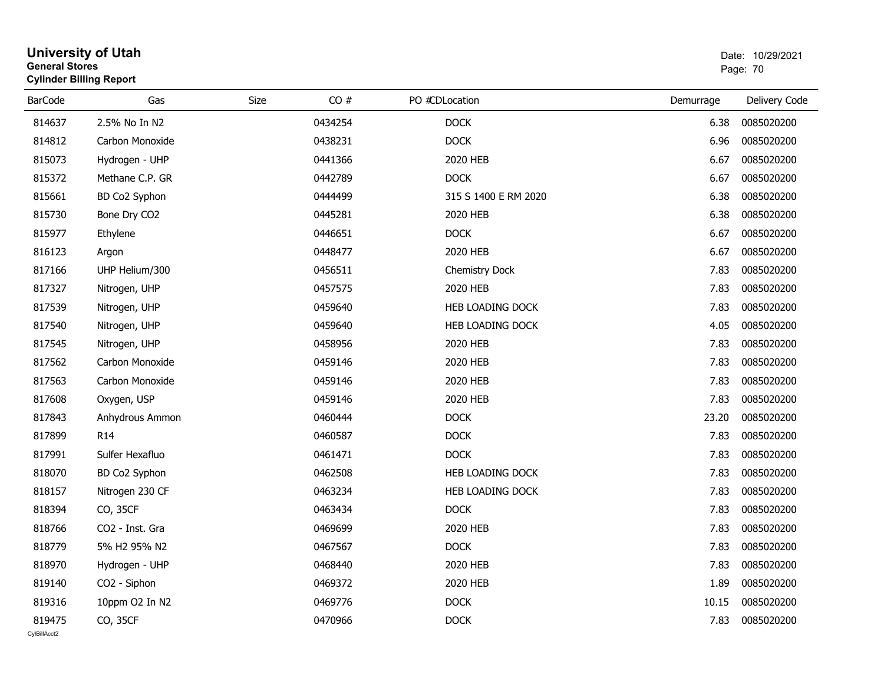| General Stores | <b>Cylinder Billing Report</b> |             |         |                      |           | Page: 70      |
|----------------|--------------------------------|-------------|---------|----------------------|-----------|---------------|
| <b>BarCode</b> | Gas                            | <b>Size</b> | CO#     | PO #CDLocation       | Demurrage | Delivery Code |
| 814637         | 2.5% No In N2                  |             | 0434254 | <b>DOCK</b>          | 6.38      | 0085020200    |
| 814812         | Carbon Monoxide                |             | 0438231 | <b>DOCK</b>          | 6.96      | 0085020200    |
| 815073         | Hydrogen - UHP                 |             | 0441366 | 2020 HEB             | 6.67      | 0085020200    |
| 815372         | Methane C.P. GR                |             | 0442789 | <b>DOCK</b>          | 6.67      | 0085020200    |
| 815661         | BD Co2 Syphon                  |             | 0444499 | 315 S 1400 E RM 2020 | 6.38      | 0085020200    |
| 815730         | Bone Dry CO2                   |             | 0445281 | 2020 HEB             | 6.38      | 0085020200    |
| 815977         | Ethylene                       |             | 0446651 | <b>DOCK</b>          | 6.67      | 0085020200    |
| 816123         | Argon                          |             | 0448477 | 2020 HEB             | 6.67      | 0085020200    |
| 817166         | UHP Helium/300                 |             | 0456511 | Chemistry Dock       | 7.83      | 0085020200    |
| 817327         | Nitrogen, UHP                  |             | 0457575 | 2020 HEB             | 7.83      | 0085020200    |
| 817539         | Nitrogen, UHP                  |             | 0459640 | HEB LOADING DOCK     | 7.83      | 0085020200    |
| 817540         | Nitrogen, UHP                  |             | 0459640 | HEB LOADING DOCK     | 4.05      | 0085020200    |
| 817545         | Nitrogen, UHP                  |             | 0458956 | 2020 HEB             | 7.83      | 0085020200    |
| 817562         | Carbon Monoxide                |             | 0459146 | 2020 HEB             | 7.83      | 0085020200    |
| 817563         | Carbon Monoxide                |             | 0459146 | 2020 HEB             | 7.83      | 0085020200    |
| 817608         | Oxygen, USP                    |             | 0459146 | 2020 HEB             | 7.83      | 0085020200    |
| 817843         | Anhydrous Ammon                |             | 0460444 | <b>DOCK</b>          | 23.20     | 0085020200    |
| 817899         | R <sub>14</sub>                |             | 0460587 | <b>DOCK</b>          | 7.83      | 0085020200    |
| 817991         | Sulfer Hexafluo                |             | 0461471 | <b>DOCK</b>          | 7.83      | 0085020200    |
| 818070         | BD Co2 Syphon                  |             | 0462508 | HEB LOADING DOCK     | 7.83      | 0085020200    |
| 818157         | Nitrogen 230 CF                |             | 0463234 | HEB LOADING DOCK     | 7.83      | 0085020200    |
| 818394         | CO, 35CF                       |             | 0463434 | <b>DOCK</b>          | 7.83      | 0085020200    |
| 818766         | CO <sub>2</sub> - Inst. Gra    |             | 0469699 | 2020 HEB             | 7.83      | 0085020200    |
| 818779         | 5% H2 95% N2                   |             | 0467567 | <b>DOCK</b>          | 7.83      | 0085020200    |
| 818970         | Hydrogen - UHP                 |             | 0468440 | 2020 HEB             | 7.83      | 0085020200    |
| 819140         | CO2 - Siphon                   |             | 0469372 | 2020 HEB             | 1.89      | 0085020200    |
| 819316         | 10ppm O2 In N2                 |             | 0469776 | <b>DOCK</b>          | 10.15     | 0085020200    |
| 819475         | CO, 35CF                       |             | 0470966 | <b>DOCK</b>          | 7.83      | 0085020200    |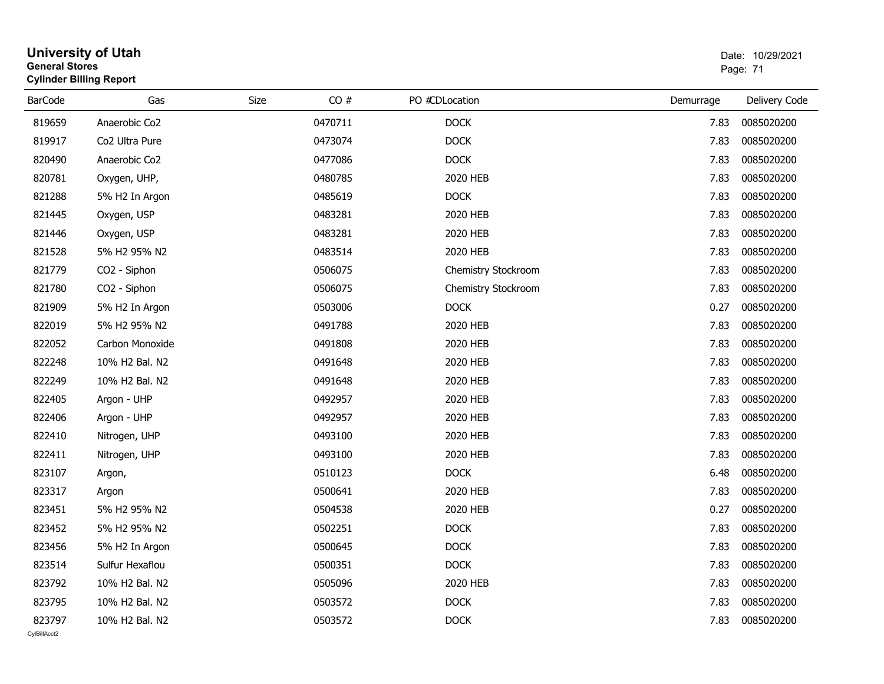| <b>General Stores</b> | <b>Cylinder Billing Report</b> |      |         |                     |           | Page: 71      |
|-----------------------|--------------------------------|------|---------|---------------------|-----------|---------------|
| <b>BarCode</b>        | Gas                            | Size | CO#     | PO #CDLocation      | Demurrage | Delivery Code |
| 819659                | Anaerobic Co <sub>2</sub>      |      | 0470711 | <b>DOCK</b>         | 7.83      | 0085020200    |
| 819917                | Co2 Ultra Pure                 |      | 0473074 | <b>DOCK</b>         | 7.83      | 0085020200    |
| 820490                | Anaerobic Co2                  |      | 0477086 | <b>DOCK</b>         | 7.83      | 0085020200    |
| 820781                | Oxygen, UHP,                   |      | 0480785 | 2020 HEB            | 7.83      | 0085020200    |
| 821288                | 5% H2 In Argon                 |      | 0485619 | <b>DOCK</b>         | 7.83      | 0085020200    |
| 821445                | Oxygen, USP                    |      | 0483281 | 2020 HEB            | 7.83      | 0085020200    |
| 821446                | Oxygen, USP                    |      | 0483281 | 2020 HEB            | 7.83      | 0085020200    |
| 821528                | 5% H2 95% N2                   |      | 0483514 | 2020 HEB            | 7.83      | 0085020200    |
| 821779                | CO2 - Siphon                   |      | 0506075 | Chemistry Stockroom | 7.83      | 0085020200    |
| 821780                | CO <sub>2</sub> - Siphon       |      | 0506075 | Chemistry Stockroom | 7.83      | 0085020200    |
| 821909                | 5% H2 In Argon                 |      | 0503006 | <b>DOCK</b>         | 0.27      | 0085020200    |
| 822019                | 5% H2 95% N2                   |      | 0491788 | 2020 HEB            | 7.83      | 0085020200    |
| 822052                | Carbon Monoxide                |      | 0491808 | 2020 HEB            | 7.83      | 0085020200    |
| 822248                | 10% H2 Bal. N2                 |      | 0491648 | 2020 HEB            | 7.83      | 0085020200    |
| 822249                | 10% H2 Bal. N2                 |      | 0491648 | 2020 HEB            | 7.83      | 0085020200    |
| 822405                | Argon - UHP                    |      | 0492957 | 2020 HEB            | 7.83      | 0085020200    |
| 822406                | Argon - UHP                    |      | 0492957 | 2020 HEB            | 7.83      | 0085020200    |
| 822410                | Nitrogen, UHP                  |      | 0493100 | 2020 HEB            | 7.83      | 0085020200    |
| 822411                | Nitrogen, UHP                  |      | 0493100 | 2020 HEB            | 7.83      | 0085020200    |
| 823107                | Argon,                         |      | 0510123 | <b>DOCK</b>         | 6.48      | 0085020200    |
| 823317                | Argon                          |      | 0500641 | 2020 HEB            | 7.83      | 0085020200    |
| 823451                | 5% H2 95% N2                   |      | 0504538 | 2020 HEB            | 0.27      | 0085020200    |
| 823452                | 5% H2 95% N2                   |      | 0502251 | <b>DOCK</b>         | 7.83      | 0085020200    |
| 823456                | 5% H2 In Argon                 |      | 0500645 | <b>DOCK</b>         | 7.83      | 0085020200    |
| 823514                | Sulfur Hexaflou                |      | 0500351 | <b>DOCK</b>         | 7.83      | 0085020200    |
| 823792                | 10% H2 Bal. N2                 |      | 0505096 | 2020 HEB            | 7.83      | 0085020200    |
| 823795                | 10% H2 Bal. N2                 |      | 0503572 | <b>DOCK</b>         | 7.83      | 0085020200    |
| 823797                | 10% H2 Bal. N2                 |      | 0503572 | <b>DOCK</b>         | 7.83      | 0085020200    |

# **University of Utah**  Date: 10/29/2021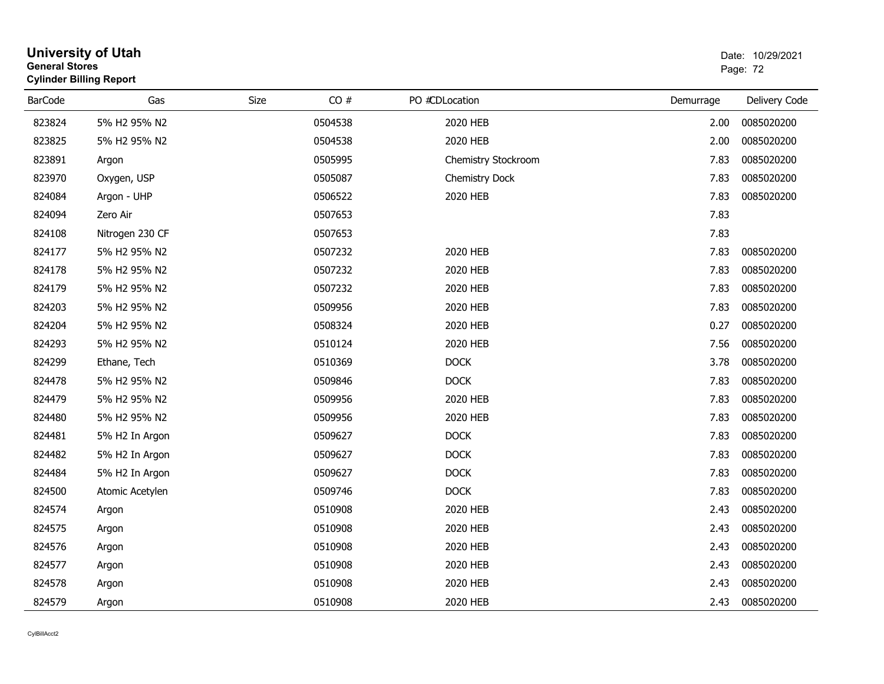| General Stores<br><b>Cylinder Billing Report</b> |                 |      |         |                       |           | Page: 72      |  |
|--------------------------------------------------|-----------------|------|---------|-----------------------|-----------|---------------|--|
| <b>BarCode</b>                                   | Gas             | Size | CO#     | PO #CDLocation        | Demurrage | Delivery Code |  |
| 823824                                           | 5% H2 95% N2    |      | 0504538 | 2020 HEB              | 2.00      | 0085020200    |  |
| 823825                                           | 5% H2 95% N2    |      | 0504538 | 2020 HEB              | 2.00      | 0085020200    |  |
| 823891                                           | Argon           |      | 0505995 | Chemistry Stockroom   | 7.83      | 0085020200    |  |
| 823970                                           | Oxygen, USP     |      | 0505087 | <b>Chemistry Dock</b> | 7.83      | 0085020200    |  |
| 824084                                           | Argon - UHP     |      | 0506522 | 2020 HEB              | 7.83      | 0085020200    |  |
| 824094                                           | Zero Air        |      | 0507653 |                       | 7.83      |               |  |
| 824108                                           | Nitrogen 230 CF |      | 0507653 |                       | 7.83      |               |  |
| 824177                                           | 5% H2 95% N2    |      | 0507232 | 2020 HEB              | 7.83      | 0085020200    |  |
| 824178                                           | 5% H2 95% N2    |      | 0507232 | 2020 HEB              | 7.83      | 0085020200    |  |
| 824179                                           | 5% H2 95% N2    |      | 0507232 | 2020 HEB              | 7.83      | 0085020200    |  |
| 824203                                           | 5% H2 95% N2    |      | 0509956 | 2020 HEB              | 7.83      | 0085020200    |  |
| 824204                                           | 5% H2 95% N2    |      | 0508324 | 2020 HEB              | 0.27      | 0085020200    |  |
| 824293                                           | 5% H2 95% N2    |      | 0510124 | 2020 HEB              | 7.56      | 0085020200    |  |
| 824299                                           | Ethane, Tech    |      | 0510369 | <b>DOCK</b>           | 3.78      | 0085020200    |  |
| 824478                                           | 5% H2 95% N2    |      | 0509846 | <b>DOCK</b>           | 7.83      | 0085020200    |  |
| 824479                                           | 5% H2 95% N2    |      | 0509956 | 2020 HEB              | 7.83      | 0085020200    |  |
| 824480                                           | 5% H2 95% N2    |      | 0509956 | 2020 HEB              | 7.83      | 0085020200    |  |
| 824481                                           | 5% H2 In Argon  |      | 0509627 | <b>DOCK</b>           | 7.83      | 0085020200    |  |
| 824482                                           | 5% H2 In Argon  |      | 0509627 | <b>DOCK</b>           | 7.83      | 0085020200    |  |
| 824484                                           | 5% H2 In Argon  |      | 0509627 | <b>DOCK</b>           | 7.83      | 0085020200    |  |
| 824500                                           | Atomic Acetylen |      | 0509746 | <b>DOCK</b>           | 7.83      | 0085020200    |  |
| 824574                                           | Argon           |      | 0510908 | 2020 HEB              | 2.43      | 0085020200    |  |
| 824575                                           | Argon           |      | 0510908 | 2020 HEB              | 2.43      | 0085020200    |  |
| 824576                                           | Argon           |      | 0510908 | 2020 HEB              | 2.43      | 0085020200    |  |
| 824577                                           | Argon           |      | 0510908 | 2020 HEB              | 2.43      | 0085020200    |  |
| 824578                                           | Argon           |      | 0510908 | 2020 HEB              | 2.43      | 0085020200    |  |
| 824579                                           | Argon           |      | 0510908 | 2020 HEB              | 2.43      | 0085020200    |  |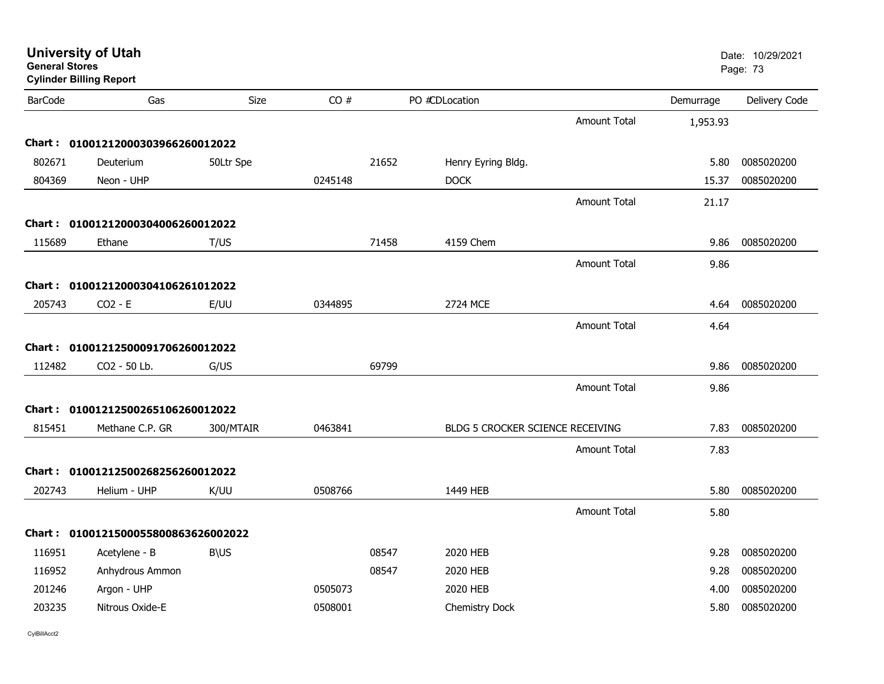| <b>General Stores</b> | <b>Cylinder Billing Report</b>      |             |         |       |                                  |                     |           | Page: 73      |
|-----------------------|-------------------------------------|-------------|---------|-------|----------------------------------|---------------------|-----------|---------------|
| <b>BarCode</b>        | Gas                                 | Size        | CO#     |       | PO #CDLocation                   |                     | Demurrage | Delivery Code |
|                       |                                     |             |         |       |                                  | <b>Amount Total</b> | 1,953.93  |               |
|                       | Chart: 01001212000303966260012022   |             |         |       |                                  |                     |           |               |
| 802671                | Deuterium                           | 50Ltr Spe   |         | 21652 | Henry Eyring Bldg.               |                     | 5.80      | 0085020200    |
| 804369                | Neon - UHP                          |             | 0245148 |       | <b>DOCK</b>                      |                     | 15.37     | 0085020200    |
|                       |                                     |             |         |       |                                  | <b>Amount Total</b> | 21.17     |               |
|                       | Chart: 01001212000304006260012022   |             |         |       |                                  |                     |           |               |
| 115689                | Ethane                              | T/US        |         | 71458 | 4159 Chem                        |                     | 9.86      | 0085020200    |
|                       |                                     |             |         |       |                                  | <b>Amount Total</b> | 9.86      |               |
|                       | Chart: 01001212000304106261012022   |             |         |       |                                  |                     |           |               |
| 205743                | $CO2 - E$                           | E/UU        | 0344895 |       | 2724 MCE                         |                     | 4.64      | 0085020200    |
|                       |                                     |             |         |       |                                  | <b>Amount Total</b> | 4.64      |               |
|                       | Chart: 01001212500091706260012022   |             |         |       |                                  |                     |           |               |
| 112482                | CO2 - 50 Lb.                        | G/US        |         | 69799 |                                  |                     | 9.86      | 0085020200    |
|                       |                                     |             |         |       |                                  | <b>Amount Total</b> | 9.86      |               |
|                       | Chart: 01001212500265106260012022   |             |         |       |                                  |                     |           |               |
| 815451                | Methane C.P. GR                     | 300/MTAIR   | 0463841 |       | BLDG 5 CROCKER SCIENCE RECEIVING |                     | 7.83      | 0085020200    |
|                       |                                     |             |         |       |                                  | <b>Amount Total</b> | 7.83      |               |
|                       | Chart: 01001212500268256260012022   |             |         |       |                                  |                     |           |               |
| 202743                | Helium - UHP                        | K/UU        | 0508766 |       | 1449 HEB                         |                     | 5.80      | 0085020200    |
|                       |                                     |             |         |       |                                  | <b>Amount Total</b> | 5.80      |               |
|                       | Chart: 0100121500055800863626002022 |             |         |       |                                  |                     |           |               |
| 116951                | Acetylene - B                       | <b>B\US</b> |         | 08547 | 2020 HEB                         |                     | 9.28      | 0085020200    |
| 116952                | Anhydrous Ammon                     |             |         | 08547 | 2020 HEB                         |                     | 9.28      | 0085020200    |
| 201246                | Argon - UHP                         |             | 0505073 |       | 2020 HEB                         |                     | 4.00      | 0085020200    |
| 203235                | Nitrous Oxide-E                     |             | 0508001 |       | Chemistry Dock                   |                     | 5.80      | 0085020200    |
|                       |                                     |             |         |       |                                  |                     |           |               |

**University of Utah** Date: 10/29/2021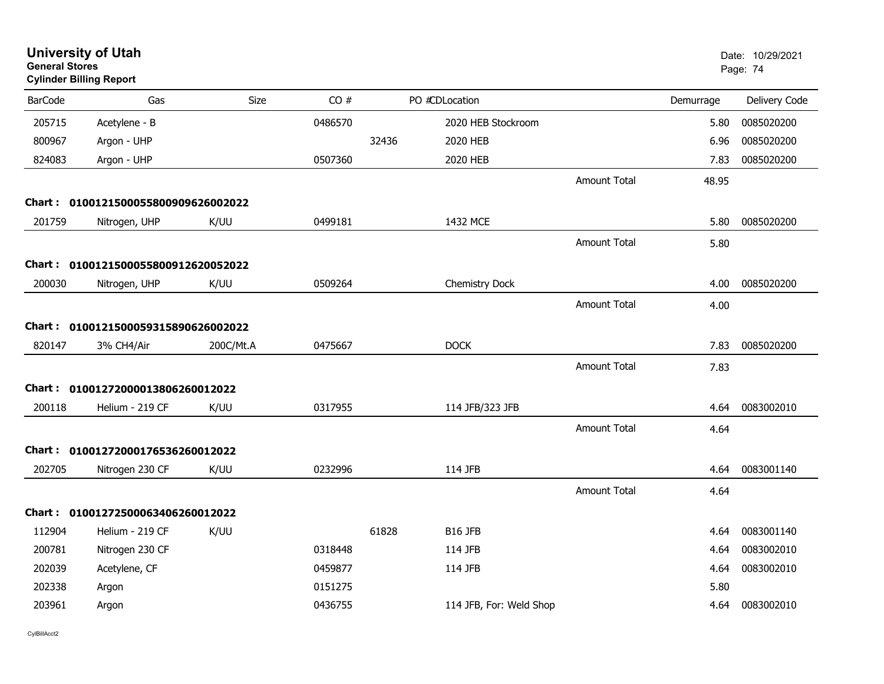| <b>General Stores</b> | <b>University of Utah</b><br><b>Cylinder Billing Report</b> |           |         |       |                         |                     |           | Date: 10/29/2021<br>Page: 74 |
|-----------------------|-------------------------------------------------------------|-----------|---------|-------|-------------------------|---------------------|-----------|------------------------------|
| <b>BarCode</b>        | Gas                                                         | Size      | CO#     |       | PO #CDLocation          |                     | Demurrage | Delivery Code                |
| 205715                | Acetylene - B                                               |           | 0486570 |       | 2020 HEB Stockroom      |                     | 5.80      | 0085020200                   |
| 800967                | Argon - UHP                                                 |           |         | 32436 | 2020 HEB                |                     | 6.96      | 0085020200                   |
| 824083                | Argon - UHP                                                 |           | 0507360 |       | 2020 HEB                |                     | 7.83      | 0085020200                   |
|                       |                                                             |           |         |       |                         | <b>Amount Total</b> | 48.95     |                              |
| <b>Chart :</b>        | 0100121500055800909626002022                                |           |         |       |                         |                     |           |                              |
| 201759                | Nitrogen, UHP                                               | K/UU      | 0499181 |       | 1432 MCE                |                     | 5.80      | 0085020200                   |
|                       |                                                             |           |         |       |                         | <b>Amount Total</b> | 5.80      |                              |
|                       | Chart: 0100121500055800912620052022                         |           |         |       |                         |                     |           |                              |
| 200030                | Nitrogen, UHP                                               | K/UU      | 0509264 |       | Chemistry Dock          |                     | 4.00      | 0085020200                   |
|                       |                                                             |           |         |       |                         | <b>Amount Total</b> | 4.00      |                              |
|                       | Chart: 0100121500059315890626002022                         |           |         |       |                         |                     |           |                              |
| 820147                | 3% CH4/Air                                                  | 200C/Mt.A | 0475667 |       | <b>DOCK</b>             |                     | 7.83      | 0085020200                   |
|                       |                                                             |           |         |       |                         | <b>Amount Total</b> | 7.83      |                              |
|                       | Chart: 01001272000013806260012022                           |           |         |       |                         |                     |           |                              |
| 200118                | Helium - 219 CF                                             | K/UU      | 0317955 |       | 114 JFB/323 JFB         |                     | 4.64      | 0083002010                   |
|                       |                                                             |           |         |       |                         |                     |           |                              |
|                       |                                                             |           |         |       |                         | <b>Amount Total</b> | 4.64      |                              |
|                       | Chart: 01001272000176536260012022                           |           |         |       |                         |                     |           |                              |
| 202705                | Nitrogen 230 CF                                             | K/UU      | 0232996 |       | 114 JFB                 |                     | 4.64      | 0083001140                   |
|                       |                                                             |           |         |       |                         | <b>Amount Total</b> | 4.64      |                              |
|                       | Chart: 01001272500063406260012022                           |           |         |       |                         |                     |           |                              |
| 112904                | Helium - 219 CF                                             | K/UU      |         | 61828 | <b>B16 JFB</b>          |                     | 4.64      | 0083001140                   |
| 200781                | Nitrogen 230 CF                                             |           | 0318448 |       | 114 JFB                 |                     | 4.64      | 0083002010                   |
| 202039                | Acetylene, CF                                               |           | 0459877 |       | 114 JFB                 |                     | 4.64      | 0083002010                   |
| 202338                | Argon                                                       |           | 0151275 |       |                         |                     | 5.80      |                              |
| 203961                | Argon                                                       |           | 0436755 |       | 114 JFB, For: Weld Shop |                     | 4.64      | 0083002010                   |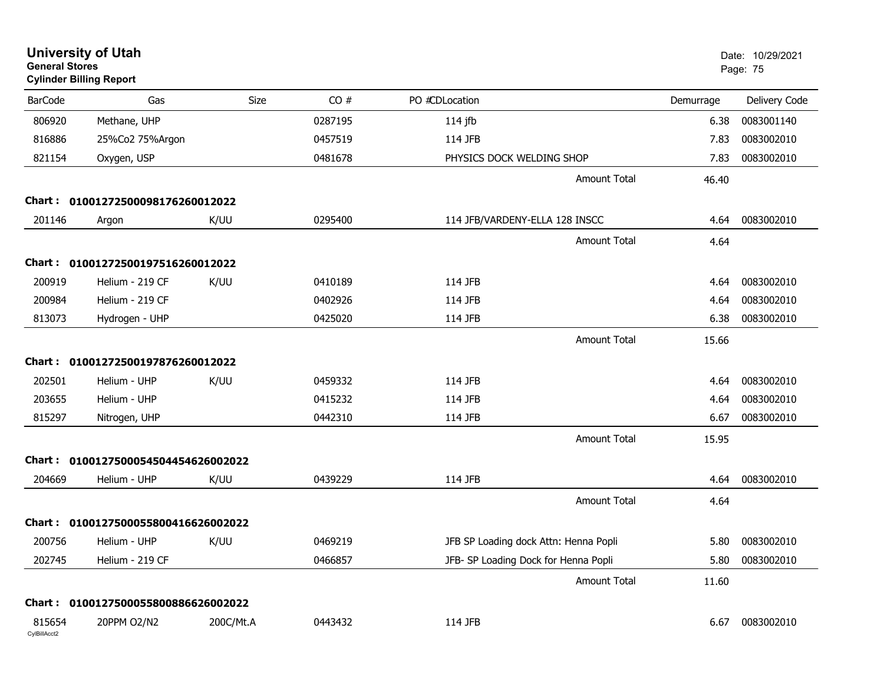| <b>General Stores</b>  | <b>University of Utah</b><br><b>Cylinder Billing Report</b> |           |         |                                       |           | Date: 10/29/2021<br>Page: 75 |
|------------------------|-------------------------------------------------------------|-----------|---------|---------------------------------------|-----------|------------------------------|
| <b>BarCode</b>         | Gas                                                         | Size      | CO#     | PO #CDLocation                        | Demurrage | Delivery Code                |
| 806920                 | Methane, UHP                                                |           | 0287195 | $114$ jfb                             | 6.38      | 0083001140                   |
| 816886                 | 25%Co2 75%Argon                                             |           | 0457519 | 114 JFB                               | 7.83      | 0083002010                   |
| 821154                 | Oxygen, USP                                                 |           | 0481678 | PHYSICS DOCK WELDING SHOP             | 7.83      | 0083002010                   |
|                        |                                                             |           |         | <b>Amount Total</b>                   | 46.40     |                              |
|                        | Chart: 01001272500098176260012022                           |           |         |                                       |           |                              |
| 201146                 | Argon                                                       | K/UU      | 0295400 | 114 JFB/VARDENY-ELLA 128 INSCC        | 4.64      | 0083002010                   |
|                        |                                                             |           |         | <b>Amount Total</b>                   | 4.64      |                              |
|                        | Chart: 01001272500197516260012022                           |           |         |                                       |           |                              |
| 200919                 | Helium - 219 CF                                             | K/UU      | 0410189 | 114 JFB                               | 4.64      | 0083002010                   |
| 200984                 | Helium - 219 CF                                             |           | 0402926 | 114 JFB                               | 4.64      | 0083002010                   |
| 813073                 | Hydrogen - UHP                                              |           | 0425020 | 114 JFB                               | 6.38      | 0083002010                   |
|                        |                                                             |           |         | <b>Amount Total</b>                   | 15.66     |                              |
|                        | Chart: 01001272500197876260012022                           |           |         |                                       |           |                              |
| 202501                 | Helium - UHP                                                | K/UU      | 0459332 | 114 JFB                               | 4.64      | 0083002010                   |
| 203655                 | Helium - UHP                                                |           | 0415232 | 114 JFB                               | 4.64      | 0083002010                   |
| 815297                 | Nitrogen, UHP                                               |           | 0442310 | 114 JFB                               | 6.67      | 0083002010                   |
|                        |                                                             |           |         | <b>Amount Total</b>                   | 15.95     |                              |
| Chart :                | 0100127500054504454626002022                                |           |         |                                       |           |                              |
| 204669                 | Helium - UHP                                                | K/UU      | 0439229 | 114 JFB                               | 4.64      | 0083002010                   |
|                        |                                                             |           |         | <b>Amount Total</b>                   | 4.64      |                              |
|                        | Chart: 0100127500055800416626002022                         |           |         |                                       |           |                              |
| 200756                 | Helium - UHP                                                | K/UU      | 0469219 | JFB SP Loading dock Attn: Henna Popli | 5.80      | 0083002010                   |
| 202745                 | Helium - 219 CF                                             |           | 0466857 | JFB- SP Loading Dock for Henna Popli  | 5.80      | 0083002010                   |
|                        |                                                             |           |         | <b>Amount Total</b>                   | 11.60     |                              |
|                        | Chart: 0100127500055800886626002022                         |           |         |                                       |           |                              |
| 815654<br>CylBillAcct2 | 20PPM O2/N2                                                 | 200C/Mt.A | 0443432 | 114 JFB                               | 6.67      | 0083002010                   |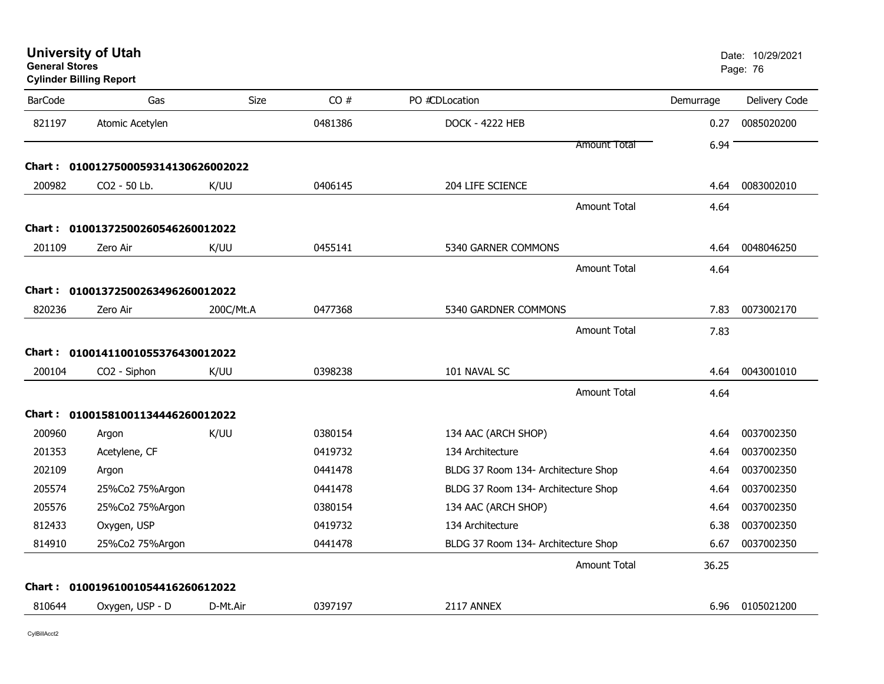| <b>Cylinder Billing Report</b> |                                        |                                                                                                                                                                                                                 |                                     |                                                            |                      |
|--------------------------------|----------------------------------------|-----------------------------------------------------------------------------------------------------------------------------------------------------------------------------------------------------------------|-------------------------------------|------------------------------------------------------------|----------------------|
| Gas                            | Size                                   | CO#                                                                                                                                                                                                             | PO #CDLocation                      | Demurrage                                                  | Delivery Code        |
| Atomic Acetylen                |                                        | 0481386                                                                                                                                                                                                         | <b>DOCK - 4222 HEB</b>              | 0.27                                                       | 0085020200           |
|                                |                                        |                                                                                                                                                                                                                 | <b>Amount Total</b>                 | 6.94                                                       |                      |
|                                |                                        |                                                                                                                                                                                                                 |                                     |                                                            |                      |
| CO2 - 50 Lb.                   | K/UU                                   | 0406145                                                                                                                                                                                                         | 204 LIFE SCIENCE                    | 4.64                                                       | 0083002010           |
|                                |                                        |                                                                                                                                                                                                                 | <b>Amount Total</b>                 | 4.64                                                       |                      |
|                                |                                        |                                                                                                                                                                                                                 |                                     |                                                            |                      |
| Zero Air                       | K/UU                                   | 0455141                                                                                                                                                                                                         | 5340 GARNER COMMONS                 | 4.64                                                       | 0048046250           |
|                                |                                        |                                                                                                                                                                                                                 | <b>Amount Total</b>                 | 4.64                                                       |                      |
|                                |                                        |                                                                                                                                                                                                                 |                                     |                                                            |                      |
| Zero Air                       |                                        | 0477368                                                                                                                                                                                                         | 5340 GARDNER COMMONS                | 7.83                                                       | 0073002170           |
|                                |                                        |                                                                                                                                                                                                                 | <b>Amount Total</b>                 |                                                            |                      |
|                                |                                        |                                                                                                                                                                                                                 |                                     |                                                            |                      |
|                                |                                        |                                                                                                                                                                                                                 |                                     | 4.64                                                       | 0043001010           |
|                                |                                        |                                                                                                                                                                                                                 |                                     |                                                            |                      |
|                                |                                        |                                                                                                                                                                                                                 |                                     |                                                            |                      |
|                                |                                        |                                                                                                                                                                                                                 |                                     |                                                            | 0037002350           |
|                                |                                        | 0419732                                                                                                                                                                                                         | 134 Architecture                    | 4.64                                                       | 0037002350           |
| Argon                          |                                        | 0441478                                                                                                                                                                                                         | BLDG 37 Room 134- Architecture Shop | 4.64                                                       | 0037002350           |
| 25%Co2 75%Argon                |                                        | 0441478                                                                                                                                                                                                         | BLDG 37 Room 134- Architecture Shop | 4.64                                                       | 0037002350           |
| 25%Co2 75%Argon                |                                        | 0380154                                                                                                                                                                                                         | 134 AAC (ARCH SHOP)                 | 4.64                                                       | 0037002350           |
| Oxygen, USP                    |                                        | 0419732                                                                                                                                                                                                         | 134 Architecture                    | 6.38                                                       | 0037002350           |
| 25%Co2 75%Argon                |                                        | 0441478                                                                                                                                                                                                         | BLDG 37 Room 134- Architecture Shop | 6.67                                                       | 0037002350           |
|                                |                                        |                                                                                                                                                                                                                 | <b>Amount Total</b>                 | 36.25                                                      |                      |
|                                |                                        |                                                                                                                                                                                                                 |                                     |                                                            |                      |
| Oxygen, USP - D                | D-Mt.Air                               | 0397197                                                                                                                                                                                                         | 2117 ANNEX                          | 6.96                                                       | 0105021200           |
|                                | CO2 - Siphon<br>Argon<br>Acetylene, CF | 0100127500059314130626002022<br>01001372500260546260012022<br>01001372500263496260012022<br>200C/Mt.A<br>01001411001055376430012022<br>K/UU<br>01001581001134446260012022<br>K/UU<br>01001961001054416260612022 | 0398238<br>0380154                  | 101 NAVAL SC<br><b>Amount Total</b><br>134 AAC (ARCH SHOP) | 7.83<br>4.64<br>4.64 |

**University of Utah** Date: 10/29/2021

end and the state of the state of the state of the state of the state of the state of the Page: 76  $\,$  Page: 76  $\,$ 

**General Stores**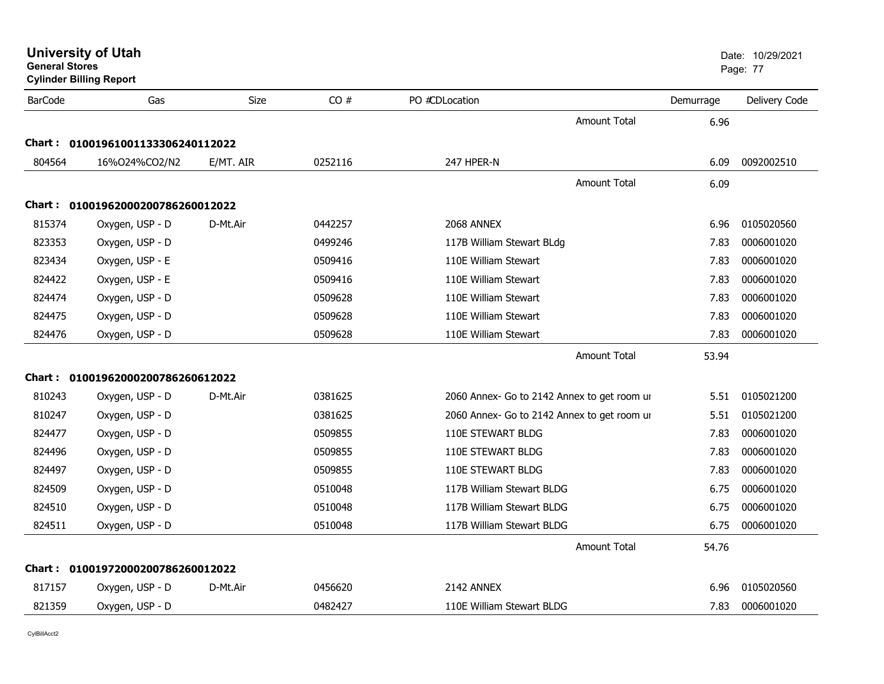|                | <b>Cylinder Billing Report</b>    |           |         |                                             |           | ı ayu. <i>11</i> |
|----------------|-----------------------------------|-----------|---------|---------------------------------------------|-----------|------------------|
| <b>BarCode</b> | Gas                               | Size      | CO#     | PO #CDLocation                              | Demurrage | Delivery Code    |
|                |                                   |           |         | <b>Amount Total</b>                         | 6.96      |                  |
|                | Chart: 01001961001133306240112022 |           |         |                                             |           |                  |
| 804564         | 16%024%CO2/N2                     | E/MT. AIR | 0252116 | 247 HPER-N                                  | 6.09      | 0092002510       |
|                |                                   |           |         | Amount Total                                | 6.09      |                  |
|                | Chart: 01001962000200786260012022 |           |         |                                             |           |                  |
| 815374         | Oxygen, USP - D                   | D-Mt.Air  | 0442257 | 2068 ANNEX                                  | 6.96      | 0105020560       |
|                |                                   |           |         |                                             |           | 0006001020       |
| 823353         | Oxygen, USP - D                   |           | 0499246 | 117B William Stewart BLdg                   | 7.83      |                  |
| 823434         | Oxygen, USP - E                   |           | 0509416 | 110E William Stewart                        | 7.83      | 0006001020       |
| 824422         | Oxygen, USP - E                   |           | 0509416 | 110E William Stewart                        | 7.83      | 0006001020       |
| 824474         | Oxygen, USP - D                   |           | 0509628 | 110E William Stewart                        | 7.83      | 0006001020       |
| 824475         | Oxygen, USP - D                   |           | 0509628 | 110E William Stewart                        | 7.83      | 0006001020       |
| 824476         | Oxygen, USP - D                   |           | 0509628 | 110E William Stewart                        | 7.83      | 0006001020       |
|                |                                   |           |         | Amount Total                                | 53.94     |                  |
|                | Chart: 01001962000200786260612022 |           |         |                                             |           |                  |
| 810243         | Oxygen, USP - D                   | D-Mt.Air  | 0381625 | 2060 Annex- Go to 2142 Annex to get room ur | 5.51      | 0105021200       |
| 810247         | Oxygen, USP - D                   |           | 0381625 | 2060 Annex- Go to 2142 Annex to get room ur | 5.51      | 0105021200       |
| 824477         | Oxygen, USP - D                   |           | 0509855 | 110E STEWART BLDG                           | 7.83      | 0006001020       |
| 824496         | Oxygen, USP - D                   |           | 0509855 | 110E STEWART BLDG                           | 7.83      | 0006001020       |
| 824497         | Oxygen, USP - D                   |           | 0509855 | 110E STEWART BLDG                           | 7.83      | 0006001020       |
| 824509         | Oxygen, USP - D                   |           | 0510048 | 117B William Stewart BLDG                   | 6.75      | 0006001020       |
| 824510         | Oxygen, USP - D                   |           | 0510048 | 117B William Stewart BLDG                   | 6.75      | 0006001020       |
| 824511         | Oxygen, USP - D                   |           | 0510048 | 117B William Stewart BLDG                   | 6.75      | 0006001020       |
|                |                                   |           |         | <b>Amount Total</b>                         | 54.76     |                  |
|                | Chart: 01001972000200786260012022 |           |         |                                             |           |                  |
| 817157         | Oxygen, USP - D                   | D-Mt.Air  | 0456620 | 2142 ANNEX                                  | 6.96      | 0105020560       |
| 821359         | Oxygen, USP - D                   |           | 0482427 | 110E William Stewart BLDG                   | 7.83      | 0006001020       |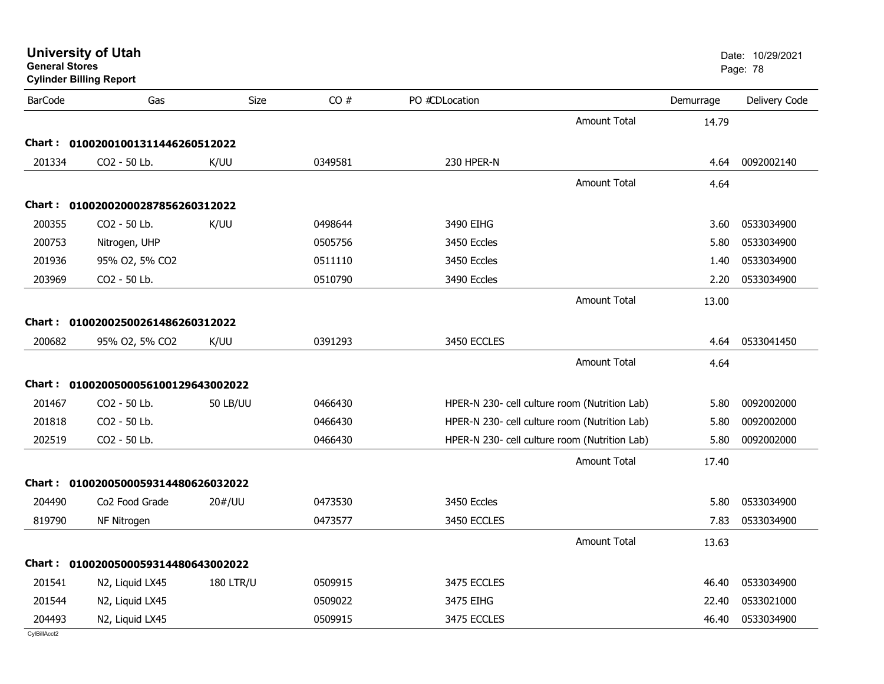| <b>BarCode</b> | Gas                                 | Size             | CO#     | PO #CDLocation |                                               | Demurrage | Delivery Code |
|----------------|-------------------------------------|------------------|---------|----------------|-----------------------------------------------|-----------|---------------|
|                |                                     |                  |         |                | <b>Amount Total</b>                           | 14.79     |               |
| Chart :        | 01002001001311446260512022          |                  |         |                |                                               |           |               |
| 201334         | CO2 - 50 Lb.                        | K/UU             | 0349581 | 230 HPER-N     |                                               | 4.64      | 0092002140    |
|                |                                     |                  |         |                | <b>Amount Total</b>                           | 4.64      |               |
|                | Chart: 01002002000287856260312022   |                  |         |                |                                               |           |               |
| 200355         | CO2 - 50 Lb.                        | K/UU             | 0498644 | 3490 EIHG      |                                               | 3.60      | 0533034900    |
| 200753         | Nitrogen, UHP                       |                  | 0505756 | 3450 Eccles    |                                               | 5.80      | 0533034900    |
| 201936         | 95% O2, 5% CO2                      |                  | 0511110 | 3450 Eccles    |                                               | 1.40      | 0533034900    |
| 203969         | CO2 - 50 Lb.                        |                  | 0510790 | 3490 Eccles    |                                               | 2.20      | 0533034900    |
|                |                                     |                  |         |                | <b>Amount Total</b>                           | 13.00     |               |
|                | Chart: 01002002500261486260312022   |                  |         |                |                                               |           |               |
| 200682         | 95% O2, 5% CO2                      | K/UU             | 0391293 | 3450 ECCLES    |                                               | 4.64      | 0533041450    |
|                |                                     |                  |         |                | <b>Amount Total</b>                           | 4.64      |               |
| Chart :        | 0100200500056100129643002022        |                  |         |                |                                               |           |               |
| 201467         | CO2 - 50 Lb.                        | <b>50 LB/UU</b>  | 0466430 |                | HPER-N 230- cell culture room (Nutrition Lab) | 5.80      | 0092002000    |
| 201818         | CO2 - 50 Lb.                        |                  | 0466430 |                | HPER-N 230- cell culture room (Nutrition Lab) | 5.80      | 0092002000    |
| 202519         | CO2 - 50 Lb.                        |                  | 0466430 |                | HPER-N 230- cell culture room (Nutrition Lab) | 5.80      | 0092002000    |
|                |                                     |                  |         |                | <b>Amount Total</b>                           | 17.40     |               |
|                | Chart: 0100200500059314480626032022 |                  |         |                |                                               |           |               |
| 204490         | Co <sub>2</sub> Food Grade          | 20#/UU           | 0473530 | 3450 Eccles    |                                               | 5.80      | 0533034900    |
| 819790         | NF Nitrogen                         |                  | 0473577 | 3450 ECCLES    |                                               | 7.83      | 0533034900    |
|                |                                     |                  |         |                | <b>Amount Total</b>                           | 13.63     |               |
|                | Chart: 0100200500059314480643002022 |                  |         |                |                                               |           |               |
| 201541         | N2, Liquid LX45                     | <b>180 LTR/U</b> | 0509915 | 3475 ECCLES    |                                               | 46.40     | 0533034900    |
| 201544         | N2, Liquid LX45                     |                  | 0509022 | 3475 EIHG      |                                               | 22.40     | 0533021000    |

Nutr N2, Liquid LX45 <sup>0509915</sup> 3475 ECCLES 46.40 <sup>0533034900</sup>

**University of Utah** Date: 10/29/2021

**General StoresCylinder Billing Report**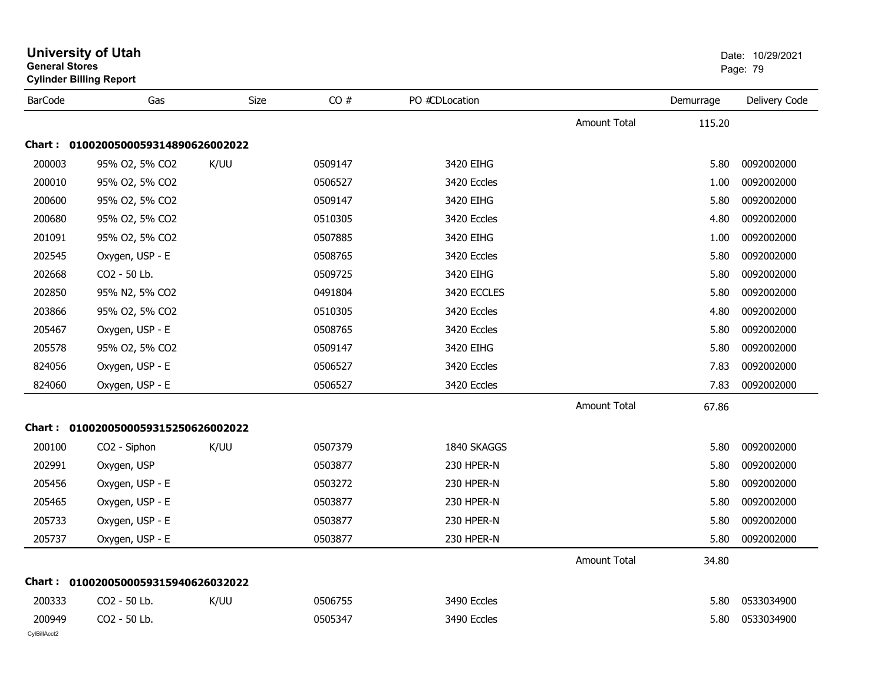| <b>General Stores</b>  | <b>Cylinder Billing Report</b>      |      |         |                |                     |           | Page: 79      |
|------------------------|-------------------------------------|------|---------|----------------|---------------------|-----------|---------------|
| <b>BarCode</b>         | Gas                                 | Size | CO#     | PO #CDLocation |                     | Demurrage | Delivery Code |
|                        |                                     |      |         |                | <b>Amount Total</b> | 115.20    |               |
|                        | Chart: 0100200500059314890626002022 |      |         |                |                     |           |               |
| 200003                 | 95% O2, 5% CO2                      | K/UU | 0509147 | 3420 EIHG      |                     | 5.80      | 0092002000    |
| 200010                 | 95% O2, 5% CO2                      |      | 0506527 | 3420 Eccles    |                     | 1.00      | 0092002000    |
| 200600                 | 95% O2, 5% CO2                      |      | 0509147 | 3420 EIHG      |                     | 5.80      | 0092002000    |
| 200680                 | 95% O2, 5% CO2                      |      | 0510305 | 3420 Eccles    |                     | 4.80      | 0092002000    |
| 201091                 | 95% O2, 5% CO2                      |      | 0507885 | 3420 EIHG      |                     | 1.00      | 0092002000    |
| 202545                 | Oxygen, USP - E                     |      | 0508765 | 3420 Eccles    |                     | 5.80      | 0092002000    |
| 202668                 | CO <sub>2</sub> - 50 Lb.            |      | 0509725 | 3420 EIHG      |                     | 5.80      | 0092002000    |
| 202850                 | 95% N2, 5% CO2                      |      | 0491804 | 3420 ECCLES    |                     | 5.80      | 0092002000    |
| 203866                 | 95% O2, 5% CO2                      |      | 0510305 | 3420 Eccles    |                     | 4.80      | 0092002000    |
| 205467                 | Oxygen, USP - E                     |      | 0508765 | 3420 Eccles    |                     | 5.80      | 0092002000    |
| 205578                 | 95% O2, 5% CO2                      |      | 0509147 | 3420 EIHG      |                     | 5.80      | 0092002000    |
| 824056                 | Oxygen, USP - E                     |      | 0506527 | 3420 Eccles    |                     | 7.83      | 0092002000    |
| 824060                 | Oxygen, USP - E                     |      | 0506527 | 3420 Eccles    |                     | 7.83      | 0092002000    |
|                        |                                     |      |         |                | <b>Amount Total</b> | 67.86     |               |
|                        | Chart: 0100200500059315250626002022 |      |         |                |                     |           |               |
| 200100                 | CO <sub>2</sub> - Siphon            | K/UU | 0507379 | 1840 SKAGGS    |                     | 5.80      | 0092002000    |
| 202991                 | Oxygen, USP                         |      | 0503877 | 230 HPER-N     |                     | 5.80      | 0092002000    |
| 205456                 | Oxygen, USP - E                     |      | 0503272 | 230 HPER-N     |                     | 5.80      | 0092002000    |
| 205465                 | Oxygen, USP - E                     |      | 0503877 | 230 HPER-N     |                     | 5.80      | 0092002000    |
| 205733                 | Oxygen, USP - E                     |      | 0503877 | 230 HPER-N     |                     | 5.80      | 0092002000    |
| 205737                 | Oxygen, USP - E                     |      | 0503877 | 230 HPER-N     |                     | 5.80      | 0092002000    |
|                        |                                     |      |         |                | <b>Amount Total</b> | 34.80     |               |
|                        | Chart: 0100200500059315940626032022 |      |         |                |                     |           |               |
| 200333                 | CO2 - 50 Lb.                        | K/UU | 0506755 | 3490 Eccles    |                     | 5.80      | 0533034900    |
| 200949<br>CylBillAcct2 | CO2 - 50 Lb.                        |      | 0505347 | 3490 Eccles    |                     | 5.80      | 0533034900    |

## **University of Utah** Date: 10/29/2021 **General Stores**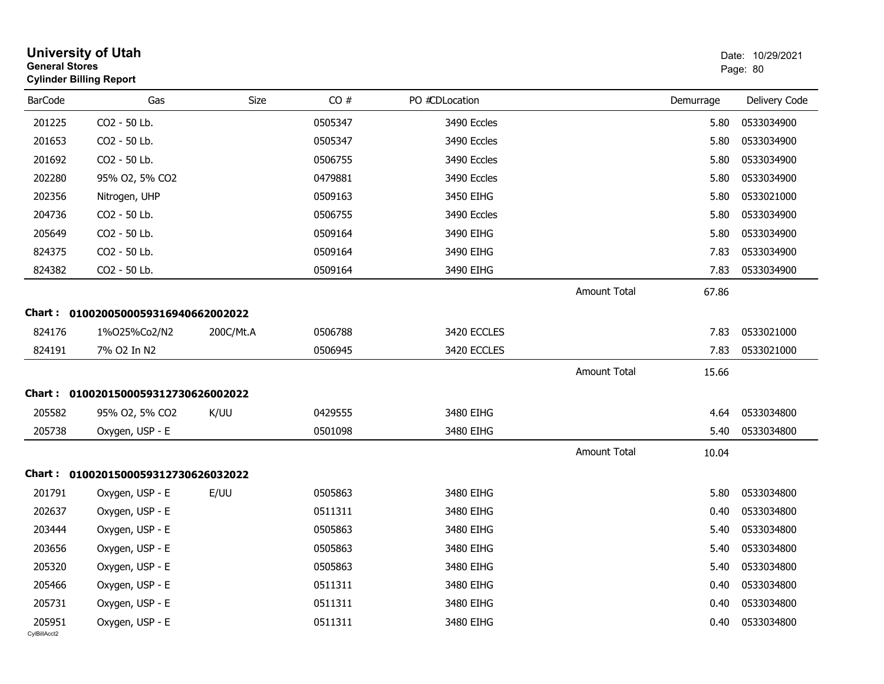| <b>General Stores</b>  | <b>University of Utah</b><br><b>Cylinder Billing Report</b> |           |         |                |                     |           | Date: 10/29/2021<br>Page: 80 |  |
|------------------------|-------------------------------------------------------------|-----------|---------|----------------|---------------------|-----------|------------------------------|--|
| <b>BarCode</b>         | Gas                                                         | Size      | CO#     | PO #CDLocation |                     | Demurrage | Delivery Code                |  |
| 201225                 | CO2 - 50 Lb.                                                |           | 0505347 | 3490 Eccles    |                     | 5.80      | 0533034900                   |  |
| 201653                 | CO2 - 50 Lb.                                                |           | 0505347 | 3490 Eccles    |                     | 5.80      | 0533034900                   |  |
| 201692                 | CO2 - 50 Lb.                                                |           | 0506755 | 3490 Eccles    |                     | 5.80      | 0533034900                   |  |
| 202280                 | 95% O2, 5% CO2                                              |           | 0479881 | 3490 Eccles    |                     | 5.80      | 0533034900                   |  |
| 202356                 | Nitrogen, UHP                                               |           | 0509163 | 3450 EIHG      |                     | 5.80      | 0533021000                   |  |
| 204736                 | CO2 - 50 Lb.                                                |           | 0506755 | 3490 Eccles    |                     | 5.80      | 0533034900                   |  |
| 205649                 | CO2 - 50 Lb.                                                |           | 0509164 | 3490 EIHG      |                     | 5.80      | 0533034900                   |  |
| 824375                 | CO2 - 50 Lb.                                                |           | 0509164 | 3490 EIHG      |                     | 7.83      | 0533034900                   |  |
| 824382                 | CO2 - 50 Lb.                                                |           | 0509164 | 3490 EIHG      |                     | 7.83      | 0533034900                   |  |
|                        |                                                             |           |         |                | <b>Amount Total</b> | 67.86     |                              |  |
| Chart :                | 0100200500059316940662002022                                |           |         |                |                     |           |                              |  |
| 824176                 | 1%025%Co2/N2                                                | 200C/Mt.A | 0506788 | 3420 ECCLES    |                     | 7.83      | 0533021000                   |  |
| 824191                 | 7% O2 In N2                                                 |           | 0506945 | 3420 ECCLES    |                     | 7.83      | 0533021000                   |  |
|                        |                                                             |           |         |                | <b>Amount Total</b> | 15.66     |                              |  |
| Chart :                | 0100201500059312730626002022                                |           |         |                |                     |           |                              |  |
| 205582                 | 95% O2, 5% CO2                                              | K/UU      | 0429555 | 3480 EIHG      |                     | 4.64      | 0533034800                   |  |
| 205738                 | Oxygen, USP - E                                             |           | 0501098 | 3480 EIHG      |                     | 5.40      | 0533034800                   |  |
|                        |                                                             |           |         |                | <b>Amount Total</b> | 10.04     |                              |  |
|                        | Chart: 0100201500059312730626032022                         |           |         |                |                     |           |                              |  |
| 201791                 | Oxygen, USP - E                                             | E/UU      | 0505863 | 3480 EIHG      |                     | 5.80      | 0533034800                   |  |
| 202637                 | Oxygen, USP - E                                             |           | 0511311 | 3480 EIHG      |                     | 0.40      | 0533034800                   |  |
| 203444                 | Oxygen, USP - E                                             |           | 0505863 | 3480 EIHG      |                     | 5.40      | 0533034800                   |  |
| 203656                 | Oxygen, USP - E                                             |           | 0505863 | 3480 EIHG      |                     | 5.40      | 0533034800                   |  |
| 205320                 | Oxygen, USP - E                                             |           | 0505863 | 3480 EIHG      |                     | 5.40      | 0533034800                   |  |
| 205466                 | Oxygen, USP - E                                             |           | 0511311 | 3480 EIHG      |                     | 0.40      | 0533034800                   |  |
| 205731                 | Oxygen, USP - E                                             |           | 0511311 | 3480 EIHG      |                     | 0.40      | 0533034800                   |  |
| 205951<br>CvIBillAcct2 | Oxygen, USP - E                                             |           | 0511311 | 3480 EIHG      |                     | 0.40      | 0533034800                   |  |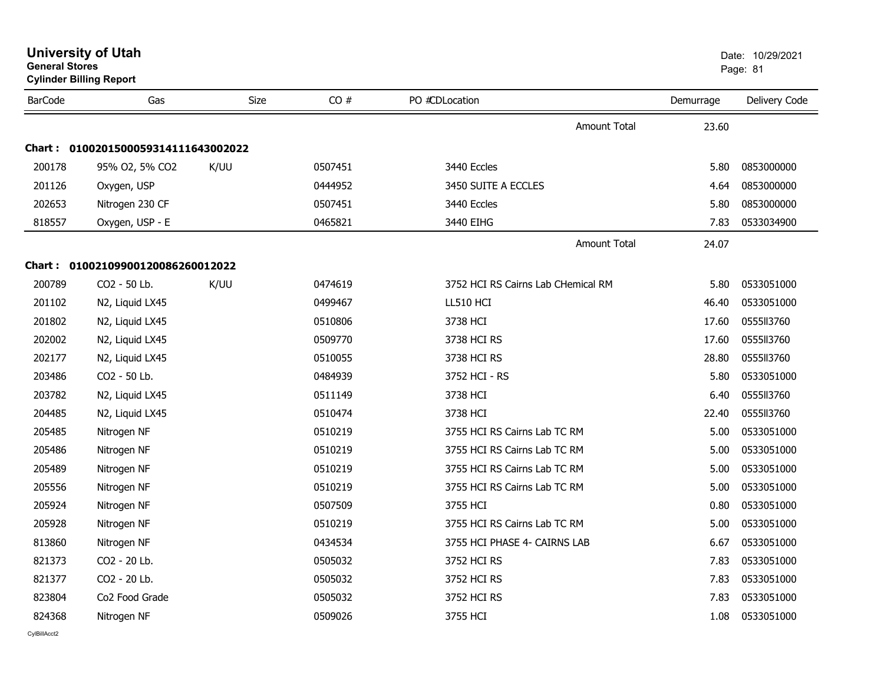|                | <b>University of Utah</b><br><b>General Stores</b><br><b>Cylinder Billing Report</b> |      |         |                                    |                     |           | Date: 10/29/2021<br>Page: 81 |  |
|----------------|--------------------------------------------------------------------------------------|------|---------|------------------------------------|---------------------|-----------|------------------------------|--|
| <b>BarCode</b> | Gas                                                                                  | Size | CO#     | PO #CDLocation                     |                     | Demurrage | Delivery Code                |  |
|                |                                                                                      |      |         |                                    | <b>Amount Total</b> | 23.60     |                              |  |
|                | Chart: 0100201500059314111643002022                                                  |      |         |                                    |                     |           |                              |  |
| 200178         | 95% O2, 5% CO2                                                                       | K/UU | 0507451 | 3440 Eccles                        |                     | 5.80      | 0853000000                   |  |
| 201126         | Oxygen, USP                                                                          |      | 0444952 | 3450 SUITE A ECCLES                |                     | 4.64      | 0853000000                   |  |
| 202653         | Nitrogen 230 CF                                                                      |      | 0507451 | 3440 Eccles                        |                     | 5.80      | 0853000000                   |  |
| 818557         | Oxygen, USP - E                                                                      |      | 0465821 | 3440 EIHG                          |                     | 7.83      | 0533034900                   |  |
|                |                                                                                      |      |         |                                    | <b>Amount Total</b> | 24.07     |                              |  |
|                | Chart: 01002109900120086260012022                                                    |      |         |                                    |                     |           |                              |  |
| 200789         | CO2 - 50 Lb.                                                                         | K/UU | 0474619 | 3752 HCI RS Cairns Lab CHemical RM |                     | 5.80      | 0533051000                   |  |
| 201102         | N2, Liquid LX45                                                                      |      | 0499467 | <b>LL510 HCI</b>                   |                     | 46.40     | 0533051000                   |  |
| 201802         | N2, Liquid LX45                                                                      |      | 0510806 | 3738 HCI                           |                     | 17.60     | 0555113760                   |  |
| 202002         | N2, Liquid LX45                                                                      |      | 0509770 | 3738 HCI RS                        |                     | 17.60     | 055513760                    |  |
| 202177         | N2, Liquid LX45                                                                      |      | 0510055 | 3738 HCI RS                        |                     | 28.80     | 0555113760                   |  |
| 203486         | CO2 - 50 Lb.                                                                         |      | 0484939 | 3752 HCI - RS                      |                     | 5.80      | 0533051000                   |  |
| 203782         | N2, Liquid LX45                                                                      |      | 0511149 | 3738 HCI                           |                     | 6.40      | 055513760                    |  |
| 204485         | N2, Liquid LX45                                                                      |      | 0510474 | 3738 HCI                           |                     | 22.40     | 055513760                    |  |
| 205485         | Nitrogen NF                                                                          |      | 0510219 | 3755 HCI RS Cairns Lab TC RM       |                     | 5.00      | 0533051000                   |  |
| 205486         | Nitrogen NF                                                                          |      | 0510219 | 3755 HCI RS Cairns Lab TC RM       |                     | 5.00      | 0533051000                   |  |
| 205489         | Nitrogen NF                                                                          |      | 0510219 | 3755 HCI RS Cairns Lab TC RM       |                     | 5.00      | 0533051000                   |  |
| 205556         | Nitrogen NF                                                                          |      | 0510219 | 3755 HCI RS Cairns Lab TC RM       |                     | 5.00      | 0533051000                   |  |
| 205924         | Nitrogen NF                                                                          |      | 0507509 | 3755 HCI                           |                     | 0.80      | 0533051000                   |  |
| 205928         | Nitrogen NF                                                                          |      | 0510219 | 3755 HCI RS Cairns Lab TC RM       |                     | 5.00      | 0533051000                   |  |
| 813860         | Nitrogen NF                                                                          |      | 0434534 | 3755 HCI PHASE 4- CAIRNS LAB       |                     | 6.67      | 0533051000                   |  |
| 821373         | CO2 - 20 Lb.                                                                         |      | 0505032 | 3752 HCI RS                        |                     | 7.83      | 0533051000                   |  |
| 821377         | CO2 - 20 Lb.                                                                         |      | 0505032 | 3752 HCI RS                        |                     | 7.83      | 0533051000                   |  |
| 823804         | Co <sub>2</sub> Food Grade                                                           |      | 0505032 | 3752 HCI RS                        |                     | 7.83      | 0533051000                   |  |
| 824368         | Nitrogen NF                                                                          |      | 0509026 | 3755 HCI                           |                     | 1.08      | 0533051000                   |  |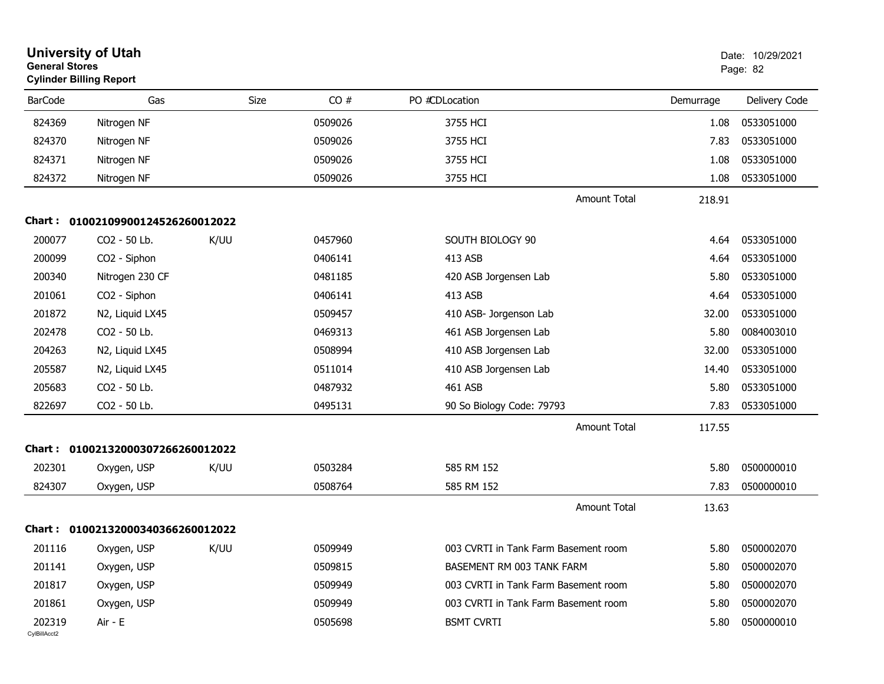|                        | <b>University of Utah</b><br><b>General Stores</b><br><b>Cylinder Billing Report</b> |      |         |                                      | Date: 10/29/2021<br>Page: 82 |               |
|------------------------|--------------------------------------------------------------------------------------|------|---------|--------------------------------------|------------------------------|---------------|
| <b>BarCode</b>         | Gas                                                                                  | Size | CO#     | PO #CDLocation                       | Demurrage                    | Delivery Code |
| 824369                 | Nitrogen NF                                                                          |      | 0509026 | 3755 HCI                             | 1.08                         | 0533051000    |
| 824370                 | Nitrogen NF                                                                          |      | 0509026 | 3755 HCI                             | 7.83                         | 0533051000    |
| 824371                 | Nitrogen NF                                                                          |      | 0509026 | 3755 HCI                             | 1.08                         | 0533051000    |
| 824372                 | Nitrogen NF                                                                          |      | 0509026 | 3755 HCI                             | 1.08                         | 0533051000    |
|                        |                                                                                      |      |         | <b>Amount Total</b>                  | 218.91                       |               |
| Chart :                | 01002109900124526260012022                                                           |      |         |                                      |                              |               |
| 200077                 | CO2 - 50 Lb.                                                                         | K/UU | 0457960 | SOUTH BIOLOGY 90                     | 4.64                         | 0533051000    |
| 200099                 | CO2 - Siphon                                                                         |      | 0406141 | 413 ASB                              | 4.64                         | 0533051000    |
| 200340                 | Nitrogen 230 CF                                                                      |      | 0481185 | 420 ASB Jorgensen Lab                | 5.80                         | 0533051000    |
| 201061                 | CO2 - Siphon                                                                         |      | 0406141 | 413 ASB                              | 4.64                         | 0533051000    |
| 201872                 | N2, Liquid LX45                                                                      |      | 0509457 | 410 ASB- Jorgenson Lab               | 32.00                        | 0533051000    |
| 202478                 | CO2 - 50 Lb.                                                                         |      | 0469313 | 461 ASB Jorgensen Lab                | 5.80                         | 0084003010    |
| 204263                 | N2, Liquid LX45                                                                      |      | 0508994 | 410 ASB Jorgensen Lab                | 32.00                        | 0533051000    |
| 205587                 | N2, Liquid LX45                                                                      |      | 0511014 | 410 ASB Jorgensen Lab                | 14.40                        | 0533051000    |
| 205683                 | CO2 - 50 Lb.                                                                         |      | 0487932 | 461 ASB                              | 5.80                         | 0533051000    |
| 822697                 | CO2 - 50 Lb.                                                                         |      | 0495131 | 90 So Biology Code: 79793            | 7.83                         | 0533051000    |
|                        |                                                                                      |      |         | <b>Amount Total</b>                  | 117.55                       |               |
|                        | Chart: 01002132000307266260012022                                                    |      |         |                                      |                              |               |
| 202301                 | Oxygen, USP                                                                          | K/UU | 0503284 | 585 RM 152                           | 5.80                         | 0500000010    |
| 824307                 | Oxygen, USP                                                                          |      | 0508764 | 585 RM 152                           | 7.83                         | 0500000010    |
|                        |                                                                                      |      |         | <b>Amount Total</b>                  | 13.63                        |               |
|                        | Chart: 01002132000340366260012022                                                    |      |         |                                      |                              |               |
| 201116                 | Oxygen, USP                                                                          | K/UU | 0509949 | 003 CVRTI in Tank Farm Basement room | 5.80                         | 0500002070    |
| 201141                 | Oxygen, USP                                                                          |      | 0509815 | BASEMENT RM 003 TANK FARM            | 5.80                         | 0500002070    |
| 201817                 | Oxygen, USP                                                                          |      | 0509949 | 003 CVRTI in Tank Farm Basement room | 5.80                         | 0500002070    |
| 201861                 | Oxygen, USP                                                                          |      | 0509949 | 003 CVRTI in Tank Farm Basement room | 5.80                         | 0500002070    |
| 202319<br>CylBillAcct2 | Air - E                                                                              |      | 0505698 | <b>BSMT CVRTI</b>                    | 5.80                         | 0500000010    |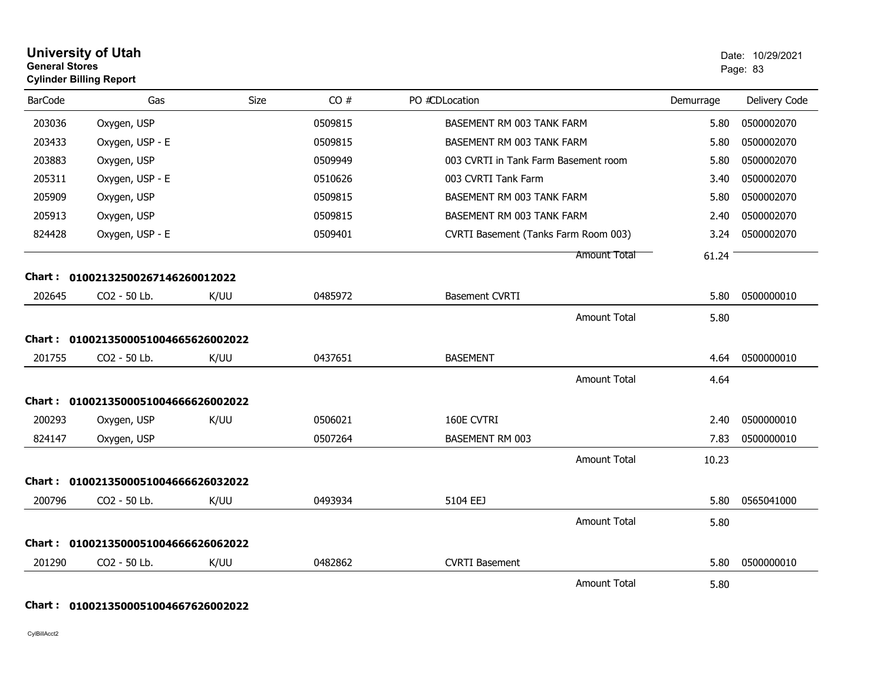|                | <b>University of Utah</b><br><b>General Stores</b><br><b>Cylinder Billing Report</b> |      |         |                                      |           | Date: 10/29/2021<br>Page: 83 |
|----------------|--------------------------------------------------------------------------------------|------|---------|--------------------------------------|-----------|------------------------------|
| <b>BarCode</b> | Gas                                                                                  | Size | CO#     | PO #CDLocation                       | Demurrage | Delivery Code                |
| 203036         | Oxygen, USP                                                                          |      | 0509815 | BASEMENT RM 003 TANK FARM            | 5.80      | 0500002070                   |
| 203433         | Oxygen, USP - E                                                                      |      | 0509815 | BASEMENT RM 003 TANK FARM            | 5.80      | 0500002070                   |
| 203883         | Oxygen, USP                                                                          |      | 0509949 | 003 CVRTI in Tank Farm Basement room | 5.80      | 0500002070                   |
| 205311         | Oxygen, USP - E                                                                      |      | 0510626 | 003 CVRTI Tank Farm                  | 3.40      | 0500002070                   |
| 205909         | Oxygen, USP                                                                          |      | 0509815 | BASEMENT RM 003 TANK FARM            | 5.80      | 0500002070                   |
| 205913         | Oxygen, USP                                                                          |      | 0509815 | BASEMENT RM 003 TANK FARM            | 2.40      | 0500002070                   |
| 824428         | Oxygen, USP - E                                                                      |      | 0509401 | CVRTI Basement (Tanks Farm Room 003) | 3.24      | 0500002070                   |
|                |                                                                                      |      |         | <b>Amount Total</b>                  | 61.24     |                              |
|                | Chart: 01002132500267146260012022                                                    |      |         |                                      |           |                              |
| 202645         | CO2 - 50 Lb.                                                                         | K/UU | 0485972 | <b>Basement CVRTI</b>                | 5.80      | 0500000010                   |
|                |                                                                                      |      |         | <b>Amount Total</b>                  | 5.80      |                              |
| Chart :        | 0100213500051004665626002022                                                         |      |         |                                      |           |                              |
| 201755         | CO2 - 50 Lb.                                                                         | K/UU | 0437651 | <b>BASEMENT</b>                      | 4.64      | 0500000010                   |
|                |                                                                                      |      |         | <b>Amount Total</b>                  | 4.64      |                              |
| Chart :        | 0100213500051004666626002022                                                         |      |         |                                      |           |                              |
| 200293         | Oxygen, USP                                                                          | K/UU | 0506021 | 160E CVTRI                           | 2.40      | 0500000010                   |
| 824147         | Oxygen, USP                                                                          |      | 0507264 | <b>BASEMENT RM 003</b>               | 7.83      | 0500000010                   |
|                |                                                                                      |      |         | <b>Amount Total</b>                  | 10.23     |                              |
| Chart :        | 0100213500051004666626032022                                                         |      |         |                                      |           |                              |
| 200796         | CO2 - 50 Lb.                                                                         | K/UU | 0493934 | 5104 EEJ                             | 5.80      | 0565041000                   |
|                |                                                                                      |      |         | <b>Amount Total</b>                  | 5.80      |                              |
| Chart :        | 0100213500051004666626062022                                                         |      |         |                                      |           |                              |
| 201290         | CO2 - 50 Lb.                                                                         | K/UU | 0482862 | <b>CVRTI Basement</b>                | 5.80      | 0500000010                   |
|                |                                                                                      |      |         | <b>Amount Total</b>                  | 5.80      |                              |

## **Chart : 0100213500051004667626002022**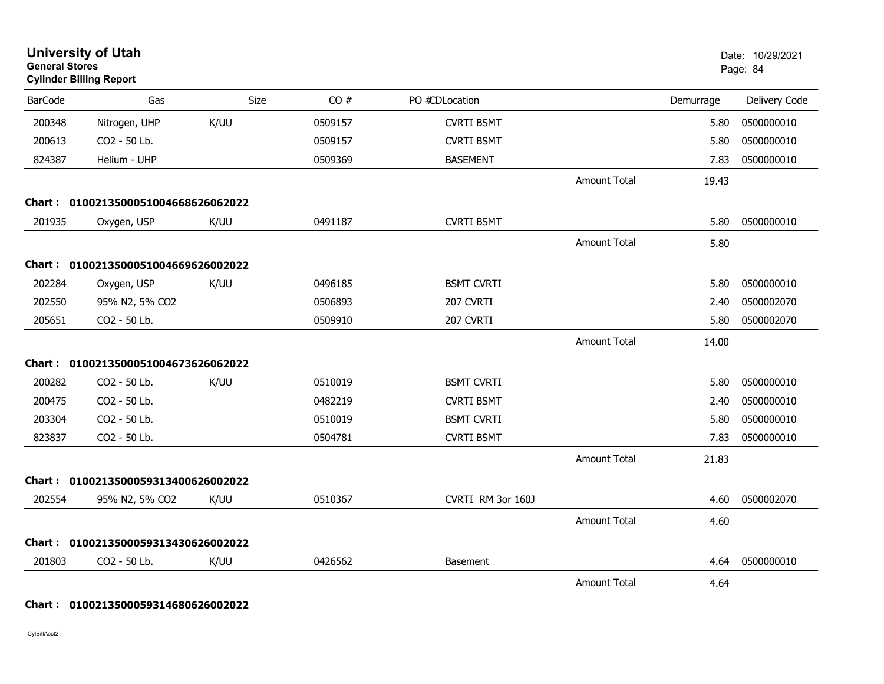| <b>General Stores</b> | <b>University of Utah</b><br><b>Cylinder Billing Report</b> |      |         |                   |                     |           | Date: 10/29/2021<br>Page: 84 |
|-----------------------|-------------------------------------------------------------|------|---------|-------------------|---------------------|-----------|------------------------------|
| <b>BarCode</b>        | Gas                                                         | Size | CO#     | PO #CDLocation    |                     | Demurrage | Delivery Code                |
| 200348                | Nitrogen, UHP                                               | K/UU | 0509157 | <b>CVRTI BSMT</b> |                     | 5.80      | 0500000010                   |
| 200613                | CO2 - 50 Lb.                                                |      | 0509157 | <b>CVRTI BSMT</b> |                     | 5.80      | 0500000010                   |
| 824387                | Helium - UHP                                                |      | 0509369 | <b>BASEMENT</b>   |                     | 7.83      | 0500000010                   |
|                       |                                                             |      |         |                   | <b>Amount Total</b> | 19.43     |                              |
|                       | Chart: 0100213500051004668626062022                         |      |         |                   |                     |           |                              |
| 201935                | Oxygen, USP                                                 | K/UU | 0491187 | <b>CVRTI BSMT</b> |                     | 5.80      | 0500000010                   |
|                       |                                                             |      |         |                   | <b>Amount Total</b> | 5.80      |                              |
|                       | Chart: 0100213500051004669626002022                         |      |         |                   |                     |           |                              |
| 202284                | Oxygen, USP                                                 | K/UU | 0496185 | <b>BSMT CVRTI</b> |                     | 5.80      | 0500000010                   |
| 202550                | 95% N2, 5% CO2                                              |      | 0506893 | 207 CVRTI         |                     | 2.40      | 0500002070                   |
| 205651                | CO2 - 50 Lb.                                                |      | 0509910 | 207 CVRTI         |                     | 5.80      | 0500002070                   |
|                       |                                                             |      |         |                   | <b>Amount Total</b> | 14.00     |                              |
|                       | Chart: 0100213500051004673626062022                         |      |         |                   |                     |           |                              |
| 200282                | CO2 - 50 Lb.                                                | K/UU | 0510019 | <b>BSMT CVRTI</b> |                     | 5.80      | 0500000010                   |
| 200475                | CO2 - 50 Lb.                                                |      | 0482219 | <b>CVRTI BSMT</b> |                     | 2.40      | 0500000010                   |
| 203304                | CO2 - 50 Lb.                                                |      | 0510019 | <b>BSMT CVRTI</b> |                     | 5.80      | 0500000010                   |
| 823837                | CO2 - 50 Lb.                                                |      | 0504781 | <b>CVRTI BSMT</b> |                     | 7.83      | 0500000010                   |
|                       |                                                             |      |         |                   | Amount Total        | 21.83     |                              |
| Chart : .             | 0100213500059313400626002022                                |      |         |                   |                     |           |                              |
| 202554                | 95% N2, 5% CO2                                              | K/UU | 0510367 | CVRTI RM 3or 160J |                     | 4.60      | 0500002070                   |
|                       |                                                             |      |         |                   | <b>Amount Total</b> | 4.60      |                              |
| Chart :               | 0100213500059313430626002022                                |      |         |                   |                     |           |                              |
| 201803                | CO2 - 50 Lb.                                                | K/UU | 0426562 | <b>Basement</b>   |                     | 4.64      | 0500000010                   |
|                       |                                                             |      |         |                   | <b>Amount Total</b> | 4.64      |                              |

**Chart : 0100213500059314680626002022**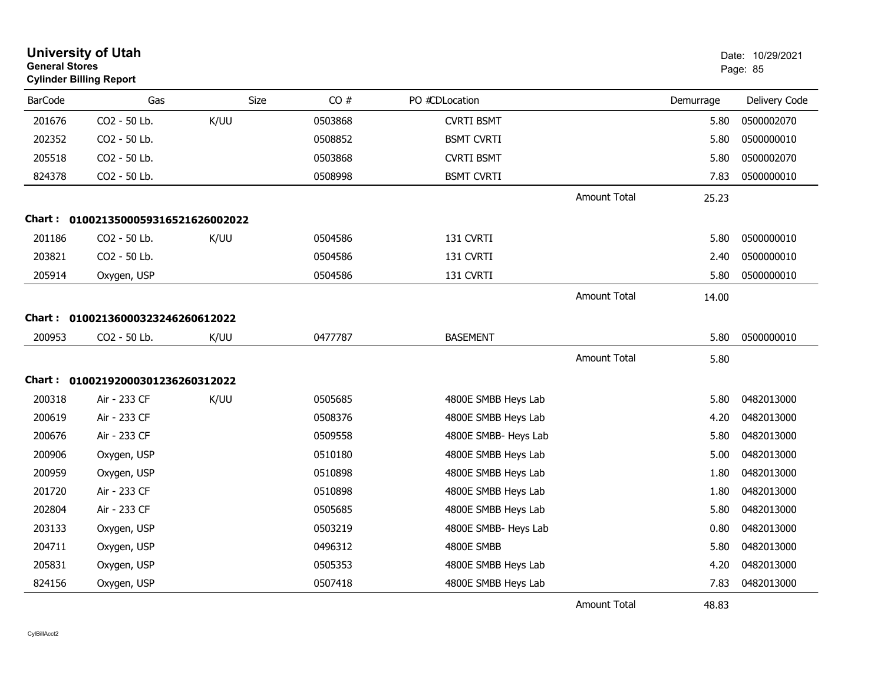| <b>University of Utah</b><br><b>General Stores</b><br><b>Cylinder Billing Report</b> |                                     |      |         |                      | Date: 10/29/2021<br>Page: 85 |           |               |
|--------------------------------------------------------------------------------------|-------------------------------------|------|---------|----------------------|------------------------------|-----------|---------------|
| <b>BarCode</b>                                                                       | Gas                                 | Size | CO#     | PO #CDLocation       |                              | Demurrage | Delivery Code |
| 201676                                                                               | CO2 - 50 Lb.                        | K/UU | 0503868 | <b>CVRTI BSMT</b>    |                              | 5.80      | 0500002070    |
| 202352                                                                               | CO2 - 50 Lb.                        |      | 0508852 | <b>BSMT CVRTI</b>    |                              | 5.80      | 0500000010    |
| 205518                                                                               | CO2 - 50 Lb.                        |      | 0503868 | <b>CVRTI BSMT</b>    |                              | 5.80      | 0500002070    |
| 824378                                                                               | CO2 - 50 Lb.                        |      | 0508998 | <b>BSMT CVRTI</b>    |                              | 7.83      | 0500000010    |
|                                                                                      |                                     |      |         |                      | <b>Amount Total</b>          | 25.23     |               |
|                                                                                      | Chart: 0100213500059316521626002022 |      |         |                      |                              |           |               |
| 201186                                                                               | CO2 - 50 Lb.                        | K/UU | 0504586 | 131 CVRTI            |                              | 5.80      | 0500000010    |
| 203821                                                                               | CO2 - 50 Lb.                        |      | 0504586 | 131 CVRTI            |                              | 2.40      | 0500000010    |
| 205914                                                                               | Oxygen, USP                         |      | 0504586 | 131 CVRTI            |                              | 5.80      | 0500000010    |
|                                                                                      |                                     |      |         |                      | <b>Amount Total</b>          | 14.00     |               |
| Chart :                                                                              | 01002136000323246260612022          |      |         |                      |                              |           |               |
| 200953                                                                               | CO2 - 50 Lb.                        | K/UU | 0477787 | <b>BASEMENT</b>      |                              | 5.80      | 0500000010    |
|                                                                                      |                                     |      |         |                      | <b>Amount Total</b>          | 5.80      |               |
|                                                                                      | Chart: 01002192000301236260312022   |      |         |                      |                              |           |               |
| 200318                                                                               | Air - 233 CF                        | K/UU | 0505685 | 4800E SMBB Heys Lab  |                              | 5.80      | 0482013000    |
| 200619                                                                               | Air - 233 CF                        |      | 0508376 | 4800E SMBB Heys Lab  |                              | 4.20      | 0482013000    |
| 200676                                                                               | Air - 233 CF                        |      | 0509558 | 4800E SMBB- Heys Lab |                              | 5.80      | 0482013000    |
| 200906                                                                               | Oxygen, USP                         |      | 0510180 | 4800E SMBB Heys Lab  |                              | 5.00      | 0482013000    |
| 200959                                                                               | Oxygen, USP                         |      | 0510898 | 4800E SMBB Heys Lab  |                              | 1.80      | 0482013000    |
| 201720                                                                               | Air - 233 CF                        |      | 0510898 | 4800E SMBB Heys Lab  |                              | 1.80      | 0482013000    |
| 202804                                                                               | Air - 233 CF                        |      | 0505685 | 4800E SMBB Heys Lab  |                              | 5.80      | 0482013000    |
| 203133                                                                               | Oxygen, USP                         |      | 0503219 | 4800E SMBB- Heys Lab |                              | 0.80      | 0482013000    |
| 204711                                                                               | Oxygen, USP                         |      | 0496312 | 4800E SMBB           |                              | 5.80      | 0482013000    |
| 205831                                                                               | Oxygen, USP                         |      | 0505353 | 4800E SMBB Heys Lab  |                              | 4.20      | 0482013000    |
| 824156                                                                               | Oxygen, USP                         |      | 0507418 | 4800E SMBB Heys Lab  |                              | 7.83      | 0482013000    |
|                                                                                      |                                     |      |         |                      | <b>Amount Total</b>          | 48.83     |               |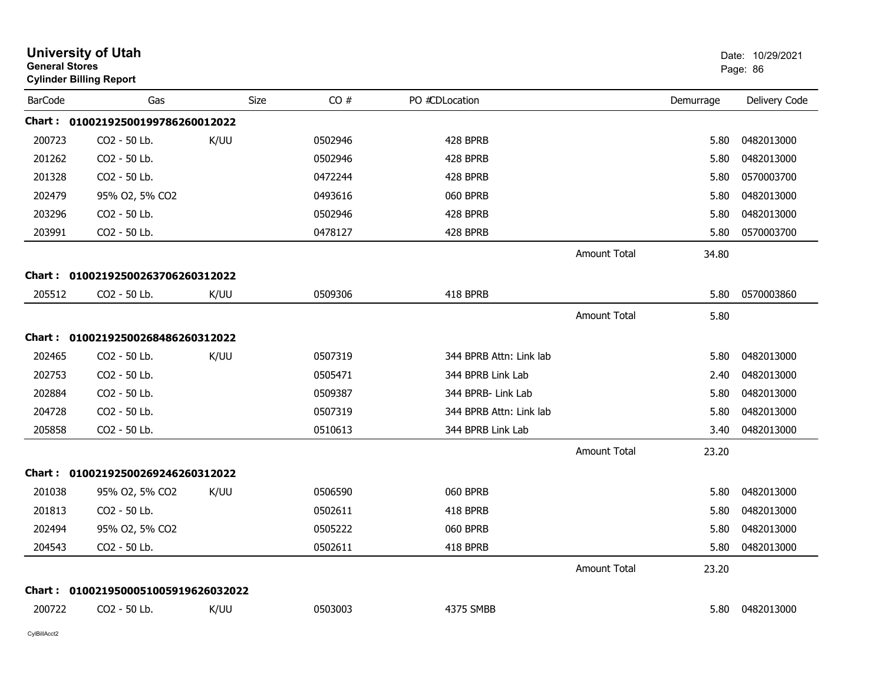|                | <b>University of Utah</b><br><b>General Stores</b><br><b>Cylinder Billing Report</b> |      | Date: 10/29/2021<br>Page: 86 |                         |                     |           |               |
|----------------|--------------------------------------------------------------------------------------|------|------------------------------|-------------------------|---------------------|-----------|---------------|
| <b>BarCode</b> | Gas                                                                                  | Size | CO#                          | PO #CDLocation          |                     | Demurrage | Delivery Code |
|                | Chart: 01002192500199786260012022                                                    |      |                              |                         |                     |           |               |
| 200723         | CO2 - 50 Lb.                                                                         | K/UU | 0502946                      | 428 BPRB                |                     | 5.80      | 0482013000    |
| 201262         | CO2 - 50 Lb.                                                                         |      | 0502946                      | 428 BPRB                |                     | 5.80      | 0482013000    |
| 201328         | CO2 - 50 Lb.                                                                         |      | 0472244                      | 428 BPRB                |                     | 5.80      | 0570003700    |
| 202479         | 95% O2, 5% CO2                                                                       |      | 0493616                      | 060 BPRB                |                     | 5.80      | 0482013000    |
| 203296         | CO2 - 50 Lb.                                                                         |      | 0502946                      | 428 BPRB                |                     | 5.80      | 0482013000    |
| 203991         | CO2 - 50 Lb.                                                                         |      | 0478127                      | 428 BPRB                |                     | 5.80      | 0570003700    |
|                |                                                                                      |      |                              |                         | <b>Amount Total</b> | 34.80     |               |
|                | Chart: 01002192500263706260312022                                                    |      |                              |                         |                     |           |               |
| 205512         | CO2 - 50 Lb.                                                                         | K/UU | 0509306                      | 418 BPRB                |                     | 5.80      | 0570003860    |
|                |                                                                                      |      |                              |                         | Amount Total        | 5.80      |               |
|                | Chart: 01002192500268486260312022                                                    |      |                              |                         |                     |           |               |
| 202465         | CO2 - 50 Lb.                                                                         | K/UU | 0507319                      | 344 BPRB Attn: Link lab |                     | 5.80      | 0482013000    |
| 202753         | CO2 - 50 Lb.                                                                         |      | 0505471                      | 344 BPRB Link Lab       |                     | 2.40      | 0482013000    |
| 202884         | CO2 - 50 Lb.                                                                         |      | 0509387                      | 344 BPRB- Link Lab      |                     | 5.80      | 0482013000    |
| 204728         | CO <sub>2</sub> - 50 Lb.                                                             |      | 0507319                      | 344 BPRB Attn: Link lab |                     | 5.80      | 0482013000    |
| 205858         | CO2 - 50 Lb.                                                                         |      | 0510613                      | 344 BPRB Link Lab       |                     | 3.40      | 0482013000    |
|                |                                                                                      |      |                              |                         | Amount Total        | 23.20     |               |
|                | Chart: 01002192500269246260312022                                                    |      |                              |                         |                     |           |               |
| 201038         | 95% O2, 5% CO2                                                                       | K/UU | 0506590                      | 060 BPRB                |                     | 5.80      | 0482013000    |
| 201813         | CO2 - 50 Lb.                                                                         |      | 0502611                      | 418 BPRB                |                     | 5.80      | 0482013000    |
| 202494         | 95% O2, 5% CO2                                                                       |      | 0505222                      | 060 BPRB                |                     | 5.80      | 0482013000    |
| 204543         | CO2 - 50 Lb.                                                                         |      | 0502611                      | 418 BPRB                |                     | 5.80      | 0482013000    |
|                |                                                                                      |      |                              |                         | <b>Amount Total</b> | 23.20     |               |
| Chart :        | 0100219500051005919626032022                                                         |      |                              |                         |                     |           |               |
| 200722         | CO2 - 50 Lb.                                                                         | K/UU | 0503003                      | 4375 SMBB               |                     | 5.80      | 0482013000    |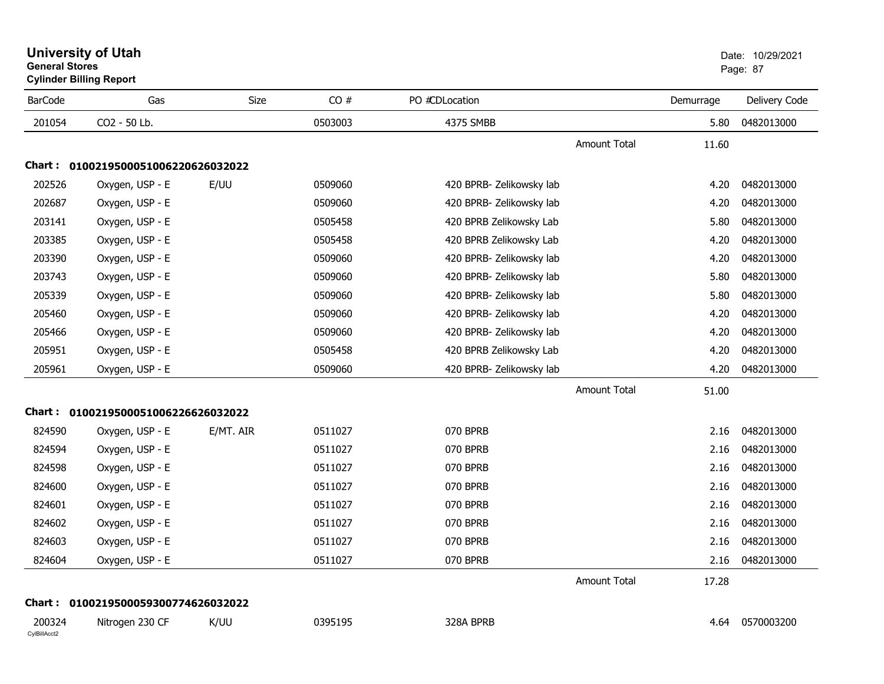| <b>University of Utah</b>      | Date: 10 |
|--------------------------------|----------|
| <b>General Stores</b>          | Page: 87 |
| <b>Cylinder Billing Report</b> |          |

| <b>BarCode</b>         | Gas                                 | Size      | CO#     | PO #CDLocation           |                     | Demurrage | Delivery Code |
|------------------------|-------------------------------------|-----------|---------|--------------------------|---------------------|-----------|---------------|
| 201054                 | CO2 - 50 Lb.                        |           | 0503003 | 4375 SMBB                |                     | 5.80      | 0482013000    |
|                        |                                     |           |         |                          | Amount Total        | 11.60     |               |
|                        | Chart: 0100219500051006220626032022 |           |         |                          |                     |           |               |
| 202526                 | Oxygen, USP - E                     | E/UU      | 0509060 | 420 BPRB- Zelikowsky lab |                     | 4.20      | 0482013000    |
| 202687                 | Oxygen, USP - E                     |           | 0509060 | 420 BPRB- Zelikowsky lab |                     | 4.20      | 0482013000    |
| 203141                 | Oxygen, USP - E                     |           | 0505458 | 420 BPRB Zelikowsky Lab  |                     | 5.80      | 0482013000    |
| 203385                 | Oxygen, USP - E                     |           | 0505458 | 420 BPRB Zelikowsky Lab  |                     | 4.20      | 0482013000    |
| 203390                 | Oxygen, USP - E                     |           | 0509060 | 420 BPRB- Zelikowsky lab |                     | 4.20      | 0482013000    |
| 203743                 | Oxygen, USP - E                     |           | 0509060 | 420 BPRB- Zelikowsky lab |                     | 5.80      | 0482013000    |
| 205339                 | Oxygen, USP - E                     |           | 0509060 | 420 BPRB- Zelikowsky lab |                     | 5.80      | 0482013000    |
| 205460                 | Oxygen, USP - E                     |           | 0509060 | 420 BPRB- Zelikowsky lab |                     | 4.20      | 0482013000    |
| 205466                 | Oxygen, USP - E                     |           | 0509060 | 420 BPRB- Zelikowsky lab |                     | 4.20      | 0482013000    |
| 205951                 | Oxygen, USP - E                     |           | 0505458 | 420 BPRB Zelikowsky Lab  |                     | 4.20      | 0482013000    |
| 205961                 | Oxygen, USP - E                     |           | 0509060 | 420 BPRB- Zelikowsky lab |                     | 4.20      | 0482013000    |
|                        |                                     |           |         |                          | <b>Amount Total</b> | 51.00     |               |
|                        | Chart: 0100219500051006226626032022 |           |         |                          |                     |           |               |
| 824590                 | Oxygen, USP - E                     | E/MT. AIR | 0511027 | 070 BPRB                 |                     | 2.16      | 0482013000    |
| 824594                 | Oxygen, USP - E                     |           | 0511027 | 070 BPRB                 |                     | 2.16      | 0482013000    |
| 824598                 | Oxygen, USP - E                     |           | 0511027 | 070 BPRB                 |                     | 2.16      | 0482013000    |
| 824600                 | Oxygen, USP - E                     |           | 0511027 | 070 BPRB                 |                     | 2.16      | 0482013000    |
| 824601                 | Oxygen, USP - E                     |           | 0511027 | 070 BPRB                 |                     | 2.16      | 0482013000    |
| 824602                 | Oxygen, USP - E                     |           | 0511027 | 070 BPRB                 |                     | 2.16      | 0482013000    |
| 824603                 | Oxygen, USP - E                     |           | 0511027 | 070 BPRB                 |                     | 2.16      | 0482013000    |
| 824604                 | Oxygen, USP - E                     |           | 0511027 | 070 BPRB                 |                     | 2.16      | 0482013000    |
|                        |                                     |           |         |                          | Amount Total        | 17.28     |               |
|                        | Chart: 0100219500059300774626032022 |           |         |                          |                     |           |               |
| 200324<br>CylBillAcct2 | Nitrogen 230 CF                     | K/UU      | 0395195 | 328A BPRB                |                     | 4.64      | 0570003200    |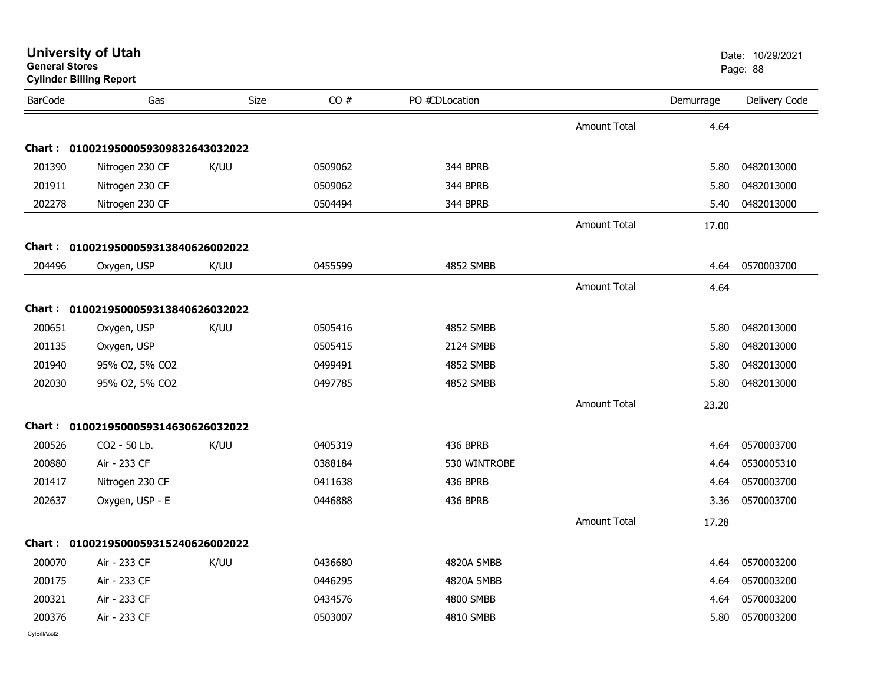|                | <b>Cylinder Billing Report</b>      |      |         |                |                     |           |               |
|----------------|-------------------------------------|------|---------|----------------|---------------------|-----------|---------------|
| <b>BarCode</b> | Gas                                 | Size | CO#     | PO #CDLocation |                     | Demurrage | Delivery Code |
|                |                                     |      |         |                | Amount Total        | 4.64      |               |
|                | Chart: 0100219500059309832643032022 |      |         |                |                     |           |               |
| 201390         | Nitrogen 230 CF                     | K/UU | 0509062 | 344 BPRB       |                     | 5.80      | 0482013000    |
| 201911         | Nitrogen 230 CF                     |      | 0509062 | 344 BPRB       |                     | 5.80      | 0482013000    |
| 202278         | Nitrogen 230 CF                     |      | 0504494 | 344 BPRB       |                     | 5.40      | 0482013000    |
|                |                                     |      |         |                | <b>Amount Total</b> | 17.00     |               |
|                | Chart: 0100219500059313840626002022 |      |         |                |                     |           |               |
| 204496         | Oxygen, USP                         | K/UU | 0455599 | 4852 SMBB      |                     | 4.64      | 0570003700    |
|                |                                     |      |         |                | <b>Amount Total</b> | 4.64      |               |
|                | Chart: 0100219500059313840626032022 |      |         |                |                     |           |               |
| 200651         | Oxygen, USP                         | K/UU | 0505416 | 4852 SMBB      |                     | 5.80      | 0482013000    |
| 201135         | Oxygen, USP                         |      | 0505415 | 2124 SMBB      |                     | 5.80      | 0482013000    |
| 201940         | 95% O2, 5% CO2                      |      | 0499491 | 4852 SMBB      |                     | 5.80      | 0482013000    |
| 202030         | 95% O2, 5% CO2                      |      | 0497785 | 4852 SMBB      |                     | 5.80      | 0482013000    |
|                |                                     |      |         |                | <b>Amount Total</b> | 23.20     |               |
|                | Chart: 0100219500059314630626032022 |      |         |                |                     |           |               |
| 200526         | CO2 - 50 Lb.                        | K/UU | 0405319 | 436 BPRB       |                     | 4.64      | 0570003700    |
| 200880         | Air - 233 CF                        |      | 0388184 | 530 WINTROBE   |                     | 4.64      | 0530005310    |
| 201417         | Nitrogen 230 CF                     |      | 0411638 | 436 BPRB       |                     | 4.64      | 0570003700    |
| 202637         | Oxygen, USP - E                     |      | 0446888 | 436 BPRB       |                     | 3.36      | 0570003700    |
|                |                                     |      |         |                | <b>Amount Total</b> | 17.28     |               |
|                | Chart: 0100219500059315240626002022 |      |         |                |                     |           |               |
| 200070         | Air - 233 CF                        | K/UU | 0436680 | 4820A SMBB     |                     | 4.64      | 0570003200    |
| 200175         | Air - 233 CF                        |      | 0446295 | 4820A SMBB     |                     | 4.64      | 0570003200    |
| 200321         | Air - 233 CF                        |      | 0434576 | 4800 SMBB      |                     | 4.64      | 0570003200    |
| 200376         | Air - 233 CF                        |      | 0503007 | 4810 SMBB      |                     | 5.80      | 0570003200    |
|                |                                     |      |         |                |                     |           |               |

### **University of Utah** Date: 10/29/2021 **General Stores**en de la provincia de la provincia de la provincia de la provincia de la provincia de la provincia de la provi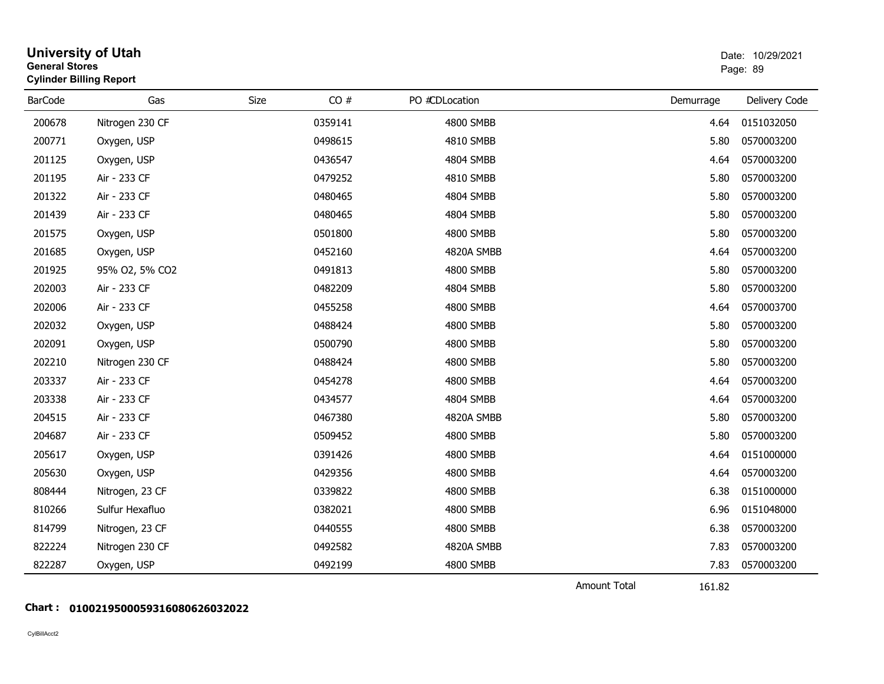|                | <b>University of Utah</b><br><b>General Stores</b><br>Page: 89<br><b>Cylinder Billing Report</b> |      |         |                |                     |           | Date: 10/29/2021 |
|----------------|--------------------------------------------------------------------------------------------------|------|---------|----------------|---------------------|-----------|------------------|
| <b>BarCode</b> | Gas                                                                                              | Size | CO#     | PO #CDLocation |                     | Demurrage | Delivery Code    |
| 200678         | Nitrogen 230 CF                                                                                  |      | 0359141 | 4800 SMBB      |                     | 4.64      | 0151032050       |
| 200771         | Oxygen, USP                                                                                      |      | 0498615 | 4810 SMBB      |                     | 5.80      | 0570003200       |
| 201125         | Oxygen, USP                                                                                      |      | 0436547 | 4804 SMBB      |                     | 4.64      | 0570003200       |
| 201195         | Air - 233 CF                                                                                     |      | 0479252 | 4810 SMBB      |                     | 5.80      | 0570003200       |
| 201322         | Air - 233 CF                                                                                     |      | 0480465 | 4804 SMBB      |                     | 5.80      | 0570003200       |
| 201439         | Air - 233 CF                                                                                     |      | 0480465 | 4804 SMBB      |                     | 5.80      | 0570003200       |
| 201575         | Oxygen, USP                                                                                      |      | 0501800 | 4800 SMBB      |                     | 5.80      | 0570003200       |
| 201685         | Oxygen, USP                                                                                      |      | 0452160 | 4820A SMBB     |                     | 4.64      | 0570003200       |
| 201925         | 95% O2, 5% CO2                                                                                   |      | 0491813 | 4800 SMBB      |                     | 5.80      | 0570003200       |
| 202003         | Air - 233 CF                                                                                     |      | 0482209 | 4804 SMBB      |                     | 5.80      | 0570003200       |
| 202006         | Air - 233 CF                                                                                     |      | 0455258 | 4800 SMBB      |                     | 4.64      | 0570003700       |
| 202032         | Oxygen, USP                                                                                      |      | 0488424 | 4800 SMBB      |                     | 5.80      | 0570003200       |
| 202091         | Oxygen, USP                                                                                      |      | 0500790 | 4800 SMBB      |                     | 5.80      | 0570003200       |
| 202210         | Nitrogen 230 CF                                                                                  |      | 0488424 | 4800 SMBB      |                     | 5.80      | 0570003200       |
| 203337         | Air - 233 CF                                                                                     |      | 0454278 | 4800 SMBB      |                     | 4.64      | 0570003200       |
| 203338         | Air - 233 CF                                                                                     |      | 0434577 | 4804 SMBB      |                     | 4.64      | 0570003200       |
| 204515         | Air - 233 CF                                                                                     |      | 0467380 | 4820A SMBB     |                     | 5.80      | 0570003200       |
| 204687         | Air - 233 CF                                                                                     |      | 0509452 | 4800 SMBB      |                     | 5.80      | 0570003200       |
| 205617         | Oxygen, USP                                                                                      |      | 0391426 | 4800 SMBB      |                     | 4.64      | 0151000000       |
| 205630         | Oxygen, USP                                                                                      |      | 0429356 | 4800 SMBB      |                     | 4.64      | 0570003200       |
| 808444         | Nitrogen, 23 CF                                                                                  |      | 0339822 | 4800 SMBB      |                     | 6.38      | 0151000000       |
| 810266         | Sulfur Hexafluo                                                                                  |      | 0382021 | 4800 SMBB      |                     | 6.96      | 0151048000       |
| 814799         | Nitrogen, 23 CF                                                                                  |      | 0440555 | 4800 SMBB      |                     | 6.38      | 0570003200       |
| 822224         | Nitrogen 230 CF                                                                                  |      | 0492582 | 4820A SMBB     |                     | 7.83      | 0570003200       |
| 822287         | Oxygen, USP                                                                                      |      | 0492199 | 4800 SMBB      |                     | 7.83      | 0570003200       |
|                |                                                                                                  |      |         |                | <b>Amount Total</b> | 161.82    |                  |

## **Chart : 0100219500059316080626032022**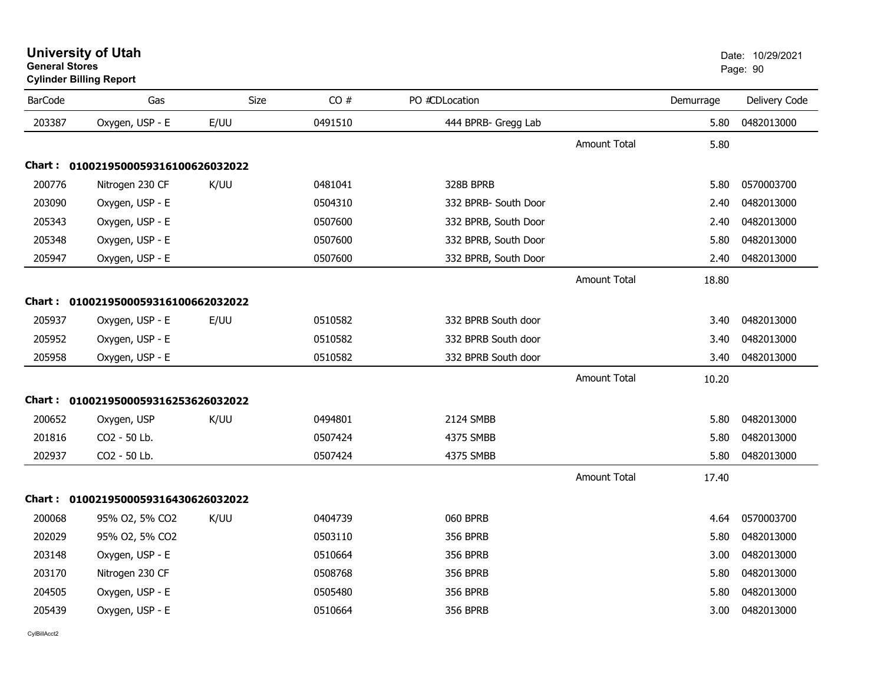| <b>University of Utah</b>      | Date: 10 |
|--------------------------------|----------|
| <b>General Stores</b>          | Page: 90 |
| <b>Cylinder Billing Report</b> |          |

| <b>BarCode</b> | Gas                                 | Size | CO#     | PO #CDLocation       |                     | Demurrage | Delivery Code |
|----------------|-------------------------------------|------|---------|----------------------|---------------------|-----------|---------------|
| 203387         | Oxygen, USP - E                     | E/UU | 0491510 | 444 BPRB- Gregg Lab  |                     | 5.80      | 0482013000    |
|                |                                     |      |         |                      | <b>Amount Total</b> | 5.80      |               |
|                | Chart: 0100219500059316100626032022 |      |         |                      |                     |           |               |
| 200776         | Nitrogen 230 CF                     | K/UU | 0481041 | 328B BPRB            |                     | 5.80      | 0570003700    |
| 203090         | Oxygen, USP - E                     |      | 0504310 | 332 BPRB- South Door |                     | 2.40      | 0482013000    |
| 205343         | Oxygen, USP - E                     |      | 0507600 | 332 BPRB, South Door |                     | 2.40      | 0482013000    |
| 205348         | Oxygen, USP - E                     |      | 0507600 | 332 BPRB, South Door |                     | 5.80      | 0482013000    |
| 205947         | Oxygen, USP - E                     |      | 0507600 | 332 BPRB, South Door |                     | 2.40      | 0482013000    |
|                |                                     |      |         |                      | <b>Amount Total</b> | 18.80     |               |
|                | Chart: 0100219500059316100662032022 |      |         |                      |                     |           |               |
| 205937         | Oxygen, USP - E                     | E/UU | 0510582 | 332 BPRB South door  |                     | 3.40      | 0482013000    |
| 205952         | Oxygen, USP - E                     |      | 0510582 | 332 BPRB South door  |                     | 3.40      | 0482013000    |
| 205958         | Oxygen, USP - E                     |      | 0510582 | 332 BPRB South door  |                     | 3.40      | 0482013000    |
|                |                                     |      |         |                      | <b>Amount Total</b> | 10.20     |               |
|                | Chart: 0100219500059316253626032022 |      |         |                      |                     |           |               |
| 200652         | Oxygen, USP                         | K/UU | 0494801 | 2124 SMBB            |                     | 5.80      | 0482013000    |
| 201816         | CO2 - 50 Lb.                        |      | 0507424 | 4375 SMBB            |                     | 5.80      | 0482013000    |
| 202937         | CO2 - 50 Lb.                        |      | 0507424 | 4375 SMBB            |                     | 5.80      | 0482013000    |
|                |                                     |      |         |                      | <b>Amount Total</b> | 17.40     |               |
|                | Chart: 0100219500059316430626032022 |      |         |                      |                     |           |               |
| 200068         | 95% O2, 5% CO2                      | K/UU | 0404739 | 060 BPRB             |                     | 4.64      | 0570003700    |
| 202029         | 95% O2, 5% CO2                      |      | 0503110 | <b>356 BPRB</b>      |                     | 5.80      | 0482013000    |
| 203148         | Oxygen, USP - E                     |      | 0510664 | <b>356 BPRB</b>      |                     | 3.00      | 0482013000    |
| 203170         | Nitrogen 230 CF                     |      | 0508768 | <b>356 BPRB</b>      |                     | 5.80      | 0482013000    |
| 204505         | Oxygen, USP - E                     |      | 0505480 | <b>356 BPRB</b>      |                     | 5.80      | 0482013000    |
| 205439         | Oxygen, USP - E                     |      | 0510664 | <b>356 BPRB</b>      |                     | 3.00      | 0482013000    |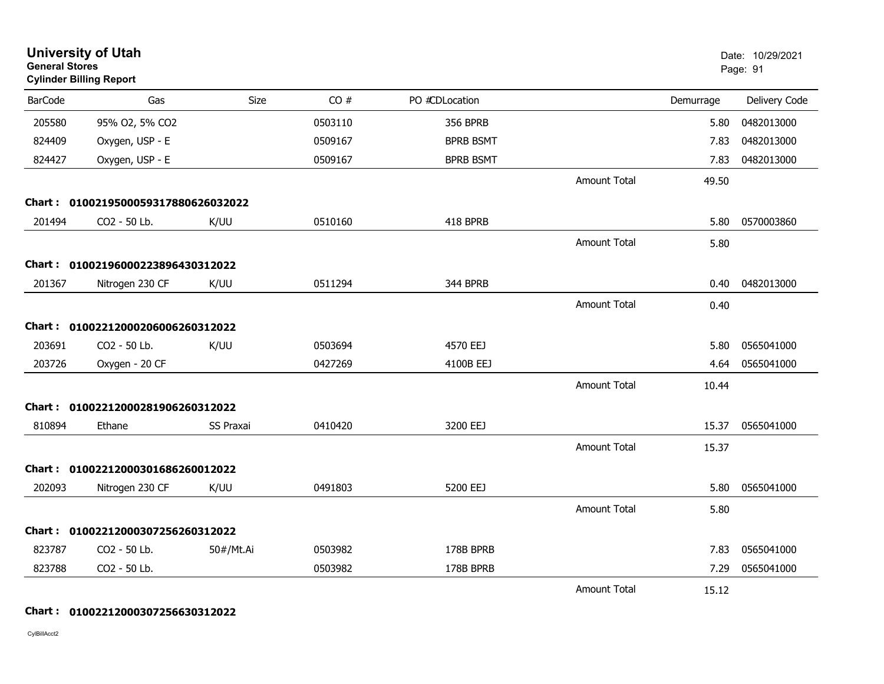| <b>University of Utah</b><br><b>General Stores</b><br><b>Cylinder Billing Report</b> |                                     |                  |         |                  |                     |           | Date: 10/29/2021<br>Page: 91 |
|--------------------------------------------------------------------------------------|-------------------------------------|------------------|---------|------------------|---------------------|-----------|------------------------------|
| <b>BarCode</b>                                                                       | Gas                                 | Size             | CO#     | PO #CDLocation   |                     | Demurrage | Delivery Code                |
| 205580                                                                               | 95% O2, 5% CO2                      |                  | 0503110 | <b>356 BPRB</b>  |                     | 5.80      | 0482013000                   |
| 824409                                                                               | Oxygen, USP - E                     |                  | 0509167 | <b>BPRB BSMT</b> |                     | 7.83      | 0482013000                   |
| 824427                                                                               | Oxygen, USP - E                     |                  | 0509167 | <b>BPRB BSMT</b> |                     | 7.83      | 0482013000                   |
|                                                                                      |                                     |                  |         |                  | <b>Amount Total</b> | 49.50     |                              |
|                                                                                      | Chart: 0100219500059317880626032022 |                  |         |                  |                     |           |                              |
| 201494                                                                               | CO2 - 50 Lb.                        | K/UU             | 0510160 | 418 BPRB         |                     | 5.80      | 0570003860                   |
|                                                                                      |                                     |                  |         |                  | <b>Amount Total</b> | 5.80      |                              |
|                                                                                      | Chart: 01002196000223896430312022   |                  |         |                  |                     |           |                              |
| 201367                                                                               | Nitrogen 230 CF                     | K/UU             | 0511294 | 344 BPRB         |                     | 0.40      | 0482013000                   |
|                                                                                      |                                     |                  |         |                  | <b>Amount Total</b> | 0.40      |                              |
| Chart :                                                                              | 01002212000206006260312022          |                  |         |                  |                     |           |                              |
| 203691                                                                               | CO2 - 50 Lb.                        | K/UU             | 0503694 | 4570 EEJ         |                     | 5.80      | 0565041000                   |
| 203726                                                                               | Oxygen - 20 CF                      |                  | 0427269 | 4100B EEJ        |                     | 4.64      | 0565041000                   |
|                                                                                      |                                     |                  |         |                  | <b>Amount Total</b> | 10.44     |                              |
|                                                                                      | Chart: 01002212000281906260312022   |                  |         |                  |                     |           |                              |
| 810894                                                                               | Ethane                              | <b>SS Praxai</b> | 0410420 | 3200 EEJ         |                     | 15.37     | 0565041000                   |
|                                                                                      |                                     |                  |         |                  | <b>Amount Total</b> | 15.37     |                              |
|                                                                                      | Chart: 01002212000301686260012022   |                  |         |                  |                     |           |                              |
| 202093                                                                               | Nitrogen 230 CF                     | K/UU             | 0491803 | 5200 EEJ         |                     | 5.80      | 0565041000                   |
|                                                                                      |                                     |                  |         |                  | <b>Amount Total</b> | 5.80      |                              |
| <b>Chart:</b>                                                                        | 01002212000307256260312022          |                  |         |                  |                     |           |                              |
| 823787                                                                               | CO2 - 50 Lb.                        | 50#/Mt.Ai        | 0503982 | 178B BPRB        |                     | 7.83      | 0565041000                   |
| 823788                                                                               | CO2 - 50 Lb.                        |                  | 0503982 | 178B BPRB        |                     | 7.29      | 0565041000                   |
|                                                                                      |                                     |                  |         |                  | <b>Amount Total</b> | 15.12     |                              |

**Chart : 01002212000307256630312022**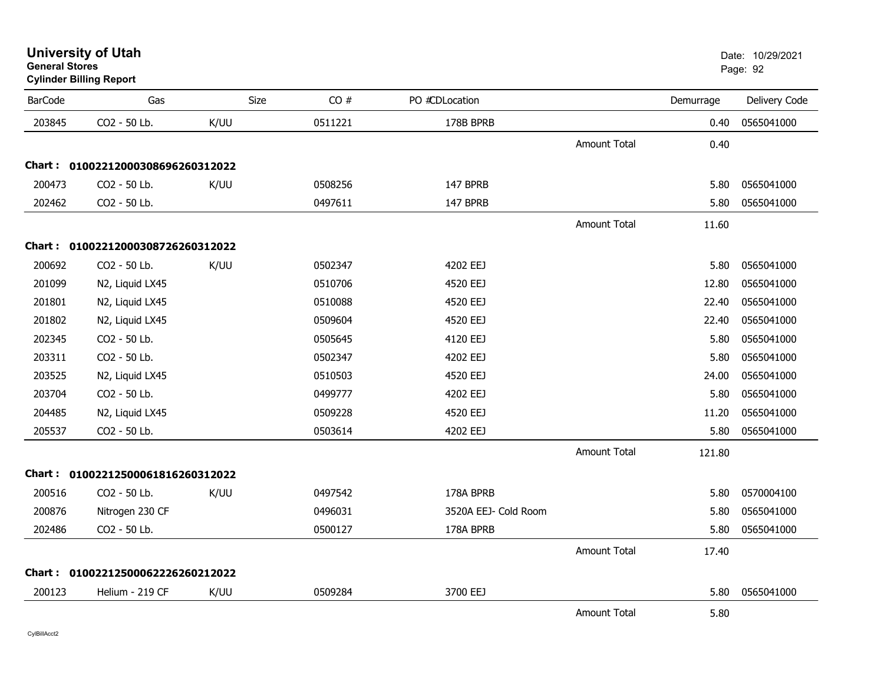| <b>BarCode</b> | Gas                               | Size | CO#     | PO #CDLocation       |                     | Demurrage | Delivery Code |
|----------------|-----------------------------------|------|---------|----------------------|---------------------|-----------|---------------|
| 203845         | CO2 - 50 Lb.                      | K/UU | 0511221 | 178B BPRB            |                     | 0.40      | 0565041000    |
|                |                                   |      |         |                      | Amount Total        | 0.40      |               |
|                | Chart: 01002212000308696260312022 |      |         |                      |                     |           |               |
| 200473         | CO2 - 50 Lb.                      | K/UU | 0508256 | 147 BPRB             |                     | 5.80      | 0565041000    |
| 202462         | CO2 - 50 Lb.                      |      | 0497611 | 147 BPRB             |                     | 5.80      | 0565041000    |
|                |                                   |      |         |                      | Amount Total        | 11.60     |               |
|                | Chart: 01002212000308726260312022 |      |         |                      |                     |           |               |
| 200692         | CO2 - 50 Lb.                      | K/UU | 0502347 | 4202 EEJ             |                     | 5.80      | 0565041000    |
| 201099         | N2, Liquid LX45                   |      | 0510706 | 4520 EEJ             |                     | 12.80     | 0565041000    |
| 201801         | N2, Liquid LX45                   |      | 0510088 | 4520 EEJ             |                     | 22.40     | 0565041000    |
| 201802         | N2, Liquid LX45                   |      | 0509604 | 4520 EEJ             |                     | 22.40     | 0565041000    |
| 202345         | CO2 - 50 Lb.                      |      | 0505645 | 4120 EEJ             |                     | 5.80      | 0565041000    |
| 203311         | CO2 - 50 Lb.                      |      | 0502347 | 4202 EEJ             |                     | 5.80      | 0565041000    |
| 203525         | N2, Liquid LX45                   |      | 0510503 | 4520 EEJ             |                     | 24.00     | 0565041000    |
| 203704         | CO2 - 50 Lb.                      |      | 0499777 | 4202 EEJ             |                     | 5.80      | 0565041000    |
| 204485         | N2, Liquid LX45                   |      | 0509228 | 4520 EEJ             |                     | 11.20     | 0565041000    |
| 205537         | CO2 - 50 Lb.                      |      | 0503614 | 4202 EEJ             |                     | 5.80      | 0565041000    |
|                |                                   |      |         |                      | <b>Amount Total</b> | 121.80    |               |
|                | Chart: 01002212500061816260312022 |      |         |                      |                     |           |               |
| 200516         | CO2 - 50 Lb.                      | K/UU | 0497542 | 178A BPRB            |                     | 5.80      | 0570004100    |
| 200876         | Nitrogen 230 CF                   |      | 0496031 | 3520A EEJ- Cold Room |                     | 5.80      | 0565041000    |
| 202486         | CO2 - 50 Lb.                      |      | 0500127 | 178A BPRB            |                     | 5.80      | 0565041000    |
|                |                                   |      |         |                      | Amount Total        | 17.40     |               |
|                | Chart: 01002212500062226260212022 |      |         |                      |                     |           |               |
| 200123         | Helium - 219 CF                   | K/UU | 0509284 | 3700 EEJ             |                     | 5.80      | 0565041000    |
|                |                                   |      |         |                      | <b>Amount Total</b> | 5.80      |               |

## **University of Utah** Date: 10/29/2021 **General Stores**

**Cylinder Billing Report**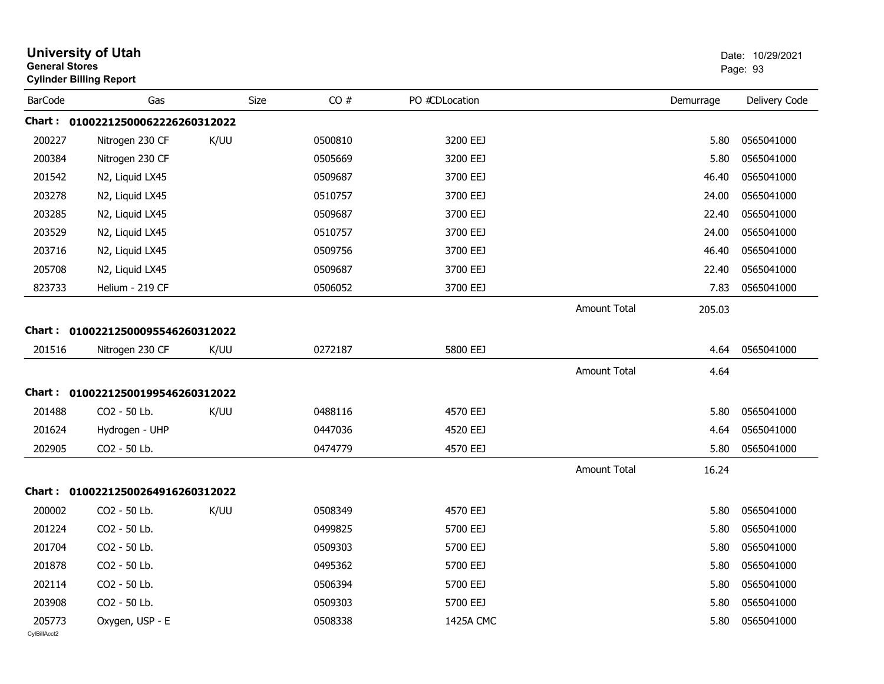|                        | <b>University of Utah</b><br><b>General Stores</b><br><b>Cylinder Billing Report</b> |      |         |                | Date: 10/29/2021<br>Page: 93 |           |               |
|------------------------|--------------------------------------------------------------------------------------|------|---------|----------------|------------------------------|-----------|---------------|
| <b>BarCode</b>         | Gas                                                                                  | Size | CO#     | PO #CDLocation |                              | Demurrage | Delivery Code |
|                        | Chart: 01002212500062226260312022                                                    |      |         |                |                              |           |               |
| 200227                 | Nitrogen 230 CF                                                                      | K/UU | 0500810 | 3200 EEJ       |                              | 5.80      | 0565041000    |
| 200384                 | Nitrogen 230 CF                                                                      |      | 0505669 | 3200 EEJ       |                              | 5.80      | 0565041000    |
| 201542                 | N2, Liquid LX45                                                                      |      | 0509687 | 3700 EEJ       |                              | 46.40     | 0565041000    |
| 203278                 | N2, Liquid LX45                                                                      |      | 0510757 | 3700 EEJ       |                              | 24.00     | 0565041000    |
| 203285                 | N2, Liquid LX45                                                                      |      | 0509687 | 3700 EEJ       |                              | 22.40     | 0565041000    |
| 203529                 | N2, Liquid LX45                                                                      |      | 0510757 | 3700 EEJ       |                              | 24.00     | 0565041000    |
| 203716                 | N2, Liquid LX45                                                                      |      | 0509756 | 3700 EEJ       |                              | 46.40     | 0565041000    |
| 205708                 | N2, Liquid LX45                                                                      |      | 0509687 | 3700 EEJ       |                              | 22.40     | 0565041000    |
| 823733                 | Helium - 219 CF                                                                      |      | 0506052 | 3700 EEJ       |                              | 7.83      | 0565041000    |
|                        |                                                                                      |      |         |                | <b>Amount Total</b>          | 205.03    |               |
|                        | Chart: 01002212500095546260312022                                                    |      |         |                |                              |           |               |
| 201516                 | Nitrogen 230 CF                                                                      | K/UU | 0272187 | 5800 EEJ       |                              | 4.64      | 0565041000    |
|                        |                                                                                      |      |         |                | <b>Amount Total</b>          | 4.64      |               |
| Chart :                | 01002212500199546260312022                                                           |      |         |                |                              |           |               |
| 201488                 | CO2 - 50 Lb.                                                                         | K/UU | 0488116 | 4570 EEJ       |                              | 5.80      | 0565041000    |
| 201624                 | Hydrogen - UHP                                                                       |      | 0447036 | 4520 EEJ       |                              | 4.64      | 0565041000    |
| 202905                 | CO2 - 50 Lb.                                                                         |      | 0474779 | 4570 EEJ       |                              | 5.80      | 0565041000    |
|                        |                                                                                      |      |         |                | <b>Amount Total</b>          | 16.24     |               |
|                        | Chart: 01002212500264916260312022                                                    |      |         |                |                              |           |               |
| 200002                 | CO2 - 50 Lb.                                                                         | K/UU | 0508349 | 4570 EEJ       |                              | 5.80      | 0565041000    |
| 201224                 | CO2 - 50 Lb.                                                                         |      | 0499825 | 5700 EEJ       |                              | 5.80      | 0565041000    |
| 201704                 | CO2 - 50 Lb.                                                                         |      | 0509303 | 5700 EEJ       |                              | 5.80      | 0565041000    |
| 201878                 | CO2 - 50 Lb.                                                                         |      | 0495362 | 5700 EEJ       |                              | 5.80      | 0565041000    |
| 202114                 | CO2 - 50 Lb.                                                                         |      | 0506394 | 5700 EEJ       |                              | 5.80      | 0565041000    |
| 203908                 | CO2 - 50 Lb.                                                                         |      | 0509303 | 5700 EEJ       |                              | 5.80      | 0565041000    |
| 205773<br>CylBillAcct2 | Oxygen, USP - E                                                                      |      | 0508338 | 1425A CMC      |                              | 5.80      | 0565041000    |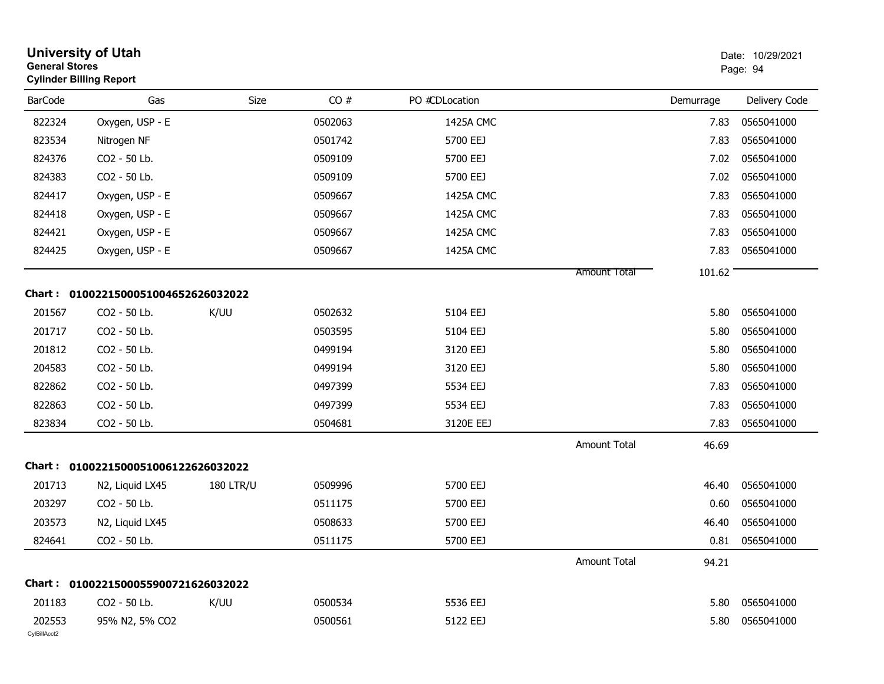| <b>University of Utah</b><br><b>General Stores</b><br><b>Cylinder Billing Report</b> |                                     | Date: 10/29/2021<br>Page: 94 |         |                |                     |           |                 |
|--------------------------------------------------------------------------------------|-------------------------------------|------------------------------|---------|----------------|---------------------|-----------|-----------------|
| <b>BarCode</b>                                                                       | Gas                                 | Size                         | CO#     | PO #CDLocation |                     | Demurrage | Delivery Code   |
| 822324                                                                               | Oxygen, USP - E                     |                              | 0502063 | 1425A CMC      |                     | 7.83      | 0565041000      |
| 823534                                                                               | Nitrogen NF                         |                              | 0501742 | 5700 EEJ       |                     | 7.83      | 0565041000      |
| 824376                                                                               | CO2 - 50 Lb.                        |                              | 0509109 | 5700 EEJ       |                     | 7.02      | 0565041000      |
| 824383                                                                               | CO2 - 50 Lb.                        |                              | 0509109 | 5700 EEJ       |                     | 7.02      | 0565041000      |
| 824417                                                                               | Oxygen, USP - E                     |                              | 0509667 | 1425A CMC      |                     | 7.83      | 0565041000      |
| 824418                                                                               | Oxygen, USP - E                     |                              | 0509667 | 1425A CMC      |                     | 7.83      | 0565041000      |
| 824421                                                                               | Oxygen, USP - E                     |                              | 0509667 | 1425A CMC      |                     | 7.83      | 0565041000      |
| 824425                                                                               | Oxygen, USP - E                     |                              | 0509667 | 1425A CMC      |                     | 7.83      | 0565041000      |
|                                                                                      |                                     |                              |         |                | <b>Amount Total</b> | 101.62    |                 |
|                                                                                      | Chart: 0100221500051004652626032022 |                              |         |                |                     |           |                 |
| 201567                                                                               | CO2 - 50 Lb.                        | K/UU                         | 0502632 | 5104 EEJ       |                     | 5.80      | 0565041000      |
| 201717                                                                               | CO2 - 50 Lb.                        |                              | 0503595 | 5104 EEJ       |                     | 5.80      | 0565041000      |
| 201812                                                                               | CO2 - 50 Lb.                        |                              | 0499194 | 3120 EEJ       |                     | 5.80      | 0565041000      |
| 204583                                                                               | CO2 - 50 Lb.                        |                              | 0499194 | 3120 EEJ       |                     | 5.80      | 0565041000      |
| 822862                                                                               | CO2 - 50 Lb.                        |                              | 0497399 | 5534 EEJ       |                     | 7.83      | 0565041000      |
| 822863                                                                               | CO2 - 50 Lb.                        |                              | 0497399 | 5534 EEJ       |                     | 7.83      | 0565041000      |
| 823834                                                                               | CO2 - 50 Lb.                        |                              | 0504681 | 3120E EEJ      |                     | 7.83      | 0565041000      |
|                                                                                      |                                     |                              |         |                | Amount Total        | 46.69     |                 |
|                                                                                      | Chart: 0100221500051006122626032022 |                              |         |                |                     |           |                 |
| 201713                                                                               | N2, Liquid LX45                     | <b>180 LTR/U</b>             | 0509996 | 5700 EEJ       |                     | 46.40     | 0565041000      |
| 203297                                                                               | CO2 - 50 Lb.                        |                              | 0511175 | 5700 EEJ       |                     | 0.60      | 0565041000      |
| 203573                                                                               | N2, Liquid LX45                     |                              | 0508633 | 5700 EEJ       |                     | 46.40     | 0565041000      |
| 824641                                                                               | $CO2 - 50$ Lb.                      |                              | 0511175 | 5700 EEJ       |                     |           | 0.81 0565041000 |
|                                                                                      |                                     |                              |         |                | Amount Total        | 94.21     |                 |
|                                                                                      | Chart: 0100221500055900721626032022 |                              |         |                |                     |           |                 |
| 201183                                                                               | CO2 - 50 Lb.                        | K/UU                         | 0500534 | 5536 EEJ       |                     | 5.80      | 0565041000      |
| 202553<br>CylBillAcct2                                                               | 95% N2, 5% CO2                      |                              | 0500561 | 5122 EEJ       |                     | 5.80      | 0565041000      |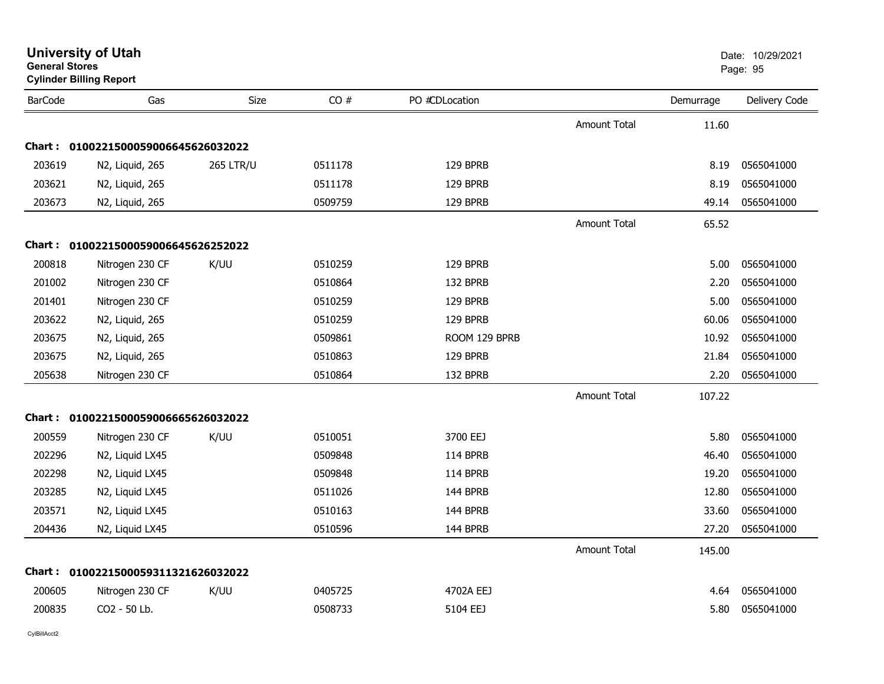| General Stores | <b>Cylinder Billing Report</b>      |                  |         |                |                     |           | Page: 95      |
|----------------|-------------------------------------|------------------|---------|----------------|---------------------|-----------|---------------|
| <b>BarCode</b> | Gas                                 | Size             | CO#     | PO #CDLocation |                     | Demurrage | Delivery Code |
|                |                                     |                  |         |                | <b>Amount Total</b> | 11.60     |               |
| Chart:         | 0100221500059006645626032022        |                  |         |                |                     |           |               |
| 203619         | N2, Liquid, 265                     | <b>265 LTR/U</b> | 0511178 | 129 BPRB       |                     | 8.19      | 0565041000    |
| 203621         | N2, Liquid, 265                     |                  | 0511178 | 129 BPRB       |                     | 8.19      | 0565041000    |
| 203673         | N2, Liquid, 265                     |                  | 0509759 | 129 BPRB       |                     | 49.14     | 0565041000    |
|                |                                     |                  |         |                | <b>Amount Total</b> | 65.52     |               |
|                | Chart: 0100221500059006645626252022 |                  |         |                |                     |           |               |
| 200818         | Nitrogen 230 CF                     | K/UU             | 0510259 | 129 BPRB       |                     | 5.00      | 0565041000    |
| 201002         | Nitrogen 230 CF                     |                  | 0510864 | 132 BPRB       |                     | 2.20      | 0565041000    |
| 201401         | Nitrogen 230 CF                     |                  | 0510259 | 129 BPRB       |                     | 5.00      | 0565041000    |
| 203622         | N2, Liquid, 265                     |                  | 0510259 | 129 BPRB       |                     | 60.06     | 0565041000    |
| 203675         | N2, Liquid, 265                     |                  | 0509861 | ROOM 129 BPRB  |                     | 10.92     | 0565041000    |
| 203675         | N2, Liquid, 265                     |                  | 0510863 | 129 BPRB       |                     | 21.84     | 0565041000    |
| 205638         | Nitrogen 230 CF                     |                  | 0510864 | 132 BPRB       |                     | 2.20      | 0565041000    |
|                |                                     |                  |         |                | <b>Amount Total</b> | 107.22    |               |
|                | Chart: 0100221500059006665626032022 |                  |         |                |                     |           |               |
| 200559         | Nitrogen 230 CF                     | K/UU             | 0510051 | 3700 EEJ       |                     | 5.80      | 0565041000    |
| 202296         | N2, Liquid LX45                     |                  | 0509848 | 114 BPRB       |                     | 46.40     | 0565041000    |
| 202298         | N2, Liquid LX45                     |                  | 0509848 | 114 BPRB       |                     | 19.20     | 0565041000    |
| 203285         | N2, Liquid LX45                     |                  | 0511026 | 144 BPRB       |                     | 12.80     | 0565041000    |
| 203571         | N2, Liquid LX45                     |                  | 0510163 | 144 BPRB       |                     | 33.60     | 0565041000    |
| 204436         | N2, Liquid LX45                     |                  | 0510596 | 144 BPRB       |                     | 27.20     | 0565041000    |
|                |                                     |                  |         |                | <b>Amount Total</b> | 145.00    |               |
| Chart :        | 0100221500059311321626032022        |                  |         |                |                     |           |               |
| 200605         | Nitrogen 230 CF                     | K/UU             | 0405725 | 4702A EEJ      |                     | 4.64      | 0565041000    |
| 200835         | CO2 - 50 Lb.                        |                  | 0508733 | 5104 EEJ       |                     | 5.80      | 0565041000    |
|                |                                     |                  |         |                |                     |           |               |

**University of Utah** Date: 10/29/2021 **General Stores**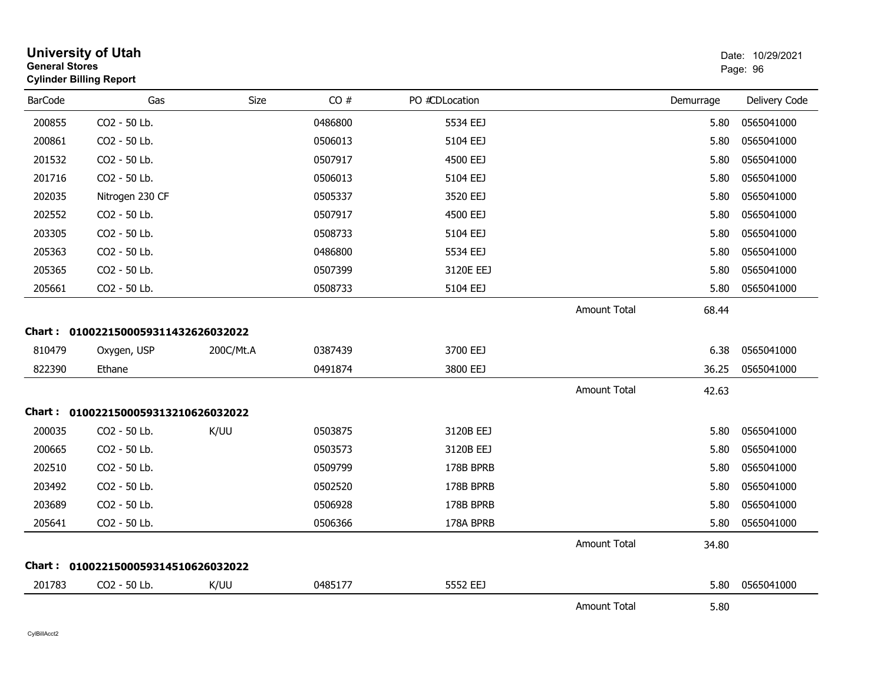| <b>General Stores</b> | <b>University of Utah</b><br><b>Cylinder Billing Report</b> |           |         |                |                     |           | Date: 10/29/2021<br>Page: 96 |
|-----------------------|-------------------------------------------------------------|-----------|---------|----------------|---------------------|-----------|------------------------------|
| <b>BarCode</b>        | Gas                                                         | Size      | CO#     | PO #CDLocation |                     | Demurrage | Delivery Code                |
| 200855                | CO2 - 50 Lb.                                                |           | 0486800 | 5534 EEJ       |                     | 5.80      | 0565041000                   |
| 200861                | CO2 - 50 Lb.                                                |           | 0506013 | 5104 EEJ       |                     | 5.80      | 0565041000                   |
| 201532                | CO2 - 50 Lb.                                                |           | 0507917 | 4500 EEJ       |                     | 5.80      | 0565041000                   |
| 201716                | CO2 - 50 Lb.                                                |           | 0506013 | 5104 EEJ       |                     | 5.80      | 0565041000                   |
| 202035                | Nitrogen 230 CF                                             |           | 0505337 | 3520 EEJ       |                     | 5.80      | 0565041000                   |
| 202552                | CO2 - 50 Lb.                                                |           | 0507917 | 4500 EEJ       |                     | 5.80      | 0565041000                   |
| 203305                | CO2 - 50 Lb.                                                |           | 0508733 | 5104 EEJ       |                     | 5.80      | 0565041000                   |
| 205363                | CO <sub>2</sub> - 50 Lb.                                    |           | 0486800 | 5534 EEJ       |                     | 5.80      | 0565041000                   |
| 205365                | CO2 - 50 Lb.                                                |           | 0507399 | 3120E EEJ      |                     | 5.80      | 0565041000                   |
| 205661                | CO2 - 50 Lb.                                                |           | 0508733 | 5104 EEJ       |                     | 5.80      | 0565041000                   |
|                       |                                                             |           |         |                | <b>Amount Total</b> | 68.44     |                              |
|                       | Chart: 0100221500059311432626032022                         |           |         |                |                     |           |                              |
| 810479                | Oxygen, USP                                                 | 200C/Mt.A | 0387439 | 3700 EEJ       |                     | 6.38      | 0565041000                   |
| 822390                | Ethane                                                      |           | 0491874 | 3800 EEJ       |                     | 36.25     | 0565041000                   |
|                       |                                                             |           |         |                | <b>Amount Total</b> | 42.63     |                              |
|                       | Chart: 0100221500059313210626032022                         |           |         |                |                     |           |                              |
| 200035                | CO2 - 50 Lb.                                                | K/UU      | 0503875 | 3120B EEJ      |                     | 5.80      | 0565041000                   |
| 200665                | CO2 - 50 Lb.                                                |           | 0503573 | 3120B EEJ      |                     | 5.80      | 0565041000                   |
| 202510                | CO2 - 50 Lb.                                                |           | 0509799 | 178B BPRB      |                     | 5.80      | 0565041000                   |
| 203492                | CO2 - 50 Lb.                                                |           | 0502520 | 178B BPRB      |                     | 5.80      | 0565041000                   |
| 203689                | CO2 - 50 Lb.                                                |           | 0506928 | 178B BPRB      |                     | 5.80      | 0565041000                   |
| 205641                | CO2 - 50 Lb.                                                |           | 0506366 | 178A BPRB      |                     | 5.80      | 0565041000                   |
|                       |                                                             |           |         |                | <b>Amount Total</b> | 34.80     |                              |
|                       | Chart: 0100221500059314510626032022                         |           |         |                |                     |           |                              |
| 201783                | CO2 - 50 Lb.                                                | K/UU      | 0485177 | 5552 EEJ       |                     | 5.80      | 0565041000                   |
|                       |                                                             |           |         |                | <b>Amount Total</b> | 5.80      |                              |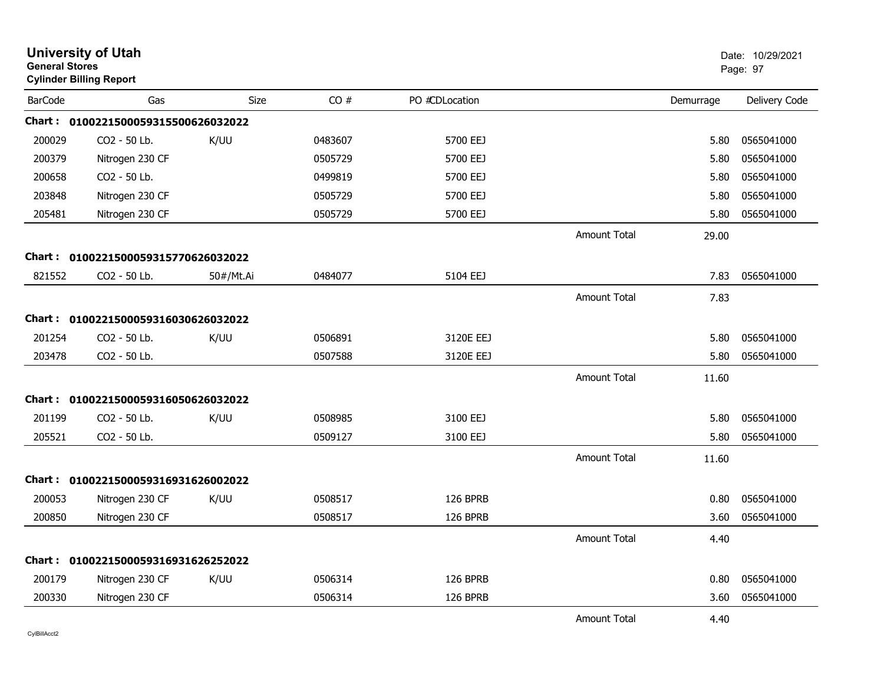| <b>General Stores</b> | <b>University of Utah</b><br><b>Cylinder Billing Report</b> |           |         |                |                     |           | Date: 10/29/2021<br>Page: 97 |
|-----------------------|-------------------------------------------------------------|-----------|---------|----------------|---------------------|-----------|------------------------------|
| <b>BarCode</b>        | Gas                                                         | Size      | CO#     | PO #CDLocation |                     | Demurrage | Delivery Code                |
|                       | Chart: 0100221500059315500626032022                         |           |         |                |                     |           |                              |
| 200029                | CO <sub>2</sub> - 50 Lb.                                    | K/UU      | 0483607 | 5700 EEJ       |                     | 5.80      | 0565041000                   |
| 200379                | Nitrogen 230 CF                                             |           | 0505729 | 5700 EEJ       |                     | 5.80      | 0565041000                   |
| 200658                | CO2 - 50 Lb.                                                |           | 0499819 | 5700 EEJ       |                     | 5.80      | 0565041000                   |
| 203848                | Nitrogen 230 CF                                             |           | 0505729 | 5700 EEJ       |                     | 5.80      | 0565041000                   |
| 205481                | Nitrogen 230 CF                                             |           | 0505729 | 5700 EEJ       |                     | 5.80      | 0565041000                   |
|                       |                                                             |           |         |                | <b>Amount Total</b> | 29.00     |                              |
|                       | Chart: 0100221500059315770626032022                         |           |         |                |                     |           |                              |
| 821552                | CO2 - 50 Lb.                                                | 50#/Mt.Ai | 0484077 | 5104 EEJ       |                     | 7.83      | 0565041000                   |
|                       |                                                             |           |         |                | <b>Amount Total</b> | 7.83      |                              |
|                       | Chart: 0100221500059316030626032022                         |           |         |                |                     |           |                              |
| 201254                | CO2 - 50 Lb.                                                | K/UU      | 0506891 | 3120E EEJ      |                     | 5.80      | 0565041000                   |
| 203478                | CO2 - 50 Lb.                                                |           | 0507588 | 3120E EEJ      |                     | 5.80      | 0565041000                   |
|                       |                                                             |           |         |                | <b>Amount Total</b> | 11.60     |                              |
|                       | Chart: 0100221500059316050626032022                         |           |         |                |                     |           |                              |
| 201199                | CO2 - 50 Lb.                                                | K/UU      | 0508985 | 3100 EEJ       |                     | 5.80      | 0565041000                   |
| 205521                | CO2 - 50 Lb.                                                |           | 0509127 | 3100 EEJ       |                     | 5.80      | 0565041000                   |
|                       |                                                             |           |         |                | <b>Amount Total</b> | 11.60     |                              |
|                       | Chart: 0100221500059316931626002022                         |           |         |                |                     |           |                              |
| 200053                | Nitrogen 230 CF                                             | K/UU      | 0508517 | 126 BPRB       |                     | 0.80      | 0565041000                   |
| 200850                | Nitrogen 230 CF                                             |           | 0508517 | 126 BPRB       |                     | 3.60      | 0565041000                   |
|                       |                                                             |           |         |                | <b>Amount Total</b> | 4.40      |                              |
|                       | Chart: 0100221500059316931626252022                         |           |         |                |                     |           |                              |
| 200179                | Nitrogen 230 CF                                             | K/UU      | 0506314 | 126 BPRB       |                     | 0.80      | 0565041000                   |
| 200330                | Nitrogen 230 CF                                             |           | 0506314 | 126 BPRB       |                     | 3.60      | 0565041000                   |
|                       |                                                             |           |         |                | <b>Amount Total</b> | 4.40      |                              |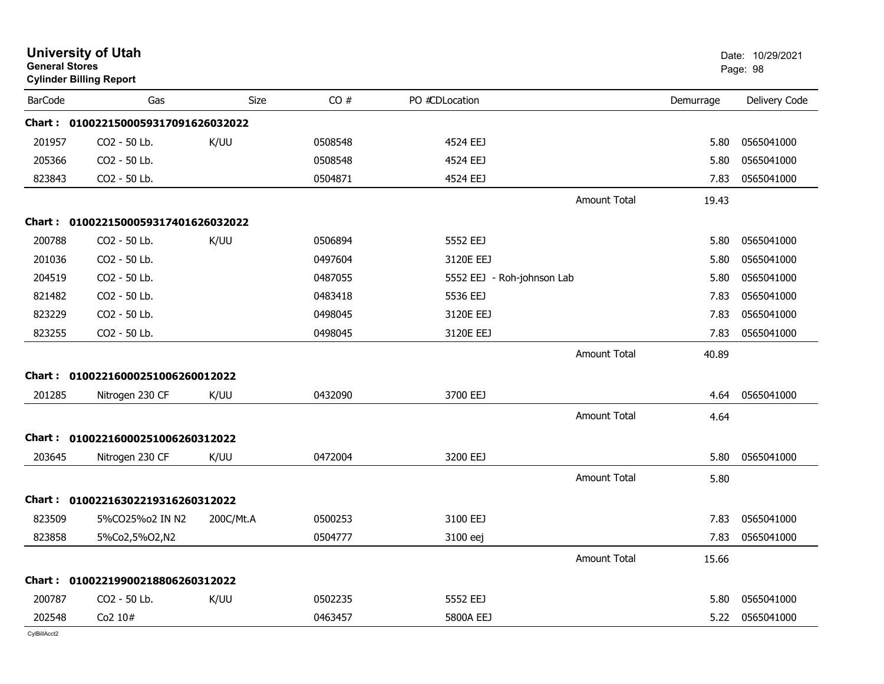| <b>General Stores</b> | <b>University of Utah</b><br><b>Cylinder Billing Report</b> |             |         |                            |                     |           | Date: 10/29/2021<br>Page: 98 |
|-----------------------|-------------------------------------------------------------|-------------|---------|----------------------------|---------------------|-----------|------------------------------|
| <b>BarCode</b>        | Gas                                                         | <b>Size</b> | CO#     | PO #CDLocation             |                     | Demurrage | Delivery Code                |
|                       | Chart: 0100221500059317091626032022                         |             |         |                            |                     |           |                              |
| 201957                | CO2 - 50 Lb.                                                | K/UU        | 0508548 | 4524 EEJ                   |                     | 5.80      | 0565041000                   |
| 205366                | CO2 - 50 Lb.                                                |             | 0508548 | 4524 EEJ                   |                     | 5.80      | 0565041000                   |
| 823843                | CO2 - 50 Lb.                                                |             | 0504871 | 4524 EEJ                   |                     | 7.83      | 0565041000                   |
|                       |                                                             |             |         |                            | <b>Amount Total</b> | 19.43     |                              |
| Chart :               | 0100221500059317401626032022                                |             |         |                            |                     |           |                              |
| 200788                | CO2 - 50 Lb.                                                | K/UU        | 0506894 | 5552 EEJ                   |                     | 5.80      | 0565041000                   |
| 201036                | CO2 - 50 Lb.                                                |             | 0497604 | 3120E EEJ                  |                     | 5.80      | 0565041000                   |
| 204519                | CO2 - 50 Lb.                                                |             | 0487055 | 5552 EEJ - Roh-johnson Lab |                     | 5.80      | 0565041000                   |
| 821482                | CO2 - 50 Lb.                                                |             | 0483418 | 5536 EEJ                   |                     | 7.83      | 0565041000                   |
| 823229                | CO2 - 50 Lb.                                                |             | 0498045 | 3120E EEJ                  |                     | 7.83      | 0565041000                   |
| 823255                | CO2 - 50 Lb.                                                |             | 0498045 | 3120E EEJ                  |                     | 7.83      | 0565041000                   |
|                       |                                                             |             |         |                            | <b>Amount Total</b> | 40.89     |                              |
|                       | Chart: 01002216000251006260012022                           |             |         |                            |                     |           |                              |
| 201285                | Nitrogen 230 CF                                             | K/UU        | 0432090 | 3700 EEJ                   |                     | 4.64      | 0565041000                   |
|                       |                                                             |             |         |                            | <b>Amount Total</b> | 4.64      |                              |
|                       | Chart: 01002216000251006260312022                           |             |         |                            |                     |           |                              |
| 203645                | Nitrogen 230 CF                                             | K/UU        | 0472004 | 3200 EEJ                   |                     | 5.80      | 0565041000                   |
|                       |                                                             |             |         |                            | <b>Amount Total</b> | 5.80      |                              |
|                       | Chart: 01002216302219316260312022                           |             |         |                            |                     |           |                              |
| 823509                | 5%CO25%o2 IN N2                                             | 200C/Mt.A   | 0500253 | 3100 EEJ                   |                     | 7.83      | 0565041000                   |
| 823858                | 5%Co2,5%O2,N2                                               |             | 0504777 | 3100 eej                   |                     | 7.83      | 0565041000                   |
|                       |                                                             |             |         |                            | Amount Total        | 15.66     |                              |
|                       | Chart: 01002219900218806260312022                           |             |         |                            |                     |           |                              |
| 200787                | CO2 - 50 Lb.                                                | K/UU        | 0502235 | 5552 EEJ                   |                     | 5.80      | 0565041000                   |
| 202548                | Co2 10#                                                     |             | 0463457 | 5800A EEJ                  |                     | 5.22      | 0565041000                   |
| CvIBillAcct2          |                                                             |             |         |                            |                     |           |                              |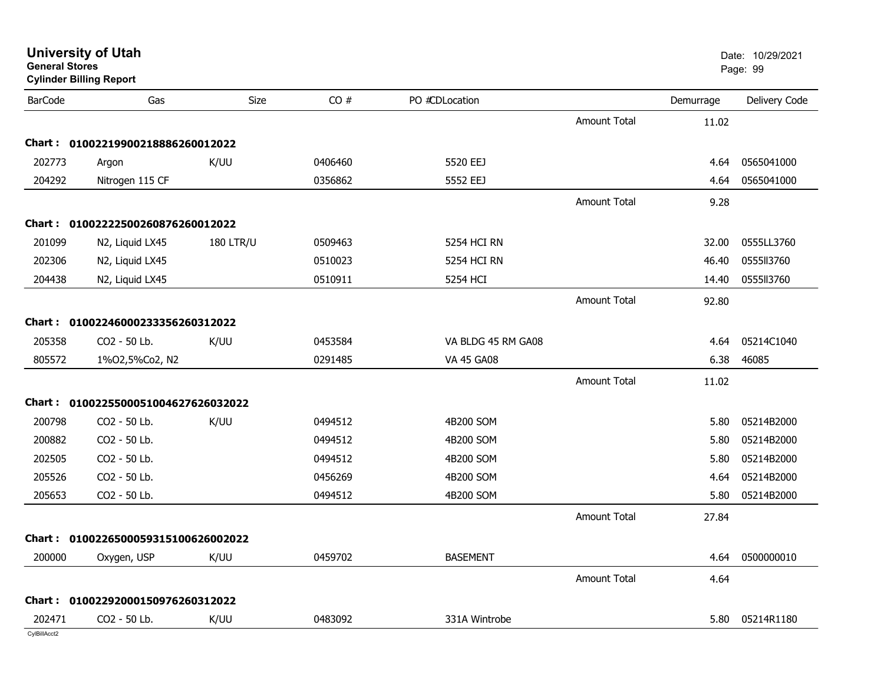| <b>University of Utah</b> |  |
|---------------------------|--|
| <b>General Stores</b>     |  |

**Cylinder Billing Report**

| <b>BarCode</b> | Gas                                 | Size             | CO#     | PO #CDLocation     |                     | Demurrage | Delivery Code |
|----------------|-------------------------------------|------------------|---------|--------------------|---------------------|-----------|---------------|
|                |                                     |                  |         |                    | <b>Amount Total</b> | 11.02     |               |
|                | Chart: 01002219900218886260012022   |                  |         |                    |                     |           |               |
| 202773         | Argon                               | K/UU             | 0406460 | 5520 EEJ           |                     | 4.64      | 0565041000    |
| 204292         | Nitrogen 115 CF                     |                  | 0356862 | 5552 EEJ           |                     | 4.64      | 0565041000    |
|                |                                     |                  |         |                    | <b>Amount Total</b> | 9.28      |               |
|                | Chart: 01002222500260876260012022   |                  |         |                    |                     |           |               |
| 201099         | N2, Liquid LX45                     | <b>180 LTR/U</b> | 0509463 | 5254 HCI RN        |                     | 32.00     | 0555LL3760    |
| 202306         | N2, Liquid LX45                     |                  | 0510023 | <b>5254 HCI RN</b> |                     | 46.40     | 0555113760    |
| 204438         | N2, Liquid LX45                     |                  | 0510911 | 5254 HCI           |                     | 14.40     | 0555113760    |
|                |                                     |                  |         |                    | <b>Amount Total</b> | 92.80     |               |
|                | Chart: 01002246000233356260312022   |                  |         |                    |                     |           |               |
| 205358         | CO2 - 50 Lb.                        | K/UU             | 0453584 | VA BLDG 45 RM GA08 |                     | 4.64      | 05214C1040    |
| 805572         | 1%02,5%Co2, N2                      |                  | 0291485 | <b>VA 45 GA08</b>  |                     | 6.38      | 46085         |
|                |                                     |                  |         |                    | <b>Amount Total</b> | 11.02     |               |
|                | Chart: 0100225500051004627626032022 |                  |         |                    |                     |           |               |
| 200798         | CO2 - 50 Lb.                        | K/UU             | 0494512 | 4B200 SOM          |                     | 5.80      | 05214B2000    |
| 200882         | CO2 - 50 Lb.                        |                  | 0494512 | 4B200 SOM          |                     | 5.80      | 05214B2000    |
| 202505         | CO2 - 50 Lb.                        |                  | 0494512 | 4B200 SOM          |                     | 5.80      | 05214B2000    |
| 205526         | CO2 - 50 Lb.                        |                  | 0456269 | 4B200 SOM          |                     | 4.64      | 05214B2000    |
| 205653         | CO2 - 50 Lb.                        |                  | 0494512 | 4B200 SOM          |                     | 5.80      | 05214B2000    |
|                |                                     |                  |         |                    | <b>Amount Total</b> | 27.84     |               |
|                | Chart: 0100226500059315100626002022 |                  |         |                    |                     |           |               |
| 200000         | Oxygen, USP                         | K/UU             | 0459702 | <b>BASEMENT</b>    |                     | 4.64      | 0500000010    |
|                |                                     |                  |         |                    | <b>Amount Total</b> | 4.64      |               |
|                | Chart: 01002292000150976260312022   |                  |         |                    |                     |           |               |
| 202471         | CO2 - 50 Lb.                        | K/UU             | 0483092 | 331A Wintrobe      |                     | 5.80      | 05214R1180    |
| CvIBillAcct2   |                                     |                  |         |                    |                     |           |               |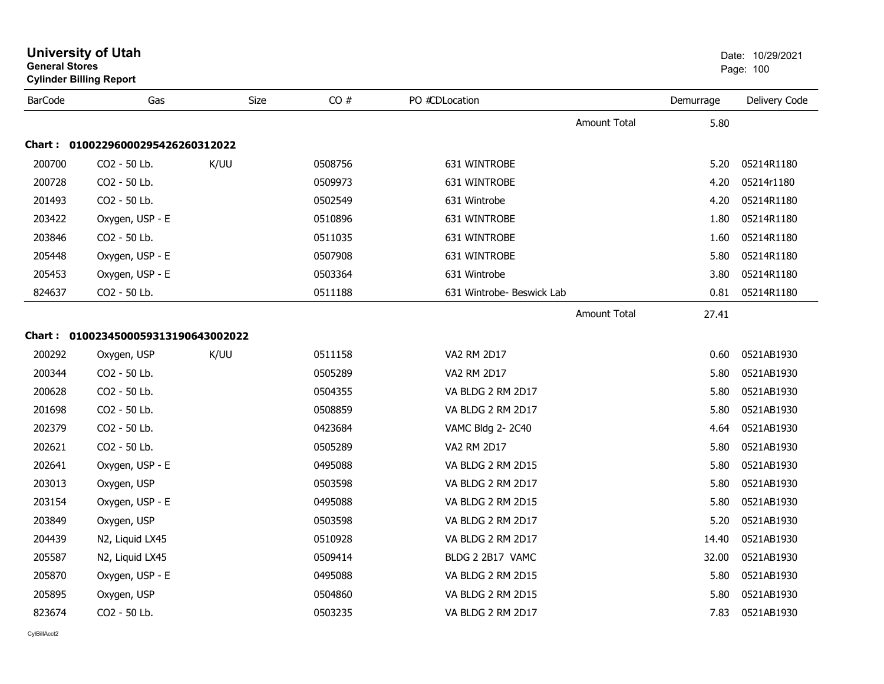| <b>General Stores</b> | <b>Cylinder Billing Report</b>      |      |         |                           |                     |           | Page: 100     |
|-----------------------|-------------------------------------|------|---------|---------------------------|---------------------|-----------|---------------|
| <b>BarCode</b>        | Gas                                 | Size | CO#     | PO #CDLocation            |                     | Demurrage | Delivery Code |
|                       |                                     |      |         |                           | <b>Amount Total</b> | 5.80      |               |
|                       | Chart: 01002296000295426260312022   |      |         |                           |                     |           |               |
| 200700                | CO2 - 50 Lb.                        | K/UU | 0508756 | 631 WINTROBE              |                     | 5.20      | 05214R1180    |
| 200728                | CO2 - 50 Lb.                        |      | 0509973 | 631 WINTROBE              |                     | 4.20      | 05214r1180    |
| 201493                | CO2 - 50 Lb.                        |      | 0502549 | 631 Wintrobe              |                     | 4.20      | 05214R1180    |
| 203422                | Oxygen, USP - E                     |      | 0510896 | 631 WINTROBE              |                     | 1.80      | 05214R1180    |
| 203846                | CO2 - 50 Lb.                        |      | 0511035 | 631 WINTROBE              |                     | 1.60      | 05214R1180    |
| 205448                | Oxygen, USP - E                     |      | 0507908 | 631 WINTROBE              |                     | 5.80      | 05214R1180    |
| 205453                | Oxygen, USP - E                     |      | 0503364 | 631 Wintrobe              |                     | 3.80      | 05214R1180    |
| 824637                | CO2 - 50 Lb.                        |      | 0511188 | 631 Wintrobe- Beswick Lab |                     | 0.81      | 05214R1180    |
|                       |                                     |      |         |                           | <b>Amount Total</b> | 27.41     |               |
|                       | Chart: 0100234500059313190643002022 |      |         |                           |                     |           |               |
| 200292                | Oxygen, USP                         | K/UU | 0511158 | <b>VA2 RM 2D17</b>        |                     | 0.60      | 0521AB1930    |
| 200344                | CO2 - 50 Lb.                        |      | 0505289 | <b>VA2 RM 2D17</b>        |                     | 5.80      | 0521AB1930    |
| 200628                | CO2 - 50 Lb.                        |      | 0504355 | VA BLDG 2 RM 2D17         |                     | 5.80      | 0521AB1930    |
| 201698                | CO2 - 50 Lb.                        |      | 0508859 | VA BLDG 2 RM 2D17         |                     | 5.80      | 0521AB1930    |
| 202379                | CO2 - 50 Lb.                        |      | 0423684 | VAMC Bldg 2-2C40          |                     | 4.64      | 0521AB1930    |
| 202621                | CO2 - 50 Lb.                        |      | 0505289 | <b>VA2 RM 2D17</b>        |                     | 5.80      | 0521AB1930    |
| 202641                | Oxygen, USP - E                     |      | 0495088 | VA BLDG 2 RM 2D15         |                     | 5.80      | 0521AB1930    |
| 203013                | Oxygen, USP                         |      | 0503598 | VA BLDG 2 RM 2D17         |                     | 5.80      | 0521AB1930    |
| 203154                | Oxygen, USP - E                     |      | 0495088 | VA BLDG 2 RM 2D15         |                     | 5.80      | 0521AB1930    |
| 203849                | Oxygen, USP                         |      | 0503598 | VA BLDG 2 RM 2D17         |                     | 5.20      | 0521AB1930    |
| 204439                | N2, Liquid LX45                     |      | 0510928 | VA BLDG 2 RM 2D17         |                     | 14.40     | 0521AB1930    |
| 205587                | N2, Liquid LX45                     |      | 0509414 | BLDG 2 2B17 VAMC          |                     | 32.00     | 0521AB1930    |
| 205870                | Oxygen, USP - E                     |      | 0495088 | VA BLDG 2 RM 2D15         |                     | 5.80      | 0521AB1930    |
| 205895                | Oxygen, USP                         |      | 0504860 | VA BLDG 2 RM 2D15         |                     | 5.80      | 0521AB1930    |
| 823674                | CO2 - 50 Lb.                        |      | 0503235 | VA BLDG 2 RM 2D17         |                     | 7.83      | 0521AB1930    |

CylBillAcct2

# **University of Utah**  Date: 10/29/2021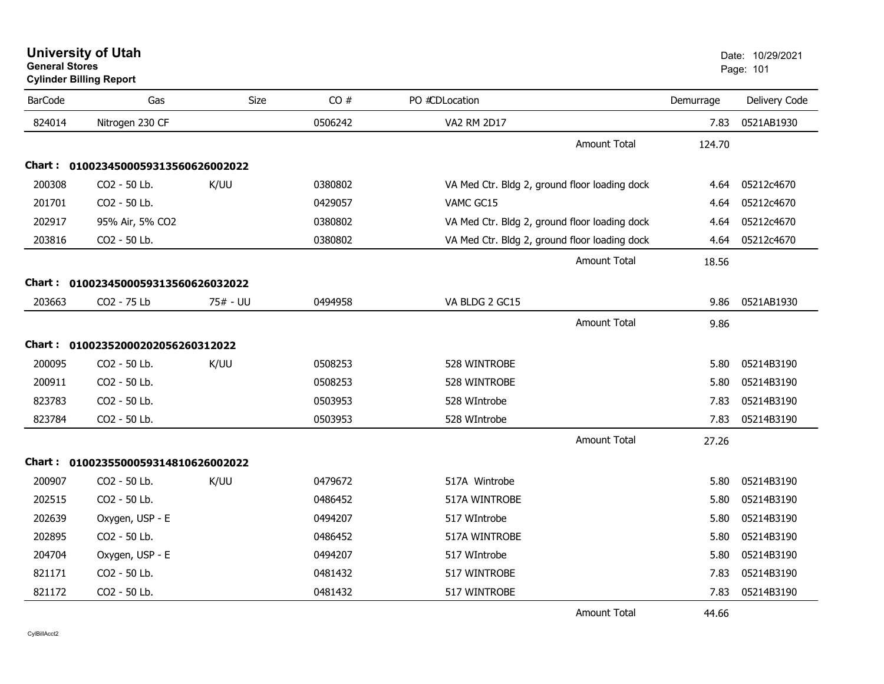**University of Utah** Date: 10/29/2021 **General Stores**s and the contract of the contract of the contract of the contract of the contract of the contract of the contract of the contract of the contract of the contract of the contract of the contract of the contract of the cont **Cylinder Billing Report**

| <b>BarCode</b>                          | Gas                                 | <b>Size</b> | CO#     | PO #CDLocation                                | Demurrage | Delivery Code |
|-----------------------------------------|-------------------------------------|-------------|---------|-----------------------------------------------|-----------|---------------|
| 824014                                  | Nitrogen 230 CF                     |             | 0506242 | VA2 RM 2D17                                   | 7.83      | 0521AB1930    |
|                                         |                                     |             |         | <b>Amount Total</b>                           | 124.70    |               |
|                                         | Chart: 0100234500059313560626002022 |             |         |                                               |           |               |
| 200308                                  | CO2 - 50 Lb.                        | K/UU        | 0380802 | VA Med Ctr. Bldg 2, ground floor loading dock | 4.64      | 05212c4670    |
| 201701                                  | CO2 - 50 Lb.                        |             | 0429057 | VAMC GC15                                     | 4.64      | 05212c4670    |
| 202917                                  | 95% Air, 5% CO2                     |             | 0380802 | VA Med Ctr. Bldg 2, ground floor loading dock | 4.64      | 05212c4670    |
| 203816                                  | CO2 - 50 Lb.                        |             | 0380802 | VA Med Ctr. Bldg 2, ground floor loading dock | 4.64      | 05212c4670    |
|                                         |                                     |             |         | <b>Amount Total</b>                           | 18.56     |               |
| 0100234500059313560626032022<br>Chart : |                                     |             |         |                                               |           |               |
| 203663                                  | CO2 - 75 Lb                         | 75# - UU    | 0494958 | VA BLDG 2 GC15                                | 9.86      | 0521AB1930    |
|                                         |                                     |             |         | <b>Amount Total</b>                           | 9.86      |               |
|                                         | Chart: 01002352000202056260312022   |             |         |                                               |           |               |
| 200095                                  | CO2 - 50 Lb.                        | K/UU        | 0508253 | 528 WINTROBE                                  | 5.80      | 05214B3190    |
| 200911                                  | CO2 - 50 Lb.                        |             | 0508253 | 528 WINTROBE                                  | 5.80      | 05214B3190    |
| 823783                                  | CO2 - 50 Lb.                        |             | 0503953 | 528 WIntrobe                                  | 7.83      | 05214B3190    |
| 823784                                  | CO2 - 50 Lb.                        |             | 0503953 | 528 WIntrobe                                  | 7.83      | 05214B3190    |
|                                         |                                     |             |         | <b>Amount Total</b>                           | 27.26     |               |
|                                         | Chart: 0100235500059314810626002022 |             |         |                                               |           |               |
| 200907                                  | CO2 - 50 Lb.                        | K/UU        | 0479672 | 517A Wintrobe                                 | 5.80      | 05214B3190    |
| 202515                                  | CO2 - 50 Lb.                        |             | 0486452 | 517A WINTROBE                                 | 5.80      | 05214B3190    |
| 202639                                  | Oxygen, USP - E                     |             | 0494207 | 517 WIntrobe                                  | 5.80      | 05214B3190    |
| 202895                                  | CO2 - 50 Lb.                        |             | 0486452 | 517A WINTROBE                                 | 5.80      | 05214B3190    |
| 204704                                  | Oxygen, USP - E                     |             | 0494207 | 517 WIntrobe                                  | 5.80      | 05214B3190    |
| 821171                                  | CO2 - 50 Lb.                        |             | 0481432 | 517 WINTROBE                                  | 7.83      | 05214B3190    |
| 821172                                  | CO2 - 50 Lb.                        |             | 0481432 | 517 WINTROBE                                  | 7.83      | 05214B3190    |

Amount Total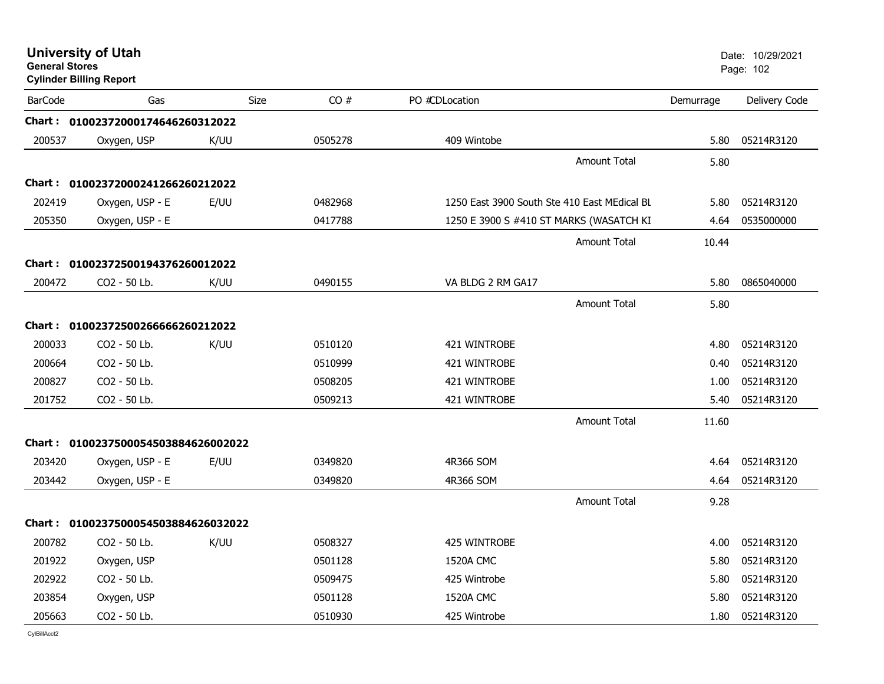| <b>General Stores</b> | <b>University of Utah</b><br><b>Cylinder Billing Report</b> |      |         |                                              |           | Date: 10/29/2021<br>Page: 102 |
|-----------------------|-------------------------------------------------------------|------|---------|----------------------------------------------|-----------|-------------------------------|
| <b>BarCode</b>        | Gas                                                         | Size | CO#     | PO #CDLocation                               | Demurrage | Delivery Code                 |
|                       | Chart: 01002372000174646260312022                           |      |         |                                              |           |                               |
| 200537                | Oxygen, USP                                                 | K/UU | 0505278 | 409 Wintobe                                  | 5.80      | 05214R3120                    |
|                       |                                                             |      |         | <b>Amount Total</b>                          | 5.80      |                               |
|                       | Chart: 01002372000241266260212022                           |      |         |                                              |           |                               |
| 202419                | Oxygen, USP - E                                             | E/UU | 0482968 | 1250 East 3900 South Ste 410 East MEdical BL | 5.80      | 05214R3120                    |
| 205350                | Oxygen, USP - E                                             |      | 0417788 | 1250 E 3900 S #410 ST MARKS (WASATCH KI      | 4.64      | 0535000000                    |
|                       |                                                             |      |         | <b>Amount Total</b>                          | 10.44     |                               |
|                       | Chart: 01002372500194376260012022                           |      |         |                                              |           |                               |
| 200472                | CO2 - 50 Lb.                                                | K/UU | 0490155 | VA BLDG 2 RM GA17                            | 5.80      | 0865040000                    |
|                       |                                                             |      |         | <b>Amount Total</b>                          | 5.80      |                               |
|                       | Chart: 01002372500266666260212022                           |      |         |                                              |           |                               |
| 200033                | CO2 - 50 Lb.                                                | K/UU | 0510120 | 421 WINTROBE                                 | 4.80      | 05214R3120                    |
| 200664                | CO2 - 50 Lb.                                                |      | 0510999 | 421 WINTROBE                                 | 0.40      | 05214R3120                    |
| 200827                | CO2 - 50 Lb.                                                |      | 0508205 | 421 WINTROBE                                 | 1.00      | 05214R3120                    |
| 201752                | CO2 - 50 Lb.                                                |      | 0509213 | 421 WINTROBE                                 | 5.40      | 05214R3120                    |
|                       |                                                             |      |         | <b>Amount Total</b>                          | 11.60     |                               |
|                       | Chart: 0100237500054503884626002022                         |      |         |                                              |           |                               |
| 203420                | Oxygen, USP - E                                             | E/UU | 0349820 | 4R366 SOM                                    | 4.64      | 05214R3120                    |
| 203442                | Oxygen, USP - E                                             |      | 0349820 | 4R366 SOM                                    | 4.64      | 05214R3120                    |
|                       |                                                             |      |         | Amount Total                                 | 9.28      |                               |
|                       | Chart: 0100237500054503884626032022                         |      |         |                                              |           |                               |
| 200782                | CO2 - 50 Lb.                                                | K/UU | 0508327 | <b>425 WINTROBE</b>                          | 4.00      | 05214R3120                    |
| 201922                | Oxygen, USP                                                 |      | 0501128 | <b>1520A CMC</b>                             | 5.80      | 05214R3120                    |
| 202922                | CO2 - 50 Lb.                                                |      | 0509475 | 425 Wintrobe                                 | 5.80      | 05214R3120                    |
| 203854                | Oxygen, USP                                                 |      | 0501128 | <b>1520A CMC</b>                             | 5.80      | 05214R3120                    |
| 205663                | CO2 - 50 Lb.                                                |      | 0510930 | 425 Wintrobe                                 | 1.80      | 05214R3120                    |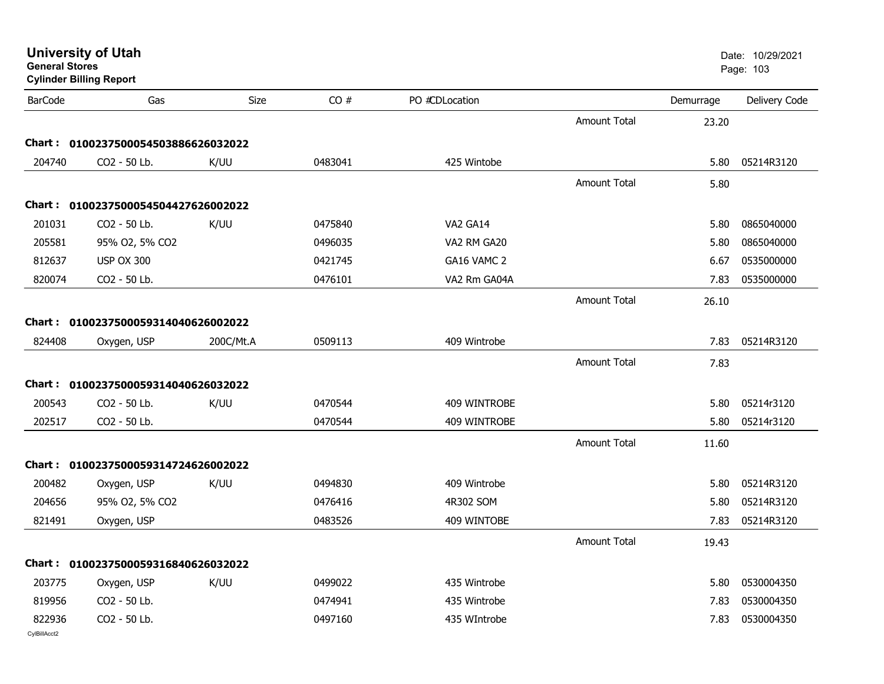| General Stores | <b>Cylinder Billing Report</b>      |           |         |                |                     |           | Page: 103     |
|----------------|-------------------------------------|-----------|---------|----------------|---------------------|-----------|---------------|
| <b>BarCode</b> | Gas                                 | Size      | CO#     | PO #CDLocation |                     | Demurrage | Delivery Code |
|                |                                     |           |         |                | <b>Amount Total</b> | 23.20     |               |
|                | Chart: 0100237500054503886626032022 |           |         |                |                     |           |               |
| 204740         | CO2 - 50 Lb.                        | K/UU      | 0483041 | 425 Wintobe    |                     | 5.80      | 05214R3120    |
|                |                                     |           |         |                | <b>Amount Total</b> | 5.80      |               |
|                | Chart: 0100237500054504427626002022 |           |         |                |                     |           |               |
| 201031         | CO2 - 50 Lb.                        | K/UU      | 0475840 | VA2 GA14       |                     | 5.80      | 0865040000    |
| 205581         | 95% 02, 5% CO2                      |           | 0496035 | VA2 RM GA20    |                     | 5.80      | 0865040000    |
| 812637         | <b>USP OX 300</b>                   |           | 0421745 | GA16 VAMC 2    |                     | 6.67      | 0535000000    |
| 820074         | CO2 - 50 Lb.                        |           | 0476101 | VA2 Rm GA04A   |                     | 7.83      | 0535000000    |
|                |                                     |           |         |                | <b>Amount Total</b> | 26.10     |               |
|                |                                     |           |         |                |                     |           |               |
|                | Chart: 0100237500059314040626002022 |           |         |                |                     |           |               |
| 824408         | Oxygen, USP                         | 200C/Mt.A | 0509113 | 409 Wintrobe   |                     | 7.83      | 05214R3120    |
|                |                                     |           |         |                | <b>Amount Total</b> | 7.83      |               |
|                | Chart: 0100237500059314040626032022 |           |         |                |                     |           |               |
| 200543         | CO2 - 50 Lb.                        | K/UU      | 0470544 | 409 WINTROBE   |                     | 5.80      | 05214r3120    |
| 202517         | CO2 - 50 Lb.                        |           | 0470544 | 409 WINTROBE   |                     | 5.80      | 05214r3120    |
|                |                                     |           |         |                | Amount Total        | 11.60     |               |
|                | Chart: 0100237500059314724626002022 |           |         |                |                     |           |               |
| 200482         | Oxygen, USP                         | K/UU      | 0494830 | 409 Wintrobe   |                     | 5.80      | 05214R3120    |
| 204656         | 95% O2, 5% CO2                      |           | 0476416 | 4R302 SOM      |                     | 5.80      | 05214R3120    |
| 821491         | Oxygen, USP                         |           | 0483526 | 409 WINTOBE    |                     | 7.83      | 05214R3120    |
|                |                                     |           |         |                | Amount Total        |           |               |
|                |                                     |           |         |                |                     | 19.43     |               |
|                | Chart: 0100237500059316840626032022 |           |         |                |                     |           |               |
| 203775         | Oxygen, USP                         | K/UU      | 0499022 | 435 Wintrobe   |                     | 5.80      | 0530004350    |
| 819956         | CO2 - 50 Lb.                        |           | 0474941 | 435 Wintrobe   |                     | 7.83      | 0530004350    |
| 822936         | CO2 - 50 Lb.                        |           | 0497160 | 435 WIntrobe   |                     | 7.83      | 0530004350    |
| CvIBillAcct2   |                                     |           |         |                |                     |           |               |

**University of Utah** Date: 10/29/2021 **General Stores**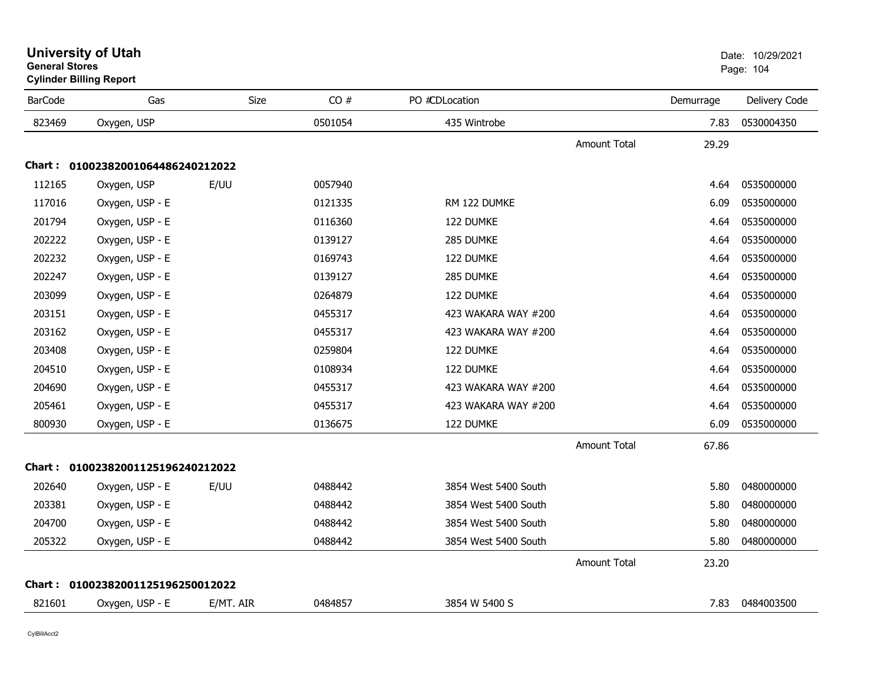| General Stores | <b>Cylinder Billing Report</b>    |           |         |                      |                     |           | Page: 104     |
|----------------|-----------------------------------|-----------|---------|----------------------|---------------------|-----------|---------------|
| <b>BarCode</b> | Gas                               | Size      | CO#     | PO #CDLocation       |                     | Demurrage | Delivery Code |
| 823469         | Oxygen, USP                       |           | 0501054 | 435 Wintrobe         |                     | 7.83      | 0530004350    |
|                |                                   |           |         |                      | <b>Amount Total</b> | 29.29     |               |
|                | Chart: 01002382001064486240212022 |           |         |                      |                     |           |               |
| 112165         | Oxygen, USP                       | E/UU      | 0057940 |                      |                     | 4.64      | 0535000000    |
| 117016         | Oxygen, USP - E                   |           | 0121335 | RM 122 DUMKE         |                     | 6.09      | 0535000000    |
| 201794         | Oxygen, USP - E                   |           | 0116360 | 122 DUMKE            |                     | 4.64      | 0535000000    |
| 202222         | Oxygen, USP - E                   |           | 0139127 | 285 DUMKE            |                     | 4.64      | 0535000000    |
| 202232         | Oxygen, USP - E                   |           | 0169743 | 122 DUMKE            |                     | 4.64      | 0535000000    |
| 202247         | Oxygen, USP - E                   |           | 0139127 | 285 DUMKE            |                     | 4.64      | 0535000000    |
| 203099         | Oxygen, USP - E                   |           | 0264879 | 122 DUMKE            |                     | 4.64      | 0535000000    |
| 203151         | Oxygen, USP - E                   |           | 0455317 | 423 WAKARA WAY #200  |                     | 4.64      | 0535000000    |
| 203162         | Oxygen, USP - E                   |           | 0455317 | 423 WAKARA WAY #200  |                     | 4.64      | 0535000000    |
| 203408         | Oxygen, USP - E                   |           | 0259804 | 122 DUMKE            |                     | 4.64      | 0535000000    |
| 204510         | Oxygen, USP - E                   |           | 0108934 | 122 DUMKE            |                     | 4.64      | 0535000000    |
| 204690         | Oxygen, USP - E                   |           | 0455317 | 423 WAKARA WAY #200  |                     | 4.64      | 0535000000    |
| 205461         | Oxygen, USP - E                   |           | 0455317 | 423 WAKARA WAY #200  |                     | 4.64      | 0535000000    |
| 800930         | Oxygen, USP - E                   |           | 0136675 | 122 DUMKE            |                     | 6.09      | 0535000000    |
|                |                                   |           |         |                      | <b>Amount Total</b> | 67.86     |               |
|                | Chart: 01002382001125196240212022 |           |         |                      |                     |           |               |
| 202640         | Oxygen, USP - E                   | E/UU      | 0488442 | 3854 West 5400 South |                     | 5.80      | 0480000000    |
| 203381         | Oxygen, USP - E                   |           | 0488442 | 3854 West 5400 South |                     | 5.80      | 0480000000    |
| 204700         | Oxygen, USP - E                   |           | 0488442 | 3854 West 5400 South |                     | 5.80      | 0480000000    |
| 205322         | Oxygen, USP - E                   |           | 0488442 | 3854 West 5400 South |                     | 5.80      | 0480000000    |
|                |                                   |           |         |                      | <b>Amount Total</b> | 23.20     |               |
|                | Chart: 01002382001125196250012022 |           |         |                      |                     |           |               |
| 821601         | Oxygen, USP - E                   | E/MT. AIR | 0484857 | 3854 W 5400 S        |                     | 7.83      | 0484003500    |

## **General Stores**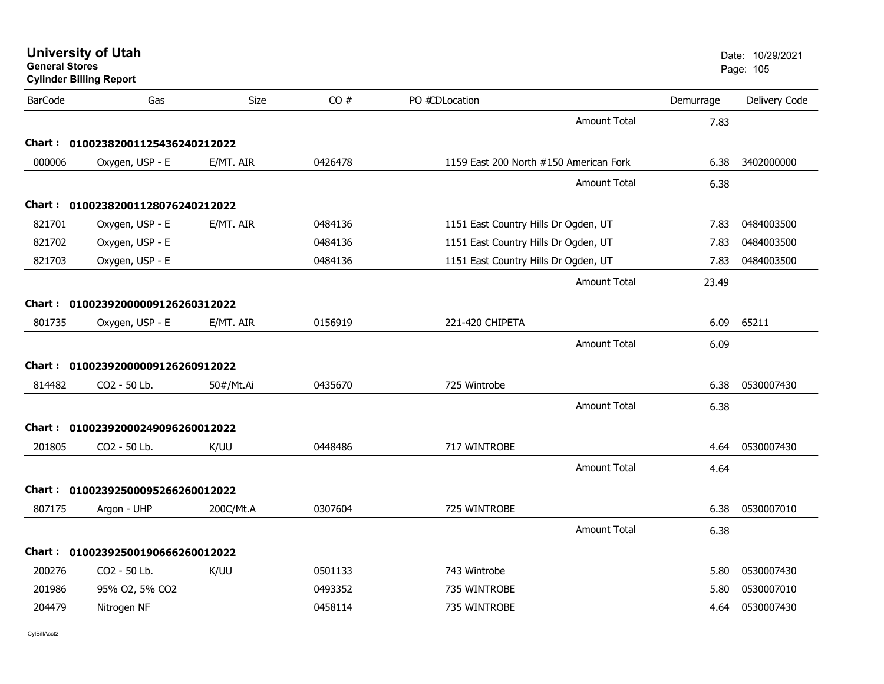| <b>General Stores</b> | <b>University of Utah</b><br><b>Cylinder Billing Report</b> |           |         |                                        |           | Date: 10/29/2021<br>Page: 105 |
|-----------------------|-------------------------------------------------------------|-----------|---------|----------------------------------------|-----------|-------------------------------|
| <b>BarCode</b>        | Gas                                                         | Size      | CO#     | PO #CDLocation                         | Demurrage | Delivery Code                 |
|                       |                                                             |           |         | <b>Amount Total</b>                    | 7.83      |                               |
| Chart :               | 01002382001125436240212022                                  |           |         |                                        |           |                               |
| 000006                | Oxygen, USP - E                                             | E/MT. AIR | 0426478 | 1159 East 200 North #150 American Fork | 6.38      | 3402000000                    |
|                       |                                                             |           |         | <b>Amount Total</b>                    | 6.38      |                               |
| Chart :               | 01002382001128076240212022                                  |           |         |                                        |           |                               |
| 821701                | Oxygen, USP - E                                             | E/MT. AIR | 0484136 | 1151 East Country Hills Dr Ogden, UT   | 7.83      | 0484003500                    |
| 821702                | Oxygen, USP - E                                             |           | 0484136 | 1151 East Country Hills Dr Ogden, UT   | 7.83      | 0484003500                    |
| 821703                | Oxygen, USP - E                                             |           | 0484136 | 1151 East Country Hills Dr Ogden, UT   | 7.83      | 0484003500                    |
|                       |                                                             |           |         | Amount Total                           | 23.49     |                               |
|                       | Chart: 01002392000009126260312022                           |           |         |                                        |           |                               |
| 801735                | Oxygen, USP - E                                             | E/MT. AIR | 0156919 | 221-420 CHIPETA                        | 6.09      | 65211                         |
|                       |                                                             |           |         | <b>Amount Total</b>                    | 6.09      |                               |
|                       | Chart: 01002392000009126260912022                           |           |         |                                        |           |                               |
| 814482                | CO2 - 50 Lb.                                                | 50#/Mt.Ai | 0435670 | 725 Wintrobe                           | 6.38      | 0530007430                    |
|                       |                                                             |           |         | <b>Amount Total</b>                    | 6.38      |                               |
| Chart : _             | 01002392000249096260012022                                  |           |         |                                        |           |                               |
| 201805                | CO2 - 50 Lb.                                                | K/UU      | 0448486 | 717 WINTROBE                           | 4.64      | 0530007430                    |
|                       |                                                             |           |         | <b>Amount Total</b>                    | 4.64      |                               |
|                       | Chart: 01002392500095266260012022                           |           |         |                                        |           |                               |
| 807175                | Argon - UHP                                                 | 200C/Mt.A | 0307604 | 725 WINTROBE                           | 6.38      | 0530007010                    |
|                       |                                                             |           |         | <b>Amount Total</b>                    | 6.38      |                               |
| Chart : _             | 01002392500190666260012022                                  |           |         |                                        |           |                               |
| 200276                | CO <sub>2</sub> - 50 Lb.                                    | K/UU      | 0501133 | 743 Wintrobe                           | 5.80      | 0530007430                    |
| 201986                | 95% O2, 5% CO2                                              |           | 0493352 | 735 WINTROBE                           | 5.80      | 0530007010                    |
| 204479                | Nitrogen NF                                                 |           | 0458114 | 735 WINTROBE                           | 4.64      | 0530007430                    |
|                       |                                                             |           |         |                                        |           |                               |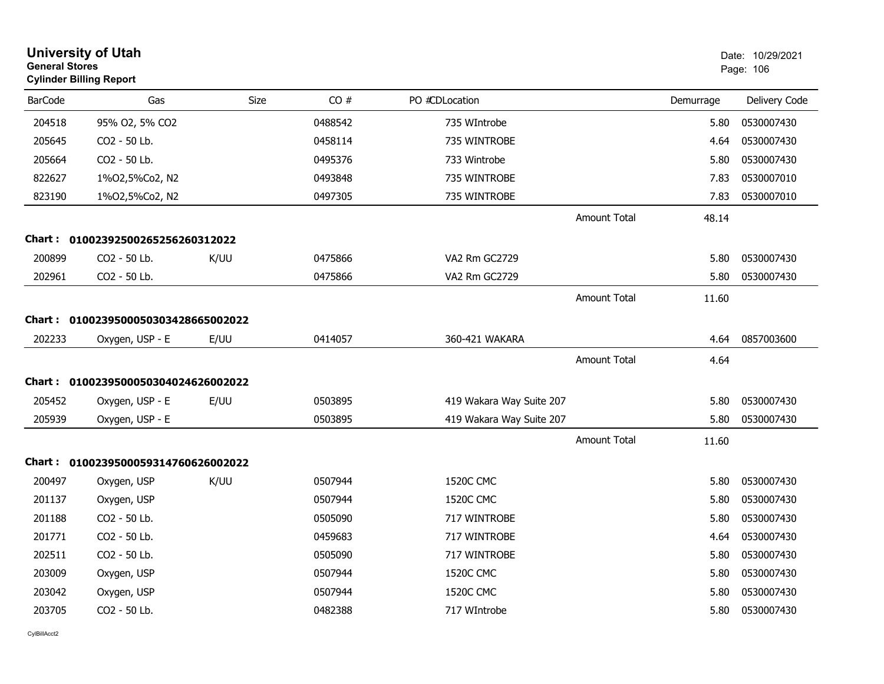| <b>University of Utah</b><br><b>General Stores</b><br><b>Cylinder Billing Report</b> |                                     |      |         |                          |                     | Date: 10/29/2021<br>Page: 106 |               |
|--------------------------------------------------------------------------------------|-------------------------------------|------|---------|--------------------------|---------------------|-------------------------------|---------------|
| <b>BarCode</b>                                                                       | Gas                                 | Size | CO#     | PO #CDLocation           |                     | Demurrage                     | Delivery Code |
| 204518                                                                               | 95% O2, 5% CO2                      |      | 0488542 | 735 WIntrobe             |                     | 5.80                          | 0530007430    |
| 205645                                                                               | CO2 - 50 Lb.                        |      | 0458114 | 735 WINTROBE             |                     | 4.64                          | 0530007430    |
| 205664                                                                               | CO2 - 50 Lb.                        |      | 0495376 | 733 Wintrobe             |                     | 5.80                          | 0530007430    |
| 822627                                                                               | 1%02,5%Co2, N2                      |      | 0493848 | 735 WINTROBE             |                     | 7.83                          | 0530007010    |
| 823190                                                                               | 1%02,5%Co2, N2                      |      | 0497305 | 735 WINTROBE             |                     | 7.83                          | 0530007010    |
|                                                                                      |                                     |      |         |                          | <b>Amount Total</b> | 48.14                         |               |
|                                                                                      | Chart: 01002392500265256260312022   |      |         |                          |                     |                               |               |
| 200899                                                                               | CO2 - 50 Lb.                        | K/UU | 0475866 | VA2 Rm GC2729            |                     | 5.80                          | 0530007430    |
| 202961                                                                               | CO2 - 50 Lb.                        |      | 0475866 | VA2 Rm GC2729            |                     | 5.80                          | 0530007430    |
|                                                                                      |                                     |      |         |                          | <b>Amount Total</b> | 11.60                         |               |
|                                                                                      | Chart: 0100239500050303428665002022 |      |         |                          |                     |                               |               |
| 202233                                                                               | Oxygen, USP - E                     | E/UU | 0414057 | 360-421 WAKARA           |                     | 4.64                          | 0857003600    |
|                                                                                      |                                     |      |         |                          | <b>Amount Total</b> | 4.64                          |               |
|                                                                                      | Chart: 0100239500050304024626002022 |      |         |                          |                     |                               |               |
| 205452                                                                               | Oxygen, USP - E                     | E/UU | 0503895 | 419 Wakara Way Suite 207 |                     | 5.80                          | 0530007430    |
| 205939                                                                               | Oxygen, USP - E                     |      | 0503895 | 419 Wakara Way Suite 207 |                     | 5.80                          | 0530007430    |
|                                                                                      |                                     |      |         |                          | <b>Amount Total</b> | 11.60                         |               |
|                                                                                      | Chart: 0100239500059314760626002022 |      |         |                          |                     |                               |               |
| 200497                                                                               | Oxygen, USP                         | K/UU | 0507944 | <b>1520C CMC</b>         |                     | 5.80                          | 0530007430    |
| 201137                                                                               | Oxygen, USP                         |      | 0507944 | <b>1520C CMC</b>         |                     | 5.80                          | 0530007430    |
| 201188                                                                               | CO2 - 50 Lb.                        |      | 0505090 | 717 WINTROBE             |                     | 5.80                          | 0530007430    |
| 201771                                                                               | CO2 - 50 Lb.                        |      | 0459683 | 717 WINTROBE             |                     | 4.64                          | 0530007430    |
| 202511                                                                               | CO2 - 50 Lb.                        |      | 0505090 | 717 WINTROBE             |                     | 5.80                          | 0530007430    |
| 203009                                                                               | Oxygen, USP                         |      | 0507944 | <b>1520C CMC</b>         |                     | 5.80                          | 0530007430    |
| 203042                                                                               | Oxygen, USP                         |      | 0507944 | 1520C CMC                |                     | 5.80                          | 0530007430    |
| 203705                                                                               | CO2 - 50 Lb.                        |      | 0482388 | 717 WIntrobe             |                     | 5.80                          | 0530007430    |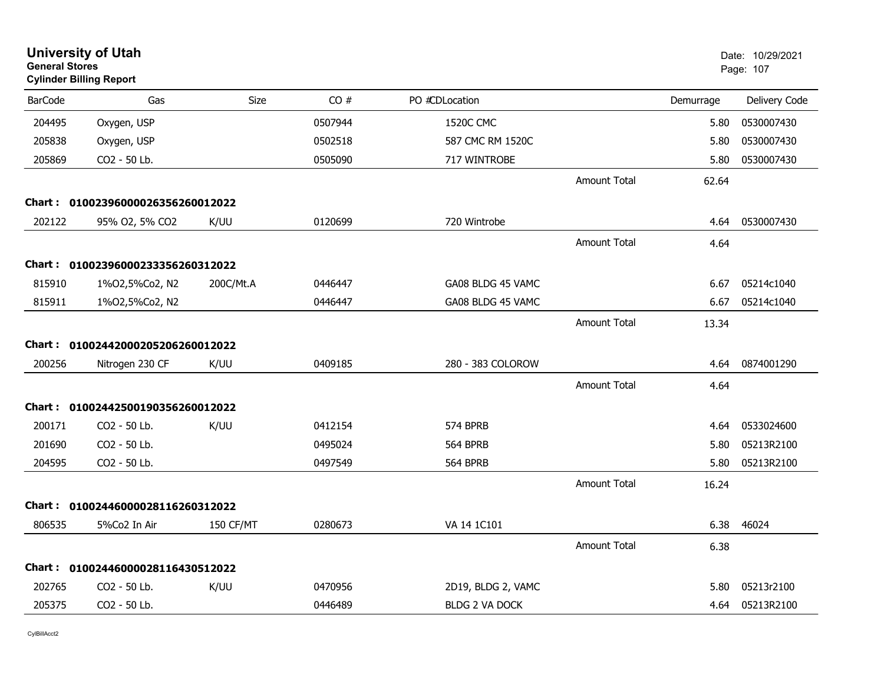| <b>University of Utah</b><br><b>General Stores</b><br><b>Cylinder Billing Report</b> |                                   |                  |         |                       | Date: 10/29/2021<br>Page: 107 |           |               |
|--------------------------------------------------------------------------------------|-----------------------------------|------------------|---------|-----------------------|-------------------------------|-----------|---------------|
| <b>BarCode</b>                                                                       | Gas                               | <b>Size</b>      | CO#     | PO #CDLocation        |                               | Demurrage | Delivery Code |
| 204495                                                                               | Oxygen, USP                       |                  | 0507944 | <b>1520C CMC</b>      |                               | 5.80      | 0530007430    |
| 205838                                                                               | Oxygen, USP                       |                  | 0502518 | 587 CMC RM 1520C      |                               | 5.80      | 0530007430    |
| 205869                                                                               | CO2 - 50 Lb.                      |                  | 0505090 | 717 WINTROBE          |                               | 5.80      | 0530007430    |
|                                                                                      |                                   |                  |         |                       | <b>Amount Total</b>           | 62.64     |               |
| <b>Chart :</b>                                                                       | 01002396000026356260012022        |                  |         |                       |                               |           |               |
| 202122                                                                               | 95% O2, 5% CO2                    | K/UU             | 0120699 | 720 Wintrobe          |                               | 4.64      | 0530007430    |
|                                                                                      |                                   |                  |         |                       | <b>Amount Total</b>           | 4.64      |               |
|                                                                                      | Chart: 01002396000233356260312022 |                  |         |                       |                               |           |               |
| 815910                                                                               | 1%02,5%Co2, N2                    | 200C/Mt.A        | 0446447 | GA08 BLDG 45 VAMC     |                               | 6.67      | 05214c1040    |
| 815911                                                                               | 1%02,5%Co2, N2                    |                  | 0446447 | GA08 BLDG 45 VAMC     |                               | 6.67      | 05214c1040    |
|                                                                                      |                                   |                  |         |                       | <b>Amount Total</b>           | 13.34     |               |
|                                                                                      | Chart: 01002442000205206260012022 |                  |         |                       |                               |           |               |
| 200256                                                                               | Nitrogen 230 CF                   | K/UU             | 0409185 | 280 - 383 COLOROW     |                               | 4.64      | 0874001290    |
|                                                                                      |                                   |                  |         |                       | <b>Amount Total</b>           | 4.64      |               |
| Chart :                                                                              | 01002442500190356260012022        |                  |         |                       |                               |           |               |
| 200171                                                                               | CO2 - 50 Lb.                      | K/UU             | 0412154 | 574 BPRB              |                               | 4.64      | 0533024600    |
| 201690                                                                               | CO2 - 50 Lb.                      |                  | 0495024 | <b>564 BPRB</b>       |                               | 5.80      | 05213R2100    |
| 204595                                                                               | CO2 - 50 Lb.                      |                  | 0497549 | 564 BPRB              |                               | 5.80      | 05213R2100    |
|                                                                                      |                                   |                  |         |                       | <b>Amount Total</b>           | 16.24     |               |
| Chart :                                                                              | 01002446000028116260312022        |                  |         |                       |                               |           |               |
| 806535                                                                               | 5%Co2 In Air                      | <b>150 CF/MT</b> | 0280673 | VA 14 1C101           |                               | 6.38      | 46024         |
|                                                                                      |                                   |                  |         |                       | <b>Amount Total</b>           | 6.38      |               |
|                                                                                      | Chart: 01002446000028116430512022 |                  |         |                       |                               |           |               |
| 202765                                                                               | CO2 - 50 Lb.                      | K/UU             | 0470956 | 2D19, BLDG 2, VAMC    |                               | 5.80      | 05213r2100    |
| 205375                                                                               | CO <sub>2</sub> - 50 Lb.          |                  | 0446489 | <b>BLDG 2 VA DOCK</b> |                               | 4.64      | 05213R2100    |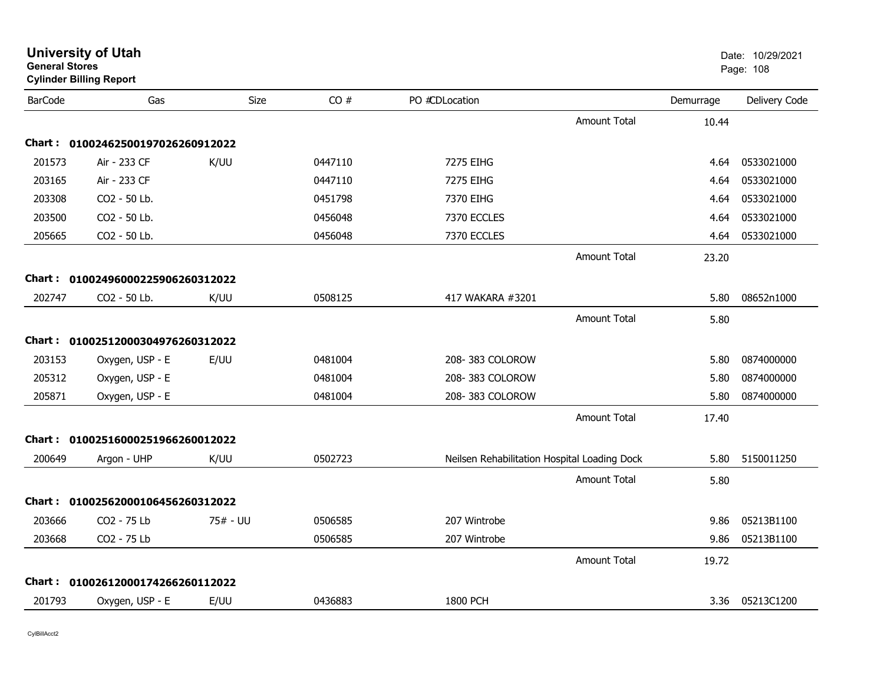| <b>General Stores</b> | <b>Cylinder Billing Report</b>    |             |         |                                              |                     |           | Page: 108     |
|-----------------------|-----------------------------------|-------------|---------|----------------------------------------------|---------------------|-----------|---------------|
| <b>BarCode</b>        | Gas                               | <b>Size</b> | CO#     | PO #CDLocation                               |                     | Demurrage | Delivery Code |
|                       |                                   |             |         |                                              | <b>Amount Total</b> | 10.44     |               |
|                       | Chart: 01002462500197026260912022 |             |         |                                              |                     |           |               |
| 201573                | Air - 233 CF                      | K/UU        | 0447110 | 7275 EIHG                                    |                     | 4.64      | 0533021000    |
| 203165                | Air - 233 CF                      |             | 0447110 | 7275 EIHG                                    |                     | 4.64      | 0533021000    |
| 203308                | CO2 - 50 Lb.                      |             | 0451798 | 7370 EIHG                                    |                     | 4.64      | 0533021000    |
| 203500                | CO2 - 50 Lb.                      |             | 0456048 | 7370 ECCLES                                  |                     | 4.64      | 0533021000    |
| 205665                | CO2 - 50 Lb.                      |             | 0456048 | 7370 ECCLES                                  |                     | 4.64      | 0533021000    |
|                       |                                   |             |         |                                              | <b>Amount Total</b> | 23.20     |               |
|                       | Chart: 01002496000225906260312022 |             |         |                                              |                     |           |               |
| 202747                | CO2 - 50 Lb.                      | K/UU        | 0508125 | 417 WAKARA #3201                             |                     | 5.80      | 08652n1000    |
|                       |                                   |             |         |                                              | <b>Amount Total</b> | 5.80      |               |
|                       | Chart: 01002512000304976260312022 |             |         |                                              |                     |           |               |
| 203153                | Oxygen, USP - E                   | E/UU        | 0481004 | 208-383 COLOROW                              |                     | 5.80      | 0874000000    |
| 205312                | Oxygen, USP - E                   |             | 0481004 | 208-383 COLOROW                              |                     | 5.80      | 0874000000    |
| 205871                | Oxygen, USP - E                   |             | 0481004 | 208-383 COLOROW                              |                     | 5.80      | 0874000000    |
|                       |                                   |             |         |                                              | <b>Amount Total</b> | 17.40     |               |
|                       | Chart: 01002516000251966260012022 |             |         |                                              |                     |           |               |
| 200649                | Argon - UHP                       | K/UU        | 0502723 | Neilsen Rehabilitation Hospital Loading Dock |                     | 5.80      | 5150011250    |
|                       |                                   |             |         |                                              | <b>Amount Total</b> | 5.80      |               |
|                       | Chart: 01002562000106456260312022 |             |         |                                              |                     |           |               |
| 203666                | CO2 - 75 Lb                       | 75# - UU    | 0506585 | 207 Wintrobe                                 |                     | 9.86      | 05213B1100    |
| 203668                | CO2 - 75 Lb                       |             | 0506585 | 207 Wintrobe                                 |                     | 9.86      | 05213B1100    |
|                       |                                   |             |         |                                              | <b>Amount Total</b> | 19.72     |               |
|                       | Chart: 01002612000174266260112022 |             |         |                                              |                     |           |               |
| 201793                | Oxygen, USP - E                   | E/UU        | 0436883 | 1800 PCH                                     |                     | 3.36      | 05213C1200    |
|                       |                                   |             |         |                                              |                     |           |               |

**University of Utah** Date: 10/29/2021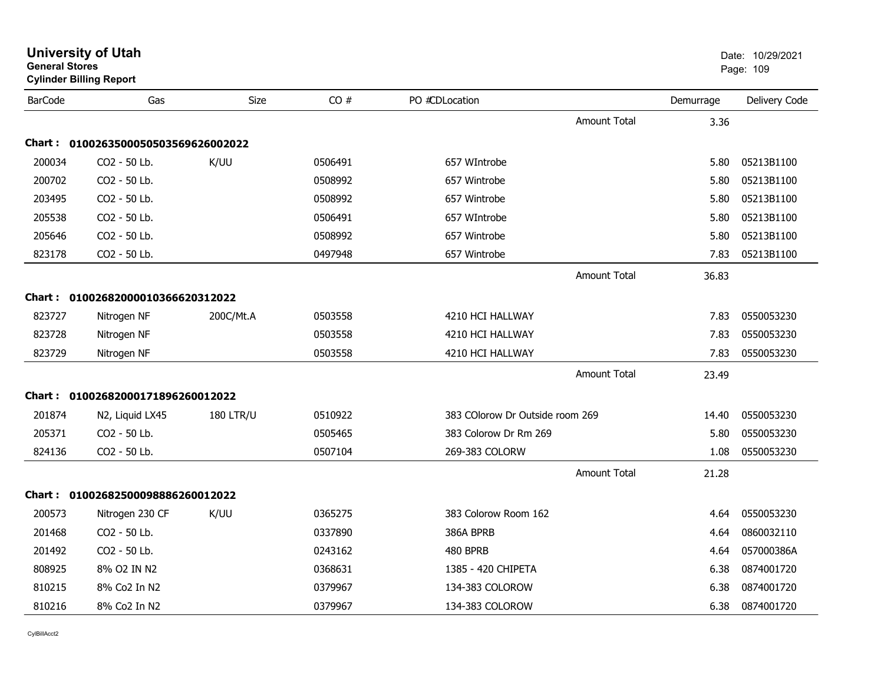| <b>General Stores</b> | <b>Cylinder Billing Report</b>    |                  |         |                                 |                     |           | Page: 109     |
|-----------------------|-----------------------------------|------------------|---------|---------------------------------|---------------------|-----------|---------------|
| <b>BarCode</b>        | Gas                               | Size             | CO#     | PO #CDLocation                  |                     | Demurrage | Delivery Code |
|                       |                                   |                  |         |                                 | <b>Amount Total</b> | 3.36      |               |
| Chart :               | 0100263500050503569626002022      |                  |         |                                 |                     |           |               |
| 200034                | CO2 - 50 Lb.                      | K/UU             | 0506491 | 657 WIntrobe                    |                     | 5.80      | 05213B1100    |
| 200702                | CO2 - 50 Lb.                      |                  | 0508992 | 657 Wintrobe                    |                     | 5.80      | 05213B1100    |
| 203495                | CO2 - 50 Lb.                      |                  | 0508992 | 657 Wintrobe                    |                     | 5.80      | 05213B1100    |
| 205538                | CO2 - 50 Lb.                      |                  | 0506491 | 657 WIntrobe                    |                     | 5.80      | 05213B1100    |
| 205646                | CO2 - 50 Lb.                      |                  | 0508992 | 657 Wintrobe                    |                     | 5.80      | 05213B1100    |
| 823178                | CO2 - 50 Lb.                      |                  | 0497948 | 657 Wintrobe                    |                     | 7.83      | 05213B1100    |
|                       |                                   |                  |         |                                 | <b>Amount Total</b> | 36.83     |               |
|                       | Chart: 01002682000010366620312022 |                  |         |                                 |                     |           |               |
| 823727                | Nitrogen NF                       | 200C/Mt.A        | 0503558 | 4210 HCI HALLWAY                |                     | 7.83      | 0550053230    |
| 823728                | Nitrogen NF                       |                  | 0503558 | 4210 HCI HALLWAY                |                     | 7.83      | 0550053230    |
| 823729                | Nitrogen NF                       |                  | 0503558 | 4210 HCI HALLWAY                |                     | 7.83      | 0550053230    |
|                       |                                   |                  |         |                                 | Amount Total        | 23.49     |               |
|                       | Chart: 01002682000171896260012022 |                  |         |                                 |                     |           |               |
| 201874                | N2, Liquid LX45                   | <b>180 LTR/U</b> | 0510922 | 383 COlorow Dr Outside room 269 |                     | 14.40     | 0550053230    |
| 205371                | CO2 - 50 Lb.                      |                  | 0505465 | 383 Colorow Dr Rm 269           |                     | 5.80      | 0550053230    |
| 824136                | CO2 - 50 Lb.                      |                  | 0507104 | 269-383 COLORW                  |                     | 1.08      | 0550053230    |
|                       |                                   |                  |         |                                 | <b>Amount Total</b> | 21.28     |               |
| Chart :               | 01002682500098886260012022        |                  |         |                                 |                     |           |               |
| 200573                | Nitrogen 230 CF                   | K/UU             | 0365275 | 383 Colorow Room 162            |                     | 4.64      | 0550053230    |
| 201468                | CO2 - 50 Lb.                      |                  | 0337890 | 386A BPRB                       |                     | 4.64      | 0860032110    |
| 201492                | CO2 - 50 Lb.                      |                  | 0243162 | 480 BPRB                        |                     | 4.64      | 057000386A    |
| 808925                | 8% O2 IN N2                       |                  | 0368631 | 1385 - 420 CHIPETA              |                     | 6.38      | 0874001720    |
| 810215                | 8% Co2 In N2                      |                  | 0379967 | 134-383 COLOROW                 |                     | 6.38      | 0874001720    |
| 810216                | 8% Co2 In N2                      |                  | 0379967 | 134-383 COLOROW                 |                     | 6.38      | 0874001720    |

**University of Utah**  Date: 10/29/2021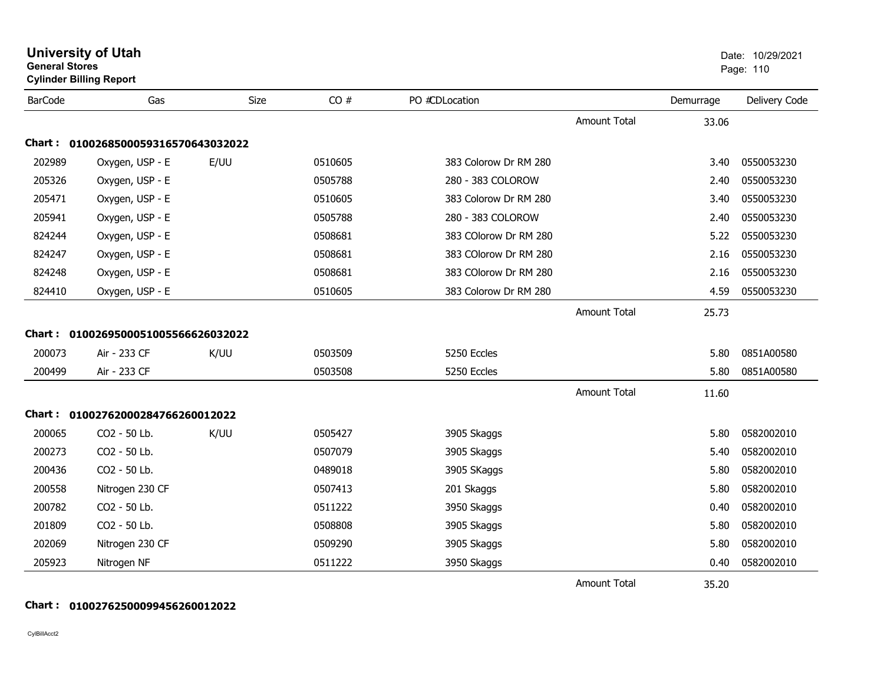| <b>General Stores</b> | <b>University of Utah</b><br><b>Cylinder Billing Report</b> |      |         |                       |                     | Date: 10/29/2021<br>Page: 110 |               |
|-----------------------|-------------------------------------------------------------|------|---------|-----------------------|---------------------|-------------------------------|---------------|
| <b>BarCode</b>        | Gas                                                         | Size | CO#     | PO #CDLocation        |                     | Demurrage                     | Delivery Code |
|                       |                                                             |      |         |                       | <b>Amount Total</b> | 33.06                         |               |
|                       | Chart: 0100268500059316570643032022                         |      |         |                       |                     |                               |               |
| 202989                | Oxygen, USP - E                                             | E/UU | 0510605 | 383 Colorow Dr RM 280 |                     | 3.40                          | 0550053230    |
| 205326                | Oxygen, USP - E                                             |      | 0505788 | 280 - 383 COLOROW     |                     | 2.40                          | 0550053230    |
| 205471                | Oxygen, USP - E                                             |      | 0510605 | 383 Colorow Dr RM 280 |                     | 3.40                          | 0550053230    |
| 205941                | Oxygen, USP - E                                             |      | 0505788 | 280 - 383 COLOROW     |                     | 2.40                          | 0550053230    |
| 824244                | Oxygen, USP - E                                             |      | 0508681 | 383 COlorow Dr RM 280 |                     | 5.22                          | 0550053230    |
| 824247                | Oxygen, USP - E                                             |      | 0508681 | 383 COlorow Dr RM 280 |                     | 2.16                          | 0550053230    |
| 824248                | Oxygen, USP - E                                             |      | 0508681 | 383 COlorow Dr RM 280 |                     | 2.16                          | 0550053230    |
| 824410                | Oxygen, USP - E                                             |      | 0510605 | 383 Colorow Dr RM 280 |                     | 4.59                          | 0550053230    |
|                       |                                                             |      |         |                       | <b>Amount Total</b> | 25.73                         |               |
|                       | Chart: 0100269500051005566626032022                         |      |         |                       |                     |                               |               |
| 200073                | Air - 233 CF                                                | K/UU | 0503509 | 5250 Eccles           |                     | 5.80                          | 0851A00580    |
| 200499                | Air - 233 CF                                                |      | 0503508 | 5250 Eccles           |                     | 5.80                          | 0851A00580    |
|                       |                                                             |      |         |                       | <b>Amount Total</b> | 11.60                         |               |
|                       | Chart: 01002762000284766260012022                           |      |         |                       |                     |                               |               |
| 200065                | CO2 - 50 Lb.                                                | K/UU | 0505427 | 3905 Skaggs           |                     | 5.80                          | 0582002010    |
| 200273                | CO2 - 50 Lb.                                                |      | 0507079 | 3905 Skaggs           |                     | 5.40                          | 0582002010    |
| 200436                | CO2 - 50 Lb.                                                |      | 0489018 | 3905 SKaggs           |                     | 5.80                          | 0582002010    |
| 200558                | Nitrogen 230 CF                                             |      | 0507413 | 201 Skaggs            |                     | 5.80                          | 0582002010    |
| 200782                | CO2 - 50 Lb.                                                |      | 0511222 | 3950 Skaggs           |                     | 0.40                          | 0582002010    |
| 201809                | CO2 - 50 Lb.                                                |      | 0508808 | 3905 Skaggs           |                     | 5.80                          | 0582002010    |
| 202069                | Nitrogen 230 CF                                             |      | 0509290 | 3905 Skaggs           |                     | 5.80                          | 0582002010    |
| 205923                | Nitrogen NF                                                 |      | 0511222 | 3950 Skaggs           |                     | 0.40                          | 0582002010    |
|                       |                                                             |      |         |                       | <b>Amount Total</b> | 35.20                         |               |

### **Chart : 01002762500099456260012022**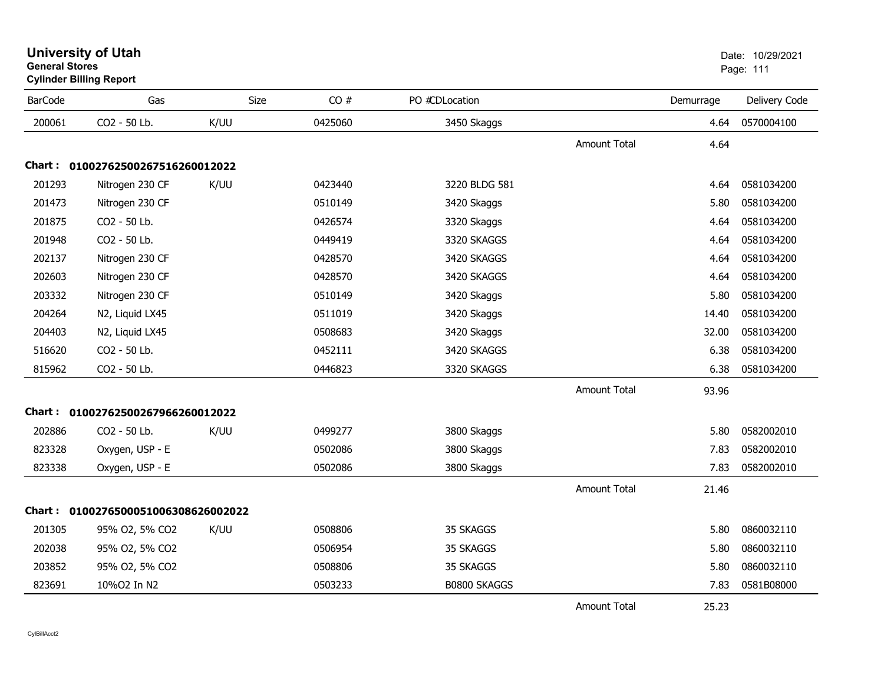| <b>BarCode</b> | Gas                                 | Size | CO#     | PO #CDLocation      |                     | Demurrage | Delivery Code |
|----------------|-------------------------------------|------|---------|---------------------|---------------------|-----------|---------------|
| 200061         | CO2 - 50 Lb.                        | K/UU | 0425060 | 3450 Skaggs         |                     | 4.64      | 0570004100    |
|                |                                     |      |         |                     | <b>Amount Total</b> | 4.64      |               |
|                | Chart: 01002762500267516260012022   |      |         |                     |                     |           |               |
| 201293         | Nitrogen 230 CF                     | K/UU | 0423440 | 3220 BLDG 581       |                     | 4.64      | 0581034200    |
| 201473         | Nitrogen 230 CF                     |      | 0510149 | 3420 Skaggs         |                     | 5.80      | 0581034200    |
| 201875         | CO2 - 50 Lb.                        |      | 0426574 | 3320 Skaggs         |                     | 4.64      | 0581034200    |
| 201948         | CO2 - 50 Lb.                        |      | 0449419 | 3320 SKAGGS         |                     | 4.64      | 0581034200    |
| 202137         | Nitrogen 230 CF                     |      | 0428570 | 3420 SKAGGS         |                     | 4.64      | 0581034200    |
| 202603         | Nitrogen 230 CF                     |      | 0428570 | 3420 SKAGGS         |                     | 4.64      | 0581034200    |
| 203332         | Nitrogen 230 CF                     |      | 0510149 | 3420 Skaggs         |                     | 5.80      | 0581034200    |
| 204264         | N2, Liquid LX45                     |      | 0511019 | 3420 Skaggs         |                     | 14.40     | 0581034200    |
| 204403         | N2, Liquid LX45                     |      | 0508683 | 3420 Skaggs         |                     | 32.00     | 0581034200    |
| 516620         | CO2 - 50 Lb.                        |      | 0452111 | 3420 SKAGGS         |                     | 6.38      | 0581034200    |
| 815962         | CO2 - 50 Lb.                        |      | 0446823 | 3320 SKAGGS         |                     | 6.38      | 0581034200    |
|                |                                     |      |         |                     | <b>Amount Total</b> | 93.96     |               |
|                | Chart: 01002762500267966260012022   |      |         |                     |                     |           |               |
| 202886         | CO2 - 50 Lb.                        | K/UU | 0499277 | 3800 Skaggs         |                     | 5.80      | 0582002010    |
| 823328         | Oxygen, USP - E                     |      | 0502086 | 3800 Skaggs         |                     | 7.83      | 0582002010    |
| 823338         | Oxygen, USP - E                     |      | 0502086 | 3800 Skaggs         |                     | 7.83      | 0582002010    |
|                |                                     |      |         |                     | Amount Total        | 21.46     |               |
|                | Chart: 0100276500051006308626002022 |      |         |                     |                     |           |               |
| 201305         | 95% O2, 5% CO2                      | K/UU | 0508806 | 35 SKAGGS           |                     | 5.80      | 0860032110    |
| 202038         | 95% O2, 5% CO2                      |      | 0506954 | 35 SKAGGS           |                     | 5.80      | 0860032110    |
| 203852         | 95% O2, 5% CO2                      |      | 0508806 | 35 SKAGGS           |                     | 5.80      | 0860032110    |
| 823691         | 10%O2 In N2                         |      | 0503233 | <b>B0800 SKAGGS</b> |                     | 7.83      | 0581B08000    |
|                |                                     |      |         |                     | <b>Amount Total</b> | 25.23     |               |

### **University of Utah** Date: 10/29/2021 **General Stores**er van die 111de eeu n.C. In 1916 van die 12de eeu n.C. Soos ander van die 12de eeu n.C. 2006 v.C. 111 v.C. 11 **Cylinder Billing Report**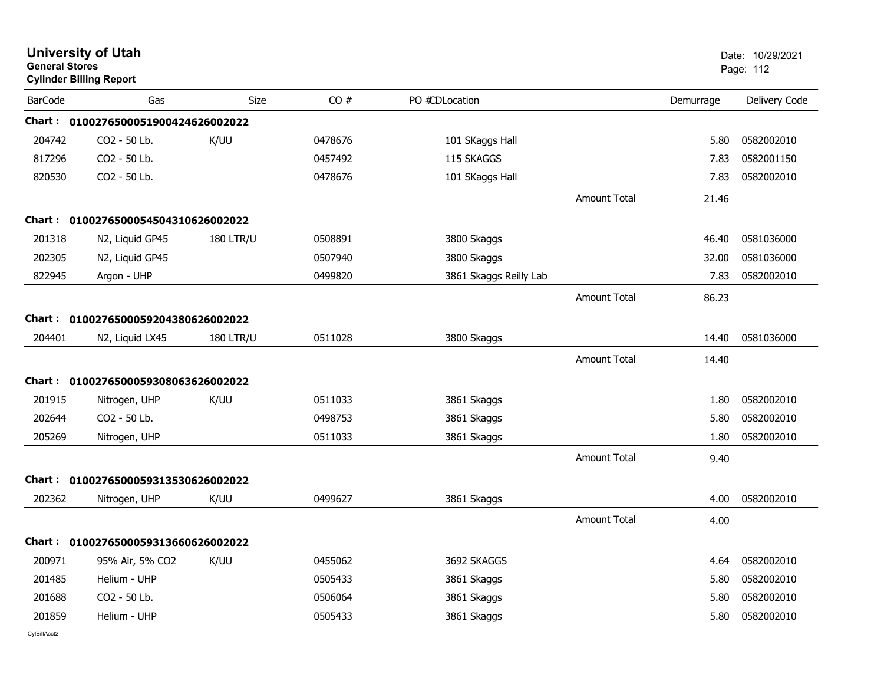|                | <b>University of Utah</b><br><b>General Stores</b><br><b>Cylinder Billing Report</b> |                  |         |                        |                     |           | Date: 10/29/2021<br>Page: 112 |  |
|----------------|--------------------------------------------------------------------------------------|------------------|---------|------------------------|---------------------|-----------|-------------------------------|--|
| <b>BarCode</b> | Gas                                                                                  | Size             | CO#     | PO #CDLocation         |                     | Demurrage | Delivery Code                 |  |
|                | Chart: 0100276500051900424626002022                                                  |                  |         |                        |                     |           |                               |  |
| 204742         | CO2 - 50 Lb.                                                                         | K/UU             | 0478676 | 101 SKaggs Hall        |                     | 5.80      | 0582002010                    |  |
| 817296         | CO2 - 50 Lb.                                                                         |                  | 0457492 | 115 SKAGGS             |                     | 7.83      | 0582001150                    |  |
| 820530         | CO2 - 50 Lb.                                                                         |                  | 0478676 | 101 SKaggs Hall        |                     | 7.83      | 0582002010                    |  |
|                |                                                                                      |                  |         |                        | <b>Amount Total</b> | 21.46     |                               |  |
| Chart :        | 0100276500054504310626002022                                                         |                  |         |                        |                     |           |                               |  |
| 201318         | N2, Liquid GP45                                                                      | <b>180 LTR/U</b> | 0508891 | 3800 Skaggs            |                     | 46.40     | 0581036000                    |  |
| 202305         | N2, Liquid GP45                                                                      |                  | 0507940 | 3800 Skaggs            |                     | 32.00     | 0581036000                    |  |
| 822945         | Argon - UHP                                                                          |                  | 0499820 | 3861 Skaggs Reilly Lab |                     | 7.83      | 0582002010                    |  |
|                |                                                                                      |                  |         |                        | <b>Amount Total</b> | 86.23     |                               |  |
| Chart:         | 0100276500059204380626002022                                                         |                  |         |                        |                     |           |                               |  |
| 204401         | N2, Liquid LX45                                                                      | <b>180 LTR/U</b> | 0511028 | 3800 Skaggs            |                     | 14.40     | 0581036000                    |  |
|                |                                                                                      |                  |         |                        | <b>Amount Total</b> | 14.40     |                               |  |
| Chart:         | 0100276500059308063626002022                                                         |                  |         |                        |                     |           |                               |  |
| 201915         | Nitrogen, UHP                                                                        | K/UU             | 0511033 | 3861 Skaggs            |                     | 1.80      | 0582002010                    |  |
| 202644         | CO2 - 50 Lb.                                                                         |                  | 0498753 | 3861 Skaggs            |                     | 5.80      | 0582002010                    |  |
| 205269         | Nitrogen, UHP                                                                        |                  | 0511033 | 3861 Skaggs            |                     | 1.80      | 0582002010                    |  |
|                |                                                                                      |                  |         |                        | <b>Amount Total</b> | 9.40      |                               |  |
| Chart :        | 0100276500059313530626002022                                                         |                  |         |                        |                     |           |                               |  |
| 202362         | Nitrogen, UHP                                                                        | K/UU             | 0499627 | 3861 Skaggs            |                     | 4.00      | 0582002010                    |  |
|                |                                                                                      |                  |         |                        | <b>Amount Total</b> | 4.00      |                               |  |
|                | Chart: 0100276500059313660626002022                                                  |                  |         |                        |                     |           |                               |  |
| 200971         | 95% Air, 5% CO2                                                                      | K/UU             | 0455062 | 3692 SKAGGS            |                     | 4.64      | 0582002010                    |  |
| 201485         | Helium - UHP                                                                         |                  | 0505433 | 3861 Skaggs            |                     | 5.80      | 0582002010                    |  |
| 201688         | CO2 - 50 Lb.                                                                         |                  | 0506064 | 3861 Skaggs            |                     | 5.80      | 0582002010                    |  |
| 201859         | Helium - UHP                                                                         |                  | 0505433 | 3861 Skaggs            |                     | 5.80      | 0582002010                    |  |
|                |                                                                                      |                  |         |                        |                     |           |                               |  |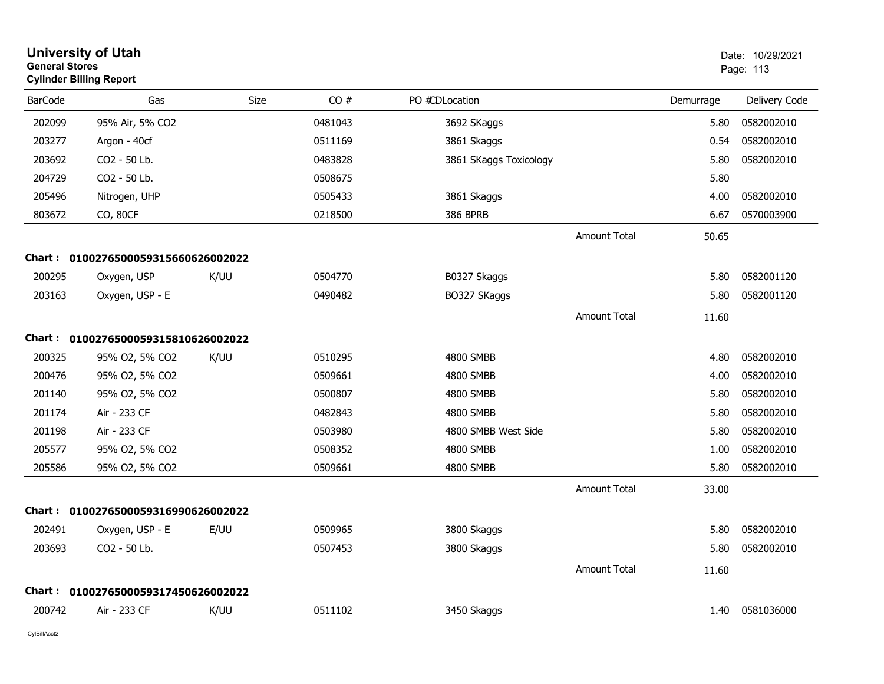|                | <b>University of Utah</b><br><b>General Stores</b><br><b>Cylinder Billing Report</b> |      |         |                        |                     |           | Date: 10/29/2021<br>Page: 113 |
|----------------|--------------------------------------------------------------------------------------|------|---------|------------------------|---------------------|-----------|-------------------------------|
| <b>BarCode</b> | Gas                                                                                  | Size | CO#     | PO #CDLocation         |                     | Demurrage | Delivery Code                 |
| 202099         | 95% Air, 5% CO2                                                                      |      | 0481043 | 3692 SKaggs            |                     | 5.80      | 0582002010                    |
| 203277         | Argon - 40cf                                                                         |      | 0511169 | 3861 Skaggs            |                     | 0.54      | 0582002010                    |
| 203692         | CO2 - 50 Lb.                                                                         |      | 0483828 | 3861 SKaggs Toxicology |                     | 5.80      | 0582002010                    |
| 204729         | CO2 - 50 Lb.                                                                         |      | 0508675 |                        |                     | 5.80      |                               |
| 205496         | Nitrogen, UHP                                                                        |      | 0505433 | 3861 Skaggs            |                     | 4.00      | 0582002010                    |
| 803672         | CO, 80CF                                                                             |      | 0218500 | <b>386 BPRB</b>        |                     | 6.67      | 0570003900                    |
|                |                                                                                      |      |         |                        | <b>Amount Total</b> | 50.65     |                               |
|                | Chart: 0100276500059315660626002022                                                  |      |         |                        |                     |           |                               |
| 200295         | Oxygen, USP                                                                          | K/UU | 0504770 | B0327 Skaggs           |                     | 5.80      | 0582001120                    |
| 203163         | Oxygen, USP - E                                                                      |      | 0490482 | BO327 SKaggs           |                     | 5.80      | 0582001120                    |
|                |                                                                                      |      |         |                        | <b>Amount Total</b> | 11.60     |                               |
|                | Chart: 0100276500059315810626002022                                                  |      |         |                        |                     |           |                               |
| 200325         | 95% O2, 5% CO2                                                                       | K/UU | 0510295 | 4800 SMBB              |                     | 4.80      | 0582002010                    |
| 200476         | 95% O2, 5% CO2                                                                       |      | 0509661 | 4800 SMBB              |                     | 4.00      | 0582002010                    |
| 201140         | 95% O2, 5% CO2                                                                       |      | 0500807 | 4800 SMBB              |                     | 5.80      | 0582002010                    |
| 201174         | Air - 233 CF                                                                         |      | 0482843 | 4800 SMBB              |                     | 5.80      | 0582002010                    |
| 201198         | Air - 233 CF                                                                         |      | 0503980 | 4800 SMBB West Side    |                     | 5.80      | 0582002010                    |
| 205577         | 95% O2, 5% CO2                                                                       |      | 0508352 | 4800 SMBB              |                     | 1.00      | 0582002010                    |
| 205586         | 95% O2, 5% CO2                                                                       |      | 0509661 | 4800 SMBB              |                     | 5.80      | 0582002010                    |
|                |                                                                                      |      |         |                        | <b>Amount Total</b> | 33.00     |                               |
|                | Chart: 0100276500059316990626002022                                                  |      |         |                        |                     |           |                               |
| 202491         | Oxygen, USP - E                                                                      | E/UU | 0509965 | 3800 Skaggs            |                     | 5.80      | 0582002010                    |
| 203693         | CO2 - 50 Lb.                                                                         |      | 0507453 | 3800 Skaggs            |                     | 5.80      | 0582002010                    |
|                |                                                                                      |      |         |                        | <b>Amount Total</b> | 11.60     |                               |
| Chart :        | 0100276500059317450626002022                                                         |      |         |                        |                     |           |                               |
| 200742         | Air - 233 CF                                                                         | K/UU | 0511102 | 3450 Skaggs            |                     | 1.40      | 0581036000                    |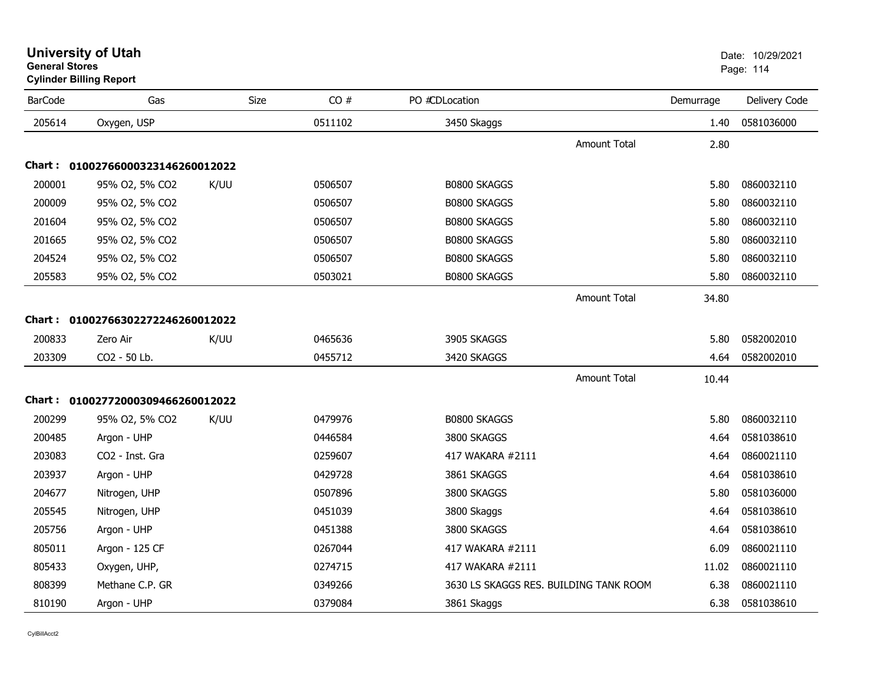| <b>BarCode</b> | Gas                               | Size | CO#     | PO #CDLocation                         |                     | Demurrage | Delivery Code |
|----------------|-----------------------------------|------|---------|----------------------------------------|---------------------|-----------|---------------|
| 205614         | Oxygen, USP                       |      | 0511102 | 3450 Skaggs                            |                     | 1.40      | 0581036000    |
|                |                                   |      |         |                                        | <b>Amount Total</b> | 2.80      |               |
|                | Chart: 01002766000323146260012022 |      |         |                                        |                     |           |               |
| 200001         | 95% O2, 5% CO2                    | K/UU | 0506507 | <b>B0800 SKAGGS</b>                    |                     | 5.80      | 0860032110    |
| 200009         | 95% O2, 5% CO2                    |      | 0506507 | <b>B0800 SKAGGS</b>                    |                     | 5.80      | 0860032110    |
| 201604         | 95% O2, 5% CO2                    |      | 0506507 | <b>B0800 SKAGGS</b>                    |                     | 5.80      | 0860032110    |
| 201665         | 95% O2, 5% CO2                    |      | 0506507 | B0800 SKAGGS                           |                     | 5.80      | 0860032110    |
| 204524         | 95% O2, 5% CO2                    |      | 0506507 | B0800 SKAGGS                           |                     | 5.80      | 0860032110    |
| 205583         | 95% O2, 5% CO2                    |      | 0503021 | <b>B0800 SKAGGS</b>                    |                     | 5.80      | 0860032110    |
|                |                                   |      |         |                                        | <b>Amount Total</b> | 34.80     |               |
|                | Chart: 01002766302272246260012022 |      |         |                                        |                     |           |               |
| 200833         | Zero Air                          | K/UU | 0465636 | 3905 SKAGGS                            |                     | 5.80      | 0582002010    |
| 203309         | CO2 - 50 Lb.                      |      | 0455712 | 3420 SKAGGS                            |                     | 4.64      | 0582002010    |
|                |                                   |      |         |                                        | <b>Amount Total</b> | 10.44     |               |
|                | Chart: 01002772000309466260012022 |      |         |                                        |                     |           |               |
| 200299         | 95% O2, 5% CO2                    | K/UU | 0479976 | <b>B0800 SKAGGS</b>                    |                     | 5.80      | 0860032110    |
| 200485         | Argon - UHP                       |      | 0446584 | 3800 SKAGGS                            |                     | 4.64      | 0581038610    |
| 203083         | CO <sub>2</sub> - Inst. Gra       |      | 0259607 | 417 WAKARA #2111                       |                     | 4.64      | 0860021110    |
| 203937         | Argon - UHP                       |      | 0429728 | 3861 SKAGGS                            |                     | 4.64      | 0581038610    |
| 204677         | Nitrogen, UHP                     |      | 0507896 | 3800 SKAGGS                            |                     | 5.80      | 0581036000    |
| 205545         | Nitrogen, UHP                     |      | 0451039 | 3800 Skaggs                            |                     | 4.64      | 0581038610    |
| 205756         | Argon - UHP                       |      | 0451388 | 3800 SKAGGS                            |                     | 4.64      | 0581038610    |
| 805011         | Argon - 125 CF                    |      | 0267044 | 417 WAKARA #2111                       |                     | 6.09      | 0860021110    |
| 805433         | Oxygen, UHP,                      |      | 0274715 | 417 WAKARA #2111                       |                     | 11.02     | 0860021110    |
| 808399         | Methane C.P. GR                   |      | 0349266 | 3630 LS SKAGGS RES. BUILDING TANK ROOM |                     | 6.38      | 0860021110    |
| 810190         | Argon - UHP                       |      | 0379084 | 3861 Skaggs                            |                     | 6.38      | 0581038610    |

## **Cylinder Billing Report**

er and the state of the state of the state of the state of the state of the state of the state of the state of the state of the state of the state of the state of the state of the state of the state of the state of the sta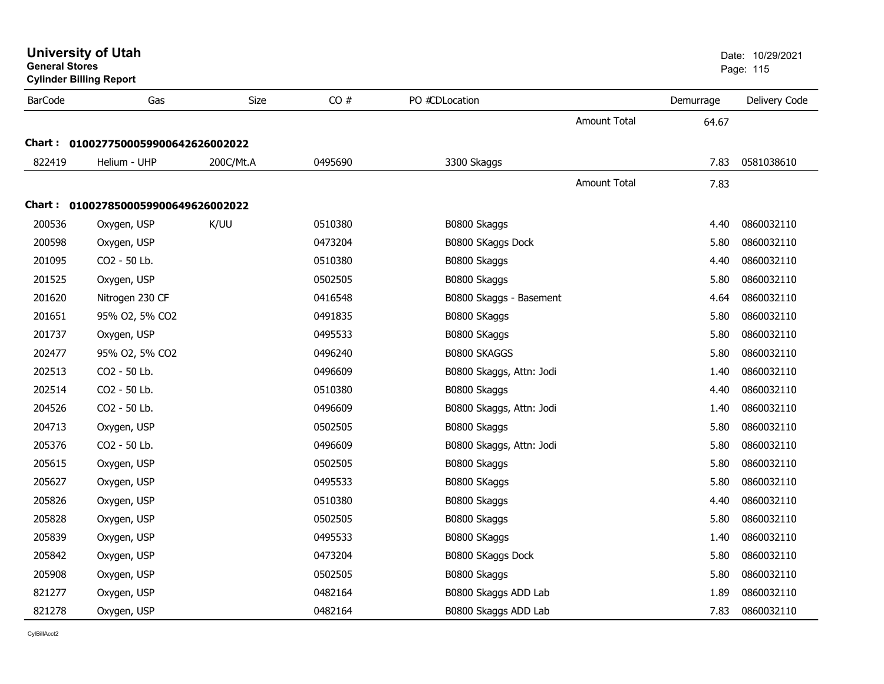| <b>General Stores</b> | <b>Cylinder Billing Report</b>      |           |         |                          |                     |           | Page: 115     |
|-----------------------|-------------------------------------|-----------|---------|--------------------------|---------------------|-----------|---------------|
| <b>BarCode</b>        | Gas                                 | Size      | CO#     | PO #CDLocation           |                     | Demurrage | Delivery Code |
|                       |                                     |           |         |                          | <b>Amount Total</b> | 64.67     |               |
|                       | Chart: 0100277500059900642626002022 |           |         |                          |                     |           |               |
| 822419                | Helium - UHP                        | 200C/Mt.A | 0495690 | 3300 Skaggs              |                     | 7.83      | 0581038610    |
|                       |                                     |           |         |                          | <b>Amount Total</b> | 7.83      |               |
|                       | Chart: 0100278500059900649626002022 |           |         |                          |                     |           |               |
| 200536                | Oxygen, USP                         | K/UU      | 0510380 | B0800 Skaggs             |                     | 4.40      | 0860032110    |
| 200598                | Oxygen, USP                         |           | 0473204 | B0800 SKaggs Dock        |                     | 5.80      | 0860032110    |
| 201095                | CO2 - 50 Lb.                        |           | 0510380 | B0800 Skaggs             |                     | 4.40      | 0860032110    |
| 201525                | Oxygen, USP                         |           | 0502505 | B0800 Skaggs             |                     | 5.80      | 0860032110    |
| 201620                | Nitrogen 230 CF                     |           | 0416548 | B0800 Skaggs - Basement  |                     | 4.64      | 0860032110    |
| 201651                | 95% O2, 5% CO2                      |           | 0491835 | B0800 SKaggs             |                     | 5.80      | 0860032110    |
| 201737                | Oxygen, USP                         |           | 0495533 | B0800 SKaggs             |                     | 5.80      | 0860032110    |
| 202477                | 95% O2, 5% CO2                      |           | 0496240 | B0800 SKAGGS             |                     | 5.80      | 0860032110    |
| 202513                | CO2 - 50 Lb.                        |           | 0496609 | B0800 Skaggs, Attn: Jodi |                     | 1.40      | 0860032110    |
| 202514                | CO2 - 50 Lb.                        |           | 0510380 | B0800 Skaggs             |                     | 4.40      | 0860032110    |
| 204526                | CO2 - 50 Lb.                        |           | 0496609 | B0800 Skaggs, Attn: Jodi |                     | 1.40      | 0860032110    |
| 204713                | Oxygen, USP                         |           | 0502505 | B0800 Skaggs             |                     | 5.80      | 0860032110    |
| 205376                | CO2 - 50 Lb.                        |           | 0496609 | B0800 Skaggs, Attn: Jodi |                     | 5.80      | 0860032110    |
| 205615                | Oxygen, USP                         |           | 0502505 | B0800 Skaggs             |                     | 5.80      | 0860032110    |
| 205627                | Oxygen, USP                         |           | 0495533 | B0800 SKaggs             |                     | 5.80      | 0860032110    |
| 205826                | Oxygen, USP                         |           | 0510380 | B0800 Skaggs             |                     | 4.40      | 0860032110    |
| 205828                | Oxygen, USP                         |           | 0502505 | B0800 Skaggs             |                     | 5.80      | 0860032110    |
| 205839                | Oxygen, USP                         |           | 0495533 | B0800 SKaggs             |                     | 1.40      | 0860032110    |
| 205842                | Oxygen, USP                         |           | 0473204 | B0800 SKaggs Dock        |                     | 5.80      | 0860032110    |
| 205908                | Oxygen, USP                         |           | 0502505 | B0800 Skaggs             |                     | 5.80      | 0860032110    |
| 821277                | Oxygen, USP                         |           | 0482164 | B0800 Skaggs ADD Lab     |                     | 1.89      | 0860032110    |
| 821278                | Oxygen, USP                         |           | 0482164 | B0800 Skaggs ADD Lab     |                     | 7.83      | 0860032110    |

**University of Utah**  Date: 10/29/2021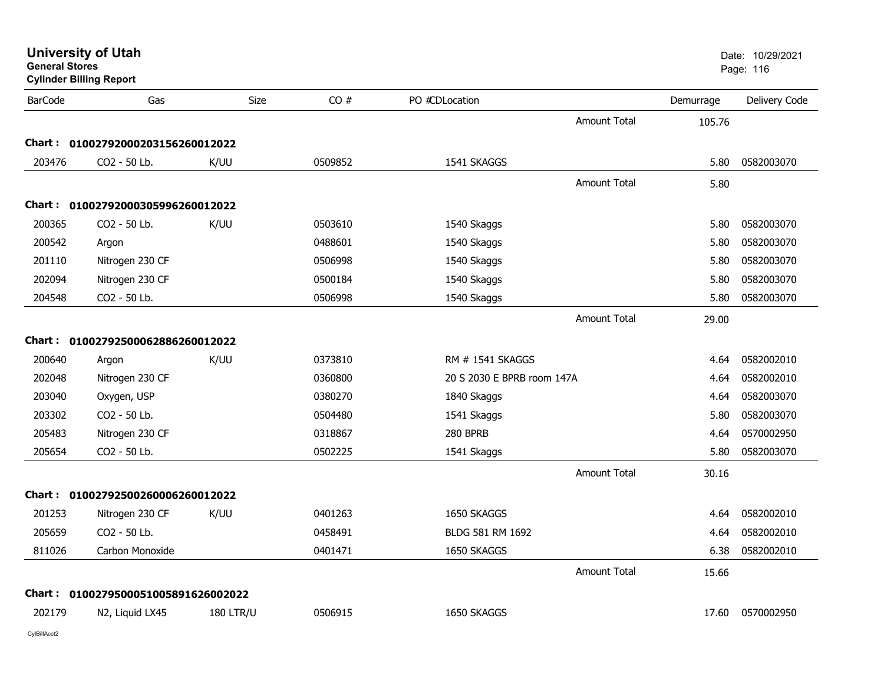| <b>BarCode</b> | Gas                                 | <b>Size</b>      | CO#     | PO #CDLocation             |                     | Demurrage | Delivery Code |
|----------------|-------------------------------------|------------------|---------|----------------------------|---------------------|-----------|---------------|
|                |                                     |                  |         |                            | <b>Amount Total</b> | 105.76    |               |
|                | Chart: 01002792000203156260012022   |                  |         |                            |                     |           |               |
| 203476         | CO2 - 50 Lb.                        | K/UU             | 0509852 | 1541 SKAGGS                |                     | 5.80      | 0582003070    |
|                |                                     |                  |         |                            | <b>Amount Total</b> | 5.80      |               |
|                | Chart: 01002792000305996260012022   |                  |         |                            |                     |           |               |
| 200365         | CO2 - 50 Lb.                        | K/UU             | 0503610 | 1540 Skaggs                |                     | 5.80      | 0582003070    |
| 200542         | Argon                               |                  | 0488601 | 1540 Skaggs                |                     | 5.80      | 0582003070    |
| 201110         | Nitrogen 230 CF                     |                  | 0506998 | 1540 Skaggs                |                     | 5.80      | 0582003070    |
| 202094         | Nitrogen 230 CF                     |                  | 0500184 | 1540 Skaggs                |                     | 5.80      | 0582003070    |
| 204548         | CO2 - 50 Lb.                        |                  | 0506998 | 1540 Skaggs                |                     | 5.80      | 0582003070    |
|                |                                     |                  |         |                            | <b>Amount Total</b> | 29.00     |               |
|                | Chart: 01002792500062886260012022   |                  |         |                            |                     |           |               |
| 200640         | Argon                               | K/UU             | 0373810 | RM # 1541 SKAGGS           |                     | 4.64      | 0582002010    |
| 202048         | Nitrogen 230 CF                     |                  | 0360800 | 20 S 2030 E BPRB room 147A |                     | 4.64      | 0582002010    |
| 203040         | Oxygen, USP                         |                  | 0380270 | 1840 Skaggs                |                     | 4.64      | 0582003070    |
| 203302         | CO2 - 50 Lb.                        |                  | 0504480 | 1541 Skaggs                |                     | 5.80      | 0582003070    |
| 205483         | Nitrogen 230 CF                     |                  | 0318867 | 280 BPRB                   |                     | 4.64      | 0570002950    |
| 205654         | CO2 - 50 Lb.                        |                  | 0502225 | 1541 Skaggs                |                     | 5.80      | 0582003070    |
|                |                                     |                  |         |                            | <b>Amount Total</b> | 30.16     |               |
|                | Chart: 01002792500260006260012022   |                  |         |                            |                     |           |               |
| 201253         | Nitrogen 230 CF                     | K/UU             | 0401263 | 1650 SKAGGS                |                     | 4.64      | 0582002010    |
| 205659         | CO2 - 50 Lb.                        |                  | 0458491 | BLDG 581 RM 1692           |                     | 4.64      | 0582002010    |
| 811026         | Carbon Monoxide                     |                  | 0401471 | 1650 SKAGGS                |                     | 6.38      | 0582002010    |
|                |                                     |                  |         |                            | Amount Total        | 15.66     |               |
|                | Chart: 0100279500051005891626002022 |                  |         |                            |                     |           |               |
| 202179         | N2, Liquid LX45                     | <b>180 LTR/U</b> | 0506915 | 1650 SKAGGS                |                     | 17.60     | 0570002950    |
|                |                                     |                  |         |                            |                     |           |               |

**Cylinder Billing Report**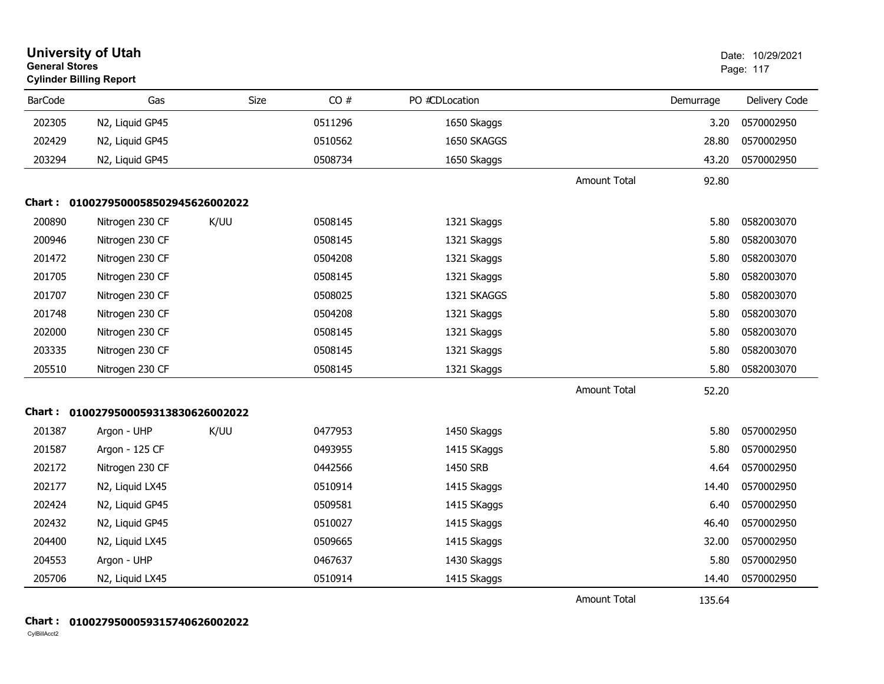| <b>University of Utah</b><br><b>General Stores</b><br><b>Cylinder Billing Report</b> |                                     |      |         |                |                     |           | Date: 10/29/2021<br>Page: 117 |
|--------------------------------------------------------------------------------------|-------------------------------------|------|---------|----------------|---------------------|-----------|-------------------------------|
| <b>BarCode</b>                                                                       | Gas                                 | Size | CO#     | PO #CDLocation |                     | Demurrage | Delivery Code                 |
| 202305                                                                               | N2, Liquid GP45                     |      | 0511296 | 1650 Skaggs    |                     | 3.20      | 0570002950                    |
| 202429                                                                               | N2, Liquid GP45                     |      | 0510562 | 1650 SKAGGS    |                     | 28.80     | 0570002950                    |
| 203294                                                                               | N2, Liquid GP45                     |      | 0508734 | 1650 Skaggs    |                     | 43.20     | 0570002950                    |
|                                                                                      |                                     |      |         |                | <b>Amount Total</b> | 92.80     |                               |
|                                                                                      | Chart: 0100279500058502945626002022 |      |         |                |                     |           |                               |
| 200890                                                                               | Nitrogen 230 CF                     | K/UU | 0508145 | 1321 Skaggs    |                     | 5.80      | 0582003070                    |
| 200946                                                                               | Nitrogen 230 CF                     |      | 0508145 | 1321 Skaggs    |                     | 5.80      | 0582003070                    |
| 201472                                                                               | Nitrogen 230 CF                     |      | 0504208 | 1321 Skaggs    |                     | 5.80      | 0582003070                    |
| 201705                                                                               | Nitrogen 230 CF                     |      | 0508145 | 1321 Skaggs    |                     | 5.80      | 0582003070                    |
| 201707                                                                               | Nitrogen 230 CF                     |      | 0508025 | 1321 SKAGGS    |                     | 5.80      | 0582003070                    |
| 201748                                                                               | Nitrogen 230 CF                     |      | 0504208 | 1321 Skaggs    |                     | 5.80      | 0582003070                    |
| 202000                                                                               | Nitrogen 230 CF                     |      | 0508145 | 1321 Skaggs    |                     | 5.80      | 0582003070                    |
| 203335                                                                               | Nitrogen 230 CF                     |      | 0508145 | 1321 Skaggs    |                     | 5.80      | 0582003070                    |
| 205510                                                                               | Nitrogen 230 CF                     |      | 0508145 | 1321 Skaggs    |                     | 5.80      | 0582003070                    |
|                                                                                      |                                     |      |         |                | <b>Amount Total</b> | 52.20     |                               |
|                                                                                      | Chart: 0100279500059313830626002022 |      |         |                |                     |           |                               |
| 201387                                                                               | Argon - UHP                         | K/UU | 0477953 | 1450 Skaggs    |                     | 5.80      | 0570002950                    |
| 201587                                                                               | Argon - 125 CF                      |      | 0493955 | 1415 SKaggs    |                     | 5.80      | 0570002950                    |
| 202172                                                                               | Nitrogen 230 CF                     |      | 0442566 | 1450 SRB       |                     | 4.64      | 0570002950                    |
| 202177                                                                               | N2, Liquid LX45                     |      | 0510914 | 1415 Skaggs    |                     | 14.40     | 0570002950                    |
| 202424                                                                               | N2, Liquid GP45                     |      | 0509581 | 1415 SKaggs    |                     | 6.40      | 0570002950                    |
| 202432                                                                               | N2, Liquid GP45                     |      | 0510027 | 1415 Skaggs    |                     | 46.40     | 0570002950                    |
| 204400                                                                               | N2, Liquid LX45                     |      | 0509665 | 1415 Skaggs    |                     | 32.00     | 0570002950                    |
| 204553                                                                               | Argon - UHP                         |      | 0467637 | 1430 Skaggs    |                     | 5.80      | 0570002950                    |
| 205706                                                                               | N2, Liquid LX45                     |      | 0510914 | 1415 Skaggs    |                     | 14.40     | 0570002950                    |
|                                                                                      |                                     |      |         |                | <b>Amount Total</b> | 135.64    |                               |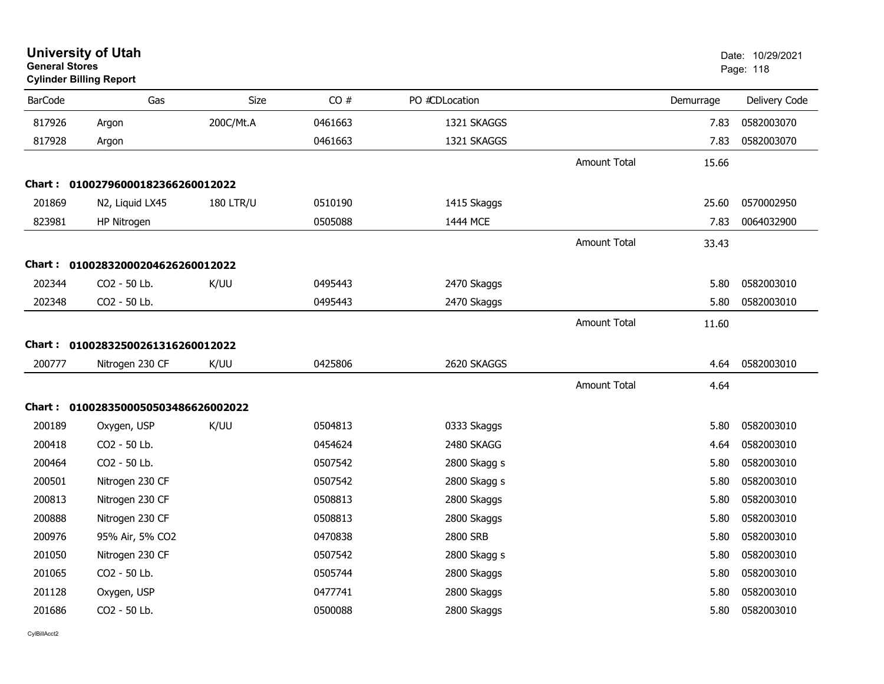| <b>General Stores</b> | <b>University of Utah</b><br><b>Cylinder Billing Report</b> |                  |         |                |                     |           | Date: 10/29/2021<br>Page: 118 |
|-----------------------|-------------------------------------------------------------|------------------|---------|----------------|---------------------|-----------|-------------------------------|
| <b>BarCode</b>        | Gas                                                         | <b>Size</b>      | CO#     | PO #CDLocation |                     | Demurrage | Delivery Code                 |
| 817926                | Argon                                                       | 200C/Mt.A        | 0461663 | 1321 SKAGGS    |                     | 7.83      | 0582003070                    |
| 817928                | Argon                                                       |                  | 0461663 | 1321 SKAGGS    |                     | 7.83      | 0582003070                    |
|                       |                                                             |                  |         |                | <b>Amount Total</b> | 15.66     |                               |
|                       | Chart: 01002796000182366260012022                           |                  |         |                |                     |           |                               |
| 201869                | N2, Liquid LX45                                             | <b>180 LTR/U</b> | 0510190 | 1415 Skaggs    |                     | 25.60     | 0570002950                    |
| 823981                | HP Nitrogen                                                 |                  | 0505088 | 1444 MCE       |                     | 7.83      | 0064032900                    |
|                       |                                                             |                  |         |                | <b>Amount Total</b> | 33.43     |                               |
| <b>Chart :</b>        | 01002832000204626260012022                                  |                  |         |                |                     |           |                               |
| 202344                | CO2 - 50 Lb.                                                | K/UU             | 0495443 | 2470 Skaggs    |                     | 5.80      | 0582003010                    |
| 202348                | CO2 - 50 Lb.                                                |                  | 0495443 | 2470 Skaggs    |                     | 5.80      | 0582003010                    |
|                       |                                                             |                  |         |                | <b>Amount Total</b> | 11.60     |                               |
|                       | Chart: 01002832500261316260012022                           |                  |         |                |                     |           |                               |
| 200777                | Nitrogen 230 CF                                             | K/UU             | 0425806 | 2620 SKAGGS    |                     | 4.64      | 0582003010                    |
|                       |                                                             |                  |         |                | <b>Amount Total</b> | 4.64      |                               |
|                       | Chart: 0100283500050503486626002022                         |                  |         |                |                     |           |                               |
| 200189                | Oxygen, USP                                                 | K/UU             | 0504813 | 0333 Skaggs    |                     | 5.80      | 0582003010                    |
| 200418                | CO2 - 50 Lb.                                                |                  | 0454624 | 2480 SKAGG     |                     | 4.64      | 0582003010                    |
| 200464                | CO2 - 50 Lb.                                                |                  | 0507542 | 2800 Skagg s   |                     | 5.80      | 0582003010                    |
| 200501                | Nitrogen 230 CF                                             |                  | 0507542 | 2800 Skagg s   |                     | 5.80      | 0582003010                    |
| 200813                | Nitrogen 230 CF                                             |                  | 0508813 | 2800 Skaggs    |                     | 5.80      | 0582003010                    |
| 200888                | Nitrogen 230 CF                                             |                  | 0508813 | 2800 Skaggs    |                     | 5.80      | 0582003010                    |
| 200976                | 95% Air, 5% CO2                                             |                  | 0470838 | 2800 SRB       |                     | 5.80      | 0582003010                    |
| 201050                | Nitrogen 230 CF                                             |                  | 0507542 | 2800 Skagg s   |                     | 5.80      | 0582003010                    |
| 201065                | CO2 - 50 Lb.                                                |                  | 0505744 | 2800 Skaggs    |                     | 5.80      | 0582003010                    |
| 201128                | Oxygen, USP                                                 |                  | 0477741 | 2800 Skaggs    |                     | 5.80      | 0582003010                    |
| 201686                | CO2 - 50 Lb.                                                |                  | 0500088 | 2800 Skaggs    |                     | 5.80      | 0582003010                    |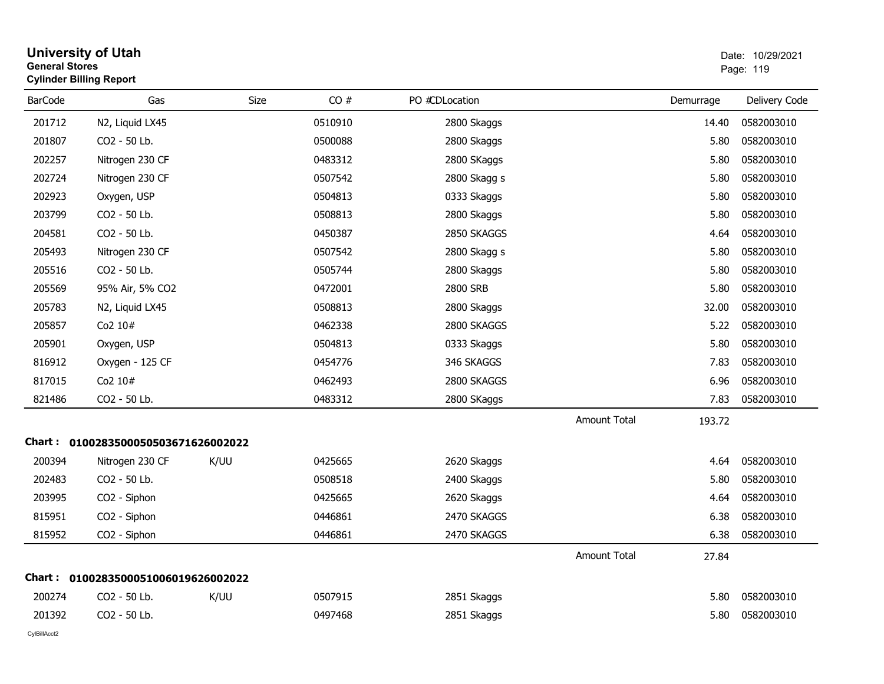| <b>General Stores</b> | <b>University of Utah</b><br><b>Cylinder Billing Report</b> |      |         |                |                     |           | Date: 10/29/2021<br>Page: 119 |
|-----------------------|-------------------------------------------------------------|------|---------|----------------|---------------------|-----------|-------------------------------|
| <b>BarCode</b>        | Gas                                                         | Size | CO#     | PO #CDLocation |                     | Demurrage | Delivery Code                 |
| 201712                | N2, Liquid LX45                                             |      | 0510910 | 2800 Skaggs    |                     | 14.40     | 0582003010                    |
| 201807                | CO2 - 50 Lb.                                                |      | 0500088 | 2800 Skaggs    |                     | 5.80      | 0582003010                    |
| 202257                | Nitrogen 230 CF                                             |      | 0483312 | 2800 SKaggs    |                     | 5.80      | 0582003010                    |
| 202724                | Nitrogen 230 CF                                             |      | 0507542 | 2800 Skagg s   |                     | 5.80      | 0582003010                    |
| 202923                | Oxygen, USP                                                 |      | 0504813 | 0333 Skaggs    |                     | 5.80      | 0582003010                    |
| 203799                | CO2 - 50 Lb.                                                |      | 0508813 | 2800 Skaggs    |                     | 5.80      | 0582003010                    |
| 204581                | CO2 - 50 Lb.                                                |      | 0450387 | 2850 SKAGGS    |                     | 4.64      | 0582003010                    |
| 205493                | Nitrogen 230 CF                                             |      | 0507542 | 2800 Skagg s   |                     | 5.80      | 0582003010                    |
| 205516                | CO2 - 50 Lb.                                                |      | 0505744 | 2800 Skaggs    |                     | 5.80      | 0582003010                    |
| 205569                | 95% Air, 5% CO2                                             |      | 0472001 | 2800 SRB       |                     | 5.80      | 0582003010                    |
| 205783                | N2, Liquid LX45                                             |      | 0508813 | 2800 Skaggs    |                     | 32.00     | 0582003010                    |
| 205857                | Co2 10#                                                     |      | 0462338 | 2800 SKAGGS    |                     | 5.22      | 0582003010                    |
| 205901                | Oxygen, USP                                                 |      | 0504813 | 0333 Skaggs    |                     | 5.80      | 0582003010                    |
| 816912                | Oxygen - 125 CF                                             |      | 0454776 | 346 SKAGGS     |                     | 7.83      | 0582003010                    |
| 817015                | Co <sub>2</sub> $10#$                                       |      | 0462493 | 2800 SKAGGS    |                     | 6.96      | 0582003010                    |
| 821486                | CO2 - 50 Lb.                                                |      | 0483312 | 2800 SKaggs    |                     | 7.83      | 0582003010                    |
|                       |                                                             |      |         |                | <b>Amount Total</b> | 193.72    |                               |
|                       | Chart: 0100283500050503671626002022                         |      |         |                |                     |           |                               |
| 200394                | Nitrogen 230 CF                                             | K/UU | 0425665 | 2620 Skaggs    |                     | 4.64      | 0582003010                    |
| 202483                | CO2 - 50 Lb.                                                |      | 0508518 | 2400 Skaggs    |                     | 5.80      | 0582003010                    |
| 203995                | CO2 - Siphon                                                |      | 0425665 | 2620 Skaggs    |                     | 4.64      | 0582003010                    |
| 815951                | CO2 - Siphon                                                |      | 0446861 | 2470 SKAGGS    |                     | 6.38      | 0582003010                    |
| 815952                | CO2 - Siphon                                                |      | 0446861 | 2470 SKAGGS    |                     | 6.38      | 0582003010                    |
|                       |                                                             |      |         |                | <b>Amount Total</b> | 27.84     |                               |
|                       | Chart: 0100283500051006019626002022                         |      |         |                |                     |           |                               |
| 200274                | CO2 - 50 Lb.                                                | K/UU | 0507915 | 2851 Skaggs    |                     | 5.80      | 0582003010                    |
| 201392                | CO2 - 50 Lb.                                                |      | 0497468 | 2851 Skaggs    |                     | 5.80      | 0582003010                    |
|                       |                                                             |      |         |                |                     |           |                               |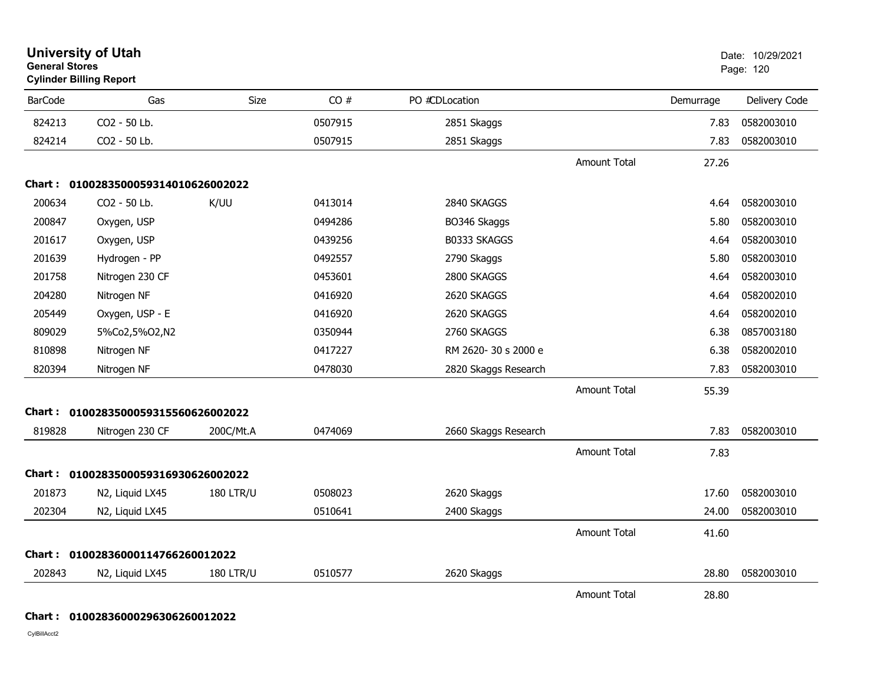| <b>General Stores</b> | <b>University of Utah</b><br><b>Cylinder Billing Report</b> |                  |         |                      |                     |           | Date: 10/29/2021<br>Page: 120 |
|-----------------------|-------------------------------------------------------------|------------------|---------|----------------------|---------------------|-----------|-------------------------------|
| <b>BarCode</b>        | Gas                                                         | Size             | CO#     | PO #CDLocation       |                     | Demurrage | Delivery Code                 |
| 824213                | CO2 - 50 Lb.                                                |                  | 0507915 | 2851 Skaggs          |                     | 7.83      | 0582003010                    |
| 824214                | CO2 - 50 Lb.                                                |                  | 0507915 | 2851 Skaggs          |                     | 7.83      | 0582003010                    |
|                       |                                                             |                  |         |                      | Amount Total        | 27.26     |                               |
|                       | Chart: 0100283500059314010626002022                         |                  |         |                      |                     |           |                               |
| 200634                | CO2 - 50 Lb.                                                | K/UU             | 0413014 | 2840 SKAGGS          |                     | 4.64      | 0582003010                    |
| 200847                | Oxygen, USP                                                 |                  | 0494286 | BO346 Skaggs         |                     | 5.80      | 0582003010                    |
| 201617                | Oxygen, USP                                                 |                  | 0439256 | B0333 SKAGGS         |                     | 4.64      | 0582003010                    |
| 201639                | Hydrogen - PP                                               |                  | 0492557 | 2790 Skaggs          |                     | 5.80      | 0582003010                    |
| 201758                | Nitrogen 230 CF                                             |                  | 0453601 | 2800 SKAGGS          |                     | 4.64      | 0582003010                    |
| 204280                | Nitrogen NF                                                 |                  | 0416920 | 2620 SKAGGS          |                     | 4.64      | 0582002010                    |
| 205449                | Oxygen, USP - E                                             |                  | 0416920 | 2620 SKAGGS          |                     | 4.64      | 0582002010                    |
| 809029                | 5%Co2,5%O2,N2                                               |                  | 0350944 | 2760 SKAGGS          |                     | 6.38      | 0857003180                    |
| 810898                | Nitrogen NF                                                 |                  | 0417227 | RM 2620-30 s 2000 e  |                     | 6.38      | 0582002010                    |
| 820394                | Nitrogen NF                                                 |                  | 0478030 | 2820 Skaggs Research |                     | 7.83      | 0582003010                    |
|                       |                                                             |                  |         |                      | <b>Amount Total</b> | 55.39     |                               |
|                       | Chart: 0100283500059315560626002022                         |                  |         |                      |                     |           |                               |
| 819828                | Nitrogen 230 CF                                             | 200C/Mt.A        | 0474069 | 2660 Skaggs Research |                     | 7.83      | 0582003010                    |
|                       |                                                             |                  |         |                      | <b>Amount Total</b> | 7.83      |                               |
|                       | Chart: 0100283500059316930626002022                         |                  |         |                      |                     |           |                               |
| 201873                | N2, Liquid LX45                                             | <b>180 LTR/U</b> | 0508023 | 2620 Skaggs          |                     | 17.60     | 0582003010                    |
| 202304                | N2, Liquid LX45                                             |                  | 0510641 | 2400 Skaggs          |                     | 24.00     | 0582003010                    |
|                       |                                                             |                  |         |                      | Amount Total        | 41.60     |                               |
| Chart : '             | 01002836000114766260012022                                  |                  |         |                      |                     |           |                               |
| 202843                | N2, Liquid LX45                                             | <b>180 LTR/U</b> | 0510577 | 2620 Skaggs          |                     | 28.80     | 0582003010                    |
|                       |                                                             |                  |         |                      | <b>Amount Total</b> | 28.80     |                               |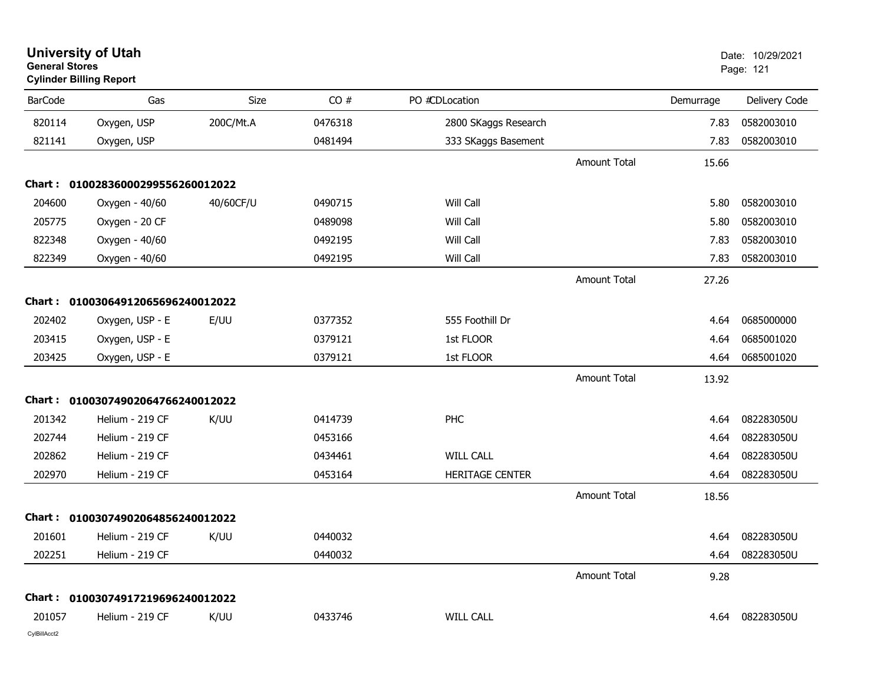| <b>General Stores</b><br><b>Cylinder Billing Report</b> |                                   |             |         |                        |                     |           | Page: 121     |
|---------------------------------------------------------|-----------------------------------|-------------|---------|------------------------|---------------------|-----------|---------------|
| <b>BarCode</b>                                          | Gas                               | <b>Size</b> | CO#     | PO #CDLocation         |                     | Demurrage | Delivery Code |
| 820114                                                  | Oxygen, USP                       | 200C/Mt.A   | 0476318 | 2800 SKaggs Research   |                     | 7.83      | 0582003010    |
| 821141                                                  | Oxygen, USP                       |             | 0481494 | 333 SKaggs Basement    |                     | 7.83      | 0582003010    |
|                                                         |                                   |             |         |                        | <b>Amount Total</b> | 15.66     |               |
|                                                         | Chart: 01002836000299556260012022 |             |         |                        |                     |           |               |
| 204600                                                  | Oxygen - 40/60                    | 40/60CF/U   | 0490715 | Will Call              |                     | 5.80      | 0582003010    |
| 205775                                                  | Oxygen - 20 CF                    |             | 0489098 | Will Call              |                     | 5.80      | 0582003010    |
| 822348                                                  | Oxygen - 40/60                    |             | 0492195 | Will Call              |                     | 7.83      | 0582003010    |
| 822349                                                  | Oxygen - 40/60                    |             | 0492195 | Will Call              |                     | 7.83      | 0582003010    |
|                                                         |                                   |             |         |                        | <b>Amount Total</b> | 27.26     |               |
|                                                         | Chart: 01003064912065696240012022 |             |         |                        |                     |           |               |
| 202402                                                  | Oxygen, USP - E                   | E/UU        | 0377352 | 555 Foothill Dr        |                     | 4.64      | 0685000000    |
| 203415                                                  | Oxygen, USP - E                   |             | 0379121 | 1st FLOOR              |                     | 4.64      | 0685001020    |
| 203425                                                  | Oxygen, USP - E                   |             | 0379121 | 1st FLOOR              |                     | 4.64      | 0685001020    |
|                                                         |                                   |             |         |                        | <b>Amount Total</b> | 13.92     |               |
| Chart :                                                 | 01003074902064766240012022        |             |         |                        |                     |           |               |
| 201342                                                  | Helium - 219 CF                   | K/UU        | 0414739 | PHC                    |                     | 4.64      | 082283050U    |
| 202744                                                  | Helium - 219 CF                   |             | 0453166 |                        |                     | 4.64      | 082283050U    |
| 202862                                                  | Helium - 219 CF                   |             | 0434461 | <b>WILL CALL</b>       |                     | 4.64      | 082283050U    |
| 202970                                                  | Helium - 219 CF                   |             | 0453164 | <b>HERITAGE CENTER</b> |                     | 4.64      | 082283050U    |
|                                                         |                                   |             |         |                        | <b>Amount Total</b> | 18.56     |               |
|                                                         | Chart: 01003074902064856240012022 |             |         |                        |                     |           |               |
| 201601                                                  | Helium - 219 CF                   | K/UU        | 0440032 |                        |                     | 4.64      | 082283050U    |
| 202251                                                  | Helium - 219 CF                   |             | 0440032 |                        |                     | 4.64      | 082283050U    |
|                                                         |                                   |             |         |                        | <b>Amount Total</b> | 9.28      |               |
|                                                         | Chart: 01003074917219696240012022 |             |         |                        |                     |           |               |
| 201057                                                  | Helium - 219 CF                   | K/UU        | 0433746 | <b>WILL CALL</b>       |                     | 4.64      | 082283050U    |
|                                                         |                                   |             |         |                        |                     |           |               |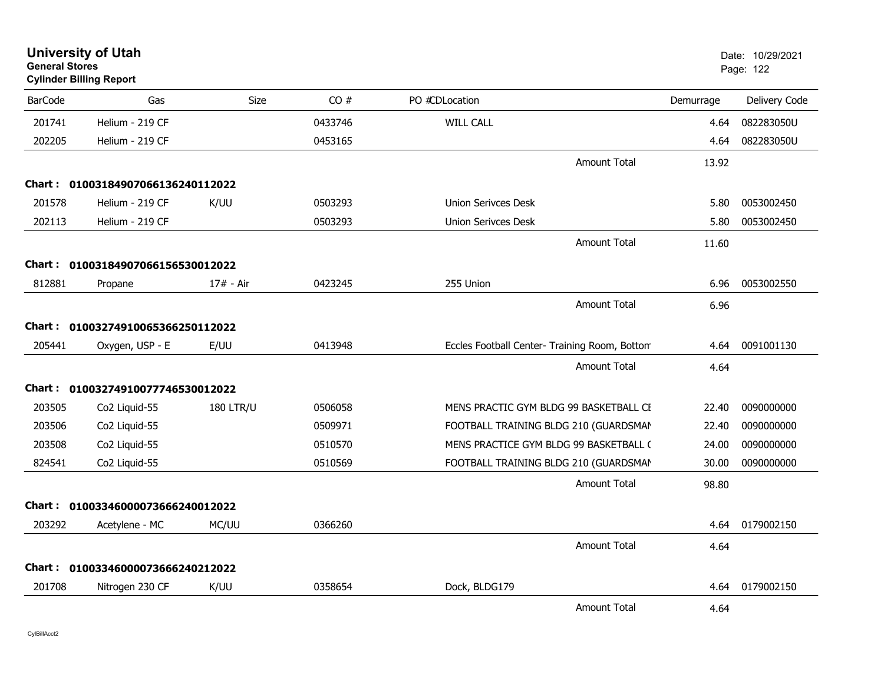| <b>General Stores</b> | <b>Cylinder Billing Report</b>    |                  |         |                                               |           | Page: 122     |
|-----------------------|-----------------------------------|------------------|---------|-----------------------------------------------|-----------|---------------|
| <b>BarCode</b>        | Gas                               | Size             | CO#     | PO #CDLocation                                | Demurrage | Delivery Code |
| 201741                | Helium - 219 CF                   |                  | 0433746 | <b>WILL CALL</b>                              | 4.64      | 082283050U    |
| 202205                | Helium - 219 CF                   |                  | 0453165 |                                               | 4.64      | 082283050U    |
|                       |                                   |                  |         | <b>Amount Total</b>                           | 13.92     |               |
| Chart :               | 01003184907066136240112022        |                  |         |                                               |           |               |
| 201578                | Helium - 219 CF                   | K/UU             | 0503293 | <b>Union Serivces Desk</b>                    | 5.80      | 0053002450    |
| 202113                | Helium - 219 CF                   |                  | 0503293 | <b>Union Serivces Desk</b>                    | 5.80      | 0053002450    |
|                       |                                   |                  |         | <b>Amount Total</b>                           | 11.60     |               |
|                       | Chart: 01003184907066156530012022 |                  |         |                                               |           |               |
| 812881                | Propane                           | 17# - Air        | 0423245 | 255 Union                                     | 6.96      | 0053002550    |
|                       |                                   |                  |         | Amount Total                                  | 6.96      |               |
| Chart :               | 01003274910065366250112022        |                  |         |                                               |           |               |
| 205441                | Oxygen, USP - E                   | E/UU             | 0413948 | Eccles Football Center- Training Room, Bottom | 4.64      | 0091001130    |
|                       |                                   |                  |         | <b>Amount Total</b>                           | 4.64      |               |
| Chart :               | 01003274910077746530012022        |                  |         |                                               |           |               |
| 203505                | Co2 Liquid-55                     | <b>180 LTR/U</b> | 0506058 | MENS PRACTIC GYM BLDG 99 BASKETBALL CE        | 22.40     | 0090000000    |
| 203506                | Co2 Liquid-55                     |                  | 0509971 | FOOTBALL TRAINING BLDG 210 (GUARDSMAN         | 22.40     | 0090000000    |
| 203508                | Co2 Liquid-55                     |                  | 0510570 | MENS PRACTICE GYM BLDG 99 BASKETBALL (        | 24.00     | 0090000000    |
| 824541                | Co2 Liquid-55                     |                  | 0510569 | FOOTBALL TRAINING BLDG 210 (GUARDSMAN         | 30.00     | 0090000000    |
|                       |                                   |                  |         | <b>Amount Total</b>                           | 98.80     |               |
| <b>Chart :</b>        | 01003346000073666240012022        |                  |         |                                               |           |               |
| 203292                | Acetylene - MC                    | MC/UU            | 0366260 |                                               | 4.64      | 0179002150    |
|                       |                                   |                  |         | <b>Amount Total</b>                           | 4.64      |               |
|                       | Chart: 01003346000073666240212022 |                  |         |                                               |           |               |
| 201708                | Nitrogen 230 CF                   | K/UU             | 0358654 | Dock, BLDG179                                 | 4.64      | 0179002150    |
|                       |                                   |                  |         | <b>Amount Total</b>                           | 4.64      |               |

**University of Utah** Date: 10/29/2021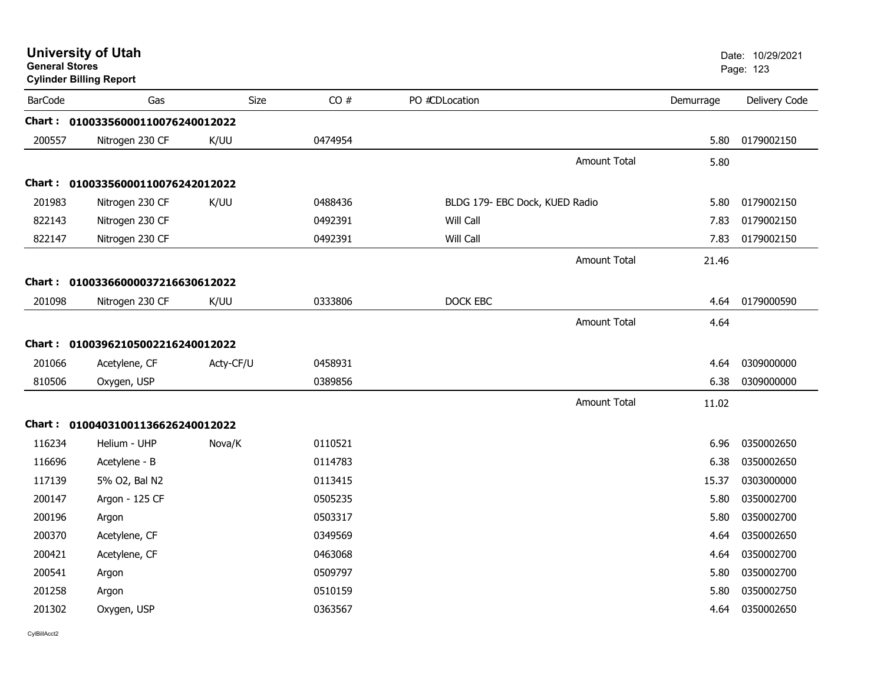| <b>General Stores</b> | <b>University of Utah</b><br><b>Cylinder Billing Report</b> |           |         |                                |                     |           | Date: 10/29/2021<br>Page: 123 |
|-----------------------|-------------------------------------------------------------|-----------|---------|--------------------------------|---------------------|-----------|-------------------------------|
| <b>BarCode</b>        | Gas                                                         | Size      | CO#     | PO #CDLocation                 |                     | Demurrage | Delivery Code                 |
|                       | Chart: 01003356000110076240012022                           |           |         |                                |                     |           |                               |
| 200557                | Nitrogen 230 CF                                             | K/UU      | 0474954 |                                |                     | 5.80      | 0179002150                    |
|                       |                                                             |           |         |                                | <b>Amount Total</b> | 5.80      |                               |
|                       | Chart: 01003356000110076242012022                           |           |         |                                |                     |           |                               |
| 201983                | Nitrogen 230 CF                                             | K/UU      | 0488436 | BLDG 179- EBC Dock, KUED Radio |                     | 5.80      | 0179002150                    |
| 822143                | Nitrogen 230 CF                                             |           | 0492391 | Will Call                      |                     | 7.83      | 0179002150                    |
| 822147                | Nitrogen 230 CF                                             |           | 0492391 | Will Call                      |                     | 7.83      | 0179002150                    |
|                       |                                                             |           |         |                                | <b>Amount Total</b> | 21.46     |                               |
|                       | Chart: 01003366000037216630612022                           |           |         |                                |                     |           |                               |
| 201098                | Nitrogen 230 CF                                             | K/UU      | 0333806 | DOCK EBC                       |                     | 4.64      | 0179000590                    |
|                       |                                                             |           |         |                                | <b>Amount Total</b> | 4.64      |                               |
|                       | Chart: 01003962105002216240012022                           |           |         |                                |                     |           |                               |
| 201066                | Acetylene, CF                                               | Acty-CF/U | 0458931 |                                |                     | 4.64      | 0309000000                    |
| 810506                | Oxygen, USP                                                 |           | 0389856 |                                |                     | 6.38      | 0309000000                    |
|                       |                                                             |           |         |                                | <b>Amount Total</b> | 11.02     |                               |
|                       | Chart: 01004031001136626240012022                           |           |         |                                |                     |           |                               |
| 116234                | Helium - UHP                                                | Nova/K    | 0110521 |                                |                     | 6.96      | 0350002650                    |
| 116696                | Acetylene - B                                               |           | 0114783 |                                |                     | 6.38      | 0350002650                    |
| 117139                | 5% O2, Bal N2                                               |           | 0113415 |                                |                     | 15.37     | 0303000000                    |
| 200147                | Argon - 125 CF                                              |           | 0505235 |                                |                     | 5.80      | 0350002700                    |
| 200196                | Argon                                                       |           | 0503317 |                                |                     | 5.80      | 0350002700                    |
| 200370                | Acetylene, CF                                               |           | 0349569 |                                |                     | 4.64      | 0350002650                    |
| 200421                | Acetylene, CF                                               |           | 0463068 |                                |                     | 4.64      | 0350002700                    |
| 200541                | Argon                                                       |           | 0509797 |                                |                     | 5.80      | 0350002700                    |
| 201258                | Argon                                                       |           | 0510159 |                                |                     | 5.80      | 0350002750                    |
| 201302                | Oxygen, USP                                                 |           | 0363567 |                                |                     | 4.64      | 0350002650                    |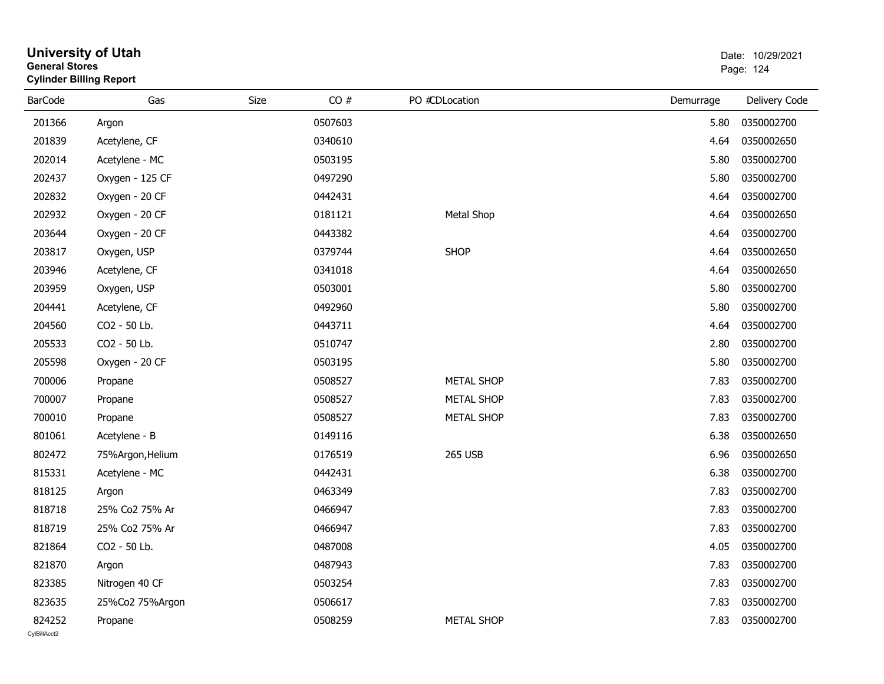| General Stores | <b>Cylinder Billing Report</b> |      | Page: 124 |                   |           |               |
|----------------|--------------------------------|------|-----------|-------------------|-----------|---------------|
| <b>BarCode</b> | Gas                            | Size | CO#       | PO #CDLocation    | Demurrage | Delivery Code |
| 201366         | Argon                          |      | 0507603   |                   | 5.80      | 0350002700    |
| 201839         | Acetylene, CF                  |      | 0340610   |                   | 4.64      | 0350002650    |
| 202014         | Acetylene - MC                 |      | 0503195   |                   | 5.80      | 0350002700    |
| 202437         | Oxygen - 125 CF                |      | 0497290   |                   | 5.80      | 0350002700    |
| 202832         | Oxygen - 20 CF                 |      | 0442431   |                   | 4.64      | 0350002700    |
| 202932         | Oxygen - 20 CF                 |      | 0181121   | Metal Shop        | 4.64      | 0350002650    |
| 203644         | Oxygen - 20 CF                 |      | 0443382   |                   | 4.64      | 0350002700    |
| 203817         | Oxygen, USP                    |      | 0379744   | <b>SHOP</b>       | 4.64      | 0350002650    |
| 203946         | Acetylene, CF                  |      | 0341018   |                   | 4.64      | 0350002650    |
| 203959         | Oxygen, USP                    |      | 0503001   |                   | 5.80      | 0350002700    |
| 204441         | Acetylene, CF                  |      | 0492960   |                   | 5.80      | 0350002700    |
| 204560         | CO2 - 50 Lb.                   |      | 0443711   |                   | 4.64      | 0350002700    |
| 205533         | CO2 - 50 Lb.                   |      | 0510747   |                   | 2.80      | 0350002700    |
| 205598         | Oxygen - 20 CF                 |      | 0503195   |                   | 5.80      | 0350002700    |
| 700006         | Propane                        |      | 0508527   | <b>METAL SHOP</b> | 7.83      | 0350002700    |
| 700007         | Propane                        |      | 0508527   | METAL SHOP        | 7.83      | 0350002700    |
| 700010         | Propane                        |      | 0508527   | <b>METAL SHOP</b> | 7.83      | 0350002700    |
| 801061         | Acetylene - B                  |      | 0149116   |                   | 6.38      | 0350002650    |
| 802472         | 75%Argon, Helium               |      | 0176519   | 265 USB           | 6.96      | 0350002650    |
| 815331         | Acetylene - MC                 |      | 0442431   |                   | 6.38      | 0350002700    |
| 818125         | Argon                          |      | 0463349   |                   | 7.83      | 0350002700    |
| 818718         | 25% Co2 75% Ar                 |      | 0466947   |                   | 7.83      | 0350002700    |
| 818719         | 25% Co2 75% Ar                 |      | 0466947   |                   | 7.83      | 0350002700    |
| 821864         | CO2 - 50 Lb.                   |      | 0487008   |                   | 4.05      | 0350002700    |
| 821870         | Argon                          |      | 0487943   |                   | 7.83      | 0350002700    |
| 823385         | Nitrogen 40 CF                 |      | 0503254   |                   | 7.83      | 0350002700    |
| 823635         | 25%Co2 75%Argon                |      | 0506617   |                   | 7.83      | 0350002700    |
| 824252         | Propane                        |      | 0508259   | <b>METAL SHOP</b> | 7.83      | 0350002700    |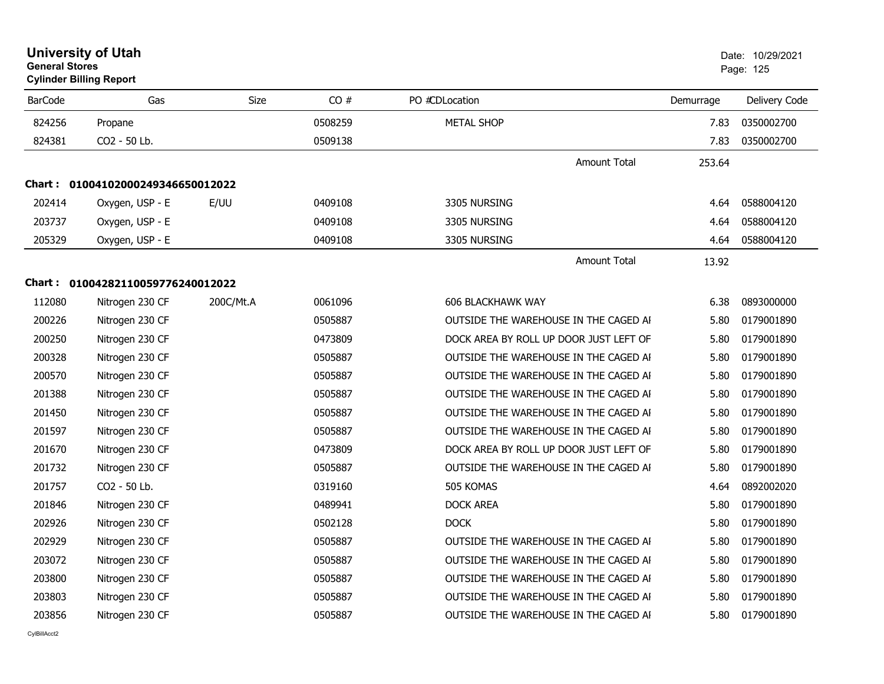| <b>General Stores</b> | <b>University of Utah</b><br><b>Cylinder Billing Report</b> |           |         |                          |                                        |           | Date: 10/29/2021<br>Page: 125 |
|-----------------------|-------------------------------------------------------------|-----------|---------|--------------------------|----------------------------------------|-----------|-------------------------------|
| <b>BarCode</b>        | Gas                                                         | Size      | CO#     | PO #CDLocation           |                                        | Demurrage | Delivery Code                 |
| 824256                | Propane                                                     |           | 0508259 | <b>METAL SHOP</b>        |                                        | 7.83      | 0350002700                    |
| 824381                | CO <sub>2</sub> - 50 Lb.                                    |           | 0509138 |                          |                                        | 7.83      | 0350002700                    |
|                       |                                                             |           |         |                          | <b>Amount Total</b>                    | 253.64    |                               |
|                       | Chart: 01004102000249346650012022                           |           |         |                          |                                        |           |                               |
| 202414                | Oxygen, USP - E                                             | E/UU      | 0409108 | 3305 NURSING             |                                        | 4.64      | 0588004120                    |
| 203737                | Oxygen, USP - E                                             |           | 0409108 | 3305 NURSING             |                                        | 4.64      | 0588004120                    |
| 205329                | Oxygen, USP - E                                             |           | 0409108 | 3305 NURSING             |                                        | 4.64      | 0588004120                    |
|                       |                                                             |           |         |                          | <b>Amount Total</b>                    | 13.92     |                               |
|                       | Chart: 01004282110059776240012022                           |           |         |                          |                                        |           |                               |
| 112080                | Nitrogen 230 CF                                             | 200C/Mt.A | 0061096 | <b>606 BLACKHAWK WAY</b> |                                        | 6.38      | 0893000000                    |
| 200226                | Nitrogen 230 CF                                             |           | 0505887 |                          | OUTSIDE THE WAREHOUSE IN THE CAGED AI  | 5.80      | 0179001890                    |
| 200250                | Nitrogen 230 CF                                             |           | 0473809 |                          | DOCK AREA BY ROLL UP DOOR JUST LEFT OF | 5.80      | 0179001890                    |
| 200328                | Nitrogen 230 CF                                             |           | 0505887 |                          | OUTSIDE THE WAREHOUSE IN THE CAGED AI  | 5.80      | 0179001890                    |
| 200570                | Nitrogen 230 CF                                             |           | 0505887 |                          | OUTSIDE THE WAREHOUSE IN THE CAGED AI  | 5.80      | 0179001890                    |
| 201388                | Nitrogen 230 CF                                             |           | 0505887 |                          | OUTSIDE THE WAREHOUSE IN THE CAGED AI  | 5.80      | 0179001890                    |
| 201450                | Nitrogen 230 CF                                             |           | 0505887 |                          | OUTSIDE THE WAREHOUSE IN THE CAGED AI  | 5.80      | 0179001890                    |
| 201597                | Nitrogen 230 CF                                             |           | 0505887 |                          | OUTSIDE THE WAREHOUSE IN THE CAGED AI  | 5.80      | 0179001890                    |
| 201670                | Nitrogen 230 CF                                             |           | 0473809 |                          | DOCK AREA BY ROLL UP DOOR JUST LEFT OF | 5.80      | 0179001890                    |
| 201732                | Nitrogen 230 CF                                             |           | 0505887 |                          | OUTSIDE THE WAREHOUSE IN THE CAGED AI  | 5.80      | 0179001890                    |
| 201757                | CO2 - 50 Lb.                                                |           | 0319160 | 505 KOMAS                |                                        | 4.64      | 0892002020                    |
| 201846                | Nitrogen 230 CF                                             |           | 0489941 | <b>DOCK AREA</b>         |                                        | 5.80      | 0179001890                    |
| 202926                | Nitrogen 230 CF                                             |           | 0502128 | <b>DOCK</b>              |                                        | 5.80      | 0179001890                    |
| 202929                | Nitrogen 230 CF                                             |           | 0505887 |                          | OUTSIDE THE WAREHOUSE IN THE CAGED AI  | 5.80      | 0179001890                    |
| 203072                | Nitrogen 230 CF                                             |           | 0505887 |                          | OUTSIDE THE WAREHOUSE IN THE CAGED AI  | 5.80      | 0179001890                    |
| 203800                | Nitrogen 230 CF                                             |           | 0505887 |                          | OUTSIDE THE WAREHOUSE IN THE CAGED AI  | 5.80      | 0179001890                    |
| 203803                | Nitrogen 230 CF                                             |           | 0505887 |                          | OUTSIDE THE WAREHOUSE IN THE CAGED AI  | 5.80      | 0179001890                    |
| 203856                | Nitrogen 230 CF                                             |           | 0505887 |                          | OUTSIDE THE WAREHOUSE IN THE CAGED AI  | 5.80      | 0179001890                    |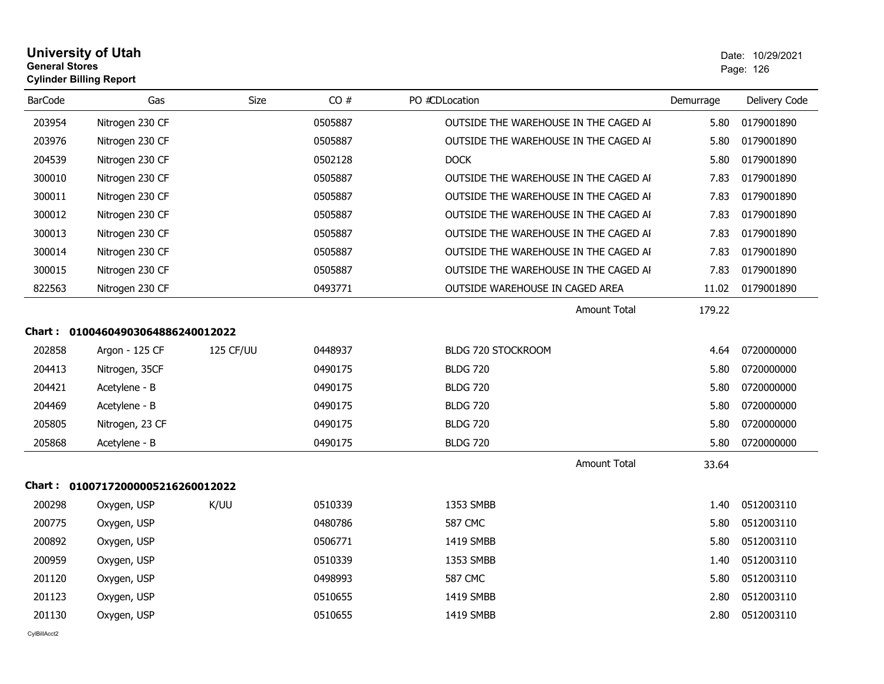| University of Utah             | Date: 10/2 |  |
|--------------------------------|------------|--|
| General Stores                 | Page: 126  |  |
| <b>Cylinder Billing Report</b> |            |  |

| <b>BarCode</b> | Gas                               | <b>Size</b> | CO#     | PO #CDLocation                        | Demurrage | Delivery Code |  |  |
|----------------|-----------------------------------|-------------|---------|---------------------------------------|-----------|---------------|--|--|
| 203954         | Nitrogen 230 CF                   |             | 0505887 | OUTSIDE THE WAREHOUSE IN THE CAGED AI | 5.80      | 0179001890    |  |  |
| 203976         | Nitrogen 230 CF                   |             | 0505887 | OUTSIDE THE WAREHOUSE IN THE CAGED AI | 5.80      | 0179001890    |  |  |
| 204539         | Nitrogen 230 CF                   |             | 0502128 | <b>DOCK</b>                           | 5.80      | 0179001890    |  |  |
| 300010         | Nitrogen 230 CF                   |             | 0505887 | OUTSIDE THE WAREHOUSE IN THE CAGED AI | 7.83      | 0179001890    |  |  |
| 300011         | Nitrogen 230 CF                   |             | 0505887 | OUTSIDE THE WAREHOUSE IN THE CAGED AI | 7.83      | 0179001890    |  |  |
| 300012         | Nitrogen 230 CF                   |             | 0505887 | OUTSIDE THE WAREHOUSE IN THE CAGED AI | 7.83      | 0179001890    |  |  |
| 300013         | Nitrogen 230 CF                   |             | 0505887 | OUTSIDE THE WAREHOUSE IN THE CAGED AI | 7.83      | 0179001890    |  |  |
| 300014         | Nitrogen 230 CF                   |             | 0505887 | OUTSIDE THE WAREHOUSE IN THE CAGED AI | 7.83      | 0179001890    |  |  |
| 300015         | Nitrogen 230 CF                   |             | 0505887 | OUTSIDE THE WAREHOUSE IN THE CAGED AI | 7.83      | 0179001890    |  |  |
| 822563         | Nitrogen 230 CF                   |             | 0493771 | OUTSIDE WAREHOUSE IN CAGED AREA       | 11.02     | 0179001890    |  |  |
|                |                                   |             |         | <b>Amount Total</b>                   | 179.22    |               |  |  |
|                | Chart: 01004604903064886240012022 |             |         |                                       |           |               |  |  |
| 202858         | Argon - 125 CF                    | 125 CF/UU   | 0448937 | BLDG 720 STOCKROOM                    | 4.64      | 0720000000    |  |  |
| 204413         | Nitrogen, 35CF                    |             | 0490175 | <b>BLDG 720</b>                       | 5.80      | 0720000000    |  |  |
| 204421         | Acetylene - B                     |             | 0490175 | <b>BLDG 720</b>                       | 5.80      | 0720000000    |  |  |
| 204469         | Acetylene - B                     |             | 0490175 | <b>BLDG 720</b>                       | 5.80      | 0720000000    |  |  |
| 205805         | Nitrogen, 23 CF                   |             | 0490175 | <b>BLDG 720</b>                       | 5.80      | 0720000000    |  |  |
| 205868         | Acetylene - B                     |             | 0490175 | <b>BLDG 720</b>                       | 5.80      | 0720000000    |  |  |
|                |                                   |             |         | <b>Amount Total</b>                   | 33.64     |               |  |  |
|                | Chart: 01007172000005216260012022 |             |         |                                       |           |               |  |  |
| 200298         | Oxygen, USP                       | K/UU        | 0510339 | 1353 SMBB                             | 1.40      | 0512003110    |  |  |
| 200775         | Oxygen, USP                       |             | 0480786 | <b>587 CMC</b>                        | 5.80      | 0512003110    |  |  |
| 200892         | Oxygen, USP                       |             | 0506771 | 1419 SMBB                             | 5.80      | 0512003110    |  |  |
| 200959         | Oxygen, USP                       |             | 0510339 | 1353 SMBB                             | 1.40      | 0512003110    |  |  |
| 201120         | Oxygen, USP                       |             | 0498993 | 587 CMC                               | 5.80      | 0512003110    |  |  |
| 201123         | Oxygen, USP                       |             | 0510655 | 1419 SMBB                             | 2.80      | 0512003110    |  |  |
| 201130         | Oxygen, USP                       |             | 0510655 | 1419 SMBB                             | 2.80      | 0512003110    |  |  |
|                |                                   |             |         |                                       |           |               |  |  |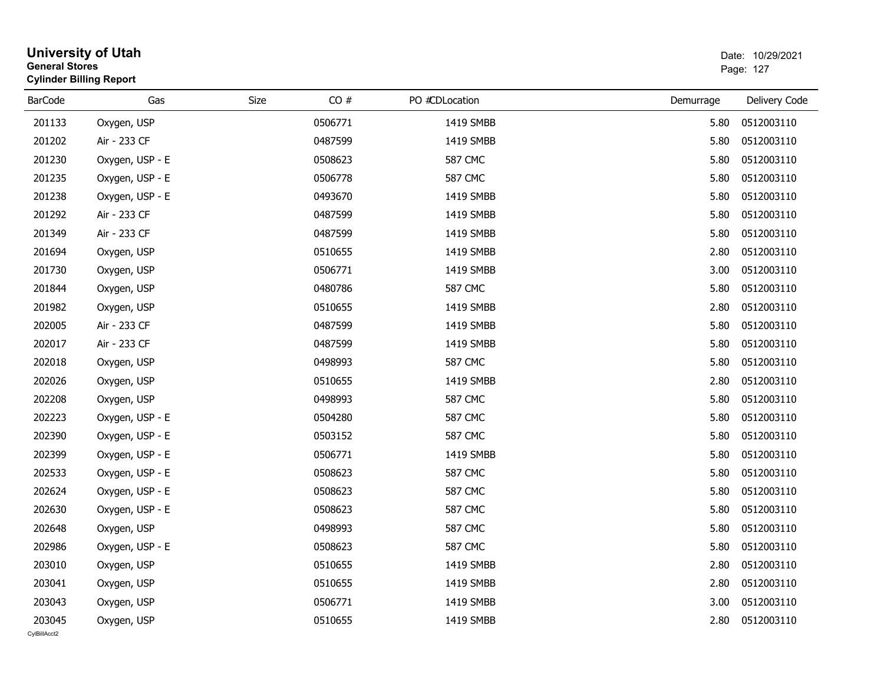|                        | <b>University of Utah</b><br><b>General Stores</b><br><b>Cylinder Billing Report</b> |      |         |                |           | Date: 10/29/2021<br>Page: 127 |  |  |
|------------------------|--------------------------------------------------------------------------------------|------|---------|----------------|-----------|-------------------------------|--|--|
| <b>BarCode</b>         | Gas                                                                                  | Size | CO#     | PO #CDLocation | Demurrage | Delivery Code                 |  |  |
| 201133                 | Oxygen, USP                                                                          |      | 0506771 | 1419 SMBB      | 5.80      | 0512003110                    |  |  |
| 201202                 | Air - 233 CF                                                                         |      | 0487599 | 1419 SMBB      | 5.80      | 0512003110                    |  |  |
| 201230                 | Oxygen, USP - E                                                                      |      | 0508623 | <b>587 CMC</b> | 5.80      | 0512003110                    |  |  |
| 201235                 | Oxygen, USP - E                                                                      |      | 0506778 | <b>587 CMC</b> | 5.80      | 0512003110                    |  |  |
| 201238                 | Oxygen, USP - E                                                                      |      | 0493670 | 1419 SMBB      | 5.80      | 0512003110                    |  |  |
| 201292                 | Air - 233 CF                                                                         |      | 0487599 | 1419 SMBB      | 5.80      | 0512003110                    |  |  |
| 201349                 | Air - 233 CF                                                                         |      | 0487599 | 1419 SMBB      | 5.80      | 0512003110                    |  |  |
| 201694                 | Oxygen, USP                                                                          |      | 0510655 | 1419 SMBB      | 2.80      | 0512003110                    |  |  |
| 201730                 | Oxygen, USP                                                                          |      | 0506771 | 1419 SMBB      | 3.00      | 0512003110                    |  |  |
| 201844                 | Oxygen, USP                                                                          |      | 0480786 | <b>587 CMC</b> | 5.80      | 0512003110                    |  |  |
| 201982                 | Oxygen, USP                                                                          |      | 0510655 | 1419 SMBB      | 2.80      | 0512003110                    |  |  |
| 202005                 | Air - 233 CF                                                                         |      | 0487599 | 1419 SMBB      | 5.80      | 0512003110                    |  |  |
| 202017                 | Air - 233 CF                                                                         |      | 0487599 | 1419 SMBB      | 5.80      | 0512003110                    |  |  |
| 202018                 | Oxygen, USP                                                                          |      | 0498993 | <b>587 CMC</b> | 5.80      | 0512003110                    |  |  |
| 202026                 | Oxygen, USP                                                                          |      | 0510655 | 1419 SMBB      | 2.80      | 0512003110                    |  |  |
| 202208                 | Oxygen, USP                                                                          |      | 0498993 | 587 CMC        | 5.80      | 0512003110                    |  |  |
| 202223                 | Oxygen, USP - E                                                                      |      | 0504280 | 587 CMC        | 5.80      | 0512003110                    |  |  |
| 202390                 | Oxygen, USP - E                                                                      |      | 0503152 | <b>587 CMC</b> | 5.80      | 0512003110                    |  |  |
| 202399                 | Oxygen, USP - E                                                                      |      | 0506771 | 1419 SMBB      | 5.80      | 0512003110                    |  |  |
| 202533                 | Oxygen, USP - E                                                                      |      | 0508623 | <b>587 CMC</b> | 5.80      | 0512003110                    |  |  |
| 202624                 | Oxygen, USP - E                                                                      |      | 0508623 | 587 CMC        | 5.80      | 0512003110                    |  |  |
| 202630                 | Oxygen, USP - E                                                                      |      | 0508623 | 587 CMC        | 5.80      | 0512003110                    |  |  |
| 202648                 | Oxygen, USP                                                                          |      | 0498993 | 587 CMC        | 5.80      | 0512003110                    |  |  |
| 202986                 | Oxygen, USP - E                                                                      |      | 0508623 | <b>587 CMC</b> | 5.80      | 0512003110                    |  |  |
| 203010                 | Oxygen, USP                                                                          |      | 0510655 | 1419 SMBB      | 2.80      | 0512003110                    |  |  |
| 203041                 | Oxygen, USP                                                                          |      | 0510655 | 1419 SMBB      | 2.80      | 0512003110                    |  |  |
| 203043                 | Oxygen, USP                                                                          |      | 0506771 | 1419 SMBB      | 3.00      | 0512003110                    |  |  |
| 203045<br>CylBillAcct2 | Oxygen, USP                                                                          |      | 0510655 | 1419 SMBB      | 2.80      | 0512003110                    |  |  |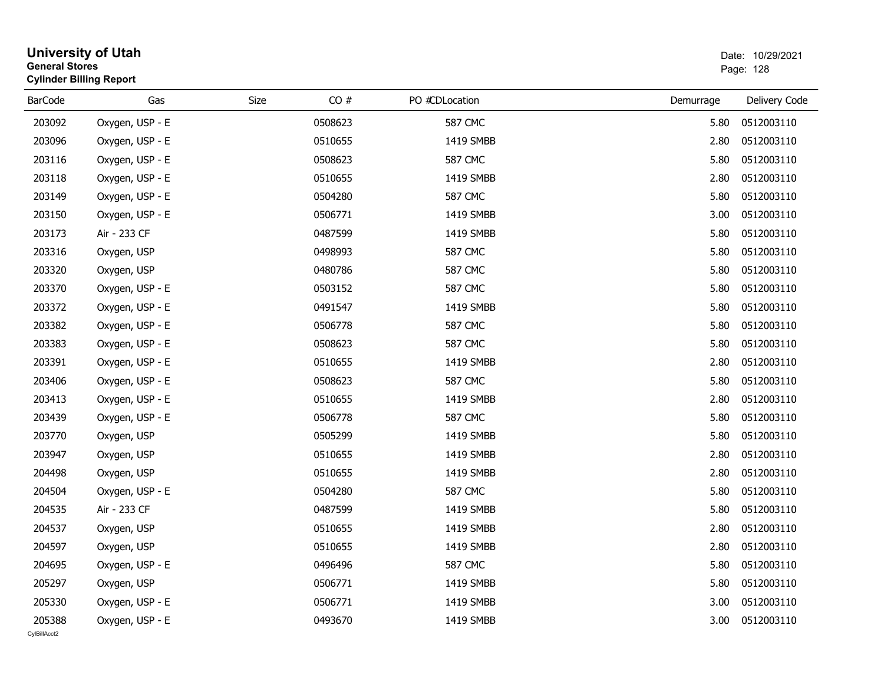|                        | <b>University of Utah</b><br><b>General Stores</b><br><b>Cylinder Billing Report</b> |      |         |                |           | Date: 10/29/2021<br>Page: 128 |
|------------------------|--------------------------------------------------------------------------------------|------|---------|----------------|-----------|-------------------------------|
| <b>BarCode</b>         | Gas                                                                                  | Size | CO#     | PO #CDLocation | Demurrage | Delivery Code                 |
| 203092                 | Oxygen, USP - E                                                                      |      | 0508623 | <b>587 CMC</b> | 5.80      | 0512003110                    |
| 203096                 | Oxygen, USP - E                                                                      |      | 0510655 | 1419 SMBB      | 2.80      | 0512003110                    |
| 203116                 | Oxygen, USP - E                                                                      |      | 0508623 | <b>587 CMC</b> | 5.80      | 0512003110                    |
| 203118                 | Oxygen, USP - E                                                                      |      | 0510655 | 1419 SMBB      | 2.80      | 0512003110                    |
| 203149                 | Oxygen, USP - E                                                                      |      | 0504280 | <b>587 CMC</b> | 5.80      | 0512003110                    |
| 203150                 | Oxygen, USP - E                                                                      |      | 0506771 | 1419 SMBB      | 3.00      | 0512003110                    |
| 203173                 | Air - 233 CF                                                                         |      | 0487599 | 1419 SMBB      | 5.80      | 0512003110                    |
| 203316                 | Oxygen, USP                                                                          |      | 0498993 | <b>587 CMC</b> | 5.80      | 0512003110                    |
| 203320                 | Oxygen, USP                                                                          |      | 0480786 | <b>587 CMC</b> | 5.80      | 0512003110                    |
| 203370                 | Oxygen, USP - E                                                                      |      | 0503152 | <b>587 CMC</b> | 5.80      | 0512003110                    |
| 203372                 | Oxygen, USP - E                                                                      |      | 0491547 | 1419 SMBB      | 5.80      | 0512003110                    |
| 203382                 | Oxygen, USP - E                                                                      |      | 0506778 | <b>587 CMC</b> | 5.80      | 0512003110                    |
| 203383                 | Oxygen, USP - E                                                                      |      | 0508623 | <b>587 CMC</b> | 5.80      | 0512003110                    |
| 203391                 | Oxygen, USP - E                                                                      |      | 0510655 | 1419 SMBB      | 2.80      | 0512003110                    |
| 203406                 | Oxygen, USP - E                                                                      |      | 0508623 | <b>587 CMC</b> | 5.80      | 0512003110                    |
| 203413                 | Oxygen, USP - E                                                                      |      | 0510655 | 1419 SMBB      | 2.80      | 0512003110                    |
| 203439                 | Oxygen, USP - E                                                                      |      | 0506778 | <b>587 CMC</b> | 5.80      | 0512003110                    |
| 203770                 | Oxygen, USP                                                                          |      | 0505299 | 1419 SMBB      | 5.80      | 0512003110                    |
| 203947                 | Oxygen, USP                                                                          |      | 0510655 | 1419 SMBB      | 2.80      | 0512003110                    |
| 204498                 | Oxygen, USP                                                                          |      | 0510655 | 1419 SMBB      | 2.80      | 0512003110                    |
| 204504                 | Oxygen, USP - E                                                                      |      | 0504280 | <b>587 CMC</b> | 5.80      | 0512003110                    |
| 204535                 | Air - 233 CF                                                                         |      | 0487599 | 1419 SMBB      | 5.80      | 0512003110                    |
| 204537                 | Oxygen, USP                                                                          |      | 0510655 | 1419 SMBB      | 2.80      | 0512003110                    |
| 204597                 | Oxygen, USP                                                                          |      | 0510655 | 1419 SMBB      | 2.80      | 0512003110                    |
| 204695                 | Oxygen, USP - E                                                                      |      | 0496496 | <b>587 CMC</b> | 5.80      | 0512003110                    |
| 205297                 | Oxygen, USP                                                                          |      | 0506771 | 1419 SMBB      | 5.80      | 0512003110                    |
| 205330                 | Oxygen, USP - E                                                                      |      | 0506771 | 1419 SMBB      | 3.00      | 0512003110                    |
| 205388<br>CvIBillAcct2 | Oxygen, USP - E                                                                      |      | 0493670 | 1419 SMBB      | 3.00      | 0512003110                    |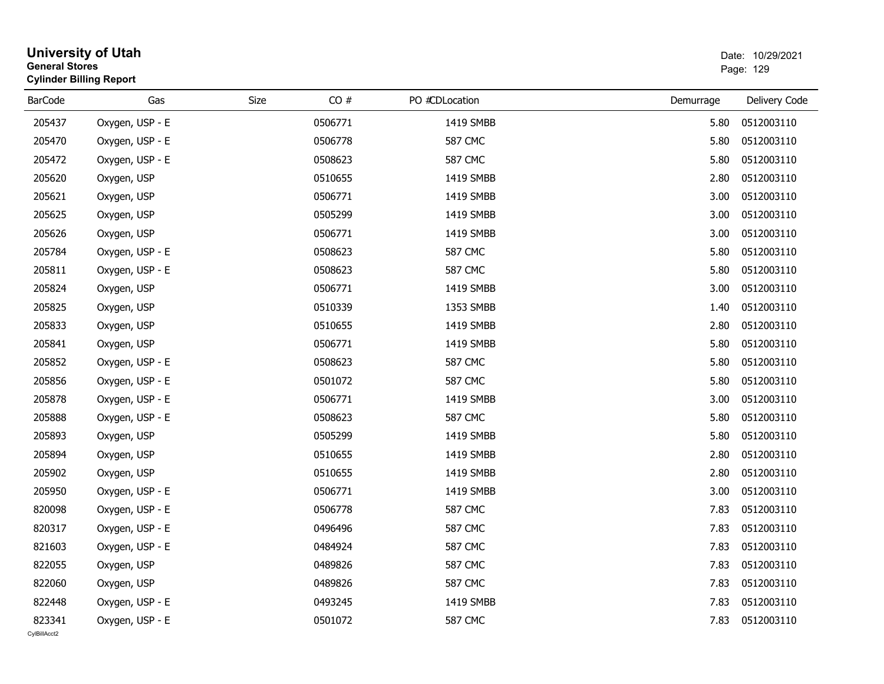|                        | <b>University of Utah</b><br><b>General Stores</b><br><b>Cylinder Billing Report</b> |      |         |                | Date: 10/29/2021<br>Page: 129 |                 |  |
|------------------------|--------------------------------------------------------------------------------------|------|---------|----------------|-------------------------------|-----------------|--|
| <b>BarCode</b>         | Gas                                                                                  | Size | CO#     | PO #CDLocation | Demurrage                     | Delivery Code   |  |
| 205437                 | Oxygen, USP - E                                                                      |      | 0506771 | 1419 SMBB      | 5.80                          | 0512003110      |  |
| 205470                 | Oxygen, USP - E                                                                      |      | 0506778 | <b>587 CMC</b> | 5.80                          | 0512003110      |  |
| 205472                 | Oxygen, USP - E                                                                      |      | 0508623 | 587 CMC        | 5.80                          | 0512003110      |  |
| 205620                 | Oxygen, USP                                                                          |      | 0510655 | 1419 SMBB      | 2.80                          | 0512003110      |  |
| 205621                 | Oxygen, USP                                                                          |      | 0506771 | 1419 SMBB      | 3.00                          | 0512003110      |  |
| 205625                 | Oxygen, USP                                                                          |      | 0505299 | 1419 SMBB      | 3.00                          | 0512003110      |  |
| 205626                 | Oxygen, USP                                                                          |      | 0506771 | 1419 SMBB      | 3.00                          | 0512003110      |  |
| 205784                 | Oxygen, USP - E                                                                      |      | 0508623 | <b>587 CMC</b> | 5.80                          | 0512003110      |  |
| 205811                 | Oxygen, USP - E                                                                      |      | 0508623 | <b>587 CMC</b> | 5.80                          | 0512003110      |  |
| 205824                 | Oxygen, USP                                                                          |      | 0506771 | 1419 SMBB      | 3.00                          | 0512003110      |  |
| 205825                 | Oxygen, USP                                                                          |      | 0510339 | 1353 SMBB      | 1.40                          | 0512003110      |  |
| 205833                 | Oxygen, USP                                                                          |      | 0510655 | 1419 SMBB      | 2.80                          | 0512003110      |  |
| 205841                 | Oxygen, USP                                                                          |      | 0506771 | 1419 SMBB      | 5.80                          | 0512003110      |  |
| 205852                 | Oxygen, USP - E                                                                      |      | 0508623 | <b>587 CMC</b> | 5.80                          | 0512003110      |  |
| 205856                 | Oxygen, USP - E                                                                      |      | 0501072 | <b>587 CMC</b> | 5.80                          | 0512003110      |  |
| 205878                 | Oxygen, USP - E                                                                      |      | 0506771 | 1419 SMBB      | 3.00                          | 0512003110      |  |
| 205888                 | Oxygen, USP - E                                                                      |      | 0508623 | <b>587 CMC</b> | 5.80                          | 0512003110      |  |
| 205893                 | Oxygen, USP                                                                          |      | 0505299 | 1419 SMBB      | 5.80                          | 0512003110      |  |
| 205894                 | Oxygen, USP                                                                          |      | 0510655 | 1419 SMBB      | 2.80                          | 0512003110      |  |
| 205902                 | Oxygen, USP                                                                          |      | 0510655 | 1419 SMBB      | 2.80                          | 0512003110      |  |
| 205950                 | Oxygen, USP - E                                                                      |      | 0506771 | 1419 SMBB      | 3.00                          | 0512003110      |  |
| 820098                 | Oxygen, USP - E                                                                      |      | 0506778 | <b>587 CMC</b> | 7.83                          | 0512003110      |  |
| 820317                 | Oxygen, USP - E                                                                      |      | 0496496 | <b>587 CMC</b> | 7.83                          | 0512003110      |  |
| 821603                 | Oxygen, USP - E                                                                      |      | 0484924 | <b>587 CMC</b> |                               | 7.83 0512003110 |  |
| 822055                 | Oxygen, USP                                                                          |      | 0489826 | <b>587 CMC</b> | 7.83                          | 0512003110      |  |
| 822060                 | Oxygen, USP                                                                          |      | 0489826 | <b>587 CMC</b> | 7.83                          | 0512003110      |  |
| 822448                 | Oxygen, USP - E                                                                      |      | 0493245 | 1419 SMBB      | 7.83                          | 0512003110      |  |
| 823341<br>CylBillAcct2 | Oxygen, USP - E                                                                      |      | 0501072 | <b>587 CMC</b> | 7.83                          | 0512003110      |  |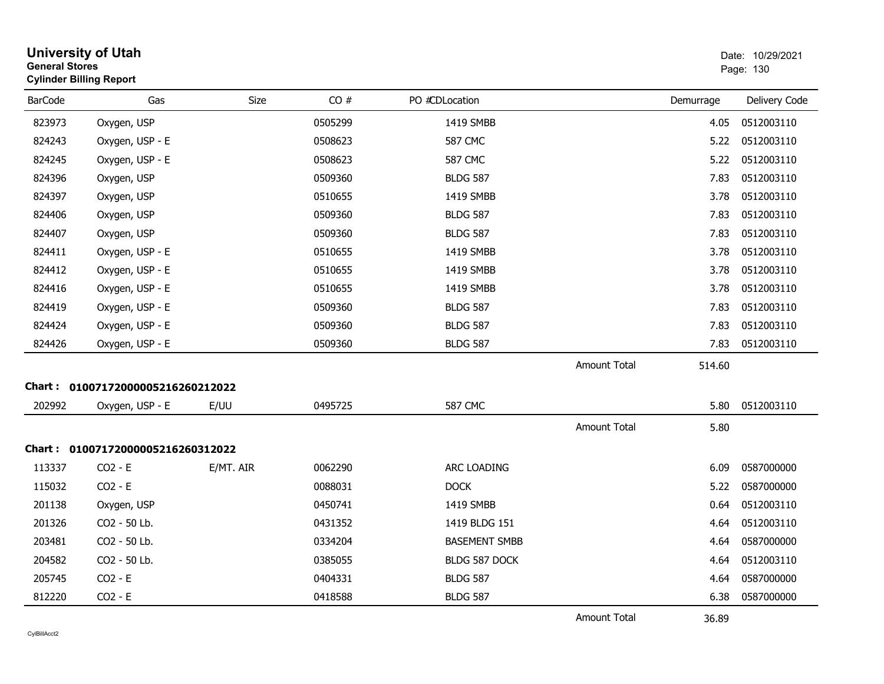| <b>General Stores</b> | <b>University of Utah</b><br><b>Cylinder Billing Report</b> |           |         |                      |                     |           | Date: 10/29/2021<br>Page: 130 |
|-----------------------|-------------------------------------------------------------|-----------|---------|----------------------|---------------------|-----------|-------------------------------|
| <b>BarCode</b>        | Gas                                                         | Size      | CO#     | PO #CDLocation       |                     | Demurrage | Delivery Code                 |
| 823973                | Oxygen, USP                                                 |           | 0505299 | 1419 SMBB            |                     | 4.05      | 0512003110                    |
| 824243                | Oxygen, USP - E                                             |           | 0508623 | <b>587 CMC</b>       |                     | 5.22      | 0512003110                    |
| 824245                | Oxygen, USP - E                                             |           | 0508623 | <b>587 CMC</b>       |                     | 5.22      | 0512003110                    |
| 824396                | Oxygen, USP                                                 |           | 0509360 | <b>BLDG 587</b>      |                     | 7.83      | 0512003110                    |
| 824397                | Oxygen, USP                                                 |           | 0510655 | 1419 SMBB            |                     | 3.78      | 0512003110                    |
| 824406                | Oxygen, USP                                                 |           | 0509360 | <b>BLDG 587</b>      |                     | 7.83      | 0512003110                    |
| 824407                | Oxygen, USP                                                 |           | 0509360 | <b>BLDG 587</b>      |                     | 7.83      | 0512003110                    |
| 824411                | Oxygen, USP - E                                             |           | 0510655 | 1419 SMBB            |                     | 3.78      | 0512003110                    |
| 824412                | Oxygen, USP - E                                             |           | 0510655 | 1419 SMBB            |                     | 3.78      | 0512003110                    |
| 824416                | Oxygen, USP - E                                             |           | 0510655 | 1419 SMBB            |                     | 3.78      | 0512003110                    |
| 824419                | Oxygen, USP - E                                             |           | 0509360 | <b>BLDG 587</b>      |                     | 7.83      | 0512003110                    |
| 824424                | Oxygen, USP - E                                             |           | 0509360 | <b>BLDG 587</b>      |                     | 7.83      | 0512003110                    |
| 824426                | Oxygen, USP - E                                             |           | 0509360 | <b>BLDG 587</b>      |                     | 7.83      | 0512003110                    |
|                       |                                                             |           |         |                      | Amount Total        | 514.60    |                               |
|                       | Chart: 01007172000005216260212022                           |           |         |                      |                     |           |                               |
| 202992                | Oxygen, USP - E                                             | E/UU      | 0495725 | <b>587 CMC</b>       |                     | 5.80      | 0512003110                    |
|                       |                                                             |           |         |                      | <b>Amount Total</b> | 5.80      |                               |
|                       | Chart: 01007172000005216260312022                           |           |         |                      |                     |           |                               |
| 113337                | $CO2 - E$                                                   | E/MT. AIR | 0062290 | ARC LOADING          |                     | 6.09      | 0587000000                    |
| 115032                | $CO2 - E$                                                   |           | 0088031 | <b>DOCK</b>          |                     | 5.22      | 0587000000                    |
| 201138                | Oxygen, USP                                                 |           | 0450741 | 1419 SMBB            |                     | 0.64      | 0512003110                    |
| 201326                | CO2 - 50 Lb.                                                |           | 0431352 | 1419 BLDG 151        |                     | 4.64      | 0512003110                    |
| 203481                | CO2 - 50 Lb.                                                |           | 0334204 | <b>BASEMENT SMBB</b> |                     | 4.64      | 0587000000                    |
| 204582                | CO2 - 50 Lb.                                                |           | 0385055 | BLDG 587 DOCK        |                     | 4.64      | 0512003110                    |
| 205745                | $CO2 - E$                                                   |           | 0404331 | <b>BLDG 587</b>      |                     | 4.64      | 0587000000                    |
| 812220                | $CO2 - E$                                                   |           | 0418588 | <b>BLDG 587</b>      |                     | 6.38      | 0587000000                    |
|                       |                                                             |           |         |                      | <b>Amount Total</b> | 36.89     |                               |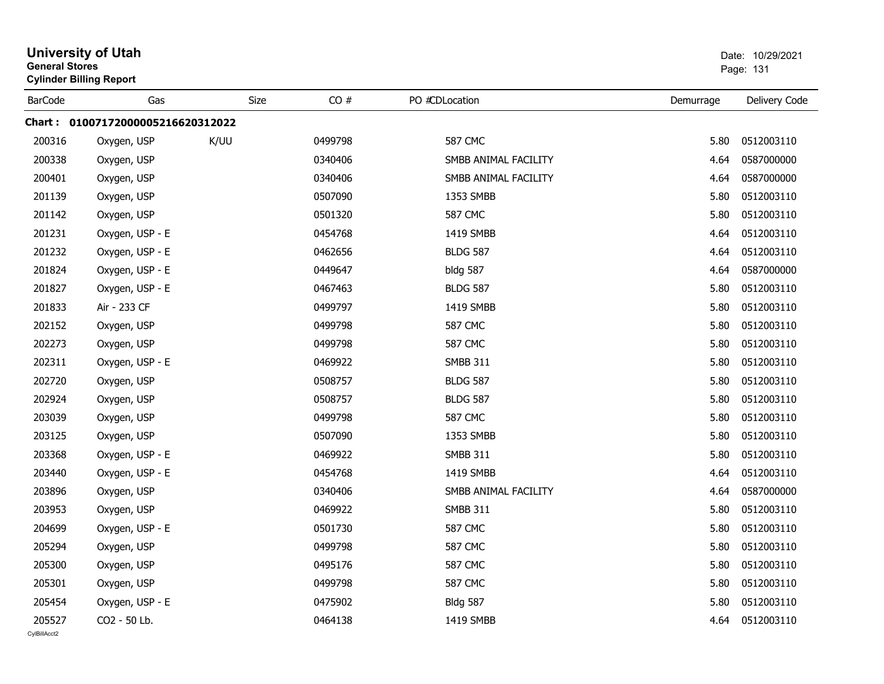|                | <b>University of Utah</b><br><b>General Stores</b><br><b>Cylinder Billing Report</b> |      |         |                      | Date: 10/29/2021<br>Page: 131 |               |  |
|----------------|--------------------------------------------------------------------------------------|------|---------|----------------------|-------------------------------|---------------|--|
| <b>BarCode</b> | Gas                                                                                  | Size | CO#     | PO #CDLocation       | Demurrage                     | Delivery Code |  |
|                | Chart: 01007172000005216620312022                                                    |      |         |                      |                               |               |  |
| 200316         | Oxygen, USP                                                                          | K/UU | 0499798 | <b>587 CMC</b>       | 5.80                          | 0512003110    |  |
| 200338         | Oxygen, USP                                                                          |      | 0340406 | SMBB ANIMAL FACILITY | 4.64                          | 0587000000    |  |
| 200401         | Oxygen, USP                                                                          |      | 0340406 | SMBB ANIMAL FACILITY | 4.64                          | 0587000000    |  |
| 201139         | Oxygen, USP                                                                          |      | 0507090 | 1353 SMBB            | 5.80                          | 0512003110    |  |
| 201142         | Oxygen, USP                                                                          |      | 0501320 | <b>587 CMC</b>       | 5.80                          | 0512003110    |  |
| 201231         | Oxygen, USP - E                                                                      |      | 0454768 | 1419 SMBB            | 4.64                          | 0512003110    |  |
| 201232         | Oxygen, USP - E                                                                      |      | 0462656 | <b>BLDG 587</b>      | 4.64                          | 0512003110    |  |
| 201824         | Oxygen, USP - E                                                                      |      | 0449647 | bldg 587             | 4.64                          | 0587000000    |  |
| 201827         | Oxygen, USP - E                                                                      |      | 0467463 | <b>BLDG 587</b>      | 5.80                          | 0512003110    |  |
| 201833         | Air - 233 CF                                                                         |      | 0499797 | 1419 SMBB            | 5.80                          | 0512003110    |  |
| 202152         | Oxygen, USP                                                                          |      | 0499798 | <b>587 CMC</b>       | 5.80                          | 0512003110    |  |
| 202273         | Oxygen, USP                                                                          |      | 0499798 | <b>587 CMC</b>       | 5.80                          | 0512003110    |  |
| 202311         | Oxygen, USP - E                                                                      |      | 0469922 | <b>SMBB 311</b>      | 5.80                          | 0512003110    |  |
| 202720         | Oxygen, USP                                                                          |      | 0508757 | <b>BLDG 587</b>      | 5.80                          | 0512003110    |  |
| 202924         | Oxygen, USP                                                                          |      | 0508757 | <b>BLDG 587</b>      | 5.80                          | 0512003110    |  |
| 203039         | Oxygen, USP                                                                          |      | 0499798 | <b>587 CMC</b>       | 5.80                          | 0512003110    |  |
| 203125         | Oxygen, USP                                                                          |      | 0507090 | 1353 SMBB            | 5.80                          | 0512003110    |  |
| 203368         | Oxygen, USP - E                                                                      |      | 0469922 | <b>SMBB 311</b>      | 5.80                          | 0512003110    |  |
| 203440         | Oxygen, USP - E                                                                      |      | 0454768 | 1419 SMBB            | 4.64                          | 0512003110    |  |
| 203896         | Oxygen, USP                                                                          |      | 0340406 | SMBB ANIMAL FACILITY | 4.64                          | 0587000000    |  |
| 203953         | Oxygen, USP                                                                          |      | 0469922 | <b>SMBB 311</b>      | 5.80                          | 0512003110    |  |
| 204699         | Oxygen, USP - E                                                                      |      | 0501730 | <b>587 CMC</b>       | 5.80                          | 0512003110    |  |
| 205294         | Oxygen, USP                                                                          |      | 0499798 | <b>587 CMC</b>       | 5.80                          | 0512003110    |  |
| 205300         | Oxygen, USP                                                                          |      | 0495176 | <b>587 CMC</b>       | 5.80                          | 0512003110    |  |
| 205301         | Oxygen, USP                                                                          |      | 0499798 | <b>587 CMC</b>       | 5.80                          | 0512003110    |  |
| 205454         | Oxygen, USP - E                                                                      |      | 0475902 | <b>Bldg 587</b>      | 5.80                          | 0512003110    |  |
| 205527         | CO2 - 50 Lb.                                                                         |      | 0464138 | 1419 SMBB            | 4.64                          | 0512003110    |  |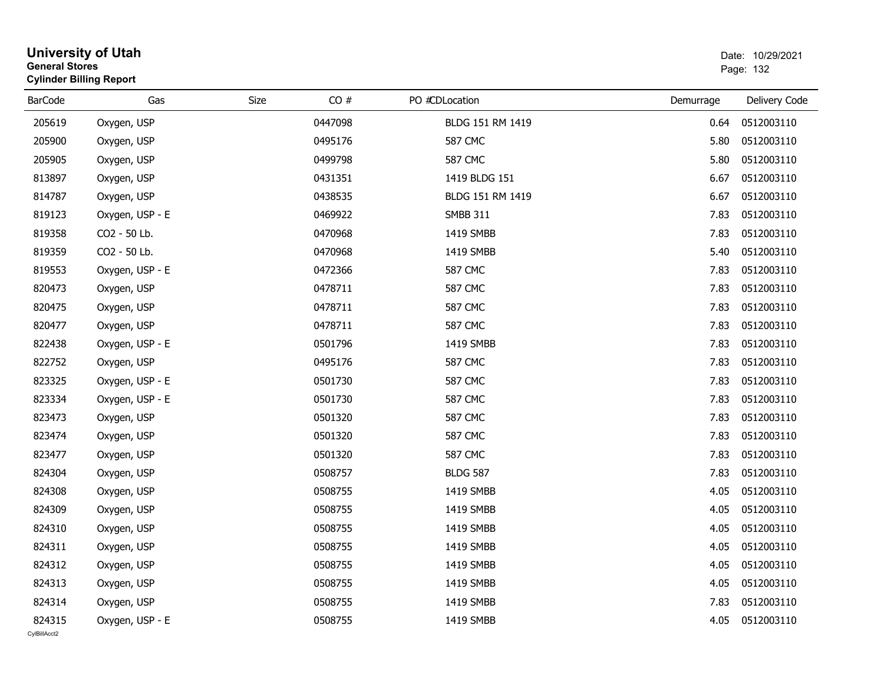| <b>General Stores</b>  | <b>University of Utah</b><br><b>Cylinder Billing Report</b> | Date: 10/29/2021<br>Page: 132 |         |                  |           |               |
|------------------------|-------------------------------------------------------------|-------------------------------|---------|------------------|-----------|---------------|
| <b>BarCode</b>         | Gas                                                         | Size                          | CO#     | PO #CDLocation   | Demurrage | Delivery Code |
| 205619                 | Oxygen, USP                                                 |                               | 0447098 | BLDG 151 RM 1419 | 0.64      | 0512003110    |
| 205900                 | Oxygen, USP                                                 |                               | 0495176 | <b>587 CMC</b>   | 5.80      | 0512003110    |
| 205905                 | Oxygen, USP                                                 |                               | 0499798 | 587 CMC          | 5.80      | 0512003110    |
| 813897                 | Oxygen, USP                                                 |                               | 0431351 | 1419 BLDG 151    | 6.67      | 0512003110    |
| 814787                 | Oxygen, USP                                                 |                               | 0438535 | BLDG 151 RM 1419 | 6.67      | 0512003110    |
| 819123                 | Oxygen, USP - E                                             |                               | 0469922 | <b>SMBB 311</b>  | 7.83      | 0512003110    |
| 819358                 | CO2 - 50 Lb.                                                |                               | 0470968 | 1419 SMBB        | 7.83      | 0512003110    |
| 819359                 | CO2 - 50 Lb.                                                |                               | 0470968 | 1419 SMBB        | 5.40      | 0512003110    |
| 819553                 | Oxygen, USP - E                                             |                               | 0472366 | <b>587 CMC</b>   | 7.83      | 0512003110    |
| 820473                 | Oxygen, USP                                                 |                               | 0478711 | <b>587 CMC</b>   | 7.83      | 0512003110    |
| 820475                 | Oxygen, USP                                                 |                               | 0478711 | <b>587 CMC</b>   | 7.83      | 0512003110    |
| 820477                 | Oxygen, USP                                                 |                               | 0478711 | <b>587 CMC</b>   | 7.83      | 0512003110    |
| 822438                 | Oxygen, USP - E                                             |                               | 0501796 | 1419 SMBB        | 7.83      | 0512003110    |
| 822752                 | Oxygen, USP                                                 |                               | 0495176 | <b>587 CMC</b>   | 7.83      | 0512003110    |
| 823325                 | Oxygen, USP - E                                             |                               | 0501730 | <b>587 CMC</b>   | 7.83      | 0512003110    |
| 823334                 | Oxygen, USP - E                                             |                               | 0501730 | <b>587 CMC</b>   | 7.83      | 0512003110    |
| 823473                 | Oxygen, USP                                                 |                               | 0501320 | <b>587 CMC</b>   | 7.83      | 0512003110    |
| 823474                 | Oxygen, USP                                                 |                               | 0501320 | <b>587 CMC</b>   | 7.83      | 0512003110    |
| 823477                 | Oxygen, USP                                                 |                               | 0501320 | <b>587 CMC</b>   | 7.83      | 0512003110    |
| 824304                 | Oxygen, USP                                                 |                               | 0508757 | <b>BLDG 587</b>  | 7.83      | 0512003110    |
| 824308                 | Oxygen, USP                                                 |                               | 0508755 | 1419 SMBB        | 4.05      | 0512003110    |
| 824309                 | Oxygen, USP                                                 |                               | 0508755 | 1419 SMBB        | 4.05      | 0512003110    |
| 824310                 | Oxygen, USP                                                 |                               | 0508755 | 1419 SMBB        | 4.05      | 0512003110    |
| 824311                 | Oxygen, USP                                                 |                               | 0508755 | 1419 SMBB        | 4.05      | 0512003110    |
| 824312                 | Oxygen, USP                                                 |                               | 0508755 | 1419 SMBB        | 4.05      | 0512003110    |
| 824313                 | Oxygen, USP                                                 |                               | 0508755 | 1419 SMBB        | 4.05      | 0512003110    |
| 824314                 | Oxygen, USP                                                 |                               | 0508755 | 1419 SMBB        | 7.83      | 0512003110    |
| 824315<br>CvIBillAcct2 | Oxygen, USP - E                                             |                               | 0508755 | 1419 SMBB        | 4.05      | 0512003110    |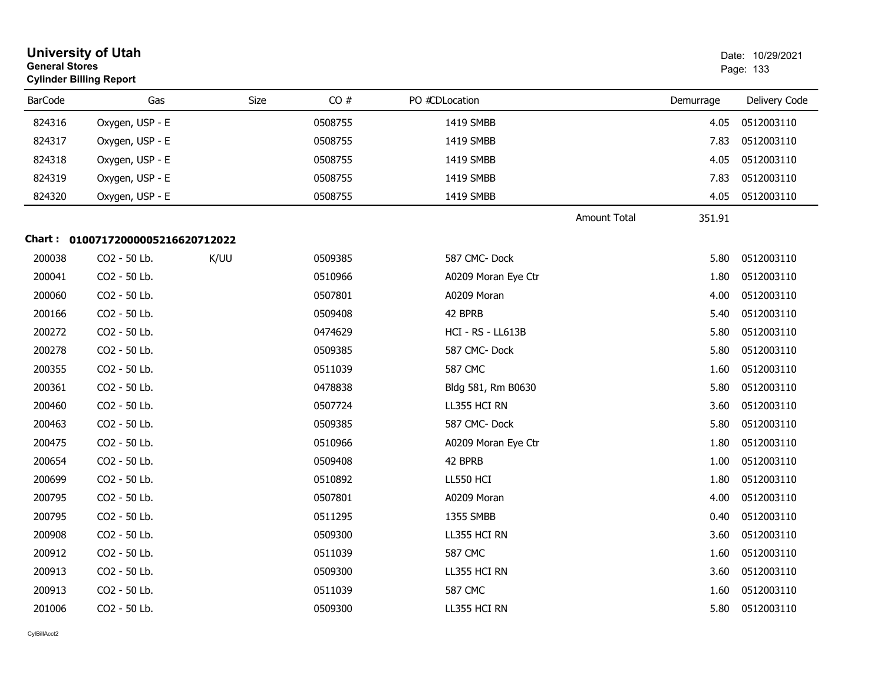| <b>General Stores</b> | <b>University of Utah</b><br><b>Cylinder Billing Report</b> |      |         |                          |                     | Date: 10/29/2021<br>Page: 133 |               |
|-----------------------|-------------------------------------------------------------|------|---------|--------------------------|---------------------|-------------------------------|---------------|
| <b>BarCode</b>        | Gas                                                         | Size | CO#     | PO #CDLocation           |                     | Demurrage                     | Delivery Code |
| 824316                | Oxygen, USP - E                                             |      | 0508755 | 1419 SMBB                |                     | 4.05                          | 0512003110    |
| 824317                | Oxygen, USP - E                                             |      | 0508755 | 1419 SMBB                |                     | 7.83                          | 0512003110    |
| 824318                | Oxygen, USP - E                                             |      | 0508755 | 1419 SMBB                |                     | 4.05                          | 0512003110    |
| 824319                | Oxygen, USP - E                                             |      | 0508755 | 1419 SMBB                |                     | 7.83                          | 0512003110    |
| 824320                | Oxygen, USP - E                                             |      | 0508755 | 1419 SMBB                |                     | 4.05                          | 0512003110    |
|                       |                                                             |      |         |                          | <b>Amount Total</b> | 351.91                        |               |
|                       | Chart: 01007172000005216620712022                           |      |         |                          |                     |                               |               |
| 200038                | CO2 - 50 Lb.                                                | K/UU | 0509385 | 587 CMC-Dock             |                     | 5.80                          | 0512003110    |
| 200041                | CO2 - 50 Lb.                                                |      | 0510966 | A0209 Moran Eye Ctr      |                     | 1.80                          | 0512003110    |
| 200060                | CO2 - 50 Lb.                                                |      | 0507801 | A0209 Moran              |                     | 4.00                          | 0512003110    |
| 200166                | CO2 - 50 Lb.                                                |      | 0509408 | 42 BPRB                  |                     | 5.40                          | 0512003110    |
| 200272                | CO2 - 50 Lb.                                                |      | 0474629 | <b>HCI - RS - LL613B</b> |                     | 5.80                          | 0512003110    |
| 200278                | CO2 - 50 Lb.                                                |      | 0509385 | 587 CMC-Dock             |                     | 5.80                          | 0512003110    |
| 200355                | CO2 - 50 Lb.                                                |      | 0511039 | <b>587 CMC</b>           |                     | 1.60                          | 0512003110    |
| 200361                | CO2 - 50 Lb.                                                |      | 0478838 | Bldg 581, Rm B0630       |                     | 5.80                          | 0512003110    |
| 200460                | CO2 - 50 Lb.                                                |      | 0507724 | LL355 HCI RN             |                     | 3.60                          | 0512003110    |
| 200463                | CO2 - 50 Lb.                                                |      | 0509385 | 587 CMC-Dock             |                     | 5.80                          | 0512003110    |
| 200475                | CO2 - 50 Lb.                                                |      | 0510966 | A0209 Moran Eye Ctr      |                     | 1.80                          | 0512003110    |
| 200654                | CO2 - 50 Lb.                                                |      | 0509408 | 42 BPRB                  |                     | 1.00                          | 0512003110    |
| 200699                | CO2 - 50 Lb.                                                |      | 0510892 | LL550 HCI                |                     | 1.80                          | 0512003110    |
| 200795                | CO2 - 50 Lb.                                                |      | 0507801 | A0209 Moran              |                     | 4.00                          | 0512003110    |
| 200795                | CO2 - 50 Lb.                                                |      | 0511295 | 1355 SMBB                |                     | 0.40                          | 0512003110    |
| 200908                | CO2 - 50 Lb.                                                |      | 0509300 | LL355 HCI RN             |                     | 3.60                          | 0512003110    |
| 200912                | CO2 - 50 Lb.                                                |      | 0511039 | <b>587 CMC</b>           |                     | 1.60                          | 0512003110    |
| 200913                | CO2 - 50 Lb.                                                |      | 0509300 | LL355 HCI RN             |                     | 3.60                          | 0512003110    |
| 200913                | CO2 - 50 Lb.                                                |      | 0511039 | <b>587 CMC</b>           |                     | 1.60                          | 0512003110    |
| 201006                | CO2 - 50 Lb.                                                |      | 0509300 | LL355 HCI RN             |                     | 5.80                          | 0512003110    |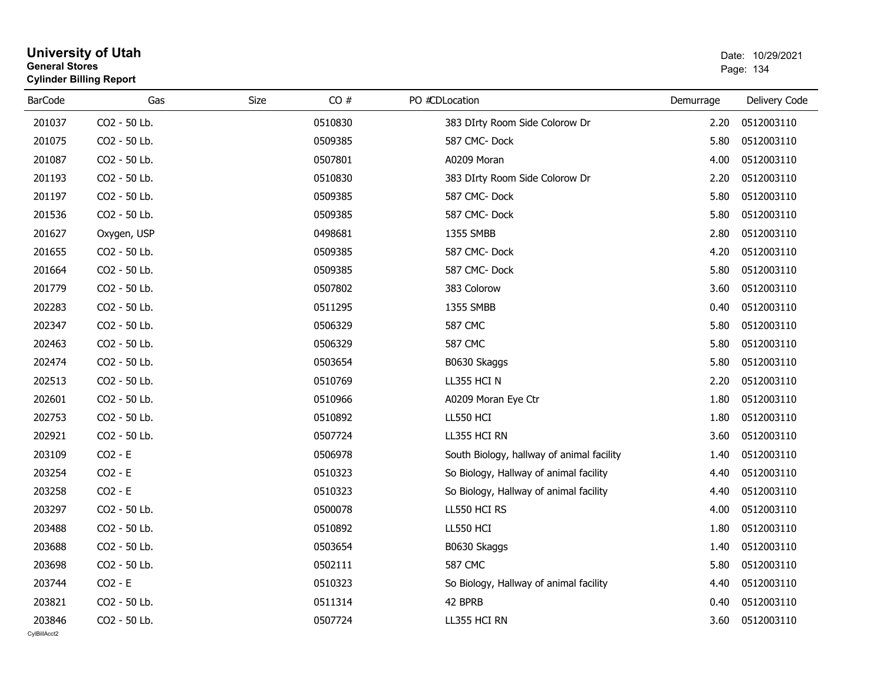|                        | <b>University of Utah</b><br><b>General Stores</b><br><b>Cylinder Billing Report</b> |      |         |                                           |           | Date: 10/29/2021<br>Page: 134 |  |
|------------------------|--------------------------------------------------------------------------------------|------|---------|-------------------------------------------|-----------|-------------------------------|--|
| <b>BarCode</b>         | Gas                                                                                  | Size | CO#     | PO #CDLocation                            | Demurrage | Delivery Code                 |  |
| 201037                 | CO2 - 50 Lb.                                                                         |      | 0510830 | 383 DIrty Room Side Colorow Dr            | 2.20      | 0512003110                    |  |
| 201075                 | CO2 - 50 Lb.                                                                         |      | 0509385 | 587 CMC-Dock                              | 5.80      | 0512003110                    |  |
| 201087                 | CO2 - 50 Lb.                                                                         |      | 0507801 | A0209 Moran                               | 4.00      | 0512003110                    |  |
| 201193                 | CO2 - 50 Lb.                                                                         |      | 0510830 | 383 DIrty Room Side Colorow Dr            | 2.20      | 0512003110                    |  |
| 201197                 | CO2 - 50 Lb.                                                                         |      | 0509385 | 587 CMC-Dock                              | 5.80      | 0512003110                    |  |
| 201536                 | CO2 - 50 Lb.                                                                         |      | 0509385 | 587 CMC-Dock                              | 5.80      | 0512003110                    |  |
| 201627                 | Oxygen, USP                                                                          |      | 0498681 | 1355 SMBB                                 | 2.80      | 0512003110                    |  |
| 201655                 | CO2 - 50 Lb.                                                                         |      | 0509385 | 587 CMC-Dock                              | 4.20      | 0512003110                    |  |
| 201664                 | CO2 - 50 Lb.                                                                         |      | 0509385 | 587 CMC-Dock                              | 5.80      | 0512003110                    |  |
| 201779                 | CO2 - 50 Lb.                                                                         |      | 0507802 | 383 Colorow                               | 3.60      | 0512003110                    |  |
| 202283                 | CO2 - 50 Lb.                                                                         |      | 0511295 | 1355 SMBB                                 | 0.40      | 0512003110                    |  |
| 202347                 | CO2 - 50 Lb.                                                                         |      | 0506329 | <b>587 CMC</b>                            | 5.80      | 0512003110                    |  |
| 202463                 | CO2 - 50 Lb.                                                                         |      | 0506329 | <b>587 CMC</b>                            | 5.80      | 0512003110                    |  |
| 202474                 | CO2 - 50 Lb.                                                                         |      | 0503654 | B0630 Skaggs                              | 5.80      | 0512003110                    |  |
| 202513                 | CO2 - 50 Lb.                                                                         |      | 0510769 | LL355 HCI N                               | 2.20      | 0512003110                    |  |
| 202601                 | CO2 - 50 Lb.                                                                         |      | 0510966 | A0209 Moran Eye Ctr                       | 1.80      | 0512003110                    |  |
| 202753                 | CO2 - 50 Lb.                                                                         |      | 0510892 | LL550 HCI                                 | 1.80      | 0512003110                    |  |
| 202921                 | CO2 - 50 Lb.                                                                         |      | 0507724 | LL355 HCI RN                              | 3.60      | 0512003110                    |  |
| 203109                 | $CO2 - E$                                                                            |      | 0506978 | South Biology, hallway of animal facility | 1.40      | 0512003110                    |  |
| 203254                 | $CO2 - E$                                                                            |      | 0510323 | So Biology, Hallway of animal facility    | 4.40      | 0512003110                    |  |
| 203258                 | $CO2 - E$                                                                            |      | 0510323 | So Biology, Hallway of animal facility    | 4.40      | 0512003110                    |  |
| 203297                 | CO2 - 50 Lb.                                                                         |      | 0500078 | LL550 HCI RS                              | 4.00      | 0512003110                    |  |
| 203488                 | CO2 - 50 Lb.                                                                         |      | 0510892 | LL550 HCI                                 | 1.80      | 0512003110                    |  |
| 203688                 | CO2 - 50 Lb.                                                                         |      | 0503654 | B0630 Skaggs                              | 1.40      | 0512003110                    |  |
| 203698                 | CO2 - 50 Lb.                                                                         |      | 0502111 | <b>587 CMC</b>                            | 5.80      | 0512003110                    |  |
| 203744                 | $CO2 - E$                                                                            |      | 0510323 | So Biology, Hallway of animal facility    | 4.40      | 0512003110                    |  |
| 203821                 | CO2 - 50 Lb.                                                                         |      | 0511314 | 42 BPRB                                   | 0.40      | 0512003110                    |  |
| 203846<br>CvIBillAcct2 | CO2 - 50 Lb.                                                                         |      | 0507724 | LL355 HCI RN                              | 3.60      | 0512003110                    |  |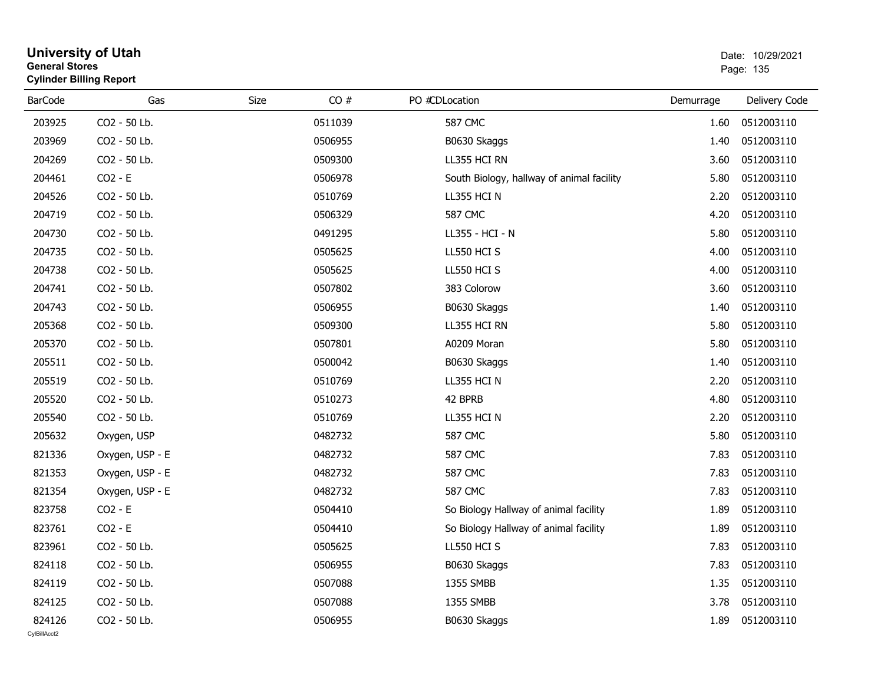|                | General Stores<br><b>Cylinder Billing Report</b> |             |         |                                           | Page: 135 |               |
|----------------|--------------------------------------------------|-------------|---------|-------------------------------------------|-----------|---------------|
| <b>BarCode</b> | Gas                                              | <b>Size</b> | CO#     | PO #CDLocation                            | Demurrage | Delivery Code |
| 203925         | CO2 - 50 Lb.                                     |             | 0511039 | <b>587 CMC</b>                            | 1.60      | 0512003110    |
| 203969         | CO2 - 50 Lb.                                     |             | 0506955 | B0630 Skaggs                              | 1.40      | 0512003110    |
| 204269         | CO2 - 50 Lb.                                     |             | 0509300 | LL355 HCI RN                              | 3.60      | 0512003110    |
| 204461         | $CO2 - E$                                        |             | 0506978 | South Biology, hallway of animal facility | 5.80      | 0512003110    |
| 204526         | CO2 - 50 Lb.                                     |             | 0510769 | LL355 HCI N                               | 2.20      | 0512003110    |
| 204719         | CO2 - 50 Lb.                                     |             | 0506329 | <b>587 CMC</b>                            | 4.20      | 0512003110    |
| 204730         | CO2 - 50 Lb.                                     |             | 0491295 | LL355 - HCI - N                           | 5.80      | 0512003110    |
| 204735         | CO2 - 50 Lb.                                     |             | 0505625 | LL550 HCI S                               | 4.00      | 0512003110    |
| 204738         | CO2 - 50 Lb.                                     |             | 0505625 | LL550 HCI S                               | 4.00      | 0512003110    |
| 204741         | CO2 - 50 Lb.                                     |             | 0507802 | 383 Colorow                               | 3.60      | 0512003110    |
| 204743         | CO2 - 50 Lb.                                     |             | 0506955 | B0630 Skaggs                              | 1.40      | 0512003110    |
| 205368         | CO2 - 50 Lb.                                     |             | 0509300 | LL355 HCI RN                              | 5.80      | 0512003110    |
| 205370         | CO2 - 50 Lb.                                     |             | 0507801 | A0209 Moran                               | 5.80      | 0512003110    |
| 205511         | CO2 - 50 Lb.                                     |             | 0500042 | B0630 Skaggs                              | 1.40      | 0512003110    |
| 205519         | CO2 - 50 Lb.                                     |             | 0510769 | LL355 HCI N                               | 2.20      | 0512003110    |
| 205520         | CO2 - 50 Lb.                                     |             | 0510273 | 42 BPRB                                   | 4.80      | 0512003110    |
| 205540         | CO2 - 50 Lb.                                     |             | 0510769 | LL355 HCI N                               | 2.20      | 0512003110    |
| 205632         | Oxygen, USP                                      |             | 0482732 | <b>587 CMC</b>                            | 5.80      | 0512003110    |
| 821336         | Oxygen, USP - E                                  |             | 0482732 | <b>587 CMC</b>                            | 7.83      | 0512003110    |
| 821353         | Oxygen, USP - E                                  |             | 0482732 | <b>587 CMC</b>                            | 7.83      | 0512003110    |
| 821354         | Oxygen, USP - E                                  |             | 0482732 | <b>587 CMC</b>                            | 7.83      | 0512003110    |
| 823758         | $CO2 - E$                                        |             | 0504410 | So Biology Hallway of animal facility     | 1.89      | 0512003110    |
| 823761         | $CO2 - E$                                        |             | 0504410 | So Biology Hallway of animal facility     | 1.89      | 0512003110    |
| 823961         | CO2 - 50 Lb.                                     |             | 0505625 | LL550 HCI S                               | 7.83      | 0512003110    |
| 824118         | CO2 - 50 Lb.                                     |             | 0506955 | B0630 Skaggs                              | 7.83      | 0512003110    |
| 824119         | CO2 - 50 Lb.                                     |             | 0507088 | 1355 SMBB                                 | 1.35      | 0512003110    |
| 824125         | CO2 - 50 Lb.                                     |             | 0507088 | 1355 SMBB                                 | 3.78      | 0512003110    |
| 824126         | CO2 - 50 Lb.                                     |             | 0506955 | B0630 Skaggs                              | 1.89      | 0512003110    |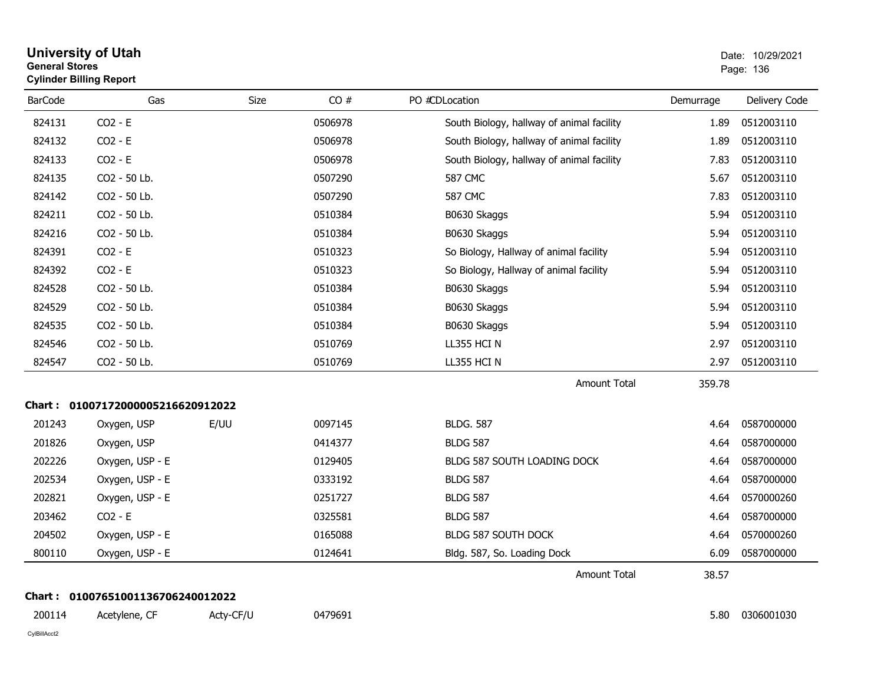| General Stores | <b>Cylinder Billing Report</b>    |           |         |                                           | Page: 136 |               |
|----------------|-----------------------------------|-----------|---------|-------------------------------------------|-----------|---------------|
| <b>BarCode</b> | Gas                               | Size      | CO#     | PO #CDLocation                            | Demurrage | Delivery Code |
| 824131         | $CO2 - E$                         |           | 0506978 | South Biology, hallway of animal facility | 1.89      | 0512003110    |
| 824132         | $CO2 - E$                         |           | 0506978 | South Biology, hallway of animal facility | 1.89      | 0512003110    |
| 824133         | $CO2 - E$                         |           | 0506978 | South Biology, hallway of animal facility | 7.83      | 0512003110    |
| 824135         | CO2 - 50 Lb.                      |           | 0507290 | <b>587 CMC</b>                            | 5.67      | 0512003110    |
| 824142         | CO2 - 50 Lb.                      |           | 0507290 | <b>587 CMC</b>                            | 7.83      | 0512003110    |
| 824211         | CO2 - 50 Lb.                      |           | 0510384 | B0630 Skaggs                              | 5.94      | 0512003110    |
| 824216         | CO2 - 50 Lb.                      |           | 0510384 | B0630 Skaggs                              | 5.94      | 0512003110    |
| 824391         | $CO2 - E$                         |           | 0510323 | So Biology, Hallway of animal facility    | 5.94      | 0512003110    |
| 824392         | $CO2 - E$                         |           | 0510323 | So Biology, Hallway of animal facility    | 5.94      | 0512003110    |
| 824528         | CO2 - 50 Lb.                      |           | 0510384 | B0630 Skaggs                              | 5.94      | 0512003110    |
| 824529         | CO2 - 50 Lb.                      |           | 0510384 | B0630 Skaggs                              | 5.94      | 0512003110    |
| 824535         | CO2 - 50 Lb.                      |           | 0510384 | B0630 Skaggs                              | 5.94      | 0512003110    |
| 824546         | CO2 - 50 Lb.                      |           | 0510769 | LL355 HCI N                               | 2.97      | 0512003110    |
| 824547         | CO2 - 50 Lb.                      |           | 0510769 | LL355 HCI N                               | 2.97      | 0512003110    |
|                |                                   |           |         | <b>Amount Total</b>                       | 359.78    |               |
|                | Chart: 01007172000005216620912022 |           |         |                                           |           |               |
| 201243         | Oxygen, USP                       | E/UU      | 0097145 | <b>BLDG, 587</b>                          | 4.64      | 0587000000    |
| 201826         | Oxygen, USP                       |           | 0414377 | <b>BLDG 587</b>                           | 4.64      | 0587000000    |
| 202226         | Oxygen, USP - E                   |           | 0129405 | BLDG 587 SOUTH LOADING DOCK               | 4.64      | 0587000000    |
| 202534         | Oxygen, USP - E                   |           | 0333192 | <b>BLDG 587</b>                           | 4.64      | 0587000000    |
| 202821         | Oxygen, USP - E                   |           | 0251727 | <b>BLDG 587</b>                           | 4.64      | 0570000260    |
| 203462         | $CO2 - E$                         |           | 0325581 | <b>BLDG 587</b>                           | 4.64      | 0587000000    |
| 204502         | Oxygen, USP - E                   |           | 0165088 | BLDG 587 SOUTH DOCK                       | 4.64      | 0570000260    |
| 800110         | Oxygen, USP - E                   |           | 0124641 | Bldg. 587, So. Loading Dock               | 6.09      | 0587000000    |
|                |                                   |           |         | <b>Amount Total</b>                       | 38.57     |               |
|                | Chart: 01007651001136706240012022 |           |         |                                           |           |               |
| 200114         | Acetylene, CF                     | Acty-CF/U | 0479691 |                                           | 5.80      | 0306001030    |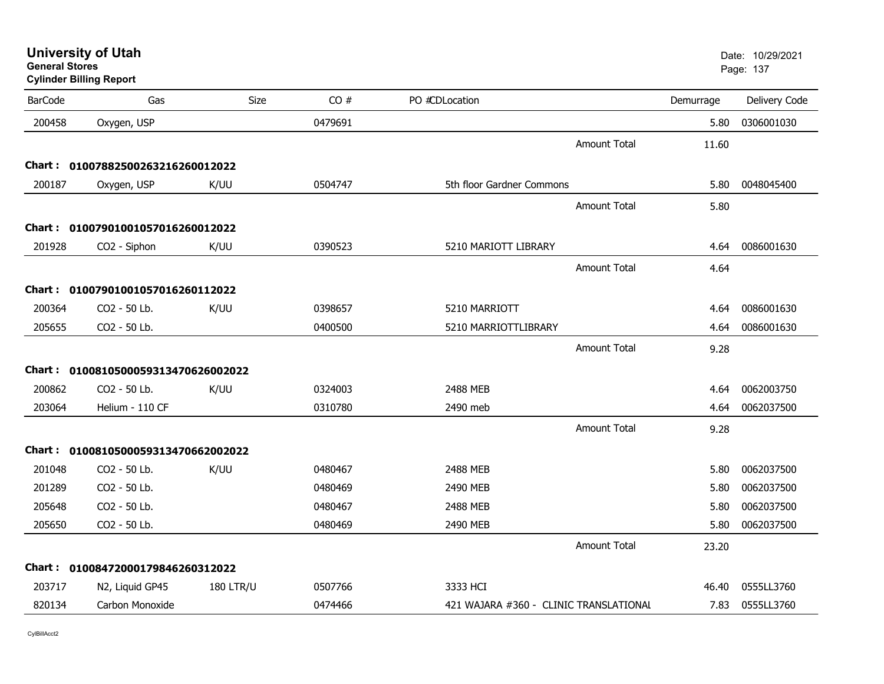| <b>General Stores</b> | <b>University of Utah</b><br><b>Cylinder Billing Report</b> |                  |         |                                        |                     |           | Date: 10/29/2021<br>Page: 137 |
|-----------------------|-------------------------------------------------------------|------------------|---------|----------------------------------------|---------------------|-----------|-------------------------------|
| <b>BarCode</b>        | Gas                                                         | Size             | CO#     | PO #CDLocation                         |                     | Demurrage | Delivery Code                 |
| 200458                | Oxygen, USP                                                 |                  | 0479691 |                                        |                     | 5.80      | 0306001030                    |
|                       |                                                             |                  |         |                                        | <b>Amount Total</b> | 11.60     |                               |
|                       | Chart: 01007882500263216260012022                           |                  |         |                                        |                     |           |                               |
| 200187                | Oxygen, USP                                                 | K/UU             | 0504747 | 5th floor Gardner Commons              |                     | 5.80      | 0048045400                    |
|                       |                                                             |                  |         |                                        | <b>Amount Total</b> | 5.80      |                               |
|                       | Chart: 01007901001057016260012022                           |                  |         |                                        |                     |           |                               |
| 201928                | CO2 - Siphon                                                | K/UU             | 0390523 | 5210 MARIOTT LIBRARY                   |                     | 4.64      | 0086001630                    |
|                       |                                                             |                  |         |                                        | <b>Amount Total</b> | 4.64      |                               |
|                       | Chart: 01007901001057016260112022                           |                  |         |                                        |                     |           |                               |
| 200364                | CO2 - 50 Lb.                                                | K/UU             | 0398657 | 5210 MARRIOTT                          |                     | 4.64      | 0086001630                    |
| 205655                | CO <sub>2</sub> - 50 Lb.                                    |                  | 0400500 | 5210 MARRIOTTLIBRARY                   |                     | 4.64      | 0086001630                    |
|                       |                                                             |                  |         |                                        | <b>Amount Total</b> | 9.28      |                               |
|                       | Chart: 0100810500059313470626002022                         |                  |         |                                        |                     |           |                               |
| 200862                | CO2 - 50 Lb.                                                | K/UU             | 0324003 | 2488 MEB                               |                     | 4.64      | 0062003750                    |
| 203064                | Helium - 110 CF                                             |                  | 0310780 | 2490 meb                               |                     | 4.64      | 0062037500                    |
|                       |                                                             |                  |         |                                        | <b>Amount Total</b> | 9.28      |                               |
|                       | Chart: 0100810500059313470662002022                         |                  |         |                                        |                     |           |                               |
| 201048                | CO <sub>2</sub> - 50 Lb.                                    | K/UU             | 0480467 | 2488 MEB                               |                     | 5.80      | 0062037500                    |
| 201289                | CO <sub>2</sub> - 50 Lb.                                    |                  | 0480469 | 2490 MEB                               |                     | 5.80      | 0062037500                    |
| 205648                | CO2 - 50 Lb.                                                |                  | 0480467 | 2488 MEB                               |                     | 5.80      | 0062037500                    |
| 205650                | CO2 - 50 Lb.                                                |                  | 0480469 | 2490 MEB                               |                     | 5.80      | 0062037500                    |
|                       |                                                             |                  |         |                                        | <b>Amount Total</b> | 23.20     |                               |
|                       | Chart: 01008472000179846260312022                           |                  |         |                                        |                     |           |                               |
| 203717                | N2, Liquid GP45                                             | <b>180 LTR/U</b> | 0507766 | 3333 HCI                               |                     | 46.40     | 0555LL3760                    |
| 820134                | Carbon Monoxide                                             |                  | 0474466 | 421 WAJARA #360 - CLINIC TRANSLATIONAL |                     | 7.83      | 0555LL3760                    |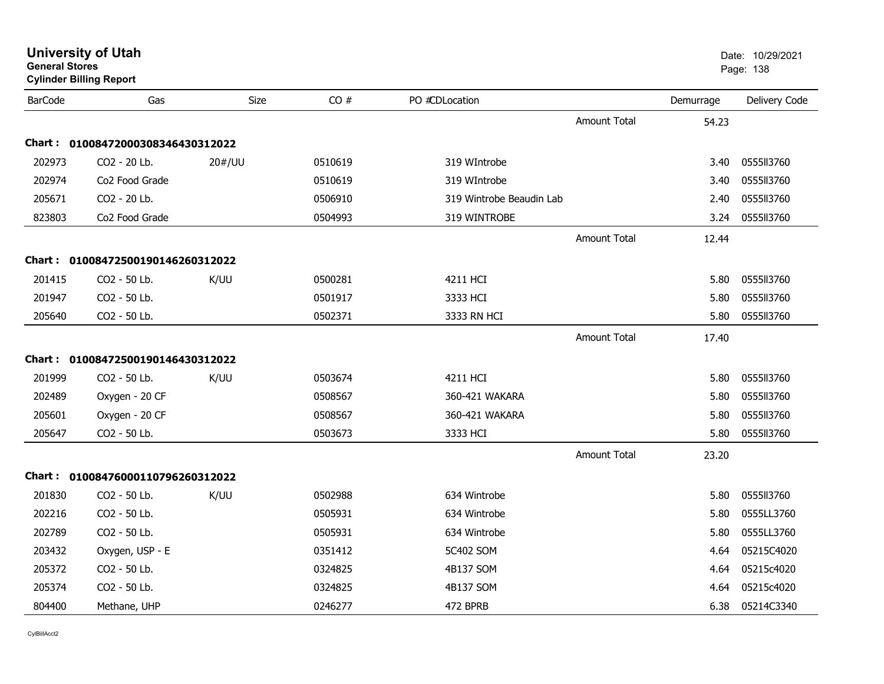| <b>General Stores</b> | <b>University of Utah</b><br><b>Cylinder Billing Report</b> |        |         |                          |                     |           | Date: 10/29/2021<br>Page: 138 |
|-----------------------|-------------------------------------------------------------|--------|---------|--------------------------|---------------------|-----------|-------------------------------|
| <b>BarCode</b>        | Gas                                                         | Size   | CO#     | PO #CDLocation           |                     | Demurrage | Delivery Code                 |
|                       |                                                             |        |         |                          | <b>Amount Total</b> | 54.23     |                               |
|                       | Chart: 01008472000308346430312022                           |        |         |                          |                     |           |                               |
| 202973                | CO <sub>2</sub> - 20 Lb.                                    | 20#/UU | 0510619 | 319 WIntrobe             |                     | 3.40      | 0555113760                    |
| 202974                | Co2 Food Grade                                              |        | 0510619 | 319 WIntrobe             |                     | 3.40      | 0555113760                    |
| 205671                | CO2 - 20 Lb.                                                |        | 0506910 | 319 Wintrobe Beaudin Lab |                     | 2.40      | 0555113760                    |
| 823803                | Co2 Food Grade                                              |        | 0504993 | 319 WINTROBE             |                     | 3.24      | 0555113760                    |
|                       |                                                             |        |         |                          | <b>Amount Total</b> | 12.44     |                               |
|                       | Chart: 01008472500190146260312022                           |        |         |                          |                     |           |                               |
| 201415                | CO <sub>2</sub> - 50 Lb.                                    | K/UU   | 0500281 | 4211 HCI                 |                     | 5.80      | 0555113760                    |
| 201947                | CO2 - 50 Lb.                                                |        | 0501917 | 3333 HCI                 |                     | 5.80      | 0555113760                    |
| 205640                | CO2 - 50 Lb.                                                |        | 0502371 | 3333 RN HCI              |                     | 5.80      | 0555ll3760                    |
|                       |                                                             |        |         |                          | <b>Amount Total</b> | 17.40     |                               |
|                       | Chart: 01008472500190146430312022                           |        |         |                          |                     |           |                               |
| 201999                | CO2 - 50 Lb.                                                | K/UU   | 0503674 | 4211 HCI                 |                     | 5.80      | 0555113760                    |
| 202489                | Oxygen - 20 CF                                              |        | 0508567 | 360-421 WAKARA           |                     | 5.80      | 0555113760                    |
| 205601                | Oxygen - 20 CF                                              |        | 0508567 | 360-421 WAKARA           |                     | 5.80      | 0555113760                    |
| 205647                | CO2 - 50 Lb.                                                |        | 0503673 | 3333 HCI                 |                     | 5.80      | 0555113760                    |
|                       |                                                             |        |         |                          | Amount Total        | 23.20     |                               |
|                       | Chart: 01008476000110796260312022                           |        |         |                          |                     |           |                               |
| 201830                | CO2 - 50 Lb.                                                | K/UU   | 0502988 | 634 Wintrobe             |                     | 5.80      | 055513760                     |
| 202216                | CO <sub>2</sub> - 50 Lb.                                    |        | 0505931 | 634 Wintrobe             |                     | 5.80      | 0555LL3760                    |
| 202789                | CO2 - 50 Lb.                                                |        | 0505931 | 634 Wintrobe             |                     | 5.80      | 0555LL3760                    |
| 203432                | Oxygen, USP - E                                             |        | 0351412 | 5C402 SOM                |                     | 4.64      | 05215C4020                    |
| 205372                | CO2 - 50 Lb.                                                |        | 0324825 | 4B137 SOM                |                     | 4.64      | 05215c4020                    |
| 205374                | CO2 - 50 Lb.                                                |        | 0324825 | 4B137 SOM                |                     | 4.64      | 05215c4020                    |
| 804400                | Methane, UHP                                                |        | 0246277 | 472 BPRB                 |                     | 6.38      | 05214C3340                    |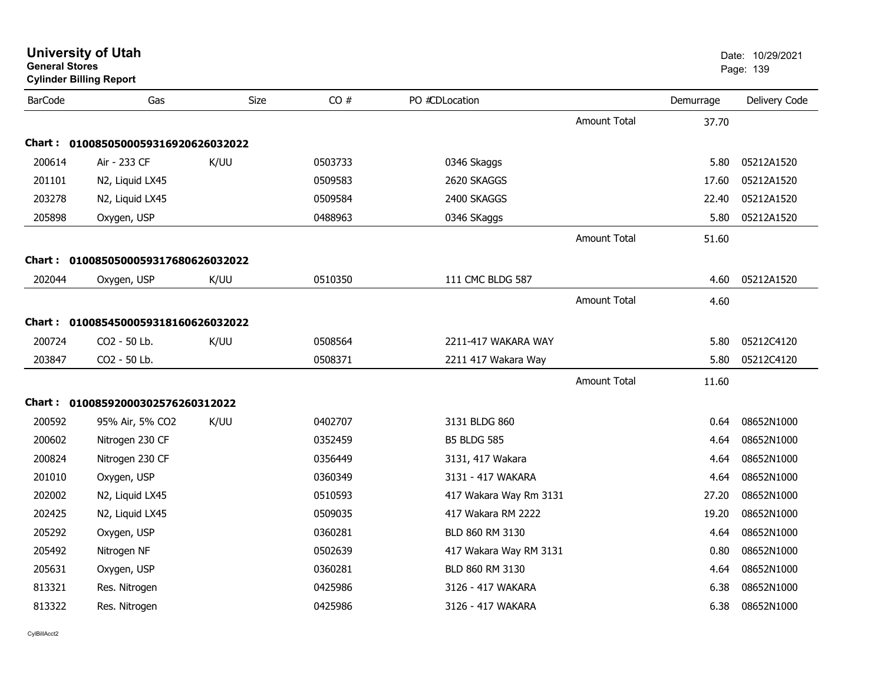| <b>General Stores</b> | <b>University of Utah</b><br><b>Cylinder Billing Report</b> |             |         |                        |                     |           | Date: 10/29/2021<br>Page: 139 |
|-----------------------|-------------------------------------------------------------|-------------|---------|------------------------|---------------------|-----------|-------------------------------|
| <b>BarCode</b>        | Gas                                                         | <b>Size</b> | CO#     | PO #CDLocation         |                     | Demurrage | Delivery Code                 |
|                       |                                                             |             |         |                        | <b>Amount Total</b> | 37.70     |                               |
|                       | Chart: 0100850500059316920626032022                         |             |         |                        |                     |           |                               |
| 200614                | Air - 233 CF                                                | K/UU        | 0503733 | 0346 Skaggs            |                     | 5.80      | 05212A1520                    |
| 201101                | N2, Liquid LX45                                             |             | 0509583 | 2620 SKAGGS            |                     | 17.60     | 05212A1520                    |
| 203278                | N2, Liquid LX45                                             |             | 0509584 | 2400 SKAGGS            |                     | 22.40     | 05212A1520                    |
| 205898                | Oxygen, USP                                                 |             | 0488963 | 0346 SKaggs            |                     | 5.80      | 05212A1520                    |
|                       |                                                             |             |         |                        | <b>Amount Total</b> | 51.60     |                               |
| Chart :               | 0100850500059317680626032022                                |             |         |                        |                     |           |                               |
| 202044                | Oxygen, USP                                                 | K/UU        | 0510350 | 111 CMC BLDG 587       |                     | 4.60      | 05212A1520                    |
|                       |                                                             |             |         |                        | <b>Amount Total</b> | 4.60      |                               |
| Chart :               | 0100854500059318160626032022                                |             |         |                        |                     |           |                               |
| 200724                | CO2 - 50 Lb.                                                | K/UU        | 0508564 | 2211-417 WAKARA WAY    |                     | 5.80      | 05212C4120                    |
| 203847                | CO2 - 50 Lb.                                                |             | 0508371 | 2211 417 Wakara Way    |                     | 5.80      | 05212C4120                    |
|                       |                                                             |             |         |                        | <b>Amount Total</b> | 11.60     |                               |
|                       |                                                             |             |         |                        |                     |           |                               |
|                       | Chart: 01008592000302576260312022                           |             |         |                        |                     |           |                               |
| 200592                | 95% Air, 5% CO2                                             | K/UU        | 0402707 | 3131 BLDG 860          |                     | 0.64      | 08652N1000                    |
| 200602                | Nitrogen 230 CF                                             |             | 0352459 | <b>B5 BLDG 585</b>     |                     | 4.64      | 08652N1000                    |
| 200824                | Nitrogen 230 CF                                             |             | 0356449 | 3131, 417 Wakara       |                     | 4.64      | 08652N1000                    |
| 201010                | Oxygen, USP                                                 |             | 0360349 | 3131 - 417 WAKARA      |                     | 4.64      | 08652N1000                    |
| 202002                | N2, Liquid LX45                                             |             | 0510593 | 417 Wakara Way Rm 3131 |                     | 27.20     | 08652N1000                    |
| 202425                | N2, Liquid LX45                                             |             | 0509035 | 417 Wakara RM 2222     |                     | 19.20     | 08652N1000                    |
| 205292                | Oxygen, USP                                                 |             | 0360281 | BLD 860 RM 3130        |                     | 4.64      | 08652N1000                    |
| 205492                | Nitrogen NF                                                 |             | 0502639 | 417 Wakara Way RM 3131 |                     | 0.80      | 08652N1000                    |
| 205631                | Oxygen, USP                                                 |             | 0360281 | BLD 860 RM 3130        |                     | 4.64      | 08652N1000                    |
| 813321                | Res. Nitrogen                                               |             | 0425986 | 3126 - 417 WAKARA      |                     | 6.38      | 08652N1000                    |
| 813322                | Res. Nitrogen                                               |             | 0425986 | 3126 - 417 WAKARA      |                     | 6.38      | 08652N1000                    |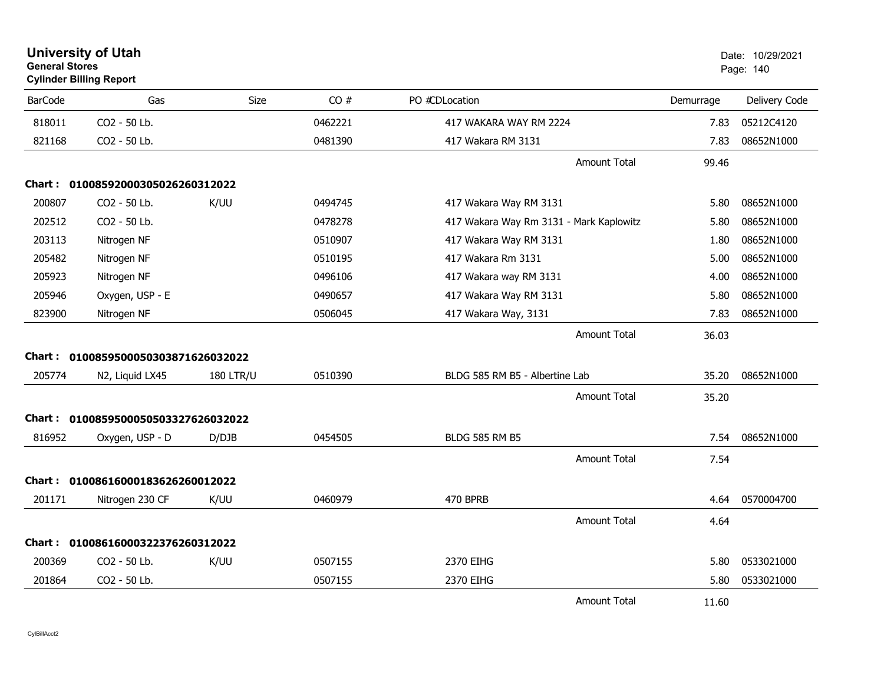| <b>General Stores</b> | <b>University of Utah</b><br><b>Cylinder Billing Report</b> |                  |         |                                         |           | Date: 10/29/2021<br>Page: 140 |
|-----------------------|-------------------------------------------------------------|------------------|---------|-----------------------------------------|-----------|-------------------------------|
| <b>BarCode</b>        | Gas                                                         | Size             | CO#     | PO #CDLocation                          | Demurrage | Delivery Code                 |
| 818011                | CO2 - 50 Lb.                                                |                  | 0462221 | 417 WAKARA WAY RM 2224                  | 7.83      | 05212C4120                    |
| 821168                | CO2 - 50 Lb.                                                |                  | 0481390 | 417 Wakara RM 3131                      | 7.83      | 08652N1000                    |
|                       |                                                             |                  |         | <b>Amount Total</b>                     | 99.46     |                               |
|                       | Chart: 01008592000305026260312022                           |                  |         |                                         |           |                               |
| 200807                | CO2 - 50 Lb.                                                | K/UU             | 0494745 | 417 Wakara Way RM 3131                  | 5.80      | 08652N1000                    |
| 202512                | CO2 - 50 Lb.                                                |                  | 0478278 | 417 Wakara Way Rm 3131 - Mark Kaplowitz | 5.80      | 08652N1000                    |
| 203113                | Nitrogen NF                                                 |                  | 0510907 | 417 Wakara Way RM 3131                  | 1.80      | 08652N1000                    |
| 205482                | Nitrogen NF                                                 |                  | 0510195 | 417 Wakara Rm 3131                      | 5.00      | 08652N1000                    |
| 205923                | Nitrogen NF                                                 |                  | 0496106 | 417 Wakara way RM 3131                  | 4.00      | 08652N1000                    |
| 205946                | Oxygen, USP - E                                             |                  | 0490657 | 417 Wakara Way RM 3131                  | 5.80      | 08652N1000                    |
| 823900                | Nitrogen NF                                                 |                  | 0506045 | 417 Wakara Way, 3131                    | 7.83      | 08652N1000                    |
|                       |                                                             |                  |         | <b>Amount Total</b>                     | 36.03     |                               |
|                       | Chart: 0100859500050303871626032022                         |                  |         |                                         |           |                               |
| 205774                | N2, Liquid LX45                                             | <b>180 LTR/U</b> | 0510390 | BLDG 585 RM B5 - Albertine Lab          | 35.20     | 08652N1000                    |
|                       |                                                             |                  |         | <b>Amount Total</b>                     | 35.20     |                               |
|                       | Chart: 0100859500050503327626032022                         |                  |         |                                         |           |                               |
| 816952                | Oxygen, USP - D                                             | D/DJB            | 0454505 | <b>BLDG 585 RM B5</b>                   | 7.54      | 08652N1000                    |
|                       |                                                             |                  |         | <b>Amount Total</b>                     | 7.54      |                               |
|                       | Chart: 01008616000183626260012022                           |                  |         |                                         |           |                               |
| 201171                | Nitrogen 230 CF                                             | K/UU             | 0460979 | 470 BPRB                                | 4.64      | 0570004700                    |
|                       |                                                             |                  |         | <b>Amount Total</b>                     | 4.64      |                               |
| Chart :               | 01008616000322376260312022                                  |                  |         |                                         |           |                               |
| 200369                | CO2 - 50 Lb.                                                | K/UU             | 0507155 | 2370 EIHG                               | 5.80      | 0533021000                    |
| 201864                | CO2 - 50 Lb.                                                |                  | 0507155 | 2370 EIHG                               | 5.80      | 0533021000                    |
|                       |                                                             |                  |         | <b>Amount Total</b>                     | 11.60     |                               |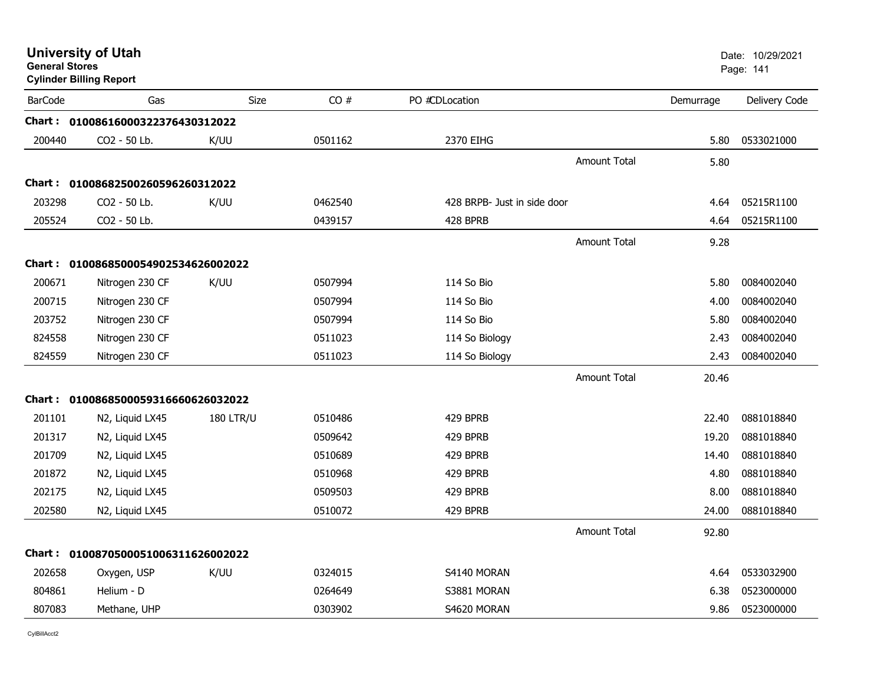| <b>General Stores</b> | <b>University of Utah</b><br><b>Cylinder Billing Report</b> |                  |         |                             |                     |           | Date: 10/29/2021<br>Page: 141 |
|-----------------------|-------------------------------------------------------------|------------------|---------|-----------------------------|---------------------|-----------|-------------------------------|
| <b>BarCode</b>        | Gas                                                         | <b>Size</b>      | CO#     | PO #CDLocation              |                     | Demurrage | Delivery Code                 |
|                       | Chart: 01008616000322376430312022                           |                  |         |                             |                     |           |                               |
| 200440                | CO2 - 50 Lb.                                                | K/UU             | 0501162 | 2370 EIHG                   |                     | 5.80      | 0533021000                    |
|                       |                                                             |                  |         |                             | Amount Total        | 5.80      |                               |
|                       | Chart: 01008682500260596260312022                           |                  |         |                             |                     |           |                               |
| 203298                | CO2 - 50 Lb.                                                | K/UU             | 0462540 | 428 BRPB- Just in side door |                     | 4.64      | 05215R1100                    |
| 205524                | CO2 - 50 Lb.                                                |                  | 0439157 | 428 BPRB                    |                     | 4.64      | 05215R1100                    |
|                       |                                                             |                  |         |                             | <b>Amount Total</b> | 9.28      |                               |
|                       | Chart: 0100868500054902534626002022                         |                  |         |                             |                     |           |                               |
| 200671                | Nitrogen 230 CF                                             | K/UU             | 0507994 | 114 So Bio                  |                     | 5.80      | 0084002040                    |
| 200715                | Nitrogen 230 CF                                             |                  | 0507994 | 114 So Bio                  |                     | 4.00      | 0084002040                    |
| 203752                | Nitrogen 230 CF                                             |                  | 0507994 | 114 So Bio                  |                     | 5.80      | 0084002040                    |
| 824558                | Nitrogen 230 CF                                             |                  | 0511023 | 114 So Biology              |                     | 2.43      | 0084002040                    |
| 824559                | Nitrogen 230 CF                                             |                  | 0511023 | 114 So Biology              |                     | 2.43      | 0084002040                    |
|                       |                                                             |                  |         |                             | <b>Amount Total</b> | 20.46     |                               |
|                       | Chart: 0100868500059316660626032022                         |                  |         |                             |                     |           |                               |
| 201101                | N <sub>2</sub> , Liquid LX <sub>45</sub>                    | <b>180 LTR/U</b> | 0510486 | 429 BPRB                    |                     | 22.40     | 0881018840                    |
| 201317                | N2, Liquid LX45                                             |                  | 0509642 | 429 BPRB                    |                     | 19.20     | 0881018840                    |
| 201709                | N2, Liquid LX45                                             |                  | 0510689 | 429 BPRB                    |                     | 14.40     | 0881018840                    |
| 201872                | N2, Liquid LX45                                             |                  | 0510968 | 429 BPRB                    |                     | 4.80      | 0881018840                    |
| 202175                | N2, Liquid LX45                                             |                  | 0509503 | 429 BPRB                    |                     | 8.00      | 0881018840                    |
| 202580                | N2, Liquid LX45                                             |                  | 0510072 | 429 BPRB                    |                     | 24.00     | 0881018840                    |
|                       |                                                             |                  |         |                             | <b>Amount Total</b> | 92.80     |                               |
|                       | Chart: 0100870500051006311626002022                         |                  |         |                             |                     |           |                               |
| 202658                | Oxygen, USP                                                 | K/UU             | 0324015 | S4140 MORAN                 |                     | 4.64      | 0533032900                    |
| 804861                | Helium - D                                                  |                  | 0264649 | S3881 MORAN                 |                     | 6.38      | 0523000000                    |
| 807083                | Methane, UHP                                                |                  | 0303902 | S4620 MORAN                 |                     | 9.86      | 0523000000                    |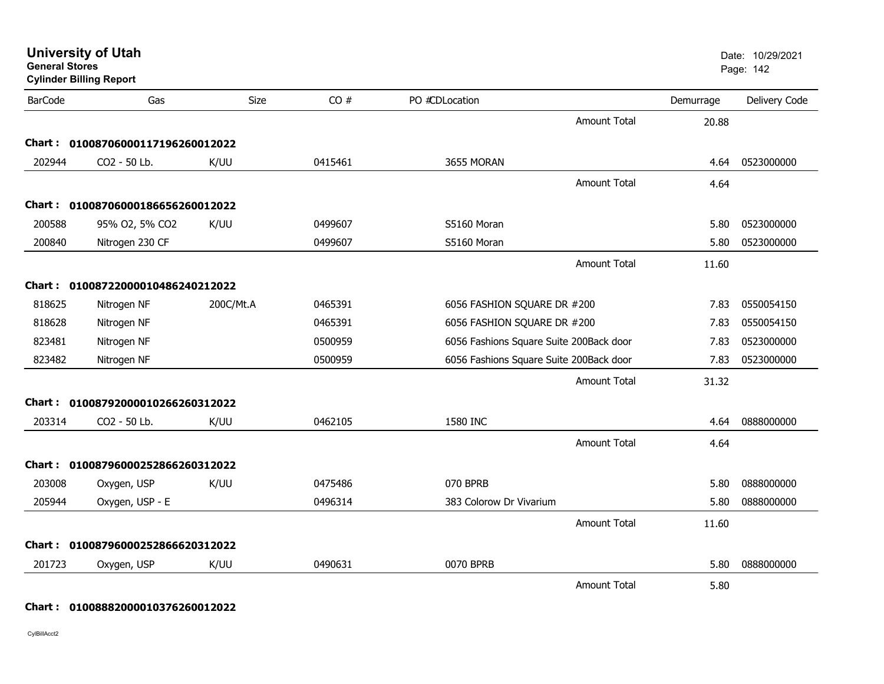|                | <b>Cylinder Billing Report</b>    |           |         |                                         |                     |           |               |
|----------------|-----------------------------------|-----------|---------|-----------------------------------------|---------------------|-----------|---------------|
| <b>BarCode</b> | Gas                               | Size      | CO#     | PO #CDLocation                          |                     | Demurrage | Delivery Code |
|                |                                   |           |         |                                         | <b>Amount Total</b> | 20.88     |               |
|                | Chart: 01008706000117196260012022 |           |         |                                         |                     |           |               |
| 202944         | CO2 - 50 Lb.                      | K/UU      | 0415461 | 3655 MORAN                              |                     | 4.64      | 0523000000    |
|                |                                   |           |         |                                         | <b>Amount Total</b> | 4.64      |               |
|                | Chart: 01008706000186656260012022 |           |         |                                         |                     |           |               |
| 200588         | 95% O2, 5% CO2                    | K/UU      | 0499607 | S5160 Moran                             |                     | 5.80      | 0523000000    |
| 200840         | Nitrogen 230 CF                   |           | 0499607 | S5160 Moran                             |                     | 5.80      | 0523000000    |
|                |                                   |           |         |                                         | <b>Amount Total</b> | 11.60     |               |
|                | Chart: 01008722000010486240212022 |           |         |                                         |                     |           |               |
| 818625         | Nitrogen NF                       | 200C/Mt.A | 0465391 | 6056 FASHION SQUARE DR #200             |                     | 7.83      | 0550054150    |
| 818628         | Nitrogen NF                       |           | 0465391 | 6056 FASHION SQUARE DR #200             |                     | 7.83      | 0550054150    |
| 823481         | Nitrogen NF                       |           | 0500959 | 6056 Fashions Square Suite 200Back door |                     | 7.83      | 0523000000    |
| 823482         | Nitrogen NF                       |           | 0500959 | 6056 Fashions Square Suite 200Back door |                     | 7.83      | 0523000000    |
|                |                                   |           |         |                                         | <b>Amount Total</b> | 31.32     |               |
|                | Chart: 01008792000010266260312022 |           |         |                                         |                     |           |               |
| 203314         | CO2 - 50 Lb.                      | K/UU      | 0462105 | 1580 INC                                |                     | 4.64      | 0888000000    |
|                |                                   |           |         |                                         | <b>Amount Total</b> | 4.64      |               |
|                | Chart: 01008796000252866260312022 |           |         |                                         |                     |           |               |
| 203008         | Oxygen, USP                       | K/UU      | 0475486 | 070 BPRB                                |                     | 5.80      | 0888000000    |
| 205944         | Oxygen, USP - E                   |           | 0496314 | 383 Colorow Dr Vivarium                 |                     | 5.80      | 0888000000    |
|                |                                   |           |         |                                         | <b>Amount Total</b> | 11.60     |               |
|                | Chart: 01008796000252866620312022 |           |         |                                         |                     |           |               |
| 201723         | Oxygen, USP                       | K/UU      | 0490631 | 0070 BPRB                               |                     | 5.80      | 0888000000    |
|                |                                   |           |         |                                         | <b>Amount Total</b> | 5.80      |               |
|                |                                   |           |         |                                         |                     |           |               |

**University of Utah** Date: 10/29/2021

es and the contract of the contract of the contract of the contract of the contract of the contract of the contract of the contract of the contract of the contract of the contract of the contract of the contract of the con

### **Chart : 01008882000010376260012022**

CylBillAcct2

**General Stores**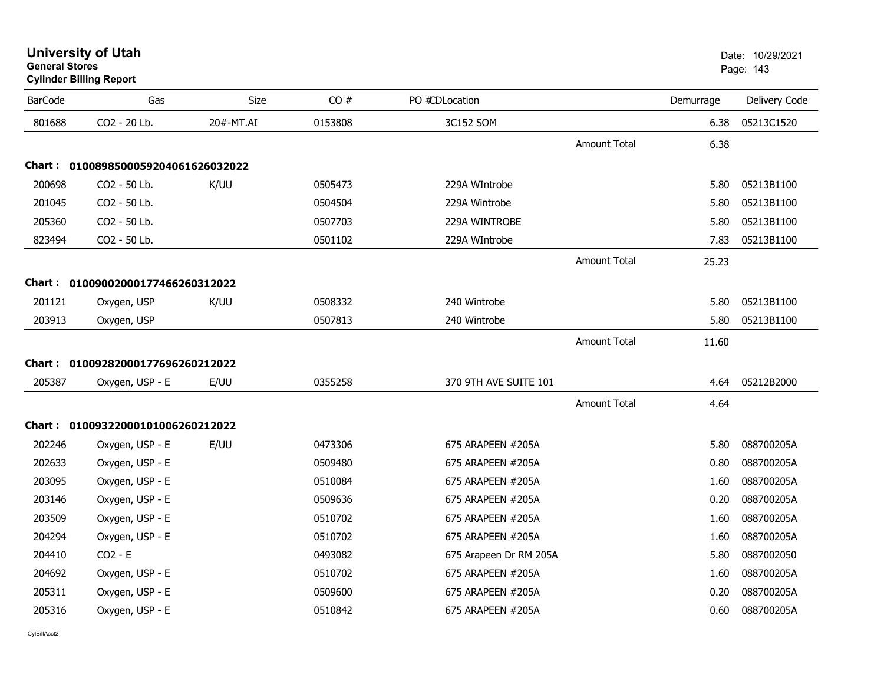| <b>University of Utah</b>      | Date: 10/2 |  |
|--------------------------------|------------|--|
| <b>General Stores</b>          | Page: 143  |  |
| <b>Cylinder Billing Report</b> |            |  |

| <b>BarCode</b> | Gas                                 | Size      | CO#     | PO #CDLocation         |                     | Demurrage | Delivery Code |
|----------------|-------------------------------------|-----------|---------|------------------------|---------------------|-----------|---------------|
| 801688         | CO2 - 20 Lb.                        | 20#-MT.AI | 0153808 | 3C152 SOM              |                     | 6.38      | 05213C1520    |
|                |                                     |           |         |                        | <b>Amount Total</b> | 6.38      |               |
|                | Chart: 0100898500059204061626032022 |           |         |                        |                     |           |               |
| 200698         | CO2 - 50 Lb.                        | K/UU      | 0505473 | 229A WIntrobe          |                     | 5.80      | 05213B1100    |
| 201045         | CO2 - 50 Lb.                        |           | 0504504 | 229A Wintrobe          |                     | 5.80      | 05213B1100    |
| 205360         | CO2 - 50 Lb.                        |           | 0507703 | 229A WINTROBE          |                     | 5.80      | 05213B1100    |
| 823494         | CO2 - 50 Lb.                        |           | 0501102 | 229A WIntrobe          |                     | 7.83      | 05213B1100    |
|                |                                     |           |         |                        | <b>Amount Total</b> | 25.23     |               |
|                | Chart: 01009002000177466260312022   |           |         |                        |                     |           |               |
| 201121         | Oxygen, USP                         | K/UU      | 0508332 | 240 Wintrobe           |                     | 5.80      | 05213B1100    |
| 203913         | Oxygen, USP                         |           | 0507813 | 240 Wintrobe           |                     | 5.80      | 05213B1100    |
|                |                                     |           |         |                        | <b>Amount Total</b> | 11.60     |               |
|                | Chart: 01009282000177696260212022   |           |         |                        |                     |           |               |
| 205387         | Oxygen, USP - E                     | E/UU      | 0355258 | 370 9TH AVE SUITE 101  |                     | 4.64      | 05212B2000    |
|                |                                     |           |         |                        | <b>Amount Total</b> | 4.64      |               |
|                |                                     |           |         |                        |                     |           |               |
|                | Chart: 01009322000101006260212022   |           |         |                        |                     |           |               |
| 202246         | Oxygen, USP - E                     | E/UU      | 0473306 | 675 ARAPEEN #205A      |                     | 5.80      | 088700205A    |
| 202633         | Oxygen, USP - E                     |           | 0509480 | 675 ARAPEEN #205A      |                     | 0.80      | 088700205A    |
| 203095         | Oxygen, USP - E                     |           | 0510084 | 675 ARAPEEN #205A      |                     | 1.60      | 088700205A    |
| 203146         | Oxygen, USP - E                     |           | 0509636 | 675 ARAPEEN #205A      |                     | 0.20      | 088700205A    |
| 203509         | Oxygen, USP - E                     |           | 0510702 | 675 ARAPEEN #205A      |                     | 1.60      | 088700205A    |
| 204294         | Oxygen, USP - E                     |           | 0510702 | 675 ARAPEEN #205A      |                     | 1.60      | 088700205A    |
| 204410         | $CO2 - E$                           |           | 0493082 | 675 Arapeen Dr RM 205A |                     | 5.80      | 0887002050    |
| 204692         | Oxygen, USP - E                     |           | 0510702 | 675 ARAPEEN #205A      |                     | 1.60      | 088700205A    |
| 205311         | Oxygen, USP - E                     |           | 0509600 | 675 ARAPEEN #205A      |                     | 0.20      | 088700205A    |
| 205316         | Oxygen, USP - E                     |           | 0510842 | 675 ARAPEEN #205A      |                     | 0.60      | 088700205A    |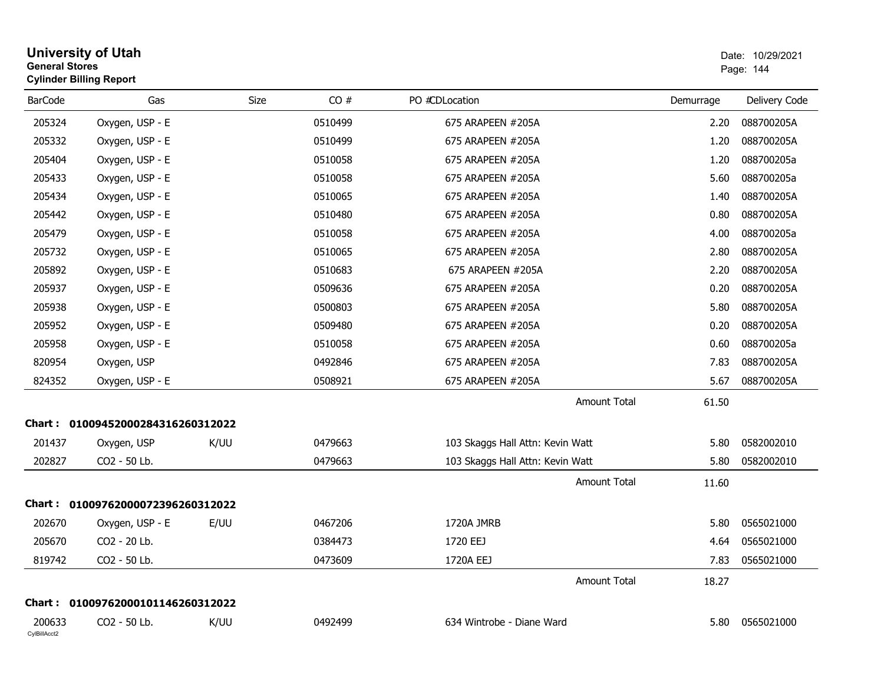| <b>University of Utah</b><br><b>General Stores</b><br><b>Cylinder Billing Report</b> | Date: 10/29/2021<br>Page: 144     |             |         |                                  |           |               |
|--------------------------------------------------------------------------------------|-----------------------------------|-------------|---------|----------------------------------|-----------|---------------|
| <b>BarCode</b>                                                                       | Gas                               | <b>Size</b> | CO#     | PO #CDLocation                   | Demurrage | Delivery Code |
| 205324                                                                               | Oxygen, USP - E                   |             | 0510499 | 675 ARAPEEN #205A                | 2.20      | 088700205A    |
| 205332                                                                               | Oxygen, USP - E                   |             | 0510499 | 675 ARAPEEN #205A                | 1.20      | 088700205A    |
| 205404                                                                               | Oxygen, USP - E                   |             | 0510058 | 675 ARAPEEN #205A                | 1.20      | 088700205a    |
| 205433                                                                               | Oxygen, USP - E                   |             | 0510058 | 675 ARAPEEN #205A                | 5.60      | 088700205a    |
| 205434                                                                               | Oxygen, USP - E                   |             | 0510065 | 675 ARAPEEN #205A                | 1.40      | 088700205A    |
| 205442                                                                               | Oxygen, USP - E                   |             | 0510480 | 675 ARAPEEN #205A                | 0.80      | 088700205A    |
| 205479                                                                               | Oxygen, USP - E                   |             | 0510058 | 675 ARAPEEN #205A                | 4.00      | 088700205a    |
| 205732                                                                               | Oxygen, USP - E                   |             | 0510065 | 675 ARAPEEN #205A                | 2.80      | 088700205A    |
| 205892                                                                               | Oxygen, USP - E                   |             | 0510683 | 675 ARAPEEN #205A                | 2.20      | 088700205A    |
| 205937                                                                               | Oxygen, USP - E                   |             | 0509636 | 675 ARAPEEN #205A                | 0.20      | 088700205A    |
| 205938                                                                               | Oxygen, USP - E                   |             | 0500803 | 675 ARAPEEN #205A                | 5.80      | 088700205A    |
| 205952                                                                               | Oxygen, USP - E                   |             | 0509480 | 675 ARAPEEN #205A                | 0.20      | 088700205A    |
| 205958                                                                               | Oxygen, USP - E                   |             | 0510058 | 675 ARAPEEN #205A                | 0.60      | 088700205a    |
| 820954                                                                               | Oxygen, USP                       |             | 0492846 | 675 ARAPEEN #205A                | 7.83      | 088700205A    |
| 824352                                                                               | Oxygen, USP - E                   |             | 0508921 | 675 ARAPEEN #205A                | 5.67      | 088700205A    |
|                                                                                      |                                   |             |         | <b>Amount Total</b>              | 61.50     |               |
|                                                                                      | Chart: 01009452000284316260312022 |             |         |                                  |           |               |
| 201437                                                                               | Oxygen, USP                       | K/UU        | 0479663 | 103 Skaggs Hall Attn: Kevin Watt | 5.80      | 0582002010    |
| 202827                                                                               | CO2 - 50 Lb.                      |             | 0479663 | 103 Skaggs Hall Attn: Kevin Watt | 5.80      | 0582002010    |
|                                                                                      |                                   |             |         | <b>Amount Total</b>              | 11.60     |               |
|                                                                                      | Chart: 01009762000072396260312022 |             |         |                                  |           |               |
| 202670                                                                               | Oxygen, USP - E                   | E/UU        | 0467206 | 1720A JMRB                       | 5.80      | 0565021000    |
| 205670                                                                               | CO2 - 20 Lb.                      |             | 0384473 | 1720 EEJ                         | 4.64      | 0565021000    |
| 819742                                                                               | CO2 - 50 Lb.                      |             | 0473609 | 1720A EEJ                        | 7.83      | 0565021000    |
|                                                                                      |                                   |             |         | <b>Amount Total</b>              | 18.27     |               |
|                                                                                      | Chart: 01009762000101146260312022 |             |         |                                  |           |               |
| 200633<br>CylBillAcct2                                                               | CO2 - 50 Lb.                      | K/UU        | 0492499 | 634 Wintrobe - Diane Ward        | 5.80      | 0565021000    |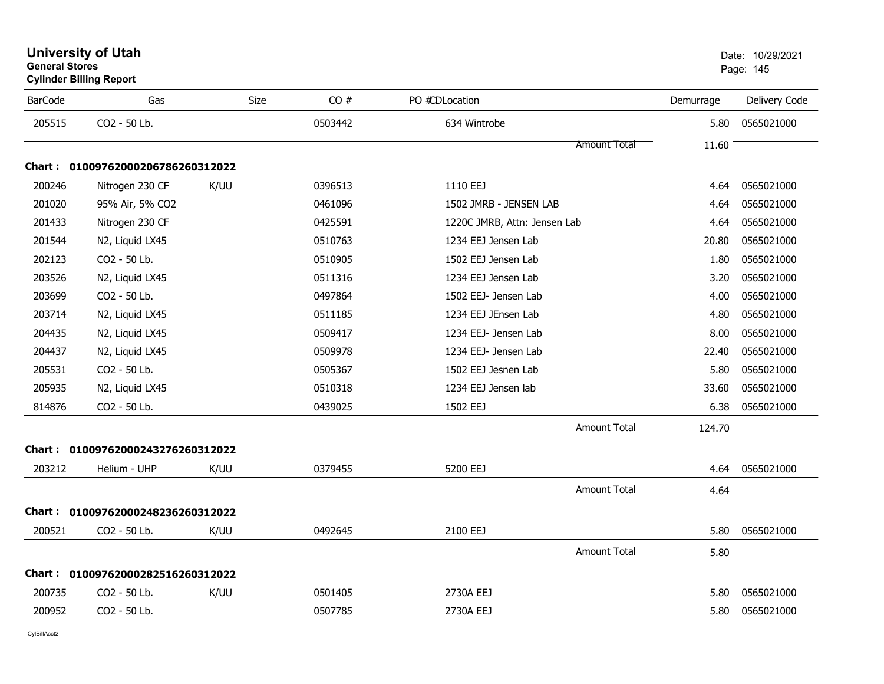| <b>University of Utah</b>      | Date: 10/2 |
|--------------------------------|------------|
| <b>General Stores</b>          | Page: 145  |
| <b>Cylinder Billing Report</b> |            |
|                                |            |

| <b>BarCode</b> | Gas                               | Size | CO#     | PO #CDLocation               | Demurrage | Delivery Code |
|----------------|-----------------------------------|------|---------|------------------------------|-----------|---------------|
| 205515         | CO2 - 50 Lb.                      |      | 0503442 | 634 Wintrobe                 | 5.80      | 0565021000    |
|                |                                   |      |         | <b>Amount Total</b>          | 11.60     |               |
|                | Chart: 01009762000206786260312022 |      |         |                              |           |               |
| 200246         | Nitrogen 230 CF                   | K/UU | 0396513 | 1110 EEJ                     | 4.64      | 0565021000    |
| 201020         | 95% Air, 5% CO2                   |      | 0461096 | 1502 JMRB - JENSEN LAB       | 4.64      | 0565021000    |
| 201433         | Nitrogen 230 CF                   |      | 0425591 | 1220C JMRB, Attn: Jensen Lab | 4.64      | 0565021000    |
| 201544         | N2, Liquid LX45                   |      | 0510763 | 1234 EEJ Jensen Lab          | 20.80     | 0565021000    |
| 202123         | CO2 - 50 Lb.                      |      | 0510905 | 1502 EEJ Jensen Lab          | 1.80      | 0565021000    |
| 203526         | N2, Liquid LX45                   |      | 0511316 | 1234 EEJ Jensen Lab          | 3.20      | 0565021000    |
| 203699         | CO2 - 50 Lb.                      |      | 0497864 | 1502 EEJ- Jensen Lab         | 4.00      | 0565021000    |
| 203714         | N2, Liquid LX45                   |      | 0511185 | 1234 EEJ JEnsen Lab          | 4.80      | 0565021000    |
| 204435         | N2, Liquid LX45                   |      | 0509417 | 1234 EEJ- Jensen Lab         | 8.00      | 0565021000    |
| 204437         | N2, Liquid LX45                   |      | 0509978 | 1234 EEJ- Jensen Lab         | 22.40     | 0565021000    |
| 205531         | CO2 - 50 Lb.                      |      | 0505367 | 1502 EEJ Jesnen Lab          | 5.80      | 0565021000    |
| 205935         | N2, Liquid LX45                   |      | 0510318 | 1234 EEJ Jensen lab          | 33.60     | 0565021000    |
| 814876         | CO2 - 50 Lb.                      |      | 0439025 | 1502 EEJ                     | 6.38      | 0565021000    |
|                |                                   |      |         | <b>Amount Total</b>          | 124.70    |               |
|                | Chart: 01009762000243276260312022 |      |         |                              |           |               |
| 203212         | Helium - UHP                      | K/UU | 0379455 | 5200 EEJ                     | 4.64      | 0565021000    |
|                |                                   |      |         | <b>Amount Total</b>          | 4.64      |               |
|                | Chart: 01009762000248236260312022 |      |         |                              |           |               |
| 200521         | CO2 - 50 Lb.                      | K/UU | 0492645 | 2100 EEJ                     | 5.80      | 0565021000    |
|                |                                   |      |         | <b>Amount Total</b>          | 5.80      |               |
|                | Chart: 01009762000282516260312022 |      |         |                              |           |               |
| 200735         | CO2 - 50 Lb.                      | K/UU | 0501405 | 2730A EEJ                    | 5.80      | 0565021000    |
| 200952         | CO2 - 50 Lb.                      |      | 0507785 | 2730A EEJ                    | 5.80      | 0565021000    |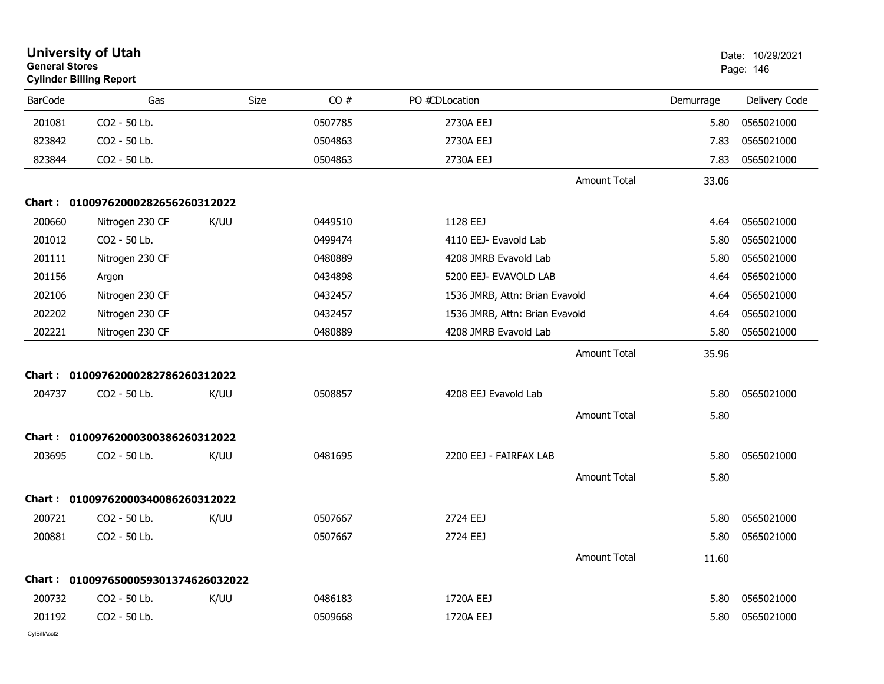| <b>General Stores</b> | <b>University of Utah</b><br><b>Cylinder Billing Report</b> |             |         |                                |           | Date: 10/29/2021<br>Page: 146 |
|-----------------------|-------------------------------------------------------------|-------------|---------|--------------------------------|-----------|-------------------------------|
| <b>BarCode</b>        | Gas                                                         | <b>Size</b> | CO#     | PO #CDLocation                 | Demurrage | Delivery Code                 |
| 201081                | CO2 - 50 Lb.                                                |             | 0507785 | 2730A EEJ                      | 5.80      | 0565021000                    |
| 823842                | CO2 - 50 Lb.                                                |             | 0504863 | 2730A EEJ                      | 7.83      | 0565021000                    |
| 823844                | CO2 - 50 Lb.                                                |             | 0504863 | 2730A EEJ                      | 7.83      | 0565021000                    |
|                       |                                                             |             |         | <b>Amount Total</b>            | 33.06     |                               |
|                       | Chart: 01009762000282656260312022                           |             |         |                                |           |                               |
| 200660                | Nitrogen 230 CF                                             | K/UU        | 0449510 | 1128 EEJ                       | 4.64      | 0565021000                    |
| 201012                | CO2 - 50 Lb.                                                |             | 0499474 | 4110 EEJ- Evavold Lab          | 5.80      | 0565021000                    |
| 201111                | Nitrogen 230 CF                                             |             | 0480889 | 4208 JMRB Evavold Lab          | 5.80      | 0565021000                    |
| 201156                | Argon                                                       |             | 0434898 | 5200 EEJ- EVAVOLD LAB          | 4.64      | 0565021000                    |
| 202106                | Nitrogen 230 CF                                             |             | 0432457 | 1536 JMRB, Attn: Brian Evavold | 4.64      | 0565021000                    |
| 202202                | Nitrogen 230 CF                                             |             | 0432457 | 1536 JMRB, Attn: Brian Evavold | 4.64      | 0565021000                    |
| 202221                | Nitrogen 230 CF                                             |             | 0480889 | 4208 JMRB Evavold Lab          | 5.80      | 0565021000                    |
|                       |                                                             |             |         | <b>Amount Total</b>            | 35.96     |                               |
|                       | Chart: 01009762000282786260312022                           |             |         |                                |           |                               |
| 204737                | CO2 - 50 Lb.                                                | K/UU        | 0508857 | 4208 EEJ Evavold Lab           | 5.80      | 0565021000                    |
|                       |                                                             |             |         | <b>Amount Total</b>            | 5.80      |                               |
|                       | Chart: 01009762000300386260312022                           |             |         |                                |           |                               |
| 203695                | CO2 - 50 Lb.                                                | K/UU        | 0481695 | 2200 EEJ - FAIRFAX LAB         | 5.80      | 0565021000                    |
|                       |                                                             |             |         | <b>Amount Total</b>            | 5.80      |                               |
|                       | Chart: 01009762000340086260312022                           |             |         |                                |           |                               |
| 200721                | CO2 - 50 Lb.                                                | K/UU        | 0507667 | 2724 EEJ                       | 5.80      | 0565021000                    |
| 200881                | CO2 - 50 Lb.                                                |             | 0507667 | 2724 EEJ                       | 5.80      | 0565021000                    |
|                       |                                                             |             |         | <b>Amount Total</b>            | 11.60     |                               |
|                       | Chart: 0100976500059301374626032022                         |             |         |                                |           |                               |
| 200732                | CO2 - 50 Lb.                                                | K/UU        | 0486183 | 1720A EEJ                      | 5.80      | 0565021000                    |
| 201192                | CO2 - 50 Lb.                                                |             | 0509668 | 1720A EEJ                      | 5.80      | 0565021000                    |
|                       |                                                             |             |         |                                |           |                               |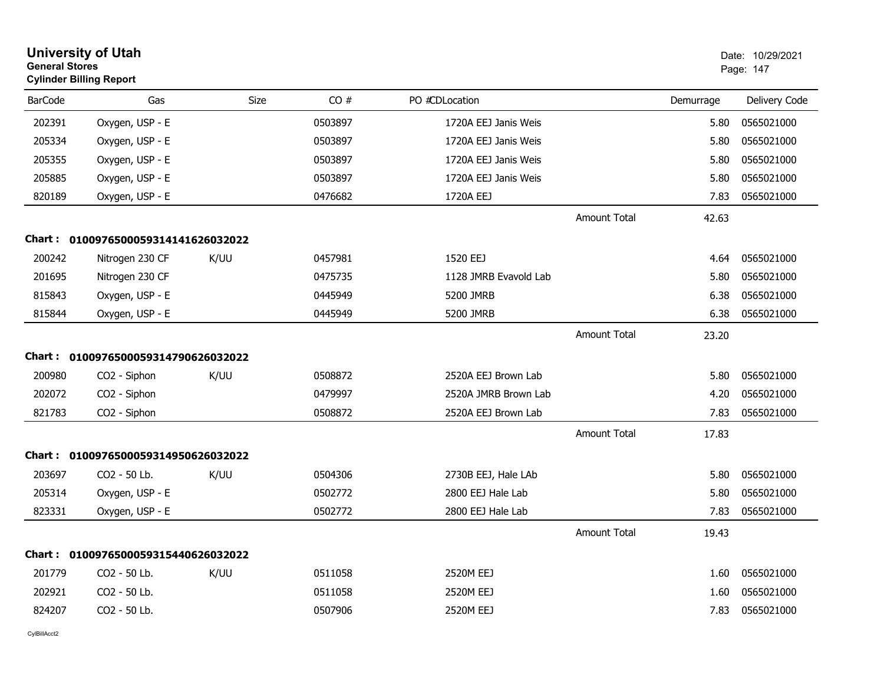|                | <b>University of Utah</b><br><b>General Stores</b><br><b>Cylinder Billing Report</b> |      |         |                       | Date: 10/29/2021<br>Page: 147 |           |               |
|----------------|--------------------------------------------------------------------------------------|------|---------|-----------------------|-------------------------------|-----------|---------------|
| <b>BarCode</b> | Gas                                                                                  | Size | CO#     | PO #CDLocation        |                               | Demurrage | Delivery Code |
| 202391         | Oxygen, USP - E                                                                      |      | 0503897 | 1720A EEJ Janis Weis  |                               | 5.80      | 0565021000    |
| 205334         | Oxygen, USP - E                                                                      |      | 0503897 | 1720A EEJ Janis Weis  |                               | 5.80      | 0565021000    |
| 205355         | Oxygen, USP - E                                                                      |      | 0503897 | 1720A EEJ Janis Weis  |                               | 5.80      | 0565021000    |
| 205885         | Oxygen, USP - E                                                                      |      | 0503897 | 1720A EEJ Janis Weis  |                               | 5.80      | 0565021000    |
| 820189         | Oxygen, USP - E                                                                      |      | 0476682 | 1720A EEJ             |                               | 7.83      | 0565021000    |
|                |                                                                                      |      |         |                       | <b>Amount Total</b>           | 42.63     |               |
|                | Chart: 0100976500059314141626032022                                                  |      |         |                       |                               |           |               |
| 200242         | Nitrogen 230 CF                                                                      | K/UU | 0457981 | 1520 EEJ              |                               | 4.64      | 0565021000    |
| 201695         | Nitrogen 230 CF                                                                      |      | 0475735 | 1128 JMRB Evavold Lab |                               | 5.80      | 0565021000    |
| 815843         | Oxygen, USP - E                                                                      |      | 0445949 | 5200 JMRB             |                               | 6.38      | 0565021000    |
| 815844         | Oxygen, USP - E                                                                      |      | 0445949 | 5200 JMRB             |                               | 6.38      | 0565021000    |
|                |                                                                                      |      |         |                       | <b>Amount Total</b>           | 23.20     |               |
|                | Chart: 0100976500059314790626032022                                                  |      |         |                       |                               |           |               |
| 200980         | CO <sub>2</sub> - Siphon                                                             | K/UU | 0508872 | 2520A EEJ Brown Lab   |                               | 5.80      | 0565021000    |
| 202072         | CO2 - Siphon                                                                         |      | 0479997 | 2520A JMRB Brown Lab  |                               | 4.20      | 0565021000    |
| 821783         | CO2 - Siphon                                                                         |      | 0508872 | 2520A EEJ Brown Lab   |                               | 7.83      | 0565021000    |
|                |                                                                                      |      |         |                       | <b>Amount Total</b>           | 17.83     |               |
|                | Chart: 0100976500059314950626032022                                                  |      |         |                       |                               |           |               |
| 203697         | CO2 - 50 Lb.                                                                         | K/UU | 0504306 | 2730B EEJ, Hale LAb   |                               | 5.80      | 0565021000    |
| 205314         | Oxygen, USP - E                                                                      |      | 0502772 | 2800 EEJ Hale Lab     |                               | 5.80      | 0565021000    |
| 823331         | Oxygen, USP - E                                                                      |      | 0502772 | 2800 EEJ Hale Lab     |                               | 7.83      | 0565021000    |
|                |                                                                                      |      |         |                       | <b>Amount Total</b>           | 19.43     |               |
| Chart :        | 0100976500059315440626032022                                                         |      |         |                       |                               |           |               |
| 201779         | CO2 - 50 Lb.                                                                         | K/UU | 0511058 | 2520M EEJ             |                               | 1.60      | 0565021000    |
| 202921         | CO2 - 50 Lb.                                                                         |      | 0511058 | 2520M EEJ             |                               | 1.60      | 0565021000    |
| 824207         | CO <sub>2</sub> - 50 Lb.                                                             |      | 0507906 | 2520M EEJ             |                               | 7.83      | 0565021000    |
|                |                                                                                      |      |         |                       |                               |           |               |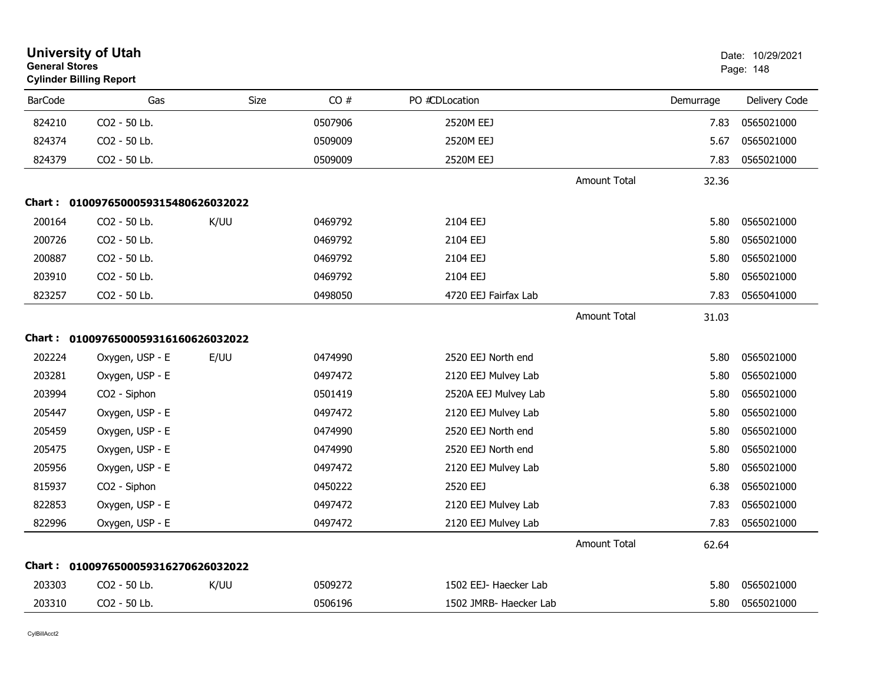| <b>University of Utah</b><br><b>General Stores</b><br><b>Cylinder Billing Report</b> |                                     |      |         |                        |                     |           | Date: 10/29/2021<br>Page: 148 |  |
|--------------------------------------------------------------------------------------|-------------------------------------|------|---------|------------------------|---------------------|-----------|-------------------------------|--|
| <b>BarCode</b>                                                                       | Gas                                 | Size | CO#     | PO #CDLocation         |                     | Demurrage | Delivery Code                 |  |
| 824210                                                                               | CO2 - 50 Lb.                        |      | 0507906 | 2520M EEJ              |                     | 7.83      | 0565021000                    |  |
| 824374                                                                               | CO2 - 50 Lb.                        |      | 0509009 | 2520M EEJ              |                     | 5.67      | 0565021000                    |  |
| 824379                                                                               | CO2 - 50 Lb.                        |      | 0509009 | 2520M EEJ              |                     | 7.83      | 0565021000                    |  |
|                                                                                      |                                     |      |         |                        | Amount Total        | 32.36     |                               |  |
| <b>Chart :</b>                                                                       | 0100976500059315480626032022        |      |         |                        |                     |           |                               |  |
| 200164                                                                               | CO <sub>2</sub> - 50 Lb.            | K/UU | 0469792 | 2104 EEJ               |                     | 5.80      | 0565021000                    |  |
| 200726                                                                               | CO2 - 50 Lb.                        |      | 0469792 | 2104 EEJ               |                     | 5.80      | 0565021000                    |  |
| 200887                                                                               | CO2 - 50 Lb.                        |      | 0469792 | 2104 EEJ               |                     | 5.80      | 0565021000                    |  |
| 203910                                                                               | CO2 - 50 Lb.                        |      | 0469792 | 2104 EEJ               |                     | 5.80      | 0565021000                    |  |
| 823257                                                                               | CO2 - 50 Lb.                        |      | 0498050 | 4720 EEJ Fairfax Lab   |                     | 7.83      | 0565041000                    |  |
|                                                                                      |                                     |      |         |                        | <b>Amount Total</b> | 31.03     |                               |  |
|                                                                                      | Chart: 0100976500059316160626032022 |      |         |                        |                     |           |                               |  |
| 202224                                                                               | Oxygen, USP - E                     | E/UU | 0474990 | 2520 EEJ North end     |                     | 5.80      | 0565021000                    |  |
| 203281                                                                               | Oxygen, USP - E                     |      | 0497472 | 2120 EEJ Mulvey Lab    |                     | 5.80      | 0565021000                    |  |
| 203994                                                                               | CO2 - Siphon                        |      | 0501419 | 2520A EEJ Mulvey Lab   |                     | 5.80      | 0565021000                    |  |
| 205447                                                                               | Oxygen, USP - E                     |      | 0497472 | 2120 EEJ Mulvey Lab    |                     | 5.80      | 0565021000                    |  |
| 205459                                                                               | Oxygen, USP - E                     |      | 0474990 | 2520 EEJ North end     |                     | 5.80      | 0565021000                    |  |
| 205475                                                                               | Oxygen, USP - E                     |      | 0474990 | 2520 EEJ North end     |                     | 5.80      | 0565021000                    |  |
| 205956                                                                               | Oxygen, USP - E                     |      | 0497472 | 2120 EEJ Mulvey Lab    |                     | 5.80      | 0565021000                    |  |
| 815937                                                                               | CO2 - Siphon                        |      | 0450222 | 2520 EEJ               |                     | 6.38      | 0565021000                    |  |
| 822853                                                                               | Oxygen, USP - E                     |      | 0497472 | 2120 EEJ Mulvey Lab    |                     | 7.83      | 0565021000                    |  |
| 822996                                                                               | Oxygen, USP - E                     |      | 0497472 | 2120 EEJ Mulvey Lab    |                     | 7.83      | 0565021000                    |  |
|                                                                                      |                                     |      |         |                        | <b>Amount Total</b> | 62.64     |                               |  |
| Chart :                                                                              | 0100976500059316270626032022        |      |         |                        |                     |           |                               |  |
| 203303                                                                               | CO <sub>2</sub> - 50 Lb.            | K/UU | 0509272 | 1502 EEJ- Haecker Lab  |                     | 5.80      | 0565021000                    |  |
| 203310                                                                               | CO2 - 50 Lb.                        |      | 0506196 | 1502 JMRB- Haecker Lab |                     | 5.80      | 0565021000                    |  |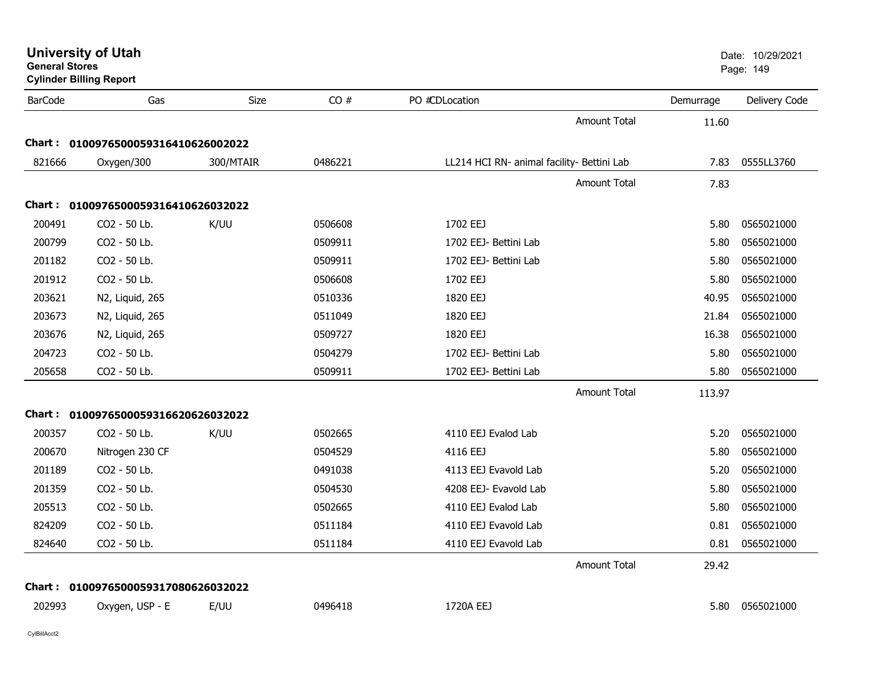| <b>General Stores</b> | <b>University of Utah</b><br><b>Cylinder Billing Report</b> |           |         |                                            |           | Date: 10/29/2021<br>Page: 149 |
|-----------------------|-------------------------------------------------------------|-----------|---------|--------------------------------------------|-----------|-------------------------------|
| <b>BarCode</b>        | Gas                                                         | Size      | CO#     | PO #CDLocation                             | Demurrage | Delivery Code                 |
|                       |                                                             |           |         | Amount Total                               | 11.60     |                               |
|                       | Chart: 0100976500059316410626002022                         |           |         |                                            |           |                               |
| 821666                | Oxygen/300                                                  | 300/MTAIR | 0486221 | LL214 HCI RN- animal facility- Bettini Lab | 7.83      | 0555LL3760                    |
|                       |                                                             |           |         | <b>Amount Total</b>                        | 7.83      |                               |
|                       | Chart: 0100976500059316410626032022                         |           |         |                                            |           |                               |
| 200491                | CO <sub>2</sub> - 50 Lb.                                    | K/UU      | 0506608 | 1702 EEJ                                   | 5.80      | 0565021000                    |
| 200799                | CO2 - 50 Lb.                                                |           | 0509911 | 1702 EEJ- Bettini Lab                      | 5.80      | 0565021000                    |
| 201182                | CO2 - 50 Lb.                                                |           | 0509911 | 1702 EEJ- Bettini Lab                      | 5.80      | 0565021000                    |
| 201912                | CO2 - 50 Lb.                                                |           | 0506608 | 1702 EEJ                                   | 5.80      | 0565021000                    |
| 203621                | N2, Liquid, 265                                             |           | 0510336 | 1820 EEJ                                   | 40.95     | 0565021000                    |
| 203673                | N2, Liquid, 265                                             |           | 0511049 | 1820 EEJ                                   | 21.84     | 0565021000                    |
| 203676                | N2, Liquid, 265                                             |           | 0509727 | 1820 EEJ                                   | 16.38     | 0565021000                    |
| 204723                | CO2 - 50 Lb.                                                |           | 0504279 | 1702 EEJ- Bettini Lab                      | 5.80      | 0565021000                    |
| 205658                | CO2 - 50 Lb.                                                |           | 0509911 | 1702 EEJ- Bettini Lab                      | 5.80      | 0565021000                    |
|                       |                                                             |           |         | Amount Total                               | 113.97    |                               |
|                       | Chart: 0100976500059316620626032022                         |           |         |                                            |           |                               |
| 200357                | CO2 - 50 Lb.                                                | K/UU      | 0502665 | 4110 EEJ Evalod Lab                        | 5.20      | 0565021000                    |
| 200670                | Nitrogen 230 CF                                             |           | 0504529 | 4116 EEJ                                   | 5.80      | 0565021000                    |
| 201189                | CO2 - 50 Lb.                                                |           | 0491038 | 4113 EEJ Evavold Lab                       | 5.20      | 0565021000                    |
| 201359                | CO2 - 50 Lb.                                                |           | 0504530 | 4208 EEJ- Evavold Lab                      | 5.80      | 0565021000                    |
| 205513                | CO2 - 50 Lb.                                                |           | 0502665 | 4110 EEJ Evalod Lab                        | 5.80      | 0565021000                    |
| 824209                | CO2 - 50 Lb.                                                |           | 0511184 | 4110 EEJ Evavold Lab                       | 0.81      | 0565021000                    |
| 824640                | CO2 - 50 Lb.                                                |           | 0511184 | 4110 EEJ Evavold Lab                       | 0.81      | 0565021000                    |
|                       |                                                             |           |         | <b>Amount Total</b>                        | 29.42     |                               |
|                       | Chart: 0100976500059317080626032022                         |           |         |                                            |           |                               |
| 202993                | Oxygen, USP - E                                             | E/UU      | 0496418 | 1720A EEJ                                  | 5.80      | 0565021000                    |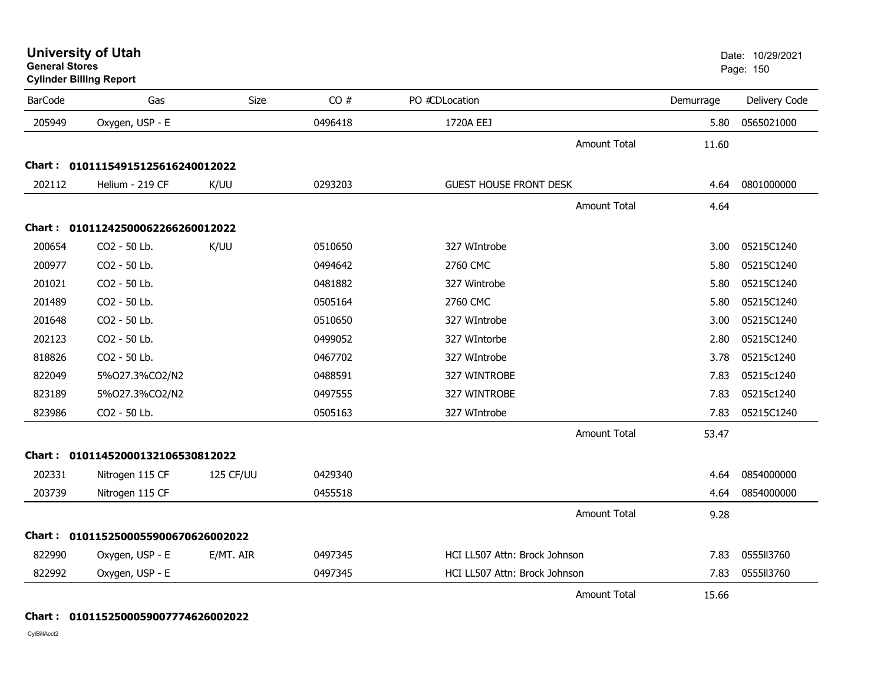| General Stores | <b>Cylinder Billing Report</b>      |           |         |                               |                     |           | Page: 150     |
|----------------|-------------------------------------|-----------|---------|-------------------------------|---------------------|-----------|---------------|
| <b>BarCode</b> | Gas                                 | Size      | CO#     | PO #CDLocation                |                     | Demurrage | Delivery Code |
| 205949         | Oxygen, USP - E                     |           | 0496418 | 1720A EEJ                     |                     | 5.80      | 0565021000    |
|                |                                     |           |         |                               | Amount Total        | 11.60     |               |
|                | Chart: 01011154915125616240012022   |           |         |                               |                     |           |               |
| 202112         | Helium - 219 CF                     | K/UU      | 0293203 | <b>GUEST HOUSE FRONT DESK</b> |                     | 4.64      | 0801000000    |
|                |                                     |           |         |                               | <b>Amount Total</b> | 4.64      |               |
|                | Chart: 01011242500062266260012022   |           |         |                               |                     |           |               |
| 200654         | CO2 - 50 Lb.                        | K/UU      | 0510650 | 327 WIntrobe                  |                     | 3.00      | 05215C1240    |
| 200977         | CO2 - 50 Lb.                        |           | 0494642 | 2760 CMC                      |                     | 5.80      | 05215C1240    |
| 201021         | CO2 - 50 Lb.                        |           | 0481882 | 327 Wintrobe                  |                     | 5.80      | 05215C1240    |
| 201489         | CO2 - 50 Lb.                        |           | 0505164 | 2760 CMC                      |                     | 5.80      | 05215C1240    |
| 201648         | CO2 - 50 Lb.                        |           | 0510650 | 327 WIntrobe                  |                     | 3.00      | 05215C1240    |
| 202123         | CO2 - 50 Lb.                        |           | 0499052 | 327 WIntorbe                  |                     | 2.80      | 05215C1240    |
| 818826         | CO2 - 50 Lb.                        |           | 0467702 | 327 WIntrobe                  |                     | 3.78      | 05215c1240    |
| 822049         | 5%027.3%CO2/N2                      |           | 0488591 | 327 WINTROBE                  |                     | 7.83      | 05215c1240    |
| 823189         | 5%027.3%CO2/N2                      |           | 0497555 | 327 WINTROBE                  |                     | 7.83      | 05215c1240    |
| 823986         | CO2 - 50 Lb.                        |           | 0505163 | 327 WIntrobe                  |                     | 7.83      | 05215C1240    |
|                |                                     |           |         |                               | <b>Amount Total</b> | 53.47     |               |
|                | Chart: 01011452000132106530812022   |           |         |                               |                     |           |               |
| 202331         | Nitrogen 115 CF                     | 125 CF/UU | 0429340 |                               |                     | 4.64      | 0854000000    |
| 203739         | Nitrogen 115 CF                     |           | 0455518 |                               |                     | 4.64      | 0854000000    |
|                |                                     |           |         |                               | <b>Amount Total</b> | 9.28      |               |
|                | Chart: 0101152500055900670626002022 |           |         |                               |                     |           |               |
| 822990         | Oxygen, USP - E                     | E/MT. AIR | 0497345 | HCI LL507 Attn: Brock Johnson |                     | 7.83      | 0555113760    |
| 822992         | Oxygen, USP - E                     |           | 0497345 | HCI LL507 Attn: Brock Johnson |                     | 7.83      | 0555ll3760    |
|                |                                     |           |         |                               | Amount Total        | 15.66     |               |

### **Chart : 0101152500059007774626002022**

CylBillAcct2

**General Stores**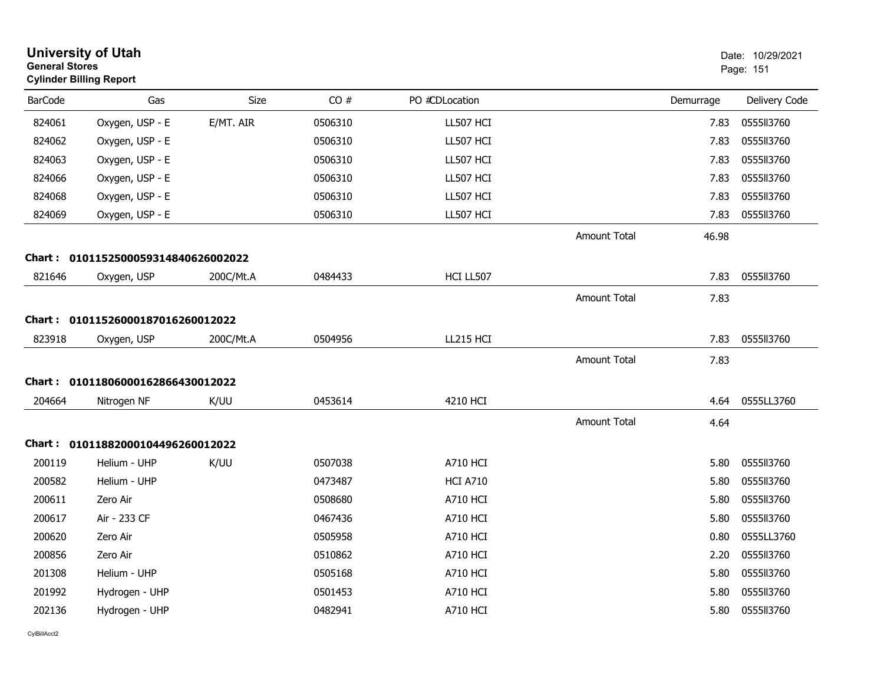| <b>General Stores</b> | <b>University of Utah</b><br><b>Cylinder Billing Report</b> |             |         |                 |                     |           | Date: 10/29/2021<br>Page: 151 |
|-----------------------|-------------------------------------------------------------|-------------|---------|-----------------|---------------------|-----------|-------------------------------|
| <b>BarCode</b>        | Gas                                                         | <b>Size</b> | CO#     | PO #CDLocation  |                     | Demurrage | Delivery Code                 |
| 824061                | Oxygen, USP - E                                             | E/MT. AIR   | 0506310 | LL507 HCI       |                     | 7.83      | 0555113760                    |
| 824062                | Oxygen, USP - E                                             |             | 0506310 | LL507 HCI       |                     | 7.83      | 0555113760                    |
| 824063                | Oxygen, USP - E                                             |             | 0506310 | LL507 HCI       |                     | 7.83      | 0555113760                    |
| 824066                | Oxygen, USP - E                                             |             | 0506310 | LL507 HCI       |                     | 7.83      | 0555113760                    |
| 824068                | Oxygen, USP - E                                             |             | 0506310 | LL507 HCI       |                     | 7.83      | 0555113760                    |
| 824069                | Oxygen, USP - E                                             |             | 0506310 | LL507 HCI       |                     | 7.83      | 0555113760                    |
|                       |                                                             |             |         |                 | <b>Amount Total</b> | 46.98     |                               |
|                       | Chart: 0101152500059314840626002022                         |             |         |                 |                     |           |                               |
| 821646                | Oxygen, USP                                                 | 200C/Mt.A   | 0484433 | HCI LL507       |                     | 7.83      | 0555II3760                    |
|                       |                                                             |             |         |                 | <b>Amount Total</b> | 7.83      |                               |
|                       | Chart: 01011526000187016260012022                           |             |         |                 |                     |           |                               |
| 823918                | Oxygen, USP                                                 | 200C/Mt.A   | 0504956 | LL215 HCI       |                     | 7.83      | 0555113760                    |
|                       |                                                             |             |         |                 | <b>Amount Total</b> | 7.83      |                               |
|                       | Chart: 01011806000162866430012022                           |             |         |                 |                     |           |                               |
| 204664                | Nitrogen NF                                                 | K/UU        | 0453614 | 4210 HCI        |                     | 4.64      | 0555LL3760                    |
|                       |                                                             |             |         |                 | <b>Amount Total</b> | 4.64      |                               |
|                       | Chart: 01011882000104496260012022                           |             |         |                 |                     |           |                               |
| 200119                | Helium - UHP                                                | K/UU        | 0507038 | <b>A710 HCI</b> |                     | 5.80      | 0555II3760                    |
| 200582                | Helium - UHP                                                |             | 0473487 | <b>HCI A710</b> |                     | 5.80      | 0555113760                    |
| 200611                | Zero Air                                                    |             | 0508680 | <b>A710 HCI</b> |                     | 5.80      | 0555113760                    |
| 200617                | Air - 233 CF                                                |             | 0467436 | <b>A710 HCI</b> |                     | 5.80      | 0555113760                    |
| 200620                | Zero Air                                                    |             | 0505958 | <b>A710 HCI</b> |                     | 0.80      | 0555LL3760                    |
| 200856                | Zero Air                                                    |             | 0510862 | <b>A710 HCI</b> |                     | 2.20      | 0555113760                    |
| 201308                | Helium - UHP                                                |             | 0505168 | <b>A710 HCI</b> |                     | 5.80      | 0555113760                    |
| 201992                | Hydrogen - UHP                                              |             | 0501453 | A710 HCI        |                     | 5.80      | 055513760                     |
| 202136                | Hydrogen - UHP                                              |             | 0482941 | <b>A710 HCI</b> |                     | 5.80      | 0555113760                    |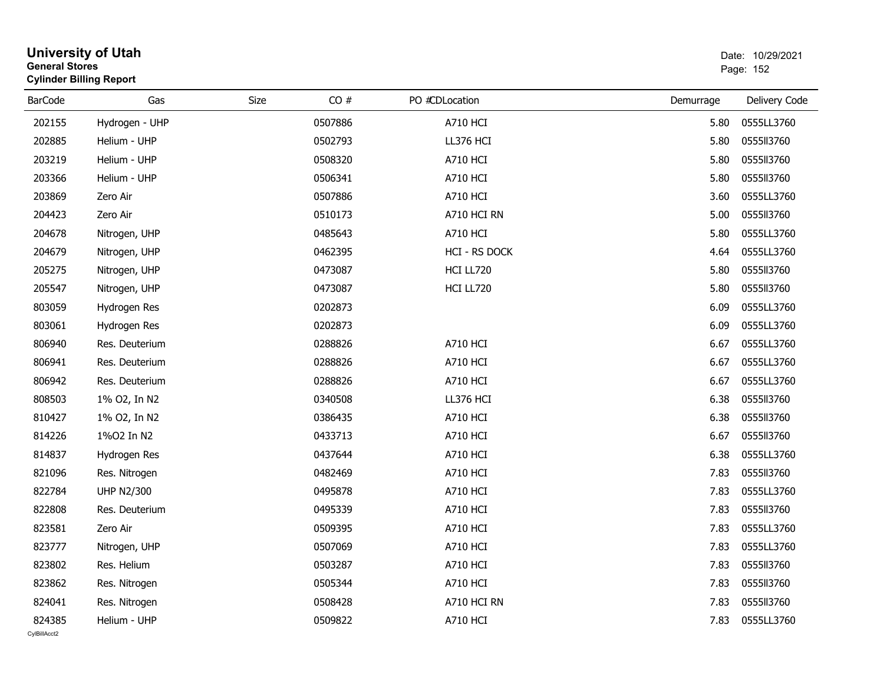| <b>General Stores</b>  | <b>University of Utah</b><br><b>Cylinder Billing Report</b> |      |         |                 |           | Date: 10/29/2021<br>Page: 152 |  |
|------------------------|-------------------------------------------------------------|------|---------|-----------------|-----------|-------------------------------|--|
| <b>BarCode</b>         | Gas                                                         | Size | CO#     | PO #CDLocation  | Demurrage | Delivery Code                 |  |
| 202155                 | Hydrogen - UHP                                              |      | 0507886 | <b>A710 HCI</b> | 5.80      | 0555LL3760                    |  |
| 202885                 | Helium - UHP                                                |      | 0502793 | LL376 HCI       | 5.80      | 0555113760                    |  |
| 203219                 | Helium - UHP                                                |      | 0508320 | <b>A710 HCI</b> | 5.80      | 0555113760                    |  |
| 203366                 | Helium - UHP                                                |      | 0506341 | <b>A710 HCI</b> | 5.80      | 0555113760                    |  |
| 203869                 | Zero Air                                                    |      | 0507886 | <b>A710 HCI</b> | 3.60      | 0555LL3760                    |  |
| 204423                 | Zero Air                                                    |      | 0510173 | A710 HCI RN     | 5.00      | 0555113760                    |  |
| 204678                 | Nitrogen, UHP                                               |      | 0485643 | <b>A710 HCI</b> | 5.80      | 0555LL3760                    |  |
| 204679                 | Nitrogen, UHP                                               |      | 0462395 | HCI - RS DOCK   | 4.64      | 0555LL3760                    |  |
| 205275                 | Nitrogen, UHP                                               |      | 0473087 | HCI LL720       | 5.80      | 0555113760                    |  |
| 205547                 | Nitrogen, UHP                                               |      | 0473087 | HCI LL720       | 5.80      | 0555113760                    |  |
| 803059                 | Hydrogen Res                                                |      | 0202873 |                 | 6.09      | 0555LL3760                    |  |
| 803061                 | Hydrogen Res                                                |      | 0202873 |                 | 6.09      | 0555LL3760                    |  |
| 806940                 | Res. Deuterium                                              |      | 0288826 | <b>A710 HCI</b> | 6.67      | 0555LL3760                    |  |
| 806941                 | Res. Deuterium                                              |      | 0288826 | <b>A710 HCI</b> | 6.67      | 0555LL3760                    |  |
| 806942                 | Res. Deuterium                                              |      | 0288826 | <b>A710 HCI</b> | 6.67      | 0555LL3760                    |  |
| 808503                 | 1% O2, In N2                                                |      | 0340508 | LL376 HCI       | 6.38      | 0555113760                    |  |
| 810427                 | 1% O2, In N2                                                |      | 0386435 | <b>A710 HCI</b> | 6.38      | 0555113760                    |  |
| 814226                 | 1%02 In N2                                                  |      | 0433713 | <b>A710 HCI</b> | 6.67      | 0555113760                    |  |
| 814837                 | Hydrogen Res                                                |      | 0437644 | <b>A710 HCI</b> | 6.38      | 0555LL3760                    |  |
| 821096                 | Res. Nitrogen                                               |      | 0482469 | <b>A710 HCI</b> | 7.83      | 0555113760                    |  |
| 822784                 | <b>UHP N2/300</b>                                           |      | 0495878 | <b>A710 HCI</b> | 7.83      | 0555LL3760                    |  |
| 822808                 | Res. Deuterium                                              |      | 0495339 | <b>A710 HCI</b> | 7.83      | 0555113760                    |  |
| 823581                 | Zero Air                                                    |      | 0509395 | <b>A710 HCI</b> | 7.83      | 0555LL3760                    |  |
| 823777                 | Nitrogen, UHP                                               |      | 0507069 | <b>A710 HCI</b> | 7.83      | 0555LL3760                    |  |
| 823802                 | Res. Helium                                                 |      | 0503287 | <b>A710 HCI</b> | 7.83      | 0555113760                    |  |
| 823862                 | Res. Nitrogen                                               |      | 0505344 | <b>A710 HCI</b> | 7.83      | 0555113760                    |  |
| 824041                 | Res. Nitrogen                                               |      | 0508428 | A710 HCI RN     | 7.83      | 0555113760                    |  |
| 824385<br>CvIBillAcct2 | Helium - UHP                                                |      | 0509822 | <b>A710 HCI</b> | 7.83      | 0555LL3760                    |  |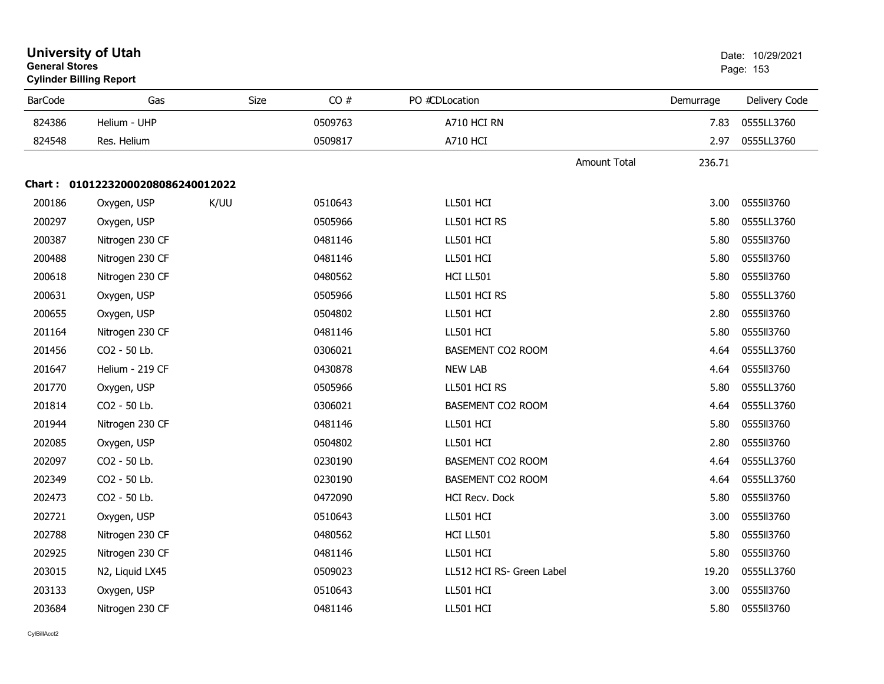| <b>University of Utah</b><br><b>General Stores</b><br><b>Cylinder Billing Report</b> |                                   |             |         |                           | Date: 10/29/2021<br>Page: 153 |                   |               |
|--------------------------------------------------------------------------------------|-----------------------------------|-------------|---------|---------------------------|-------------------------------|-------------------|---------------|
| <b>BarCode</b>                                                                       | Gas                               | <b>Size</b> | CO#     | PO #CDLocation            |                               | Demurrage         | Delivery Code |
| 824386                                                                               | Helium - UHP                      |             | 0509763 | A710 HCI RN               |                               | 7.83              | 0555LL3760    |
| 824548                                                                               | Res. Helium                       |             | 0509817 | <b>A710 HCI</b>           |                               | 2.97              | 0555LL3760    |
|                                                                                      |                                   |             |         |                           | Amount Total                  | 236.71            |               |
|                                                                                      | Chart: 01012232000208086240012022 |             |         |                           |                               |                   |               |
| 200186                                                                               | Oxygen, USP                       | K/UU        | 0510643 | LL501 HCI                 |                               | 3.00 <sub>1</sub> | 0555113760    |
| 200297                                                                               | Oxygen, USP                       |             | 0505966 | LL501 HCI RS              |                               | 5.80              | 0555LL3760    |
| 200387                                                                               | Nitrogen 230 CF                   |             | 0481146 | LL501 HCI                 |                               | 5.80              | 0555113760    |
| 200488                                                                               | Nitrogen 230 CF                   |             | 0481146 | LL501 HCI                 |                               | 5.80              | 0555113760    |
| 200618                                                                               | Nitrogen 230 CF                   |             | 0480562 | HCI LL501                 |                               | 5.80              | 0555113760    |
| 200631                                                                               | Oxygen, USP                       |             | 0505966 | LL501 HCI RS              |                               | 5.80              | 0555LL3760    |
| 200655                                                                               | Oxygen, USP                       |             | 0504802 | LL501 HCI                 |                               | 2.80              | 0555113760    |
| 201164                                                                               | Nitrogen 230 CF                   |             | 0481146 | LL501 HCI                 |                               | 5.80              | 0555113760    |
| 201456                                                                               | CO2 - 50 Lb.                      |             | 0306021 | BASEMENT CO2 ROOM         |                               | 4.64              | 0555LL3760    |
| 201647                                                                               | Helium - 219 CF                   |             | 0430878 | <b>NEW LAB</b>            |                               | 4.64              | 0555113760    |
| 201770                                                                               | Oxygen, USP                       |             | 0505966 | LL501 HCI RS              |                               | 5.80              | 0555LL3760    |
| 201814                                                                               | CO2 - 50 Lb.                      |             | 0306021 | BASEMENT CO2 ROOM         |                               | 4.64              | 0555LL3760    |
| 201944                                                                               | Nitrogen 230 CF                   |             | 0481146 | LL501 HCI                 |                               | 5.80              | 0555113760    |
| 202085                                                                               | Oxygen, USP                       |             | 0504802 | LL501 HCI                 |                               | 2.80              | 0555113760    |
| 202097                                                                               | CO2 - 50 Lb.                      |             | 0230190 | BASEMENT CO2 ROOM         |                               | 4.64              | 0555LL3760    |
| 202349                                                                               | CO2 - 50 Lb.                      |             | 0230190 | BASEMENT CO2 ROOM         |                               | 4.64              | 0555LL3760    |
| 202473                                                                               | CO2 - 50 Lb.                      |             | 0472090 | <b>HCI Recv. Dock</b>     |                               | 5.80              | 0555113760    |
| 202721                                                                               | Oxygen, USP                       |             | 0510643 | LL501 HCI                 |                               | 3.00              | 0555113760    |
| 202788                                                                               | Nitrogen 230 CF                   |             | 0480562 | HCI LL501                 |                               | 5.80              | 0555113760    |
| 202925                                                                               | Nitrogen 230 CF                   |             | 0481146 | LL501 HCI                 |                               | 5.80              | 0555113760    |
| 203015                                                                               | N2, Liquid LX45                   |             | 0509023 | LL512 HCI RS- Green Label |                               | 19.20             | 0555LL3760    |
| 203133                                                                               | Oxygen, USP                       |             | 0510643 | LL501 HCI                 |                               | 3.00              | 0555113760    |
| 203684                                                                               | Nitrogen 230 CF                   |             | 0481146 | LL501 HCI                 |                               | 5.80              | 0555113760    |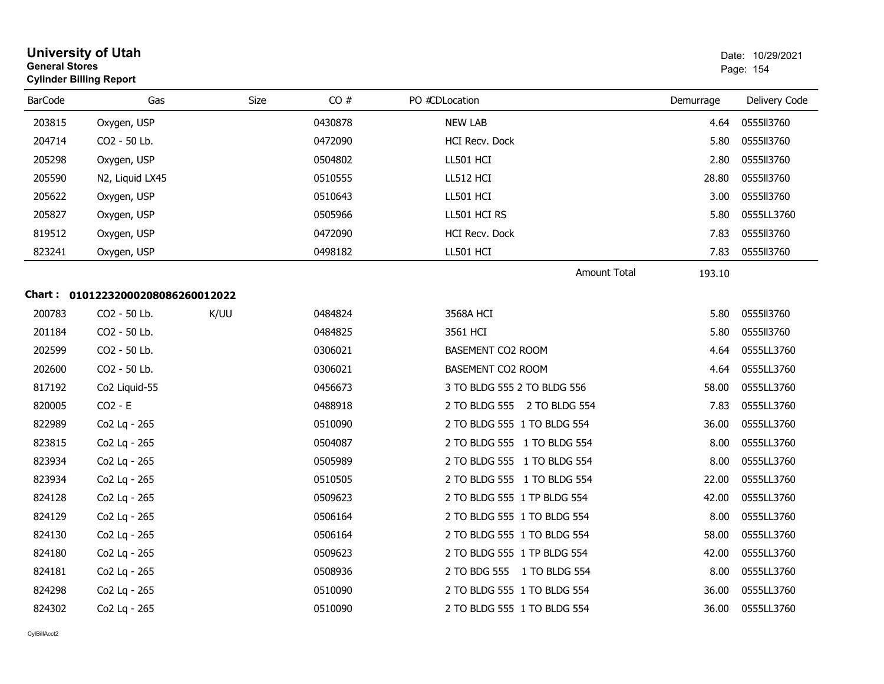| <b>General Stores</b> | <b>University of Utah</b><br><b>Cylinder Billing Report</b> |      |         |                             |           | Date: 10/29/2021<br>Page: 154 |
|-----------------------|-------------------------------------------------------------|------|---------|-----------------------------|-----------|-------------------------------|
| <b>BarCode</b>        | Gas                                                         | Size | CO#     | PO #CDLocation              | Demurrage | Delivery Code                 |
| 203815                | Oxygen, USP                                                 |      | 0430878 | <b>NEW LAB</b>              | 4.64      | 0555113760                    |
| 204714                | CO2 - 50 Lb.                                                |      | 0472090 | HCI Recv. Dock              | 5.80      | 0555113760                    |
| 205298                | Oxygen, USP                                                 |      | 0504802 | LL501 HCI                   | 2.80      | 0555113760                    |
| 205590                | N2, Liquid LX45                                             |      | 0510555 | LL512 HCI                   | 28.80     | 0555113760                    |
| 205622                | Oxygen, USP                                                 |      | 0510643 | LL501 HCI                   | 3.00      | 0555113760                    |
| 205827                | Oxygen, USP                                                 |      | 0505966 | LL501 HCI RS                | 5.80      | 0555LL3760                    |
| 819512                | Oxygen, USP                                                 |      | 0472090 | HCI Recv. Dock              | 7.83      | 0555113760                    |
| 823241                | Oxygen, USP                                                 |      | 0498182 | LL501 HCI                   | 7.83      | 0555113760                    |
|                       |                                                             |      |         | Amount Total                | 193.10    |                               |
|                       | Chart: 01012232000208086260012022                           |      |         |                             |           |                               |
| 200783                | CO <sub>2</sub> - 50 Lb.                                    | K/UU | 0484824 | 3568A HCI                   | 5.80      | 0555113760                    |
| 201184                | CO2 - 50 Lb.                                                |      | 0484825 | 3561 HCI                    | 5.80      | 0555113760                    |
| 202599                | CO <sub>2</sub> - 50 Lb.                                    |      | 0306021 | <b>BASEMENT CO2 ROOM</b>    | 4.64      | 0555LL3760                    |
| 202600                | CO2 - 50 Lb.                                                |      | 0306021 | BASEMENT CO2 ROOM           | 4.64      | 0555LL3760                    |
| 817192                | Co2 Liquid-55                                               |      | 0456673 | 3 TO BLDG 555 2 TO BLDG 556 | 58.00     | 0555LL3760                    |
| 820005                | $CO2 - E$                                                   |      | 0488918 | 2 TO BLDG 555 2 TO BLDG 554 | 7.83      | 0555LL3760                    |
| 822989                | Co2 Lq - 265                                                |      | 0510090 | 2 TO BLDG 555 1 TO BLDG 554 | 36.00     | 0555LL3760                    |
| 823815                | Co2 Lq - 265                                                |      | 0504087 | 2 TO BLDG 555 1 TO BLDG 554 | 8.00      | 0555LL3760                    |
| 823934                | Co2 Lq - 265                                                |      | 0505989 | 2 TO BLDG 555 1 TO BLDG 554 | 8.00      | 0555LL3760                    |
| 823934                | Co2 Lq - 265                                                |      | 0510505 | 2 TO BLDG 555 1 TO BLDG 554 | 22.00     | 0555LL3760                    |
| 824128                | Co2 Lq - 265                                                |      | 0509623 | 2 TO BLDG 555 1 TP BLDG 554 | 42.00     | 0555LL3760                    |
| 824129                | Co2 Lq - 265                                                |      | 0506164 | 2 TO BLDG 555 1 TO BLDG 554 | 8.00      | 0555LL3760                    |
| 824130                | Co2 Lq - 265                                                |      | 0506164 | 2 TO BLDG 555 1 TO BLDG 554 | 58.00     | 0555LL3760                    |
| 824180                | Co2 Lq - 265                                                |      | 0509623 | 2 TO BLDG 555 1 TP BLDG 554 | 42.00     | 0555LL3760                    |
| 824181                | Co2 Lq - 265                                                |      | 0508936 | 2 TO BDG 555 1 TO BLDG 554  | 8.00      | 0555LL3760                    |
| 824298                | Co2 Lq - 265                                                |      | 0510090 | 2 TO BLDG 555 1 TO BLDG 554 | 36.00     | 0555LL3760                    |
| 824302                | Co2 Lq - 265                                                |      | 0510090 | 2 TO BLDG 555 1 TO BLDG 554 | 36.00     | 0555LL3760                    |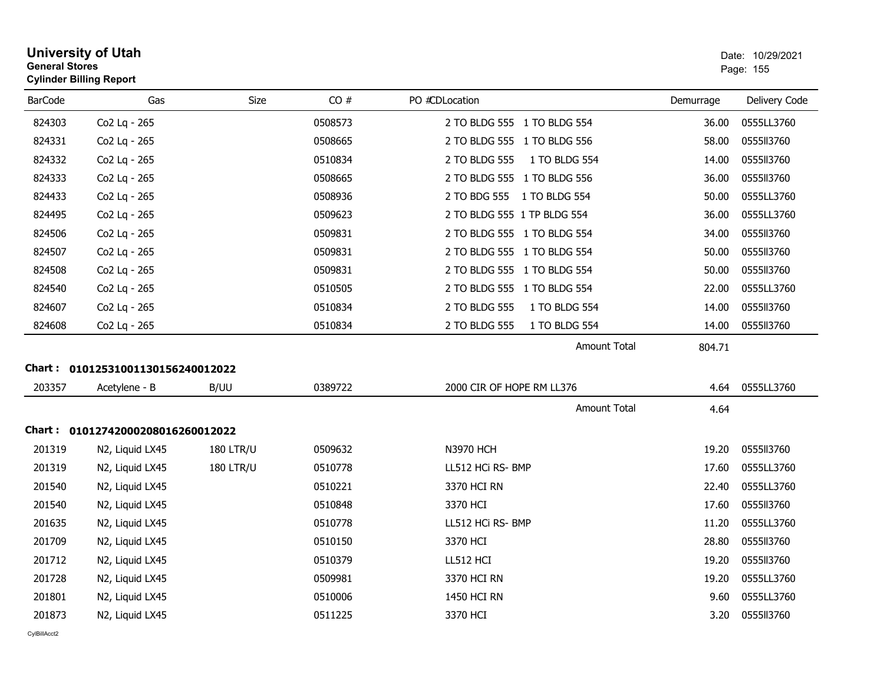| <b>General Stores</b> | <b>University of Utah</b><br><b>Cylinder Billing Report</b> |                  |         |                                |           | Date: 10/29/2021<br>Page: 155 |
|-----------------------|-------------------------------------------------------------|------------------|---------|--------------------------------|-----------|-------------------------------|
| <b>BarCode</b>        | Gas                                                         | Size             | CO#     | PO #CDLocation                 | Demurrage | Delivery Code                 |
| 824303                | Co2 Lq - 265                                                |                  | 0508573 | 2 TO BLDG 555 1 TO BLDG 554    | 36.00     | 0555LL3760                    |
| 824331                | Co2 Lq - 265                                                |                  | 0508665 | 2 TO BLDG 555 1 TO BLDG 556    | 58.00     | 0555113760                    |
| 824332                | Co2 Lq - 265                                                |                  | 0510834 | 2 TO BLDG 555<br>1 TO BLDG 554 | 14.00     | 0555ll3760                    |
| 824333                | Co2 Lq - 265                                                |                  | 0508665 | 2 TO BLDG 555 1 TO BLDG 556    | 36.00     | 0555113760                    |
| 824433                | Co2 Lq - 265                                                |                  | 0508936 | 2 TO BDG 555 1 TO BLDG 554     | 50.00     | 0555LL3760                    |
| 824495                | Co2 Lq - 265                                                |                  | 0509623 | 2 TO BLDG 555 1 TP BLDG 554    | 36.00     | 0555LL3760                    |
| 824506                | Co2 Lq - 265                                                |                  | 0509831 | 2 TO BLDG 555 1 TO BLDG 554    | 34.00     | 0555113760                    |
| 824507                | Co2 Lq - 265                                                |                  | 0509831 | 2 TO BLDG 555 1 TO BLDG 554    | 50.00     | 0555113760                    |
| 824508                | Co2 Lq - 265                                                |                  | 0509831 | 2 TO BLDG 555 1 TO BLDG 554    | 50.00     | 0555113760                    |
| 824540                | Co2 Lq - 265                                                |                  | 0510505 | 2 TO BLDG 555 1 TO BLDG 554    | 22.00     | 0555LL3760                    |
| 824607                | Co2 Lq - 265                                                |                  | 0510834 | 2 TO BLDG 555<br>1 TO BLDG 554 | 14.00     | 0555113760                    |
| 824608                | Co2 Lq - 265                                                |                  | 0510834 | 1 TO BLDG 554<br>2 TO BLDG 555 | 14.00     | 0555113760                    |
|                       |                                                             |                  |         | Amount Total                   | 804.71    |                               |
|                       | Chart: 01012531001130156240012022                           |                  |         |                                |           |                               |
| 203357                | Acetylene - B                                               | B/UU             | 0389722 | 2000 CIR OF HOPE RM LL376      | 4.64      | 0555LL3760                    |
|                       |                                                             |                  |         | Amount Total                   | 4.64      |                               |
|                       | Chart: 01012742000208016260012022                           |                  |         |                                |           |                               |
| 201319                | N2, Liquid LX45                                             | <b>180 LTR/U</b> | 0509632 | <b>N3970 HCH</b>               | 19.20     | 0555113760                    |
| 201319                | N2, Liquid LX45                                             | <b>180 LTR/U</b> | 0510778 | LL512 HCi RS- BMP              | 17.60     | 0555LL3760                    |
| 201540                | N2, Liquid LX45                                             |                  | 0510221 | 3370 HCI RN                    | 22.40     | 0555LL3760                    |
| 201540                | N2, Liquid LX45                                             |                  | 0510848 | 3370 HCI                       | 17.60     | 0555113760                    |
| 201635                | N2, Liquid LX45                                             |                  | 0510778 | LL512 HCi RS- BMP              | 11.20     | 0555LL3760                    |
| 201709                | N2, Liquid LX45                                             |                  | 0510150 | 3370 HCI                       | 28.80     | 0555113760                    |
| 201712                | N2, Liquid LX45                                             |                  | 0510379 | LL512 HCI                      | 19.20     | 0555113760                    |
| 201728                | N2, Liquid LX45                                             |                  | 0509981 | 3370 HCI RN                    | 19.20     | 0555LL3760                    |
| 201801                | N2, Liquid LX45                                             |                  | 0510006 | 1450 HCI RN                    | 9.60      | 0555LL3760                    |
| 201873                | N2, Liquid LX45                                             |                  | 0511225 | 3370 HCI                       | 3.20      | 0555113760                    |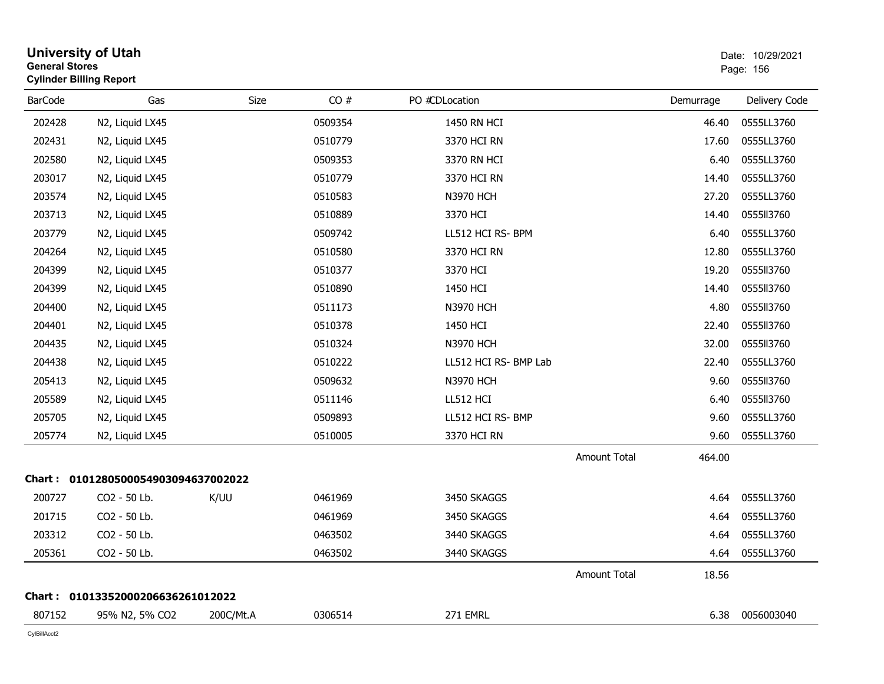| <b>General Stores</b> | <b>University of Utah</b><br><b>Cylinder Billing Report</b> |           |         |                       |                     |           | Date: 10/29/2021<br>Page: 156 |
|-----------------------|-------------------------------------------------------------|-----------|---------|-----------------------|---------------------|-----------|-------------------------------|
| <b>BarCode</b>        | Gas                                                         | Size      | CO#     | PO #CDLocation        |                     | Demurrage | Delivery Code                 |
| 202428                | N2, Liquid LX45                                             |           | 0509354 | 1450 RN HCI           |                     | 46.40     | 0555LL3760                    |
| 202431                | N2, Liquid LX45                                             |           | 0510779 | 3370 HCI RN           |                     | 17.60     | 0555LL3760                    |
| 202580                | N2, Liquid LX45                                             |           | 0509353 | 3370 RN HCI           |                     | 6.40      | 0555LL3760                    |
| 203017                | N2, Liquid LX45                                             |           | 0510779 | 3370 HCI RN           |                     | 14.40     | 0555LL3760                    |
| 203574                | N2, Liquid LX45                                             |           | 0510583 | <b>N3970 HCH</b>      |                     | 27.20     | 0555LL3760                    |
| 203713                | N2, Liquid LX45                                             |           | 0510889 | 3370 HCI              |                     | 14.40     | 0555113760                    |
| 203779                | N2, Liquid LX45                                             |           | 0509742 | LL512 HCI RS- BPM     |                     | 6.40      | 0555LL3760                    |
| 204264                | N2, Liquid LX45                                             |           | 0510580 | 3370 HCI RN           |                     | 12.80     | 0555LL3760                    |
| 204399                | N2, Liquid LX45                                             |           | 0510377 | 3370 HCI              |                     | 19.20     | 055513760                     |
| 204399                | N2, Liquid LX45                                             |           | 0510890 | 1450 HCI              |                     | 14.40     | 0555113760                    |
| 204400                | N2, Liquid LX45                                             |           | 0511173 | <b>N3970 HCH</b>      |                     | 4.80      | 055513760                     |
| 204401                | N2, Liquid LX45                                             |           | 0510378 | 1450 HCI              |                     | 22.40     | 0555113760                    |
| 204435                | N2, Liquid LX45                                             |           | 0510324 | <b>N3970 HCH</b>      |                     | 32.00     | 0555113760                    |
| 204438                | N2, Liquid LX45                                             |           | 0510222 | LL512 HCI RS- BMP Lab |                     | 22.40     | 0555LL3760                    |
| 205413                | N2, Liquid LX45                                             |           | 0509632 | <b>N3970 HCH</b>      |                     | 9.60      | 0555113760                    |
| 205589                | N2, Liquid LX45                                             |           | 0511146 | LL512 HCI             |                     | 6.40      | 0555113760                    |
| 205705                | N2, Liquid LX45                                             |           | 0509893 | LL512 HCI RS- BMP     |                     | 9.60      | 0555LL3760                    |
| 205774                | N <sub>2</sub> , Liquid LX <sub>45</sub>                    |           | 0510005 | 3370 HCI RN           |                     | 9.60      | 0555LL3760                    |
|                       |                                                             |           |         |                       | <b>Amount Total</b> | 464.00    |                               |
|                       | Chart: 0101280500054903094637002022                         |           |         |                       |                     |           |                               |
| 200727                | CO2 - 50 Lb.                                                | K/UU      | 0461969 | 3450 SKAGGS           |                     | 4.64      | 0555LL3760                    |
| 201715                | CO2 - 50 Lb.                                                |           | 0461969 | 3450 SKAGGS           |                     | 4.64      | 0555LL3760                    |
| 203312                | CO2 - 50 Lb.                                                |           | 0463502 | 3440 SKAGGS           |                     | 4.64      | 0555LL3760                    |
| 205361                | CO2 - 50 Lb.                                                |           | 0463502 | 3440 SKAGGS           |                     | 4.64      | 0555LL3760                    |
|                       |                                                             |           |         |                       | <b>Amount Total</b> | 18.56     |                               |
|                       | Chart: 01013352000206636261012022                           |           |         |                       |                     |           |                               |
| 807152                | 95% N2, 5% CO2                                              | 200C/Mt.A | 0306514 | 271 EMRL              |                     | 6.38      | 0056003040                    |
|                       |                                                             |           |         |                       |                     |           |                               |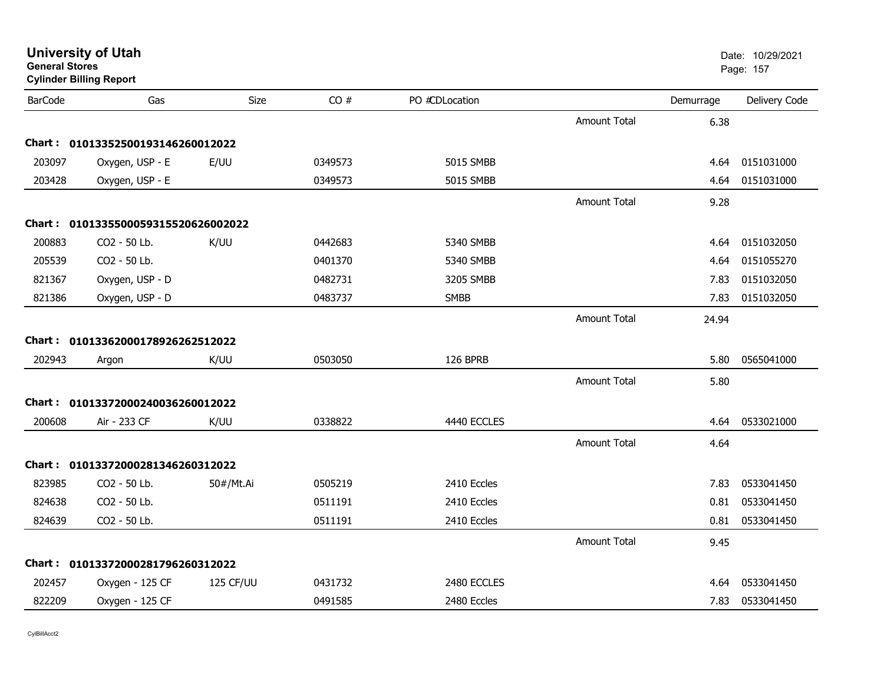| General Stores | <b>Cylinder Billing Report</b>      |             |         |                |                     |           | Page: 157     |
|----------------|-------------------------------------|-------------|---------|----------------|---------------------|-----------|---------------|
| <b>BarCode</b> | Gas                                 | <b>Size</b> | CO#     | PO #CDLocation |                     | Demurrage | Delivery Code |
|                |                                     |             |         |                | <b>Amount Total</b> | 6.38      |               |
|                | Chart: 01013352500193146260012022   |             |         |                |                     |           |               |
| 203097         | Oxygen, USP - E                     | E/UU        | 0349573 | 5015 SMBB      |                     | 4.64      | 0151031000    |
| 203428         | Oxygen, USP - E                     |             | 0349573 | 5015 SMBB      |                     | 4.64      | 0151031000    |
|                |                                     |             |         |                | <b>Amount Total</b> | 9.28      |               |
|                | Chart: 0101335500059315520626002022 |             |         |                |                     |           |               |
| 200883         | CO2 - 50 Lb.                        | K/UU        | 0442683 | 5340 SMBB      |                     | 4.64      | 0151032050    |
| 205539         | CO2 - 50 Lb.                        |             | 0401370 | 5340 SMBB      |                     | 4.64      | 0151055270    |
| 821367         | Oxygen, USP - D                     |             | 0482731 | 3205 SMBB      |                     | 7.83      | 0151032050    |
| 821386         | Oxygen, USP - D                     |             | 0483737 | <b>SMBB</b>    |                     | 7.83      | 0151032050    |
|                |                                     |             |         |                | <b>Amount Total</b> | 24.94     |               |
|                | Chart: 01013362000178926262512022   |             |         |                |                     |           |               |
| 202943         | Argon                               | K/UU        | 0503050 | 126 BPRB       |                     | 5.80      | 0565041000    |
|                |                                     |             |         |                | <b>Amount Total</b> | 5.80      |               |
| Chart :        | 01013372000240036260012022          |             |         |                |                     |           |               |
| 200608         | Air - 233 CF                        | K/UU        | 0338822 | 4440 ECCLES    |                     | 4.64      | 0533021000    |
|                |                                     |             |         |                | <b>Amount Total</b> | 4.64      |               |
| <b>Chart:</b>  | 01013372000281346260312022          |             |         |                |                     |           |               |
| 823985         | CO2 - 50 Lb.                        | 50#/Mt.Ai   | 0505219 | 2410 Eccles    |                     | 7.83      | 0533041450    |
| 824638         | CO2 - 50 Lb.                        |             | 0511191 | 2410 Eccles    |                     | 0.81      | 0533041450    |
| 824639         | CO2 - 50 Lb.                        |             | 0511191 | 2410 Eccles    |                     | 0.81      | 0533041450    |
|                |                                     |             |         |                | <b>Amount Total</b> | 9.45      |               |
| Chart : _      | 01013372000281796260312022          |             |         |                |                     |           |               |
| 202457         | Oxygen - 125 CF                     | 125 CF/UU   | 0431732 | 2480 ECCLES    |                     | 4.64      | 0533041450    |
| 822209         | Oxygen - 125 CF                     |             | 0491585 | 2480 Eccles    |                     | 7.83      | 0533041450    |
|                |                                     |             |         |                |                     |           |               |

**General Stores**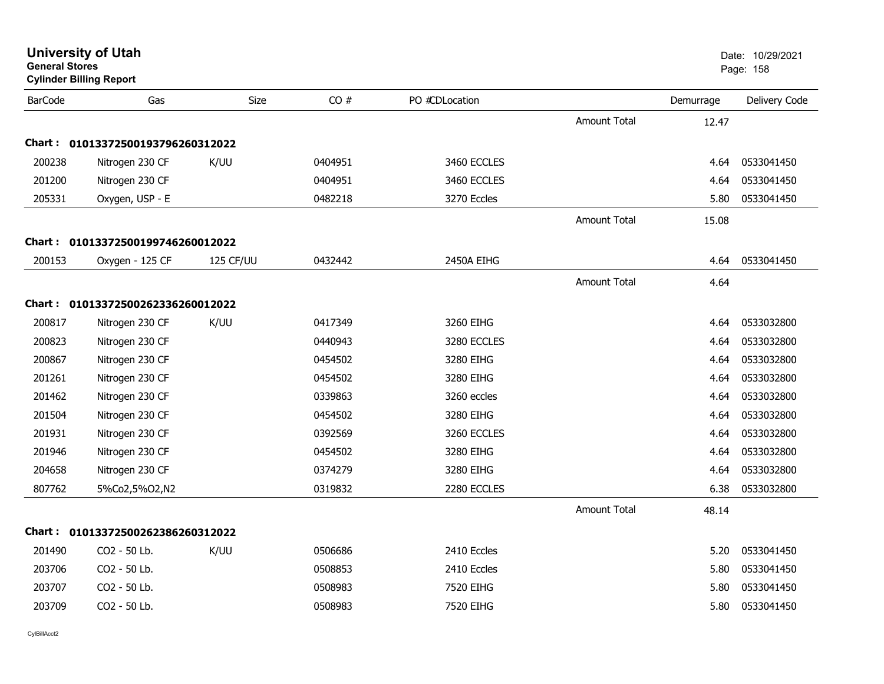|                | <b>University of Utah</b><br><b>General Stores</b><br><b>Cylinder Billing Report</b> |           |         |                |                     |           | Date: 10/29/2021<br>Page: 158 |  |
|----------------|--------------------------------------------------------------------------------------|-----------|---------|----------------|---------------------|-----------|-------------------------------|--|
| <b>BarCode</b> | Gas                                                                                  | Size      | CO#     | PO #CDLocation |                     | Demurrage | Delivery Code                 |  |
|                |                                                                                      |           |         |                | <b>Amount Total</b> | 12.47     |                               |  |
|                | Chart: 01013372500193796260312022                                                    |           |         |                |                     |           |                               |  |
| 200238         | Nitrogen 230 CF                                                                      | K/UU      | 0404951 | 3460 ECCLES    |                     | 4.64      | 0533041450                    |  |
| 201200         | Nitrogen 230 CF                                                                      |           | 0404951 | 3460 ECCLES    |                     | 4.64      | 0533041450                    |  |
| 205331         | Oxygen, USP - E                                                                      |           | 0482218 | 3270 Eccles    |                     | 5.80      | 0533041450                    |  |
|                |                                                                                      |           |         |                | Amount Total        | 15.08     |                               |  |
|                | Chart: 01013372500199746260012022                                                    |           |         |                |                     |           |                               |  |
| 200153         | Oxygen - 125 CF                                                                      | 125 CF/UU | 0432442 | 2450A EIHG     |                     | 4.64      | 0533041450                    |  |
|                |                                                                                      |           |         |                | <b>Amount Total</b> | 4.64      |                               |  |
|                | Chart: 01013372500262336260012022                                                    |           |         |                |                     |           |                               |  |
| 200817         | Nitrogen 230 CF                                                                      | K/UU      | 0417349 | 3260 EIHG      |                     | 4.64      | 0533032800                    |  |
| 200823         | Nitrogen 230 CF                                                                      |           | 0440943 | 3280 ECCLES    |                     | 4.64      | 0533032800                    |  |
| 200867         | Nitrogen 230 CF                                                                      |           | 0454502 | 3280 EIHG      |                     | 4.64      | 0533032800                    |  |
| 201261         | Nitrogen 230 CF                                                                      |           | 0454502 | 3280 EIHG      |                     | 4.64      | 0533032800                    |  |
| 201462         | Nitrogen 230 CF                                                                      |           | 0339863 | 3260 eccles    |                     | 4.64      | 0533032800                    |  |
| 201504         | Nitrogen 230 CF                                                                      |           | 0454502 | 3280 EIHG      |                     | 4.64      | 0533032800                    |  |
| 201931         | Nitrogen 230 CF                                                                      |           | 0392569 | 3260 ECCLES    |                     | 4.64      | 0533032800                    |  |
| 201946         | Nitrogen 230 CF                                                                      |           | 0454502 | 3280 EIHG      |                     | 4.64      | 0533032800                    |  |
| 204658         | Nitrogen 230 CF                                                                      |           | 0374279 | 3280 EIHG      |                     | 4.64      | 0533032800                    |  |
| 807762         | 5%Co2,5%O2,N2                                                                        |           | 0319832 | 2280 ECCLES    |                     | 6.38      | 0533032800                    |  |
|                |                                                                                      |           |         |                | <b>Amount Total</b> | 48.14     |                               |  |
|                | Chart: 01013372500262386260312022                                                    |           |         |                |                     |           |                               |  |
| 201490         | CO2 - 50 Lb.                                                                         | K/UU      | 0506686 | 2410 Eccles    |                     | 5.20      | 0533041450                    |  |
| 203706         | CO2 - 50 Lb.                                                                         |           | 0508853 | 2410 Eccles    |                     | 5.80      | 0533041450                    |  |
| 203707         | CO2 - 50 Lb.                                                                         |           | 0508983 | 7520 EIHG      |                     | 5.80      | 0533041450                    |  |
| 203709         | CO2 - 50 Lb.                                                                         |           | 0508983 | 7520 EIHG      |                     | 5.80      | 0533041450                    |  |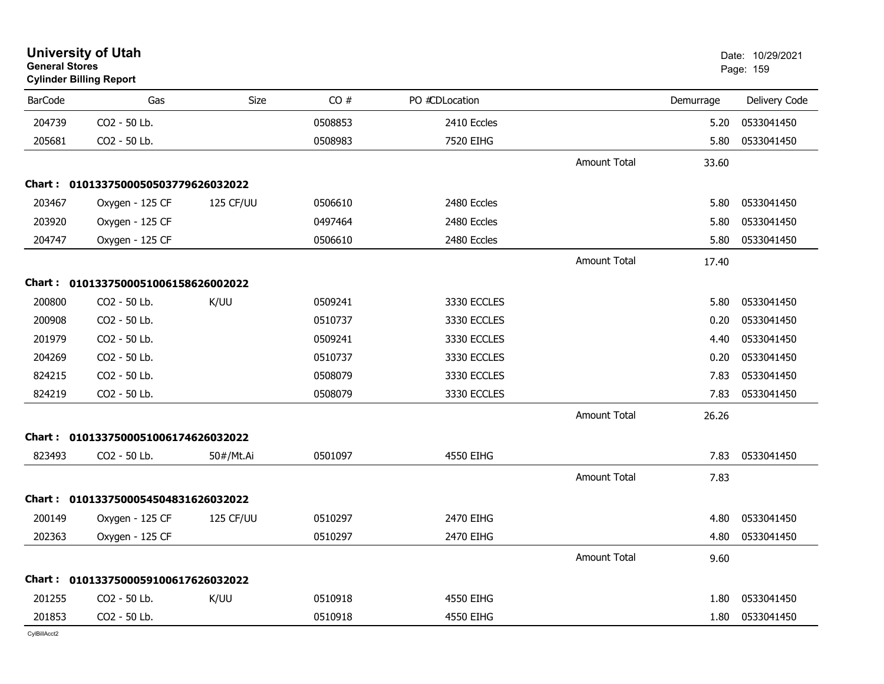| <b>General Stores</b> | University of Utah<br><b>Cylinder Billing Report</b> |           |         |                |                     |           | Date: 10/29/2021<br>Page: 159 |
|-----------------------|------------------------------------------------------|-----------|---------|----------------|---------------------|-----------|-------------------------------|
| <b>BarCode</b>        | Gas                                                  | Size      | CO#     | PO #CDLocation |                     | Demurrage | Delivery Code                 |
| 204739                | CO2 - 50 Lb.                                         |           | 0508853 | 2410 Eccles    |                     | 5.20      | 0533041450                    |
| 205681                | CO2 - 50 Lb.                                         |           | 0508983 | 7520 EIHG      |                     | 5.80      | 0533041450                    |
|                       |                                                      |           |         |                | Amount Total        | 33.60     |                               |
|                       | Chart: 0101337500050503779626032022                  |           |         |                |                     |           |                               |
| 203467                | Oxygen - 125 CF                                      | 125 CF/UU | 0506610 | 2480 Eccles    |                     | 5.80      | 0533041450                    |
| 203920                | Oxygen - 125 CF                                      |           | 0497464 | 2480 Eccles    |                     | 5.80      | 0533041450                    |
| 204747                | Oxygen - 125 CF                                      |           | 0506610 | 2480 Eccles    |                     | 5.80      | 0533041450                    |
|                       |                                                      |           |         |                | <b>Amount Total</b> | 17.40     |                               |
|                       | Chart: 0101337500051006158626002022                  |           |         |                |                     |           |                               |
| 200800                | CO2 - 50 Lb.                                         | K/UU      | 0509241 | 3330 ECCLES    |                     | 5.80      | 0533041450                    |
| 200908                | CO2 - 50 Lb.                                         |           | 0510737 | 3330 ECCLES    |                     | 0.20      | 0533041450                    |
| 201979                | CO2 - 50 Lb.                                         |           | 0509241 | 3330 ECCLES    |                     | 4.40      | 0533041450                    |
| 204269                | CO2 - 50 Lb.                                         |           | 0510737 | 3330 ECCLES    |                     | 0.20      | 0533041450                    |
| 824215                | CO2 - 50 Lb.                                         |           | 0508079 | 3330 ECCLES    |                     | 7.83      | 0533041450                    |
| 824219                | CO2 - 50 Lb.                                         |           | 0508079 | 3330 ECCLES    |                     | 7.83      | 0533041450                    |
|                       |                                                      |           |         |                | <b>Amount Total</b> | 26.26     |                               |
|                       | Chart: 0101337500051006174626032022                  |           |         |                |                     |           |                               |
| 823493                | CO2 - 50 Lb.                                         | 50#/Mt.Ai | 0501097 | 4550 EIHG      |                     | 7.83      | 0533041450                    |
|                       |                                                      |           |         |                | Amount Total        | 7.83      |                               |
|                       | Chart: 0101337500054504831626032022                  |           |         |                |                     |           |                               |
| 200149                | Oxygen - 125 CF                                      | 125 CF/UU | 0510297 | 2470 EIHG      |                     | 4.80      | 0533041450                    |
| 202363                | Oxygen - 125 CF                                      |           | 0510297 | 2470 EIHG      |                     | 4.80      | 0533041450                    |
|                       |                                                      |           |         |                | <b>Amount Total</b> | 9.60      |                               |
|                       | Chart: 0101337500059100617626032022                  |           |         |                |                     |           |                               |
| 201255                | CO2 - 50 Lb.                                         | K/UU      | 0510918 | 4550 EIHG      |                     | 1.80      | 0533041450                    |
| 201853                | CO2 - 50 Lb.                                         |           | 0510918 | 4550 EIHG      |                     | 1.80      | 0533041450                    |
|                       |                                                      |           |         |                |                     |           |                               |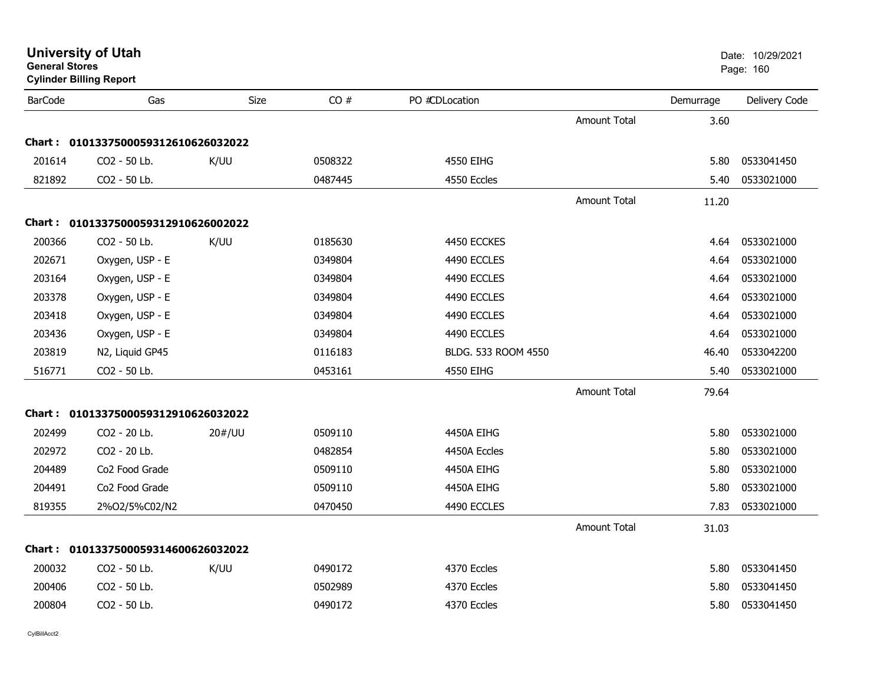| General Stores | <b>Cylinder Billing Report</b>      |        |         |                     |                     |           | Page: 160     |
|----------------|-------------------------------------|--------|---------|---------------------|---------------------|-----------|---------------|
| <b>BarCode</b> | Gas                                 | Size   | CO#     | PO #CDLocation      |                     | Demurrage | Delivery Code |
|                |                                     |        |         |                     | <b>Amount Total</b> | 3.60      |               |
|                | Chart: 0101337500059312610626032022 |        |         |                     |                     |           |               |
| 201614         | CO2 - 50 Lb.                        | K/UU   | 0508322 | 4550 EIHG           |                     | 5.80      | 0533041450    |
| 821892         | CO2 - 50 Lb.                        |        | 0487445 | 4550 Eccles         |                     | 5.40      | 0533021000    |
|                |                                     |        |         |                     | <b>Amount Total</b> | 11.20     |               |
|                | Chart: 0101337500059312910626002022 |        |         |                     |                     |           |               |
| 200366         | CO2 - 50 Lb.                        | K/UU   | 0185630 | 4450 ECCKES         |                     | 4.64      | 0533021000    |
| 202671         | Oxygen, USP - E                     |        | 0349804 | 4490 ECCLES         |                     | 4.64      | 0533021000    |
| 203164         | Oxygen, USP - E                     |        | 0349804 | 4490 ECCLES         |                     | 4.64      | 0533021000    |
| 203378         | Oxygen, USP - E                     |        | 0349804 | 4490 ECCLES         |                     | 4.64      | 0533021000    |
| 203418         | Oxygen, USP - E                     |        | 0349804 | 4490 ECCLES         |                     | 4.64      | 0533021000    |
| 203436         | Oxygen, USP - E                     |        | 0349804 | 4490 ECCLES         |                     | 4.64      | 0533021000    |
| 203819         | N2, Liquid GP45                     |        | 0116183 | BLDG. 533 ROOM 4550 |                     | 46.40     | 0533042200    |
| 516771         | CO2 - 50 Lb.                        |        | 0453161 | 4550 EIHG           |                     | 5.40      | 0533021000    |
|                |                                     |        |         |                     | Amount Total        | 79.64     |               |
|                | Chart: 0101337500059312910626032022 |        |         |                     |                     |           |               |
| 202499         | CO2 - 20 Lb.                        | 20#/UU | 0509110 | 4450A EIHG          |                     | 5.80      | 0533021000    |
| 202972         | CO2 - 20 Lb.                        |        | 0482854 | 4450A Eccles        |                     | 5.80      | 0533021000    |
| 204489         | Co2 Food Grade                      |        | 0509110 | 4450A EIHG          |                     | 5.80      | 0533021000    |
| 204491         | Co2 Food Grade                      |        | 0509110 | 4450A EIHG          |                     | 5.80      | 0533021000    |
| 819355         | 2%O2/5%C02/N2                       |        | 0470450 | 4490 ECCLES         |                     | 7.83      | 0533021000    |
|                |                                     |        |         |                     | Amount Total        | 31.03     |               |
|                | Chart: 0101337500059314600626032022 |        |         |                     |                     |           |               |
| 200032         | CO2 - 50 Lb.                        | K/UU   | 0490172 | 4370 Eccles         |                     | 5.80      | 0533041450    |
| 200406         | CO2 - 50 Lb.                        |        | 0502989 | 4370 Eccles         |                     | 5.80      | 0533041450    |
| 200804         | CO2 - 50 Lb.                        |        | 0490172 | 4370 Eccles         |                     | 5.80      | 0533041450    |
|                |                                     |        |         |                     |                     |           |               |

**General Stores**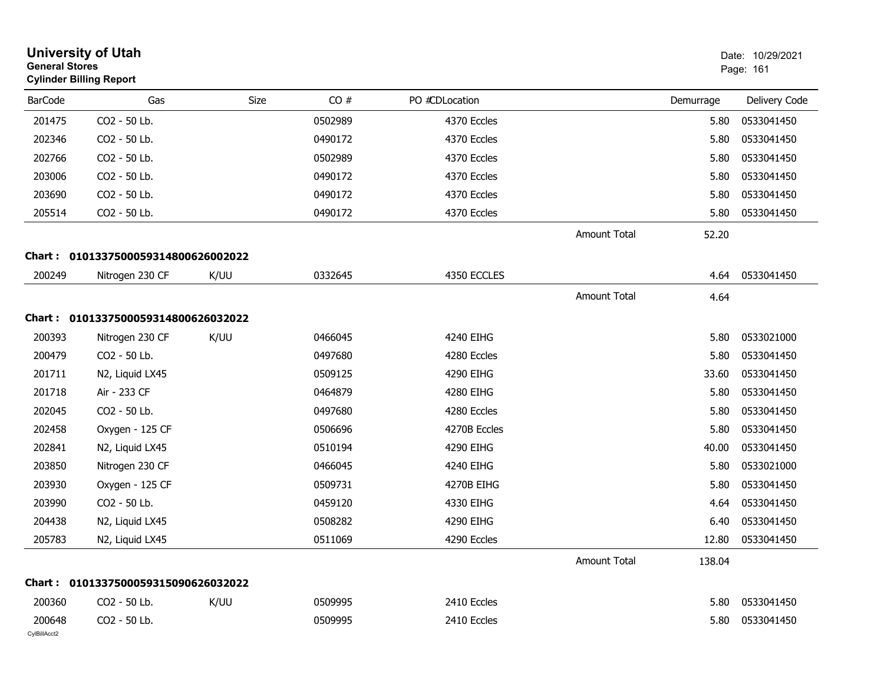|                        | <b>University of Utah</b><br><b>General Stores</b><br><b>Cylinder Billing Report</b> |      |         |                |                     |           |                 |
|------------------------|--------------------------------------------------------------------------------------|------|---------|----------------|---------------------|-----------|-----------------|
| <b>BarCode</b>         | Gas                                                                                  | Size | CO#     | PO #CDLocation |                     | Demurrage | Delivery Code   |
| 201475                 | CO2 - 50 Lb.                                                                         |      | 0502989 | 4370 Eccles    |                     | 5.80      | 0533041450      |
| 202346                 | CO2 - 50 Lb.                                                                         |      | 0490172 | 4370 Eccles    |                     | 5.80      | 0533041450      |
| 202766                 | CO2 - 50 Lb.                                                                         |      | 0502989 | 4370 Eccles    |                     | 5.80      | 0533041450      |
| 203006                 | CO2 - 50 Lb.                                                                         |      | 0490172 | 4370 Eccles    |                     | 5.80      | 0533041450      |
| 203690                 | CO2 - 50 Lb.                                                                         |      | 0490172 | 4370 Eccles    |                     | 5.80      | 0533041450      |
| 205514                 | CO2 - 50 Lb.                                                                         |      | 0490172 | 4370 Eccles    |                     | 5.80      | 0533041450      |
|                        |                                                                                      |      |         |                | <b>Amount Total</b> | 52.20     |                 |
|                        | Chart: 0101337500059314800626002022                                                  |      |         |                |                     |           |                 |
| 200249                 | Nitrogen 230 CF                                                                      | K/UU | 0332645 | 4350 ECCLES    |                     | 4.64      | 0533041450      |
|                        |                                                                                      |      |         |                | <b>Amount Total</b> | 4.64      |                 |
|                        | Chart: 0101337500059314800626032022                                                  |      |         |                |                     |           |                 |
| 200393                 | Nitrogen 230 CF                                                                      | K/UU | 0466045 | 4240 EIHG      |                     | 5.80      | 0533021000      |
| 200479                 | CO2 - 50 Lb.                                                                         |      | 0497680 | 4280 Eccles    |                     | 5.80      | 0533041450      |
| 201711                 | N2, Liquid LX45                                                                      |      | 0509125 | 4290 EIHG      |                     | 33.60     | 0533041450      |
| 201718                 | Air - 233 CF                                                                         |      | 0464879 | 4280 EIHG      |                     | 5.80      | 0533041450      |
| 202045                 | CO2 - 50 Lb.                                                                         |      | 0497680 | 4280 Eccles    |                     | 5.80      | 0533041450      |
| 202458                 | Oxygen - 125 CF                                                                      |      | 0506696 | 4270B Eccles   |                     | 5.80      | 0533041450      |
| 202841                 | N2, Liquid LX45                                                                      |      | 0510194 | 4290 EIHG      |                     | 40.00     | 0533041450      |
| 203850                 | Nitrogen 230 CF                                                                      |      | 0466045 | 4240 EIHG      |                     | 5.80      | 0533021000      |
| 203930                 | Oxygen - 125 CF                                                                      |      | 0509731 | 4270B EIHG     |                     | 5.80      | 0533041450      |
| 203990                 | CO2 - 50 Lb.                                                                         |      | 0459120 | 4330 EIHG      |                     | 4.64      | 0533041450      |
| 204438                 | N2, Liquid LX45                                                                      |      | 0508282 | 4290 EIHG      |                     | 6.40      | 0533041450      |
| 205783                 | N2, Liquid LX45                                                                      |      | 0511069 | 4290 Eccles    |                     | 12.80     | 0533041450      |
|                        |                                                                                      |      |         |                | Amount Total        | 138.04    |                 |
|                        | Chart: 0101337500059315090626032022                                                  |      |         |                |                     |           |                 |
| 200360                 | CO2 - 50 Lb.                                                                         | K/UU | 0509995 | 2410 Eccles    |                     | 5.80      | 0533041450      |
| 200648<br>CylBillAcct2 | CO2 - 50 Lb.                                                                         |      | 0509995 | 2410 Eccles    |                     |           | 5.80 0533041450 |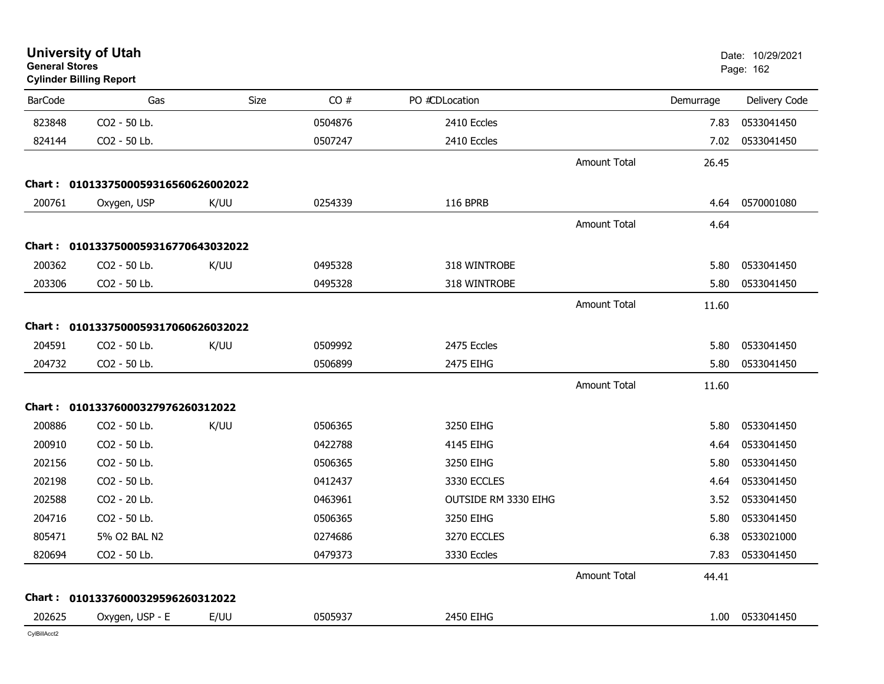| <b>General Stores</b> | <b>University of Utah</b><br><b>Cylinder Billing Report</b> |      |         |                      |                     |           | Date: 10/29/2021<br>Page: 162 |
|-----------------------|-------------------------------------------------------------|------|---------|----------------------|---------------------|-----------|-------------------------------|
| <b>BarCode</b>        | Gas                                                         | Size | CO#     | PO #CDLocation       |                     | Demurrage | Delivery Code                 |
| 823848                | CO2 - 50 Lb.                                                |      | 0504876 | 2410 Eccles          |                     | 7.83      | 0533041450                    |
| 824144                | CO2 - 50 Lb.                                                |      | 0507247 | 2410 Eccles          |                     | 7.02      | 0533041450                    |
|                       |                                                             |      |         |                      | Amount Total        | 26.45     |                               |
| Chart :               | 0101337500059316560626002022                                |      |         |                      |                     |           |                               |
| 200761                | Oxygen, USP                                                 | K/UU | 0254339 | <b>116 BPRB</b>      |                     | 4.64      | 0570001080                    |
|                       |                                                             |      |         |                      | <b>Amount Total</b> | 4.64      |                               |
|                       | Chart: 0101337500059316770643032022                         |      |         |                      |                     |           |                               |
| 200362                | CO2 - 50 Lb.                                                | K/UU | 0495328 | 318 WINTROBE         |                     | 5.80      | 0533041450                    |
| 203306                | CO2 - 50 Lb.                                                |      | 0495328 | 318 WINTROBE         |                     | 5.80      | 0533041450                    |
|                       |                                                             |      |         |                      | <b>Amount Total</b> | 11.60     |                               |
|                       | Chart: 0101337500059317060626032022                         |      |         |                      |                     |           |                               |
| 204591                | CO2 - 50 Lb.                                                | K/UU | 0509992 | 2475 Eccles          |                     | 5.80      | 0533041450                    |
| 204732                | CO2 - 50 Lb.                                                |      | 0506899 | 2475 EIHG            |                     | 5.80      | 0533041450                    |
|                       |                                                             |      |         |                      | <b>Amount Total</b> | 11.60     |                               |
|                       | Chart: 01013376000327976260312022                           |      |         |                      |                     |           |                               |
| 200886                | CO2 - 50 Lb.                                                | K/UU | 0506365 | 3250 EIHG            |                     | 5.80      | 0533041450                    |
| 200910                | CO2 - 50 Lb.                                                |      | 0422788 | 4145 EIHG            |                     | 4.64      | 0533041450                    |
| 202156                | CO2 - 50 Lb.                                                |      | 0506365 | 3250 EIHG            |                     | 5.80      | 0533041450                    |
| 202198                | CO2 - 50 Lb.                                                |      | 0412437 | 3330 ECCLES          |                     | 4.64      | 0533041450                    |
| 202588                | CO2 - 20 Lb.                                                |      | 0463961 | OUTSIDE RM 3330 EIHG |                     | 3.52      | 0533041450                    |
| 204716                | CO2 - 50 Lb.                                                |      | 0506365 | 3250 EIHG            |                     | 5.80      | 0533041450                    |
| 805471                | 5% O2 BAL N2                                                |      | 0274686 | 3270 ECCLES          |                     | 6.38      | 0533021000                    |
| 820694                | CO2 - 50 Lb.                                                |      | 0479373 | 3330 Eccles          |                     | 7.83      | 0533041450                    |
|                       |                                                             |      |         |                      | Amount Total        | 44.41     |                               |
|                       | Chart: 01013376000329596260312022                           |      |         |                      |                     |           |                               |
| 202625                | Oxygen, USP - E                                             | E/UU | 0505937 | 2450 EIHG            |                     | 1.00      | 0533041450                    |
| CylBillAcct2          |                                                             |      |         |                      |                     |           |                               |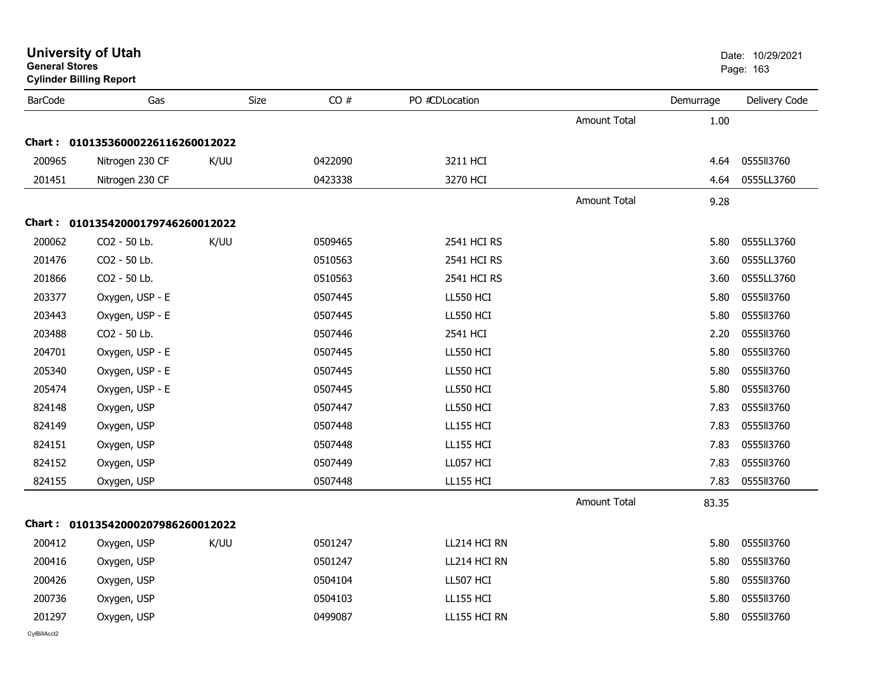| <b>General Stores</b> | <b>Cylinder Billing Report</b>    |      |         |                  |                     |           | Page: 163     |
|-----------------------|-----------------------------------|------|---------|------------------|---------------------|-----------|---------------|
| <b>BarCode</b>        | Gas                               | Size | CO#     | PO #CDLocation   |                     | Demurrage | Delivery Code |
|                       |                                   |      |         |                  | <b>Amount Total</b> | 1.00      |               |
|                       | Chart: 01013536000226116260012022 |      |         |                  |                     |           |               |
| 200965                | Nitrogen 230 CF                   | K/UU | 0422090 | 3211 HCI         |                     | 4.64      | 0555113760    |
| 201451                | Nitrogen 230 CF                   |      | 0423338 | 3270 HCI         |                     | 4.64      | 0555LL3760    |
|                       |                                   |      |         |                  | <b>Amount Total</b> | 9.28      |               |
|                       | Chart: 01013542000179746260012022 |      |         |                  |                     |           |               |
| 200062                | CO2 - 50 Lb.                      | K/UU | 0509465 | 2541 HCI RS      |                     | 5.80      | 0555LL3760    |
| 201476                | CO2 - 50 Lb.                      |      | 0510563 | 2541 HCI RS      |                     | 3.60      | 0555LL3760    |
| 201866                | CO2 - 50 Lb.                      |      | 0510563 | 2541 HCI RS      |                     | 3.60      | 0555LL3760    |
| 203377                | Oxygen, USP - E                   |      | 0507445 | <b>LL550 HCI</b> |                     | 5.80      | 0555113760    |
| 203443                | Oxygen, USP - E                   |      | 0507445 | <b>LL550 HCI</b> |                     | 5.80      | 0555113760    |
| 203488                | CO2 - 50 Lb.                      |      | 0507446 | 2541 HCI         |                     | 2.20      | 0555113760    |
| 204701                | Oxygen, USP - E                   |      | 0507445 | <b>LL550 HCI</b> |                     | 5.80      | 0555113760    |
| 205340                | Oxygen, USP - E                   |      | 0507445 | <b>LL550 HCI</b> |                     | 5.80      | 0555113760    |
| 205474                | Oxygen, USP - E                   |      | 0507445 | LL550 HCI        |                     | 5.80      | 0555113760    |
| 824148                | Oxygen, USP                       |      | 0507447 | <b>LL550 HCI</b> |                     | 7.83      | 0555113760    |
| 824149                | Oxygen, USP                       |      | 0507448 | <b>LL155 HCI</b> |                     | 7.83      | 0555113760    |
| 824151                | Oxygen, USP                       |      | 0507448 | <b>LL155 HCI</b> |                     | 7.83      | 0555113760    |
| 824152                | Oxygen, USP                       |      | 0507449 | LL057 HCI        |                     | 7.83      | 0555113760    |
| 824155                | Oxygen, USP                       |      | 0507448 | <b>LL155 HCI</b> |                     | 7.83      | 0555113760    |
|                       |                                   |      |         |                  | Amount Total        | 83.35     |               |
|                       | Chart: 01013542000207986260012022 |      |         |                  |                     |           |               |
| 200412                | Oxygen, USP                       | K/UU | 0501247 | LL214 HCI RN     |                     | 5.80      | 0555113760    |
| 200416                | Oxygen, USP                       |      | 0501247 | LL214 HCI RN     |                     | 5.80      | 0555113760    |
| 200426                | Oxygen, USP                       |      | 0504104 | LL507 HCI        |                     | 5.80      | 0555113760    |
| 200736                | Oxygen, USP                       |      | 0504103 | <b>LL155 HCI</b> |                     | 5.80      | 0555113760    |
| 201297                | Oxygen, USP                       |      | 0499087 | LL155 HCI RN     |                     | 5.80      | 0555113760    |
|                       |                                   |      |         |                  |                     |           |               |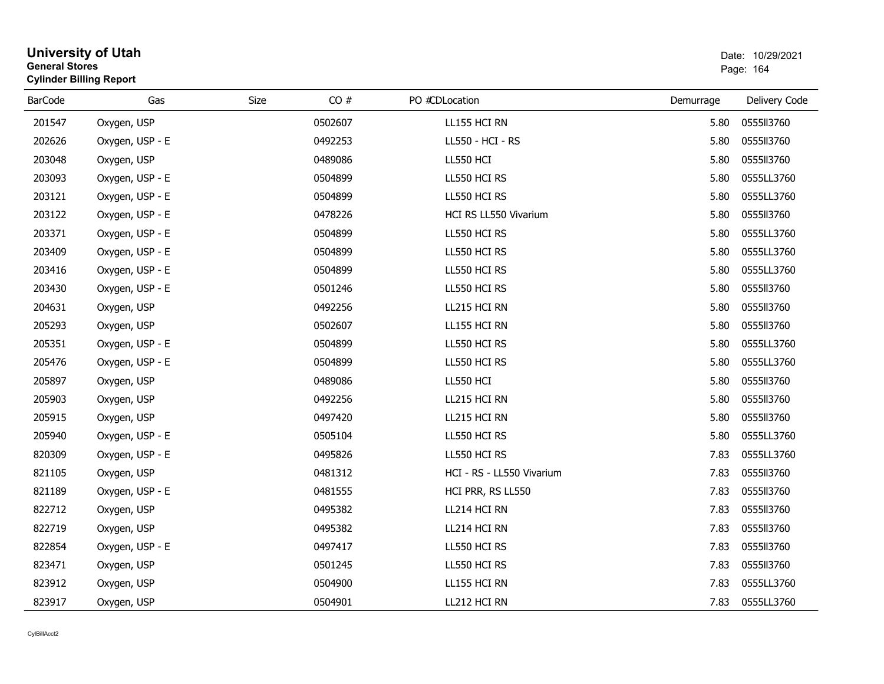| <b>General Stores</b> | <b>Cylinder Billing Report</b> |      |         |                           |           | Page: 164     |
|-----------------------|--------------------------------|------|---------|---------------------------|-----------|---------------|
| <b>BarCode</b>        | Gas                            | Size | CO#     | PO #CDLocation            | Demurrage | Delivery Code |
| 201547                | Oxygen, USP                    |      | 0502607 | LL155 HCI RN              | 5.80      | 0555113760    |
| 202626                | Oxygen, USP - E                |      | 0492253 | LL550 - HCI - RS          | 5.80      | 0555113760    |
| 203048                | Oxygen, USP                    |      | 0489086 | <b>LL550 HCI</b>          | 5.80      | 0555113760    |
| 203093                | Oxygen, USP - E                |      | 0504899 | LL550 HCI RS              | 5.80      | 0555LL3760    |
| 203121                | Oxygen, USP - E                |      | 0504899 | LL550 HCI RS              | 5.80      | 0555LL3760    |
| 203122                | Oxygen, USP - E                |      | 0478226 | HCI RS LL550 Vivarium     | 5.80      | 0555113760    |
| 203371                | Oxygen, USP - E                |      | 0504899 | LL550 HCI RS              | 5.80      | 0555LL3760    |
| 203409                | Oxygen, USP - E                |      | 0504899 | LL550 HCI RS              | 5.80      | 0555LL3760    |
| 203416                | Oxygen, USP - E                |      | 0504899 | LL550 HCI RS              | 5.80      | 0555LL3760    |
| 203430                | Oxygen, USP - E                |      | 0501246 | LL550 HCI RS              | 5.80      | 0555113760    |
| 204631                | Oxygen, USP                    |      | 0492256 | LL215 HCI RN              | 5.80      | 0555113760    |
| 205293                | Oxygen, USP                    |      | 0502607 | LL155 HCI RN              | 5.80      | 0555113760    |
| 205351                | Oxygen, USP - E                |      | 0504899 | LL550 HCI RS              | 5.80      | 0555LL3760    |
| 205476                | Oxygen, USP - E                |      | 0504899 | LL550 HCI RS              | 5.80      | 0555LL3760    |
| 205897                | Oxygen, USP                    |      | 0489086 | <b>LL550 HCI</b>          | 5.80      | 0555113760    |
| 205903                | Oxygen, USP                    |      | 0492256 | LL215 HCI RN              | 5.80      | 0555113760    |
| 205915                | Oxygen, USP                    |      | 0497420 | LL215 HCI RN              | 5.80      | 0555113760    |
| 205940                | Oxygen, USP - E                |      | 0505104 | LL550 HCI RS              | 5.80      | 0555LL3760    |
| 820309                | Oxygen, USP - E                |      | 0495826 | LL550 HCI RS              | 7.83      | 0555LL3760    |
| 821105                | Oxygen, USP                    |      | 0481312 | HCI - RS - LL550 Vivarium | 7.83      | 0555113760    |
| 821189                | Oxygen, USP - E                |      | 0481555 | HCI PRR, RS LL550         | 7.83      | 0555113760    |
| 822712                | Oxygen, USP                    |      | 0495382 | LL214 HCI RN              | 7.83      | 0555113760    |
| 822719                | Oxygen, USP                    |      | 0495382 | LL214 HCI RN              | 7.83      | 0555113760    |
| 822854                | Oxygen, USP - E                |      | 0497417 | LL550 HCI RS              | 7.83      | 0555113760    |
| 823471                | Oxygen, USP                    |      | 0501245 | LL550 HCI RS              | 7.83      | 0555113760    |
| 823912                | Oxygen, USP                    |      | 0504900 | LL155 HCI RN              | 7.83      | 0555LL3760    |
| 823917                | Oxygen, USP                    |      | 0504901 | LL212 HCI RN              | 7.83      | 0555LL3760    |

# **University of Utah**  Date: 10/29/2021 **General Stores**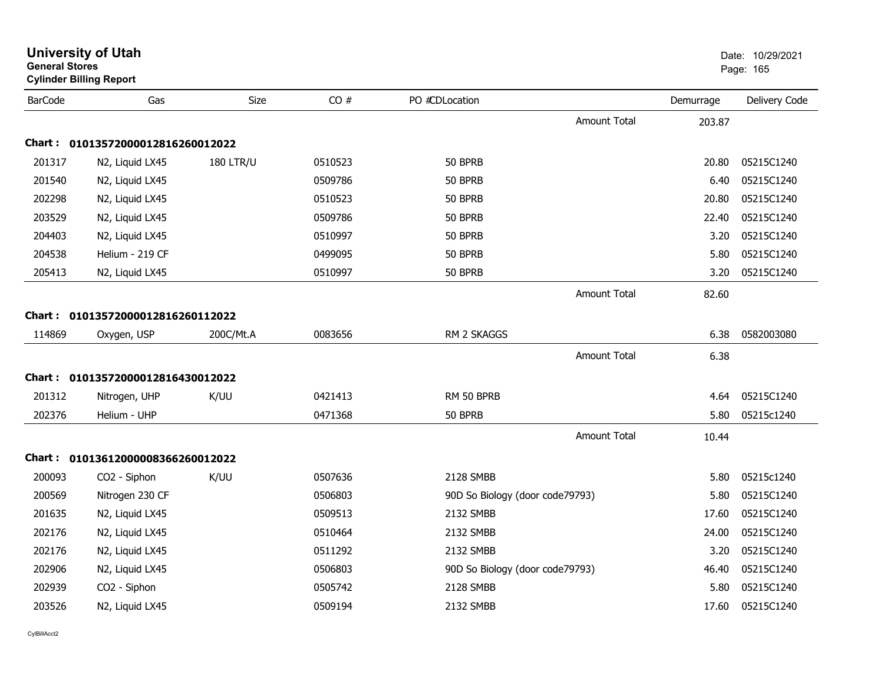| <b>General Stores</b> | <b>University of Utah</b><br><b>Cylinder Billing Report</b> |                  |         |                                 |                     |           | Date: 10/29/2021<br>Page: 165 |
|-----------------------|-------------------------------------------------------------|------------------|---------|---------------------------------|---------------------|-----------|-------------------------------|
| <b>BarCode</b>        | Gas                                                         | Size             | CO#     | PO #CDLocation                  |                     | Demurrage | Delivery Code                 |
|                       |                                                             |                  |         |                                 | <b>Amount Total</b> | 203.87    |                               |
|                       | Chart: 01013572000012816260012022                           |                  |         |                                 |                     |           |                               |
| 201317                | N2, Liquid LX45                                             | <b>180 LTR/U</b> | 0510523 | 50 BPRB                         |                     | 20.80     | 05215C1240                    |
| 201540                | N2, Liquid LX45                                             |                  | 0509786 | 50 BPRB                         |                     | 6.40      | 05215C1240                    |
| 202298                | N2, Liquid LX45                                             |                  | 0510523 | 50 BPRB                         |                     | 20.80     | 05215C1240                    |
| 203529                | N2, Liquid LX45                                             |                  | 0509786 | 50 BPRB                         |                     | 22.40     | 05215C1240                    |
| 204403                | N2, Liquid LX45                                             |                  | 0510997 | 50 BPRB                         |                     | 3.20      | 05215C1240                    |
| 204538                | Helium - 219 CF                                             |                  | 0499095 | 50 BPRB                         |                     | 5.80      | 05215C1240                    |
| 205413                | N2, Liquid LX45                                             |                  | 0510997 | 50 BPRB                         |                     | 3.20      | 05215C1240                    |
|                       |                                                             |                  |         |                                 | <b>Amount Total</b> | 82.60     |                               |
|                       | Chart: 01013572000012816260112022                           |                  |         |                                 |                     |           |                               |
| 114869                | Oxygen, USP                                                 | 200C/Mt.A        | 0083656 | RM 2 SKAGGS                     |                     | 6.38      | 0582003080                    |
|                       |                                                             |                  |         |                                 | <b>Amount Total</b> | 6.38      |                               |
|                       | Chart: 01013572000012816430012022                           |                  |         |                                 |                     |           |                               |
| 201312                | Nitrogen, UHP                                               | K/UU             | 0421413 | RM 50 BPRB                      |                     | 4.64      | 05215C1240                    |
| 202376                | Helium - UHP                                                |                  | 0471368 | 50 BPRB                         |                     | 5.80      | 05215c1240                    |
|                       |                                                             |                  |         |                                 | <b>Amount Total</b> | 10.44     |                               |
|                       | Chart: 01013612000008366260012022                           |                  |         |                                 |                     |           |                               |
| 200093                | CO2 - Siphon                                                | K/UU             | 0507636 | 2128 SMBB                       |                     | 5.80      | 05215c1240                    |
| 200569                | Nitrogen 230 CF                                             |                  | 0506803 | 90D So Biology (door code79793) |                     | 5.80      | 05215C1240                    |
| 201635                | N2, Liquid LX45                                             |                  | 0509513 | 2132 SMBB                       |                     | 17.60     | 05215C1240                    |
| 202176                | N2, Liquid LX45                                             |                  | 0510464 | 2132 SMBB                       |                     | 24.00     | 05215C1240                    |
| 202176                | N2, Liquid LX45                                             |                  | 0511292 | 2132 SMBB                       |                     | 3.20      | 05215C1240                    |
| 202906                | N2, Liquid LX45                                             |                  | 0506803 | 90D So Biology (door code79793) |                     | 46.40     | 05215C1240                    |
| 202939                | CO2 - Siphon                                                |                  | 0505742 | 2128 SMBB                       |                     | 5.80      | 05215C1240                    |
| 203526                | N2, Liquid LX45                                             |                  | 0509194 | 2132 SMBB                       |                     | 17.60     | 05215C1240                    |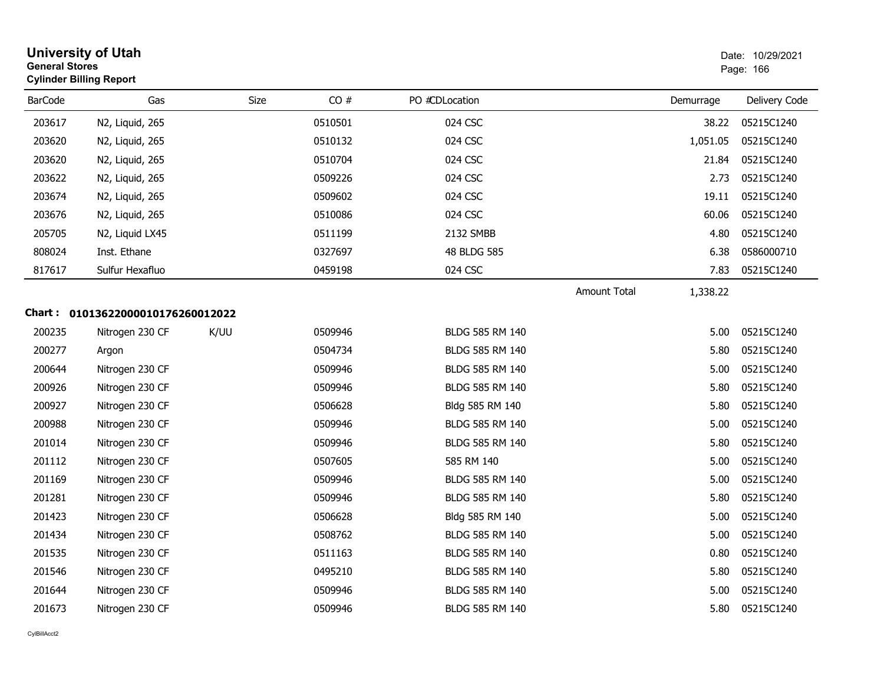| <b>General Stores</b> | <b>University of Utah</b><br><b>Cylinder Billing Report</b> |      |         |                        |                     |           | Date: 10/29/2021<br>Page: 166 |
|-----------------------|-------------------------------------------------------------|------|---------|------------------------|---------------------|-----------|-------------------------------|
| <b>BarCode</b>        | Gas                                                         | Size | CO#     | PO #CDLocation         |                     | Demurrage | Delivery Code                 |
| 203617                | N2, Liquid, 265                                             |      | 0510501 | 024 CSC                |                     | 38.22     | 05215C1240                    |
| 203620                | N2, Liquid, 265                                             |      | 0510132 | 024 CSC                |                     | 1,051.05  | 05215C1240                    |
| 203620                | N2, Liquid, 265                                             |      | 0510704 | 024 CSC                |                     | 21.84     | 05215C1240                    |
| 203622                | N2, Liquid, 265                                             |      | 0509226 | 024 CSC                |                     | 2.73      | 05215C1240                    |
| 203674                | N2, Liquid, 265                                             |      | 0509602 | 024 CSC                |                     | 19.11     | 05215C1240                    |
| 203676                | N2, Liquid, 265                                             |      | 0510086 | 024 CSC                |                     | 60.06     | 05215C1240                    |
| 205705                | N2, Liquid LX45                                             |      | 0511199 | 2132 SMBB              |                     | 4.80      | 05215C1240                    |
| 808024                | Inst. Ethane                                                |      | 0327697 | 48 BLDG 585            |                     | 6.38      | 0586000710                    |
| 817617                | Sulfur Hexafluo                                             |      | 0459198 | 024 CSC                |                     | 7.83      | 05215C1240                    |
|                       |                                                             |      |         |                        | <b>Amount Total</b> | 1,338.22  |                               |
|                       | Chart: 01013622000010176260012022                           |      |         |                        |                     |           |                               |
| 200235                | Nitrogen 230 CF                                             | K/UU | 0509946 | BLDG 585 RM 140        |                     | 5.00      | 05215C1240                    |
| 200277                | Argon                                                       |      | 0504734 | BLDG 585 RM 140        |                     | 5.80      | 05215C1240                    |
| 200644                | Nitrogen 230 CF                                             |      | 0509946 | BLDG 585 RM 140        |                     | 5.00      | 05215C1240                    |
| 200926                | Nitrogen 230 CF                                             |      | 0509946 | BLDG 585 RM 140        |                     | 5.80      | 05215C1240                    |
| 200927                | Nitrogen 230 CF                                             |      | 0506628 | Bldg 585 RM 140        |                     | 5.80      | 05215C1240                    |
| 200988                | Nitrogen 230 CF                                             |      | 0509946 | BLDG 585 RM 140        |                     | 5.00      | 05215C1240                    |
| 201014                | Nitrogen 230 CF                                             |      | 0509946 | <b>BLDG 585 RM 140</b> |                     | 5.80      | 05215C1240                    |
| 201112                | Nitrogen 230 CF                                             |      | 0507605 | 585 RM 140             |                     | 5.00      | 05215C1240                    |
| 201169                | Nitrogen 230 CF                                             |      | 0509946 | BLDG 585 RM 140        |                     | 5.00      | 05215C1240                    |
| 201281                | Nitrogen 230 CF                                             |      | 0509946 | BLDG 585 RM 140        |                     | 5.80      | 05215C1240                    |
| 201423                | Nitrogen 230 CF                                             |      | 0506628 | Bldg 585 RM 140        |                     | 5.00      | 05215C1240                    |
| 201434                | Nitrogen 230 CF                                             |      | 0508762 | BLDG 585 RM 140        |                     | 5.00      | 05215C1240                    |
| 201535                | Nitrogen 230 CF                                             |      | 0511163 | BLDG 585 RM 140        |                     | 0.80      | 05215C1240                    |
| 201546                | Nitrogen 230 CF                                             |      | 0495210 | BLDG 585 RM 140        |                     | 5.80      | 05215C1240                    |
| 201644                | Nitrogen 230 CF                                             |      | 0509946 | BLDG 585 RM 140        |                     | 5.00      | 05215C1240                    |
| 201673                | Nitrogen 230 CF                                             |      | 0509946 | BLDG 585 RM 140        |                     | 5.80      | 05215C1240                    |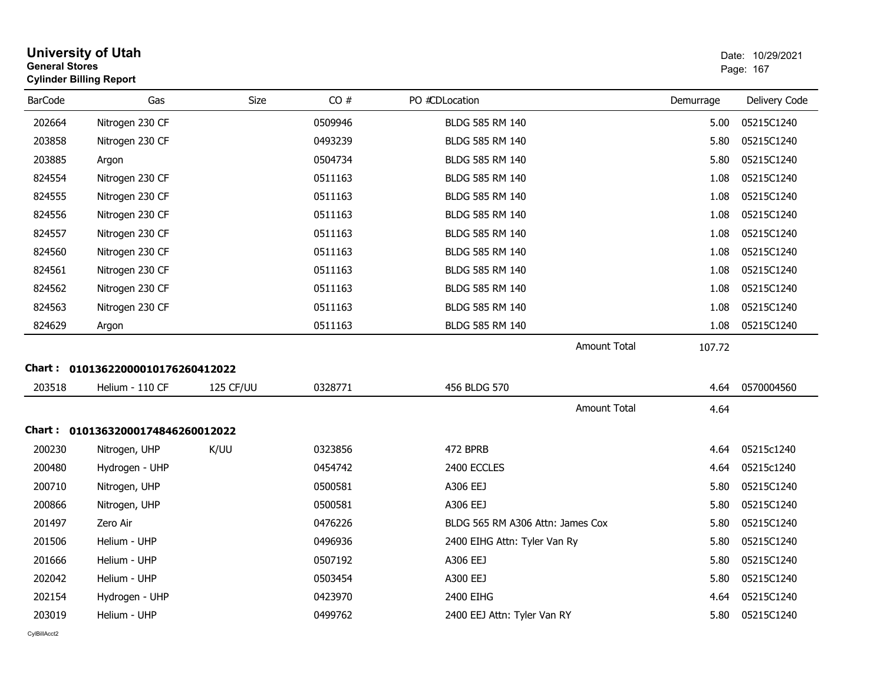|                | <b>University of Utah</b><br>Date: 10/29/2021<br><b>General Stores</b><br>Page: 167<br><b>Cylinder Billing Report</b> |           |         |                                  |           |               |
|----------------|-----------------------------------------------------------------------------------------------------------------------|-----------|---------|----------------------------------|-----------|---------------|
| <b>BarCode</b> | Gas                                                                                                                   | Size      | CO#     | PO #CDLocation                   | Demurrage | Delivery Code |
| 202664         | Nitrogen 230 CF                                                                                                       |           | 0509946 | BLDG 585 RM 140                  | 5.00      | 05215C1240    |
| 203858         | Nitrogen 230 CF                                                                                                       |           | 0493239 | BLDG 585 RM 140                  | 5.80      | 05215C1240    |
| 203885         | Argon                                                                                                                 |           | 0504734 | BLDG 585 RM 140                  | 5.80      | 05215C1240    |
| 824554         | Nitrogen 230 CF                                                                                                       |           | 0511163 | <b>BLDG 585 RM 140</b>           | 1.08      | 05215C1240    |
| 824555         | Nitrogen 230 CF                                                                                                       |           | 0511163 | BLDG 585 RM 140                  | 1.08      | 05215C1240    |
| 824556         | Nitrogen 230 CF                                                                                                       |           | 0511163 | BLDG 585 RM 140                  | 1.08      | 05215C1240    |
| 824557         | Nitrogen 230 CF                                                                                                       |           | 0511163 | BLDG 585 RM 140                  | 1.08      | 05215C1240    |
| 824560         | Nitrogen 230 CF                                                                                                       |           | 0511163 | BLDG 585 RM 140                  | 1.08      | 05215C1240    |
| 824561         | Nitrogen 230 CF                                                                                                       |           | 0511163 | BLDG 585 RM 140                  | 1.08      | 05215C1240    |
| 824562         | Nitrogen 230 CF                                                                                                       |           | 0511163 | <b>BLDG 585 RM 140</b>           | 1.08      | 05215C1240    |
| 824563         | Nitrogen 230 CF                                                                                                       |           | 0511163 | <b>BLDG 585 RM 140</b>           | 1.08      | 05215C1240    |
| 824629         | Argon                                                                                                                 |           | 0511163 | BLDG 585 RM 140                  | 1.08      | 05215C1240    |
|                |                                                                                                                       |           |         | <b>Amount Total</b>              | 107.72    |               |
|                | Chart: 01013622000010176260412022                                                                                     |           |         |                                  |           |               |
| 203518         | Helium - 110 CF                                                                                                       | 125 CF/UU | 0328771 | 456 BLDG 570                     | 4.64      | 0570004560    |
|                |                                                                                                                       |           |         | <b>Amount Total</b>              | 4.64      |               |
|                | Chart: 01013632000174846260012022                                                                                     |           |         |                                  |           |               |
| 200230         | Nitrogen, UHP                                                                                                         | K/UU      | 0323856 | 472 BPRB                         | 4.64      | 05215c1240    |
| 200480         | Hydrogen - UHP                                                                                                        |           | 0454742 | 2400 ECCLES                      | 4.64      | 05215c1240    |
| 200710         | Nitrogen, UHP                                                                                                         |           | 0500581 | A306 EEJ                         | 5.80      | 05215C1240    |
| 200866         | Nitrogen, UHP                                                                                                         |           | 0500581 | A306 EEJ                         | 5.80      | 05215C1240    |
| 201497         | Zero Air                                                                                                              |           | 0476226 | BLDG 565 RM A306 Attn: James Cox | 5.80      | 05215C1240    |
| 201506         | Helium - UHP                                                                                                          |           | 0496936 | 2400 EIHG Attn: Tyler Van Ry     | 5.80      | 05215C1240    |
| 201666         | Helium - UHP                                                                                                          |           | 0507192 | A306 EEJ                         | 5.80      | 05215C1240    |
| 202042         | Helium - UHP                                                                                                          |           | 0503454 | A300 EEJ                         | 5.80      | 05215C1240    |
| 202154         | Hydrogen - UHP                                                                                                        |           | 0423970 | 2400 EIHG                        | 4.64      | 05215C1240    |
| 203019         | Helium - UHP                                                                                                          |           | 0499762 | 2400 EEJ Attn: Tyler Van RY      | 5.80      | 05215C1240    |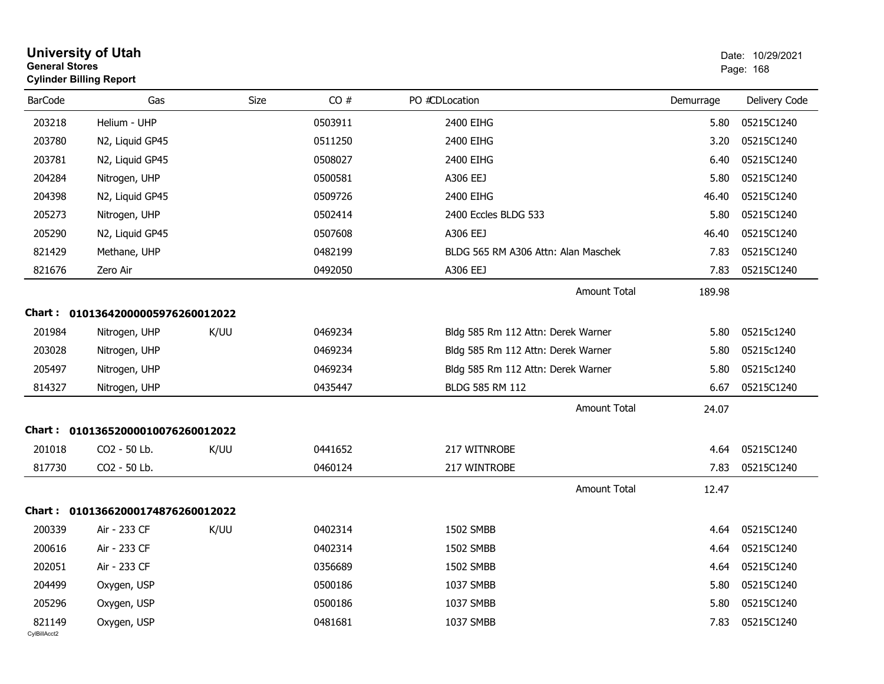| <b>General Stores</b>  | <b>University of Utah</b><br><b>Cylinder Billing Report</b> |      |         |                                     |           | Date: 10/29/2021<br>Page: 168 |
|------------------------|-------------------------------------------------------------|------|---------|-------------------------------------|-----------|-------------------------------|
| <b>BarCode</b>         | Gas                                                         | Size | CO#     | PO #CDLocation                      | Demurrage | Delivery Code                 |
| 203218                 | Helium - UHP                                                |      | 0503911 | 2400 EIHG                           | 5.80      | 05215C1240                    |
| 203780                 | N2, Liquid GP45                                             |      | 0511250 | 2400 EIHG                           | 3.20      | 05215C1240                    |
| 203781                 | N2, Liquid GP45                                             |      | 0508027 | 2400 EIHG                           | 6.40      | 05215C1240                    |
| 204284                 | Nitrogen, UHP                                               |      | 0500581 | A306 EEJ                            | 5.80      | 05215C1240                    |
| 204398                 | N2, Liquid GP45                                             |      | 0509726 | 2400 EIHG                           | 46.40     | 05215C1240                    |
| 205273                 | Nitrogen, UHP                                               |      | 0502414 | 2400 Eccles BLDG 533                | 5.80      | 05215C1240                    |
| 205290                 | N2, Liquid GP45                                             |      | 0507608 | A306 EEJ                            | 46.40     | 05215C1240                    |
| 821429                 | Methane, UHP                                                |      | 0482199 | BLDG 565 RM A306 Attn: Alan Maschek | 7.83      | 05215C1240                    |
| 821676                 | Zero Air                                                    |      | 0492050 | A306 EEJ                            | 7.83      | 05215C1240                    |
|                        |                                                             |      |         | Amount Total                        | 189.98    |                               |
|                        | Chart: 01013642000005976260012022                           |      |         |                                     |           |                               |
| 201984                 | Nitrogen, UHP                                               | K/UU | 0469234 | Bldg 585 Rm 112 Attn: Derek Warner  | 5.80      | 05215c1240                    |
| 203028                 | Nitrogen, UHP                                               |      | 0469234 | Bldg 585 Rm 112 Attn: Derek Warner  | 5.80      | 05215c1240                    |
| 205497                 | Nitrogen, UHP                                               |      | 0469234 | Bldg 585 Rm 112 Attn: Derek Warner  | 5.80      | 05215c1240                    |
| 814327                 | Nitrogen, UHP                                               |      | 0435447 | BLDG 585 RM 112                     | 6.67      | 05215C1240                    |
|                        |                                                             |      |         | Amount Total                        | 24.07     |                               |
|                        | Chart: 01013652000010076260012022                           |      |         |                                     |           |                               |
| 201018                 | CO2 - 50 Lb.                                                | K/UU | 0441652 | 217 WITNROBE                        | 4.64      | 05215C1240                    |
| 817730                 | CO2 - 50 Lb.                                                |      | 0460124 | 217 WINTROBE                        | 7.83      | 05215C1240                    |
|                        |                                                             |      |         | Amount Total                        | 12.47     |                               |
|                        | Chart: 01013662000174876260012022                           |      |         |                                     |           |                               |
| 200339                 | Air - 233 CF                                                | K/UU | 0402314 | 1502 SMBB                           | 4.64      | 05215C1240                    |
| 200616                 | Air - 233 CF                                                |      | 0402314 | 1502 SMBB                           | 4.64      | 05215C1240                    |
| 202051                 | Air - 233 CF                                                |      | 0356689 | 1502 SMBB                           | 4.64      | 05215C1240                    |
| 204499                 | Oxygen, USP                                                 |      | 0500186 | 1037 SMBB                           | 5.80      | 05215C1240                    |
| 205296                 | Oxygen, USP                                                 |      | 0500186 | 1037 SMBB                           | 5.80      | 05215C1240                    |
| 821149<br>CylBillAcct2 | Oxygen, USP                                                 |      | 0481681 | 1037 SMBB                           | 7.83      | 05215C1240                    |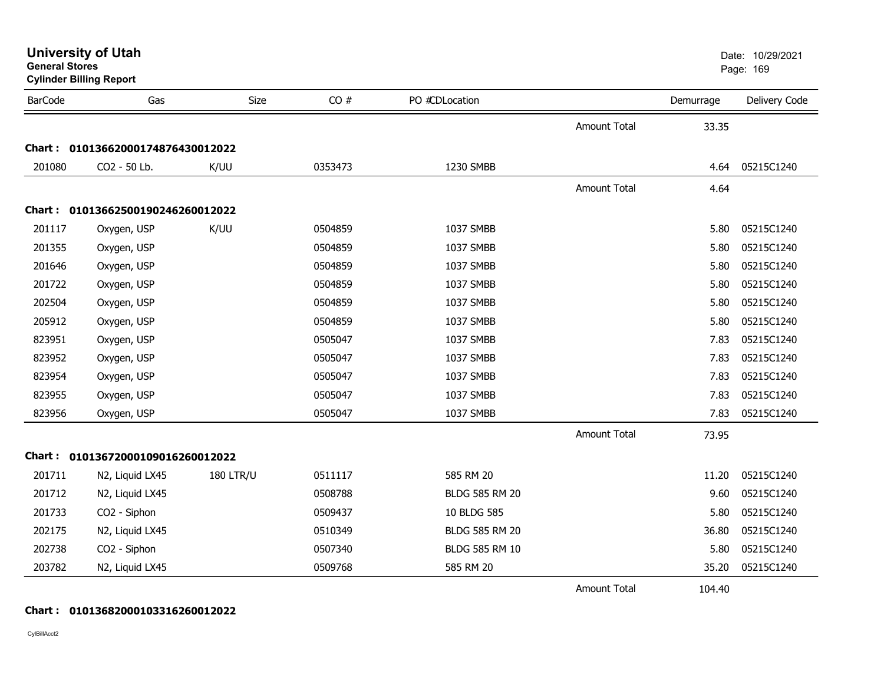|                | <b>Cylinder Billing Report</b>    |                  |         |                       |                     |           |               |  |  |  |  |
|----------------|-----------------------------------|------------------|---------|-----------------------|---------------------|-----------|---------------|--|--|--|--|
| <b>BarCode</b> | Gas                               | Size             | CO#     | PO #CDLocation        |                     | Demurrage | Delivery Code |  |  |  |  |
|                |                                   |                  |         |                       | Amount Total        | 33.35     |               |  |  |  |  |
|                | Chart: 01013662000174876430012022 |                  |         |                       |                     |           |               |  |  |  |  |
| 201080         | CO2 - 50 Lb.                      | K/UU             | 0353473 | 1230 SMBB             |                     | 4.64      | 05215C1240    |  |  |  |  |
|                |                                   |                  |         |                       | <b>Amount Total</b> | 4.64      |               |  |  |  |  |
|                | Chart: 01013662500190246260012022 |                  |         |                       |                     |           |               |  |  |  |  |
| 201117         | Oxygen, USP                       | K/UU             | 0504859 | 1037 SMBB             |                     | 5.80      | 05215C1240    |  |  |  |  |
| 201355         | Oxygen, USP                       |                  | 0504859 | 1037 SMBB             |                     | 5.80      | 05215C1240    |  |  |  |  |
| 201646         | Oxygen, USP                       |                  | 0504859 | 1037 SMBB             |                     | 5.80      | 05215C1240    |  |  |  |  |
| 201722         | Oxygen, USP                       |                  | 0504859 | 1037 SMBB             |                     | 5.80      | 05215C1240    |  |  |  |  |
| 202504         | Oxygen, USP                       |                  | 0504859 | 1037 SMBB             |                     | 5.80      | 05215C1240    |  |  |  |  |
| 205912         | Oxygen, USP                       |                  | 0504859 | 1037 SMBB             |                     | 5.80      | 05215C1240    |  |  |  |  |
| 823951         | Oxygen, USP                       |                  | 0505047 | 1037 SMBB             |                     | 7.83      | 05215C1240    |  |  |  |  |
| 823952         | Oxygen, USP                       |                  | 0505047 | 1037 SMBB             |                     | 7.83      | 05215C1240    |  |  |  |  |
| 823954         | Oxygen, USP                       |                  | 0505047 | 1037 SMBB             |                     | 7.83      | 05215C1240    |  |  |  |  |
| 823955         | Oxygen, USP                       |                  | 0505047 | 1037 SMBB             |                     | 7.83      | 05215C1240    |  |  |  |  |
| 823956         | Oxygen, USP                       |                  | 0505047 | 1037 SMBB             |                     | 7.83      | 05215C1240    |  |  |  |  |
|                |                                   |                  |         |                       | Amount Total        | 73.95     |               |  |  |  |  |
|                | Chart: 01013672000109016260012022 |                  |         |                       |                     |           |               |  |  |  |  |
| 201711         | N2, Liquid LX45                   | <b>180 LTR/U</b> | 0511117 | 585 RM 20             |                     | 11.20     | 05215C1240    |  |  |  |  |
| 201712         | N2, Liquid LX45                   |                  | 0508788 | <b>BLDG 585 RM 20</b> |                     | 9.60      | 05215C1240    |  |  |  |  |
| 201733         | CO2 - Siphon                      |                  | 0509437 | 10 BLDG 585           |                     | 5.80      | 05215C1240    |  |  |  |  |
| 202175         | N2, Liquid LX45                   |                  | 0510349 | <b>BLDG 585 RM 20</b> |                     | 36.80     | 05215C1240    |  |  |  |  |
| 202738         | CO2 - Siphon                      |                  | 0507340 | <b>BLDG 585 RM 10</b> |                     | 5.80      | 05215C1240    |  |  |  |  |
| 203782         | N2, Liquid LX45                   |                  | 0509768 | 585 RM 20             |                     | 35.20     | 05215C1240    |  |  |  |  |
|                |                                   |                  |         |                       | <b>Amount Total</b> | 104.40    |               |  |  |  |  |

**Cylinder Billing Report**

**General Stores**

CylBillAcct2

**Chart : 01013682000103316260012022**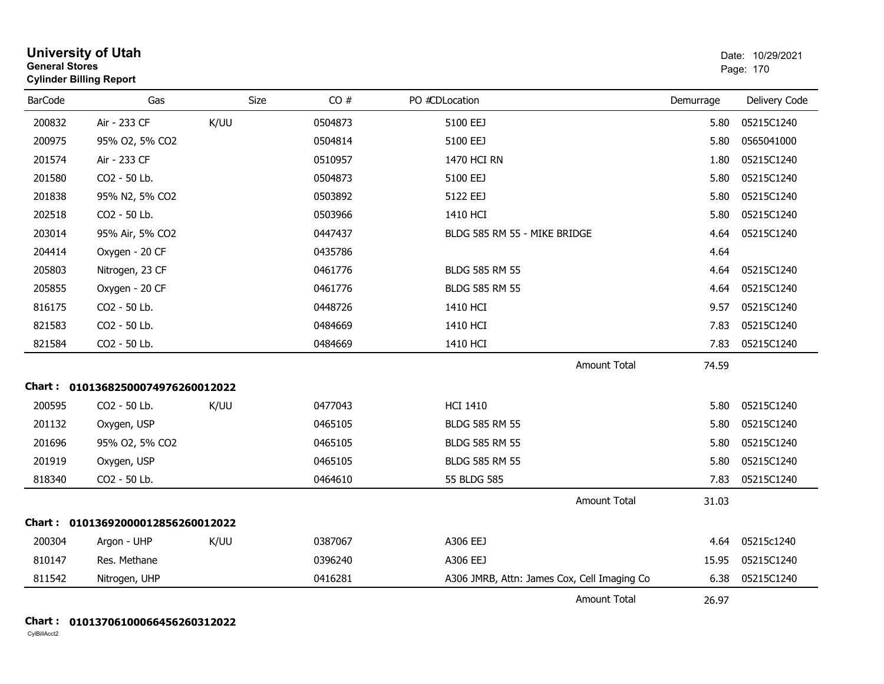| <b>General Stores</b> | <b>University of Utah</b><br><b>Cylinder Billing Report</b> |      | Date: 10/29/2021<br>Page: 170 |                                             |           |               |
|-----------------------|-------------------------------------------------------------|------|-------------------------------|---------------------------------------------|-----------|---------------|
| <b>BarCode</b>        | Gas                                                         | Size | CO#                           | PO #CDLocation                              | Demurrage | Delivery Code |
| 200832                | Air - 233 CF                                                | K/UU | 0504873                       | 5100 EEJ                                    | 5.80      | 05215C1240    |
| 200975                | 95% O2, 5% CO2                                              |      | 0504814                       | 5100 EEJ                                    | 5.80      | 0565041000    |
| 201574                | Air - 233 CF                                                |      | 0510957                       | 1470 HCI RN                                 | 1.80      | 05215C1240    |
| 201580                | CO2 - 50 Lb.                                                |      | 0504873                       | 5100 EEJ                                    | 5.80      | 05215C1240    |
| 201838                | 95% N2, 5% CO2                                              |      | 0503892                       | 5122 EEJ                                    | 5.80      | 05215C1240    |
| 202518                | CO2 - 50 Lb.                                                |      | 0503966                       | 1410 HCI                                    | 5.80      | 05215C1240    |
| 203014                | 95% Air, 5% CO2                                             |      | 0447437                       | BLDG 585 RM 55 - MIKE BRIDGE                | 4.64      | 05215C1240    |
| 204414                | Oxygen - 20 CF                                              |      | 0435786                       |                                             | 4.64      |               |
| 205803                | Nitrogen, 23 CF                                             |      | 0461776                       | <b>BLDG 585 RM 55</b>                       | 4.64      | 05215C1240    |
| 205855                | Oxygen - 20 CF                                              |      | 0461776                       | <b>BLDG 585 RM 55</b>                       | 4.64      | 05215C1240    |
| 816175                | CO2 - 50 Lb.                                                |      | 0448726                       | 1410 HCI                                    | 9.57      | 05215C1240    |
| 821583                | CO2 - 50 Lb.                                                |      | 0484669                       | 1410 HCI                                    | 7.83      | 05215C1240    |
| 821584                | CO2 - 50 Lb.                                                |      | 0484669                       | 1410 HCI                                    | 7.83      | 05215C1240    |
|                       |                                                             |      |                               | <b>Amount Total</b>                         | 74.59     |               |
|                       | Chart: 01013682500074976260012022                           |      |                               |                                             |           |               |
| 200595                | CO2 - 50 Lb.                                                | K/UU | 0477043                       | <b>HCI 1410</b>                             | 5.80      | 05215C1240    |
| 201132                | Oxygen, USP                                                 |      | 0465105                       | <b>BLDG 585 RM 55</b>                       | 5.80      | 05215C1240    |
| 201696                | 95% O2, 5% CO2                                              |      | 0465105                       | <b>BLDG 585 RM 55</b>                       | 5.80      | 05215C1240    |
| 201919                | Oxygen, USP                                                 |      | 0465105                       | <b>BLDG 585 RM 55</b>                       | 5.80      | 05215C1240    |
| 818340                | CO2 - 50 Lb.                                                |      | 0464610                       | 55 BLDG 585                                 | 7.83      | 05215C1240    |
|                       |                                                             |      |                               | Amount Total                                | 31.03     |               |
|                       | Chart: 01013692000012856260012022                           |      |                               |                                             |           |               |
| 200304                | Argon - UHP                                                 | K/UU | 0387067                       | A306 EEJ                                    | 4.64      | 05215c1240    |
| 810147                | Res. Methane                                                |      | 0396240                       | A306 EEJ                                    | 15.95     | 05215C1240    |
| 811542                | Nitrogen, UHP                                               |      | 0416281                       | A306 JMRB, Attn: James Cox, Cell Imaging Co | 6.38      | 05215C1240    |
|                       |                                                             |      |                               | <b>Amount Total</b>                         | 26.97     |               |

### **Chart : 01013706100066456260312022**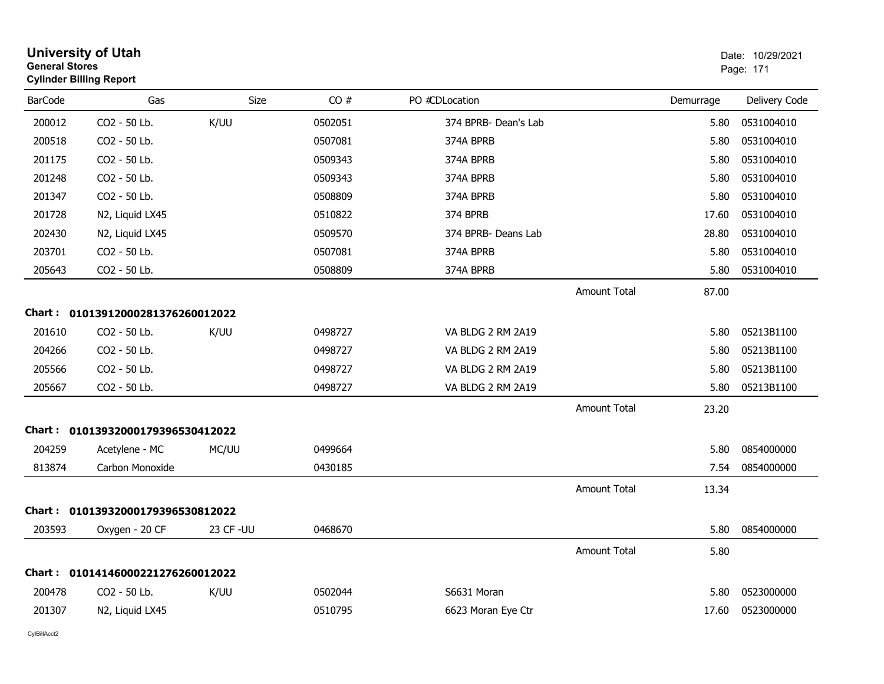|                | <b>University of Utah</b><br><b>General Stores</b><br><b>Cylinder Billing Report</b> |            |         |                      |                     | Date: 10/29/2021<br>Page: 171 |               |
|----------------|--------------------------------------------------------------------------------------|------------|---------|----------------------|---------------------|-------------------------------|---------------|
| <b>BarCode</b> | Gas                                                                                  | Size       | CO#     | PO #CDLocation       |                     | Demurrage                     | Delivery Code |
| 200012         | CO2 - 50 Lb.                                                                         | K/UU       | 0502051 | 374 BPRB- Dean's Lab |                     | 5.80                          | 0531004010    |
| 200518         | CO2 - 50 Lb.                                                                         |            | 0507081 | 374A BPRB            |                     | 5.80                          | 0531004010    |
| 201175         | CO2 - 50 Lb.                                                                         |            | 0509343 | 374A BPRB            |                     | 5.80                          | 0531004010    |
| 201248         | CO2 - 50 Lb.                                                                         |            | 0509343 | 374A BPRB            |                     | 5.80                          | 0531004010    |
| 201347         | CO2 - 50 Lb.                                                                         |            | 0508809 | 374A BPRB            |                     | 5.80                          | 0531004010    |
| 201728         | N2, Liquid LX45                                                                      |            | 0510822 | 374 BPRB             |                     | 17.60                         | 0531004010    |
| 202430         | N2, Liquid LX45                                                                      |            | 0509570 | 374 BPRB- Deans Lab  |                     | 28.80                         | 0531004010    |
| 203701         | CO2 - 50 Lb.                                                                         |            | 0507081 | 374A BPRB            |                     | 5.80                          | 0531004010    |
| 205643         | CO2 - 50 Lb.                                                                         |            | 0508809 | 374A BPRB            |                     | 5.80                          | 0531004010    |
|                |                                                                                      |            |         |                      | <b>Amount Total</b> | 87.00                         |               |
|                | Chart: 01013912000281376260012022                                                    |            |         |                      |                     |                               |               |
| 201610         | CO2 - 50 Lb.                                                                         | K/UU       | 0498727 | VA BLDG 2 RM 2A19    |                     | 5.80                          | 05213B1100    |
| 204266         | CO2 - 50 Lb.                                                                         |            | 0498727 | VA BLDG 2 RM 2A19    |                     | 5.80                          | 05213B1100    |
| 205566         | CO2 - 50 Lb.                                                                         |            | 0498727 | VA BLDG 2 RM 2A19    |                     | 5.80                          | 05213B1100    |
| 205667         | CO2 - 50 Lb.                                                                         |            | 0498727 | VA BLDG 2 RM 2A19    |                     | 5.80                          | 05213B1100    |
|                |                                                                                      |            |         |                      | <b>Amount Total</b> | 23.20                         |               |
|                | Chart: 01013932000179396530412022                                                    |            |         |                      |                     |                               |               |
| 204259         | Acetylene - MC                                                                       | MC/UU      | 0499664 |                      |                     | 5.80                          | 0854000000    |
| 813874         | Carbon Monoxide                                                                      |            | 0430185 |                      |                     | 7.54                          | 0854000000    |
|                |                                                                                      |            |         |                      | <b>Amount Total</b> | 13.34                         |               |
|                | Chart: 01013932000179396530812022                                                    |            |         |                      |                     |                               |               |
| 203593         | Oxygen - 20 CF                                                                       | 23 CF - UU | 0468670 |                      |                     | 5.80                          | 0854000000    |
|                |                                                                                      |            |         |                      | <b>Amount Total</b> | 5.80                          |               |
|                | Chart: 01014146000221276260012022                                                    |            |         |                      |                     |                               |               |
| 200478         | CO2 - 50 Lb.                                                                         | K/UU       | 0502044 | S6631 Moran          |                     | 5.80                          | 0523000000    |
| 201307         | N2, Liquid LX45                                                                      |            | 0510795 | 6623 Moran Eye Ctr   |                     | 17.60                         | 0523000000    |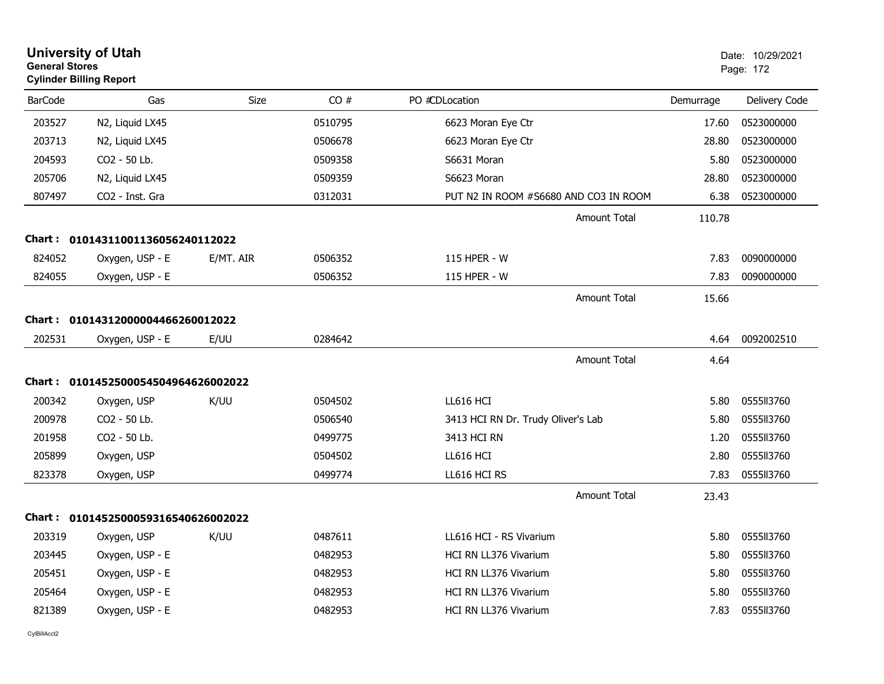|                | <b>University of Utah</b><br><b>General Stores</b><br><b>Cylinder Billing Report</b> |             |         | Date: 10/29/2021<br>Page: 172         |           |               |
|----------------|--------------------------------------------------------------------------------------|-------------|---------|---------------------------------------|-----------|---------------|
| <b>BarCode</b> | Gas                                                                                  | <b>Size</b> | CO#     | PO #CDLocation                        | Demurrage | Delivery Code |
| 203527         | N2, Liquid LX45                                                                      |             | 0510795 | 6623 Moran Eye Ctr                    | 17.60     | 0523000000    |
| 203713         | N2, Liquid LX45                                                                      |             | 0506678 | 6623 Moran Eye Ctr                    | 28.80     | 0523000000    |
| 204593         | CO2 - 50 Lb.                                                                         |             | 0509358 | S6631 Moran                           | 5.80      | 0523000000    |
| 205706         | N2, Liquid LX45                                                                      |             | 0509359 | S6623 Moran                           | 28.80     | 0523000000    |
| 807497         | CO2 - Inst. Gra                                                                      |             | 0312031 | PUT N2 IN ROOM #S6680 AND CO3 IN ROOM | 6.38      | 0523000000    |
|                |                                                                                      |             |         | <b>Amount Total</b>                   | 110.78    |               |
|                | Chart: 01014311001136056240112022                                                    |             |         |                                       |           |               |
| 824052         | Oxygen, USP - E                                                                      | E/MT. AIR   | 0506352 | 115 HPER - W                          | 7.83      | 0090000000    |
| 824055         | Oxygen, USP - E                                                                      |             | 0506352 | 115 HPER - W                          | 7.83      | 0090000000    |
|                |                                                                                      |             |         | <b>Amount Total</b>                   | 15.66     |               |
|                | Chart: 01014312000004466260012022                                                    |             |         |                                       |           |               |
| 202531         | Oxygen, USP - E                                                                      | E/UU        | 0284642 |                                       | 4.64      | 0092002510    |
|                |                                                                                      |             |         | Amount Total                          | 4.64      |               |
|                | Chart: 0101452500054504964626002022                                                  |             |         |                                       |           |               |
| 200342         | Oxygen, USP                                                                          | K/UU        | 0504502 | LL616 HCI                             | 5.80      | 0555ll3760    |
| 200978         | CO2 - 50 Lb.                                                                         |             | 0506540 | 3413 HCI RN Dr. Trudy Oliver's Lab    | 5.80      | 0555113760    |
| 201958         | CO <sub>2</sub> - 50 Lb.                                                             |             | 0499775 | 3413 HCI RN                           | 1.20      | 055513760     |
| 205899         | Oxygen, USP                                                                          |             | 0504502 | LL616 HCI                             | 2.80      | 0555II3760    |
| 823378         | Oxygen, USP                                                                          |             | 0499774 | LL616 HCI RS                          | 7.83      | 0555ll3760    |
|                |                                                                                      |             |         | Amount Total                          | 23.43     |               |
|                | Chart: 0101452500059316540626002022                                                  |             |         |                                       |           |               |
| 203319         | Oxygen, USP                                                                          | K/UU        | 0487611 | LL616 HCI - RS Vivarium               | 5.80      | 0555113760    |
| 203445         | Oxygen, USP - E                                                                      |             | 0482953 | <b>HCI RN LL376 Vivarium</b>          | 5.80      | 0555ll3760    |
| 205451         | Oxygen, USP - E                                                                      |             | 0482953 | HCI RN LL376 Vivarium                 | 5.80      | 0555113760    |
| 205464         | Oxygen, USP - E                                                                      |             | 0482953 | HCI RN LL376 Vivarium                 | 5.80      | 0555113760    |
| 821389         | Oxygen, USP - E                                                                      |             | 0482953 | HCI RN LL376 Vivarium                 | 7.83      | 0555II3760    |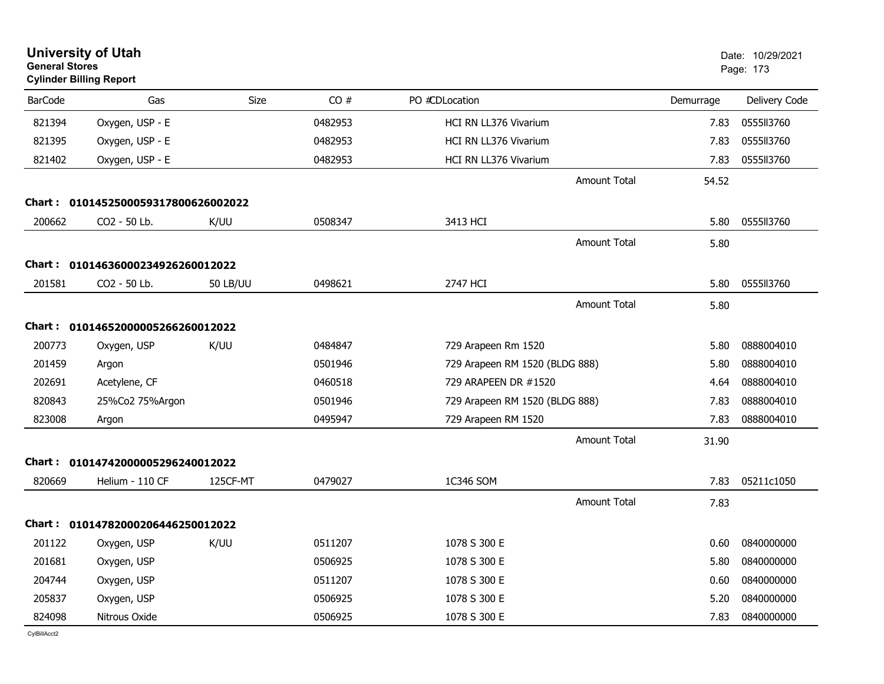| <b>General Stores</b> | <b>University of Utah</b><br><b>Cylinder Billing Report</b> |                 |         |                                |           | Date: 10/29/2021<br>Page: 173 |
|-----------------------|-------------------------------------------------------------|-----------------|---------|--------------------------------|-----------|-------------------------------|
| <b>BarCode</b>        | Gas                                                         | <b>Size</b>     | CO#     | PO #CDLocation                 | Demurrage | Delivery Code                 |
| 821394                | Oxygen, USP - E                                             |                 | 0482953 | HCI RN LL376 Vivarium          | 7.83      | 0555113760                    |
| 821395                | Oxygen, USP - E                                             |                 | 0482953 | HCI RN LL376 Vivarium          | 7.83      | 0555113760                    |
| 821402                | Oxygen, USP - E                                             |                 | 0482953 | HCI RN LL376 Vivarium          | 7.83      | 0555113760                    |
|                       |                                                             |                 |         | <b>Amount Total</b>            | 54.52     |                               |
|                       | Chart: 0101452500059317800626002022                         |                 |         |                                |           |                               |
| 200662                | CO2 - 50 Lb.                                                | K/UU            | 0508347 | 3413 HCI                       | 5.80      | 0555113760                    |
|                       |                                                             |                 |         | <b>Amount Total</b>            | 5.80      |                               |
|                       | Chart: 01014636000234926260012022                           |                 |         |                                |           |                               |
| 201581                | CO2 - 50 Lb.                                                | <b>50 LB/UU</b> | 0498621 | 2747 HCI                       | 5.80      | 0555113760                    |
|                       |                                                             |                 |         | <b>Amount Total</b>            | 5.80      |                               |
| <b>Chart :</b>        | 01014652000005266260012022                                  |                 |         |                                |           |                               |
| 200773                | Oxygen, USP                                                 | K/UU            | 0484847 | 729 Arapeen Rm 1520            | 5.80      | 0888004010                    |
| 201459                | Argon                                                       |                 | 0501946 | 729 Arapeen RM 1520 (BLDG 888) | 5.80      | 0888004010                    |
| 202691                | Acetylene, CF                                               |                 | 0460518 | 729 ARAPEEN DR #1520           | 4.64      | 0888004010                    |
| 820843                | 25%Co2 75%Argon                                             |                 | 0501946 | 729 Arapeen RM 1520 (BLDG 888) | 7.83      | 0888004010                    |
| 823008                | Argon                                                       |                 | 0495947 | 729 Arapeen RM 1520            | 7.83      | 0888004010                    |
|                       |                                                             |                 |         | <b>Amount Total</b>            | 31.90     |                               |
|                       | Chart: 01014742000005296240012022                           |                 |         |                                |           |                               |
| 820669                | Helium - 110 CF                                             | 125CF-MT        | 0479027 | 1C346 SOM                      | 7.83      | 05211c1050                    |
|                       |                                                             |                 |         | <b>Amount Total</b>            | 7.83      |                               |
|                       | Chart: 01014782000206446250012022                           |                 |         |                                |           |                               |
|                       | 201122 Oxygen, USP                                          | K/UU            | 0511207 | 1078 S 300 E                   |           | 0.60 0840000000               |
| 201681                | Oxygen, USP                                                 |                 | 0506925 | 1078 S 300 E                   | 5.80      | 0840000000                    |
| 204744                | Oxygen, USP                                                 |                 | 0511207 | 1078 S 300 E                   | 0.60      | 0840000000                    |
| 205837                | Oxygen, USP                                                 |                 | 0506925 | 1078 S 300 E                   | 5.20      | 0840000000                    |
| 824098                | Nitrous Oxide                                               |                 | 0506925 | 1078 S 300 E                   | 7.83      | 0840000000                    |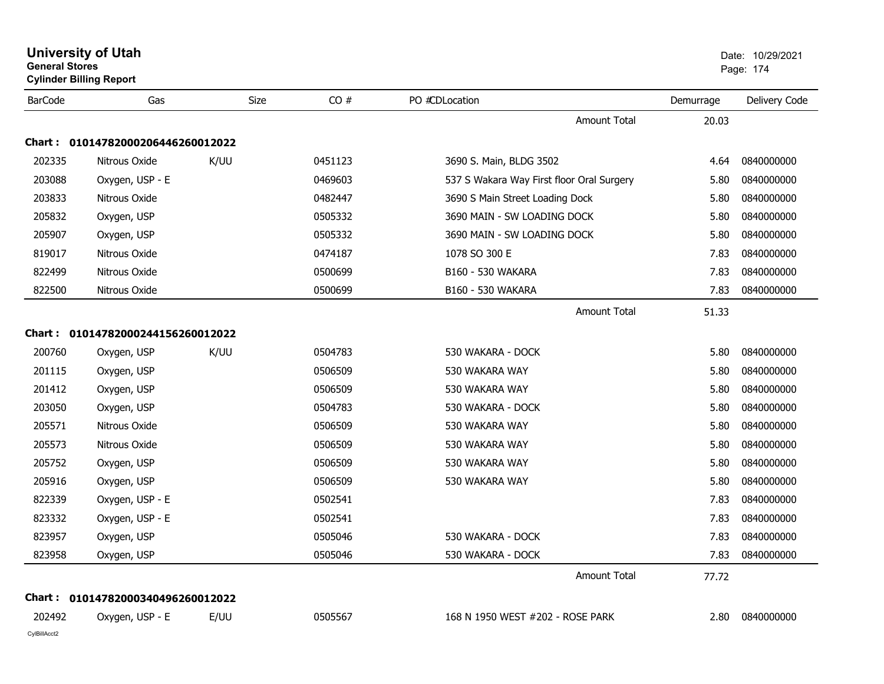|                | <b>General Stores</b><br><b>Cylinder Billing Report</b> |             |         |                                           | Page: 174 |               |
|----------------|---------------------------------------------------------|-------------|---------|-------------------------------------------|-----------|---------------|
| <b>BarCode</b> | Gas                                                     | <b>Size</b> | CO#     | PO #CDLocation                            | Demurrage | Delivery Code |
|                |                                                         |             |         | <b>Amount Total</b>                       | 20.03     |               |
|                | Chart: 01014782000206446260012022                       |             |         |                                           |           |               |
| 202335         | Nitrous Oxide                                           | K/UU        | 0451123 | 3690 S. Main, BLDG 3502                   | 4.64      | 0840000000    |
| 203088         | Oxygen, USP - E                                         |             | 0469603 | 537 S Wakara Way First floor Oral Surgery | 5.80      | 0840000000    |
| 203833         | Nitrous Oxide                                           |             | 0482447 | 3690 S Main Street Loading Dock           | 5.80      | 0840000000    |
| 205832         | Oxygen, USP                                             |             | 0505332 | 3690 MAIN - SW LOADING DOCK               | 5.80      | 0840000000    |
| 205907         | Oxygen, USP                                             |             | 0505332 | 3690 MAIN - SW LOADING DOCK               | 5.80      | 0840000000    |
| 819017         | Nitrous Oxide                                           |             | 0474187 | 1078 SO 300 E                             | 7.83      | 0840000000    |
| 822499         | Nitrous Oxide                                           |             | 0500699 | B160 - 530 WAKARA                         | 7.83      | 0840000000    |
| 822500         | Nitrous Oxide                                           |             | 0500699 | B160 - 530 WAKARA                         | 7.83      | 0840000000    |
|                |                                                         |             |         | <b>Amount Total</b>                       | 51.33     |               |
|                | Chart: 01014782000244156260012022                       |             |         |                                           |           |               |
| 200760         | Oxygen, USP                                             | K/UU        | 0504783 | 530 WAKARA - DOCK                         | 5.80      | 0840000000    |
| 201115         | Oxygen, USP                                             |             | 0506509 | 530 WAKARA WAY                            | 5.80      | 0840000000    |
| 201412         | Oxygen, USP                                             |             | 0506509 | 530 WAKARA WAY                            | 5.80      | 0840000000    |
| 203050         | Oxygen, USP                                             |             | 0504783 | 530 WAKARA - DOCK                         | 5.80      | 0840000000    |
| 205571         | Nitrous Oxide                                           |             | 0506509 | 530 WAKARA WAY                            | 5.80      | 0840000000    |
| 205573         | Nitrous Oxide                                           |             | 0506509 | 530 WAKARA WAY                            | 5.80      | 0840000000    |
| 205752         | Oxygen, USP                                             |             | 0506509 | 530 WAKARA WAY                            | 5.80      | 0840000000    |
| 205916         | Oxygen, USP                                             |             | 0506509 | 530 WAKARA WAY                            | 5.80      | 0840000000    |
| 822339         | Oxygen, USP - E                                         |             | 0502541 |                                           | 7.83      | 0840000000    |
| 823332         | Oxygen, USP - E                                         |             | 0502541 |                                           | 7.83      | 0840000000    |
| 823957         | Oxygen, USP                                             |             | 0505046 | 530 WAKARA - DOCK                         | 7.83      | 0840000000    |
| 823958         | Oxygen, USP                                             |             | 0505046 | 530 WAKARA - DOCK                         | 7.83      | 0840000000    |
|                |                                                         |             |         | <b>Amount Total</b>                       | 77.72     |               |
|                | Chart: 01014782000340496260012022                       |             |         |                                           |           |               |
| 202492         | Oxygen, USP - E                                         | E/UU        | 0505567 | 168 N 1950 WEST #202 - ROSE PARK          | 2.80      | 0840000000    |
| CylBillAcct2   |                                                         |             |         |                                           |           |               |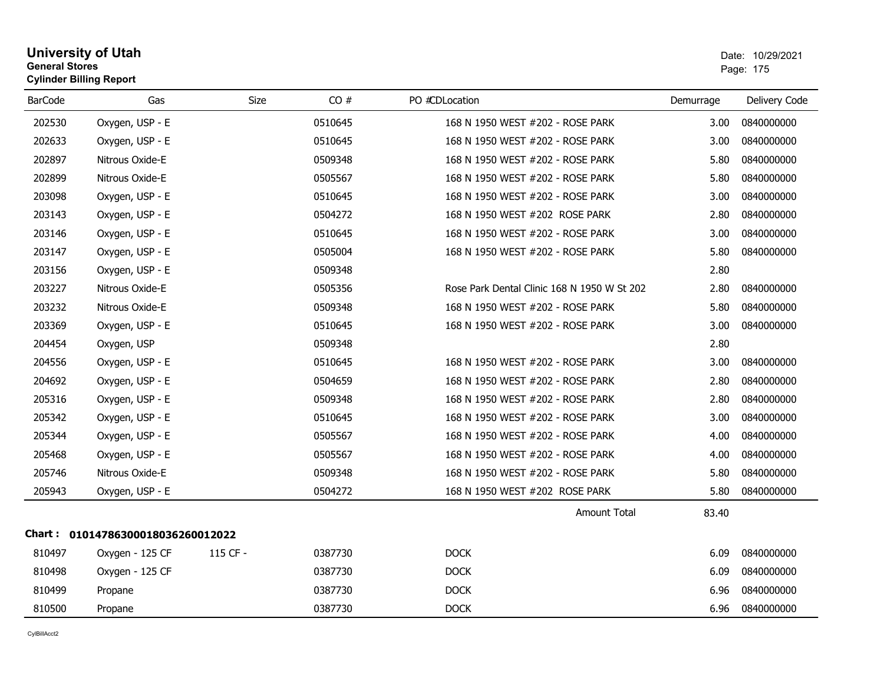### **University of Utah** Date: 10/29/2021 **General Stores**end and the state of the state of the state of the state of the state of the state of the state of the state of the state of the state of the state of the state of the state of the state of the state of the state of the st **Cylinder Billing Report**

| <b>BarCode</b> | Gas                               | Size     | CO#     | PO #CDLocation                              | Demurrage | Delivery Code |
|----------------|-----------------------------------|----------|---------|---------------------------------------------|-----------|---------------|
| 202530         | Oxygen, USP - E                   |          | 0510645 | 168 N 1950 WEST #202 - ROSE PARK            | 3.00      | 0840000000    |
| 202633         | Oxygen, USP - E                   |          | 0510645 | 168 N 1950 WEST #202 - ROSE PARK            | 3.00      | 0840000000    |
| 202897         | Nitrous Oxide-E                   |          | 0509348 | 168 N 1950 WEST #202 - ROSE PARK            | 5.80      | 0840000000    |
| 202899         | Nitrous Oxide-E                   |          | 0505567 | 168 N 1950 WEST #202 - ROSE PARK            | 5.80      | 0840000000    |
| 203098         | Oxygen, USP - E                   |          | 0510645 | 168 N 1950 WEST #202 - ROSE PARK            | 3.00      | 0840000000    |
| 203143         | Oxygen, USP - E                   |          | 0504272 | 168 N 1950 WEST #202 ROSE PARK              | 2.80      | 0840000000    |
| 203146         | Oxygen, USP - E                   |          | 0510645 | 168 N 1950 WEST #202 - ROSE PARK            | 3.00      | 0840000000    |
| 203147         | Oxygen, USP - E                   |          | 0505004 | 168 N 1950 WEST #202 - ROSE PARK            | 5.80      | 0840000000    |
| 203156         | Oxygen, USP - E                   |          | 0509348 |                                             | 2.80      |               |
| 203227         | Nitrous Oxide-E                   |          | 0505356 | Rose Park Dental Clinic 168 N 1950 W St 202 | 2.80      | 0840000000    |
| 203232         | Nitrous Oxide-E                   |          | 0509348 | 168 N 1950 WEST #202 - ROSE PARK            | 5.80      | 0840000000    |
| 203369         | Oxygen, USP - E                   |          | 0510645 | 168 N 1950 WEST #202 - ROSE PARK            | 3.00      | 0840000000    |
| 204454         | Oxygen, USP                       |          | 0509348 |                                             | 2.80      |               |
| 204556         | Oxygen, USP - E                   |          | 0510645 | 168 N 1950 WEST #202 - ROSE PARK            | 3.00      | 0840000000    |
| 204692         | Oxygen, USP - E                   |          | 0504659 | 168 N 1950 WEST #202 - ROSE PARK            | 2.80      | 0840000000    |
| 205316         | Oxygen, USP - E                   |          | 0509348 | 168 N 1950 WEST #202 - ROSE PARK            | 2.80      | 0840000000    |
| 205342         | Oxygen, USP - E                   |          | 0510645 | 168 N 1950 WEST #202 - ROSE PARK            | 3.00      | 0840000000    |
| 205344         | Oxygen, USP - E                   |          | 0505567 | 168 N 1950 WEST #202 - ROSE PARK            | 4.00      | 0840000000    |
| 205468         | Oxygen, USP - E                   |          | 0505567 | 168 N 1950 WEST #202 - ROSE PARK            | 4.00      | 0840000000    |
| 205746         | Nitrous Oxide-E                   |          | 0509348 | 168 N 1950 WEST #202 - ROSE PARK            | 5.80      | 0840000000    |
| 205943         | Oxygen, USP - E                   |          | 0504272 | 168 N 1950 WEST #202 ROSE PARK              | 5.80      | 0840000000    |
|                |                                   |          |         | <b>Amount Total</b>                         | 83.40     |               |
|                | Chart: 01014786300018036260012022 |          |         |                                             |           |               |
| 810497         | Oxygen - 125 CF                   | 115 CF - | 0387730 | <b>DOCK</b>                                 | 6.09      | 0840000000    |
| 810498         | Oxygen - 125 CF                   |          | 0387730 | <b>DOCK</b>                                 | 6.09      | 0840000000    |
| 810499         | Propane                           |          | 0387730 | <b>DOCK</b>                                 | 6.96      | 0840000000    |
| 810500         | Propane                           |          | 0387730 | <b>DOCK</b>                                 | 6.96      | 0840000000    |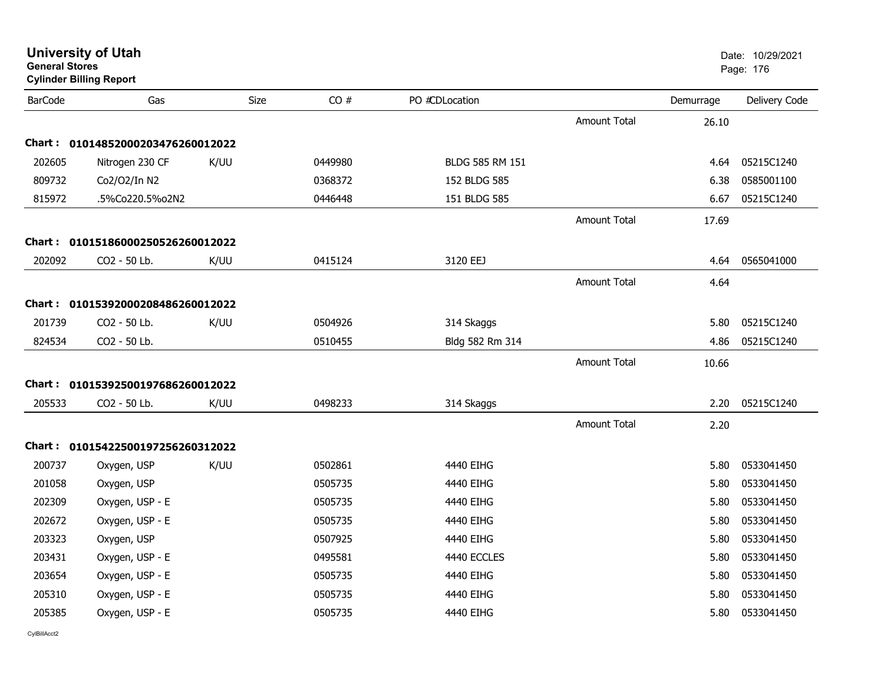| General Stores | <b>Cylinder Billing Report</b>    |      |         |                 |                     |           | Page: 176     |
|----------------|-----------------------------------|------|---------|-----------------|---------------------|-----------|---------------|
| <b>BarCode</b> | Gas                               | Size | CO#     | PO #CDLocation  |                     | Demurrage | Delivery Code |
|                |                                   |      |         |                 | <b>Amount Total</b> | 26.10     |               |
|                | Chart: 01014852000203476260012022 |      |         |                 |                     |           |               |
| 202605         | Nitrogen 230 CF                   | K/UU | 0449980 | BLDG 585 RM 151 |                     | 4.64      | 05215C1240    |
| 809732         | Co2/O2/In N2                      |      | 0368372 | 152 BLDG 585    |                     | 6.38      | 0585001100    |
| 815972         | .5%Co220.5%o2N2                   |      | 0446448 | 151 BLDG 585    |                     | 6.67      | 05215C1240    |
|                |                                   |      |         |                 | <b>Amount Total</b> | 17.69     |               |
|                | Chart: 01015186000250526260012022 |      |         |                 |                     |           |               |
| 202092         | CO2 - 50 Lb.                      | K/UU | 0415124 | 3120 EEJ        |                     | 4.64      | 0565041000    |
|                |                                   |      |         |                 | <b>Amount Total</b> | 4.64      |               |
|                | Chart: 01015392000208486260012022 |      |         |                 |                     |           |               |
| 201739         | CO2 - 50 Lb.                      | K/UU | 0504926 | 314 Skaggs      |                     | 5.80      | 05215C1240    |
| 824534         | CO2 - 50 Lb.                      |      | 0510455 | Bldg 582 Rm 314 |                     | 4.86      | 05215C1240    |
|                |                                   |      |         |                 | <b>Amount Total</b> | 10.66     |               |
|                | Chart: 01015392500197686260012022 |      |         |                 |                     |           |               |
| 205533         | CO2 - 50 Lb.                      | K/UU | 0498233 | 314 Skaggs      |                     | 2.20      | 05215C1240    |
|                |                                   |      |         |                 | <b>Amount Total</b> | 2.20      |               |
|                | Chart: 01015422500197256260312022 |      |         |                 |                     |           |               |
| 200737         | Oxygen, USP                       | K/UU | 0502861 | 4440 EIHG       |                     | 5.80      | 0533041450    |
| 201058         | Oxygen, USP                       |      | 0505735 | 4440 EIHG       |                     | 5.80      | 0533041450    |
| 202309         | Oxygen, USP - E                   |      | 0505735 | 4440 EIHG       |                     | 5.80      | 0533041450    |
| 202672         | Oxygen, USP - E                   |      | 0505735 | 4440 EIHG       |                     | 5.80      | 0533041450    |
| 203323         | Oxygen, USP                       |      | 0507925 | 4440 EIHG       |                     | 5.80      | 0533041450    |
| 203431         | Oxygen, USP - E                   |      | 0495581 | 4440 ECCLES     |                     | 5.80      | 0533041450    |
| 203654         | Oxygen, USP - E                   |      | 0505735 | 4440 EIHG       |                     | 5.80      | 0533041450    |
| 205310         | Oxygen, USP - E                   |      | 0505735 | 4440 EIHG       |                     | 5.80      | 0533041450    |
| 205385         | Oxygen, USP - E                   |      | 0505735 | 4440 EIHG       |                     | 5.80      | 0533041450    |
|                |                                   |      |         |                 |                     |           |               |

## **University of Utah** Date: 10/29/2021 **General Stores**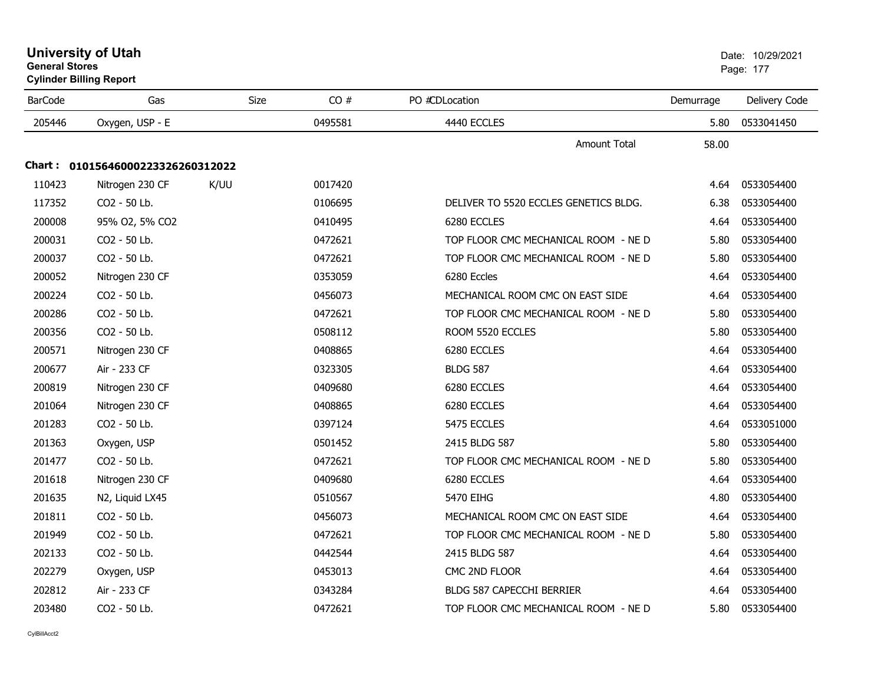|                | General Stores<br><b>Cylinder Billing Report</b> |             |         |                                       |           | Page: 177     |  |
|----------------|--------------------------------------------------|-------------|---------|---------------------------------------|-----------|---------------|--|
| <b>BarCode</b> | Gas                                              | <b>Size</b> | CO#     | PO #CDLocation                        | Demurrage | Delivery Code |  |
| 205446         | Oxygen, USP - E                                  |             | 0495581 | 4440 ECCLES                           | 5.80      | 0533041450    |  |
|                |                                                  |             |         | <b>Amount Total</b>                   | 58.00     |               |  |
|                | Chart: 01015646000223326260312022                |             |         |                                       |           |               |  |
| 110423         | Nitrogen 230 CF                                  | K/UU        | 0017420 |                                       | 4.64      | 0533054400    |  |
| 117352         | CO2 - 50 Lb.                                     |             | 0106695 | DELIVER TO 5520 ECCLES GENETICS BLDG. | 6.38      | 0533054400    |  |
| 200008         | 95% O2, 5% CO2                                   |             | 0410495 | 6280 ECCLES                           | 4.64      | 0533054400    |  |
| 200031         | CO2 - 50 Lb.                                     |             | 0472621 | TOP FLOOR CMC MECHANICAL ROOM - NE D  | 5.80      | 0533054400    |  |
| 200037         | CO2 - 50 Lb.                                     |             | 0472621 | TOP FLOOR CMC MECHANICAL ROOM - NE D  | 5.80      | 0533054400    |  |
| 200052         | Nitrogen 230 CF                                  |             | 0353059 | 6280 Eccles                           | 4.64      | 0533054400    |  |
| 200224         | CO2 - 50 Lb.                                     |             | 0456073 | MECHANICAL ROOM CMC ON EAST SIDE      | 4.64      | 0533054400    |  |
| 200286         | CO2 - 50 Lb.                                     |             | 0472621 | TOP FLOOR CMC MECHANICAL ROOM - NE D  | 5.80      | 0533054400    |  |
| 200356         | CO2 - 50 Lb.                                     |             | 0508112 | ROOM 5520 ECCLES                      | 5.80      | 0533054400    |  |
| 200571         | Nitrogen 230 CF                                  |             | 0408865 | 6280 ECCLES                           | 4.64      | 0533054400    |  |
| 200677         | Air - 233 CF                                     |             | 0323305 | <b>BLDG 587</b>                       | 4.64      | 0533054400    |  |
| 200819         | Nitrogen 230 CF                                  |             | 0409680 | 6280 ECCLES                           | 4.64      | 0533054400    |  |
| 201064         | Nitrogen 230 CF                                  |             | 0408865 | 6280 ECCLES                           | 4.64      | 0533054400    |  |
| 201283         | CO2 - 50 Lb.                                     |             | 0397124 | 5475 ECCLES                           | 4.64      | 0533051000    |  |
| 201363         | Oxygen, USP                                      |             | 0501452 | 2415 BLDG 587                         | 5.80      | 0533054400    |  |
| 201477         | CO2 - 50 Lb.                                     |             | 0472621 | TOP FLOOR CMC MECHANICAL ROOM - NE D  | 5.80      | 0533054400    |  |
| 201618         | Nitrogen 230 CF                                  |             | 0409680 | 6280 ECCLES                           | 4.64      | 0533054400    |  |
| 201635         | N2, Liquid LX45                                  |             | 0510567 | 5470 EIHG                             | 4.80      | 0533054400    |  |
| 201811         | CO2 - 50 Lb.                                     |             | 0456073 | MECHANICAL ROOM CMC ON EAST SIDE      | 4.64      | 0533054400    |  |
| 201949         | CO2 - 50 Lb.                                     |             | 0472621 | TOP FLOOR CMC MECHANICAL ROOM - NE D  | 5.80      | 0533054400    |  |
| 202133         | CO2 - 50 Lb.                                     |             | 0442544 | 2415 BLDG 587                         | 4.64      | 0533054400    |  |
| 202279         | Oxygen, USP                                      |             | 0453013 | CMC 2ND FLOOR                         | 4.64      | 0533054400    |  |
| 202812         | Air - 233 CF                                     |             | 0343284 | BLDG 587 CAPECCHI BERRIER             | 4.64      | 0533054400    |  |
| 203480         | CO2 - 50 Lb.                                     |             | 0472621 | TOP FLOOR CMC MECHANICAL ROOM - NE D  | 5.80      | 0533054400    |  |

## **University of Utah** Date: 10/29/2021 **General Stores**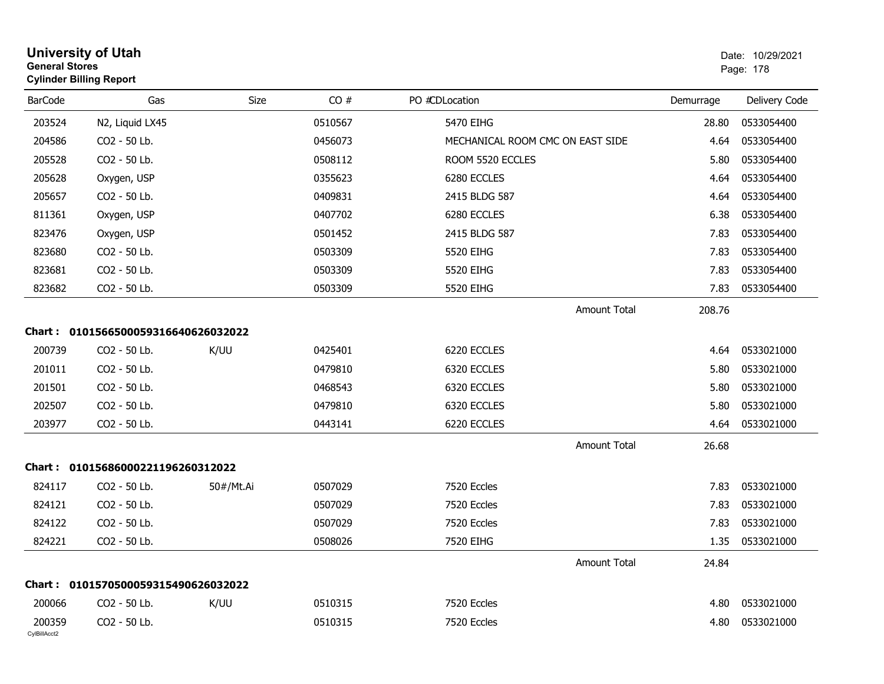|                        | General Stores<br><b>Cylinder Billing Report</b> |           |         |                                  | Page: 178 |               |  |
|------------------------|--------------------------------------------------|-----------|---------|----------------------------------|-----------|---------------|--|
| <b>BarCode</b>         | Gas                                              | Size      | CO#     | PO #CDLocation                   | Demurrage | Delivery Code |  |
| 203524                 | N2, Liquid LX45                                  |           | 0510567 | 5470 EIHG                        | 28.80     | 0533054400    |  |
| 204586                 | CO2 - 50 Lb.                                     |           | 0456073 | MECHANICAL ROOM CMC ON EAST SIDE | 4.64      | 0533054400    |  |
| 205528                 | CO2 - 50 Lb.                                     |           | 0508112 | ROOM 5520 ECCLES                 | 5.80      | 0533054400    |  |
| 205628                 | Oxygen, USP                                      |           | 0355623 | 6280 ECCLES                      | 4.64      | 0533054400    |  |
| 205657                 | CO2 - 50 Lb.                                     |           | 0409831 | 2415 BLDG 587                    | 4.64      | 0533054400    |  |
| 811361                 | Oxygen, USP                                      |           | 0407702 | 6280 ECCLES                      | 6.38      | 0533054400    |  |
| 823476                 | Oxygen, USP                                      |           | 0501452 | 2415 BLDG 587                    | 7.83      | 0533054400    |  |
| 823680                 | CO2 - 50 Lb.                                     |           | 0503309 | 5520 EIHG                        | 7.83      | 0533054400    |  |
| 823681                 | CO <sub>2</sub> - 50 Lb.                         |           | 0503309 | 5520 EIHG                        | 7.83      | 0533054400    |  |
| 823682                 | CO2 - 50 Lb.                                     |           | 0503309 | 5520 EIHG                        | 7.83      | 0533054400    |  |
|                        |                                                  |           |         | <b>Amount Total</b>              | 208.76    |               |  |
|                        | Chart: 0101566500059316640626032022              |           |         |                                  |           |               |  |
| 200739                 | CO2 - 50 Lb.                                     | K/UU      | 0425401 | 6220 ECCLES                      | 4.64      | 0533021000    |  |
| 201011                 | CO2 - 50 Lb.                                     |           | 0479810 | 6320 ECCLES                      | 5.80      | 0533021000    |  |
| 201501                 | CO2 - 50 Lb.                                     |           | 0468543 | 6320 ECCLES                      | 5.80      | 0533021000    |  |
| 202507                 | CO2 - 50 Lb.                                     |           | 0479810 | 6320 ECCLES                      | 5.80      | 0533021000    |  |
| 203977                 | CO2 - 50 Lb.                                     |           | 0443141 | 6220 ECCLES                      | 4.64      | 0533021000    |  |
|                        |                                                  |           |         | <b>Amount Total</b>              | 26.68     |               |  |
|                        | Chart: 01015686000221196260312022                |           |         |                                  |           |               |  |
| 824117                 | CO2 - 50 Lb.                                     | 50#/Mt.Ai | 0507029 | 7520 Eccles                      | 7.83      | 0533021000    |  |
| 824121                 | CO2 - 50 Lb.                                     |           | 0507029 | 7520 Eccles                      | 7.83      | 0533021000    |  |
| 824122                 | CO2 - 50 Lb.                                     |           | 0507029 | 7520 Eccles                      | 7.83      | 0533021000    |  |
| 824221                 | CO2 - 50 Lb.                                     |           | 0508026 | 7520 EIHG                        | 1.35      | 0533021000    |  |
|                        |                                                  |           |         | Amount Total                     | 24.84     |               |  |
| Chart :                | 0101570500059315490626032022                     |           |         |                                  |           |               |  |
| 200066                 | CO <sub>2</sub> - 50 Lb.                         | K/UU      | 0510315 | 7520 Eccles                      | 4.80      | 0533021000    |  |
| 200359<br>CvIBillAcct2 | CO2 - 50 Lb.                                     |           | 0510315 | 7520 Eccles                      | 4.80      | 0533021000    |  |

## **University of Utah** Date: 10/29/2021 **General Stores**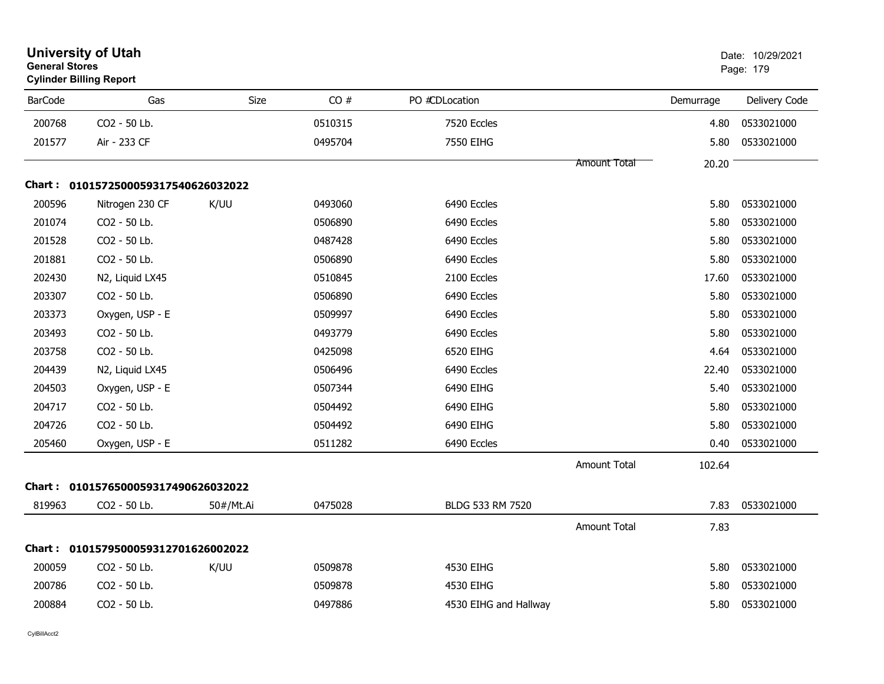| <b>General Stores</b> | <b>University of Utah</b><br><b>Cylinder Billing Report</b> |             |         |                       |              | Date: 10/29/2021<br>Page: 179 |               |  |
|-----------------------|-------------------------------------------------------------|-------------|---------|-----------------------|--------------|-------------------------------|---------------|--|
| <b>BarCode</b>        | Gas                                                         | <b>Size</b> | CO#     | PO #CDLocation        |              | Demurrage                     | Delivery Code |  |
| 200768                | CO2 - 50 Lb.                                                |             | 0510315 | 7520 Eccles           |              | 4.80                          | 0533021000    |  |
| 201577                | Air - 233 CF                                                |             | 0495704 | 7550 EIHG             |              | 5.80                          | 0533021000    |  |
|                       |                                                             |             |         |                       | Amount Total | 20.20                         |               |  |
|                       | Chart: 0101572500059317540626032022                         |             |         |                       |              |                               |               |  |
| 200596                | Nitrogen 230 CF                                             | K/UU        | 0493060 | 6490 Eccles           |              | 5.80                          | 0533021000    |  |
| 201074                | CO2 - 50 Lb.                                                |             | 0506890 | 6490 Eccles           |              | 5.80                          | 0533021000    |  |
| 201528                | CO2 - 50 Lb.                                                |             | 0487428 | 6490 Eccles           |              | 5.80                          | 0533021000    |  |
| 201881                | CO2 - 50 Lb.                                                |             | 0506890 | 6490 Eccles           |              | 5.80                          | 0533021000    |  |
| 202430                | N2, Liquid LX45                                             |             | 0510845 | 2100 Eccles           |              | 17.60                         | 0533021000    |  |
| 203307                | CO2 - 50 Lb.                                                |             | 0506890 | 6490 Eccles           |              | 5.80                          | 0533021000    |  |
| 203373                | Oxygen, USP - E                                             |             | 0509997 | 6490 Eccles           |              | 5.80                          | 0533021000    |  |
| 203493                | CO2 - 50 Lb.                                                |             | 0493779 | 6490 Eccles           |              | 5.80                          | 0533021000    |  |
| 203758                | CO2 - 50 Lb.                                                |             | 0425098 | 6520 EIHG             |              | 4.64                          | 0533021000    |  |
| 204439                | N2, Liquid LX45                                             |             | 0506496 | 6490 Eccles           |              | 22.40                         | 0533021000    |  |
| 204503                | Oxygen, USP - E                                             |             | 0507344 | 6490 EIHG             |              | 5.40                          | 0533021000    |  |
| 204717                | CO2 - 50 Lb.                                                |             | 0504492 | 6490 EIHG             |              | 5.80                          | 0533021000    |  |
| 204726                | CO2 - 50 Lb.                                                |             | 0504492 | 6490 EIHG             |              | 5.80                          | 0533021000    |  |
| 205460                | Oxygen, USP - E                                             |             | 0511282 | 6490 Eccles           |              | 0.40                          | 0533021000    |  |
|                       |                                                             |             |         |                       | Amount Total | 102.64                        |               |  |
|                       | Chart: 0101576500059317490626032022                         |             |         |                       |              |                               |               |  |
| 819963                | CO2 - 50 Lb.                                                | 50#/Mt.Ai   | 0475028 | BLDG 533 RM 7520      |              | 7.83                          | 0533021000    |  |
|                       |                                                             |             |         |                       | Amount Total | 7.83                          |               |  |
|                       | Chart: 0101579500059312701626002022                         |             |         |                       |              |                               |               |  |
| 200059                | CO2 - 50 Lb.                                                | K/UU        | 0509878 | 4530 EIHG             |              | 5.80                          | 0533021000    |  |
| 200786                | CO2 - 50 Lb.                                                |             | 0509878 | 4530 EIHG             |              | 5.80                          | 0533021000    |  |
| 200884                | CO2 - 50 Lb.                                                |             | 0497886 | 4530 EIHG and Hallway |              | 5.80                          | 0533021000    |  |
|                       |                                                             |             |         |                       |              |                               |               |  |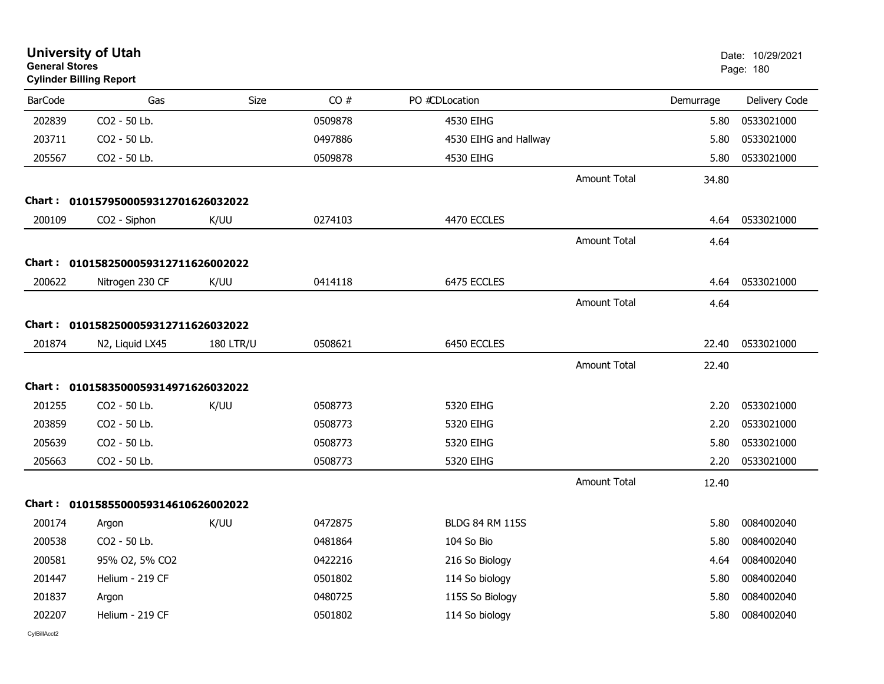| <b>General Stores</b>               | <b>University of Utah</b><br><b>Cylinder Billing Report</b> |                  |         |                        |                     | Date: 10/29/2021<br>Page: 180 |               |
|-------------------------------------|-------------------------------------------------------------|------------------|---------|------------------------|---------------------|-------------------------------|---------------|
| <b>BarCode</b>                      | Gas                                                         | <b>Size</b>      | CO#     | PO #CDLocation         |                     | Demurrage                     | Delivery Code |
| 202839                              | CO2 - 50 Lb.                                                |                  | 0509878 | 4530 EIHG              |                     | 5.80                          | 0533021000    |
| 203711                              | CO2 - 50 Lb.                                                |                  | 0497886 | 4530 EIHG and Hallway  |                     | 5.80                          | 0533021000    |
| 205567                              | CO2 - 50 Lb.                                                |                  | 0509878 | 4530 EIHG              |                     | 5.80                          | 0533021000    |
|                                     |                                                             |                  |         |                        | <b>Amount Total</b> | 34.80                         |               |
|                                     | Chart: 0101579500059312701626032022                         |                  |         |                        |                     |                               |               |
| 200109                              | CO2 - Siphon                                                | K/UU             | 0274103 | 4470 ECCLES            |                     | 4.64                          | 0533021000    |
|                                     |                                                             |                  |         |                        | <b>Amount Total</b> | 4.64                          |               |
|                                     | Chart: 0101582500059312711626002022                         |                  |         |                        |                     |                               |               |
| 200622                              | Nitrogen 230 CF                                             | K/UU             | 0414118 | 6475 ECCLES            |                     | 4.64                          | 0533021000    |
|                                     |                                                             |                  |         |                        | <b>Amount Total</b> | 4.64                          |               |
|                                     | Chart: 0101582500059312711626032022                         |                  |         |                        |                     |                               |               |
| 201874                              | N2, Liquid LX45                                             | <b>180 LTR/U</b> | 0508621 | 6450 ECCLES            |                     | 22.40                         | 0533021000    |
|                                     |                                                             |                  |         |                        | <b>Amount Total</b> | 22.40                         |               |
| Chart: 0101583500059314971626032022 |                                                             |                  |         |                        |                     |                               |               |
| 201255                              | CO2 - 50 Lb.                                                | K/UU             | 0508773 | 5320 EIHG              |                     | 2.20                          | 0533021000    |
| 203859                              | CO2 - 50 Lb.                                                |                  | 0508773 | 5320 EIHG              |                     | 2.20                          | 0533021000    |
| 205639                              | CO2 - 50 Lb.                                                |                  | 0508773 | 5320 EIHG              |                     | 5.80                          | 0533021000    |
| 205663                              | CO2 - 50 Lb.                                                |                  | 0508773 | 5320 EIHG              |                     | 2.20                          | 0533021000    |
|                                     |                                                             |                  |         |                        | Amount Total        | 12.40                         |               |
|                                     | Chart: 0101585500059314610626002022                         |                  |         |                        |                     |                               |               |
| 200174                              | Argon                                                       | K/UU             | 0472875 | <b>BLDG 84 RM 115S</b> |                     | 5.80                          | 0084002040    |
| 200538                              | CO2 - 50 Lb.                                                |                  | 0481864 | 104 So Bio             |                     | 5.80                          | 0084002040    |
| 200581                              | 95% O2, 5% CO2                                              |                  | 0422216 | 216 So Biology         |                     | 4.64                          | 0084002040    |
| 201447                              | Helium - 219 CF                                             |                  | 0501802 | 114 So biology         |                     | 5.80                          | 0084002040    |
| 201837                              | Argon                                                       |                  | 0480725 | 115S So Biology        |                     | 5.80                          | 0084002040    |
| 202207                              | Helium - 219 CF                                             |                  | 0501802 | 114 So biology         |                     | 5.80                          | 0084002040    |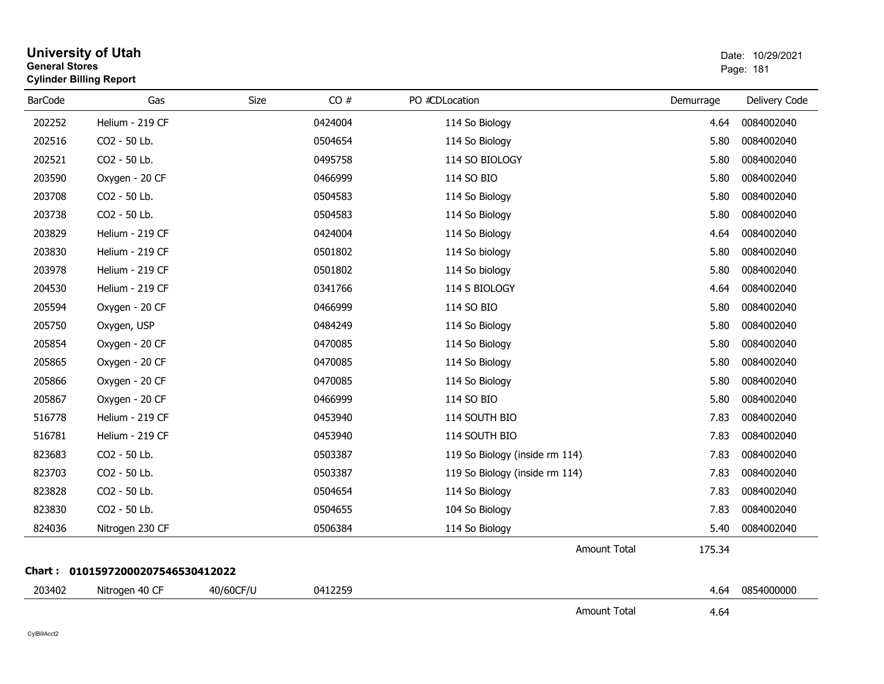| <b>General Stores</b> | <b>University of Utah</b><br><b>Cylinder Billing Report</b> |           |         |                                |           | Date: 10/29/2021<br>Page: 181 |
|-----------------------|-------------------------------------------------------------|-----------|---------|--------------------------------|-----------|-------------------------------|
| <b>BarCode</b>        | Gas                                                         | Size      | CO#     | PO #CDLocation                 | Demurrage | Delivery Code                 |
| 202252                | Helium - 219 CF                                             |           | 0424004 | 114 So Biology                 | 4.64      | 0084002040                    |
| 202516                | CO <sub>2</sub> - 50 Lb.                                    |           | 0504654 | 114 So Biology                 | 5.80      | 0084002040                    |
| 202521                | CO2 - 50 Lb.                                                |           | 0495758 | 114 SO BIOLOGY                 | 5.80      | 0084002040                    |
| 203590                | Oxygen - 20 CF                                              |           | 0466999 | 114 SO BIO                     | 5.80      | 0084002040                    |
| 203708                | CO2 - 50 Lb.                                                |           | 0504583 | 114 So Biology                 | 5.80      | 0084002040                    |
| 203738                | CO2 - 50 Lb.                                                |           | 0504583 | 114 So Biology                 | 5.80      | 0084002040                    |
| 203829                | Helium - 219 CF                                             |           | 0424004 | 114 So Biology                 | 4.64      | 0084002040                    |
| 203830                | Helium - 219 CF                                             |           | 0501802 | 114 So biology                 | 5.80      | 0084002040                    |
| 203978                | Helium - 219 CF                                             |           | 0501802 | 114 So biology                 | 5.80      | 0084002040                    |
| 204530                | Helium - 219 CF                                             |           | 0341766 | 114 S BIOLOGY                  | 4.64      | 0084002040                    |
| 205594                | Oxygen - 20 CF                                              |           | 0466999 | 114 SO BIO                     | 5.80      | 0084002040                    |
| 205750                | Oxygen, USP                                                 |           | 0484249 | 114 So Biology                 | 5.80      | 0084002040                    |
| 205854                | Oxygen - 20 CF                                              |           | 0470085 | 114 So Biology                 | 5.80      | 0084002040                    |
| 205865                | Oxygen - 20 CF                                              |           | 0470085 | 114 So Biology                 | 5.80      | 0084002040                    |
| 205866                | Oxygen - 20 CF                                              |           | 0470085 | 114 So Biology                 | 5.80      | 0084002040                    |
| 205867                | Oxygen - 20 CF                                              |           | 0466999 | 114 SO BIO                     | 5.80      | 0084002040                    |
| 516778                | Helium - 219 CF                                             |           | 0453940 | 114 SOUTH BIO                  | 7.83      | 0084002040                    |
| 516781                | Helium - 219 CF                                             |           | 0453940 | 114 SOUTH BIO                  | 7.83      | 0084002040                    |
| 823683                | CO2 - 50 Lb.                                                |           | 0503387 | 119 So Biology (inside rm 114) | 7.83      | 0084002040                    |
| 823703                | CO2 - 50 Lb.                                                |           | 0503387 | 119 So Biology (inside rm 114) | 7.83      | 0084002040                    |
| 823828                | CO2 - 50 Lb.                                                |           | 0504654 | 114 So Biology                 | 7.83      | 0084002040                    |
| 823830                | CO2 - 50 Lb.                                                |           | 0504655 | 104 So Biology                 | 7.83      | 0084002040                    |
| 824036                | Nitrogen 230 CF                                             |           | 0506384 | 114 So Biology                 | 5.40      | 0084002040                    |
|                       |                                                             |           |         | <b>Amount Total</b>            | 175.34    |                               |
|                       | Chart: 01015972000207546530412022                           |           |         |                                |           |                               |
| 203402                | Nitrogen 40 CF                                              | 40/60CF/U | 0412259 |                                | 4.64      | 0854000000                    |
|                       |                                                             |           |         | <b>Amount Total</b>            | 4.64      |                               |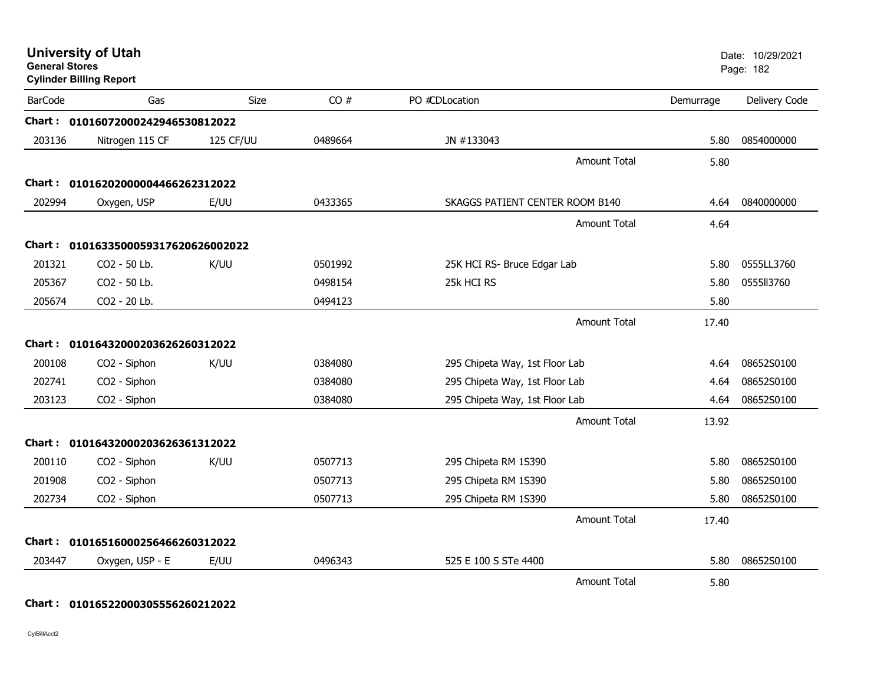| <b>General Stores</b> | <b>University of Utah</b><br><b>Cylinder Billing Report</b> |             |         |                                 |           | Date: 10/29/2021<br>Page: 182 |
|-----------------------|-------------------------------------------------------------|-------------|---------|---------------------------------|-----------|-------------------------------|
| <b>BarCode</b>        | Gas                                                         | <b>Size</b> | CO#     | PO #CDLocation                  | Demurrage | Delivery Code                 |
| Chart :               | 01016072000242946530812022                                  |             |         |                                 |           |                               |
| 203136                | Nitrogen 115 CF                                             | 125 CF/UU   | 0489664 | JN #133043                      | 5.80      | 0854000000                    |
|                       |                                                             |             |         | Amount Total                    | 5.80      |                               |
| Chart :               | 01016202000004466262312022                                  |             |         |                                 |           |                               |
| 202994                | Oxygen, USP                                                 | E/UU        | 0433365 | SKAGGS PATIENT CENTER ROOM B140 | 4.64      | 0840000000                    |
|                       |                                                             |             |         | <b>Amount Total</b>             | 4.64      |                               |
|                       | Chart: 0101633500059317620626002022                         |             |         |                                 |           |                               |
| 201321                | CO2 - 50 Lb.                                                | K/UU        | 0501992 | 25K HCI RS- Bruce Edgar Lab     | 5.80      | 0555LL3760                    |
| 205367                | CO2 - 50 Lb.                                                |             | 0498154 | 25k HCI RS                      | 5.80      | 0555113760                    |
| 205674                | CO2 - 20 Lb.                                                |             | 0494123 |                                 | 5.80      |                               |
|                       |                                                             |             |         | <b>Amount Total</b>             | 17.40     |                               |
|                       | Chart: 01016432000203626260312022                           |             |         |                                 |           |                               |
| 200108                | CO2 - Siphon                                                | K/UU        | 0384080 | 295 Chipeta Way, 1st Floor Lab  | 4.64      | 08652S0100                    |
| 202741                | CO2 - Siphon                                                |             | 0384080 | 295 Chipeta Way, 1st Floor Lab  | 4.64      | 08652S0100                    |
| 203123                | CO2 - Siphon                                                |             | 0384080 | 295 Chipeta Way, 1st Floor Lab  | 4.64      | 08652S0100                    |
|                       |                                                             |             |         | <b>Amount Total</b>             | 13.92     |                               |
|                       | Chart: 01016432000203626361312022                           |             |         |                                 |           |                               |
| 200110                | CO2 - Siphon                                                | K/UU        | 0507713 | 295 Chipeta RM 1S390            | 5.80      | 08652S0100                    |
| 201908                | CO <sub>2</sub> - Siphon                                    |             | 0507713 | 295 Chipeta RM 1S390            | 5.80      | 08652S0100                    |
| 202734                | CO2 - Siphon                                                |             | 0507713 | 295 Chipeta RM 1S390            | 5.80      | 08652S0100                    |
|                       |                                                             |             |         | Amount Total                    | 17.40     |                               |
| Chart :               | 01016516000256466260312022                                  |             |         |                                 |           |                               |
| 203447                | Oxygen, USP - E                                             | E/UU        | 0496343 | 525 E 100 S STe 4400            | 5.80      | 08652S0100                    |
|                       |                                                             |             |         | Amount Total                    | 5.80      |                               |

## **Chart : 01016522000305556260212022**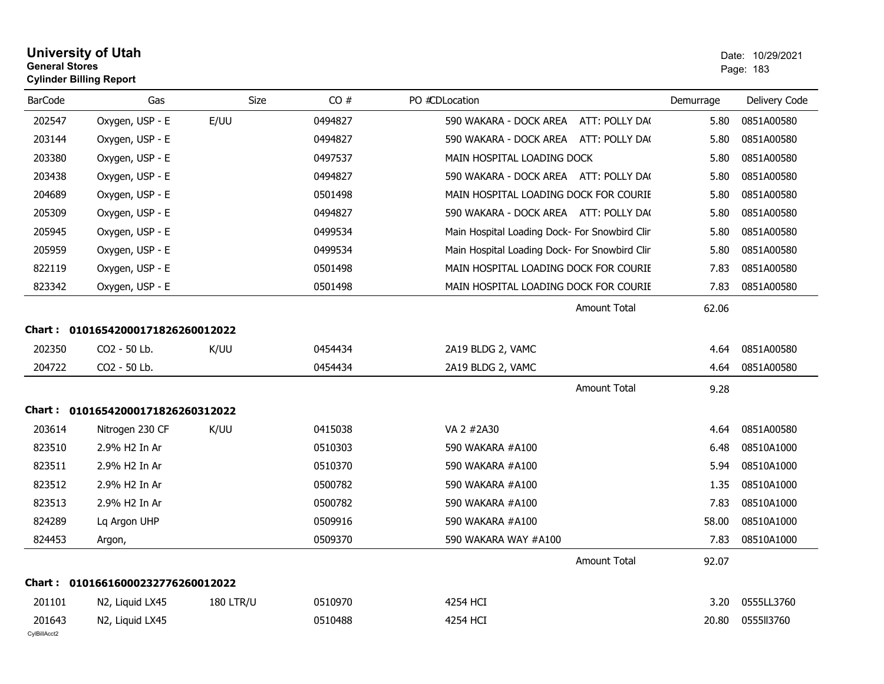| <b>University of Utah</b>      | Date: 10/2 |  |
|--------------------------------|------------|--|
| <b>General Stores</b>          | Page: 183  |  |
| <b>Cylinder Billing Report</b> |            |  |

| <b>BarCode</b> | Gas                               |                  | Size<br>CO# | PO #CDLocation                                | Demurrage | Delivery Code |
|----------------|-----------------------------------|------------------|-------------|-----------------------------------------------|-----------|---------------|
| 202547         | Oxygen, USP - E                   | E/UU             | 0494827     | 590 WAKARA - DOCK AREA<br>ATT: POLLY DA(      | 5.80      | 0851A00580    |
| 203144         | Oxygen, USP - E                   |                  | 0494827     | 590 WAKARA - DOCK AREA ATT: POLLY DA(         | 5.80      | 0851A00580    |
| 203380         | Oxygen, USP - E                   |                  | 0497537     | MAIN HOSPITAL LOADING DOCK                    | 5.80      | 0851A00580    |
| 203438         | Oxygen, USP - E                   |                  | 0494827     | 590 WAKARA - DOCK AREA ATT: POLLY DA(         | 5.80      | 0851A00580    |
| 204689         | Oxygen, USP - E                   |                  | 0501498     | MAIN HOSPITAL LOADING DOCK FOR COURIE         | 5.80      | 0851A00580    |
| 205309         | Oxygen, USP - E                   |                  | 0494827     | 590 WAKARA - DOCK AREA ATT: POLLY DA(         | 5.80      | 0851A00580    |
| 205945         | Oxygen, USP - E                   |                  | 0499534     | Main Hospital Loading Dock- For Snowbird Clin | 5.80      | 0851A00580    |
| 205959         | Oxygen, USP - E                   |                  | 0499534     | Main Hospital Loading Dock- For Snowbird Clin | 5.80      | 0851A00580    |
| 822119         | Oxygen, USP - E                   |                  | 0501498     | MAIN HOSPITAL LOADING DOCK FOR COURIE         | 7.83      | 0851A00580    |
| 823342         | Oxygen, USP - E                   |                  | 0501498     | MAIN HOSPITAL LOADING DOCK FOR COURIE         | 7.83      | 0851A00580    |
|                |                                   |                  |             | <b>Amount Total</b>                           | 62.06     |               |
|                | Chart: 01016542000171826260012022 |                  |             |                                               |           |               |
| 202350         | CO2 - 50 Lb.                      | K/UU             | 0454434     | 2A19 BLDG 2, VAMC                             | 4.64      | 0851A00580    |
| 204722         | CO2 - 50 Lb.                      |                  | 0454434     | 2A19 BLDG 2, VAMC                             | 4.64      | 0851A00580    |
|                |                                   |                  |             | <b>Amount Total</b>                           | 9.28      |               |
|                | Chart: 01016542000171826260312022 |                  |             |                                               |           |               |
| 203614         | Nitrogen 230 CF                   | K/UU             | 0415038     | VA 2 #2A30                                    | 4.64      | 0851A00580    |
| 823510         | 2.9% H2 In Ar                     |                  | 0510303     | 590 WAKARA #A100                              | 6.48      | 08510A1000    |
| 823511         | 2.9% H2 In Ar                     |                  | 0510370     | 590 WAKARA #A100                              | 5.94      | 08510A1000    |
| 823512         | 2.9% H2 In Ar                     |                  | 0500782     | 590 WAKARA #A100                              | 1.35      | 08510A1000    |
| 823513         | 2.9% H2 In Ar                     |                  | 0500782     | 590 WAKARA #A100                              | 7.83      | 08510A1000    |
| 824289         | Lq Argon UHP                      |                  | 0509916     | 590 WAKARA #A100                              | 58.00     | 08510A1000    |
| 824453         | Argon,                            |                  | 0509370     | 590 WAKARA WAY #A100                          | 7.83      | 08510A1000    |
|                |                                   |                  |             | <b>Amount Total</b>                           | 92.07     |               |
|                | Chart: 01016616000232776260012022 |                  |             |                                               |           |               |
| 201101         | N2, Liquid LX45                   | <b>180 LTR/U</b> | 0510970     | 4254 HCI                                      | 3.20      | 0555LL3760    |
| 201643         | N2, Liquid LX45                   |                  | 0510488     | 4254 HCI                                      | 20.80     | 0555113760    |
| CvIBillAcct2   |                                   |                  |             |                                               |           |               |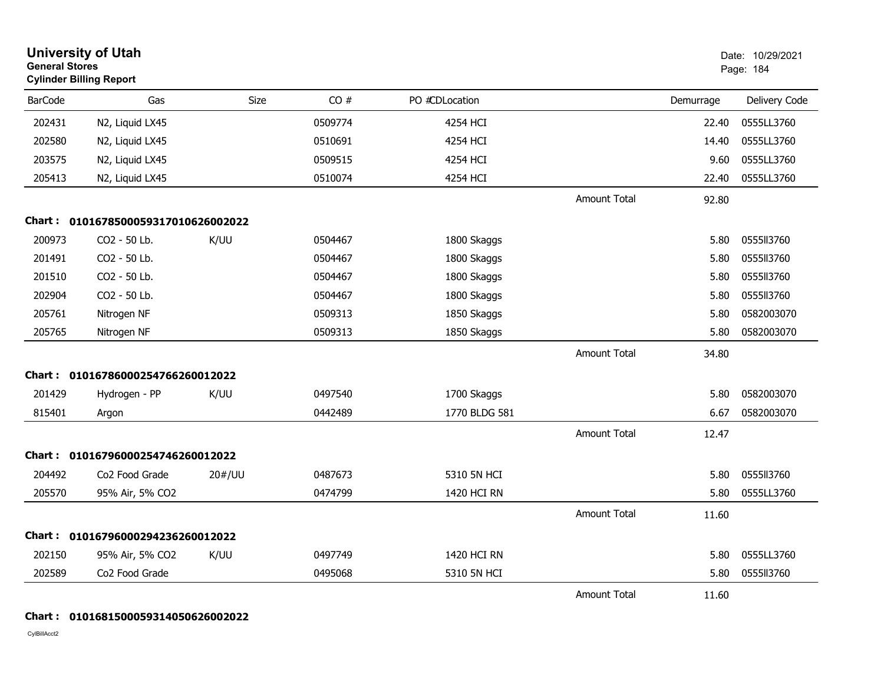| <b>General Stores</b> | <b>University of Utah</b><br><b>Cylinder Billing Report</b> |        |         |                |                     |           | Date: 10/29/2021<br>Page: 184 |
|-----------------------|-------------------------------------------------------------|--------|---------|----------------|---------------------|-----------|-------------------------------|
| <b>BarCode</b>        | Gas                                                         | Size   | CO#     | PO #CDLocation |                     | Demurrage | Delivery Code                 |
| 202431                | N2, Liquid LX45                                             |        | 0509774 | 4254 HCI       |                     | 22.40     | 0555LL3760                    |
| 202580                | N2, Liquid LX45                                             |        | 0510691 | 4254 HCI       |                     | 14.40     | 0555LL3760                    |
| 203575                | N2, Liquid LX45                                             |        | 0509515 | 4254 HCI       |                     | 9.60      | 0555LL3760                    |
| 205413                | N2, Liquid LX45                                             |        | 0510074 | 4254 HCI       |                     | 22.40     | 0555LL3760                    |
|                       |                                                             |        |         |                | Amount Total        | 92.80     |                               |
|                       | Chart: 0101678500059317010626002022                         |        |         |                |                     |           |                               |
| 200973                | CO2 - 50 Lb.                                                | K/UU   | 0504467 | 1800 Skaggs    |                     | 5.80      | 0555113760                    |
| 201491                | CO2 - 50 Lb.                                                |        | 0504467 | 1800 Skaggs    |                     | 5.80      | 0555ll3760                    |
| 201510                | CO2 - 50 Lb.                                                |        | 0504467 | 1800 Skaggs    |                     | 5.80      | 0555113760                    |
| 202904                | CO2 - 50 Lb.                                                |        | 0504467 | 1800 Skaggs    |                     | 5.80      | 0555113760                    |
| 205761                | Nitrogen NF                                                 |        | 0509313 | 1850 Skaggs    |                     | 5.80      | 0582003070                    |
| 205765                | Nitrogen NF                                                 |        | 0509313 | 1850 Skaggs    |                     | 5.80      | 0582003070                    |
|                       |                                                             |        |         |                | <b>Amount Total</b> | 34.80     |                               |
| <b>Chart :</b>        | 01016786000254766260012022                                  |        |         |                |                     |           |                               |
| 201429                | Hydrogen - PP                                               | K/UU   | 0497540 | 1700 Skaggs    |                     | 5.80      | 0582003070                    |
| 815401                | Argon                                                       |        | 0442489 | 1770 BLDG 581  |                     | 6.67      | 0582003070                    |
|                       |                                                             |        |         |                | <b>Amount Total</b> | 12.47     |                               |
|                       | Chart: 01016796000254746260012022                           |        |         |                |                     |           |                               |
| 204492                | Co2 Food Grade                                              | 20#/UU | 0487673 | 5310 5N HCI    |                     | 5.80      | 0555113760                    |
| 205570                | 95% Air, 5% CO2                                             |        | 0474799 | 1420 HCI RN    |                     | 5.80      | 0555LL3760                    |
|                       |                                                             |        |         |                | <b>Amount Total</b> | 11.60     |                               |
|                       | Chart: 01016796000294236260012022                           |        |         |                |                     |           |                               |
| 202150                | 95% Air, 5% CO2                                             | K/UU   | 0497749 | 1420 HCI RN    |                     | 5.80      | 0555LL3760                    |
| 202589                | Co <sub>2</sub> Food Grade                                  |        | 0495068 | 5310 5N HCI    |                     | 5.80      | 0555113760                    |
|                       |                                                             |        |         |                | <b>Amount Total</b> | 11.60     |                               |

## **Chart : 0101681500059314050626002022**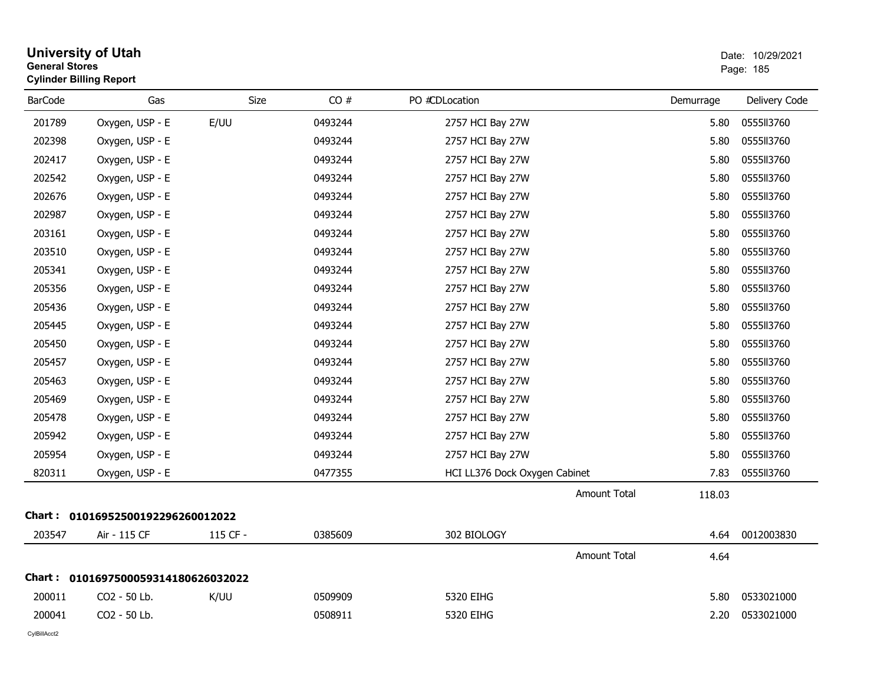| <b>General Stores</b> | <b>Cylinder Billing Report</b>      |          |         |                               |           | Page: 185     |
|-----------------------|-------------------------------------|----------|---------|-------------------------------|-----------|---------------|
| <b>BarCode</b>        | Gas                                 | Size     | CO#     | PO #CDLocation                | Demurrage | Delivery Code |
| 201789                | Oxygen, USP - E                     | E/UU     | 0493244 | 2757 HCI Bay 27W              | 5.80      | 0555113760    |
| 202398                | Oxygen, USP - E                     |          | 0493244 | 2757 HCI Bay 27W              | 5.80      | 0555113760    |
| 202417                | Oxygen, USP - E                     |          | 0493244 | 2757 HCI Bay 27W              | 5.80      | 0555113760    |
| 202542                | Oxygen, USP - E                     |          | 0493244 | 2757 HCI Bay 27W              | 5.80      | 0555113760    |
| 202676                | Oxygen, USP - E                     |          | 0493244 | 2757 HCI Bay 27W              | 5.80      | 0555113760    |
| 202987                | Oxygen, USP - E                     |          | 0493244 | 2757 HCI Bay 27W              | 5.80      | 0555113760    |
| 203161                | Oxygen, USP - E                     |          | 0493244 | 2757 HCI Bay 27W              | 5.80      | 0555113760    |
| 203510                | Oxygen, USP - E                     |          | 0493244 | 2757 HCI Bay 27W              | 5.80      | 0555113760    |
| 205341                | Oxygen, USP - E                     |          | 0493244 | 2757 HCI Bay 27W              | 5.80      | 0555113760    |
| 205356                | Oxygen, USP - E                     |          | 0493244 | 2757 HCI Bay 27W              | 5.80      | 0555113760    |
| 205436                | Oxygen, USP - E                     |          | 0493244 | 2757 HCI Bay 27W              | 5.80      | 0555113760    |
| 205445                | Oxygen, USP - E                     |          | 0493244 | 2757 HCI Bay 27W              | 5.80      | 0555113760    |
| 205450                | Oxygen, USP - E                     |          | 0493244 | 2757 HCI Bay 27W              | 5.80      | 0555113760    |
| 205457                | Oxygen, USP - E                     |          | 0493244 | 2757 HCI Bay 27W              | 5.80      | 0555113760    |
| 205463                | Oxygen, USP - E                     |          | 0493244 | 2757 HCI Bay 27W              | 5.80      | 0555113760    |
| 205469                | Oxygen, USP - E                     |          | 0493244 | 2757 HCI Bay 27W              | 5.80      | 0555113760    |
| 205478                | Oxygen, USP - E                     |          | 0493244 | 2757 HCI Bay 27W              | 5.80      | 0555113760    |
| 205942                | Oxygen, USP - E                     |          | 0493244 | 2757 HCI Bay 27W              | 5.80      | 0555113760    |
| 205954                | Oxygen, USP - E                     |          | 0493244 | 2757 HCI Bay 27W              | 5.80      | 0555113760    |
| 820311                | Oxygen, USP - E                     |          | 0477355 | HCI LL376 Dock Oxygen Cabinet | 7.83      | 0555113760    |
|                       |                                     |          |         | <b>Amount Total</b>           | 118.03    |               |
|                       | Chart: 01016952500192296260012022   |          |         |                               |           |               |
| 203547                | Air - 115 CF                        | 115 CF - | 0385609 | 302 BIOLOGY                   | 4.64      | 0012003830    |
|                       |                                     |          |         | Amount Total                  | 4.64      |               |
|                       | Chart: 0101697500059314180626032022 |          |         |                               |           |               |
| 200011                | CO2 - 50 Lb.                        | K/UU     | 0509909 | 5320 EIHG                     | 5.80      | 0533021000    |
| 200041                | CO2 - 50 Lb.                        |          | 0508911 | 5320 EIHG                     | 2.20      | 0533021000    |
|                       |                                     |          |         |                               |           |               |

**University of Utah**  Date: 10/29/2021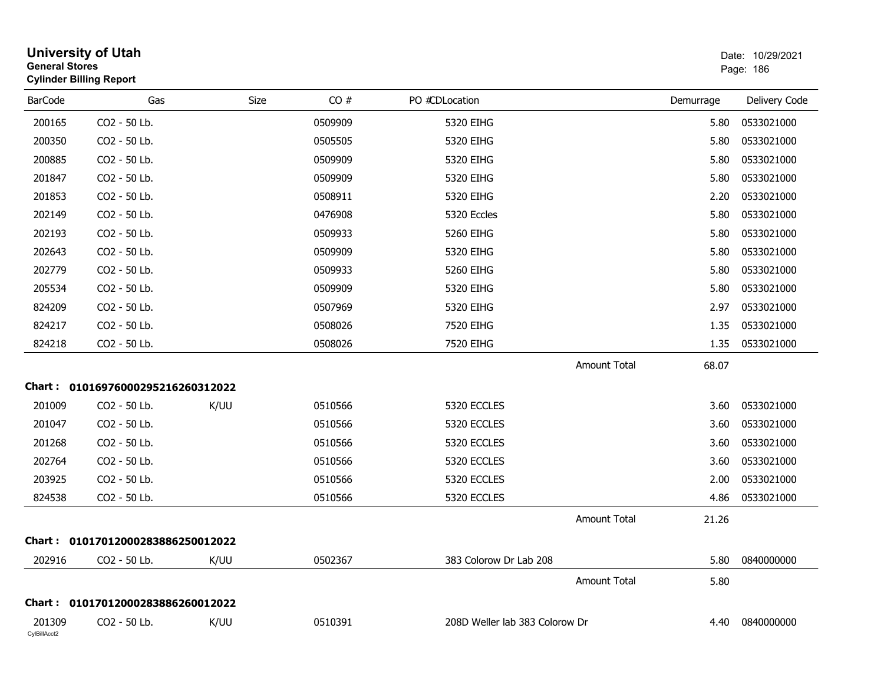| <b>General Stores</b>  | <b>University of Utah</b><br><b>Cylinder Billing Report</b> |      |         |                                |                     |           | Date: 10/29/2021<br>Page: 186 |
|------------------------|-------------------------------------------------------------|------|---------|--------------------------------|---------------------|-----------|-------------------------------|
| <b>BarCode</b>         | Gas                                                         | Size | CO#     | PO #CDLocation                 |                     | Demurrage | Delivery Code                 |
| 200165                 | CO2 - 50 Lb.                                                |      | 0509909 | 5320 EIHG                      |                     | 5.80      | 0533021000                    |
| 200350                 | CO2 - 50 Lb.                                                |      | 0505505 | 5320 EIHG                      |                     | 5.80      | 0533021000                    |
| 200885                 | CO2 - 50 Lb.                                                |      | 0509909 | 5320 EIHG                      |                     | 5.80      | 0533021000                    |
| 201847                 | CO2 - 50 Lb.                                                |      | 0509909 | 5320 EIHG                      |                     | 5.80      | 0533021000                    |
| 201853                 | CO2 - 50 Lb.                                                |      | 0508911 | 5320 EIHG                      |                     | 2.20      | 0533021000                    |
| 202149                 | CO2 - 50 Lb.                                                |      | 0476908 | 5320 Eccles                    |                     | 5.80      | 0533021000                    |
| 202193                 | CO2 - 50 Lb.                                                |      | 0509933 | 5260 EIHG                      |                     | 5.80      | 0533021000                    |
| 202643                 | CO2 - 50 Lb.                                                |      | 0509909 | 5320 EIHG                      |                     | 5.80      | 0533021000                    |
| 202779                 | CO2 - 50 Lb.                                                |      | 0509933 | 5260 EIHG                      |                     | 5.80      | 0533021000                    |
| 205534                 | CO2 - 50 Lb.                                                |      | 0509909 | 5320 EIHG                      |                     | 5.80      | 0533021000                    |
| 824209                 | CO2 - 50 Lb.                                                |      | 0507969 | 5320 EIHG                      |                     | 2.97      | 0533021000                    |
| 824217                 | CO2 - 50 Lb.                                                |      | 0508026 | 7520 EIHG                      |                     | 1.35      | 0533021000                    |
| 824218                 | CO2 - 50 Lb.                                                |      | 0508026 | 7520 EIHG                      |                     | 1.35      | 0533021000                    |
|                        |                                                             |      |         |                                | <b>Amount Total</b> | 68.07     |                               |
|                        | Chart: 01016976000295216260312022                           |      |         |                                |                     |           |                               |
| 201009                 | CO2 - 50 Lb.                                                | K/UU | 0510566 | 5320 ECCLES                    |                     | 3.60      | 0533021000                    |
| 201047                 | CO2 - 50 Lb.                                                |      | 0510566 | 5320 ECCLES                    |                     | 3.60      | 0533021000                    |
| 201268                 | CO2 - 50 Lb.                                                |      | 0510566 | 5320 ECCLES                    |                     | 3.60      | 0533021000                    |
| 202764                 | CO2 - 50 Lb.                                                |      | 0510566 | 5320 ECCLES                    |                     | 3.60      | 0533021000                    |
| 203925                 | CO2 - 50 Lb.                                                |      | 0510566 | 5320 ECCLES                    |                     | 2.00      | 0533021000                    |
| 824538                 | CO2 - 50 Lb.                                                |      | 0510566 | 5320 ECCLES                    |                     | 4.86      | 0533021000                    |
|                        |                                                             |      |         |                                | <b>Amount Total</b> | 21.26     |                               |
|                        | Chart: 01017012000283886250012022                           |      |         |                                |                     |           |                               |
| 202916                 | CO2 - 50 Lb.                                                | K/UU | 0502367 | 383 Colorow Dr Lab 208         |                     |           | 5.80  0840000000              |
|                        |                                                             |      |         |                                | <b>Amount Total</b> | 5.80      |                               |
|                        | Chart: 01017012000283886260012022                           |      |         |                                |                     |           |                               |
| 201309<br>CylBillAcct2 | CO2 - 50 Lb.                                                | K/UU | 0510391 | 208D Weller lab 383 Colorow Dr |                     | 4.40      | 0840000000                    |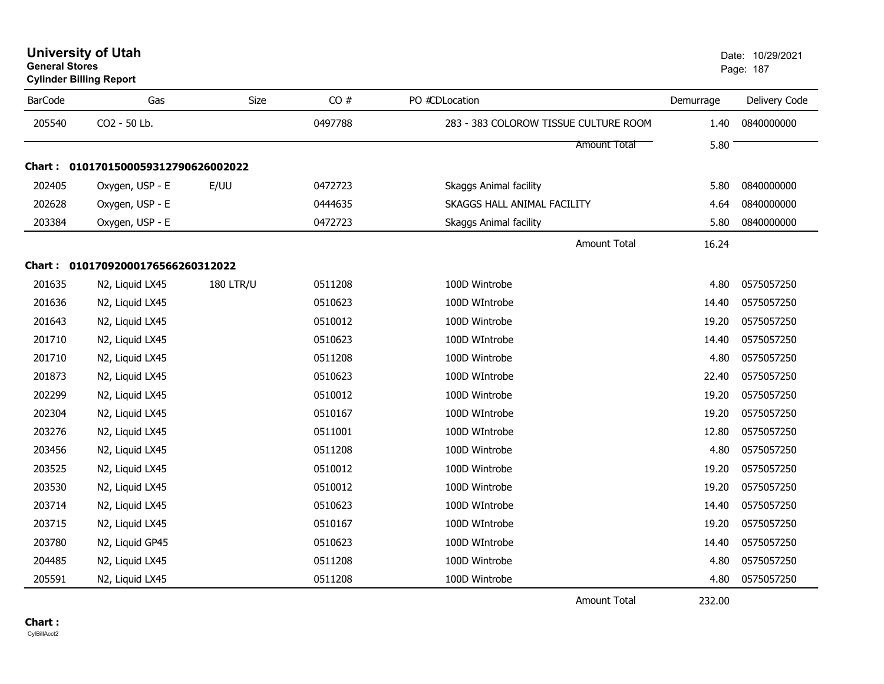| <b>University of Utah</b>      | Date: 10/2 |  |
|--------------------------------|------------|--|
| <b>General Stores</b>          | Page: 187  |  |
| <b>Cylinder Billing Report</b> |            |  |

| <b>BarCode</b> | Gas                                 | Size             | CO#     | PO #CDLocation                        | Demurrage | Delivery Code |
|----------------|-------------------------------------|------------------|---------|---------------------------------------|-----------|---------------|
| 205540         | CO2 - 50 Lb.                        |                  | 0497788 | 283 - 383 COLOROW TISSUE CULTURE ROOM | 1.40      | 0840000000    |
|                |                                     |                  |         | <b>Amount Total</b>                   | 5.80      |               |
|                | Chart: 0101701500059312790626002022 |                  |         |                                       |           |               |
| 202405         | Oxygen, USP - E                     | E/UU             | 0472723 | Skaggs Animal facility                | 5.80      | 0840000000    |
| 202628         | Oxygen, USP - E                     |                  | 0444635 | SKAGGS HALL ANIMAL FACILITY           | 4.64      | 0840000000    |
| 203384         | Oxygen, USP - E                     |                  | 0472723 | Skaggs Animal facility                | 5.80      | 0840000000    |
|                |                                     |                  |         | <b>Amount Total</b>                   | 16.24     |               |
|                | Chart: 01017092000176566260312022   |                  |         |                                       |           |               |
| 201635         | N2, Liquid LX45                     | <b>180 LTR/U</b> | 0511208 | 100D Wintrobe                         | 4.80      | 0575057250    |
| 201636         | N2, Liquid LX45                     |                  | 0510623 | 100D WIntrobe                         | 14.40     | 0575057250    |
| 201643         | N2, Liquid LX45                     |                  | 0510012 | 100D Wintrobe                         | 19.20     | 0575057250    |
| 201710         | N2, Liquid LX45                     |                  | 0510623 | 100D WIntrobe                         | 14.40     | 0575057250    |
| 201710         | N2, Liquid LX45                     |                  | 0511208 | 100D Wintrobe                         | 4.80      | 0575057250    |
| 201873         | N2, Liquid LX45                     |                  | 0510623 | 100D WIntrobe                         | 22.40     | 0575057250    |
| 202299         | N2, Liquid LX45                     |                  | 0510012 | 100D Wintrobe                         | 19.20     | 0575057250    |
| 202304         | N2, Liquid LX45                     |                  | 0510167 | 100D WIntrobe                         | 19.20     | 0575057250    |
| 203276         | N2, Liquid LX45                     |                  | 0511001 | 100D WIntrobe                         | 12.80     | 0575057250    |
| 203456         | N2, Liquid LX45                     |                  | 0511208 | 100D Wintrobe                         | 4.80      | 0575057250    |
| 203525         | N2, Liquid LX45                     |                  | 0510012 | 100D Wintrobe                         | 19.20     | 0575057250    |
| 203530         | N2, Liquid LX45                     |                  | 0510012 | 100D Wintrobe                         | 19.20     | 0575057250    |
| 203714         | N2, Liquid LX45                     |                  | 0510623 | 100D WIntrobe                         | 14.40     | 0575057250    |
| 203715         | N2, Liquid LX45                     |                  | 0510167 | 100D WIntrobe                         | 19.20     | 0575057250    |
| 203780         | N2, Liquid GP45                     |                  | 0510623 | 100D WIntrobe                         | 14.40     | 0575057250    |
| 204485         | N2, Liquid LX45                     |                  | 0511208 | 100D Wintrobe                         | 4.80      | 0575057250    |
| 205591         | N2, Liquid LX45                     |                  | 0511208 | 100D Wintrobe                         | 4.80      | 0575057250    |

Amount Total

232.00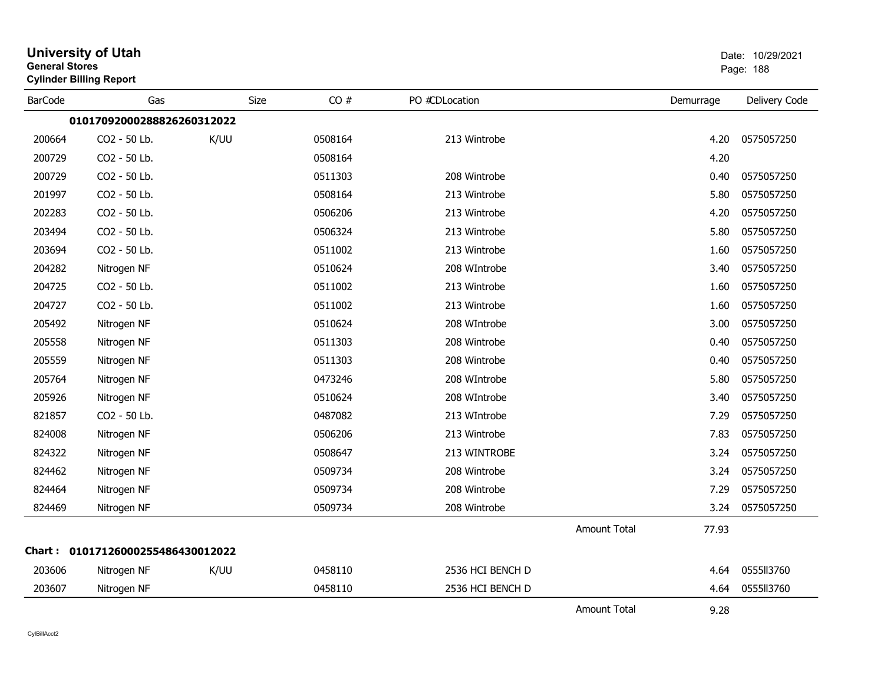| <b>General Stores</b> | <b>University of Utah</b><br><b>Cylinder Billing Report</b> |             |         |                  |                     |           | Date: 10/29/2021<br>Page: 188 |
|-----------------------|-------------------------------------------------------------|-------------|---------|------------------|---------------------|-----------|-------------------------------|
| <b>BarCode</b>        | Gas                                                         | <b>Size</b> | CO#     | PO #CDLocation   |                     | Demurrage | Delivery Code                 |
|                       | 01017092000288826260312022                                  |             |         |                  |                     |           |                               |
| 200664                | CO2 - 50 Lb.                                                | K/UU        | 0508164 | 213 Wintrobe     |                     | 4.20      | 0575057250                    |
| 200729                | CO2 - 50 Lb.                                                |             | 0508164 |                  |                     | 4.20      |                               |
| 200729                | CO2 - 50 Lb.                                                |             | 0511303 | 208 Wintrobe     |                     | 0.40      | 0575057250                    |
| 201997                | CO2 - 50 Lb.                                                |             | 0508164 | 213 Wintrobe     |                     | 5.80      | 0575057250                    |
| 202283                | CO2 - 50 Lb.                                                |             | 0506206 | 213 Wintrobe     |                     | 4.20      | 0575057250                    |
| 203494                | CO2 - 50 Lb.                                                |             | 0506324 | 213 Wintrobe     |                     | 5.80      | 0575057250                    |
| 203694                | CO2 - 50 Lb.                                                |             | 0511002 | 213 Wintrobe     |                     | 1.60      | 0575057250                    |
| 204282                | Nitrogen NF                                                 |             | 0510624 | 208 WIntrobe     |                     | 3.40      | 0575057250                    |
| 204725                | CO2 - 50 Lb.                                                |             | 0511002 | 213 Wintrobe     |                     | 1.60      | 0575057250                    |
| 204727                | CO2 - 50 Lb.                                                |             | 0511002 | 213 Wintrobe     |                     | 1.60      | 0575057250                    |
| 205492                | Nitrogen NF                                                 |             | 0510624 | 208 WIntrobe     |                     | 3.00      | 0575057250                    |
| 205558                | Nitrogen NF                                                 |             | 0511303 | 208 Wintrobe     |                     | 0.40      | 0575057250                    |
| 205559                | Nitrogen NF                                                 |             | 0511303 | 208 Wintrobe     |                     | 0.40      | 0575057250                    |
| 205764                | Nitrogen NF                                                 |             | 0473246 | 208 WIntrobe     |                     | 5.80      | 0575057250                    |
| 205926                | Nitrogen NF                                                 |             | 0510624 | 208 WIntrobe     |                     | 3.40      | 0575057250                    |
| 821857                | CO2 - 50 Lb.                                                |             | 0487082 | 213 WIntrobe     |                     | 7.29      | 0575057250                    |
| 824008                | Nitrogen NF                                                 |             | 0506206 | 213 Wintrobe     |                     | 7.83      | 0575057250                    |
| 824322                | Nitrogen NF                                                 |             | 0508647 | 213 WINTROBE     |                     | 3.24      | 0575057250                    |
| 824462                | Nitrogen NF                                                 |             | 0509734 | 208 Wintrobe     |                     | 3.24      | 0575057250                    |
| 824464                | Nitrogen NF                                                 |             | 0509734 | 208 Wintrobe     |                     | 7.29      | 0575057250                    |
| 824469                | Nitrogen NF                                                 |             | 0509734 | 208 Wintrobe     |                     | 3.24      | 0575057250                    |
|                       |                                                             |             |         |                  | <b>Amount Total</b> | 77.93     |                               |
|                       | Chart: 01017126000255486430012022                           |             |         |                  |                     |           |                               |
| 203606                | Nitrogen NF                                                 | K/UU        | 0458110 | 2536 HCI BENCH D |                     | 4.64      | 0555113760                    |
| 203607                | Nitrogen NF                                                 |             | 0458110 | 2536 HCI BENCH D |                     | 4.64      | 0555113760                    |
|                       |                                                             |             |         |                  | <b>Amount Total</b> | 9.28      |                               |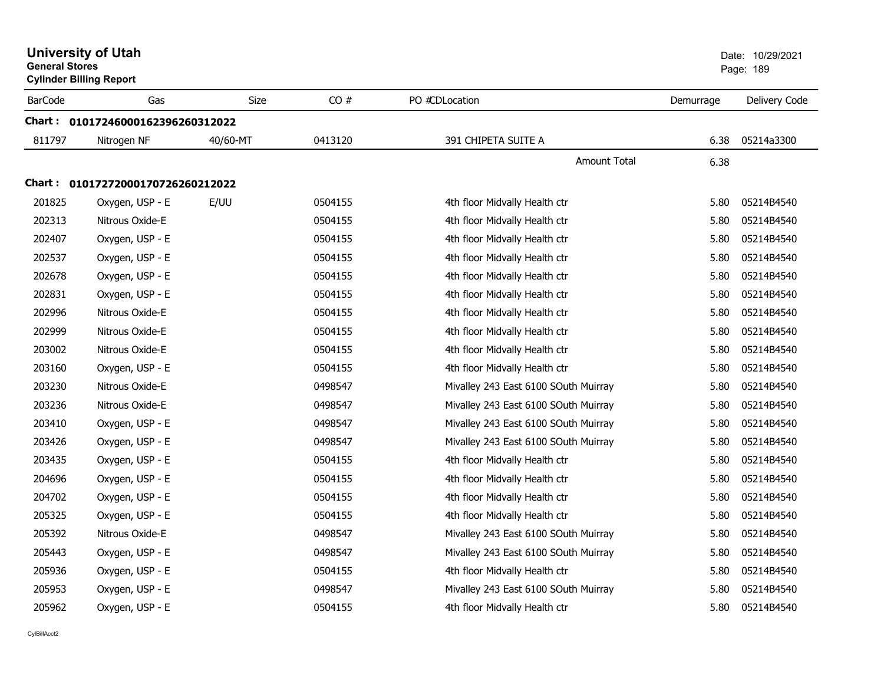| <b>General Stores</b> | <b>University of Utah</b><br><b>Cylinder Billing Report</b> |             |         |                                      |           | Date: 10/29/2021<br>Page: 189 |
|-----------------------|-------------------------------------------------------------|-------------|---------|--------------------------------------|-----------|-------------------------------|
| <b>BarCode</b>        | Gas                                                         | <b>Size</b> | CO#     | PO #CDLocation                       | Demurrage | Delivery Code                 |
|                       | Chart: 01017246000162396260312022                           |             |         |                                      |           |                               |
| 811797                | Nitrogen NF                                                 | 40/60-MT    | 0413120 | 391 CHIPETA SUITE A                  | 6.38      | 05214a3300                    |
|                       |                                                             |             |         | <b>Amount Total</b>                  | 6.38      |                               |
|                       | Chart: 01017272000170726260212022                           |             |         |                                      |           |                               |
| 201825                | Oxygen, USP - E                                             | E/UU        | 0504155 | 4th floor Midvally Health ctr        | 5.80      | 05214B4540                    |
| 202313                | Nitrous Oxide-E                                             |             | 0504155 | 4th floor Midvally Health ctr        | 5.80      | 05214B4540                    |
| 202407                | Oxygen, USP - E                                             |             | 0504155 | 4th floor Midvally Health ctr        | 5.80      | 05214B4540                    |
| 202537                | Oxygen, USP - E                                             |             | 0504155 | 4th floor Midvally Health ctr        | 5.80      | 05214B4540                    |
| 202678                | Oxygen, USP - E                                             |             | 0504155 | 4th floor Midvally Health ctr        | 5.80      | 05214B4540                    |
| 202831                | Oxygen, USP - E                                             |             | 0504155 | 4th floor Midvally Health ctr        | 5.80      | 05214B4540                    |
| 202996                | Nitrous Oxide-E                                             |             | 0504155 | 4th floor Midvally Health ctr        | 5.80      | 05214B4540                    |
| 202999                | Nitrous Oxide-E                                             |             | 0504155 | 4th floor Midvally Health ctr        | 5.80      | 05214B4540                    |
| 203002                | Nitrous Oxide-E                                             |             | 0504155 | 4th floor Midvally Health ctr        | 5.80      | 05214B4540                    |
| 203160                | Oxygen, USP - E                                             |             | 0504155 | 4th floor Midvally Health ctr        | 5.80      | 05214B4540                    |
| 203230                | Nitrous Oxide-E                                             |             | 0498547 | Mivalley 243 East 6100 SOuth Muirray | 5.80      | 05214B4540                    |
| 203236                | Nitrous Oxide-E                                             |             | 0498547 | Mivalley 243 East 6100 SOuth Muirray | 5.80      | 05214B4540                    |
| 203410                | Oxygen, USP - E                                             |             | 0498547 | Mivalley 243 East 6100 SOuth Muirray | 5.80      | 05214B4540                    |
| 203426                | Oxygen, USP - E                                             |             | 0498547 | Mivalley 243 East 6100 SOuth Muirray | 5.80      | 05214B4540                    |
| 203435                | Oxygen, USP - E                                             |             | 0504155 | 4th floor Midvally Health ctr        | 5.80      | 05214B4540                    |
| 204696                | Oxygen, USP - E                                             |             | 0504155 | 4th floor Midvally Health ctr        | 5.80      | 05214B4540                    |
| 204702                | Oxygen, USP - E                                             |             | 0504155 | 4th floor Midvally Health ctr        | 5.80      | 05214B4540                    |
| 205325                | Oxygen, USP - E                                             |             | 0504155 | 4th floor Midvally Health ctr        | 5.80      | 05214B4540                    |
| 205392                | Nitrous Oxide-E                                             |             | 0498547 | Mivalley 243 East 6100 SOuth Muirray | 5.80      | 05214B4540                    |
| 205443                | Oxygen, USP - E                                             |             | 0498547 | Mivalley 243 East 6100 SOuth Muirray | 5.80      | 05214B4540                    |
| 205936                | Oxygen, USP - E                                             |             | 0504155 | 4th floor Midvally Health ctr        | 5.80      | 05214B4540                    |
| 205953                | Oxygen, USP - E                                             |             | 0498547 | Mivalley 243 East 6100 SOuth Muirray | 5.80      | 05214B4540                    |
| 205962                | Oxygen, USP - E                                             |             | 0504155 | 4th floor Midvally Health ctr        | 5.80      | 05214B4540                    |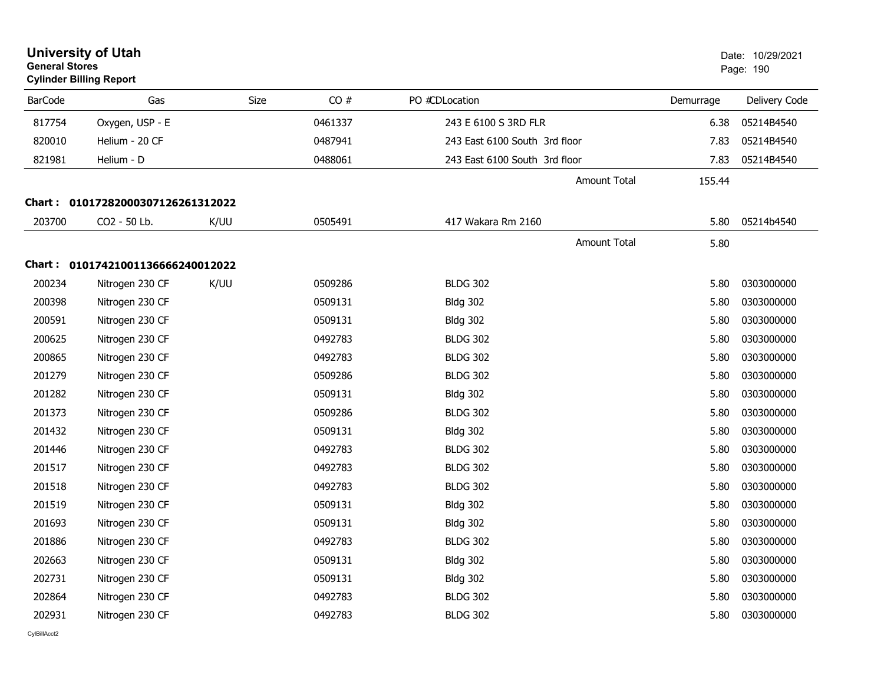| <b>General Stores</b> | <b>University of Utah</b><br><b>Cylinder Billing Report</b> |      |      |         |                               |                     |           | Date: 10/29/2021<br>Page: 190 |
|-----------------------|-------------------------------------------------------------|------|------|---------|-------------------------------|---------------------|-----------|-------------------------------|
| <b>BarCode</b>        | Gas                                                         |      | Size | CO#     | PO #CDLocation                |                     | Demurrage | Delivery Code                 |
| 817754                | Oxygen, USP - E                                             |      |      | 0461337 | 243 E 6100 S 3RD FLR          |                     | 6.38      | 05214B4540                    |
| 820010                | Helium - 20 CF                                              |      |      | 0487941 | 243 East 6100 South 3rd floor |                     | 7.83      | 05214B4540                    |
| 821981                | Helium - D                                                  |      |      | 0488061 | 243 East 6100 South 3rd floor |                     | 7.83      | 05214B4540                    |
|                       |                                                             |      |      |         |                               | <b>Amount Total</b> | 155.44    |                               |
|                       | Chart: 01017282000307126261312022                           |      |      |         |                               |                     |           |                               |
| 203700                | CO2 - 50 Lb.                                                | K/UU |      | 0505491 | 417 Wakara Rm 2160            |                     | 5.80      | 05214b4540                    |
|                       |                                                             |      |      |         |                               | <b>Amount Total</b> | 5.80      |                               |
|                       | Chart: 01017421001136666240012022                           |      |      |         |                               |                     |           |                               |
| 200234                | Nitrogen 230 CF                                             | K/UU |      | 0509286 | <b>BLDG 302</b>               |                     | 5.80      | 0303000000                    |
| 200398                | Nitrogen 230 CF                                             |      |      | 0509131 | <b>Bldg 302</b>               |                     | 5.80      | 0303000000                    |
| 200591                | Nitrogen 230 CF                                             |      |      | 0509131 | <b>Bldg 302</b>               |                     | 5.80      | 0303000000                    |
| 200625                | Nitrogen 230 CF                                             |      |      | 0492783 | <b>BLDG 302</b>               |                     | 5.80      | 0303000000                    |
| 200865                | Nitrogen 230 CF                                             |      |      | 0492783 | <b>BLDG 302</b>               |                     | 5.80      | 0303000000                    |
| 201279                | Nitrogen 230 CF                                             |      |      | 0509286 | <b>BLDG 302</b>               |                     | 5.80      | 0303000000                    |
| 201282                | Nitrogen 230 CF                                             |      |      | 0509131 | <b>Bldg 302</b>               |                     | 5.80      | 0303000000                    |
| 201373                | Nitrogen 230 CF                                             |      |      | 0509286 | <b>BLDG 302</b>               |                     | 5.80      | 0303000000                    |
| 201432                | Nitrogen 230 CF                                             |      |      | 0509131 | <b>Bldg 302</b>               |                     | 5.80      | 0303000000                    |
| 201446                | Nitrogen 230 CF                                             |      |      | 0492783 | <b>BLDG 302</b>               |                     | 5.80      | 0303000000                    |
| 201517                | Nitrogen 230 CF                                             |      |      | 0492783 | <b>BLDG 302</b>               |                     | 5.80      | 0303000000                    |
| 201518                | Nitrogen 230 CF                                             |      |      | 0492783 | <b>BLDG 302</b>               |                     | 5.80      | 0303000000                    |
| 201519                | Nitrogen 230 CF                                             |      |      | 0509131 | <b>Bldg 302</b>               |                     | 5.80      | 0303000000                    |
| 201693                | Nitrogen 230 CF                                             |      |      | 0509131 | <b>Bldg 302</b>               |                     | 5.80      | 0303000000                    |
| 201886                | Nitrogen 230 CF                                             |      |      | 0492783 | <b>BLDG 302</b>               |                     | 5.80      | 0303000000                    |
| 202663                | Nitrogen 230 CF                                             |      |      | 0509131 | <b>Bldg 302</b>               |                     | 5.80      | 0303000000                    |
| 202731                | Nitrogen 230 CF                                             |      |      | 0509131 | <b>Bldg 302</b>               |                     | 5.80      | 0303000000                    |
| 202864                | Nitrogen 230 CF                                             |      |      | 0492783 | <b>BLDG 302</b>               |                     | 5.80      | 0303000000                    |
| 202931                | Nitrogen 230 CF                                             |      |      | 0492783 | <b>BLDG 302</b>               |                     | 5.80      | 0303000000                    |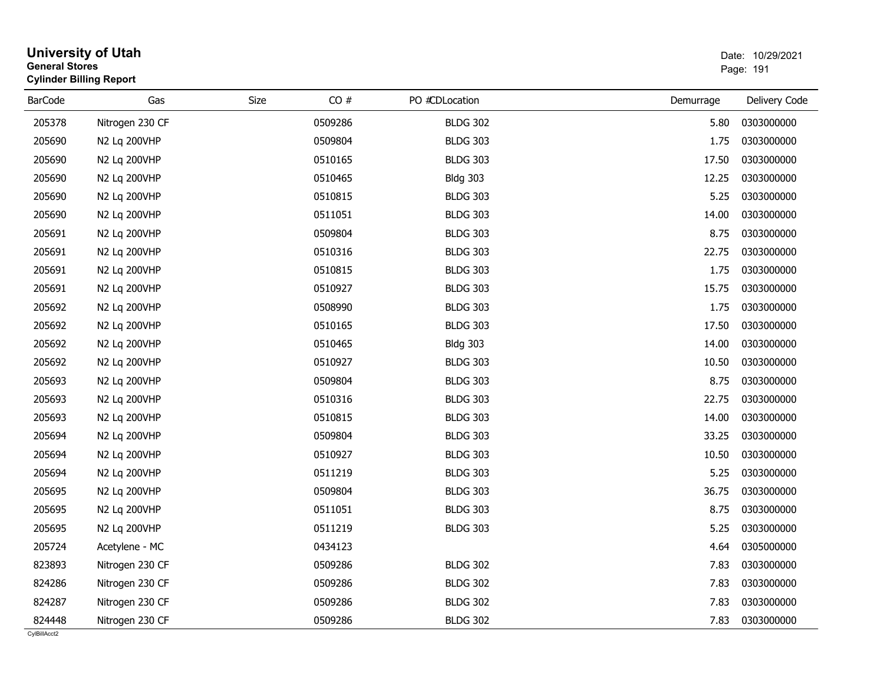| <b>General Stores</b> | <b>University of Utah</b><br><b>Cylinder Billing Report</b> |      |         |                 |           | Date: 10/29/2021<br>Page: 191 |
|-----------------------|-------------------------------------------------------------|------|---------|-----------------|-----------|-------------------------------|
| <b>BarCode</b>        | Gas                                                         | Size | CO#     | PO #CDLocation  | Demurrage | Delivery Code                 |
| 205378                | Nitrogen 230 CF                                             |      | 0509286 | <b>BLDG 302</b> | 5.80      | 0303000000                    |
| 205690                | N2 Lg 200VHP                                                |      | 0509804 | <b>BLDG 303</b> | 1.75      | 0303000000                    |
| 205690                | N2 Lq 200VHP                                                |      | 0510165 | <b>BLDG 303</b> | 17.50     | 0303000000                    |
| 205690                | N2 Lq 200VHP                                                |      | 0510465 | <b>Bldg 303</b> | 12.25     | 0303000000                    |
| 205690                | N2 Lq 200VHP                                                |      | 0510815 | <b>BLDG 303</b> | 5.25      | 0303000000                    |
| 205690                | N2 Lq 200VHP                                                |      | 0511051 | <b>BLDG 303</b> | 14.00     | 0303000000                    |
| 205691                | N2 Lq 200VHP                                                |      | 0509804 | <b>BLDG 303</b> | 8.75      | 0303000000                    |
| 205691                | N2 Lq 200VHP                                                |      | 0510316 | <b>BLDG 303</b> | 22.75     | 0303000000                    |
| 205691                | N2 Lq 200VHP                                                |      | 0510815 | <b>BLDG 303</b> | 1.75      | 0303000000                    |
| 205691                | N2 Lq 200VHP                                                |      | 0510927 | <b>BLDG 303</b> | 15.75     | 0303000000                    |
| 205692                | N2 Lq 200VHP                                                |      | 0508990 | <b>BLDG 303</b> | 1.75      | 0303000000                    |
| 205692                | N2 Lq 200VHP                                                |      | 0510165 | <b>BLDG 303</b> | 17.50     | 0303000000                    |
| 205692                | N2 Lq 200VHP                                                |      | 0510465 | <b>Bldg 303</b> | 14.00     | 0303000000                    |
| 205692                | N2 Lq 200VHP                                                |      | 0510927 | <b>BLDG 303</b> | 10.50     | 0303000000                    |
| 205693                | N2 Lq 200VHP                                                |      | 0509804 | <b>BLDG 303</b> | 8.75      | 0303000000                    |
| 205693                | N2 Lq 200VHP                                                |      | 0510316 | <b>BLDG 303</b> | 22.75     | 0303000000                    |
| 205693                | N2 Lq 200VHP                                                |      | 0510815 | <b>BLDG 303</b> | 14.00     | 0303000000                    |
| 205694                | N2 Lq 200VHP                                                |      | 0509804 | <b>BLDG 303</b> | 33.25     | 0303000000                    |
| 205694                | N2 Lq 200VHP                                                |      | 0510927 | <b>BLDG 303</b> | 10.50     | 0303000000                    |
| 205694                | N2 Lq 200VHP                                                |      | 0511219 | <b>BLDG 303</b> | 5.25      | 0303000000                    |
| 205695                | N2 Lq 200VHP                                                |      | 0509804 | <b>BLDG 303</b> | 36.75     | 0303000000                    |
| 205695                | N2 Lq 200VHP                                                |      | 0511051 | <b>BLDG 303</b> | 8.75      | 0303000000                    |
| 205695                | N2 Lq 200VHP                                                |      | 0511219 | <b>BLDG 303</b> | 5.25      | 0303000000                    |
| 205724                | Acetylene - MC                                              |      | 0434123 |                 | 4.64      | 0305000000                    |
| 823893                | Nitrogen 230 CF                                             |      | 0509286 | <b>BLDG 302</b> | 7.83      | 0303000000                    |
| 824286                | Nitrogen 230 CF                                             |      | 0509286 | <b>BLDG 302</b> | 7.83      | 0303000000                    |
| 824287                | Nitrogen 230 CF                                             |      | 0509286 | <b>BLDG 302</b> | 7.83      | 0303000000                    |
| 824448                | Nitrogen 230 CF                                             |      | 0509286 | <b>BLDG 302</b> | 7.83      | 0303000000                    |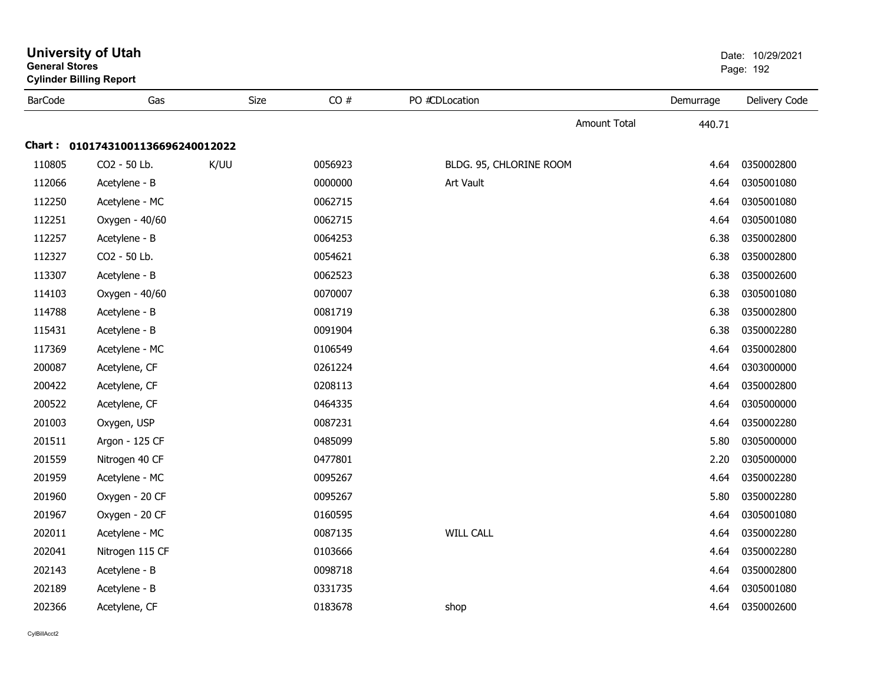| <b>University of Utah</b><br><b>General Stores</b><br><b>Cylinder Billing Report</b> |                                   | Date: 10/29/2021<br>Page: 192 |         |                         |           |               |
|--------------------------------------------------------------------------------------|-----------------------------------|-------------------------------|---------|-------------------------|-----------|---------------|
| <b>BarCode</b>                                                                       | Gas                               | Size                          | CO#     | PO #CDLocation          | Demurrage | Delivery Code |
|                                                                                      |                                   |                               |         | <b>Amount Total</b>     | 440.71    |               |
|                                                                                      | Chart: 01017431001136696240012022 |                               |         |                         |           |               |
| 110805                                                                               | CO2 - 50 Lb.                      | K/UU                          | 0056923 | BLDG. 95, CHLORINE ROOM | 4.64      | 0350002800    |
| 112066                                                                               | Acetylene - B                     |                               | 0000000 | Art Vault               | 4.64      | 0305001080    |
| 112250                                                                               | Acetylene - MC                    |                               | 0062715 |                         | 4.64      | 0305001080    |
| 112251                                                                               | Oxygen - 40/60                    |                               | 0062715 |                         | 4.64      | 0305001080    |
| 112257                                                                               | Acetylene - B                     |                               | 0064253 |                         | 6.38      | 0350002800    |
| 112327                                                                               | CO2 - 50 Lb.                      |                               | 0054621 |                         | 6.38      | 0350002800    |
| 113307                                                                               | Acetylene - B                     |                               | 0062523 |                         | 6.38      | 0350002600    |
| 114103                                                                               | Oxygen - 40/60                    |                               | 0070007 |                         | 6.38      | 0305001080    |
| 114788                                                                               | Acetylene - B                     |                               | 0081719 |                         | 6.38      | 0350002800    |
| 115431                                                                               | Acetylene - B                     |                               | 0091904 |                         | 6.38      | 0350002280    |
| 117369                                                                               | Acetylene - MC                    |                               | 0106549 |                         | 4.64      | 0350002800    |
| 200087                                                                               | Acetylene, CF                     |                               | 0261224 |                         | 4.64      | 0303000000    |
| 200422                                                                               | Acetylene, CF                     |                               | 0208113 |                         | 4.64      | 0350002800    |
| 200522                                                                               | Acetylene, CF                     |                               | 0464335 |                         | 4.64      | 0305000000    |
| 201003                                                                               | Oxygen, USP                       |                               | 0087231 |                         | 4.64      | 0350002280    |
| 201511                                                                               | Argon - 125 CF                    |                               | 0485099 |                         | 5.80      | 0305000000    |
| 201559                                                                               | Nitrogen 40 CF                    |                               | 0477801 |                         | 2.20      | 0305000000    |
| 201959                                                                               | Acetylene - MC                    |                               | 0095267 |                         | 4.64      | 0350002280    |
| 201960                                                                               | Oxygen - 20 CF                    |                               | 0095267 |                         | 5.80      | 0350002280    |
| 201967                                                                               | Oxygen - 20 CF                    |                               | 0160595 |                         | 4.64      | 0305001080    |
| 202011                                                                               | Acetylene - MC                    |                               | 0087135 | <b>WILL CALL</b>        | 4.64      | 0350002280    |
| 202041                                                                               | Nitrogen 115 CF                   |                               | 0103666 |                         | 4.64      | 0350002280    |
| 202143                                                                               | Acetylene - B                     |                               | 0098718 |                         | 4.64      | 0350002800    |
| 202189                                                                               | Acetylene - B                     |                               | 0331735 |                         | 4.64      | 0305001080    |
| 202366                                                                               | Acetylene, CF                     |                               | 0183678 | shop                    | 4.64      | 0350002600    |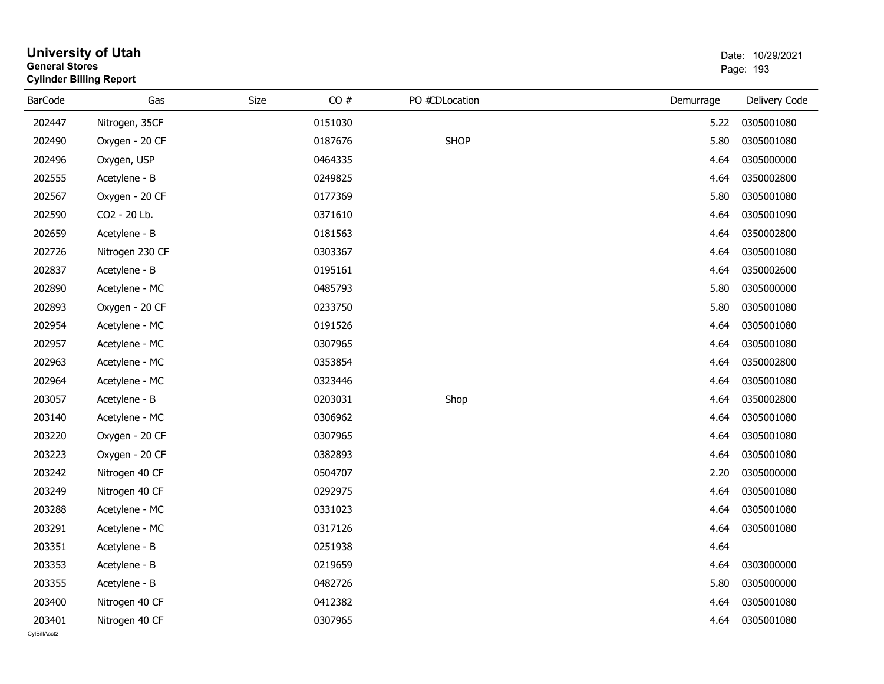| <b>General Stores</b> | <b>Cylinder Billing Report</b> |      |         | Page: 193      |           |               |
|-----------------------|--------------------------------|------|---------|----------------|-----------|---------------|
| <b>BarCode</b>        | Gas                            | Size | CO#     | PO #CDLocation | Demurrage | Delivery Code |
| 202447                | Nitrogen, 35CF                 |      | 0151030 |                | 5.22      | 0305001080    |
| 202490                | Oxygen - 20 CF                 |      | 0187676 | <b>SHOP</b>    | 5.80      | 0305001080    |
| 202496                | Oxygen, USP                    |      | 0464335 |                | 4.64      | 0305000000    |
| 202555                | Acetylene - B                  |      | 0249825 |                | 4.64      | 0350002800    |
| 202567                | Oxygen - 20 CF                 |      | 0177369 |                | 5.80      | 0305001080    |
| 202590                | CO2 - 20 Lb.                   |      | 0371610 |                | 4.64      | 0305001090    |
| 202659                | Acetylene - B                  |      | 0181563 |                | 4.64      | 0350002800    |
| 202726                | Nitrogen 230 CF                |      | 0303367 |                | 4.64      | 0305001080    |
| 202837                | Acetylene - B                  |      | 0195161 |                | 4.64      | 0350002600    |
| 202890                | Acetylene - MC                 |      | 0485793 |                | 5.80      | 0305000000    |
| 202893                | Oxygen - 20 CF                 |      | 0233750 |                | 5.80      | 0305001080    |
| 202954                | Acetylene - MC                 |      | 0191526 |                | 4.64      | 0305001080    |
| 202957                | Acetylene - MC                 |      | 0307965 |                | 4.64      | 0305001080    |
| 202963                | Acetylene - MC                 |      | 0353854 |                | 4.64      | 0350002800    |
| 202964                | Acetylene - MC                 |      | 0323446 |                | 4.64      | 0305001080    |
| 203057                | Acetylene - B                  |      | 0203031 | Shop           | 4.64      | 0350002800    |
| 203140                | Acetylene - MC                 |      | 0306962 |                | 4.64      | 0305001080    |
| 203220                | Oxygen - 20 CF                 |      | 0307965 |                | 4.64      | 0305001080    |
| 203223                | Oxygen - 20 CF                 |      | 0382893 |                | 4.64      | 0305001080    |
| 203242                | Nitrogen 40 CF                 |      | 0504707 |                | 2.20      | 0305000000    |
| 203249                | Nitrogen 40 CF                 |      | 0292975 |                | 4.64      | 0305001080    |
| 203288                | Acetylene - MC                 |      | 0331023 |                | 4.64      | 0305001080    |
| 203291                | Acetylene - MC                 |      | 0317126 |                | 4.64      | 0305001080    |
| 203351                | Acetylene - B                  |      | 0251938 |                | 4.64      |               |
| 203353                | Acetylene - B                  |      | 0219659 |                | 4.64      | 0303000000    |
| 203355                | Acetylene - B                  |      | 0482726 |                | 5.80      | 0305000000    |
| 203400                | Nitrogen 40 CF                 |      | 0412382 |                | 4.64      | 0305001080    |
| 203401                | Nitrogen 40 CF                 |      | 0307965 |                | 4.64      | 0305001080    |

**University of Utah**  Date: 10/29/2021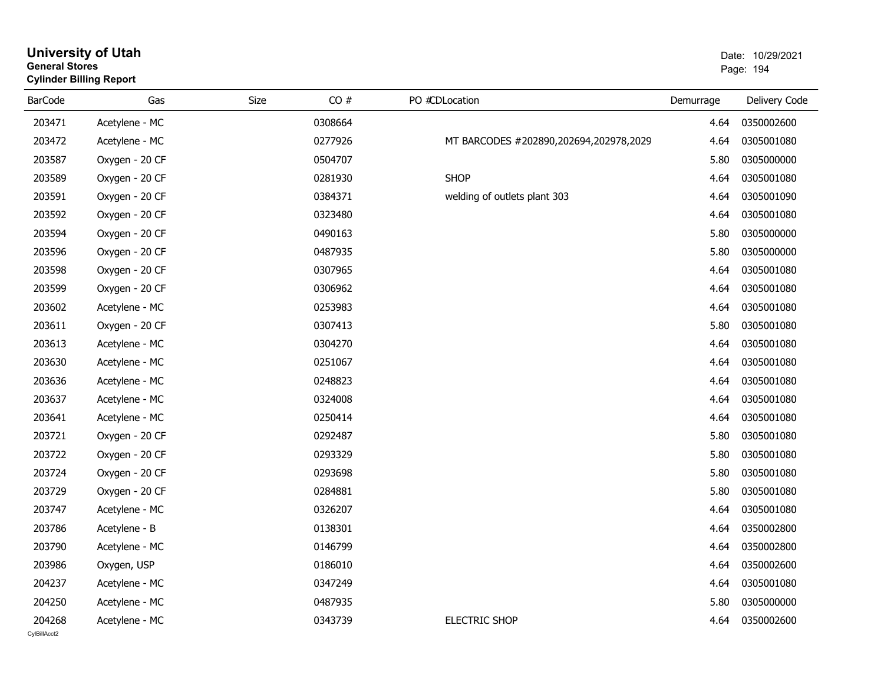## **University of Utah** Date: 10/29/2021 **General Stores**er de la provincia de la provincia de la provincia de la provincia de la provincia de la provincia de la provi **Cylinder Billing Report**

| <b>BarCode</b>         | Gas            | Size    | CO# | PO #CDLocation                         | Demurrage | Delivery Code |
|------------------------|----------------|---------|-----|----------------------------------------|-----------|---------------|
| 203471                 | Acetylene - MC | 0308664 |     |                                        | 4.64      | 0350002600    |
| 203472                 | Acetylene - MC | 0277926 |     | MT BARCODES #202890,202694,202978,2029 | 4.64      | 0305001080    |
| 203587                 | Oxygen - 20 CF | 0504707 |     |                                        | 5.80      | 0305000000    |
| 203589                 | Oxygen - 20 CF | 0281930 |     | <b>SHOP</b>                            | 4.64      | 0305001080    |
| 203591                 | Oxygen - 20 CF | 0384371 |     | welding of outlets plant 303           | 4.64      | 0305001090    |
| 203592                 | Oxygen - 20 CF | 0323480 |     |                                        | 4.64      | 0305001080    |
| 203594                 | Oxygen - 20 CF | 0490163 |     |                                        | 5.80      | 0305000000    |
| 203596                 | Oxygen - 20 CF | 0487935 |     |                                        | 5.80      | 0305000000    |
| 203598                 | Oxygen - 20 CF | 0307965 |     |                                        | 4.64      | 0305001080    |
| 203599                 | Oxygen - 20 CF | 0306962 |     |                                        | 4.64      | 0305001080    |
| 203602                 | Acetylene - MC | 0253983 |     |                                        | 4.64      | 0305001080    |
| 203611                 | Oxygen - 20 CF | 0307413 |     |                                        | 5.80      | 0305001080    |
| 203613                 | Acetylene - MC | 0304270 |     |                                        | 4.64      | 0305001080    |
| 203630                 | Acetylene - MC | 0251067 |     |                                        | 4.64      | 0305001080    |
| 203636                 | Acetylene - MC | 0248823 |     |                                        | 4.64      | 0305001080    |
| 203637                 | Acetylene - MC | 0324008 |     |                                        | 4.64      | 0305001080    |
| 203641                 | Acetylene - MC | 0250414 |     |                                        | 4.64      | 0305001080    |
| 203721                 | Oxygen - 20 CF | 0292487 |     |                                        | 5.80      | 0305001080    |
| 203722                 | Oxygen - 20 CF | 0293329 |     |                                        | 5.80      | 0305001080    |
| 203724                 | Oxygen - 20 CF | 0293698 |     |                                        | 5.80      | 0305001080    |
| 203729                 | Oxygen - 20 CF | 0284881 |     |                                        | 5.80      | 0305001080    |
| 203747                 | Acetylene - MC | 0326207 |     |                                        | 4.64      | 0305001080    |
| 203786                 | Acetylene - B  | 0138301 |     |                                        | 4.64      | 0350002800    |
| 203790                 | Acetylene - MC | 0146799 |     |                                        | 4.64      | 0350002800    |
| 203986                 | Oxygen, USP    | 0186010 |     |                                        | 4.64      | 0350002600    |
| 204237                 | Acetylene - MC | 0347249 |     |                                        | 4.64      | 0305001080    |
| 204250                 | Acetylene - MC | 0487935 |     |                                        | 5.80      | 0305000000    |
| 204268<br>CvIBillAcct2 | Acetylene - MC | 0343739 |     | <b>ELECTRIC SHOP</b>                   | 4.64      | 0350002600    |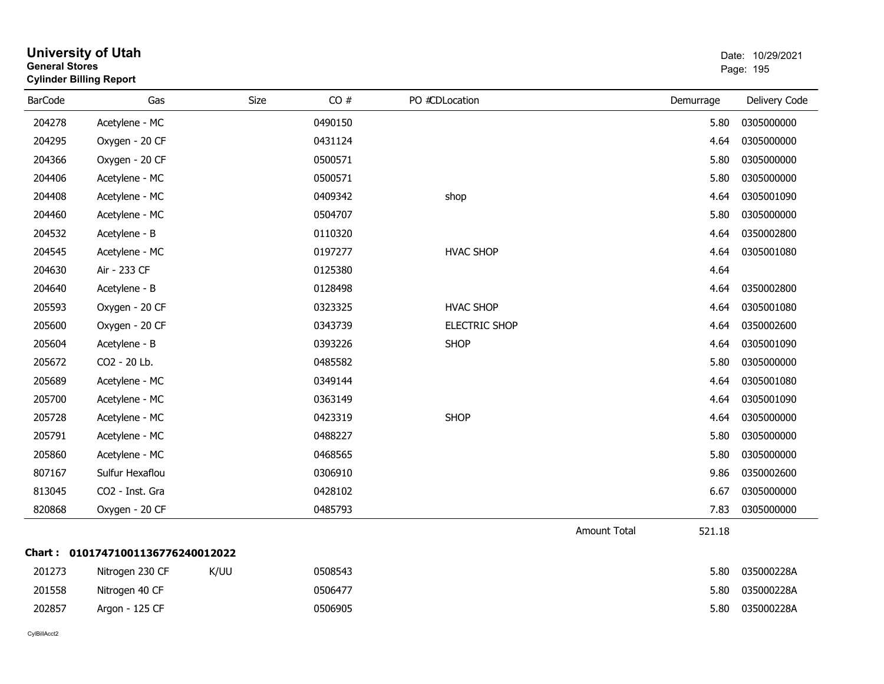| General Stores | <b>Cylinder Billing Report</b>    |      |         |                      |                     |           | Page: 195     |
|----------------|-----------------------------------|------|---------|----------------------|---------------------|-----------|---------------|
| <b>BarCode</b> | Gas                               | Size | CO#     | PO #CDLocation       |                     | Demurrage | Delivery Code |
| 204278         | Acetylene - MC                    |      | 0490150 |                      |                     | 5.80      | 0305000000    |
| 204295         | Oxygen - 20 CF                    |      | 0431124 |                      |                     | 4.64      | 0305000000    |
| 204366         | Oxygen - 20 CF                    |      | 0500571 |                      |                     | 5.80      | 0305000000    |
| 204406         | Acetylene - MC                    |      | 0500571 |                      |                     | 5.80      | 0305000000    |
| 204408         | Acetylene - MC                    |      | 0409342 | shop                 |                     | 4.64      | 0305001090    |
| 204460         | Acetylene - MC                    |      | 0504707 |                      |                     | 5.80      | 0305000000    |
| 204532         | Acetylene - B                     |      | 0110320 |                      |                     | 4.64      | 0350002800    |
| 204545         | Acetylene - MC                    |      | 0197277 | <b>HVAC SHOP</b>     |                     | 4.64      | 0305001080    |
| 204630         | Air - 233 CF                      |      | 0125380 |                      |                     | 4.64      |               |
| 204640         | Acetylene - B                     |      | 0128498 |                      |                     | 4.64      | 0350002800    |
| 205593         | Oxygen - 20 CF                    |      | 0323325 | <b>HVAC SHOP</b>     |                     | 4.64      | 0305001080    |
| 205600         | Oxygen - 20 CF                    |      | 0343739 | <b>ELECTRIC SHOP</b> |                     | 4.64      | 0350002600    |
| 205604         | Acetylene - B                     |      | 0393226 | <b>SHOP</b>          |                     | 4.64      | 0305001090    |
| 205672         | CO2 - 20 Lb.                      |      | 0485582 |                      |                     | 5.80      | 0305000000    |
| 205689         | Acetylene - MC                    |      | 0349144 |                      |                     | 4.64      | 0305001080    |
| 205700         | Acetylene - MC                    |      | 0363149 |                      |                     | 4.64      | 0305001090    |
| 205728         | Acetylene - MC                    |      | 0423319 | <b>SHOP</b>          |                     | 4.64      | 0305000000    |
| 205791         | Acetylene - MC                    |      | 0488227 |                      |                     | 5.80      | 0305000000    |
| 205860         | Acetylene - MC                    |      | 0468565 |                      |                     | 5.80      | 0305000000    |
| 807167         | Sulfur Hexaflou                   |      | 0306910 |                      |                     | 9.86      | 0350002600    |
| 813045         | CO2 - Inst. Gra                   |      | 0428102 |                      |                     | 6.67      | 0305000000    |
| 820868         | Oxygen - 20 CF                    |      | 0485793 |                      |                     | 7.83      | 0305000000    |
|                |                                   |      |         |                      | <b>Amount Total</b> | 521.18    |               |
|                | Chart: 01017471001136776240012022 |      |         |                      |                     |           |               |
| 201273         | Nitrogen 230 CF                   | K/UU | 0508543 |                      |                     | 5.80      | 035000228A    |
| 201558         | Nitrogen 40 CF                    |      | 0506477 |                      |                     | 5.80      | 035000228A    |
| 202857         | Argon - 125 CF                    |      | 0506905 |                      |                     | 5.80      | 035000228A    |

# **University of Utah** Date: 10/29/2021 **General Stores**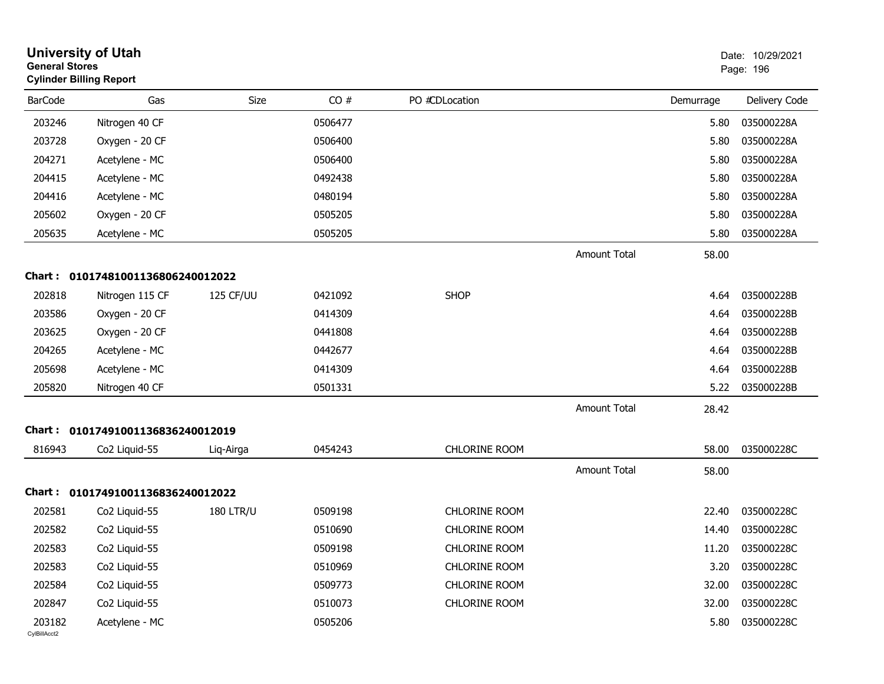| <b>General Stores</b>  | <b>University of Utah</b><br><b>Cylinder Billing Report</b> |                  |         |                      |                     |           | Date: 10/29/2021<br>Page: 196 |
|------------------------|-------------------------------------------------------------|------------------|---------|----------------------|---------------------|-----------|-------------------------------|
| <b>BarCode</b>         | Gas                                                         | <b>Size</b>      | CO#     | PO #CDLocation       |                     | Demurrage | Delivery Code                 |
| 203246                 | Nitrogen 40 CF                                              |                  | 0506477 |                      |                     | 5.80      | 035000228A                    |
| 203728                 | Oxygen - 20 CF                                              |                  | 0506400 |                      |                     | 5.80      | 035000228A                    |
| 204271                 | Acetylene - MC                                              |                  | 0506400 |                      |                     | 5.80      | 035000228A                    |
| 204415                 | Acetylene - MC                                              |                  | 0492438 |                      |                     | 5.80      | 035000228A                    |
| 204416                 | Acetylene - MC                                              |                  | 0480194 |                      |                     | 5.80      | 035000228A                    |
| 205602                 | Oxygen - 20 CF                                              |                  | 0505205 |                      |                     | 5.80      | 035000228A                    |
| 205635                 | Acetylene - MC                                              |                  | 0505205 |                      |                     | 5.80      | 035000228A                    |
|                        |                                                             |                  |         |                      | <b>Amount Total</b> | 58.00     |                               |
|                        | Chart: 01017481001136806240012022                           |                  |         |                      |                     |           |                               |
| 202818                 | Nitrogen 115 CF                                             | 125 CF/UU        | 0421092 | <b>SHOP</b>          |                     | 4.64      | 035000228B                    |
| 203586                 | Oxygen - 20 CF                                              |                  | 0414309 |                      |                     | 4.64      | 035000228B                    |
| 203625                 | Oxygen - 20 CF                                              |                  | 0441808 |                      |                     | 4.64      | 035000228B                    |
| 204265                 | Acetylene - MC                                              |                  | 0442677 |                      |                     | 4.64      | 035000228B                    |
| 205698                 | Acetylene - MC                                              |                  | 0414309 |                      |                     | 4.64      | 035000228B                    |
| 205820                 | Nitrogen 40 CF                                              |                  | 0501331 |                      |                     | 5.22      | 035000228B                    |
|                        |                                                             |                  |         |                      | <b>Amount Total</b> | 28.42     |                               |
| Chart :                | 01017491001136836240012019                                  |                  |         |                      |                     |           |                               |
| 816943                 | Co2 Liquid-55                                               | Liq-Airga        | 0454243 | <b>CHLORINE ROOM</b> |                     | 58.00     | 035000228C                    |
|                        |                                                             |                  |         |                      | <b>Amount Total</b> | 58.00     |                               |
|                        | Chart: 01017491001136836240012022                           |                  |         |                      |                     |           |                               |
| 202581                 | Co2 Liquid-55                                               | <b>180 LTR/U</b> | 0509198 | <b>CHLORINE ROOM</b> |                     | 22.40     | 035000228C                    |
| 202582                 | Co2 Liquid-55                                               |                  | 0510690 | <b>CHLORINE ROOM</b> |                     | 14.40     | 035000228C                    |
| 202583                 | Co2 Liquid-55                                               |                  | 0509198 | <b>CHLORINE ROOM</b> |                     | 11.20     | 035000228C                    |
| 202583                 | Co2 Liquid-55                                               |                  | 0510969 | CHLORINE ROOM        |                     | 3.20      | 035000228C                    |
| 202584                 | Co2 Liquid-55                                               |                  | 0509773 | CHLORINE ROOM        |                     | 32.00     | 035000228C                    |
| 202847                 | Co2 Liquid-55                                               |                  | 0510073 | CHLORINE ROOM        |                     | 32.00     | 035000228C                    |
| 203182<br>CvIBillAcct2 | Acetylene - MC                                              |                  | 0505206 |                      |                     | 5.80      | 035000228C                    |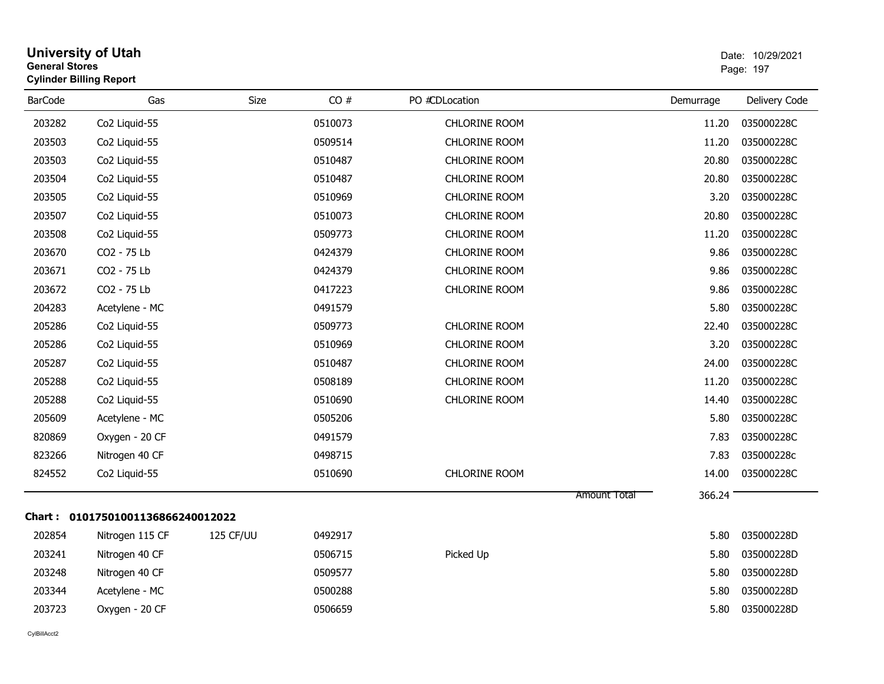| <b>General Stores</b> | <b>University of Utah</b><br><b>Cylinder Billing Report</b> |           |         |                      |              |           | Date: 10/29/2021<br>Page: 197 |
|-----------------------|-------------------------------------------------------------|-----------|---------|----------------------|--------------|-----------|-------------------------------|
| <b>BarCode</b>        | Gas                                                         | Size      | CO#     | PO #CDLocation       |              | Demurrage | Delivery Code                 |
| 203282                | Co2 Liquid-55                                               |           | 0510073 | <b>CHLORINE ROOM</b> |              | 11.20     | 035000228C                    |
| 203503                | Co2 Liquid-55                                               |           | 0509514 | <b>CHLORINE ROOM</b> |              | 11.20     | 035000228C                    |
| 203503                | Co2 Liquid-55                                               |           | 0510487 | <b>CHLORINE ROOM</b> |              | 20.80     | 035000228C                    |
| 203504                | Co <sub>2</sub> Liquid-55                                   |           | 0510487 | CHLORINE ROOM        |              | 20.80     | 035000228C                    |
| 203505                | Co <sub>2</sub> Liquid-55                                   |           | 0510969 | <b>CHLORINE ROOM</b> |              | 3.20      | 035000228C                    |
| 203507                | Co2 Liquid-55                                               |           | 0510073 | <b>CHLORINE ROOM</b> |              | 20.80     | 035000228C                    |
| 203508                | Co2 Liquid-55                                               |           | 0509773 | CHLORINE ROOM        |              | 11.20     | 035000228C                    |
| 203670                | CO2 - 75 Lb                                                 |           | 0424379 | <b>CHLORINE ROOM</b> |              | 9.86      | 035000228C                    |
| 203671                | CO2 - 75 Lb                                                 |           | 0424379 | <b>CHLORINE ROOM</b> |              | 9.86      | 035000228C                    |
| 203672                | CO2 - 75 Lb                                                 |           | 0417223 | <b>CHLORINE ROOM</b> |              | 9.86      | 035000228C                    |
| 204283                | Acetylene - MC                                              |           | 0491579 |                      |              | 5.80      | 035000228C                    |
| 205286                | Co <sub>2</sub> Liquid-55                                   |           | 0509773 | <b>CHLORINE ROOM</b> |              | 22.40     | 035000228C                    |
| 205286                | Co2 Liquid-55                                               |           | 0510969 | <b>CHLORINE ROOM</b> |              | 3.20      | 035000228C                    |
| 205287                | Co2 Liquid-55                                               |           | 0510487 | CHLORINE ROOM        |              | 24.00     | 035000228C                    |
| 205288                | Co2 Liquid-55                                               |           | 0508189 | <b>CHLORINE ROOM</b> |              | 11.20     | 035000228C                    |
| 205288                | Co2 Liquid-55                                               |           | 0510690 | <b>CHLORINE ROOM</b> |              | 14.40     | 035000228C                    |
| 205609                | Acetylene - MC                                              |           | 0505206 |                      |              | 5.80      | 035000228C                    |
| 820869                | Oxygen - 20 CF                                              |           | 0491579 |                      |              | 7.83      | 035000228C                    |
| 823266                | Nitrogen 40 CF                                              |           | 0498715 |                      |              | 7.83      | 035000228c                    |
| 824552                | Co2 Liquid-55                                               |           | 0510690 | CHLORINE ROOM        |              | 14.00     | 035000228C                    |
|                       |                                                             |           |         |                      | Amount Total | 366.24    |                               |
|                       | Chart: 01017501001136866240012022                           |           |         |                      |              |           |                               |
| 202854                | Nitrogen 115 CF                                             | 125 CF/UU | 0492917 |                      |              | 5.80      | 035000228D                    |
| 203241                | Nitrogen 40 CF                                              |           | 0506715 | Picked Up            |              | 5.80      | 035000228D                    |
| 203248                | Nitrogen 40 CF                                              |           | 0509577 |                      |              | 5.80      | 035000228D                    |
| 203344                | Acetylene - MC                                              |           | 0500288 |                      |              | 5.80      | 035000228D                    |
| 203723                | Oxygen - 20 CF                                              |           | 0506659 |                      |              | 5.80      | 035000228D                    |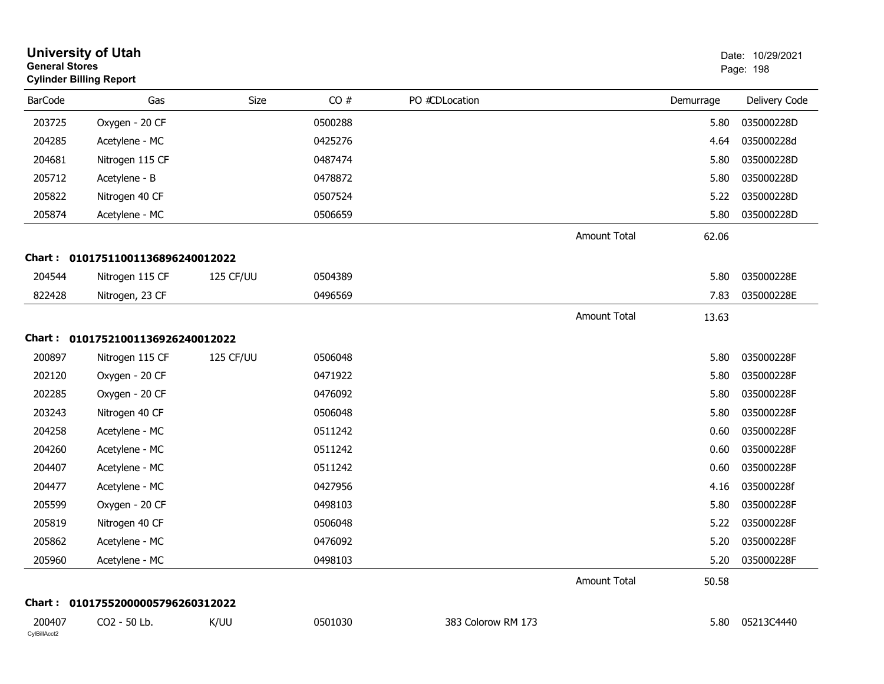| <b>General Stores</b>  | <b>University of Utah</b><br><b>Cylinder Billing Report</b> |                  |         |                    |                     |           | Date: 10/29/2021<br>Page: 198 |
|------------------------|-------------------------------------------------------------|------------------|---------|--------------------|---------------------|-----------|-------------------------------|
| <b>BarCode</b>         | Gas                                                         | Size             | CO#     | PO #CDLocation     |                     | Demurrage | Delivery Code                 |
| 203725                 | Oxygen - 20 CF                                              |                  | 0500288 |                    |                     | 5.80      | 035000228D                    |
| 204285                 | Acetylene - MC                                              |                  | 0425276 |                    |                     | 4.64      | 035000228d                    |
| 204681                 | Nitrogen 115 CF                                             |                  | 0487474 |                    |                     | 5.80      | 035000228D                    |
| 205712                 | Acetylene - B                                               |                  | 0478872 |                    |                     | 5.80      | 035000228D                    |
| 205822                 | Nitrogen 40 CF                                              |                  | 0507524 |                    |                     | 5.22      | 035000228D                    |
| 205874                 | Acetylene - MC                                              |                  | 0506659 |                    |                     | 5.80      | 035000228D                    |
|                        |                                                             |                  |         |                    | Amount Total        | 62.06     |                               |
| Chart :                | 01017511001136896240012022                                  |                  |         |                    |                     |           |                               |
| 204544                 | Nitrogen 115 CF                                             | <b>125 CF/UU</b> | 0504389 |                    |                     | 5.80      | 035000228E                    |
| 822428                 | Nitrogen, 23 CF                                             |                  | 0496569 |                    |                     | 7.83      | 035000228E                    |
|                        |                                                             |                  |         |                    | <b>Amount Total</b> | 13.63     |                               |
| Chart :                | 01017521001136926240012022                                  |                  |         |                    |                     |           |                               |
| 200897                 | Nitrogen 115 CF                                             | 125 CF/UU        | 0506048 |                    |                     | 5.80      | 035000228F                    |
| 202120                 | Oxygen - 20 CF                                              |                  | 0471922 |                    |                     | 5.80      | 035000228F                    |
| 202285                 | Oxygen - 20 CF                                              |                  | 0476092 |                    |                     | 5.80      | 035000228F                    |
| 203243                 | Nitrogen 40 CF                                              |                  | 0506048 |                    |                     | 5.80      | 035000228F                    |
| 204258                 | Acetylene - MC                                              |                  | 0511242 |                    |                     | 0.60      | 035000228F                    |
| 204260                 | Acetylene - MC                                              |                  | 0511242 |                    |                     | 0.60      | 035000228F                    |
| 204407                 | Acetylene - MC                                              |                  | 0511242 |                    |                     | 0.60      | 035000228F                    |
| 204477                 | Acetylene - MC                                              |                  | 0427956 |                    |                     | 4.16      | 035000228f                    |
| 205599                 | Oxygen - 20 CF                                              |                  | 0498103 |                    |                     | 5.80      | 035000228F                    |
| 205819                 | Nitrogen 40 CF                                              |                  | 0506048 |                    |                     | 5.22      | 035000228F                    |
| 205862                 | Acetylene - MC                                              |                  | 0476092 |                    |                     |           | 5.20 035000228F               |
| 205960                 | Acetylene - MC                                              |                  | 0498103 |                    |                     | 5.20      | 035000228F                    |
|                        |                                                             |                  |         |                    | <b>Amount Total</b> | 50.58     |                               |
|                        | Chart: 01017552000005796260312022                           |                  |         |                    |                     |           |                               |
| 200407<br>CylBillAcct2 | CO2 - 50 Lb.                                                | K/UU             | 0501030 | 383 Colorow RM 173 |                     | 5.80      | 05213C4440                    |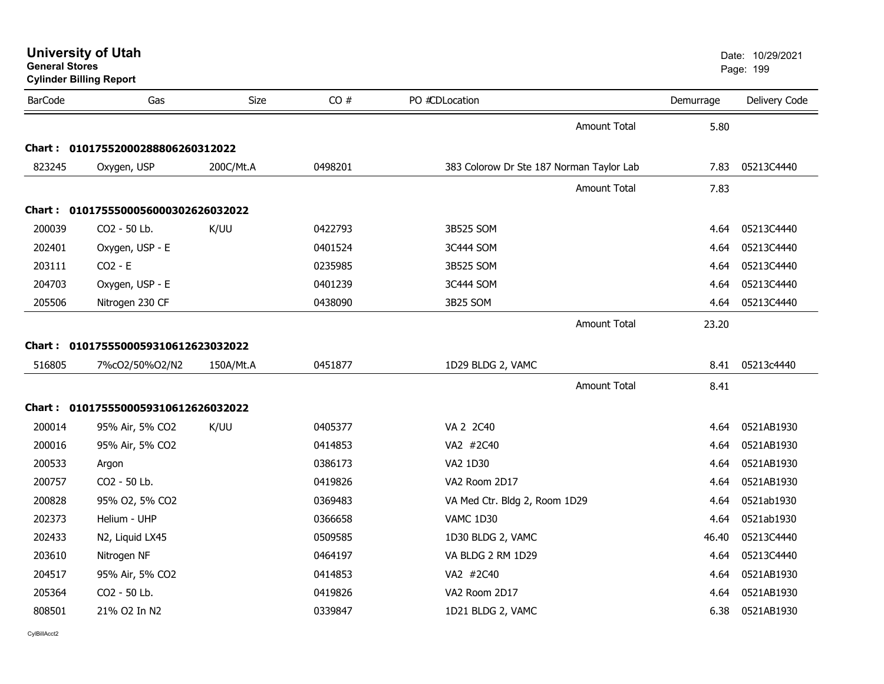| <b>General Stores</b> | <b>Cylinder Billing Report</b>      |           |         |                                          |           | Page: 199     |
|-----------------------|-------------------------------------|-----------|---------|------------------------------------------|-----------|---------------|
| <b>BarCode</b>        | Gas                                 | Size      | CO#     | PO #CDLocation                           | Demurrage | Delivery Code |
|                       |                                     |           |         | <b>Amount Total</b>                      | 5.80      |               |
|                       | Chart: 01017552000288806260312022   |           |         |                                          |           |               |
| 823245                | Oxygen, USP                         | 200C/Mt.A | 0498201 | 383 Colorow Dr Ste 187 Norman Taylor Lab | 7.83      | 05213C4440    |
|                       |                                     |           |         | <b>Amount Total</b>                      | 7.83      |               |
|                       | Chart: 0101755500056000302626032022 |           |         |                                          |           |               |
| 200039                | CO2 - 50 Lb.                        | K/UU      | 0422793 | 3B525 SOM                                | 4.64      | 05213C4440    |
| 202401                | Oxygen, USP - E                     |           | 0401524 | 3C444 SOM                                | 4.64      | 05213C4440    |
| 203111                | $CO2 - E$                           |           | 0235985 | 3B525 SOM                                | 4.64      | 05213C4440    |
| 204703                | Oxygen, USP - E                     |           | 0401239 | 3C444 SOM                                | 4.64      | 05213C4440    |
| 205506                | Nitrogen 230 CF                     |           | 0438090 | 3B25 SOM                                 | 4.64      | 05213C4440    |
|                       |                                     |           |         | <b>Amount Total</b>                      | 23.20     |               |
|                       | Chart: 0101755500059310612623032022 |           |         |                                          |           |               |
| 516805                | 7%cO2/50%O2/N2                      | 150A/Mt.A | 0451877 | 1D29 BLDG 2, VAMC                        | 8.41      | 05213c4440    |
|                       |                                     |           |         | <b>Amount Total</b>                      | 8.41      |               |
|                       | Chart: 0101755500059310612626032022 |           |         |                                          |           |               |
| 200014                | 95% Air, 5% CO2                     | K/UU      | 0405377 | VA 2 2C40                                | 4.64      | 0521AB1930    |
| 200016                | 95% Air, 5% CO2                     |           | 0414853 | VA2 #2C40                                | 4.64      | 0521AB1930    |
| 200533                | Argon                               |           | 0386173 | VA2 1D30                                 | 4.64      | 0521AB1930    |
| 200757                | CO2 - 50 Lb.                        |           | 0419826 | VA2 Room 2D17                            | 4.64      | 0521AB1930    |
| 200828                | 95% O2, 5% CO2                      |           | 0369483 | VA Med Ctr. Bldg 2, Room 1D29            | 4.64      | 0521ab1930    |
| 202373                | Helium - UHP                        |           | 0366658 | <b>VAMC 1D30</b>                         | 4.64      | 0521ab1930    |
| 202433                | N2, Liquid LX45                     |           | 0509585 | 1D30 BLDG 2, VAMC                        | 46.40     | 05213C4440    |
| 203610                | Nitrogen NF                         |           | 0464197 | VA BLDG 2 RM 1D29                        | 4.64      | 05213C4440    |
| 204517                | 95% Air, 5% CO2                     |           | 0414853 | VA2 #2C40                                | 4.64      | 0521AB1930    |
| 205364                | CO2 - 50 Lb.                        |           | 0419826 | VA2 Room 2D17                            | 4.64      | 0521AB1930    |
| 808501                | 21% O2 In N2                        |           | 0339847 | 1D21 BLDG 2, VAMC                        | 6.38      | 0521AB1930    |
|                       |                                     |           |         |                                          |           |               |

**University of Utah** Date: 10/29/2021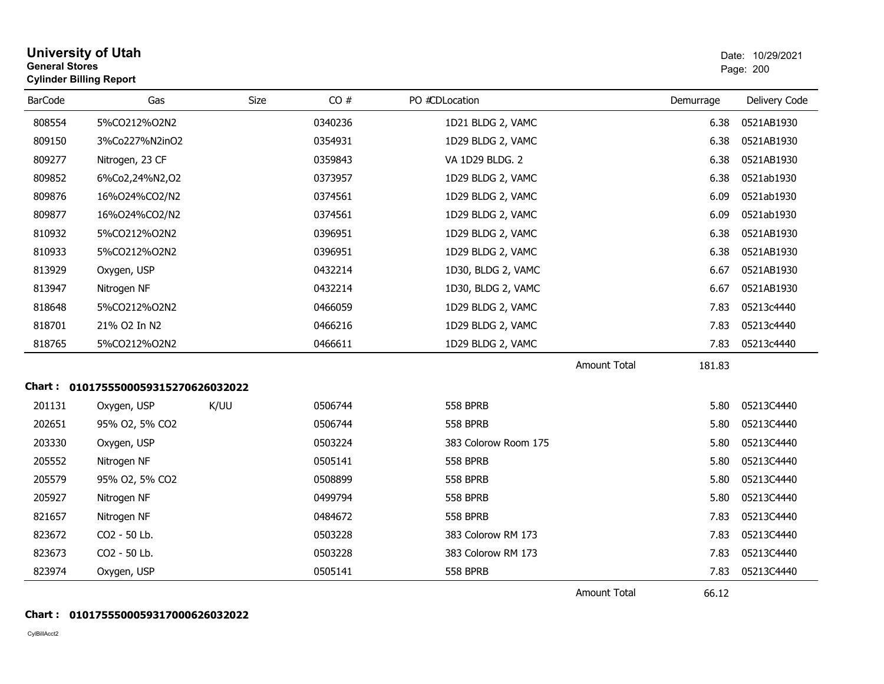| <b>General Stores</b> | <b>University of Utah</b><br><b>Cylinder Billing Report</b> |             |         |                      |                     |           | Date: 10/29/2021<br>Page: 200 |
|-----------------------|-------------------------------------------------------------|-------------|---------|----------------------|---------------------|-----------|-------------------------------|
| <b>BarCode</b>        | Gas                                                         | <b>Size</b> | CO#     | PO #CDLocation       |                     | Demurrage | Delivery Code                 |
| 808554                | 5%CO212%O2N2                                                |             | 0340236 | 1D21 BLDG 2, VAMC    |                     | 6.38      | 0521AB1930                    |
| 809150                | 3%Co227%N2inO2                                              |             | 0354931 | 1D29 BLDG 2, VAMC    |                     | 6.38      | 0521AB1930                    |
| 809277                | Nitrogen, 23 CF                                             |             | 0359843 | VA 1D29 BLDG. 2      |                     | 6.38      | 0521AB1930                    |
| 809852                | 6%Co2,24%N2,O2                                              |             | 0373957 | 1D29 BLDG 2, VAMC    |                     | 6.38      | 0521ab1930                    |
| 809876                | 16%O24%CO2/N2                                               |             | 0374561 | 1D29 BLDG 2, VAMC    |                     | 6.09      | 0521ab1930                    |
| 809877                | 16%024%CO2/N2                                               |             | 0374561 | 1D29 BLDG 2, VAMC    |                     | 6.09      | 0521ab1930                    |
| 810932                | 5%CO212%O2N2                                                |             | 0396951 | 1D29 BLDG 2, VAMC    |                     | 6.38      | 0521AB1930                    |
| 810933                | 5%CO212%O2N2                                                |             | 0396951 | 1D29 BLDG 2, VAMC    |                     | 6.38      | 0521AB1930                    |
| 813929                | Oxygen, USP                                                 |             | 0432214 | 1D30, BLDG 2, VAMC   |                     | 6.67      | 0521AB1930                    |
| 813947                | Nitrogen NF                                                 |             | 0432214 | 1D30, BLDG 2, VAMC   |                     | 6.67      | 0521AB1930                    |
| 818648                | 5%CO212%O2N2                                                |             | 0466059 | 1D29 BLDG 2, VAMC    |                     | 7.83      | 05213c4440                    |
| 818701                | 21% O2 In N2                                                |             | 0466216 | 1D29 BLDG 2, VAMC    |                     | 7.83      | 05213c4440                    |
| 818765                | 5%CO212%O2N2                                                |             | 0466611 | 1D29 BLDG 2, VAMC    |                     | 7.83      | 05213c4440                    |
|                       |                                                             |             |         |                      | <b>Amount Total</b> | 181.83    |                               |
|                       | Chart: 0101755500059315270626032022                         |             |         |                      |                     |           |                               |
| 201131                | Oxygen, USP                                                 | K/UU        | 0506744 | <b>558 BPRB</b>      |                     | 5.80      | 05213C4440                    |
| 202651                | 95% O2, 5% CO2                                              |             | 0506744 | <b>558 BPRB</b>      |                     | 5.80      | 05213C4440                    |
| 203330                | Oxygen, USP                                                 |             | 0503224 | 383 Colorow Room 175 |                     | 5.80      | 05213C4440                    |
| 205552                | Nitrogen NF                                                 |             | 0505141 | <b>558 BPRB</b>      |                     | 5.80      | 05213C4440                    |
| 205579                | 95% O2, 5% CO2                                              |             | 0508899 | <b>558 BPRB</b>      |                     | 5.80      | 05213C4440                    |
| 205927                | Nitrogen NF                                                 |             | 0499794 | <b>558 BPRB</b>      |                     | 5.80      | 05213C4440                    |
| 821657                | Nitrogen NF                                                 |             | 0484672 | <b>558 BPRB</b>      |                     | 7.83      | 05213C4440                    |
| 823672                | CO2 - 50 Lb.                                                |             | 0503228 | 383 Colorow RM 173   |                     | 7.83      | 05213C4440                    |
| 823673                | CO2 - 50 Lb.                                                |             | 0503228 | 383 Colorow RM 173   |                     | 7.83      | 05213C4440                    |
| 823974                | Oxygen, USP                                                 |             | 0505141 | <b>558 BPRB</b>      |                     | 7.83      | 05213C4440                    |
|                       |                                                             |             |         |                      | <b>Amount Total</b> | 66.12     |                               |

## **Chart : 0101755500059317000626032022**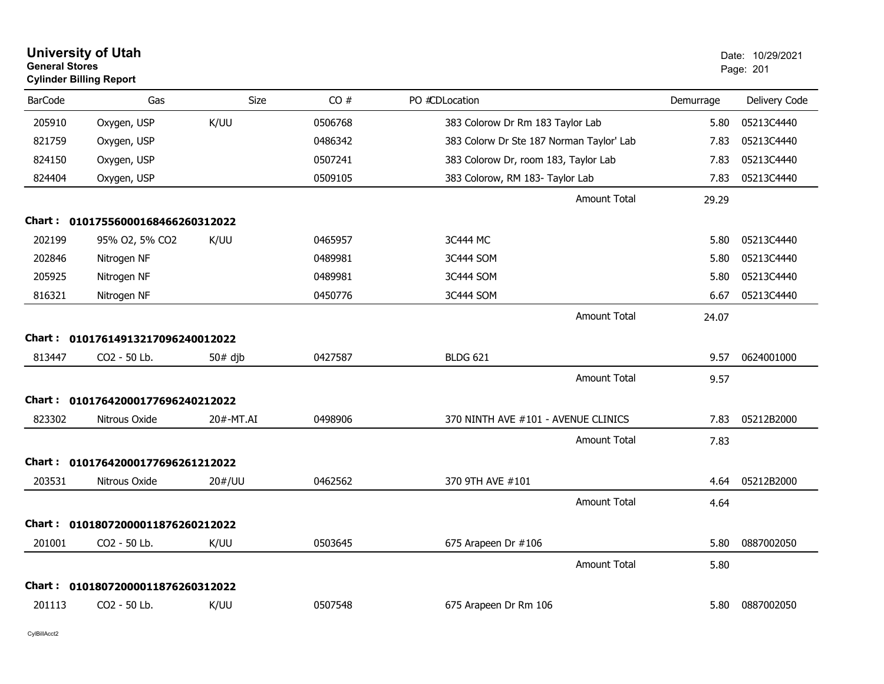| <b>General Stores</b> | <b>University of Utah</b><br><b>Cylinder Billing Report</b> |           |         |                                          |           | Date: 10/29/2021<br>Page: 201 |
|-----------------------|-------------------------------------------------------------|-----------|---------|------------------------------------------|-----------|-------------------------------|
| <b>BarCode</b>        | Gas                                                         | Size      | CO#     | PO #CDLocation                           | Demurrage | Delivery Code                 |
| 205910                | Oxygen, USP                                                 | K/UU      | 0506768 | 383 Colorow Dr Rm 183 Taylor Lab         | 5.80      | 05213C4440                    |
| 821759                | Oxygen, USP                                                 |           | 0486342 | 383 Colorw Dr Ste 187 Norman Taylor' Lab | 7.83      | 05213C4440                    |
| 824150                | Oxygen, USP                                                 |           | 0507241 | 383 Colorow Dr, room 183, Taylor Lab     | 7.83      | 05213C4440                    |
| 824404                | Oxygen, USP                                                 |           | 0509105 | 383 Colorow, RM 183- Taylor Lab          | 7.83      | 05213C4440                    |
|                       |                                                             |           |         | <b>Amount Total</b>                      | 29.29     |                               |
|                       | Chart: 01017556000168466260312022                           |           |         |                                          |           |                               |
| 202199                | 95% O2, 5% CO2                                              | K/UU      | 0465957 | 3C444 MC                                 | 5.80      | 05213C4440                    |
| 202846                | Nitrogen NF                                                 |           | 0489981 | 3C444 SOM                                | 5.80      | 05213C4440                    |
| 205925                | Nitrogen NF                                                 |           | 0489981 | 3C444 SOM                                | 5.80      | 05213C4440                    |
| 816321                | Nitrogen NF                                                 |           | 0450776 | 3C444 SOM                                | 6.67      | 05213C4440                    |
|                       |                                                             |           |         | <b>Amount Total</b>                      | 24.07     |                               |
|                       | Chart: 01017614913217096240012022                           |           |         |                                          |           |                               |
| 813447                | CO2 - 50 Lb.                                                | $50#$ djb | 0427587 | <b>BLDG 621</b>                          | 9.57      | 0624001000                    |
|                       |                                                             |           |         | <b>Amount Total</b>                      | 9.57      |                               |
|                       | Chart: 01017642000177696240212022                           |           |         |                                          |           |                               |
| 823302                | Nitrous Oxide                                               | 20#-MT.AI | 0498906 | 370 NINTH AVE #101 - AVENUE CLINICS      | 7.83      | 05212B2000                    |
|                       |                                                             |           |         | <b>Amount Total</b>                      | 7.83      |                               |
|                       | Chart: 01017642000177696261212022                           |           |         |                                          |           |                               |
| 203531                | Nitrous Oxide                                               | 20#/UU    | 0462562 | 370 9TH AVE #101                         | 4.64      | 05212B2000                    |
|                       |                                                             |           |         | <b>Amount Total</b>                      | 4.64      |                               |
|                       | Chart: 01018072000011876260212022                           |           |         |                                          |           |                               |
| 201001                | CO2 - 50 Lb.                                                | K/UU      | 0503645 | 675 Arapeen Dr #106                      | 5.80      | 0887002050                    |
|                       |                                                             |           |         | Amount Total                             | 5.80      |                               |
|                       | Chart: 01018072000011876260312022                           |           |         |                                          |           |                               |
| 201113                | CO <sub>2</sub> - 50 Lb.                                    | K/UU      | 0507548 | 675 Arapeen Dr Rm 106                    | 5.80      | 0887002050                    |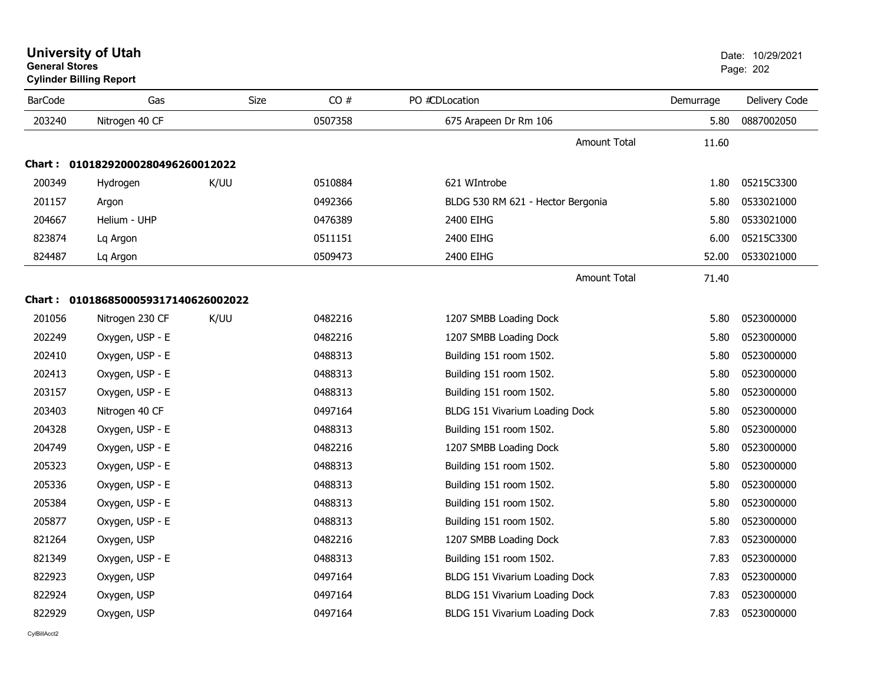| <b>University of Utah</b>      | Date: 10/2 |
|--------------------------------|------------|
| <b>General Stores</b>          | Page: 202  |
| <b>Cylinder Billing Report</b> |            |

| <b>BarCode</b> | Gas                                 | Size | CO#     | PO #CDLocation                    | Demurrage | Delivery Code |
|----------------|-------------------------------------|------|---------|-----------------------------------|-----------|---------------|
| 203240         | Nitrogen 40 CF                      |      | 0507358 | 675 Arapeen Dr Rm 106             | 5.80      | 0887002050    |
|                |                                     |      |         | <b>Amount Total</b>               | 11.60     |               |
| Chart :        | 01018292000280496260012022          |      |         |                                   |           |               |
| 200349         | Hydrogen                            | K/UU | 0510884 | 621 WIntrobe                      | 1.80      | 05215C3300    |
| 201157         | Argon                               |      | 0492366 | BLDG 530 RM 621 - Hector Bergonia | 5.80      | 0533021000    |
| 204667         | Helium - UHP                        |      | 0476389 | 2400 EIHG                         | 5.80      | 0533021000    |
| 823874         | Lq Argon                            |      | 0511151 | 2400 EIHG                         | 6.00      | 05215C3300    |
| 824487         | Lq Argon                            |      | 0509473 | 2400 EIHG                         | 52.00     | 0533021000    |
|                |                                     |      |         | Amount Total                      | 71.40     |               |
|                | Chart: 0101868500059317140626002022 |      |         |                                   |           |               |
| 201056         | Nitrogen 230 CF                     | K/UU | 0482216 | 1207 SMBB Loading Dock            | 5.80      | 0523000000    |
| 202249         | Oxygen, USP - E                     |      | 0482216 | 1207 SMBB Loading Dock            | 5.80      | 0523000000    |
| 202410         | Oxygen, USP - E                     |      | 0488313 | Building 151 room 1502.           | 5.80      | 0523000000    |
| 202413         | Oxygen, USP - E                     |      | 0488313 | Building 151 room 1502.           | 5.80      | 0523000000    |
| 203157         | Oxygen, USP - E                     |      | 0488313 | Building 151 room 1502.           | 5.80      | 0523000000    |
| 203403         | Nitrogen 40 CF                      |      | 0497164 | BLDG 151 Vivarium Loading Dock    | 5.80      | 0523000000    |
| 204328         | Oxygen, USP - E                     |      | 0488313 | Building 151 room 1502.           | 5.80      | 0523000000    |
| 204749         | Oxygen, USP - E                     |      | 0482216 | 1207 SMBB Loading Dock            | 5.80      | 0523000000    |
| 205323         | Oxygen, USP - E                     |      | 0488313 | Building 151 room 1502.           | 5.80      | 0523000000    |
| 205336         | Oxygen, USP - E                     |      | 0488313 | Building 151 room 1502.           | 5.80      | 0523000000    |
| 205384         | Oxygen, USP - E                     |      | 0488313 | Building 151 room 1502.           | 5.80      | 0523000000    |
| 205877         | Oxygen, USP - E                     |      | 0488313 | Building 151 room 1502.           | 5.80      | 0523000000    |
| 821264         | Oxygen, USP                         |      | 0482216 | 1207 SMBB Loading Dock            | 7.83      | 0523000000    |
| 821349         | Oxygen, USP - E                     |      | 0488313 | Building 151 room 1502.           | 7.83      | 0523000000    |
| 822923         | Oxygen, USP                         |      | 0497164 | BLDG 151 Vivarium Loading Dock    | 7.83      | 0523000000    |
| 822924         | Oxygen, USP                         |      | 0497164 | BLDG 151 Vivarium Loading Dock    | 7.83      | 0523000000    |
| 822929         | Oxygen, USP                         |      | 0497164 | BLDG 151 Vivarium Loading Dock    | 7.83      | 0523000000    |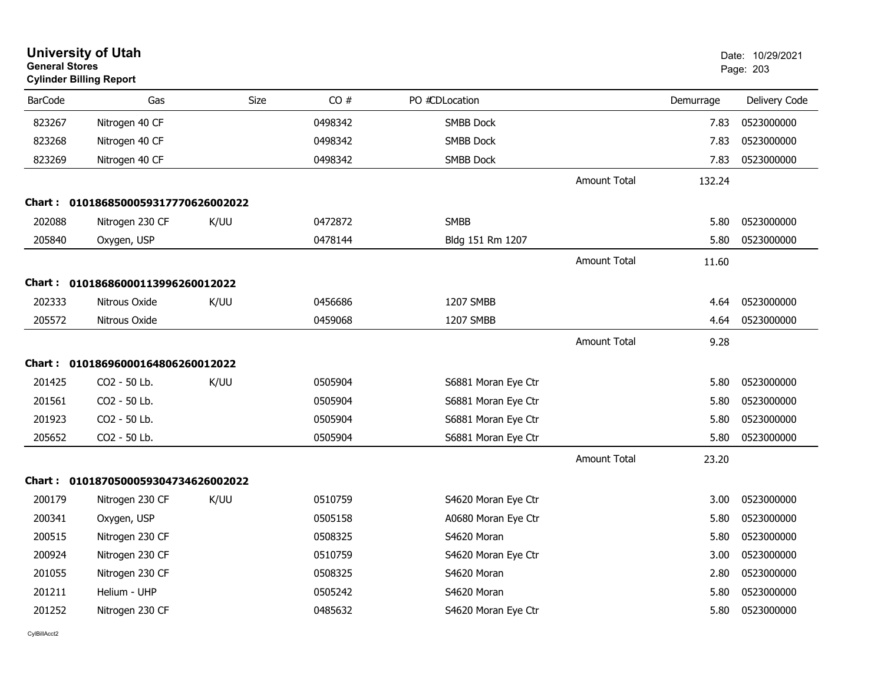| <b>General Stores</b> | <b>University of Utah</b><br><b>Cylinder Billing Report</b> |             |         |                     |                     |           | Date: 10/29/2021<br>Page: 203 |  |
|-----------------------|-------------------------------------------------------------|-------------|---------|---------------------|---------------------|-----------|-------------------------------|--|
| <b>BarCode</b>        | Gas                                                         | <b>Size</b> | CO#     | PO #CDLocation      |                     | Demurrage | Delivery Code                 |  |
| 823267                | Nitrogen 40 CF                                              |             | 0498342 | <b>SMBB Dock</b>    |                     | 7.83      | 0523000000                    |  |
| 823268                | Nitrogen 40 CF                                              |             | 0498342 | <b>SMBB Dock</b>    |                     | 7.83      | 0523000000                    |  |
| 823269                | Nitrogen 40 CF                                              |             | 0498342 | <b>SMBB Dock</b>    |                     | 7.83      | 0523000000                    |  |
|                       |                                                             |             |         |                     | <b>Amount Total</b> | 132.24    |                               |  |
|                       | Chart: 0101868500059317770626002022                         |             |         |                     |                     |           |                               |  |
| 202088                | Nitrogen 230 CF                                             | K/UU        | 0472872 | <b>SMBB</b>         |                     | 5.80      | 0523000000                    |  |
| 205840                | Oxygen, USP                                                 |             | 0478144 | Bldg 151 Rm 1207    |                     | 5.80      | 0523000000                    |  |
|                       |                                                             |             |         |                     | <b>Amount Total</b> | 11.60     |                               |  |
|                       | Chart: 01018686000113996260012022                           |             |         |                     |                     |           |                               |  |
| 202333                | Nitrous Oxide                                               | K/UU        | 0456686 | 1207 SMBB           |                     | 4.64      | 0523000000                    |  |
| 205572                | Nitrous Oxide                                               |             | 0459068 | 1207 SMBB           |                     | 4.64      | 0523000000                    |  |
|                       |                                                             |             |         |                     | <b>Amount Total</b> | 9.28      |                               |  |
|                       | Chart: 01018696000164806260012022                           |             |         |                     |                     |           |                               |  |
| 201425                | CO2 - 50 Lb.                                                | K/UU        | 0505904 | S6881 Moran Eye Ctr |                     | 5.80      | 0523000000                    |  |
| 201561                | CO2 - 50 Lb.                                                |             | 0505904 | S6881 Moran Eye Ctr |                     | 5.80      | 0523000000                    |  |
| 201923                | CO <sub>2</sub> - 50 Lb.                                    |             | 0505904 | S6881 Moran Eye Ctr |                     | 5.80      | 0523000000                    |  |
| 205652                | CO2 - 50 Lb.                                                |             | 0505904 | S6881 Moran Eye Ctr |                     | 5.80      | 0523000000                    |  |
|                       |                                                             |             |         |                     | <b>Amount Total</b> | 23.20     |                               |  |
|                       | Chart: 0101870500059304734626002022                         |             |         |                     |                     |           |                               |  |
| 200179                | Nitrogen 230 CF                                             | K/UU        | 0510759 | S4620 Moran Eye Ctr |                     | 3.00      | 0523000000                    |  |
| 200341                | Oxygen, USP                                                 |             | 0505158 | A0680 Moran Eye Ctr |                     | 5.80      | 0523000000                    |  |
| 200515                | Nitrogen 230 CF                                             |             | 0508325 | S4620 Moran         |                     | 5.80      | 0523000000                    |  |
| 200924                | Nitrogen 230 CF                                             |             | 0510759 | S4620 Moran Eye Ctr |                     | 3.00      | 0523000000                    |  |
| 201055                | Nitrogen 230 CF                                             |             | 0508325 | S4620 Moran         |                     | 2.80      | 0523000000                    |  |
| 201211                | Helium - UHP                                                |             | 0505242 | S4620 Moran         |                     | 5.80      | 0523000000                    |  |
| 201252                | Nitrogen 230 CF                                             |             | 0485632 | S4620 Moran Eye Ctr |                     | 5.80      | 0523000000                    |  |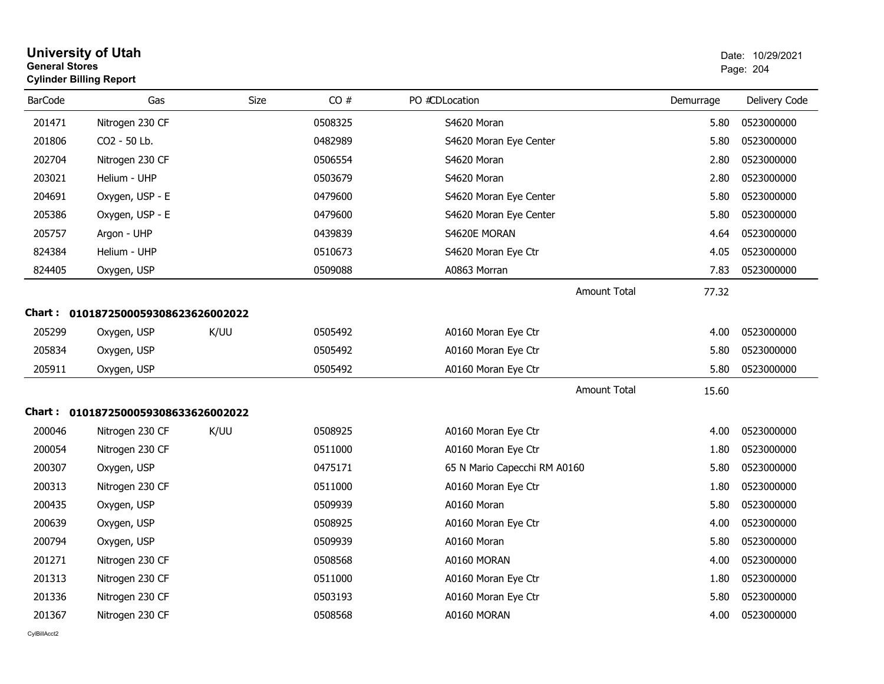| <b>General Stores</b> | <b>Cylinder Billing Report</b>      |      |         |                              | Page: 204 |               |
|-----------------------|-------------------------------------|------|---------|------------------------------|-----------|---------------|
| BarCode               | Gas                                 | Size | CO#     | PO #CDLocation               | Demurrage | Delivery Code |
| 201471                | Nitrogen 230 CF                     |      | 0508325 | S4620 Moran                  | 5.80      | 0523000000    |
| 201806                | CO2 - 50 Lb.                        |      | 0482989 | S4620 Moran Eye Center       | 5.80      | 0523000000    |
| 202704                | Nitrogen 230 CF                     |      | 0506554 | S4620 Moran                  | 2.80      | 0523000000    |
| 203021                | Helium - UHP                        |      | 0503679 | S4620 Moran                  | 2.80      | 0523000000    |
| 204691                | Oxygen, USP - E                     |      | 0479600 | S4620 Moran Eye Center       | 5.80      | 0523000000    |
| 205386                | Oxygen, USP - E                     |      | 0479600 | S4620 Moran Eye Center       | 5.80      | 0523000000    |
| 205757                | Argon - UHP                         |      | 0439839 | S4620E MORAN                 | 4.64      | 0523000000    |
| 824384                | Helium - UHP                        |      | 0510673 | S4620 Moran Eye Ctr          | 4.05      | 0523000000    |
| 824405                | Oxygen, USP                         |      | 0509088 | A0863 Morran                 | 7.83      | 0523000000    |
|                       |                                     |      |         | <b>Amount Total</b>          | 77.32     |               |
|                       | Chart: 0101872500059308623626002022 |      |         |                              |           |               |
| 205299                | Oxygen, USP                         | K/UU | 0505492 | A0160 Moran Eye Ctr          | 4.00      | 0523000000    |
| 205834                | Oxygen, USP                         |      | 0505492 | A0160 Moran Eye Ctr          | 5.80      | 0523000000    |
| 205911                | Oxygen, USP                         |      | 0505492 | A0160 Moran Eye Ctr          | 5.80      | 0523000000    |
|                       |                                     |      |         | <b>Amount Total</b>          | 15.60     |               |
|                       | Chart: 0101872500059308633626002022 |      |         |                              |           |               |
| 200046                | Nitrogen 230 CF                     | K/UU | 0508925 | A0160 Moran Eye Ctr          | 4.00      | 0523000000    |
| 200054                | Nitrogen 230 CF                     |      | 0511000 | A0160 Moran Eye Ctr          | 1.80      | 0523000000    |
| 200307                | Oxygen, USP                         |      | 0475171 | 65 N Mario Capecchi RM A0160 | 5.80      | 0523000000    |
| 200313                | Nitrogen 230 CF                     |      | 0511000 | A0160 Moran Eye Ctr          | 1.80      | 0523000000    |
| 200435                | Oxygen, USP                         |      | 0509939 | A0160 Moran                  | 5.80      | 0523000000    |
| 200639                | Oxygen, USP                         |      | 0508925 | A0160 Moran Eye Ctr          | 4.00      | 0523000000    |
| 200794                | Oxygen, USP                         |      | 0509939 | A0160 Moran                  | 5.80      | 0523000000    |
| 201271                | Nitrogen 230 CF                     |      | 0508568 | A0160 MORAN                  | 4.00      | 0523000000    |
| 201313                | Nitrogen 230 CF                     |      | 0511000 | A0160 Moran Eye Ctr          | 1.80      | 0523000000    |
| 201336                | Nitrogen 230 CF                     |      | 0503193 | A0160 Moran Eye Ctr          | 5.80      | 0523000000    |
| 201367                | Nitrogen 230 CF                     |      | 0508568 | A0160 MORAN                  | 4.00      | 0523000000    |

# **University of Utah**  Date: 10/29/2021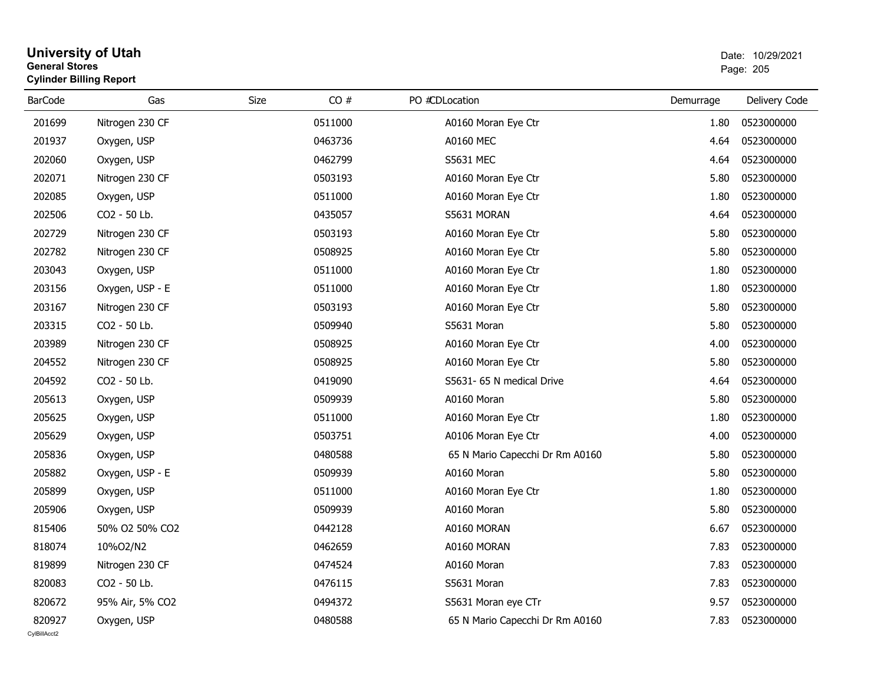## **University of Utah** Date: 10/29/2021 **General Stores**entry of the contract of the contract of the contract of the contract of the contract of the contract of the contract of the contract of the contract of the contract of the contract of the contract of the contract of the c **Cylinder Billing Report**

| <b>BarCode</b> | Gas             | Size    | CO# | PO #CDLocation                  | Demurrage | Delivery Code |
|----------------|-----------------|---------|-----|---------------------------------|-----------|---------------|
| 201699         | Nitrogen 230 CF | 0511000 |     | A0160 Moran Eye Ctr             | 1.80      | 0523000000    |
| 201937         | Oxygen, USP     | 0463736 |     | <b>A0160 MEC</b>                | 4.64      | 0523000000    |
| 202060         | Oxygen, USP     | 0462799 |     | S5631 MEC                       | 4.64      | 0523000000    |
| 202071         | Nitrogen 230 CF | 0503193 |     | A0160 Moran Eye Ctr             | 5.80      | 0523000000    |
| 202085         | Oxygen, USP     | 0511000 |     | A0160 Moran Eye Ctr             | 1.80      | 0523000000    |
| 202506         | CO2 - 50 Lb.    | 0435057 |     | S5631 MORAN                     | 4.64      | 0523000000    |
| 202729         | Nitrogen 230 CF | 0503193 |     | A0160 Moran Eye Ctr             | 5.80      | 0523000000    |
| 202782         | Nitrogen 230 CF | 0508925 |     | A0160 Moran Eye Ctr             | 5.80      | 0523000000    |
| 203043         | Oxygen, USP     | 0511000 |     | A0160 Moran Eye Ctr             | 1.80      | 0523000000    |
| 203156         | Oxygen, USP - E | 0511000 |     | A0160 Moran Eye Ctr             | 1.80      | 0523000000    |
| 203167         | Nitrogen 230 CF | 0503193 |     | A0160 Moran Eye Ctr             | 5.80      | 0523000000    |
| 203315         | CO2 - 50 Lb.    | 0509940 |     | S5631 Moran                     | 5.80      | 0523000000    |
| 203989         | Nitrogen 230 CF | 0508925 |     | A0160 Moran Eye Ctr             | 4.00      | 0523000000    |
| 204552         | Nitrogen 230 CF | 0508925 |     | A0160 Moran Eye Ctr             | 5.80      | 0523000000    |
| 204592         | CO2 - 50 Lb.    | 0419090 |     | S5631- 65 N medical Drive       | 4.64      | 0523000000    |
| 205613         | Oxygen, USP     | 0509939 |     | A0160 Moran                     | 5.80      | 0523000000    |
| 205625         | Oxygen, USP     | 0511000 |     | A0160 Moran Eye Ctr             | 1.80      | 0523000000    |
| 205629         | Oxygen, USP     | 0503751 |     | A0106 Moran Eye Ctr             | 4.00      | 0523000000    |
| 205836         | Oxygen, USP     | 0480588 |     | 65 N Mario Capecchi Dr Rm A0160 | 5.80      | 0523000000    |
| 205882         | Oxygen, USP - E | 0509939 |     | A0160 Moran                     | 5.80      | 0523000000    |
| 205899         | Oxygen, USP     | 0511000 |     | A0160 Moran Eye Ctr             | 1.80      | 0523000000    |
| 205906         | Oxygen, USP     | 0509939 |     | A0160 Moran                     | 5.80      | 0523000000    |
| 815406         | 50% O2 50% CO2  | 0442128 |     | A0160 MORAN                     | 6.67      | 0523000000    |
| 818074         | 10%O2/N2        | 0462659 |     | A0160 MORAN                     | 7.83      | 0523000000    |
| 819899         | Nitrogen 230 CF | 0474524 |     | A0160 Moran                     | 7.83      | 0523000000    |
| 820083         | CO2 - 50 Lb.    | 0476115 |     | S5631 Moran                     | 7.83      | 0523000000    |
| 820672         | 95% Air, 5% CO2 | 0494372 |     | S5631 Moran eye CTr             | 9.57      | 0523000000    |
| 820927         | Oxygen, USP     | 0480588 |     | 65 N Mario Capecchi Dr Rm A0160 | 7.83      | 0523000000    |
| CvIBillAcct2   |                 |         |     |                                 |           |               |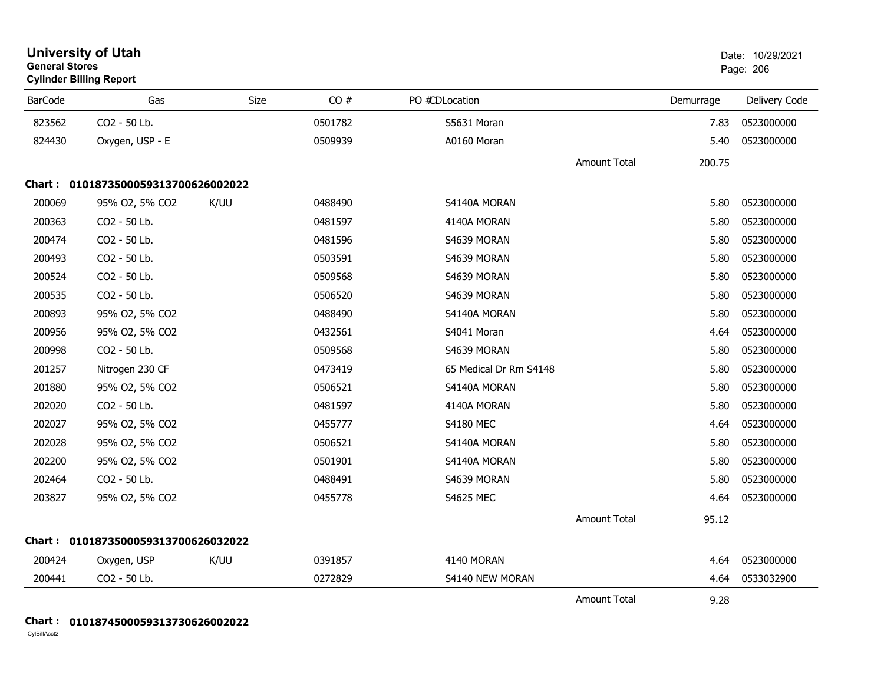| <b>University of Utah</b><br><b>General Stores</b><br><b>Cylinder Billing Report</b> |                                     |      |         |                        |                     |           | Date: 10/29/2021<br>Page: 206 |
|--------------------------------------------------------------------------------------|-------------------------------------|------|---------|------------------------|---------------------|-----------|-------------------------------|
| <b>BarCode</b>                                                                       | Gas                                 | Size | CO#     | PO #CDLocation         |                     | Demurrage | Delivery Code                 |
| 823562                                                                               | CO2 - 50 Lb.                        |      | 0501782 | S5631 Moran            |                     | 7.83      | 0523000000                    |
| 824430                                                                               | Oxygen, USP - E                     |      | 0509939 | A0160 Moran            |                     | 5.40      | 0523000000                    |
|                                                                                      |                                     |      |         |                        | <b>Amount Total</b> | 200.75    |                               |
|                                                                                      | Chart: 0101873500059313700626002022 |      |         |                        |                     |           |                               |
| 200069                                                                               | 95% O2, 5% CO2                      | K/UU | 0488490 | S4140A MORAN           |                     | 5.80      | 0523000000                    |
| 200363                                                                               | CO2 - 50 Lb.                        |      | 0481597 | 4140A MORAN            |                     | 5.80      | 0523000000                    |
| 200474                                                                               | CO2 - 50 Lb.                        |      | 0481596 | S4639 MORAN            |                     | 5.80      | 0523000000                    |
| 200493                                                                               | CO2 - 50 Lb.                        |      | 0503591 | S4639 MORAN            |                     | 5.80      | 0523000000                    |
| 200524                                                                               | CO2 - 50 Lb.                        |      | 0509568 | S4639 MORAN            |                     | 5.80      | 0523000000                    |
| 200535                                                                               | CO2 - 50 Lb.                        |      | 0506520 | S4639 MORAN            |                     | 5.80      | 0523000000                    |
| 200893                                                                               | 95% O2, 5% CO2                      |      | 0488490 | S4140A MORAN           |                     | 5.80      | 0523000000                    |
| 200956                                                                               | 95% O2, 5% CO2                      |      | 0432561 | S4041 Moran            |                     | 4.64      | 0523000000                    |
| 200998                                                                               | CO2 - 50 Lb.                        |      | 0509568 | S4639 MORAN            |                     | 5.80      | 0523000000                    |
| 201257                                                                               | Nitrogen 230 CF                     |      | 0473419 | 65 Medical Dr Rm S4148 |                     | 5.80      | 0523000000                    |
| 201880                                                                               | 95% O2, 5% CO2                      |      | 0506521 | S4140A MORAN           |                     | 5.80      | 0523000000                    |
| 202020                                                                               | CO2 - 50 Lb.                        |      | 0481597 | 4140A MORAN            |                     | 5.80      | 0523000000                    |
| 202027                                                                               | 95% O2, 5% CO2                      |      | 0455777 | <b>S4180 MEC</b>       |                     | 4.64      | 0523000000                    |
| 202028                                                                               | 95% O2, 5% CO2                      |      | 0506521 | S4140A MORAN           |                     | 5.80      | 0523000000                    |
| 202200                                                                               | 95% O2, 5% CO2                      |      | 0501901 | S4140A MORAN           |                     | 5.80      | 0523000000                    |
| 202464                                                                               | CO2 - 50 Lb.                        |      | 0488491 | S4639 MORAN            |                     | 5.80      | 0523000000                    |
| 203827                                                                               | 95% O2, 5% CO2                      |      | 0455778 | <b>S4625 MEC</b>       |                     | 4.64      | 0523000000                    |
|                                                                                      |                                     |      |         |                        | <b>Amount Total</b> | 95.12     |                               |
|                                                                                      | Chart: 0101873500059313700626032022 |      |         |                        |                     |           |                               |
| 200424                                                                               | Oxygen, USP                         | K/UU | 0391857 | 4140 MORAN             |                     | 4.64      | 0523000000                    |
| 200441                                                                               | CO2 - 50 Lb.                        |      | 0272829 | S4140 NEW MORAN        |                     | 4.64      | 0533032900                    |
|                                                                                      |                                     |      |         |                        | <b>Amount Total</b> | 9.28      |                               |

**Chart : 0101874500059313730626002022**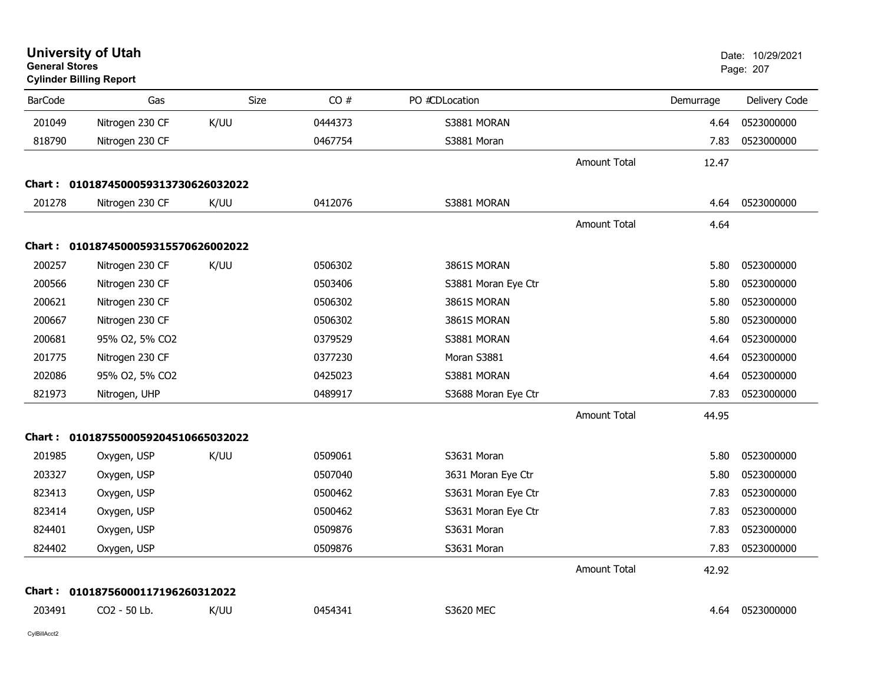| <b>General Stores</b> | <b>University of Utah</b><br><b>Cylinder Billing Report</b> |      |         |                     |                     |           | Date: 10/29/2021<br>Page: 207 |
|-----------------------|-------------------------------------------------------------|------|---------|---------------------|---------------------|-----------|-------------------------------|
| <b>BarCode</b>        | Gas                                                         | Size | CO#     | PO #CDLocation      |                     | Demurrage | Delivery Code                 |
| 201049                | Nitrogen 230 CF                                             | K/UU | 0444373 | S3881 MORAN         |                     | 4.64      | 0523000000                    |
| 818790                | Nitrogen 230 CF                                             |      | 0467754 | S3881 Moran         |                     | 7.83      | 0523000000                    |
|                       |                                                             |      |         |                     | Amount Total        | 12.47     |                               |
|                       | Chart: 0101874500059313730626032022                         |      |         |                     |                     |           |                               |
| 201278                | Nitrogen 230 CF                                             | K/UU | 0412076 | S3881 MORAN         |                     | 4.64      | 0523000000                    |
|                       |                                                             |      |         |                     | <b>Amount Total</b> | 4.64      |                               |
|                       | Chart: 0101874500059315570626002022                         |      |         |                     |                     |           |                               |
| 200257                | Nitrogen 230 CF                                             | K/UU | 0506302 | 3861S MORAN         |                     | 5.80      | 0523000000                    |
| 200566                | Nitrogen 230 CF                                             |      | 0503406 | S3881 Moran Eye Ctr |                     | 5.80      | 0523000000                    |
| 200621                | Nitrogen 230 CF                                             |      | 0506302 | 3861S MORAN         |                     | 5.80      | 0523000000                    |
| 200667                | Nitrogen 230 CF                                             |      | 0506302 | 3861S MORAN         |                     | 5.80      | 0523000000                    |
| 200681                | 95% O2, 5% CO2                                              |      | 0379529 | S3881 MORAN         |                     | 4.64      | 0523000000                    |
| 201775                | Nitrogen 230 CF                                             |      | 0377230 | Moran S3881         |                     | 4.64      | 0523000000                    |
| 202086                | 95% O2, 5% CO2                                              |      | 0425023 | S3881 MORAN         |                     | 4.64      | 0523000000                    |
| 821973                | Nitrogen, UHP                                               |      | 0489917 | S3688 Moran Eye Ctr |                     | 7.83      | 0523000000                    |
|                       |                                                             |      |         |                     | <b>Amount Total</b> | 44.95     |                               |
|                       | Chart: 0101875500059204510665032022                         |      |         |                     |                     |           |                               |
| 201985                | Oxygen, USP                                                 | K/UU | 0509061 | S3631 Moran         |                     | 5.80      | 0523000000                    |
| 203327                | Oxygen, USP                                                 |      | 0507040 | 3631 Moran Eye Ctr  |                     | 5.80      | 0523000000                    |
| 823413                | Oxygen, USP                                                 |      | 0500462 | S3631 Moran Eye Ctr |                     | 7.83      | 0523000000                    |
| 823414                | Oxygen, USP                                                 |      | 0500462 | S3631 Moran Eye Ctr |                     | 7.83      | 0523000000                    |
| 824401                | Oxygen, USP                                                 |      | 0509876 | S3631 Moran         |                     | 7.83      | 0523000000                    |
| 824402                | Oxygen, USP                                                 |      | 0509876 | S3631 Moran         |                     | 7.83      | 0523000000                    |
|                       |                                                             |      |         |                     | <b>Amount Total</b> | 42.92     |                               |
| Chart :               | 01018756000117196260312022                                  |      |         |                     |                     |           |                               |
| 203491                | CO2 - 50 Lb.                                                | K/UU | 0454341 | <b>S3620 MEC</b>    |                     | 4.64      | 0523000000                    |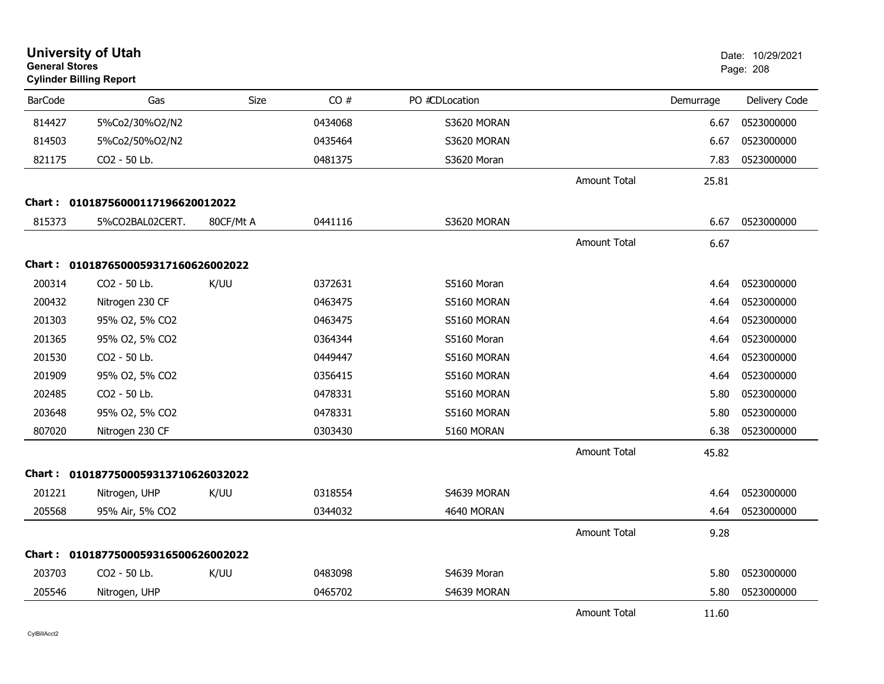| <b>General Stores</b> | <b>University of Utah</b><br><b>Cylinder Billing Report</b> |             |         |                |                     |           | Date: 10/29/2021<br>Page: 208 |
|-----------------------|-------------------------------------------------------------|-------------|---------|----------------|---------------------|-----------|-------------------------------|
| <b>BarCode</b>        | Gas                                                         | <b>Size</b> | CO#     | PO #CDLocation |                     | Demurrage | Delivery Code                 |
| 814427                | 5%Co2/30%O2/N2                                              |             | 0434068 | S3620 MORAN    |                     | 6.67      | 0523000000                    |
| 814503                | 5%Co2/50%O2/N2                                              |             | 0435464 | S3620 MORAN    |                     | 6.67      | 0523000000                    |
| 821175                | CO2 - 50 Lb.                                                |             | 0481375 | S3620 Moran    |                     | 7.83      | 0523000000                    |
|                       |                                                             |             |         |                | <b>Amount Total</b> | 25.81     |                               |
|                       | Chart: 01018756000117196620012022                           |             |         |                |                     |           |                               |
| 815373                | 5%CO2BAL02CERT.                                             | 80CF/Mt A   | 0441116 | S3620 MORAN    |                     | 6.67      | 0523000000                    |
|                       |                                                             |             |         |                | <b>Amount Total</b> | 6.67      |                               |
|                       | Chart: 0101876500059317160626002022                         |             |         |                |                     |           |                               |
| 200314                | CO2 - 50 Lb.                                                | K/UU        | 0372631 | S5160 Moran    |                     | 4.64      | 0523000000                    |
| 200432                | Nitrogen 230 CF                                             |             | 0463475 | S5160 MORAN    |                     | 4.64      | 0523000000                    |
| 201303                | 95% O2, 5% CO2                                              |             | 0463475 | S5160 MORAN    |                     | 4.64      | 0523000000                    |
| 201365                | 95% O2, 5% CO2                                              |             | 0364344 | S5160 Moran    |                     | 4.64      | 0523000000                    |
| 201530                | CO2 - 50 Lb.                                                |             | 0449447 | S5160 MORAN    |                     | 4.64      | 0523000000                    |
| 201909                | 95% O2, 5% CO2                                              |             | 0356415 | S5160 MORAN    |                     | 4.64      | 0523000000                    |
| 202485                | CO2 - 50 Lb.                                                |             | 0478331 | S5160 MORAN    |                     | 5.80      | 0523000000                    |
| 203648                | 95% O2, 5% CO2                                              |             | 0478331 | S5160 MORAN    |                     | 5.80      | 0523000000                    |
| 807020                | Nitrogen 230 CF                                             |             | 0303430 | 5160 MORAN     |                     | 6.38      | 0523000000                    |
|                       |                                                             |             |         |                | <b>Amount Total</b> | 45.82     |                               |
|                       | Chart: 0101877500059313710626032022                         |             |         |                |                     |           |                               |
| 201221                | Nitrogen, UHP                                               | K/UU        | 0318554 | S4639 MORAN    |                     | 4.64      | 0523000000                    |
| 205568                | 95% Air, 5% CO2                                             |             | 0344032 | 4640 MORAN     |                     | 4.64      | 0523000000                    |
|                       |                                                             |             |         |                | <b>Amount Total</b> | 9.28      |                               |
|                       | Chart: 0101877500059316500626002022                         |             |         |                |                     |           |                               |
| 203703                | CO2 - 50 Lb.                                                | K/UU        | 0483098 | S4639 Moran    |                     | 5.80      | 0523000000                    |
| 205546                | Nitrogen, UHP                                               |             | 0465702 | S4639 MORAN    |                     | 5.80      | 0523000000                    |
|                       |                                                             |             |         |                | <b>Amount Total</b> | 11.60     |                               |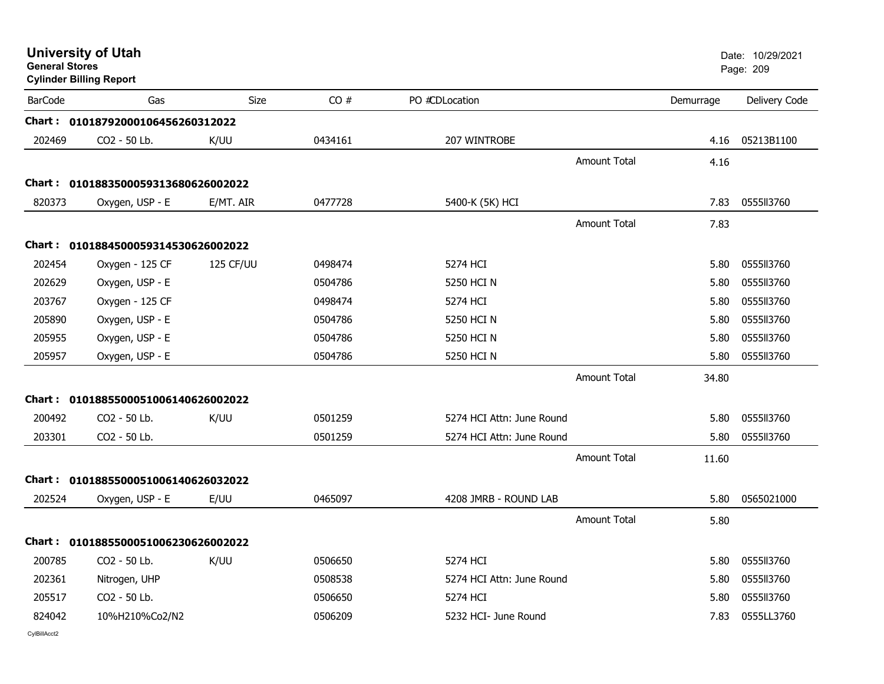| <b>General Stores</b> | <b>University of Utah</b><br><b>Cylinder Billing Report</b> |             |         |                           |                     | Date: 10/29/2021<br>Page: 209 |               |
|-----------------------|-------------------------------------------------------------|-------------|---------|---------------------------|---------------------|-------------------------------|---------------|
| <b>BarCode</b>        | Gas                                                         | <b>Size</b> | CO#     | PO #CDLocation            |                     | Demurrage                     | Delivery Code |
|                       | Chart: 01018792000106456260312022                           |             |         |                           |                     |                               |               |
| 202469                | CO2 - 50 Lb.                                                | K/UU        | 0434161 | 207 WINTROBE              |                     | 4.16                          | 05213B1100    |
|                       |                                                             |             |         |                           | <b>Amount Total</b> | 4.16                          |               |
| Chart:                | 0101883500059313680626002022                                |             |         |                           |                     |                               |               |
| 820373                | Oxygen, USP - E                                             | E/MT. AIR   | 0477728 | 5400-K (5K) HCI           |                     | 7.83                          | 0555113760    |
|                       |                                                             |             |         |                           | <b>Amount Total</b> | 7.83                          |               |
|                       | Chart: 0101884500059314530626002022                         |             |         |                           |                     |                               |               |
| 202454                | Oxygen - 125 CF                                             | 125 CF/UU   | 0498474 | 5274 HCI                  |                     | 5.80                          | 0555113760    |
| 202629                | Oxygen, USP - E                                             |             | 0504786 | 5250 HCI N                |                     | 5.80                          | 0555113760    |
| 203767                | Oxygen - 125 CF                                             |             | 0498474 | 5274 HCI                  |                     | 5.80                          | 0555113760    |
| 205890                | Oxygen, USP - E                                             |             | 0504786 | 5250 HCI N                |                     | 5.80                          | 0555113760    |
| 205955                | Oxygen, USP - E                                             |             | 0504786 | 5250 HCI N                |                     | 5.80                          | 0555113760    |
| 205957                | Oxygen, USP - E                                             |             | 0504786 | 5250 HCI N                |                     | 5.80                          | 0555113760    |
|                       |                                                             |             |         |                           | <b>Amount Total</b> | 34.80                         |               |
|                       | Chart: 0101885500051006140626002022                         |             |         |                           |                     |                               |               |
| 200492                | CO2 - 50 Lb.                                                | K/UU        | 0501259 | 5274 HCI Attn: June Round |                     | 5.80                          | 0555113760    |
| 203301                | CO2 - 50 Lb.                                                |             | 0501259 | 5274 HCI Attn: June Round |                     | 5.80                          | 0555113760    |
|                       |                                                             |             |         |                           | <b>Amount Total</b> | 11.60                         |               |
|                       | Chart: 0101885500051006140626032022                         |             |         |                           |                     |                               |               |
| 202524                | Oxygen, USP - E                                             | E/UU        | 0465097 | 4208 JMRB - ROUND LAB     |                     | 5.80                          | 0565021000    |
|                       |                                                             |             |         |                           | <b>Amount Total</b> | 5.80                          |               |
|                       | Chart: 0101885500051006230626002022                         |             |         |                           |                     |                               |               |
| 200785                | CO2 - 50 Lb.                                                | K/UU        | 0506650 | 5274 HCI                  |                     | 5.80                          | 0555113760    |
| 202361                | Nitrogen, UHP                                               |             | 0508538 | 5274 HCI Attn: June Round |                     | 5.80                          | 0555113760    |
| 205517                | CO2 - 50 Lb.                                                |             | 0506650 | 5274 HCI                  |                     | 5.80                          | 0555113760    |
| 824042                | 10%H210%Co2/N2                                              |             | 0506209 | 5232 HCI- June Round      |                     | 7.83                          | 0555LL3760    |
| CvIBillAcct2          |                                                             |             |         |                           |                     |                               |               |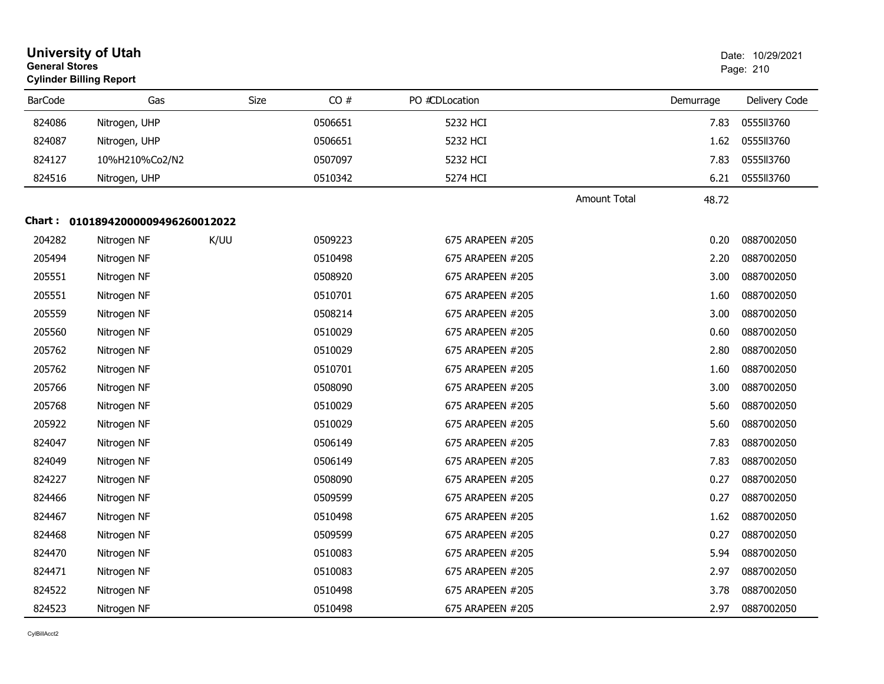|                | <b>University of Utah</b><br><b>General Stores</b><br><b>Cylinder Billing Report</b> |      |             |                  |                     |           | Date: 10/29/2021<br>Page: 210 |  |
|----------------|--------------------------------------------------------------------------------------|------|-------------|------------------|---------------------|-----------|-------------------------------|--|
| <b>BarCode</b> | Gas                                                                                  |      | CO#<br>Size | PO #CDLocation   |                     | Demurrage | Delivery Code                 |  |
| 824086         | Nitrogen, UHP                                                                        |      | 0506651     | 5232 HCI         |                     | 7.83      | 0555113760                    |  |
| 824087         | Nitrogen, UHP                                                                        |      | 0506651     | 5232 HCI         |                     | 1.62      | 0555113760                    |  |
| 824127         | 10%H210%Co2/N2                                                                       |      | 0507097     | 5232 HCI         |                     | 7.83      | 0555113760                    |  |
| 824516         | Nitrogen, UHP                                                                        |      | 0510342     | 5274 HCI         |                     | 6.21      | 0555113760                    |  |
|                |                                                                                      |      |             |                  | <b>Amount Total</b> | 48.72     |                               |  |
|                | Chart: 01018942000009496260012022                                                    |      |             |                  |                     |           |                               |  |
| 204282         | Nitrogen NF                                                                          | K/UU | 0509223     | 675 ARAPEEN #205 |                     | 0.20      | 0887002050                    |  |
| 205494         | Nitrogen NF                                                                          |      | 0510498     | 675 ARAPEEN #205 |                     | 2.20      | 0887002050                    |  |
| 205551         | Nitrogen NF                                                                          |      | 0508920     | 675 ARAPEEN #205 |                     | 3.00      | 0887002050                    |  |
| 205551         | Nitrogen NF                                                                          |      | 0510701     | 675 ARAPEEN #205 |                     | 1.60      | 0887002050                    |  |
| 205559         | Nitrogen NF                                                                          |      | 0508214     | 675 ARAPEEN #205 |                     | 3.00      | 0887002050                    |  |
| 205560         | Nitrogen NF                                                                          |      | 0510029     | 675 ARAPEEN #205 |                     | 0.60      | 0887002050                    |  |
| 205762         | Nitrogen NF                                                                          |      | 0510029     | 675 ARAPEEN #205 |                     | 2.80      | 0887002050                    |  |
| 205762         | Nitrogen NF                                                                          |      | 0510701     | 675 ARAPEEN #205 |                     | 1.60      | 0887002050                    |  |
| 205766         | Nitrogen NF                                                                          |      | 0508090     | 675 ARAPEEN #205 |                     | 3.00      | 0887002050                    |  |
| 205768         | Nitrogen NF                                                                          |      | 0510029     | 675 ARAPEEN #205 |                     | 5.60      | 0887002050                    |  |
| 205922         | Nitrogen NF                                                                          |      | 0510029     | 675 ARAPEEN #205 |                     | 5.60      | 0887002050                    |  |
| 824047         | Nitrogen NF                                                                          |      | 0506149     | 675 ARAPEEN #205 |                     | 7.83      | 0887002050                    |  |
| 824049         | Nitrogen NF                                                                          |      | 0506149     | 675 ARAPEEN #205 |                     | 7.83      | 0887002050                    |  |
| 824227         | Nitrogen NF                                                                          |      | 0508090     | 675 ARAPEEN #205 |                     | 0.27      | 0887002050                    |  |
| 824466         | Nitrogen NF                                                                          |      | 0509599     | 675 ARAPEEN #205 |                     | 0.27      | 0887002050                    |  |
| 824467         | Nitrogen NF                                                                          |      | 0510498     | 675 ARAPEEN #205 |                     | 1.62      | 0887002050                    |  |
| 824468         | Nitrogen NF                                                                          |      | 0509599     | 675 ARAPEEN #205 |                     | 0.27      | 0887002050                    |  |
| 824470         | Nitrogen NF                                                                          |      | 0510083     | 675 ARAPEEN #205 |                     | 5.94      | 0887002050                    |  |
| 824471         | Nitrogen NF                                                                          |      | 0510083     | 675 ARAPEEN #205 |                     | 2.97      | 0887002050                    |  |
| 824522         | Nitrogen NF                                                                          |      | 0510498     | 675 ARAPEEN #205 |                     | 3.78      | 0887002050                    |  |
| 824523         | Nitrogen NF                                                                          |      | 0510498     | 675 ARAPEEN #205 |                     | 2.97      | 0887002050                    |  |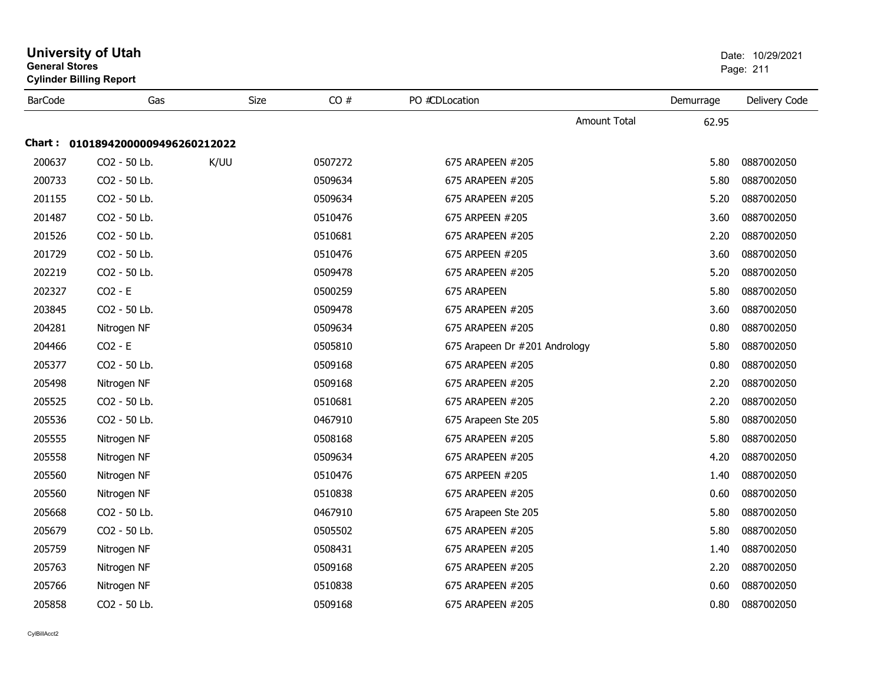| General Stores | <b>Cylinder Billing Report</b>    |      |         |                               |           | Page: 211     |
|----------------|-----------------------------------|------|---------|-------------------------------|-----------|---------------|
| <b>BarCode</b> | Gas                               | Size | CO#     | PO #CDLocation                | Demurrage | Delivery Code |
|                |                                   |      |         | <b>Amount Total</b>           | 62.95     |               |
|                | Chart: 01018942000009496260212022 |      |         |                               |           |               |
| 200637         | CO2 - 50 Lb.                      | K/UU | 0507272 | 675 ARAPEEN #205              | 5.80      | 0887002050    |
| 200733         | CO2 - 50 Lb.                      |      | 0509634 | 675 ARAPEEN #205              | 5.80      | 0887002050    |
| 201155         | CO2 - 50 Lb.                      |      | 0509634 | 675 ARAPEEN #205              | 5.20      | 0887002050    |
| 201487         | CO2 - 50 Lb.                      |      | 0510476 | 675 ARPEEN #205               | 3.60      | 0887002050    |
| 201526         | CO2 - 50 Lb.                      |      | 0510681 | 675 ARAPEEN #205              | 2.20      | 0887002050    |
| 201729         | CO2 - 50 Lb.                      |      | 0510476 | 675 ARPEEN #205               | 3.60      | 0887002050    |
| 202219         | CO2 - 50 Lb.                      |      | 0509478 | 675 ARAPEEN #205              | 5.20      | 0887002050    |
| 202327         | $CO2 - E$                         |      | 0500259 | 675 ARAPEEN                   | 5.80      | 0887002050    |
| 203845         | CO2 - 50 Lb.                      |      | 0509478 | 675 ARAPEEN #205              | 3.60      | 0887002050    |
| 204281         | Nitrogen NF                       |      | 0509634 | 675 ARAPEEN #205              | 0.80      | 0887002050    |
| 204466         | $CO2 - E$                         |      | 0505810 | 675 Arapeen Dr #201 Andrology | 5.80      | 0887002050    |
| 205377         | CO2 - 50 Lb.                      |      | 0509168 | 675 ARAPEEN #205              | 0.80      | 0887002050    |
| 205498         | Nitrogen NF                       |      | 0509168 | 675 ARAPEEN #205              | 2.20      | 0887002050    |
| 205525         | CO2 - 50 Lb.                      |      | 0510681 | 675 ARAPEEN #205              | 2.20      | 0887002050    |
| 205536         | CO2 - 50 Lb.                      |      | 0467910 | 675 Arapeen Ste 205           | 5.80      | 0887002050    |
| 205555         | Nitrogen NF                       |      | 0508168 | 675 ARAPEEN #205              | 5.80      | 0887002050    |
| 205558         | Nitrogen NF                       |      | 0509634 | 675 ARAPEEN #205              | 4.20      | 0887002050    |
| 205560         | Nitrogen NF                       |      | 0510476 | 675 ARPEEN #205               | 1.40      | 0887002050    |
| 205560         | Nitrogen NF                       |      | 0510838 | 675 ARAPEEN #205              | 0.60      | 0887002050    |
| 205668         | CO2 - 50 Lb.                      |      | 0467910 | 675 Arapeen Ste 205           | 5.80      | 0887002050    |
| 205679         | CO2 - 50 Lb.                      |      | 0505502 | 675 ARAPEEN #205              | 5.80      | 0887002050    |
| 205759         | Nitrogen NF                       |      | 0508431 | 675 ARAPEEN #205              | 1.40      | 0887002050    |
| 205763         | Nitrogen NF                       |      | 0509168 | 675 ARAPEEN #205              | 2.20      | 0887002050    |
| 205766         | Nitrogen NF                       |      | 0510838 | 675 ARAPEEN #205              | 0.60      | 0887002050    |
| 205858         | CO <sub>2</sub> - 50 Lb.          |      | 0509168 | 675 ARAPEEN #205              | 0.80      | 0887002050    |

## **University of Utah** Date: 10/29/2021 **General Stores**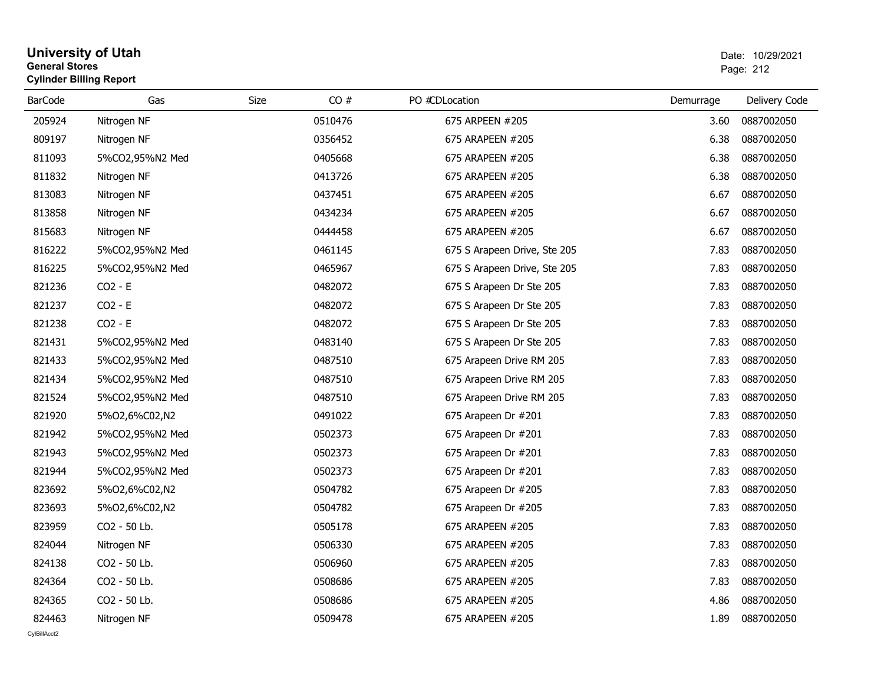## **University of Utah** Date: 10/29/2021 **General Stores**es and the contract of the contract of the contract of the contract of the contract of the contract of the contract of the contract of the contract of the contract of the contract of the contract of the contract of the con **Cylinder Billing Report**

| 205924<br>0510476<br>675 ARPEEN #205<br>0887002050<br>Nitrogen NF<br>3.60<br>809197<br>Nitrogen NF<br>0356452<br>675 ARAPEEN #205<br>6.38<br>0887002050<br>811093<br>5%CO2,95%N2 Med<br>0405668<br>675 ARAPEEN #205<br>6.38<br>0887002050<br>811832<br>0413726<br>675 ARAPEEN #205<br>6.38<br>0887002050<br>Nitrogen NF<br>813083<br>0437451<br>Nitrogen NF<br>675 ARAPEEN #205<br>6.67<br>0887002050<br>813858<br>Nitrogen NF<br>0434234<br>675 ARAPEEN #205<br>6.67<br>0887002050<br>815683<br>Nitrogen NF<br>0444458<br>675 ARAPEEN #205<br>6.67<br>0887002050<br>816222<br>0887002050<br>5%CO2,95%N2 Med<br>0461145<br>675 S Arapeen Drive, Ste 205<br>7.83<br>816225<br>0465967<br>0887002050<br>5%CO2,95%N2 Med<br>675 S Arapeen Drive, Ste 205<br>7.83<br>821236<br>$CO2 - E$<br>0482072<br>7.83<br>0887002050<br>675 S Arapeen Dr Ste 205<br>821237<br>$CO2 - E$<br>0482072<br>0887002050<br>7.83<br>675 S Arapeen Dr Ste 205<br>821238<br>$CO2 - E$<br>0482072<br>0887002050<br>675 S Arapeen Dr Ste 205<br>7.83<br>821431<br>0483140<br>0887002050<br>5%CO2,95%N2 Med<br>675 S Arapeen Dr Ste 205<br>7.83<br>821433<br>5%CO2,95%N2 Med<br>0487510<br>675 Arapeen Drive RM 205<br>7.83<br>0887002050<br>821434<br>5%CO2,95%N2 Med<br>0487510<br>675 Arapeen Drive RM 205<br>7.83<br>0887002050<br>0487510<br>821524<br>5%CO2,95%N2 Med<br>675 Arapeen Drive RM 205<br>7.83<br>0887002050<br>821920<br>0491022<br>7.83<br>0887002050<br>5%02,6%C02,N2<br>675 Arapeen Dr #201<br>821942<br>5%CO2,95%N2 Med<br>0502373<br>7.83<br>0887002050<br>675 Arapeen Dr #201<br>821943<br>0502373<br>7.83<br>0887002050<br>5%CO2,95%N2 Med<br>675 Arapeen Dr #201<br>821944<br>5%CO2,95%N2 Med<br>0502373<br>675 Arapeen Dr #201<br>7.83<br>0887002050<br>823692<br>5%02,6%C02,N2<br>0504782<br>675 Arapeen Dr #205<br>7.83<br>0887002050<br>823693<br>0504782<br>7.83<br>0887002050<br>5%02,6%C02,N2<br>675 Arapeen Dr #205<br>823959<br>CO2 - 50 Lb.<br>0505178<br>675 ARAPEEN #205<br>7.83<br>0887002050<br>824044<br>0506330<br>0887002050<br>Nitrogen NF<br>675 ARAPEEN #205<br>7.83<br>824138<br>CO2 - 50 Lb.<br>0506960<br>675 ARAPEEN #205<br>7.83<br>0887002050<br>824364<br>CO2 - 50 Lb.<br>0508686<br>675 ARAPEEN #205<br>7.83<br>0887002050<br>824365<br>CO2 - 50 Lb.<br>0508686<br>675 ARAPEEN #205<br>4.86<br>0887002050 | <b>BarCode</b> | Gas | Size | CO# | PO #CDLocation | Demurrage | Delivery Code |
|-------------------------------------------------------------------------------------------------------------------------------------------------------------------------------------------------------------------------------------------------------------------------------------------------------------------------------------------------------------------------------------------------------------------------------------------------------------------------------------------------------------------------------------------------------------------------------------------------------------------------------------------------------------------------------------------------------------------------------------------------------------------------------------------------------------------------------------------------------------------------------------------------------------------------------------------------------------------------------------------------------------------------------------------------------------------------------------------------------------------------------------------------------------------------------------------------------------------------------------------------------------------------------------------------------------------------------------------------------------------------------------------------------------------------------------------------------------------------------------------------------------------------------------------------------------------------------------------------------------------------------------------------------------------------------------------------------------------------------------------------------------------------------------------------------------------------------------------------------------------------------------------------------------------------------------------------------------------------------------------------------------------------------------------------------------------------------------------------------------------------------------------------------------------------------------------------------------------------------------------------------------------------------------------------------------------------------------|----------------|-----|------|-----|----------------|-----------|---------------|
|                                                                                                                                                                                                                                                                                                                                                                                                                                                                                                                                                                                                                                                                                                                                                                                                                                                                                                                                                                                                                                                                                                                                                                                                                                                                                                                                                                                                                                                                                                                                                                                                                                                                                                                                                                                                                                                                                                                                                                                                                                                                                                                                                                                                                                                                                                                                     |                |     |      |     |                |           |               |
|                                                                                                                                                                                                                                                                                                                                                                                                                                                                                                                                                                                                                                                                                                                                                                                                                                                                                                                                                                                                                                                                                                                                                                                                                                                                                                                                                                                                                                                                                                                                                                                                                                                                                                                                                                                                                                                                                                                                                                                                                                                                                                                                                                                                                                                                                                                                     |                |     |      |     |                |           |               |
|                                                                                                                                                                                                                                                                                                                                                                                                                                                                                                                                                                                                                                                                                                                                                                                                                                                                                                                                                                                                                                                                                                                                                                                                                                                                                                                                                                                                                                                                                                                                                                                                                                                                                                                                                                                                                                                                                                                                                                                                                                                                                                                                                                                                                                                                                                                                     |                |     |      |     |                |           |               |
|                                                                                                                                                                                                                                                                                                                                                                                                                                                                                                                                                                                                                                                                                                                                                                                                                                                                                                                                                                                                                                                                                                                                                                                                                                                                                                                                                                                                                                                                                                                                                                                                                                                                                                                                                                                                                                                                                                                                                                                                                                                                                                                                                                                                                                                                                                                                     |                |     |      |     |                |           |               |
|                                                                                                                                                                                                                                                                                                                                                                                                                                                                                                                                                                                                                                                                                                                                                                                                                                                                                                                                                                                                                                                                                                                                                                                                                                                                                                                                                                                                                                                                                                                                                                                                                                                                                                                                                                                                                                                                                                                                                                                                                                                                                                                                                                                                                                                                                                                                     |                |     |      |     |                |           |               |
|                                                                                                                                                                                                                                                                                                                                                                                                                                                                                                                                                                                                                                                                                                                                                                                                                                                                                                                                                                                                                                                                                                                                                                                                                                                                                                                                                                                                                                                                                                                                                                                                                                                                                                                                                                                                                                                                                                                                                                                                                                                                                                                                                                                                                                                                                                                                     |                |     |      |     |                |           |               |
|                                                                                                                                                                                                                                                                                                                                                                                                                                                                                                                                                                                                                                                                                                                                                                                                                                                                                                                                                                                                                                                                                                                                                                                                                                                                                                                                                                                                                                                                                                                                                                                                                                                                                                                                                                                                                                                                                                                                                                                                                                                                                                                                                                                                                                                                                                                                     |                |     |      |     |                |           |               |
|                                                                                                                                                                                                                                                                                                                                                                                                                                                                                                                                                                                                                                                                                                                                                                                                                                                                                                                                                                                                                                                                                                                                                                                                                                                                                                                                                                                                                                                                                                                                                                                                                                                                                                                                                                                                                                                                                                                                                                                                                                                                                                                                                                                                                                                                                                                                     |                |     |      |     |                |           |               |
|                                                                                                                                                                                                                                                                                                                                                                                                                                                                                                                                                                                                                                                                                                                                                                                                                                                                                                                                                                                                                                                                                                                                                                                                                                                                                                                                                                                                                                                                                                                                                                                                                                                                                                                                                                                                                                                                                                                                                                                                                                                                                                                                                                                                                                                                                                                                     |                |     |      |     |                |           |               |
|                                                                                                                                                                                                                                                                                                                                                                                                                                                                                                                                                                                                                                                                                                                                                                                                                                                                                                                                                                                                                                                                                                                                                                                                                                                                                                                                                                                                                                                                                                                                                                                                                                                                                                                                                                                                                                                                                                                                                                                                                                                                                                                                                                                                                                                                                                                                     |                |     |      |     |                |           |               |
|                                                                                                                                                                                                                                                                                                                                                                                                                                                                                                                                                                                                                                                                                                                                                                                                                                                                                                                                                                                                                                                                                                                                                                                                                                                                                                                                                                                                                                                                                                                                                                                                                                                                                                                                                                                                                                                                                                                                                                                                                                                                                                                                                                                                                                                                                                                                     |                |     |      |     |                |           |               |
|                                                                                                                                                                                                                                                                                                                                                                                                                                                                                                                                                                                                                                                                                                                                                                                                                                                                                                                                                                                                                                                                                                                                                                                                                                                                                                                                                                                                                                                                                                                                                                                                                                                                                                                                                                                                                                                                                                                                                                                                                                                                                                                                                                                                                                                                                                                                     |                |     |      |     |                |           |               |
|                                                                                                                                                                                                                                                                                                                                                                                                                                                                                                                                                                                                                                                                                                                                                                                                                                                                                                                                                                                                                                                                                                                                                                                                                                                                                                                                                                                                                                                                                                                                                                                                                                                                                                                                                                                                                                                                                                                                                                                                                                                                                                                                                                                                                                                                                                                                     |                |     |      |     |                |           |               |
|                                                                                                                                                                                                                                                                                                                                                                                                                                                                                                                                                                                                                                                                                                                                                                                                                                                                                                                                                                                                                                                                                                                                                                                                                                                                                                                                                                                                                                                                                                                                                                                                                                                                                                                                                                                                                                                                                                                                                                                                                                                                                                                                                                                                                                                                                                                                     |                |     |      |     |                |           |               |
|                                                                                                                                                                                                                                                                                                                                                                                                                                                                                                                                                                                                                                                                                                                                                                                                                                                                                                                                                                                                                                                                                                                                                                                                                                                                                                                                                                                                                                                                                                                                                                                                                                                                                                                                                                                                                                                                                                                                                                                                                                                                                                                                                                                                                                                                                                                                     |                |     |      |     |                |           |               |
|                                                                                                                                                                                                                                                                                                                                                                                                                                                                                                                                                                                                                                                                                                                                                                                                                                                                                                                                                                                                                                                                                                                                                                                                                                                                                                                                                                                                                                                                                                                                                                                                                                                                                                                                                                                                                                                                                                                                                                                                                                                                                                                                                                                                                                                                                                                                     |                |     |      |     |                |           |               |
|                                                                                                                                                                                                                                                                                                                                                                                                                                                                                                                                                                                                                                                                                                                                                                                                                                                                                                                                                                                                                                                                                                                                                                                                                                                                                                                                                                                                                                                                                                                                                                                                                                                                                                                                                                                                                                                                                                                                                                                                                                                                                                                                                                                                                                                                                                                                     |                |     |      |     |                |           |               |
|                                                                                                                                                                                                                                                                                                                                                                                                                                                                                                                                                                                                                                                                                                                                                                                                                                                                                                                                                                                                                                                                                                                                                                                                                                                                                                                                                                                                                                                                                                                                                                                                                                                                                                                                                                                                                                                                                                                                                                                                                                                                                                                                                                                                                                                                                                                                     |                |     |      |     |                |           |               |
|                                                                                                                                                                                                                                                                                                                                                                                                                                                                                                                                                                                                                                                                                                                                                                                                                                                                                                                                                                                                                                                                                                                                                                                                                                                                                                                                                                                                                                                                                                                                                                                                                                                                                                                                                                                                                                                                                                                                                                                                                                                                                                                                                                                                                                                                                                                                     |                |     |      |     |                |           |               |
|                                                                                                                                                                                                                                                                                                                                                                                                                                                                                                                                                                                                                                                                                                                                                                                                                                                                                                                                                                                                                                                                                                                                                                                                                                                                                                                                                                                                                                                                                                                                                                                                                                                                                                                                                                                                                                                                                                                                                                                                                                                                                                                                                                                                                                                                                                                                     |                |     |      |     |                |           |               |
|                                                                                                                                                                                                                                                                                                                                                                                                                                                                                                                                                                                                                                                                                                                                                                                                                                                                                                                                                                                                                                                                                                                                                                                                                                                                                                                                                                                                                                                                                                                                                                                                                                                                                                                                                                                                                                                                                                                                                                                                                                                                                                                                                                                                                                                                                                                                     |                |     |      |     |                |           |               |
|                                                                                                                                                                                                                                                                                                                                                                                                                                                                                                                                                                                                                                                                                                                                                                                                                                                                                                                                                                                                                                                                                                                                                                                                                                                                                                                                                                                                                                                                                                                                                                                                                                                                                                                                                                                                                                                                                                                                                                                                                                                                                                                                                                                                                                                                                                                                     |                |     |      |     |                |           |               |
|                                                                                                                                                                                                                                                                                                                                                                                                                                                                                                                                                                                                                                                                                                                                                                                                                                                                                                                                                                                                                                                                                                                                                                                                                                                                                                                                                                                                                                                                                                                                                                                                                                                                                                                                                                                                                                                                                                                                                                                                                                                                                                                                                                                                                                                                                                                                     |                |     |      |     |                |           |               |
|                                                                                                                                                                                                                                                                                                                                                                                                                                                                                                                                                                                                                                                                                                                                                                                                                                                                                                                                                                                                                                                                                                                                                                                                                                                                                                                                                                                                                                                                                                                                                                                                                                                                                                                                                                                                                                                                                                                                                                                                                                                                                                                                                                                                                                                                                                                                     |                |     |      |     |                |           |               |
|                                                                                                                                                                                                                                                                                                                                                                                                                                                                                                                                                                                                                                                                                                                                                                                                                                                                                                                                                                                                                                                                                                                                                                                                                                                                                                                                                                                                                                                                                                                                                                                                                                                                                                                                                                                                                                                                                                                                                                                                                                                                                                                                                                                                                                                                                                                                     |                |     |      |     |                |           |               |
|                                                                                                                                                                                                                                                                                                                                                                                                                                                                                                                                                                                                                                                                                                                                                                                                                                                                                                                                                                                                                                                                                                                                                                                                                                                                                                                                                                                                                                                                                                                                                                                                                                                                                                                                                                                                                                                                                                                                                                                                                                                                                                                                                                                                                                                                                                                                     |                |     |      |     |                |           |               |
|                                                                                                                                                                                                                                                                                                                                                                                                                                                                                                                                                                                                                                                                                                                                                                                                                                                                                                                                                                                                                                                                                                                                                                                                                                                                                                                                                                                                                                                                                                                                                                                                                                                                                                                                                                                                                                                                                                                                                                                                                                                                                                                                                                                                                                                                                                                                     |                |     |      |     |                |           |               |
|                                                                                                                                                                                                                                                                                                                                                                                                                                                                                                                                                                                                                                                                                                                                                                                                                                                                                                                                                                                                                                                                                                                                                                                                                                                                                                                                                                                                                                                                                                                                                                                                                                                                                                                                                                                                                                                                                                                                                                                                                                                                                                                                                                                                                                                                                                                                     |                |     |      |     |                |           |               |
| 824463<br>0509478<br>675 ARAPEEN #205<br>0887002050<br>Nitrogen NF<br>1.89                                                                                                                                                                                                                                                                                                                                                                                                                                                                                                                                                                                                                                                                                                                                                                                                                                                                                                                                                                                                                                                                                                                                                                                                                                                                                                                                                                                                                                                                                                                                                                                                                                                                                                                                                                                                                                                                                                                                                                                                                                                                                                                                                                                                                                                          |                |     |      |     |                |           |               |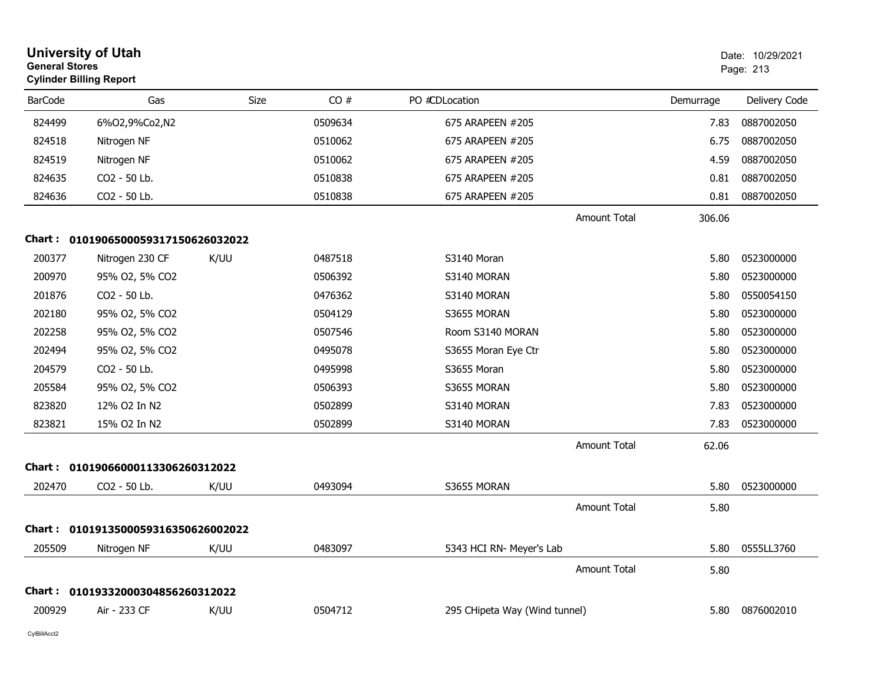|                | <b>University of Utah</b><br><b>General Stores</b><br><b>Cylinder Billing Report</b> |             |         |                               |                     |           | Date: 10/29/2021<br>Page: 213 |  |
|----------------|--------------------------------------------------------------------------------------|-------------|---------|-------------------------------|---------------------|-----------|-------------------------------|--|
| <b>BarCode</b> | Gas                                                                                  | <b>Size</b> | CO#     | PO #CDLocation                |                     | Demurrage | Delivery Code                 |  |
| 824499         | 6%02,9%Co2,N2                                                                        |             | 0509634 | 675 ARAPEEN #205              |                     | 7.83      | 0887002050                    |  |
| 824518         | Nitrogen NF                                                                          |             | 0510062 | 675 ARAPEEN #205              |                     | 6.75      | 0887002050                    |  |
| 824519         | Nitrogen NF                                                                          |             | 0510062 | 675 ARAPEEN #205              |                     | 4.59      | 0887002050                    |  |
| 824635         | CO2 - 50 Lb.                                                                         |             | 0510838 | 675 ARAPEEN #205              |                     | 0.81      | 0887002050                    |  |
| 824636         | CO2 - 50 Lb.                                                                         |             | 0510838 | 675 ARAPEEN #205              |                     | 0.81      | 0887002050                    |  |
|                |                                                                                      |             |         |                               | <b>Amount Total</b> | 306.06    |                               |  |
|                | Chart: 0101906500059317150626032022                                                  |             |         |                               |                     |           |                               |  |
| 200377         | Nitrogen 230 CF                                                                      | K/UU        | 0487518 | S3140 Moran                   |                     | 5.80      | 0523000000                    |  |
| 200970         | 95% O2, 5% CO2                                                                       |             | 0506392 | S3140 MORAN                   |                     | 5.80      | 0523000000                    |  |
| 201876         | CO2 - 50 Lb.                                                                         |             | 0476362 | S3140 MORAN                   |                     | 5.80      | 0550054150                    |  |
| 202180         | 95% O2, 5% CO2                                                                       |             | 0504129 | S3655 MORAN                   |                     | 5.80      | 0523000000                    |  |
| 202258         | 95% O2, 5% CO2                                                                       |             | 0507546 | Room S3140 MORAN              |                     | 5.80      | 0523000000                    |  |
| 202494         | 95% O2, 5% CO2                                                                       |             | 0495078 | S3655 Moran Eye Ctr           |                     | 5.80      | 0523000000                    |  |
| 204579         | CO2 - 50 Lb.                                                                         |             | 0495998 | S3655 Moran                   |                     | 5.80      | 0523000000                    |  |
| 205584         | 95% O2, 5% CO2                                                                       |             | 0506393 | S3655 MORAN                   |                     | 5.80      | 0523000000                    |  |
| 823820         | 12% O2 In N2                                                                         |             | 0502899 | S3140 MORAN                   |                     | 7.83      | 0523000000                    |  |
| 823821         | 15% O2 In N2                                                                         |             | 0502899 | S3140 MORAN                   |                     | 7.83      | 0523000000                    |  |
|                |                                                                                      |             |         |                               | Amount Total        | 62.06     |                               |  |
|                | Chart: 01019066000113306260312022                                                    |             |         |                               |                     |           |                               |  |
| 202470         | CO2 - 50 Lb.                                                                         | K/UU        | 0493094 | S3655 MORAN                   |                     | 5.80      | 0523000000                    |  |
|                |                                                                                      |             |         |                               | <b>Amount Total</b> | 5.80      |                               |  |
|                | Chart: 0101913500059316350626002022                                                  |             |         |                               |                     |           |                               |  |
| 205509         | Nitrogen NF                                                                          | K/UU        | 0483097 | 5343 HCI RN- Meyer's Lab      |                     | 5.80      | 0555LL3760                    |  |
|                |                                                                                      |             |         |                               | <b>Amount Total</b> | 5.80      |                               |  |
|                | Chart: 01019332000304856260312022                                                    |             |         |                               |                     |           |                               |  |
| 200929         | Air - 233 CF                                                                         | K/UU        | 0504712 | 295 CHipeta Way (Wind tunnel) |                     | 5.80      | 0876002010                    |  |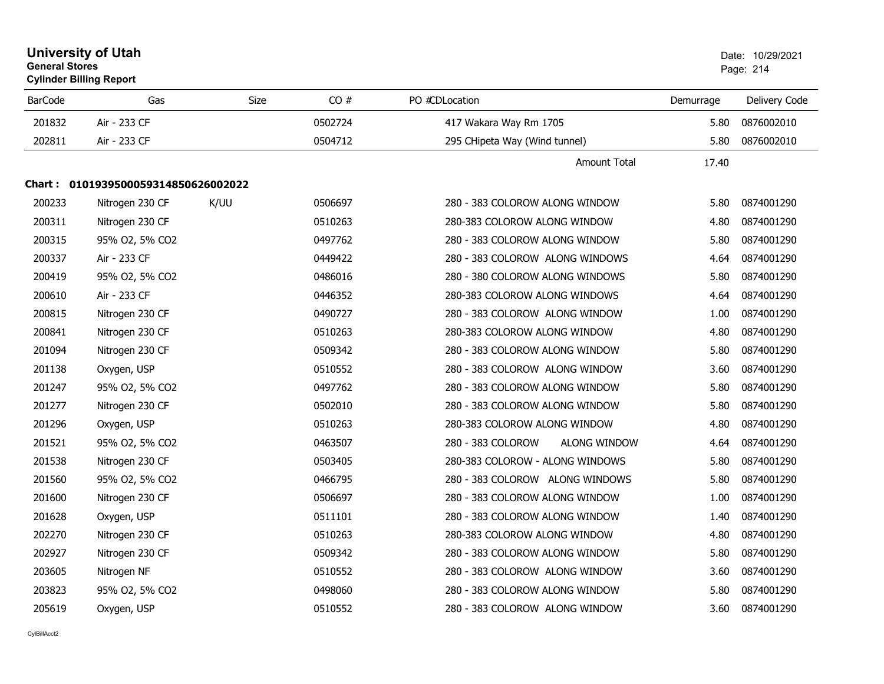| <b>University of Utah</b><br><b>General Stores</b><br><b>Cylinder Billing Report</b> |                                     |             |         | Date: 10/29/2021<br>Page: 214     |           |               |
|--------------------------------------------------------------------------------------|-------------------------------------|-------------|---------|-----------------------------------|-----------|---------------|
| <b>BarCode</b>                                                                       | Gas                                 | <b>Size</b> | CO#     | PO #CDLocation                    | Demurrage | Delivery Code |
| 201832                                                                               | Air - 233 CF                        |             | 0502724 | 417 Wakara Way Rm 1705            | 5.80      | 0876002010    |
| 202811                                                                               | Air - 233 CF                        |             | 0504712 | 295 CHipeta Way (Wind tunnel)     | 5.80      | 0876002010    |
|                                                                                      |                                     |             |         | <b>Amount Total</b>               | 17.40     |               |
|                                                                                      | Chart: 0101939500059314850626002022 |             |         |                                   |           |               |
| 200233                                                                               | Nitrogen 230 CF                     | K/UU        | 0506697 | 280 - 383 COLOROW ALONG WINDOW    | 5.80      | 0874001290    |
| 200311                                                                               | Nitrogen 230 CF                     |             | 0510263 | 280-383 COLOROW ALONG WINDOW      | 4.80      | 0874001290    |
| 200315                                                                               | 95% O2, 5% CO2                      |             | 0497762 | 280 - 383 COLOROW ALONG WINDOW    | 5.80      | 0874001290    |
| 200337                                                                               | Air - 233 CF                        |             | 0449422 | 280 - 383 COLOROW ALONG WINDOWS   | 4.64      | 0874001290    |
| 200419                                                                               | 95% O2, 5% CO2                      |             | 0486016 | 280 - 380 COLOROW ALONG WINDOWS   | 5.80      | 0874001290    |
| 200610                                                                               | Air - 233 CF                        |             | 0446352 | 280-383 COLOROW ALONG WINDOWS     | 4.64      | 0874001290    |
| 200815                                                                               | Nitrogen 230 CF                     |             | 0490727 | 280 - 383 COLOROW ALONG WINDOW    | 1.00      | 0874001290    |
| 200841                                                                               | Nitrogen 230 CF                     |             | 0510263 | 280-383 COLOROW ALONG WINDOW      | 4.80      | 0874001290    |
| 201094                                                                               | Nitrogen 230 CF                     |             | 0509342 | 280 - 383 COLOROW ALONG WINDOW    | 5.80      | 0874001290    |
| 201138                                                                               | Oxygen, USP                         |             | 0510552 | 280 - 383 COLOROW ALONG WINDOW    | 3.60      | 0874001290    |
| 201247                                                                               | 95% O2, 5% CO2                      |             | 0497762 | 280 - 383 COLOROW ALONG WINDOW    | 5.80      | 0874001290    |
| 201277                                                                               | Nitrogen 230 CF                     |             | 0502010 | 280 - 383 COLOROW ALONG WINDOW    | 5.80      | 0874001290    |
| 201296                                                                               | Oxygen, USP                         |             | 0510263 | 280-383 COLOROW ALONG WINDOW      | 4.80      | 0874001290    |
| 201521                                                                               | 95% O2, 5% CO2                      |             | 0463507 | 280 - 383 COLOROW<br>ALONG WINDOW | 4.64      | 0874001290    |
| 201538                                                                               | Nitrogen 230 CF                     |             | 0503405 | 280-383 COLOROW - ALONG WINDOWS   | 5.80      | 0874001290    |
| 201560                                                                               | 95% O2, 5% CO2                      |             | 0466795 | 280 - 383 COLOROW ALONG WINDOWS   | 5.80      | 0874001290    |
| 201600                                                                               | Nitrogen 230 CF                     |             | 0506697 | 280 - 383 COLOROW ALONG WINDOW    | 1.00      | 0874001290    |
| 201628                                                                               | Oxygen, USP                         |             | 0511101 | 280 - 383 COLOROW ALONG WINDOW    | 1.40      | 0874001290    |
| 202270                                                                               | Nitrogen 230 CF                     |             | 0510263 | 280-383 COLOROW ALONG WINDOW      | 4.80      | 0874001290    |
| 202927                                                                               | Nitrogen 230 CF                     |             | 0509342 | 280 - 383 COLOROW ALONG WINDOW    | 5.80      | 0874001290    |
| 203605                                                                               | Nitrogen NF                         |             | 0510552 | 280 - 383 COLOROW ALONG WINDOW    | 3.60      | 0874001290    |
| 203823                                                                               | 95% O2, 5% CO2                      |             | 0498060 | 280 - 383 COLOROW ALONG WINDOW    | 5.80      | 0874001290    |
| 205619                                                                               | Oxygen, USP                         |             | 0510552 | 280 - 383 COLOROW ALONG WINDOW    | 3.60      | 0874001290    |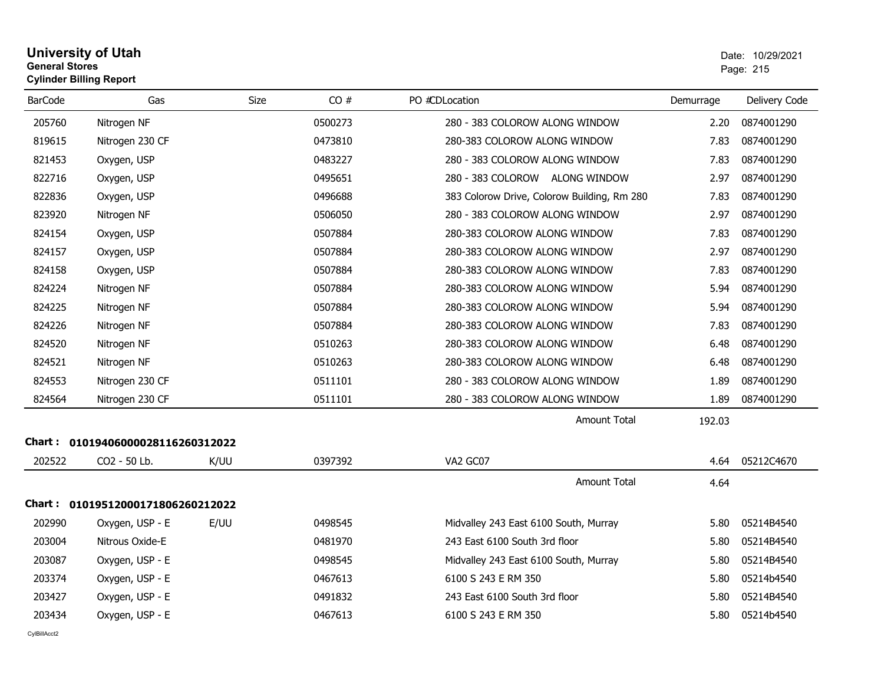| <b>University of Utah</b>      | Date: 10/2 |
|--------------------------------|------------|
| <b>General Stores</b>          | Page: 215  |
| <b>Cylinder Billing Report</b> |            |

| <b>BarCode</b> | Gas                        | <b>Size</b> | CO#     | PO #CDLocation                              | Demurrage | Delivery Code |
|----------------|----------------------------|-------------|---------|---------------------------------------------|-----------|---------------|
| 205760         | Nitrogen NF                |             | 0500273 | 280 - 383 COLOROW ALONG WINDOW              | 2.20      | 0874001290    |
| 819615         | Nitrogen 230 CF            |             | 0473810 | 280-383 COLOROW ALONG WINDOW                | 7.83      | 0874001290    |
| 821453         | Oxygen, USP                |             | 0483227 | 280 - 383 COLOROW ALONG WINDOW              | 7.83      | 0874001290    |
| 822716         | Oxygen, USP                |             | 0495651 | 280 - 383 COLOROW ALONG WINDOW              | 2.97      | 0874001290    |
| 822836         | Oxygen, USP                |             | 0496688 | 383 Colorow Drive, Colorow Building, Rm 280 | 7.83      | 0874001290    |
| 823920         | Nitrogen NF                |             | 0506050 | 280 - 383 COLOROW ALONG WINDOW              | 2.97      | 0874001290    |
| 824154         | Oxygen, USP                |             | 0507884 | 280-383 COLOROW ALONG WINDOW                | 7.83      | 0874001290    |
| 824157         | Oxygen, USP                |             | 0507884 | 280-383 COLOROW ALONG WINDOW                | 2.97      | 0874001290    |
| 824158         | Oxygen, USP                |             | 0507884 | 280-383 COLOROW ALONG WINDOW                | 7.83      | 0874001290    |
| 824224         | Nitrogen NF                |             | 0507884 | 280-383 COLOROW ALONG WINDOW                | 5.94      | 0874001290    |
| 824225         | Nitrogen NF                |             | 0507884 | 280-383 COLOROW ALONG WINDOW                | 5.94      | 0874001290    |
| 824226         | Nitrogen NF                |             | 0507884 | 280-383 COLOROW ALONG WINDOW                | 7.83      | 0874001290    |
| 824520         | Nitrogen NF                |             | 0510263 | 280-383 COLOROW ALONG WINDOW                | 6.48      | 0874001290    |
| 824521         | Nitrogen NF                |             | 0510263 | 280-383 COLOROW ALONG WINDOW                | 6.48      | 0874001290    |
| 824553         | Nitrogen 230 CF            |             | 0511101 | 280 - 383 COLOROW ALONG WINDOW              | 1.89      | 0874001290    |
| 824564         | Nitrogen 230 CF            |             | 0511101 | 280 - 383 COLOROW ALONG WINDOW              | 1.89      | 0874001290    |
|                |                            |             |         | <b>Amount Total</b>                         | 192.03    |               |
| Chart :        | 01019406000028116260312022 |             |         |                                             |           |               |
| 202522         | CO2 - 50 Lb.               | K/UU        | 0397392 | VA2 GC07                                    | 4.64      | 05212C4670    |
|                |                            |             |         | <b>Amount Total</b>                         | 4.64      |               |
| Chart : _      | 01019512000171806260212022 |             |         |                                             |           |               |
| 202990         | Oxygen, USP - E            | E/UU        | 0498545 | Midvalley 243 East 6100 South, Murray       | 5.80      | 05214B4540    |
| 203004         | Nitrous Oxide-E            |             | 0481970 | 243 East 6100 South 3rd floor               | 5.80      | 05214B4540    |
| 203087         | Oxygen, USP - E            |             | 0498545 | Midvalley 243 East 6100 South, Murray       | 5.80      | 05214B4540    |
| 203374         | Oxygen, USP - E            |             | 0467613 | 6100 S 243 E RM 350                         | 5.80      | 05214b4540    |
| 203427         | Oxygen, USP - E            |             | 0491832 | 243 East 6100 South 3rd floor               | 5.80      | 05214B4540    |
| 203434         | Oxygen, USP - E            |             | 0467613 | 6100 S 243 E RM 350                         | 5.80      | 05214b4540    |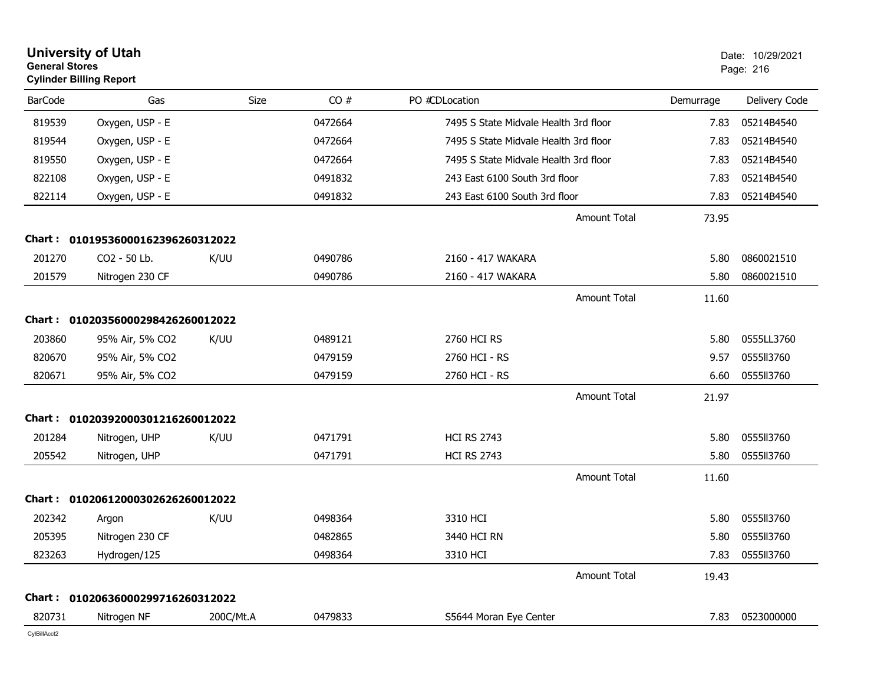| <b>General Stores</b> | <b>University of Utah</b><br><b>Cylinder Billing Report</b> |             |         |                                       |                     |           | Date: 10/29/2021<br>Page: 216 |
|-----------------------|-------------------------------------------------------------|-------------|---------|---------------------------------------|---------------------|-----------|-------------------------------|
| <b>BarCode</b>        | Gas                                                         | <b>Size</b> | CO#     | PO #CDLocation                        |                     | Demurrage | Delivery Code                 |
| 819539                | Oxygen, USP - E                                             |             | 0472664 | 7495 S State Midvale Health 3rd floor |                     | 7.83      | 05214B4540                    |
| 819544                | Oxygen, USP - E                                             |             | 0472664 | 7495 S State Midvale Health 3rd floor |                     | 7.83      | 05214B4540                    |
| 819550                | Oxygen, USP - E                                             |             | 0472664 | 7495 S State Midvale Health 3rd floor |                     | 7.83      | 05214B4540                    |
| 822108                | Oxygen, USP - E                                             |             | 0491832 | 243 East 6100 South 3rd floor         |                     | 7.83      | 05214B4540                    |
| 822114                | Oxygen, USP - E                                             |             | 0491832 | 243 East 6100 South 3rd floor         |                     | 7.83      | 05214B4540                    |
|                       |                                                             |             |         |                                       | Amount Total        | 73.95     |                               |
|                       | Chart: 01019536000162396260312022                           |             |         |                                       |                     |           |                               |
| 201270                | CO2 - 50 Lb.                                                | K/UU        | 0490786 | 2160 - 417 WAKARA                     |                     | 5.80      | 0860021510                    |
| 201579                | Nitrogen 230 CF                                             |             | 0490786 | 2160 - 417 WAKARA                     |                     | 5.80      | 0860021510                    |
|                       |                                                             |             |         |                                       | Amount Total        | 11.60     |                               |
|                       | Chart: 01020356000298426260012022                           |             |         |                                       |                     |           |                               |
| 203860                | 95% Air, 5% CO2                                             | K/UU        | 0489121 | 2760 HCI RS                           |                     | 5.80      | 0555LL3760                    |
| 820670                | 95% Air, 5% CO2                                             |             | 0479159 | 2760 HCI - RS                         |                     | 9.57      | 055513760                     |
| 820671                | 95% Air, 5% CO2                                             |             | 0479159 | 2760 HCI - RS                         |                     | 6.60      | 0555113760                    |
|                       |                                                             |             |         |                                       | Amount Total        | 21.97     |                               |
|                       | Chart: 01020392000301216260012022                           |             |         |                                       |                     |           |                               |
| 201284                | Nitrogen, UHP                                               | K/UU        | 0471791 | <b>HCI RS 2743</b>                    |                     | 5.80      | 0555II3760                    |
| 205542                | Nitrogen, UHP                                               |             | 0471791 | <b>HCI RS 2743</b>                    |                     | 5.80      | 0555113760                    |
|                       |                                                             |             |         |                                       | <b>Amount Total</b> | 11.60     |                               |
| Chart :               | 01020612000302626260012022                                  |             |         |                                       |                     |           |                               |
| 202342                | Argon                                                       | K/UU        | 0498364 | 3310 HCI                              |                     | 5.80      | 0555113760                    |
| 205395                | Nitrogen 230 CF                                             |             | 0482865 | 3440 HCI RN                           |                     | 5.80      | 0555113760                    |
| 823263                | Hydrogen/125                                                |             | 0498364 | 3310 HCI                              |                     | 7.83      | 0555113760                    |
|                       |                                                             |             |         |                                       | <b>Amount Total</b> | 19.43     |                               |
|                       | Chart: 01020636000299716260312022                           |             |         |                                       |                     |           |                               |
| 820731                | Nitrogen NF                                                 | 200C/Mt.A   | 0479833 | S5644 Moran Eye Center                |                     | 7.83      | 0523000000                    |
|                       |                                                             |             |         |                                       |                     |           |                               |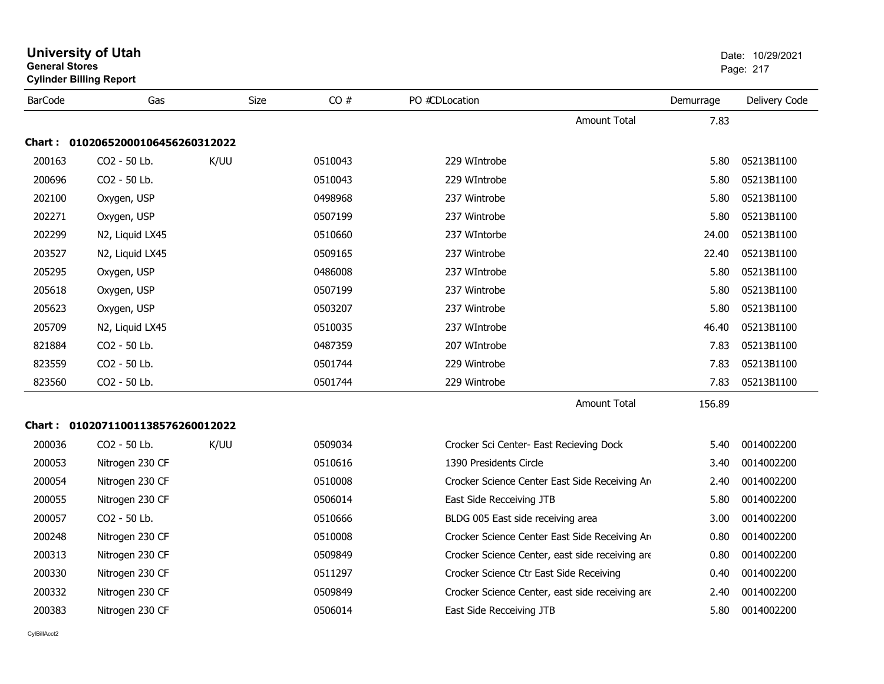| <b>General Stores</b> | <b>Cylinder Billing Report</b>    |             |         |                                                 |           | Page: 217     |
|-----------------------|-----------------------------------|-------------|---------|-------------------------------------------------|-----------|---------------|
| <b>BarCode</b>        | Gas                               | <b>Size</b> | CO#     | PO #CDLocation                                  | Demurrage | Delivery Code |
|                       |                                   |             |         | Amount Total                                    | 7.83      |               |
|                       | Chart: 01020652000106456260312022 |             |         |                                                 |           |               |
| 200163                | CO2 - 50 Lb.                      | K/UU        | 0510043 | 229 WIntrobe                                    | 5.80      | 05213B1100    |
| 200696                | CO <sub>2</sub> - 50 Lb.          |             | 0510043 | 229 WIntrobe                                    | 5.80      | 05213B1100    |
| 202100                | Oxygen, USP                       |             | 0498968 | 237 Wintrobe                                    | 5.80      | 05213B1100    |
| 202271                | Oxygen, USP                       |             | 0507199 | 237 Wintrobe                                    | 5.80      | 05213B1100    |
| 202299                | N2, Liquid LX45                   |             | 0510660 | 237 WIntorbe                                    | 24.00     | 05213B1100    |
| 203527                | N2, Liquid LX45                   |             | 0509165 | 237 Wintrobe                                    | 22.40     | 05213B1100    |
| 205295                | Oxygen, USP                       |             | 0486008 | 237 WIntrobe                                    | 5.80      | 05213B1100    |
| 205618                | Oxygen, USP                       |             | 0507199 | 237 Wintrobe                                    | 5.80      | 05213B1100    |
| 205623                | Oxygen, USP                       |             | 0503207 | 237 Wintrobe                                    | 5.80      | 05213B1100    |
| 205709                | N2, Liquid LX45                   |             | 0510035 | 237 WIntrobe                                    | 46.40     | 05213B1100    |
| 821884                | CO2 - 50 Lb.                      |             | 0487359 | 207 WIntrobe                                    | 7.83      | 05213B1100    |
| 823559                | CO2 - 50 Lb.                      |             | 0501744 | 229 Wintrobe                                    | 7.83      | 05213B1100    |
| 823560                | CO2 - 50 Lb.                      |             | 0501744 | 229 Wintrobe                                    | 7.83      | 05213B1100    |
|                       |                                   |             |         | <b>Amount Total</b>                             | 156.89    |               |
|                       | Chart: 01020711001138576260012022 |             |         |                                                 |           |               |
| 200036                | CO <sub>2</sub> - 50 Lb.          | K/UU        | 0509034 | Crocker Sci Center- East Recieving Dock         | 5.40      | 0014002200    |
| 200053                | Nitrogen 230 CF                   |             | 0510616 | 1390 Presidents Circle                          | 3.40      | 0014002200    |
| 200054                | Nitrogen 230 CF                   |             | 0510008 | Crocker Science Center East Side Receiving Arm  | 2.40      | 0014002200    |
| 200055                | Nitrogen 230 CF                   |             | 0506014 | East Side Recceiving JTB                        | 5.80      | 0014002200    |
| 200057                | CO <sub>2</sub> - 50 Lb.          |             | 0510666 | BLDG 005 East side receiving area               | 3.00      | 0014002200    |
| 200248                | Nitrogen 230 CF                   |             | 0510008 | Crocker Science Center East Side Receiving Arm  | 0.80      | 0014002200    |
| 200313                | Nitrogen 230 CF                   |             | 0509849 | Crocker Science Center, east side receiving are | 0.80      | 0014002200    |
| 200330                | Nitrogen 230 CF                   |             | 0511297 | Crocker Science Ctr East Side Receiving         | 0.40      | 0014002200    |
| 200332                | Nitrogen 230 CF                   |             | 0509849 | Crocker Science Center, east side receiving are | 2.40      | 0014002200    |
| 200383                | Nitrogen 230 CF                   |             | 0506014 | East Side Recceiving JTB                        | 5.80      | 0014002200    |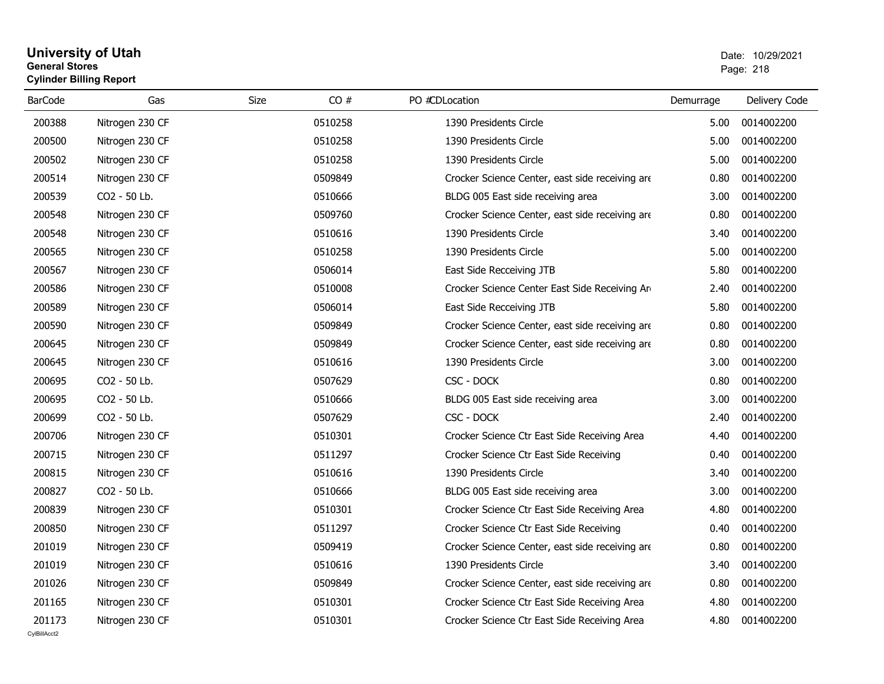## **University of Utah** Date: 10/29/2021 **General Stores**s and the contract of the contract of the contract of the contract of the contract of the contract of the contract of the contract of the contract of the contract of the contract of the contract of the contract of the cont **Cylinder Billing Report**

| <b>BarCode</b> | Gas             | Size    | CO# | PO #CDLocation                                  | Demurrage | Delivery Code |
|----------------|-----------------|---------|-----|-------------------------------------------------|-----------|---------------|
| 200388         | Nitrogen 230 CF | 0510258 |     | 1390 Presidents Circle                          | 5.00      | 0014002200    |
| 200500         | Nitrogen 230 CF | 0510258 |     | 1390 Presidents Circle                          | 5.00      | 0014002200    |
| 200502         | Nitrogen 230 CF | 0510258 |     | 1390 Presidents Circle                          | 5.00      | 0014002200    |
| 200514         | Nitrogen 230 CF | 0509849 |     | Crocker Science Center, east side receiving are | 0.80      | 0014002200    |
| 200539         | CO2 - 50 Lb.    | 0510666 |     | BLDG 005 East side receiving area               | 3.00      | 0014002200    |
| 200548         | Nitrogen 230 CF | 0509760 |     | Crocker Science Center, east side receiving are | 0.80      | 0014002200    |
| 200548         | Nitrogen 230 CF | 0510616 |     | 1390 Presidents Circle                          | 3.40      | 0014002200    |
| 200565         | Nitrogen 230 CF | 0510258 |     | 1390 Presidents Circle                          | 5.00      | 0014002200    |
| 200567         | Nitrogen 230 CF | 0506014 |     | East Side Recceiving JTB                        | 5.80      | 0014002200    |
| 200586         | Nitrogen 230 CF | 0510008 |     | Crocker Science Center East Side Receiving Arm  | 2.40      | 0014002200    |
| 200589         | Nitrogen 230 CF | 0506014 |     | East Side Recceiving JTB                        | 5.80      | 0014002200    |
| 200590         | Nitrogen 230 CF | 0509849 |     | Crocker Science Center, east side receiving are | 0.80      | 0014002200    |
| 200645         | Nitrogen 230 CF | 0509849 |     | Crocker Science Center, east side receiving are | 0.80      | 0014002200    |
| 200645         | Nitrogen 230 CF | 0510616 |     | 1390 Presidents Circle                          | 3.00      | 0014002200    |
| 200695         | CO2 - 50 Lb.    | 0507629 |     | CSC - DOCK                                      | 0.80      | 0014002200    |
| 200695         | CO2 - 50 Lb.    | 0510666 |     | BLDG 005 East side receiving area               | 3.00      | 0014002200    |
| 200699         | CO2 - 50 Lb.    | 0507629 |     | CSC - DOCK                                      | 2.40      | 0014002200    |
| 200706         | Nitrogen 230 CF | 0510301 |     | Crocker Science Ctr East Side Receiving Area    | 4.40      | 0014002200    |
| 200715         | Nitrogen 230 CF | 0511297 |     | Crocker Science Ctr East Side Receiving         | 0.40      | 0014002200    |
| 200815         | Nitrogen 230 CF | 0510616 |     | 1390 Presidents Circle                          | 3.40      | 0014002200    |
| 200827         | CO2 - 50 Lb.    | 0510666 |     | BLDG 005 East side receiving area               | 3.00      | 0014002200    |
| 200839         | Nitrogen 230 CF | 0510301 |     | Crocker Science Ctr East Side Receiving Area    | 4.80      | 0014002200    |
| 200850         | Nitrogen 230 CF | 0511297 |     | Crocker Science Ctr East Side Receiving         | 0.40      | 0014002200    |
| 201019         | Nitrogen 230 CF | 0509419 |     | Crocker Science Center, east side receiving are | 0.80      | 0014002200    |
| 201019         | Nitrogen 230 CF | 0510616 |     | 1390 Presidents Circle                          | 3.40      | 0014002200    |
| 201026         | Nitrogen 230 CF | 0509849 |     | Crocker Science Center, east side receiving are | 0.80      | 0014002200    |
| 201165         | Nitrogen 230 CF | 0510301 |     | Crocker Science Ctr East Side Receiving Area    | 4.80      | 0014002200    |
| 201173         | Nitrogen 230 CF | 0510301 |     | Crocker Science Ctr East Side Receiving Area    | 4.80      | 0014002200    |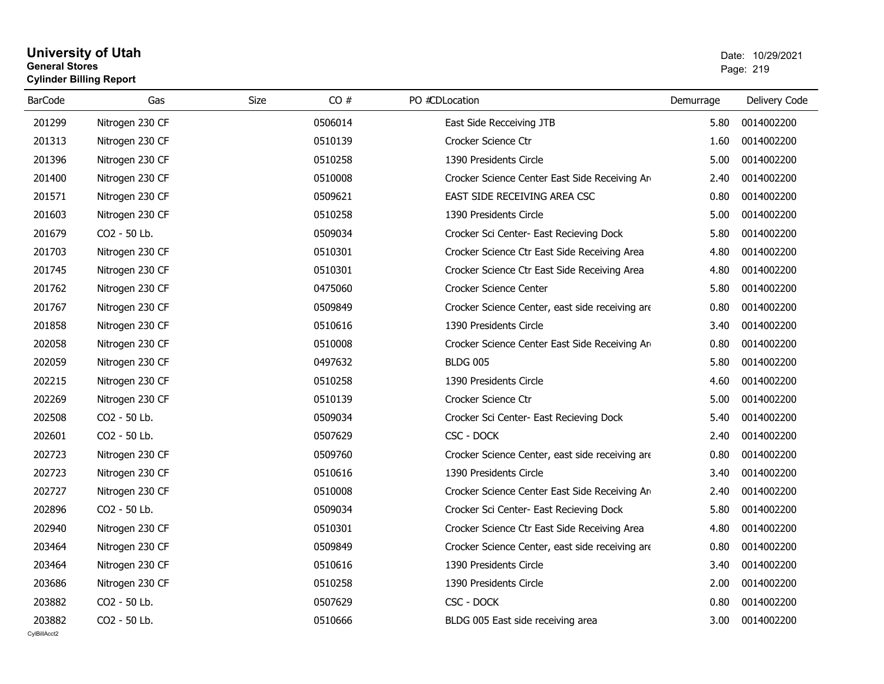## **University of Utah** Date: 10/29/2021 **General Stores**end and the state of the state of the state of the state of the state of the state of the state of the state of the state of the state of the state of the state of the state of the state of the state of the state of the st **Cylinder Billing Report**

| <b>BarCode</b> | Gas             | Size<br>CO# | PO #CDLocation                                  | Demurrage | Delivery Code |
|----------------|-----------------|-------------|-------------------------------------------------|-----------|---------------|
| 201299         | Nitrogen 230 CF | 0506014     | East Side Recceiving JTB                        | 5.80      | 0014002200    |
| 201313         | Nitrogen 230 CF | 0510139     | Crocker Science Ctr                             | 1.60      | 0014002200    |
| 201396         | Nitrogen 230 CF | 0510258     | 1390 Presidents Circle                          | 5.00      | 0014002200    |
| 201400         | Nitrogen 230 CF | 0510008     | Crocker Science Center East Side Receiving Arm  | 2.40      | 0014002200    |
| 201571         | Nitrogen 230 CF | 0509621     | EAST SIDE RECEIVING AREA CSC                    | 0.80      | 0014002200    |
| 201603         | Nitrogen 230 CF | 0510258     | 1390 Presidents Circle                          | 5.00      | 0014002200    |
| 201679         | CO2 - 50 Lb.    | 0509034     | Crocker Sci Center- East Recieving Dock         | 5.80      | 0014002200    |
| 201703         | Nitrogen 230 CF | 0510301     | Crocker Science Ctr East Side Receiving Area    | 4.80      | 0014002200    |
| 201745         | Nitrogen 230 CF | 0510301     | Crocker Science Ctr East Side Receiving Area    | 4.80      | 0014002200    |
| 201762         | Nitrogen 230 CF | 0475060     | Crocker Science Center                          | 5.80      | 0014002200    |
| 201767         | Nitrogen 230 CF | 0509849     | Crocker Science Center, east side receiving are | 0.80      | 0014002200    |
| 201858         | Nitrogen 230 CF | 0510616     | 1390 Presidents Circle                          | 3.40      | 0014002200    |
| 202058         | Nitrogen 230 CF | 0510008     | Crocker Science Center East Side Receiving Arm  | 0.80      | 0014002200    |
| 202059         | Nitrogen 230 CF | 0497632     | <b>BLDG 005</b>                                 | 5.80      | 0014002200    |
| 202215         | Nitrogen 230 CF | 0510258     | 1390 Presidents Circle                          | 4.60      | 0014002200    |
| 202269         | Nitrogen 230 CF | 0510139     | Crocker Science Ctr                             | 5.00      | 0014002200    |
| 202508         | CO2 - 50 Lb.    | 0509034     | Crocker Sci Center- East Recieving Dock         | 5.40      | 0014002200    |
| 202601         | CO2 - 50 Lb.    | 0507629     | CSC - DOCK                                      | 2.40      | 0014002200    |
| 202723         | Nitrogen 230 CF | 0509760     | Crocker Science Center, east side receiving are | 0.80      | 0014002200    |
| 202723         | Nitrogen 230 CF | 0510616     | 1390 Presidents Circle                          | 3.40      | 0014002200    |
| 202727         | Nitrogen 230 CF | 0510008     | Crocker Science Center East Side Receiving Arm  | 2.40      | 0014002200    |
| 202896         | CO2 - 50 Lb.    | 0509034     | Crocker Sci Center- East Recieving Dock         | 5.80      | 0014002200    |
| 202940         | Nitrogen 230 CF | 0510301     | Crocker Science Ctr East Side Receiving Area    | 4.80      | 0014002200    |
| 203464         | Nitrogen 230 CF | 0509849     | Crocker Science Center, east side receiving are | 0.80      | 0014002200    |
| 203464         | Nitrogen 230 CF | 0510616     | 1390 Presidents Circle                          | 3.40      | 0014002200    |
| 203686         | Nitrogen 230 CF | 0510258     | 1390 Presidents Circle                          | 2.00      | 0014002200    |
| 203882         | CO2 - 50 Lb.    | 0507629     | CSC - DOCK                                      | 0.80      | 0014002200    |
| 203882         | CO2 - 50 Lb.    | 0510666     | BLDG 005 East side receiving area               | 3.00      | 0014002200    |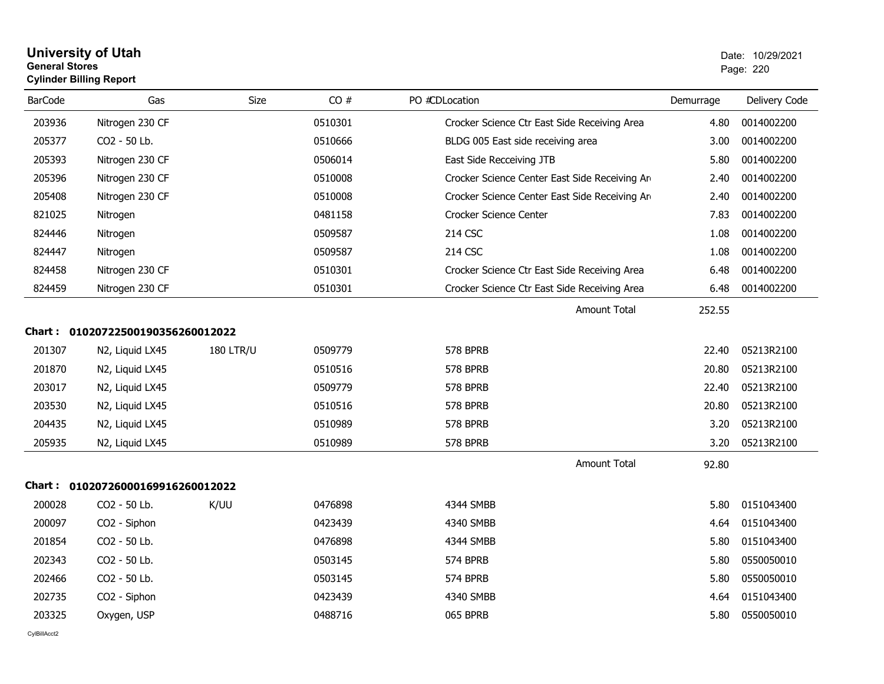## **University of Utah** Date: 10/29/2021 **General Stores**er and the state of the state of the state of the state of the state of the state of the state of the state of the state of the state of the state of the state of the state of the state of the state of the state of the sta **Cylinder Billing Report**

| <b>BarCode</b> | Gas                               | <b>Size</b>      | CO#     | PO #CDLocation                                 | Demurrage | Delivery Code |
|----------------|-----------------------------------|------------------|---------|------------------------------------------------|-----------|---------------|
| 203936         | Nitrogen 230 CF                   |                  | 0510301 | Crocker Science Ctr East Side Receiving Area   | 4.80      | 0014002200    |
| 205377         | CO2 - 50 Lb.                      |                  | 0510666 | BLDG 005 East side receiving area              | 3.00      | 0014002200    |
| 205393         | Nitrogen 230 CF                   |                  | 0506014 | East Side Recceiving JTB                       | 5.80      | 0014002200    |
| 205396         | Nitrogen 230 CF                   |                  | 0510008 | Crocker Science Center East Side Receiving Are | 2.40      | 0014002200    |
| 205408         | Nitrogen 230 CF                   |                  | 0510008 | Crocker Science Center East Side Receiving Arm | 2.40      | 0014002200    |
| 821025         | Nitrogen                          |                  | 0481158 | Crocker Science Center                         | 7.83      | 0014002200    |
| 824446         | Nitrogen                          |                  | 0509587 | 214 CSC                                        | 1.08      | 0014002200    |
| 824447         | Nitrogen                          |                  | 0509587 | 214 CSC                                        | 1.08      | 0014002200    |
| 824458         | Nitrogen 230 CF                   |                  | 0510301 | Crocker Science Ctr East Side Receiving Area   | 6.48      | 0014002200    |
| 824459         | Nitrogen 230 CF                   |                  | 0510301 | Crocker Science Ctr East Side Receiving Area   | 6.48      | 0014002200    |
|                |                                   |                  |         | Amount Total                                   | 252.55    |               |
|                | Chart: 01020722500190356260012022 |                  |         |                                                |           |               |
| 201307         | N2, Liquid LX45                   | <b>180 LTR/U</b> | 0509779 | <b>578 BPRB</b>                                | 22.40     | 05213R2100    |
| 201870         | N2, Liquid LX45                   |                  | 0510516 | <b>578 BPRB</b>                                | 20.80     | 05213R2100    |
| 203017         | N2, Liquid LX45                   |                  | 0509779 | <b>578 BPRB</b>                                | 22.40     | 05213R2100    |
| 203530         | N2, Liquid LX45                   |                  | 0510516 | 578 BPRB                                       | 20.80     | 05213R2100    |
| 204435         | N2, Liquid LX45                   |                  | 0510989 | 578 BPRB                                       | 3.20      | 05213R2100    |
| 205935         | N2, Liquid LX45                   |                  | 0510989 | 578 BPRB                                       | 3.20      | 05213R2100    |
|                |                                   |                  |         | <b>Amount Total</b>                            | 92.80     |               |
|                | Chart: 01020726000169916260012022 |                  |         |                                                |           |               |
| 200028         | CO2 - 50 Lb.                      | K/UU             | 0476898 | 4344 SMBB                                      | 5.80      | 0151043400    |
| 200097         | CO2 - Siphon                      |                  | 0423439 | 4340 SMBB                                      | 4.64      | 0151043400    |
| 201854         | CO2 - 50 Lb.                      |                  | 0476898 | 4344 SMBB                                      | 5.80      | 0151043400    |
| 202343         | CO2 - 50 Lb.                      |                  | 0503145 | 574 BPRB                                       | 5.80      | 0550050010    |
| 202466         | CO2 - 50 Lb.                      |                  | 0503145 | 574 BPRB                                       | 5.80      | 0550050010    |
| 202735         | CO2 - Siphon                      |                  | 0423439 | 4340 SMBB                                      | 4.64      | 0151043400    |
| 203325         | Oxygen, USP                       |                  | 0488716 | 065 BPRB                                       | 5.80      | 0550050010    |
|                |                                   |                  |         |                                                |           |               |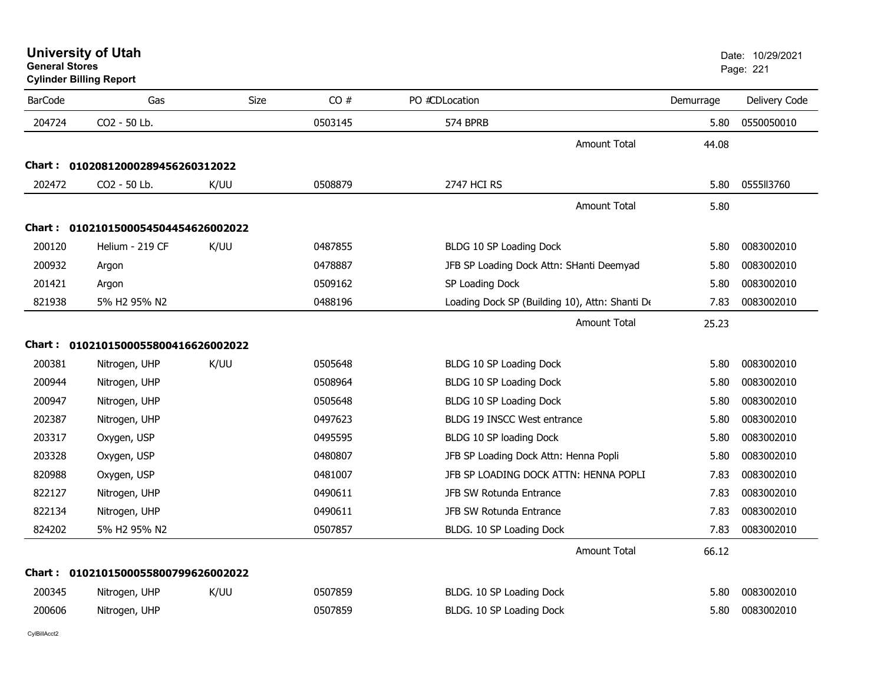**Cylinder Billing Report**

| <b>BarCode</b> | Gas                                 | Size | CO#     | PO #CDLocation                                 | Demurrage | Delivery Code |
|----------------|-------------------------------------|------|---------|------------------------------------------------|-----------|---------------|
| 204724         | CO2 - 50 Lb.                        |      | 0503145 | 574 BPRB                                       | 5.80      | 0550050010    |
|                |                                     |      |         | <b>Amount Total</b>                            | 44.08     |               |
|                | Chart: 01020812000289456260312022   |      |         |                                                |           |               |
| 202472         | CO2 - 50 Lb.                        | K/UU | 0508879 | <b>2747 HCI RS</b>                             | 5.80      | 0555113760    |
|                |                                     |      |         | Amount Total                                   | 5.80      |               |
|                | Chart: 0102101500054504454626002022 |      |         |                                                |           |               |
| 200120         | Helium - 219 CF                     | K/UU | 0487855 | BLDG 10 SP Loading Dock                        | 5.80      | 0083002010    |
| 200932         | Argon                               |      | 0478887 | JFB SP Loading Dock Attn: SHanti Deemyad       | 5.80      | 0083002010    |
| 201421         | Argon                               |      | 0509162 | SP Loading Dock                                | 5.80      | 0083002010    |
| 821938         | 5% H2 95% N2                        |      | 0488196 | Loading Dock SP (Building 10), Attn: Shanti De | 7.83      | 0083002010    |
|                |                                     |      |         | <b>Amount Total</b>                            | 25.23     |               |
|                | Chart: 0102101500055800416626002022 |      |         |                                                |           |               |
| 200381         | Nitrogen, UHP                       | K/UU | 0505648 | BLDG 10 SP Loading Dock                        | 5.80      | 0083002010    |
| 200944         | Nitrogen, UHP                       |      | 0508964 | BLDG 10 SP Loading Dock                        | 5.80      | 0083002010    |
| 200947         | Nitrogen, UHP                       |      | 0505648 | BLDG 10 SP Loading Dock                        | 5.80      | 0083002010    |
| 202387         | Nitrogen, UHP                       |      | 0497623 | BLDG 19 INSCC West entrance                    | 5.80      | 0083002010    |
| 203317         | Oxygen, USP                         |      | 0495595 | BLDG 10 SP loading Dock                        | 5.80      | 0083002010    |
| 203328         | Oxygen, USP                         |      | 0480807 | JFB SP Loading Dock Attn: Henna Popli          | 5.80      | 0083002010    |
| 820988         | Oxygen, USP                         |      | 0481007 | JFB SP LOADING DOCK ATTN: HENNA POPLI          | 7.83      | 0083002010    |
| 822127         | Nitrogen, UHP                       |      | 0490611 | JFB SW Rotunda Entrance                        | 7.83      | 0083002010    |
| 822134         | Nitrogen, UHP                       |      | 0490611 | JFB SW Rotunda Entrance                        | 7.83      | 0083002010    |
| 824202         | 5% H2 95% N2                        |      | 0507857 | BLDG. 10 SP Loading Dock                       | 7.83      | 0083002010    |
|                |                                     |      |         | <b>Amount Total</b>                            | 66.12     |               |
|                | Chart: 0102101500055800799626002022 |      |         |                                                |           |               |
| 200345         | Nitrogen, UHP                       | K/UU | 0507859 | BLDG. 10 SP Loading Dock                       | 5.80      | 0083002010    |
| 200606         | Nitrogen, UHP                       |      | 0507859 | BLDG. 10 SP Loading Dock                       | 5.80      | 0083002010    |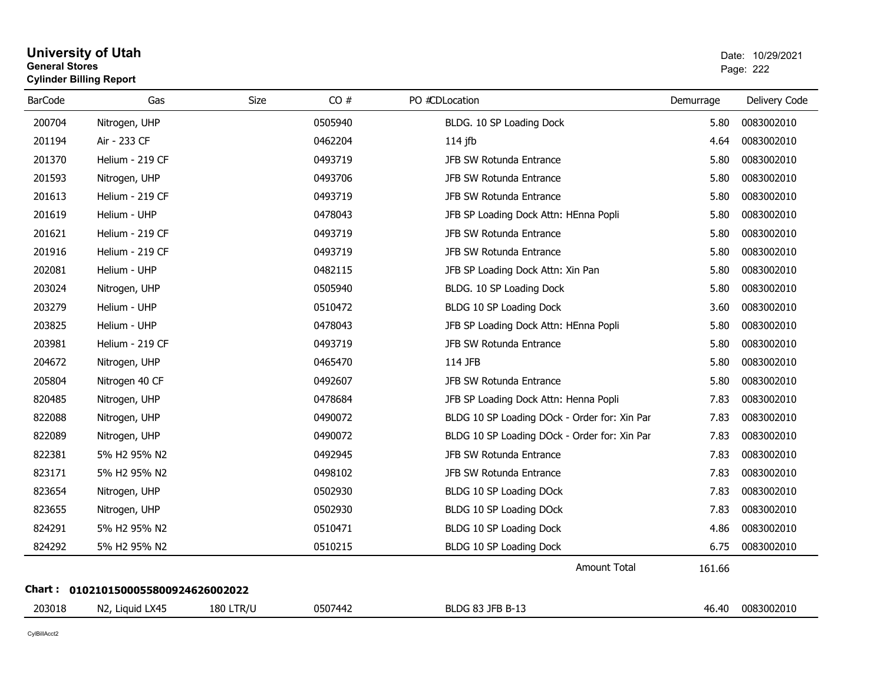## **University of Utah** Date: 10/29/2021 **General Stores**estate the control of the control of the control of the control of the control of the control of the control of the control of the control of the control of the control of the control of the control of the control of the c **Cylinder Billing Report**

| <b>BarCode</b> | Gas                                 | Size             | CO#     | PO #CDLocation                               | Demurrage | Delivery Code |
|----------------|-------------------------------------|------------------|---------|----------------------------------------------|-----------|---------------|
| 200704         | Nitrogen, UHP                       |                  | 0505940 | BLDG. 10 SP Loading Dock                     | 5.80      | 0083002010    |
| 201194         | Air - 233 CF                        |                  | 0462204 | $114$ jfb                                    | 4.64      | 0083002010    |
| 201370         | Helium - 219 CF                     |                  | 0493719 | JFB SW Rotunda Entrance                      | 5.80      | 0083002010    |
| 201593         | Nitrogen, UHP                       |                  | 0493706 | JFB SW Rotunda Entrance                      | 5.80      | 0083002010    |
| 201613         | Helium - 219 CF                     |                  | 0493719 | JFB SW Rotunda Entrance                      | 5.80      | 0083002010    |
| 201619         | Helium - UHP                        |                  | 0478043 | JFB SP Loading Dock Attn: HEnna Popli        | 5.80      | 0083002010    |
| 201621         | Helium - 219 CF                     |                  | 0493719 | JFB SW Rotunda Entrance                      | 5.80      | 0083002010    |
| 201916         | Helium - 219 CF                     |                  | 0493719 | JFB SW Rotunda Entrance                      | 5.80      | 0083002010    |
| 202081         | Helium - UHP                        |                  | 0482115 | JFB SP Loading Dock Attn: Xin Pan            | 5.80      | 0083002010    |
| 203024         | Nitrogen, UHP                       |                  | 0505940 | BLDG. 10 SP Loading Dock                     | 5.80      | 0083002010    |
| 203279         | Helium - UHP                        |                  | 0510472 | BLDG 10 SP Loading Dock                      | 3.60      | 0083002010    |
| 203825         | Helium - UHP                        |                  | 0478043 | JFB SP Loading Dock Attn: HEnna Popli        | 5.80      | 0083002010    |
| 203981         | Helium - 219 CF                     |                  | 0493719 | JFB SW Rotunda Entrance                      | 5.80      | 0083002010    |
| 204672         | Nitrogen, UHP                       |                  | 0465470 | 114 JFB                                      | 5.80      | 0083002010    |
| 205804         | Nitrogen 40 CF                      |                  | 0492607 | JFB SW Rotunda Entrance                      | 5.80      | 0083002010    |
| 820485         | Nitrogen, UHP                       |                  | 0478684 | JFB SP Loading Dock Attn: Henna Popli        | 7.83      | 0083002010    |
| 822088         | Nitrogen, UHP                       |                  | 0490072 | BLDG 10 SP Loading DOck - Order for: Xin Par | 7.83      | 0083002010    |
| 822089         | Nitrogen, UHP                       |                  | 0490072 | BLDG 10 SP Loading DOck - Order for: Xin Par | 7.83      | 0083002010    |
| 822381         | 5% H2 95% N2                        |                  | 0492945 | JFB SW Rotunda Entrance                      | 7.83      | 0083002010    |
| 823171         | 5% H2 95% N2                        |                  | 0498102 | JFB SW Rotunda Entrance                      | 7.83      | 0083002010    |
| 823654         | Nitrogen, UHP                       |                  | 0502930 | BLDG 10 SP Loading DOck                      | 7.83      | 0083002010    |
| 823655         | Nitrogen, UHP                       |                  | 0502930 | BLDG 10 SP Loading DOck                      | 7.83      | 0083002010    |
| 824291         | 5% H2 95% N2                        |                  | 0510471 | BLDG 10 SP Loading Dock                      | 4.86      | 0083002010    |
| 824292         | 5% H2 95% N2                        |                  | 0510215 | BLDG 10 SP Loading Dock                      | 6.75      | 0083002010    |
|                |                                     |                  |         | <b>Amount Total</b>                          | 161.66    |               |
|                | Chart: 0102101500055800924626002022 |                  |         |                                              |           |               |
| 203018         | N2, Liquid LX45                     | <b>180 LTR/U</b> | 0507442 | <b>BLDG 83 JFB B-13</b>                      | 46.40     | 0083002010    |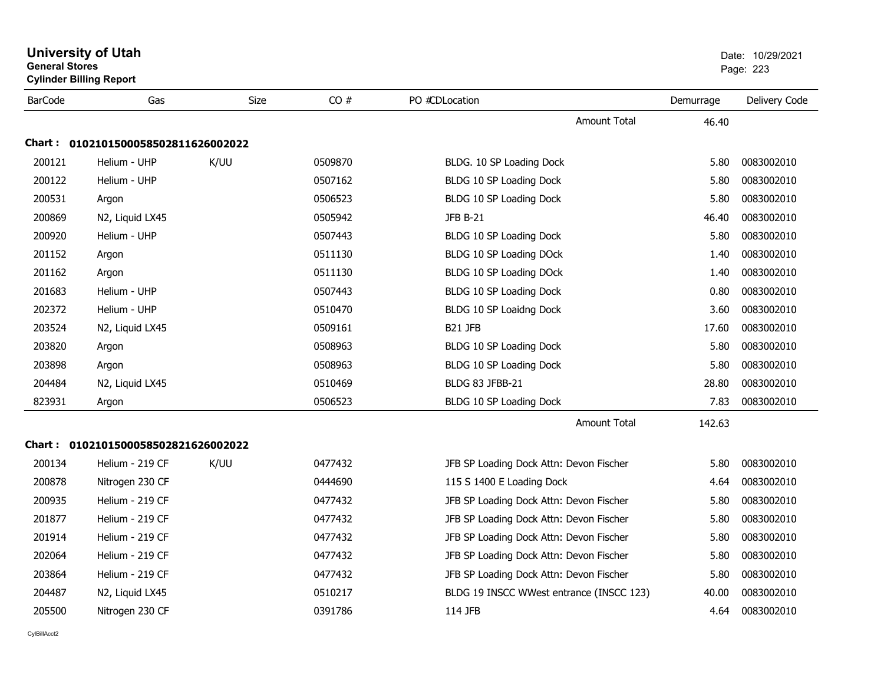| <b>University of Utah</b><br><b>General Stores</b><br><b>Cylinder Billing Report</b> |                                     |      |         |                                          |           | Date: 10/29/2021<br>Page: 223 |  |
|--------------------------------------------------------------------------------------|-------------------------------------|------|---------|------------------------------------------|-----------|-------------------------------|--|
| <b>BarCode</b>                                                                       | Gas                                 | Size | CO#     | PO #CDLocation                           | Demurrage | Delivery Code                 |  |
|                                                                                      |                                     |      |         | Amount Total                             | 46.40     |                               |  |
|                                                                                      | Chart: 0102101500058502811626002022 |      |         |                                          |           |                               |  |
| 200121                                                                               | Helium - UHP                        | K/UU | 0509870 | BLDG. 10 SP Loading Dock                 | 5.80      | 0083002010                    |  |
| 200122                                                                               | Helium - UHP                        |      | 0507162 | BLDG 10 SP Loading Dock                  | 5.80      | 0083002010                    |  |
| 200531                                                                               | Argon                               |      | 0506523 | BLDG 10 SP Loading Dock                  | 5.80      | 0083002010                    |  |
| 200869                                                                               | N2, Liquid LX45                     |      | 0505942 | <b>JFB B-21</b>                          | 46.40     | 0083002010                    |  |
| 200920                                                                               | Helium - UHP                        |      | 0507443 | BLDG 10 SP Loading Dock                  | 5.80      | 0083002010                    |  |
| 201152                                                                               | Argon                               |      | 0511130 | BLDG 10 SP Loading DOck                  | 1.40      | 0083002010                    |  |
| 201162                                                                               | Argon                               |      | 0511130 | BLDG 10 SP Loading DOck                  | 1.40      | 0083002010                    |  |
| 201683                                                                               | Helium - UHP                        |      | 0507443 | BLDG 10 SP Loading Dock                  | 0.80      | 0083002010                    |  |
| 202372                                                                               | Helium - UHP                        |      | 0510470 | BLDG 10 SP Loaidng Dock                  | 3.60      | 0083002010                    |  |
| 203524                                                                               | N2, Liquid LX45                     |      | 0509161 | B <sub>21</sub> JFB                      | 17.60     | 0083002010                    |  |
| 203820                                                                               | Argon                               |      | 0508963 | BLDG 10 SP Loading Dock                  | 5.80      | 0083002010                    |  |
| 203898                                                                               | Argon                               |      | 0508963 | BLDG 10 SP Loading Dock                  | 5.80      | 0083002010                    |  |
| 204484                                                                               | N2, Liquid LX45                     |      | 0510469 | BLDG 83 JFBB-21                          | 28.80     | 0083002010                    |  |
| 823931                                                                               | Argon                               |      | 0506523 | BLDG 10 SP Loading Dock                  | 7.83      | 0083002010                    |  |
|                                                                                      |                                     |      |         | Amount Total                             | 142.63    |                               |  |
|                                                                                      | Chart: 0102101500058502821626002022 |      |         |                                          |           |                               |  |
| 200134                                                                               | Helium - 219 CF                     | K/UU | 0477432 | JFB SP Loading Dock Attn: Devon Fischer  | 5.80      | 0083002010                    |  |
| 200878                                                                               | Nitrogen 230 CF                     |      | 0444690 | 115 S 1400 E Loading Dock                | 4.64      | 0083002010                    |  |
| 200935                                                                               | Helium - 219 CF                     |      | 0477432 | JFB SP Loading Dock Attn: Devon Fischer  | 5.80      | 0083002010                    |  |
| 201877                                                                               | Helium - 219 CF                     |      | 0477432 | JFB SP Loading Dock Attn: Devon Fischer  | 5.80      | 0083002010                    |  |
| 201914                                                                               | Helium - 219 CF                     |      | 0477432 | JFB SP Loading Dock Attn: Devon Fischer  | 5.80      | 0083002010                    |  |
| 202064                                                                               | Helium - 219 CF                     |      | 0477432 | JFB SP Loading Dock Attn: Devon Fischer  | 5.80      | 0083002010                    |  |
| 203864                                                                               | Helium - 219 CF                     |      | 0477432 | JFB SP Loading Dock Attn: Devon Fischer  | 5.80      | 0083002010                    |  |
| 204487                                                                               | N2, Liquid LX45                     |      | 0510217 | BLDG 19 INSCC WWest entrance (INSCC 123) | 40.00     | 0083002010                    |  |
| 205500                                                                               | Nitrogen 230 CF                     |      | 0391786 | 114 JFB                                  | 4.64      | 0083002010                    |  |
|                                                                                      |                                     |      |         |                                          |           |                               |  |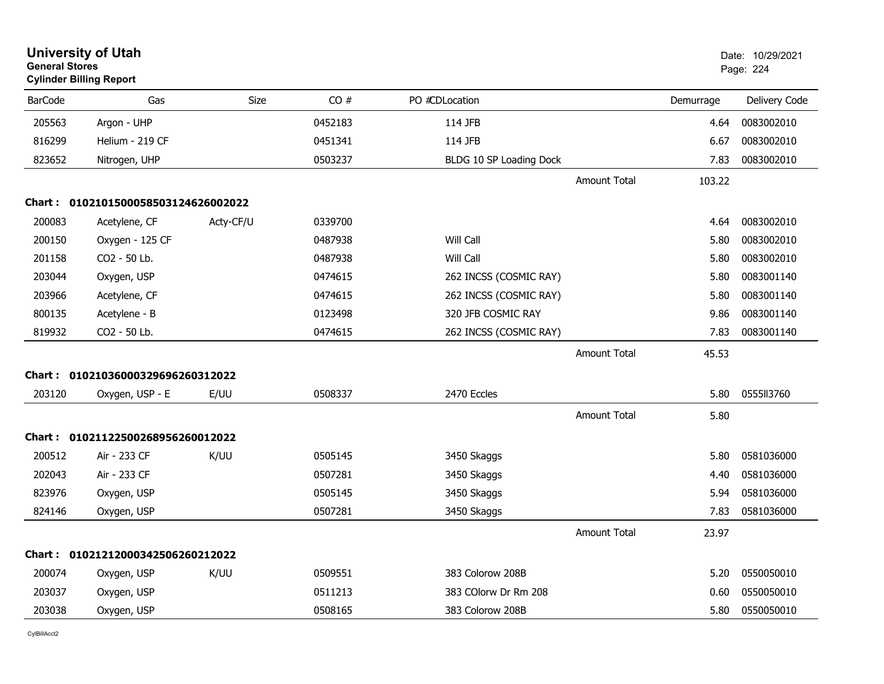|                | <b>University of Utah</b><br>Date: 10/29/2021<br><b>General Stores</b><br>Page: 224<br><b>Cylinder Billing Report</b> |           |         |                         |                     |           |               |
|----------------|-----------------------------------------------------------------------------------------------------------------------|-----------|---------|-------------------------|---------------------|-----------|---------------|
| <b>BarCode</b> | Gas                                                                                                                   | Size      | CO#     | PO #CDLocation          |                     | Demurrage | Delivery Code |
| 205563         | Argon - UHP                                                                                                           |           | 0452183 | 114 JFB                 |                     | 4.64      | 0083002010    |
| 816299         | Helium - 219 CF                                                                                                       |           | 0451341 | 114 JFB                 |                     | 6.67      | 0083002010    |
| 823652         | Nitrogen, UHP                                                                                                         |           | 0503237 | BLDG 10 SP Loading Dock |                     | 7.83      | 0083002010    |
|                |                                                                                                                       |           |         |                         | <b>Amount Total</b> | 103.22    |               |
| Chart :        | 0102101500058503124626002022                                                                                          |           |         |                         |                     |           |               |
| 200083         | Acetylene, CF                                                                                                         | Acty-CF/U | 0339700 |                         |                     | 4.64      | 0083002010    |
| 200150         | Oxygen - 125 CF                                                                                                       |           | 0487938 | Will Call               |                     | 5.80      | 0083002010    |
| 201158         | CO2 - 50 Lb.                                                                                                          |           | 0487938 | Will Call               |                     | 5.80      | 0083002010    |
| 203044         | Oxygen, USP                                                                                                           |           | 0474615 | 262 INCSS (COSMIC RAY)  |                     | 5.80      | 0083001140    |
| 203966         | Acetylene, CF                                                                                                         |           | 0474615 | 262 INCSS (COSMIC RAY)  |                     | 5.80      | 0083001140    |
| 800135         | Acetylene - B                                                                                                         |           | 0123498 | 320 JFB COSMIC RAY      |                     | 9.86      | 0083001140    |
| 819932         | CO2 - 50 Lb.                                                                                                          |           | 0474615 | 262 INCSS (COSMIC RAY)  |                     | 7.83      | 0083001140    |
|                |                                                                                                                       |           |         |                         | <b>Amount Total</b> | 45.53     |               |
| Chart :        | 01021036000329696260312022                                                                                            |           |         |                         |                     |           |               |
| 203120         | Oxygen, USP - E                                                                                                       | E/UU      | 0508337 | 2470 Eccles             |                     | 5.80      | 0555113760    |
|                |                                                                                                                       |           |         |                         | <b>Amount Total</b> | 5.80      |               |
|                | Chart: 01021122500268956260012022                                                                                     |           |         |                         |                     |           |               |
| 200512         | Air - 233 CF                                                                                                          | K/UU      | 0505145 | 3450 Skaggs             |                     | 5.80      | 0581036000    |
| 202043         | Air - 233 CF                                                                                                          |           | 0507281 | 3450 Skaggs             |                     | 4.40      | 0581036000    |
| 823976         | Oxygen, USP                                                                                                           |           | 0505145 | 3450 Skaggs             |                     | 5.94      | 0581036000    |
| 824146         | Oxygen, USP                                                                                                           |           | 0507281 | 3450 Skaggs             |                     | 7.83      | 0581036000    |
|                |                                                                                                                       |           |         |                         | <b>Amount Total</b> | 23.97     |               |
| Chart :        | 01021212000342506260212022                                                                                            |           |         |                         |                     |           |               |
| 200074         | Oxygen, USP                                                                                                           | K/UU      | 0509551 | 383 Colorow 208B        |                     | 5.20      | 0550050010    |
| 203037         | Oxygen, USP                                                                                                           |           | 0511213 | 383 COlorw Dr Rm 208    |                     | 0.60      | 0550050010    |
| 203038         | Oxygen, USP                                                                                                           |           | 0508165 | 383 Colorow 208B        |                     | 5.80      | 0550050010    |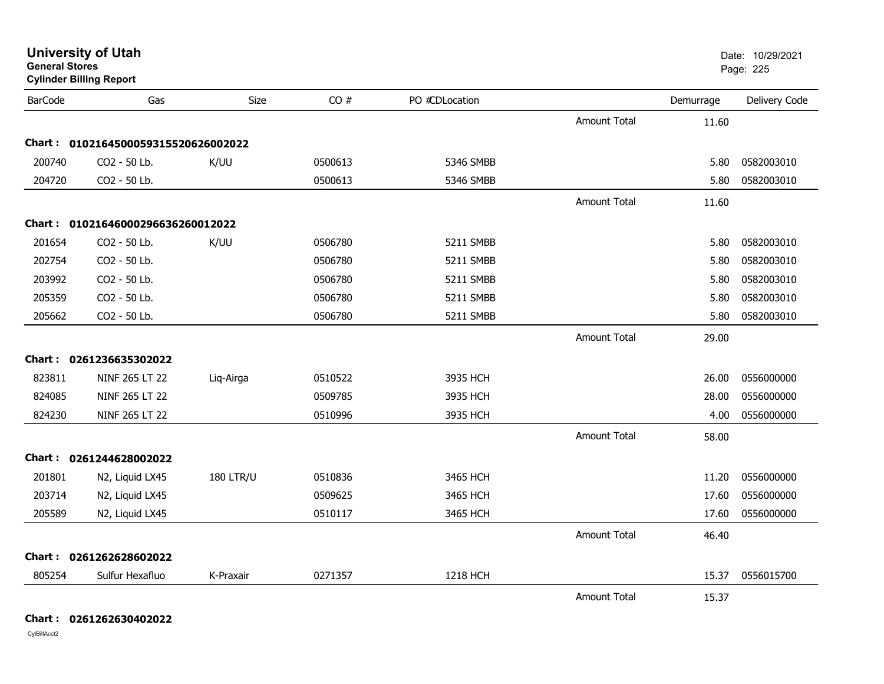|                | <b>Cylinder Billing Report</b>      |                  |         |                |                     |           |               |
|----------------|-------------------------------------|------------------|---------|----------------|---------------------|-----------|---------------|
| <b>BarCode</b> | Gas                                 | Size             | CO#     | PO #CDLocation |                     | Demurrage | Delivery Code |
|                |                                     |                  |         |                | <b>Amount Total</b> | 11.60     |               |
|                | Chart: 0102164500059315520626002022 |                  |         |                |                     |           |               |
| 200740         | CO2 - 50 Lb.                        | K/UU             | 0500613 | 5346 SMBB      |                     | 5.80      | 0582003010    |
| 204720         | CO2 - 50 Lb.                        |                  | 0500613 | 5346 SMBB      |                     | 5.80      | 0582003010    |
|                |                                     |                  |         |                | <b>Amount Total</b> | 11.60     |               |
| Chart :        | 01021646000296636260012022          |                  |         |                |                     |           |               |
| 201654         | CO2 - 50 Lb.                        | K/UU             | 0506780 | 5211 SMBB      |                     | 5.80      | 0582003010    |
| 202754         | CO2 - 50 Lb.                        |                  | 0506780 | 5211 SMBB      |                     | 5.80      | 0582003010    |
| 203992         | CO2 - 50 Lb.                        |                  | 0506780 | 5211 SMBB      |                     | 5.80      | 0582003010    |
| 205359         | CO2 - 50 Lb.                        |                  | 0506780 | 5211 SMBB      |                     | 5.80      | 0582003010    |
| 205662         | CO2 - 50 Lb.                        |                  | 0506780 | 5211 SMBB      |                     | 5.80      | 0582003010    |
|                |                                     |                  |         |                | <b>Amount Total</b> | 29.00     |               |
|                | Chart: 0261236635302022             |                  |         |                |                     |           |               |
| 823811         | NINF 265 LT 22                      | Liq-Airga        | 0510522 | 3935 HCH       |                     | 26.00     | 0556000000    |
| 824085         | NINF 265 LT 22                      |                  | 0509785 | 3935 HCH       |                     | 28.00     | 0556000000    |
| 824230         | NINF 265 LT 22                      |                  | 0510996 | 3935 HCH       |                     | 4.00      | 0556000000    |
|                |                                     |                  |         |                | <b>Amount Total</b> | 58.00     |               |
|                | Chart: 0261244628002022             |                  |         |                |                     |           |               |
| 201801         | N2, Liquid LX45                     | <b>180 LTR/U</b> | 0510836 | 3465 HCH       |                     | 11.20     | 0556000000    |
| 203714         | N2, Liquid LX45                     |                  | 0509625 | 3465 HCH       |                     | 17.60     | 0556000000    |
| 205589         | N2, Liquid LX45                     |                  | 0510117 | 3465 HCH       |                     | 17.60     | 0556000000    |
|                |                                     |                  |         |                | <b>Amount Total</b> | 46.40     |               |
|                | Chart: 0261262628602022             |                  |         |                |                     |           |               |
| 805254         | Sulfur Hexafluo                     | K-Praxair        | 0271357 | 1218 HCH       |                     | 15.37     | 0556015700    |
|                |                                     |                  |         |                | <b>Amount Total</b> | 15.37     |               |

**University of Utah** Date: 10/29/2021

estate the control of the control of the control of the control of the control of the control of the control of the control of the control of the control of the control of the control of the control of the control of the c

**General Stores**

**Chart : 0261262630402022**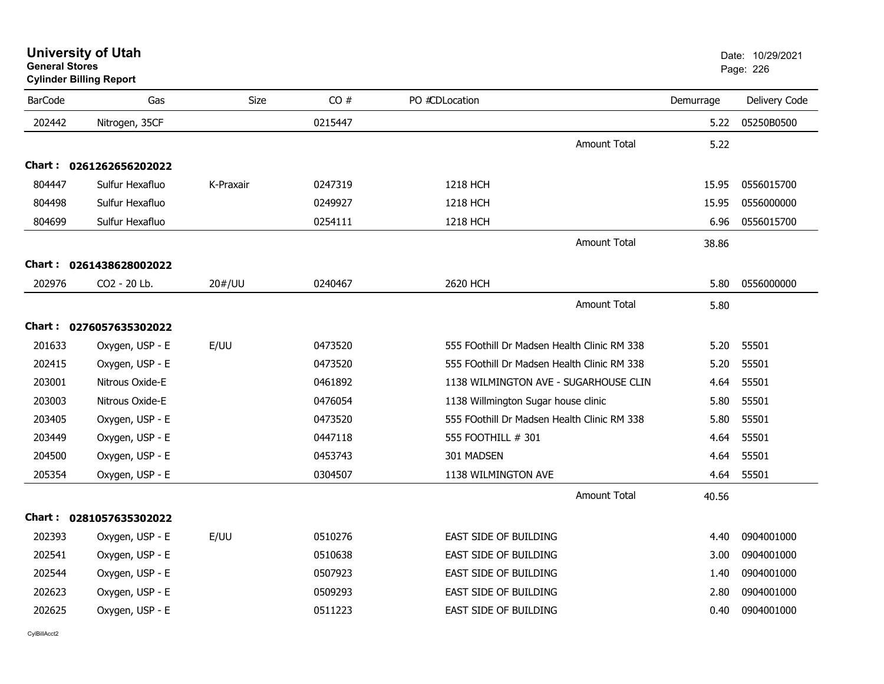|                | General Stores<br><b>Cylinder Billing Report</b> |             |         |                                             | Page: 226 |               |
|----------------|--------------------------------------------------|-------------|---------|---------------------------------------------|-----------|---------------|
| <b>BarCode</b> | Gas                                              | <b>Size</b> | CO#     | PO #CDLocation                              | Demurrage | Delivery Code |
| 202442         | Nitrogen, 35CF                                   |             | 0215447 |                                             | 5.22      | 05250B0500    |
|                |                                                  |             |         | <b>Amount Total</b>                         | 5.22      |               |
|                | Chart: 0261262656202022                          |             |         |                                             |           |               |
| 804447         | Sulfur Hexafluo                                  | K-Praxair   | 0247319 | 1218 HCH                                    | 15.95     | 0556015700    |
| 804498         | Sulfur Hexafluo                                  |             | 0249927 | 1218 HCH                                    | 15.95     | 0556000000    |
| 804699         | Sulfur Hexafluo                                  |             | 0254111 | 1218 HCH                                    | 6.96      | 0556015700    |
|                |                                                  |             |         | <b>Amount Total</b>                         | 38.86     |               |
|                | Chart: 0261438628002022                          |             |         |                                             |           |               |
| 202976         | CO2 - 20 Lb.                                     | 20#/UU      | 0240467 | 2620 HCH                                    | 5.80      | 0556000000    |
|                |                                                  |             |         | <b>Amount Total</b>                         | 5.80      |               |
|                | Chart: 0276057635302022                          |             |         |                                             |           |               |
| 201633         | Oxygen, USP - E                                  | E/UU        | 0473520 | 555 FOothill Dr Madsen Health Clinic RM 338 | 5.20      | 55501         |
| 202415         | Oxygen, USP - E                                  |             | 0473520 | 555 FOothill Dr Madsen Health Clinic RM 338 | 5.20      | 55501         |
| 203001         | Nitrous Oxide-E                                  |             | 0461892 | 1138 WILMINGTON AVE - SUGARHOUSE CLIN       | 4.64      | 55501         |
| 203003         | Nitrous Oxide-E                                  |             | 0476054 | 1138 Willmington Sugar house clinic         | 5.80      | 55501         |
| 203405         | Oxygen, USP - E                                  |             | 0473520 | 555 FOothill Dr Madsen Health Clinic RM 338 | 5.80      | 55501         |
| 203449         | Oxygen, USP - E                                  |             | 0447118 | 555 FOOTHILL # 301                          | 4.64      | 55501         |
| 204500         | Oxygen, USP - E                                  |             | 0453743 | 301 MADSEN                                  | 4.64      | 55501         |
| 205354         | Oxygen, USP - E                                  |             | 0304507 | 1138 WILMINGTON AVE                         | 4.64      | 55501         |
|                |                                                  |             |         | <b>Amount Total</b>                         | 40.56     |               |
|                | Chart: 0281057635302022                          |             |         |                                             |           |               |
| 202393         | Oxygen, USP - E                                  | E/UU        | 0510276 | <b>EAST SIDE OF BUILDING</b>                | 4.40      | 0904001000    |
| 202541         | Oxygen, USP - E                                  |             | 0510638 | <b>EAST SIDE OF BUILDING</b>                | 3.00      | 0904001000    |
| 202544         | Oxygen, USP - E                                  |             | 0507923 | <b>EAST SIDE OF BUILDING</b>                | 1.40      | 0904001000    |
| 202623         | Oxygen, USP - E                                  |             | 0509293 | EAST SIDE OF BUILDING                       | 2.80      | 0904001000    |
| 202625         | Oxygen, USP - E                                  |             | 0511223 | <b>EAST SIDE OF BUILDING</b>                | 0.40      | 0904001000    |
|                |                                                  |             |         |                                             |           |               |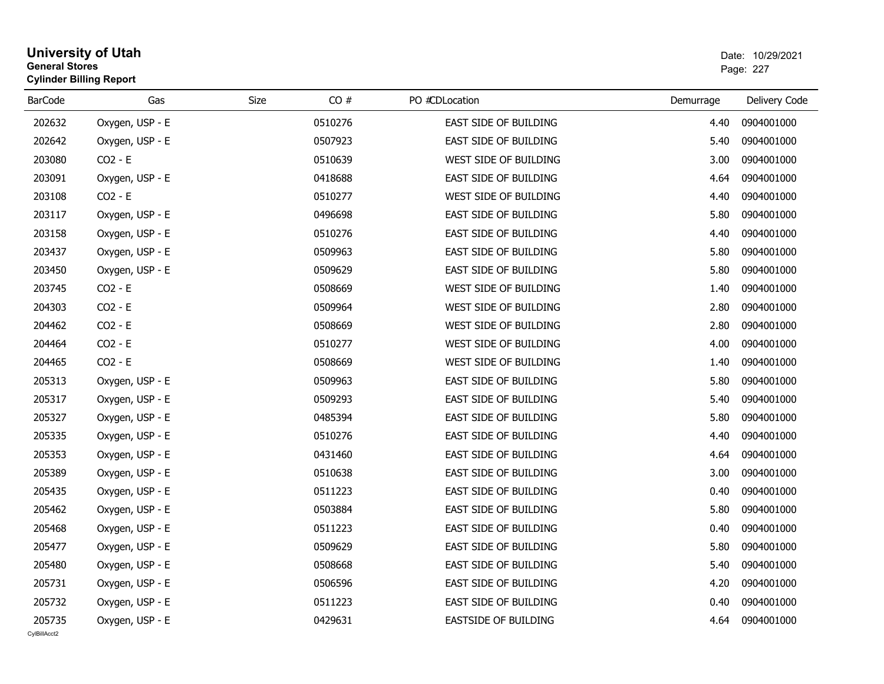### **University of Utah** Date: 10/29/2021 **General Stores**estate the control of the control of the control of the control of the control of the control of the control of the control of the control of the control of the control of the control of the control of the control of the c **Cylinder Billing Report**

| <b>BarCode</b> | Gas             | CO#<br>Size | PO #CDLocation               | Demurrage | Delivery Code |
|----------------|-----------------|-------------|------------------------------|-----------|---------------|
| 202632         | Oxygen, USP - E | 0510276     | EAST SIDE OF BUILDING        | 4.40      | 0904001000    |
| 202642         | Oxygen, USP - E | 0507923     | EAST SIDE OF BUILDING        | 5.40      | 0904001000    |
| 203080         | $CO2 - E$       | 0510639     | WEST SIDE OF BUILDING        | 3.00      | 0904001000    |
| 203091         | Oxygen, USP - E | 0418688     | EAST SIDE OF BUILDING        | 4.64      | 0904001000    |
| 203108         | $CO2 - E$       | 0510277     | WEST SIDE OF BUILDING        | 4.40      | 0904001000    |
| 203117         | Oxygen, USP - E | 0496698     | EAST SIDE OF BUILDING        | 5.80      | 0904001000    |
| 203158         | Oxygen, USP - E | 0510276     | <b>EAST SIDE OF BUILDING</b> | 4.40      | 0904001000    |
| 203437         | Oxygen, USP - E | 0509963     | EAST SIDE OF BUILDING        | 5.80      | 0904001000    |
| 203450         | Oxygen, USP - E | 0509629     | <b>EAST SIDE OF BUILDING</b> | 5.80      | 0904001000    |
| 203745         | $CO2 - E$       | 0508669     | WEST SIDE OF BUILDING        | 1.40      | 0904001000    |
| 204303         | $CO2 - E$       | 0509964     | WEST SIDE OF BUILDING        | 2.80      | 0904001000    |
| 204462         | $CO2 - E$       | 0508669     | WEST SIDE OF BUILDING        | 2.80      | 0904001000    |
| 204464         | $CO2 - E$       | 0510277     | WEST SIDE OF BUILDING        | 4.00      | 0904001000    |
| 204465         | $CO2 - E$       | 0508669     | WEST SIDE OF BUILDING        | 1.40      | 0904001000    |
| 205313         | Oxygen, USP - E | 0509963     | EAST SIDE OF BUILDING        | 5.80      | 0904001000    |
| 205317         | Oxygen, USP - E | 0509293     | EAST SIDE OF BUILDING        | 5.40      | 0904001000    |
| 205327         | Oxygen, USP - E | 0485394     | EAST SIDE OF BUILDING        | 5.80      | 0904001000    |
| 205335         | Oxygen, USP - E | 0510276     | EAST SIDE OF BUILDING        | 4.40      | 0904001000    |
| 205353         | Oxygen, USP - E | 0431460     | EAST SIDE OF BUILDING        | 4.64      | 0904001000    |
| 205389         | Oxygen, USP - E | 0510638     | EAST SIDE OF BUILDING        | 3.00      | 0904001000    |
| 205435         | Oxygen, USP - E | 0511223     | EAST SIDE OF BUILDING        | 0.40      | 0904001000    |
| 205462         | Oxygen, USP - E | 0503884     | EAST SIDE OF BUILDING        | 5.80      | 0904001000    |
| 205468         | Oxygen, USP - E | 0511223     | EAST SIDE OF BUILDING        | 0.40      | 0904001000    |
| 205477         | Oxygen, USP - E | 0509629     | EAST SIDE OF BUILDING        | 5.80      | 0904001000    |
| 205480         | Oxygen, USP - E | 0508668     | EAST SIDE OF BUILDING        | 5.40      | 0904001000    |
| 205731         | Oxygen, USP - E | 0506596     | EAST SIDE OF BUILDING        | 4.20      | 0904001000    |
| 205732         | Oxygen, USP - E | 0511223     | EAST SIDE OF BUILDING        | 0.40      | 0904001000    |
| 205735         | Oxygen, USP - E | 0429631     | EASTSIDE OF BUILDING         | 4.64      | 0904001000    |
| CvIBillAcct2   |                 |             |                              |           |               |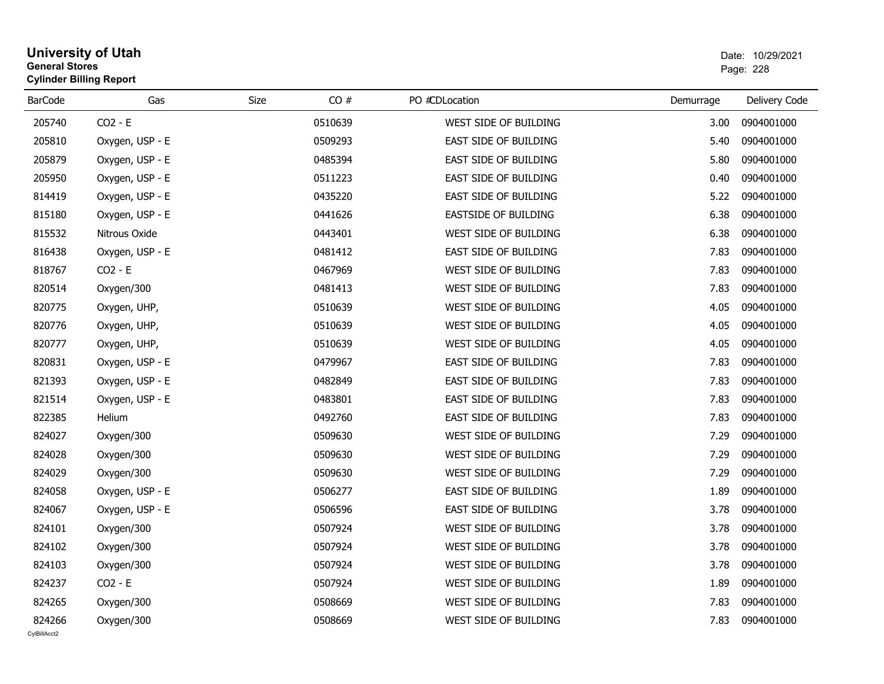### **University of Utah** Date: 10/29/2021 **General Stores**entry of the contract of the contract of the contract of the contract of the contract of the contract of the contract of the contract of the contract of the contract of the contract of the contract of the contract of the c **Cylinder Billing Report**

| <b>BarCode</b>         | Gas             | CO#<br>Size | PO #CDLocation              | Demurrage | Delivery Code |
|------------------------|-----------------|-------------|-----------------------------|-----------|---------------|
| 205740                 | $CO2 - E$       | 0510639     | WEST SIDE OF BUILDING       | 3.00      | 0904001000    |
| 205810                 | Oxygen, USP - E | 0509293     | EAST SIDE OF BUILDING       | 5.40      | 0904001000    |
| 205879                 | Oxygen, USP - E | 0485394     | EAST SIDE OF BUILDING       | 5.80      | 0904001000    |
| 205950                 | Oxygen, USP - E | 0511223     | EAST SIDE OF BUILDING       | 0.40      | 0904001000    |
| 814419                 | Oxygen, USP - E | 0435220     | EAST SIDE OF BUILDING       | 5.22      | 0904001000    |
| 815180                 | Oxygen, USP - E | 0441626     | <b>EASTSIDE OF BUILDING</b> | 6.38      | 0904001000    |
| 815532                 | Nitrous Oxide   | 0443401     | WEST SIDE OF BUILDING       | 6.38      | 0904001000    |
| 816438                 | Oxygen, USP - E | 0481412     | EAST SIDE OF BUILDING       | 7.83      | 0904001000    |
| 818767                 | $CO2 - E$       | 0467969     | WEST SIDE OF BUILDING       | 7.83      | 0904001000    |
| 820514                 | Oxygen/300      | 0481413     | WEST SIDE OF BUILDING       | 7.83      | 0904001000    |
| 820775                 | Oxygen, UHP,    | 0510639     | WEST SIDE OF BUILDING       | 4.05      | 0904001000    |
| 820776                 | Oxygen, UHP,    | 0510639     | WEST SIDE OF BUILDING       | 4.05      | 0904001000    |
| 820777                 | Oxygen, UHP,    | 0510639     | WEST SIDE OF BUILDING       | 4.05      | 0904001000    |
| 820831                 | Oxygen, USP - E | 0479967     | EAST SIDE OF BUILDING       | 7.83      | 0904001000    |
| 821393                 | Oxygen, USP - E | 0482849     | EAST SIDE OF BUILDING       | 7.83      | 0904001000    |
| 821514                 | Oxygen, USP - E | 0483801     | EAST SIDE OF BUILDING       | 7.83      | 0904001000    |
| 822385                 | Helium          | 0492760     | EAST SIDE OF BUILDING       | 7.83      | 0904001000    |
| 824027                 | Oxygen/300      | 0509630     | WEST SIDE OF BUILDING       | 7.29      | 0904001000    |
| 824028                 | Oxygen/300      | 0509630     | WEST SIDE OF BUILDING       | 7.29      | 0904001000    |
| 824029                 | Oxygen/300      | 0509630     | WEST SIDE OF BUILDING       | 7.29      | 0904001000    |
| 824058                 | Oxygen, USP - E | 0506277     | EAST SIDE OF BUILDING       | 1.89      | 0904001000    |
| 824067                 | Oxygen, USP - E | 0506596     | EAST SIDE OF BUILDING       | 3.78      | 0904001000    |
| 824101                 | Oxygen/300      | 0507924     | WEST SIDE OF BUILDING       | 3.78      | 0904001000    |
| 824102                 | Oxygen/300      | 0507924     | WEST SIDE OF BUILDING       | 3.78      | 0904001000    |
| 824103                 | Oxygen/300      | 0507924     | WEST SIDE OF BUILDING       | 3.78      | 0904001000    |
| 824237                 | $CO2 - E$       | 0507924     | WEST SIDE OF BUILDING       | 1.89      | 0904001000    |
| 824265                 | Oxygen/300      | 0508669     | WEST SIDE OF BUILDING       | 7.83      | 0904001000    |
| 824266<br>CvIBillAcct2 | Oxygen/300      | 0508669     | WEST SIDE OF BUILDING       | 7.83      | 0904001000    |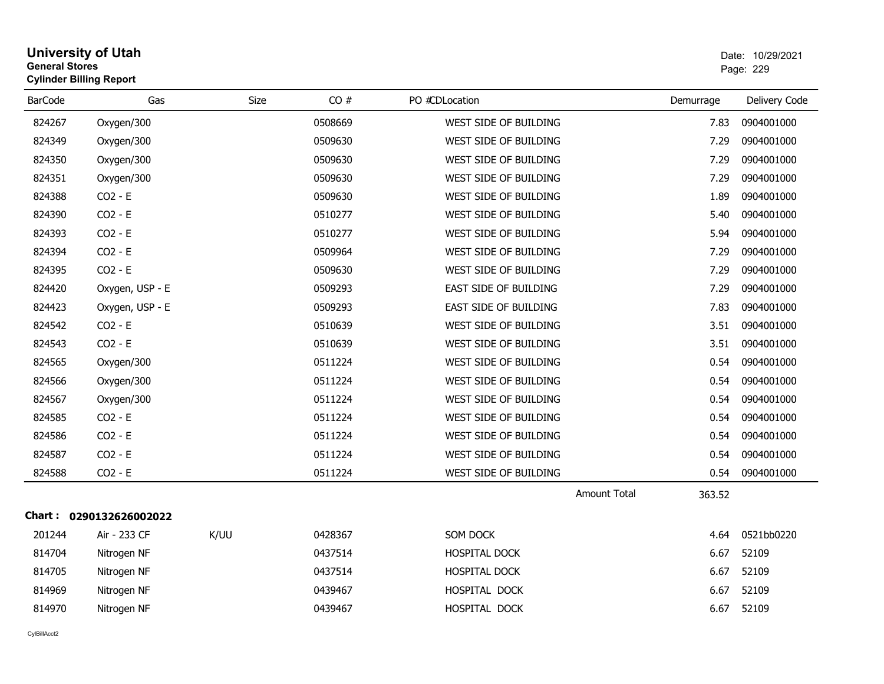| General Stores | <b>Cylinder Billing Report</b> |      |         |                       |                               | Page: 229     |
|----------------|--------------------------------|------|---------|-----------------------|-------------------------------|---------------|
| <b>BarCode</b> | Gas                            | Size | CO#     | PO #CDLocation        | Demurrage                     | Delivery Code |
| 824267         | Oxygen/300                     |      | 0508669 | WEST SIDE OF BUILDING | 7.83                          | 0904001000    |
| 824349         | Oxygen/300                     |      | 0509630 | WEST SIDE OF BUILDING | 7.29                          | 0904001000    |
| 824350         | Oxygen/300                     |      | 0509630 | WEST SIDE OF BUILDING | 7.29                          | 0904001000    |
| 824351         | Oxygen/300                     |      | 0509630 | WEST SIDE OF BUILDING | 7.29                          | 0904001000    |
| 824388         | $CO2 - E$                      |      | 0509630 | WEST SIDE OF BUILDING | 1.89                          | 0904001000    |
| 824390         | $CO2 - E$                      |      | 0510277 | WEST SIDE OF BUILDING | 5.40                          | 0904001000    |
| 824393         | $CO2 - E$                      |      | 0510277 | WEST SIDE OF BUILDING | 5.94                          | 0904001000    |
| 824394         | $CO2 - E$                      |      | 0509964 | WEST SIDE OF BUILDING | 7.29                          | 0904001000    |
| 824395         | $CO2 - E$                      |      | 0509630 | WEST SIDE OF BUILDING | 7.29                          | 0904001000    |
| 824420         | Oxygen, USP - E                |      | 0509293 | EAST SIDE OF BUILDING | 7.29                          | 0904001000    |
| 824423         | Oxygen, USP - E                |      | 0509293 | EAST SIDE OF BUILDING | 7.83                          | 0904001000    |
| 824542         | $CO2 - E$                      |      | 0510639 | WEST SIDE OF BUILDING | 3.51                          | 0904001000    |
| 824543         | $CO2 - E$                      |      | 0510639 | WEST SIDE OF BUILDING | 3.51                          | 0904001000    |
| 824565         | Oxygen/300                     |      | 0511224 | WEST SIDE OF BUILDING | 0.54                          | 0904001000    |
| 824566         | Oxygen/300                     |      | 0511224 | WEST SIDE OF BUILDING | 0.54                          | 0904001000    |
| 824567         | Oxygen/300                     |      | 0511224 | WEST SIDE OF BUILDING | 0.54                          | 0904001000    |
| 824585         | $CO2 - E$                      |      | 0511224 | WEST SIDE OF BUILDING | 0.54                          | 0904001000    |
| 824586         | $CO2 - E$                      |      | 0511224 | WEST SIDE OF BUILDING | 0.54                          | 0904001000    |
| 824587         | $CO2 - E$                      |      | 0511224 | WEST SIDE OF BUILDING | 0.54                          | 0904001000    |
| 824588         | $CO2 - E$                      |      | 0511224 | WEST SIDE OF BUILDING | 0.54                          | 0904001000    |
|                |                                |      |         |                       | <b>Amount Total</b><br>363.52 |               |
|                | Chart: 0290132626002022        |      |         |                       |                               |               |
| 201244         | Air - 233 CF                   | K/UU | 0428367 | SOM DOCK              | 4.64                          | 0521bb0220    |
| 814704         | Nitrogen NF                    |      | 0437514 | HOSPITAL DOCK         | 6.67                          | 52109         |
| 814705         | Nitrogen NF                    |      | 0437514 | HOSPITAL DOCK         | 6.67                          | 52109         |
| 814969         | Nitrogen NF                    |      | 0439467 | HOSPITAL DOCK         | 6.67                          | 52109         |
| 814970         | Nitrogen NF                    |      | 0439467 | HOSPITAL DOCK         | 6.67                          | 52109         |

**University of Utah** Date: 10/29/2021

**General Stores**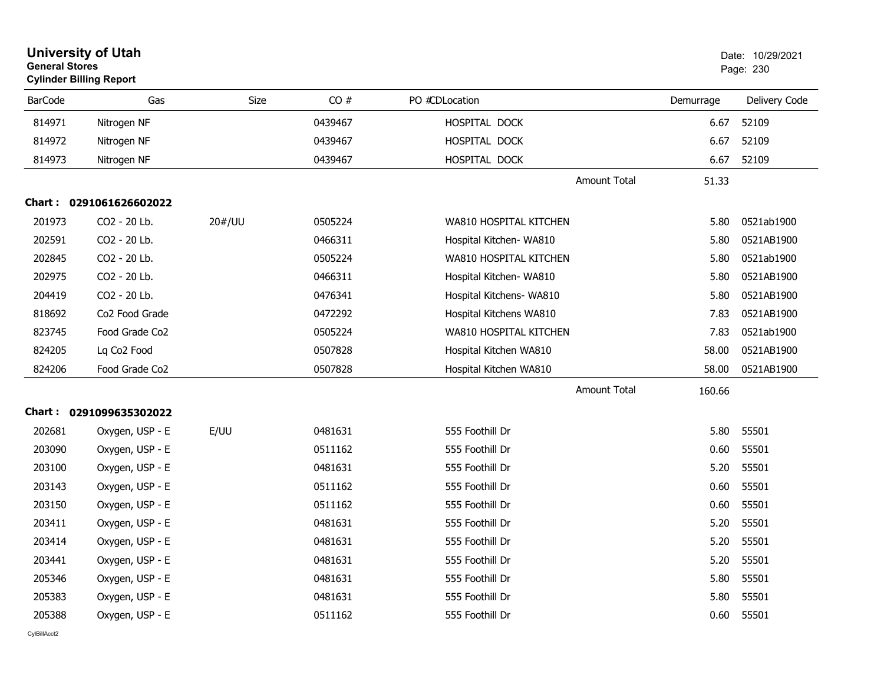|                | <b>University of Utah</b><br><b>General Stores</b><br><b>Cylinder Billing Report</b> |        |         |                          |           | Date: 10/29/2021<br>Page: 230 |
|----------------|--------------------------------------------------------------------------------------|--------|---------|--------------------------|-----------|-------------------------------|
| <b>BarCode</b> | Gas                                                                                  | Size   | CO#     | PO #CDLocation           | Demurrage | Delivery Code                 |
| 814971         | Nitrogen NF                                                                          |        | 0439467 | HOSPITAL DOCK            | 6.67      | 52109                         |
| 814972         | Nitrogen NF                                                                          |        | 0439467 | HOSPITAL DOCK            | 6.67      | 52109                         |
| 814973         | Nitrogen NF                                                                          |        | 0439467 | HOSPITAL DOCK            | 6.67      | 52109                         |
|                |                                                                                      |        |         | <b>Amount Total</b>      | 51.33     |                               |
|                | Chart: 0291061626602022                                                              |        |         |                          |           |                               |
| 201973         | CO2 - 20 Lb.                                                                         | 20#/UU | 0505224 | WA810 HOSPITAL KITCHEN   | 5.80      | 0521ab1900                    |
| 202591         | CO2 - 20 Lb.                                                                         |        | 0466311 | Hospital Kitchen- WA810  | 5.80      | 0521AB1900                    |
| 202845         | CO2 - 20 Lb.                                                                         |        | 0505224 | WA810 HOSPITAL KITCHEN   | 5.80      | 0521ab1900                    |
| 202975         | CO2 - 20 Lb.                                                                         |        | 0466311 | Hospital Kitchen- WA810  | 5.80      | 0521AB1900                    |
| 204419         | CO2 - 20 Lb.                                                                         |        | 0476341 | Hospital Kitchens- WA810 | 5.80      | 0521AB1900                    |
| 818692         | Co <sub>2</sub> Food Grade                                                           |        | 0472292 | Hospital Kitchens WA810  | 7.83      | 0521AB1900                    |
| 823745         | Food Grade Co2                                                                       |        | 0505224 | WA810 HOSPITAL KITCHEN   | 7.83      | 0521ab1900                    |
| 824205         | Lq Co <sub>2</sub> Food                                                              |        | 0507828 | Hospital Kitchen WA810   | 58.00     | 0521AB1900                    |
| 824206         | Food Grade Co2                                                                       |        | 0507828 | Hospital Kitchen WA810   | 58.00     | 0521AB1900                    |
|                |                                                                                      |        |         | <b>Amount Total</b>      | 160.66    |                               |
|                | Chart: 0291099635302022                                                              |        |         |                          |           |                               |
| 202681         | Oxygen, USP - E                                                                      | E/UU   | 0481631 | 555 Foothill Dr          | 5.80      | 55501                         |
| 203090         | Oxygen, USP - E                                                                      |        | 0511162 | 555 Foothill Dr          | 0.60      | 55501                         |
| 203100         | Oxygen, USP - E                                                                      |        | 0481631 | 555 Foothill Dr          | 5.20      | 55501                         |
| 203143         | Oxygen, USP - E                                                                      |        | 0511162 | 555 Foothill Dr          | 0.60      | 55501                         |
| 203150         | Oxygen, USP - E                                                                      |        | 0511162 | 555 Foothill Dr          | 0.60      | 55501                         |
| 203411         | Oxygen, USP - E                                                                      |        | 0481631 | 555 Foothill Dr          | 5.20      | 55501                         |
| 203414         | Oxygen, USP - E                                                                      |        | 0481631 | 555 Foothill Dr          | 5.20      | 55501                         |
| 203441         | Oxygen, USP - E                                                                      |        | 0481631 | 555 Foothill Dr          | 5.20      | 55501                         |
| 205346         | Oxygen, USP - E                                                                      |        | 0481631 | 555 Foothill Dr          | 5.80      | 55501                         |
| 205383         | Oxygen, USP - E                                                                      |        | 0481631 | 555 Foothill Dr          | 5.80      | 55501                         |
| 205388         | Oxygen, USP - E                                                                      |        | 0511162 | 555 Foothill Dr          | 0.60      | 55501                         |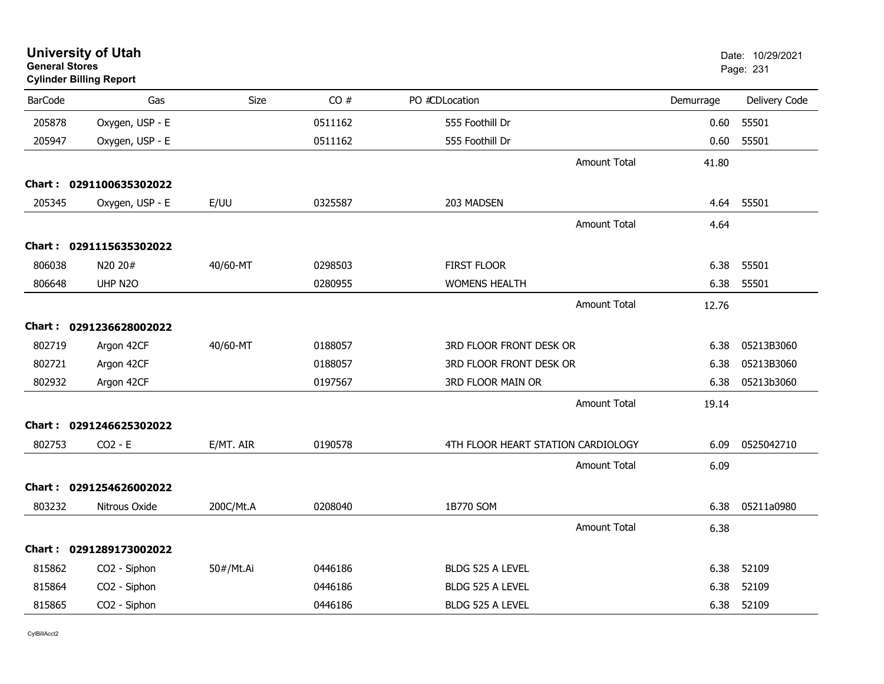| <b>General Stores</b> | <b>University of Utah</b><br><b>Cylinder Billing Report</b> |             |         |                                    |           | Date: 10/29/2021<br>Page: 231 |
|-----------------------|-------------------------------------------------------------|-------------|---------|------------------------------------|-----------|-------------------------------|
| <b>BarCode</b>        | Gas                                                         | <b>Size</b> | CO#     | PO #CDLocation                     | Demurrage | Delivery Code                 |
| 205878                | Oxygen, USP - E                                             |             | 0511162 | 555 Foothill Dr                    | 0.60      | 55501                         |
| 205947                | Oxygen, USP - E                                             |             | 0511162 | 555 Foothill Dr                    | 0.60      | 55501                         |
|                       |                                                             |             |         | <b>Amount Total</b>                | 41.80     |                               |
|                       | Chart: 0291100635302022                                     |             |         |                                    |           |                               |
| 205345                | Oxygen, USP - E                                             | E/UU        | 0325587 | 203 MADSEN                         | 4.64      | 55501                         |
|                       |                                                             |             |         | <b>Amount Total</b>                | 4.64      |                               |
|                       | Chart: 0291115635302022                                     |             |         |                                    |           |                               |
| 806038                | N20 20#                                                     | 40/60-MT    | 0298503 | <b>FIRST FLOOR</b>                 | 6.38      | 55501                         |
| 806648                | UHP N2O                                                     |             | 0280955 | <b>WOMENS HEALTH</b>               | 6.38      | 55501                         |
|                       |                                                             |             |         | <b>Amount Total</b>                | 12.76     |                               |
|                       | Chart: 0291236628002022                                     |             |         |                                    |           |                               |
| 802719                | Argon 42CF                                                  | 40/60-MT    | 0188057 | 3RD FLOOR FRONT DESK OR            | 6.38      | 05213B3060                    |
| 802721                | Argon 42CF                                                  |             | 0188057 | 3RD FLOOR FRONT DESK OR            | 6.38      | 05213B3060                    |
| 802932                | Argon 42CF                                                  |             | 0197567 | 3RD FLOOR MAIN OR                  | 6.38      | 05213b3060                    |
|                       |                                                             |             |         | <b>Amount Total</b>                | 19.14     |                               |
|                       | Chart: 0291246625302022                                     |             |         |                                    |           |                               |
| 802753                | $CO2 - E$                                                   | E/MT. AIR   | 0190578 | 4TH FLOOR HEART STATION CARDIOLOGY | 6.09      | 0525042710                    |
|                       |                                                             |             |         | Amount Total                       | 6.09      |                               |
|                       | Chart: 0291254626002022                                     |             |         |                                    |           |                               |
| 803232                | Nitrous Oxide                                               | 200C/Mt.A   | 0208040 | 1B770 SOM                          | 6.38      | 05211a0980                    |
|                       |                                                             |             |         | <b>Amount Total</b>                | 6.38      |                               |
|                       | Chart: 0291289173002022                                     |             |         |                                    |           |                               |
| 815862                | CO2 - Siphon                                                | 50#/Mt.Ai   | 0446186 | BLDG 525 A LEVEL                   | 6.38      | 52109                         |
| 815864                | CO2 - Siphon                                                |             | 0446186 | BLDG 525 A LEVEL                   | 6.38      | 52109                         |
| 815865                | CO2 - Siphon                                                |             | 0446186 | BLDG 525 A LEVEL                   | 6.38      | 52109                         |
|                       |                                                             |             |         |                                    |           |                               |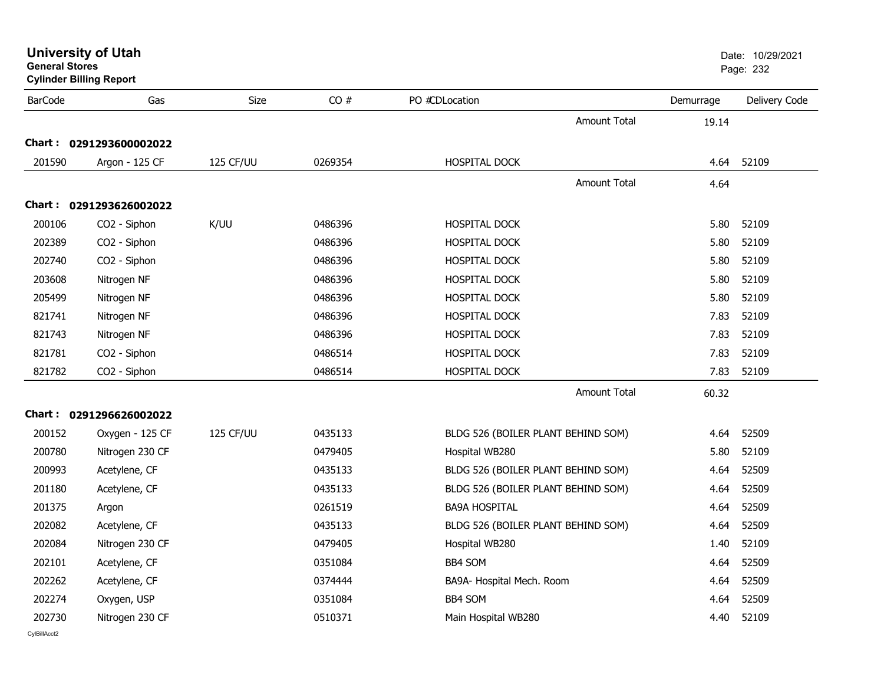| <b>University of Utah</b> |  |  |  |
|---------------------------|--|--|--|
|---------------------------|--|--|--|

**Cylinder Billing Report**

| <b>BarCode</b>                                                               | Gas                                                                                                                            | Size      | CO#                                                                                  | PO #CDLocation                                                                                                                                                                                             |              | Demurrage                                                    | Delivery Code                                                        |
|------------------------------------------------------------------------------|--------------------------------------------------------------------------------------------------------------------------------|-----------|--------------------------------------------------------------------------------------|------------------------------------------------------------------------------------------------------------------------------------------------------------------------------------------------------------|--------------|--------------------------------------------------------------|----------------------------------------------------------------------|
|                                                                              |                                                                                                                                |           |                                                                                      |                                                                                                                                                                                                            | Amount Total | 19.14                                                        |                                                                      |
|                                                                              | Chart: 0291293600002022                                                                                                        |           |                                                                                      |                                                                                                                                                                                                            |              |                                                              |                                                                      |
| 201590                                                                       | Argon - 125 CF                                                                                                                 | 125 CF/UU | 0269354                                                                              | <b>HOSPITAL DOCK</b>                                                                                                                                                                                       |              | 4.64                                                         | 52109                                                                |
|                                                                              |                                                                                                                                |           |                                                                                      |                                                                                                                                                                                                            | Amount Total | 4.64                                                         |                                                                      |
|                                                                              | Chart: 0291293626002022                                                                                                        |           |                                                                                      |                                                                                                                                                                                                            |              |                                                              |                                                                      |
| 200106                                                                       | CO2 - Siphon                                                                                                                   | K/UU      | 0486396                                                                              | HOSPITAL DOCK                                                                                                                                                                                              |              | 5.80                                                         | 52109                                                                |
| 202389                                                                       | CO2 - Siphon                                                                                                                   |           | 0486396                                                                              | HOSPITAL DOCK                                                                                                                                                                                              |              | 5.80                                                         | 52109                                                                |
| 202740                                                                       | CO2 - Siphon                                                                                                                   |           | 0486396                                                                              | HOSPITAL DOCK                                                                                                                                                                                              |              | 5.80                                                         | 52109                                                                |
| 203608                                                                       | Nitrogen NF                                                                                                                    |           | 0486396                                                                              | HOSPITAL DOCK                                                                                                                                                                                              |              | 5.80                                                         | 52109                                                                |
| 205499                                                                       | Nitrogen NF                                                                                                                    |           | 0486396                                                                              | HOSPITAL DOCK                                                                                                                                                                                              |              | 5.80                                                         | 52109                                                                |
| 821741                                                                       | Nitrogen NF                                                                                                                    |           | 0486396                                                                              | HOSPITAL DOCK                                                                                                                                                                                              |              | 7.83                                                         | 52109                                                                |
| 821743                                                                       | Nitrogen NF                                                                                                                    |           | 0486396                                                                              | HOSPITAL DOCK                                                                                                                                                                                              |              | 7.83                                                         | 52109                                                                |
| 821781                                                                       | CO2 - Siphon                                                                                                                   |           | 0486514                                                                              | HOSPITAL DOCK                                                                                                                                                                                              |              | 7.83                                                         | 52109                                                                |
| 821782                                                                       | CO2 - Siphon                                                                                                                   |           | 0486514                                                                              | HOSPITAL DOCK                                                                                                                                                                                              |              | 7.83                                                         | 52109                                                                |
|                                                                              |                                                                                                                                |           |                                                                                      |                                                                                                                                                                                                            | Amount Total | 60.32                                                        |                                                                      |
|                                                                              | Chart: 0291296626002022                                                                                                        |           |                                                                                      |                                                                                                                                                                                                            |              |                                                              |                                                                      |
| 200152                                                                       |                                                                                                                                | 125 CF/UU | 0435133                                                                              |                                                                                                                                                                                                            |              | 4.64                                                         | 52509                                                                |
| 200780                                                                       | Oxygen - 125 CF<br>Nitrogen 230 CF                                                                                             |           | 0479405                                                                              | BLDG 526 (BOILER PLANT BEHIND SOM)<br>Hospital WB280                                                                                                                                                       |              | 5.80                                                         | 52109                                                                |
| 200993                                                                       |                                                                                                                                |           | 0435133                                                                              |                                                                                                                                                                                                            |              | 4.64                                                         | 52509                                                                |
|                                                                              | Acetylene, CF                                                                                                                  |           |                                                                                      | BLDG 526 (BOILER PLANT BEHIND SOM)                                                                                                                                                                         |              |                                                              |                                                                      |
|                                                                              |                                                                                                                                |           |                                                                                      |                                                                                                                                                                                                            |              |                                                              |                                                                      |
|                                                                              |                                                                                                                                |           |                                                                                      |                                                                                                                                                                                                            |              |                                                              |                                                                      |
|                                                                              |                                                                                                                                |           |                                                                                      |                                                                                                                                                                                                            |              |                                                              |                                                                      |
|                                                                              |                                                                                                                                |           |                                                                                      |                                                                                                                                                                                                            |              |                                                              |                                                                      |
|                                                                              |                                                                                                                                |           |                                                                                      |                                                                                                                                                                                                            |              |                                                              |                                                                      |
|                                                                              |                                                                                                                                |           |                                                                                      |                                                                                                                                                                                                            |              |                                                              |                                                                      |
|                                                                              |                                                                                                                                |           |                                                                                      |                                                                                                                                                                                                            |              |                                                              |                                                                      |
| 201180<br>201375<br>202082<br>202084<br>202101<br>202262<br>202274<br>202730 | Acetylene, CF<br>Argon<br>Acetylene, CF<br>Nitrogen 230 CF<br>Acetylene, CF<br>Acetylene, CF<br>Oxygen, USP<br>Nitrogen 230 CF |           | 0435133<br>0261519<br>0435133<br>0479405<br>0351084<br>0374444<br>0351084<br>0510371 | BLDG 526 (BOILER PLANT BEHIND SOM)<br><b>BA9A HOSPITAL</b><br>BLDG 526 (BOILER PLANT BEHIND SOM)<br>Hospital WB280<br><b>BB4 SOM</b><br>BA9A- Hospital Mech. Room<br><b>BB4 SOM</b><br>Main Hospital WB280 |              | 4.64<br>4.64<br>4.64<br>1.40<br>4.64<br>4.64<br>4.64<br>4.40 | 52509<br>52509<br>52509<br>52109<br>52509<br>52509<br>52509<br>52109 |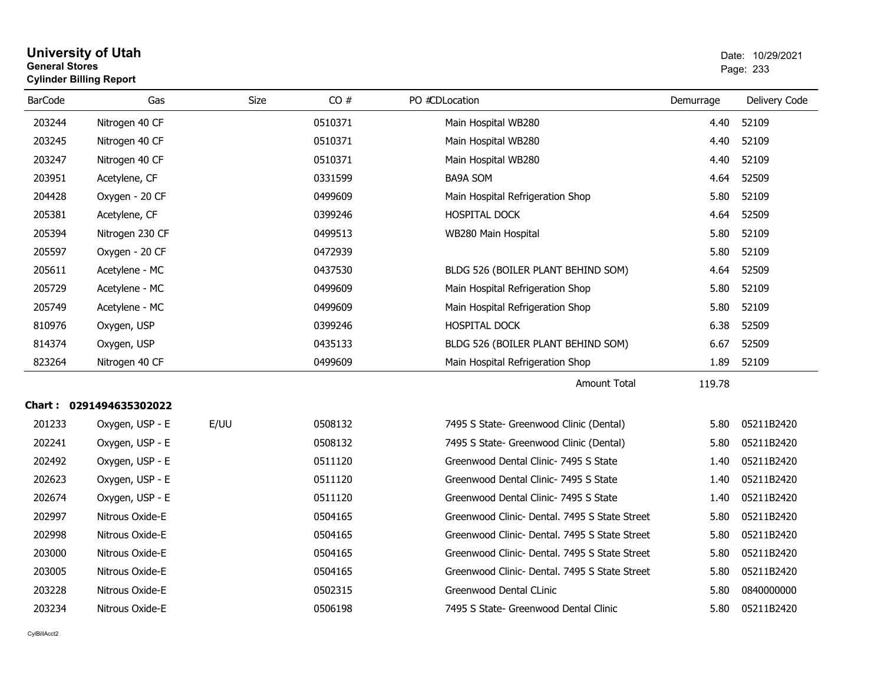| General Stores<br><b>Cylinder Billing Report</b> |                         |      |         | Page: 233                                     |           |               |
|--------------------------------------------------|-------------------------|------|---------|-----------------------------------------------|-----------|---------------|
| <b>BarCode</b>                                   | Gas                     | Size | CO#     | PO #CDLocation                                | Demurrage | Delivery Code |
| 203244                                           | Nitrogen 40 CF          |      | 0510371 | Main Hospital WB280                           | 4.40      | 52109         |
| 203245                                           | Nitrogen 40 CF          |      | 0510371 | Main Hospital WB280                           | 4.40      | 52109         |
| 203247                                           | Nitrogen 40 CF          |      | 0510371 | Main Hospital WB280                           | 4.40      | 52109         |
| 203951                                           | Acetylene, CF           |      | 0331599 | <b>BA9A SOM</b>                               | 4.64      | 52509         |
| 204428                                           | Oxygen - 20 CF          |      | 0499609 | Main Hospital Refrigeration Shop              | 5.80      | 52109         |
| 205381                                           | Acetylene, CF           |      | 0399246 | <b>HOSPITAL DOCK</b>                          | 4.64      | 52509         |
| 205394                                           | Nitrogen 230 CF         |      | 0499513 | WB280 Main Hospital                           | 5.80      | 52109         |
| 205597                                           | Oxygen - 20 CF          |      | 0472939 |                                               | 5.80      | 52109         |
| 205611                                           | Acetylene - MC          |      | 0437530 | BLDG 526 (BOILER PLANT BEHIND SOM)            | 4.64      | 52509         |
| 205729                                           | Acetylene - MC          |      | 0499609 | Main Hospital Refrigeration Shop              | 5.80      | 52109         |
| 205749                                           | Acetylene - MC          |      | 0499609 | Main Hospital Refrigeration Shop              | 5.80      | 52109         |
| 810976                                           | Oxygen, USP             |      | 0399246 | HOSPITAL DOCK                                 | 6.38      | 52509         |
| 814374                                           | Oxygen, USP             |      | 0435133 | BLDG 526 (BOILER PLANT BEHIND SOM)            | 6.67      | 52509         |
| 823264                                           | Nitrogen 40 CF          |      | 0499609 | Main Hospital Refrigeration Shop              | 1.89      | 52109         |
|                                                  |                         |      |         | Amount Total                                  | 119.78    |               |
|                                                  | Chart: 0291494635302022 |      |         |                                               |           |               |
| 201233                                           | Oxygen, USP - E         | E/UU | 0508132 | 7495 S State- Greenwood Clinic (Dental)       | 5.80      | 05211B2420    |
| 202241                                           | Oxygen, USP - E         |      | 0508132 | 7495 S State- Greenwood Clinic (Dental)       | 5.80      | 05211B2420    |
| 202492                                           | Oxygen, USP - E         |      | 0511120 | Greenwood Dental Clinic- 7495 S State         | 1.40      | 05211B2420    |
| 202623                                           | Oxygen, USP - E         |      | 0511120 | Greenwood Dental Clinic- 7495 S State         | 1.40      | 05211B2420    |
| 202674                                           | Oxygen, USP - E         |      | 0511120 | Greenwood Dental Clinic- 7495 S State         | 1.40      | 05211B2420    |
| 202997                                           | Nitrous Oxide-E         |      | 0504165 | Greenwood Clinic- Dental. 7495 S State Street | 5.80      | 05211B2420    |
| 202998                                           | Nitrous Oxide-E         |      | 0504165 | Greenwood Clinic- Dental. 7495 S State Street | 5.80      | 05211B2420    |
| 203000                                           | Nitrous Oxide-E         |      | 0504165 | Greenwood Clinic- Dental. 7495 S State Street | 5.80      | 05211B2420    |
| 203005                                           | Nitrous Oxide-E         |      | 0504165 | Greenwood Clinic- Dental. 7495 S State Street | 5.80      | 05211B2420    |
| 203228                                           | Nitrous Oxide-E         |      | 0502315 | Greenwood Dental CLinic                       | 5.80      | 0840000000    |
| 203234                                           | Nitrous Oxide-E         |      | 0506198 | 7495 S State- Greenwood Dental Clinic         | 5.80      | 05211B2420    |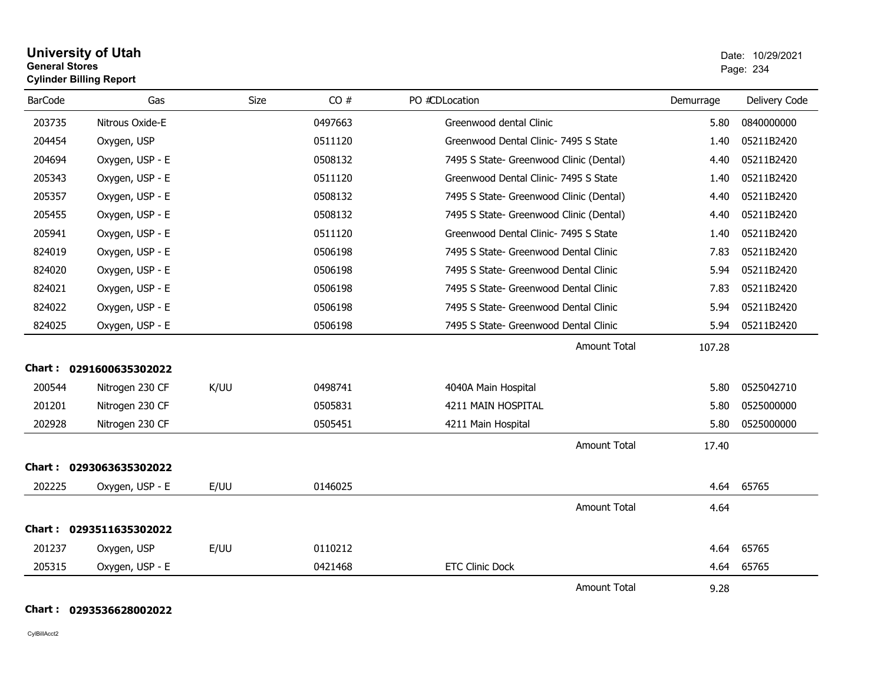| <b>University of Utah</b>      | Date: 10/2 |
|--------------------------------|------------|
| <b>General Stores</b>          | Page: 234  |
| <b>Cylinder Billing Report</b> |            |
|                                |            |

| <b>BarCode</b> | Gas                     | <b>Size</b> | CO#     | PO #CDLocation                          | Demurrage | Delivery Code |
|----------------|-------------------------|-------------|---------|-----------------------------------------|-----------|---------------|
| 203735         | Nitrous Oxide-E         |             | 0497663 | Greenwood dental Clinic                 | 5.80      | 0840000000    |
| 204454         | Oxygen, USP             |             | 0511120 | Greenwood Dental Clinic- 7495 S State   | 1.40      | 05211B2420    |
| 204694         | Oxygen, USP - E         |             | 0508132 | 7495 S State- Greenwood Clinic (Dental) | 4.40      | 05211B2420    |
| 205343         | Oxygen, USP - E         |             | 0511120 | Greenwood Dental Clinic- 7495 S State   | 1.40      | 05211B2420    |
| 205357         | Oxygen, USP - E         |             | 0508132 | 7495 S State- Greenwood Clinic (Dental) | 4.40      | 05211B2420    |
| 205455         | Oxygen, USP - E         |             | 0508132 | 7495 S State- Greenwood Clinic (Dental) | 4.40      | 05211B2420    |
| 205941         | Oxygen, USP - E         |             | 0511120 | Greenwood Dental Clinic- 7495 S State   | 1.40      | 05211B2420    |
| 824019         | Oxygen, USP - E         |             | 0506198 | 7495 S State- Greenwood Dental Clinic   | 7.83      | 05211B2420    |
| 824020         | Oxygen, USP - E         |             | 0506198 | 7495 S State- Greenwood Dental Clinic   | 5.94      | 05211B2420    |
| 824021         | Oxygen, USP - E         |             | 0506198 | 7495 S State- Greenwood Dental Clinic   | 7.83      | 05211B2420    |
| 824022         | Oxygen, USP - E         |             | 0506198 | 7495 S State- Greenwood Dental Clinic   | 5.94      | 05211B2420    |
| 824025         | Oxygen, USP - E         |             | 0506198 | 7495 S State- Greenwood Dental Clinic   | 5.94      | 05211B2420    |
|                |                         |             |         | <b>Amount Total</b>                     | 107.28    |               |
|                | Chart: 0291600635302022 |             |         |                                         |           |               |
| 200544         | Nitrogen 230 CF         | K/UU        | 0498741 | 4040A Main Hospital                     | 5.80      | 0525042710    |
| 201201         | Nitrogen 230 CF         |             | 0505831 | 4211 MAIN HOSPITAL                      | 5.80      | 0525000000    |
| 202928         | Nitrogen 230 CF         |             | 0505451 | 4211 Main Hospital                      | 5.80      | 0525000000    |
|                |                         |             |         | <b>Amount Total</b>                     | 17.40     |               |
| Chart :        | 0293063635302022        |             |         |                                         |           |               |
| 202225         | Oxygen, USP - E         | E/UU        | 0146025 |                                         | 4.64      | 65765         |
|                |                         |             |         | <b>Amount Total</b>                     | 4.64      |               |
|                | Chart: 0293511635302022 |             |         |                                         |           |               |
| 201237         | Oxygen, USP             | E/UU        | 0110212 |                                         | 4.64      | 65765         |
| 205315         | Oxygen, USP - E         |             | 0421468 | <b>ETC Clinic Dock</b>                  | 4.64      | 65765         |
|                |                         |             |         | <b>Amount Total</b>                     | 9.28      |               |

**Chart : 0293536628002022**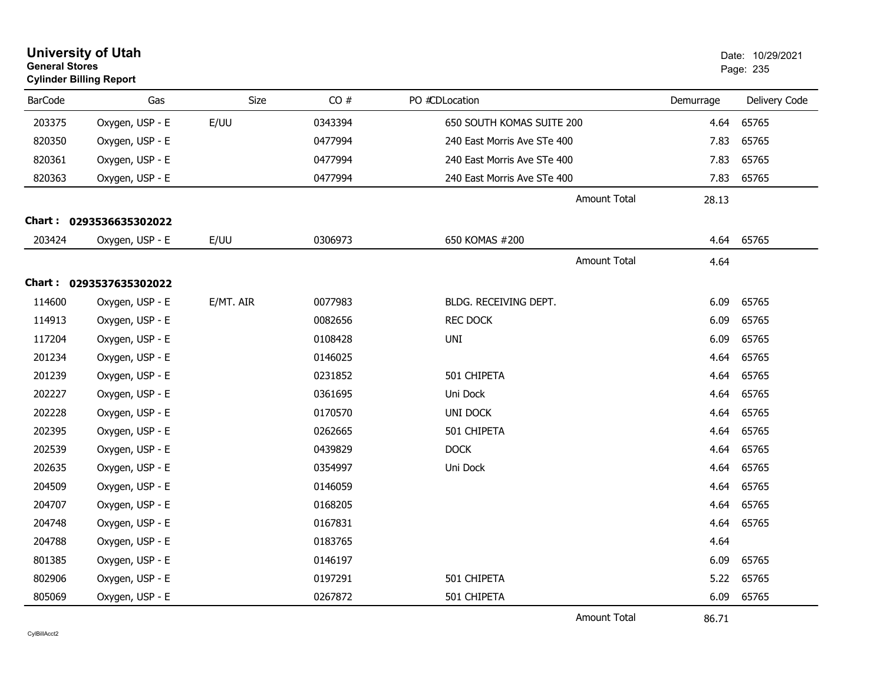| <b>University of Utah</b><br><b>General Stores</b><br><b>Cylinder Billing Report</b> |                         |           |         |                             |           | Date: 10/29/2021<br>Page: 235 |
|--------------------------------------------------------------------------------------|-------------------------|-----------|---------|-----------------------------|-----------|-------------------------------|
| <b>BarCode</b>                                                                       | Gas                     | Size      | CO#     | PO #CDLocation              | Demurrage | Delivery Code                 |
| 203375                                                                               | Oxygen, USP - E         | E/UU      | 0343394 | 650 SOUTH KOMAS SUITE 200   | 4.64      | 65765                         |
| 820350                                                                               | Oxygen, USP - E         |           | 0477994 | 240 East Morris Ave STe 400 | 7.83      | 65765                         |
| 820361                                                                               | Oxygen, USP - E         |           | 0477994 | 240 East Morris Ave STe 400 | 7.83      | 65765                         |
| 820363                                                                               | Oxygen, USP - E         |           | 0477994 | 240 East Morris Ave STe 400 | 7.83      | 65765                         |
|                                                                                      |                         |           |         | Amount Total                | 28.13     |                               |
|                                                                                      | Chart: 0293536635302022 |           |         |                             |           |                               |
| 203424                                                                               | Oxygen, USP - E         | E/UU      | 0306973 | 650 KOMAS #200              | 4.64      | 65765                         |
|                                                                                      |                         |           |         | Amount Total                | 4.64      |                               |
|                                                                                      | Chart: 0293537635302022 |           |         |                             |           |                               |
| 114600                                                                               | Oxygen, USP - E         | E/MT. AIR | 0077983 | BLDG. RECEIVING DEPT.       | 6.09      | 65765                         |
| 114913                                                                               | Oxygen, USP - E         |           | 0082656 | <b>REC DOCK</b>             | 6.09      | 65765                         |
| 117204                                                                               | Oxygen, USP - E         |           | 0108428 | UNI                         | 6.09      | 65765                         |
| 201234                                                                               | Oxygen, USP - E         |           | 0146025 |                             | 4.64      | 65765                         |
| 201239                                                                               | Oxygen, USP - E         |           | 0231852 | 501 CHIPETA                 | 4.64      | 65765                         |
| 202227                                                                               | Oxygen, USP - E         |           | 0361695 | Uni Dock                    | 4.64      | 65765                         |
| 202228                                                                               | Oxygen, USP - E         |           | 0170570 | UNI DOCK                    | 4.64      | 65765                         |
| 202395                                                                               | Oxygen, USP - E         |           | 0262665 | 501 CHIPETA                 | 4.64      | 65765                         |
| 202539                                                                               | Oxygen, USP - E         |           | 0439829 | <b>DOCK</b>                 | 4.64      | 65765                         |
| 202635                                                                               | Oxygen, USP - E         |           | 0354997 | Uni Dock                    | 4.64      | 65765                         |
| 204509                                                                               | Oxygen, USP - E         |           | 0146059 |                             | 4.64      | 65765                         |
| 204707                                                                               | Oxygen, USP - E         |           | 0168205 |                             | 4.64      | 65765                         |
| 204748                                                                               | Oxygen, USP - E         |           | 0167831 |                             | 4.64      | 65765                         |
| 204788                                                                               | Oxygen, USP - E         |           | 0183765 |                             | 4.64      |                               |
| 801385                                                                               | Oxygen, USP - E         |           | 0146197 |                             | 6.09      | 65765                         |
| 802906                                                                               | Oxygen, USP - E         |           | 0197291 | 501 CHIPETA                 | 5.22      | 65765                         |
| 805069                                                                               | Oxygen, USP - E         |           | 0267872 | 501 CHIPETA                 | 6.09      | 65765                         |
|                                                                                      |                         |           |         | <b>Amount Total</b>         | 86.71     |                               |